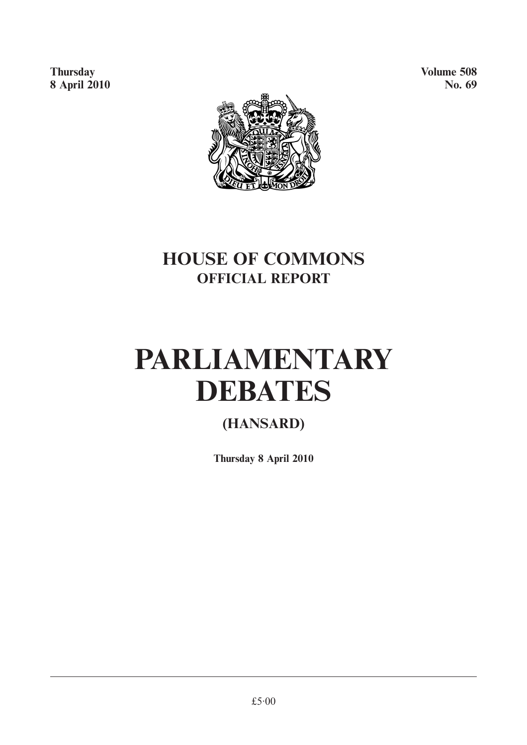**Thursday** Volume 508 **8 April 2010** No. 69



## **HOUSE OF COMMONS OFFICIAL REPORT**

# **PARLIAMENTARY DEBATES**

### **(HANSARD)**

**Thursday 8 April 2010**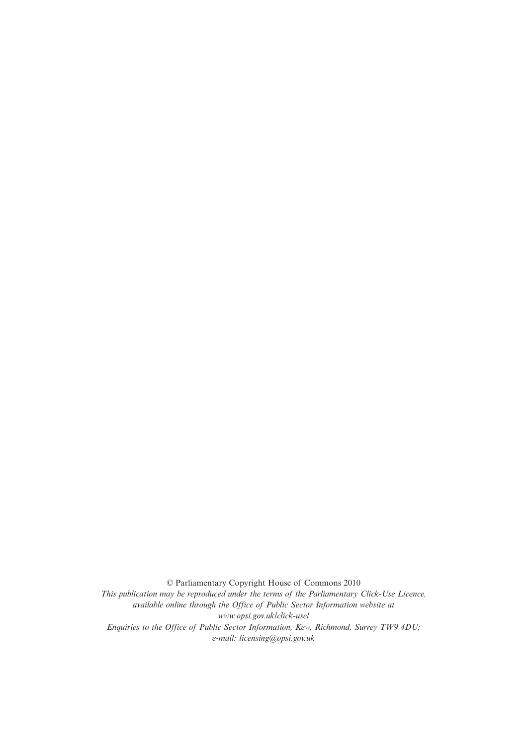© Parliamentary Copyright House of Commons 2010 *This publication may be reproduced under the terms of the Parliamentary Click-Use Licence, available online through the Office of Public Sector Information website at www.opsi.gov.uk/click-use/ Enquiries to the Office of Public Sector Information, Kew, Richmond, Surrey TW9 4DU; e-mail: licensing@opsi.gov.uk*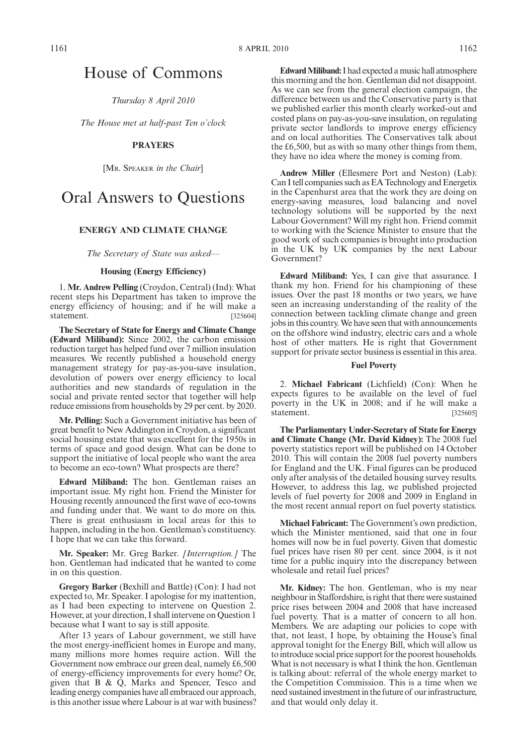### House of Commons

*Thursday 8 April 2010*

*The House met at half-past Ten o'clock*

#### **PRAYERS**

[MR. SPEAKER *in the Chair*]

### Oral Answers to Questions

#### **ENERGY AND CLIMATE CHANGE**

*The Secretary of State was asked—*

#### **Housing (Energy Efficiency)**

1. **Mr. Andrew Pelling** (Croydon, Central) (Ind): What recent steps his Department has taken to improve the energy efficiency of housing; and if he will make a statement. [325604]

**The Secretary of State for Energy and Climate Change (Edward Miliband):** Since 2002, the carbon emission reduction target has helped fund over 7 million insulation measures. We recently published a household energy management strategy for pay-as-you-save insulation, devolution of powers over energy efficiency to local authorities and new standards of regulation in the social and private rented sector that together will help reduce emissions from households by 29 per cent. by 2020.

**Mr. Pelling:** Such a Government initiative has been of great benefit to New Addington in Croydon, a significant social housing estate that was excellent for the 1950s in terms of space and good design. What can be done to support the initiative of local people who want the area to become an eco-town? What prospects are there?

**Edward Miliband:** The hon. Gentleman raises an important issue. My right hon. Friend the Minister for Housing recently announced the first wave of eco-towns and funding under that. We want to do more on this. There is great enthusiasm in local areas for this to happen, including in the hon. Gentleman's constituency. I hope that we can take this forward.

**Mr. Speaker:** Mr. Greg Barker. *[Interruption.]* The hon. Gentleman had indicated that he wanted to come in on this question.

**Gregory Barker** (Bexhill and Battle) (Con): I had not expected to, Mr. Speaker. I apologise for my inattention, as I had been expecting to intervene on Question 2. However, at your direction, I shall intervene on Question 1 because what I want to say is still apposite.

After 13 years of Labour government, we still have the most energy-inefficient homes in Europe and many, many millions more homes require action. Will the Government now embrace our green deal, namely £6,500 of energy-efficiency improvements for every home? Or, given that B & Q, Marks and Spencer, Tesco and leading energy companies have all embraced our approach, is this another issue where Labour is at war with business?

**Edward Miliband:** I had expected a music hall atmosphere this morning and the hon. Gentleman did not disappoint. As we can see from the general election campaign, the difference between us and the Conservative party is that we published earlier this month clearly worked-out and costed plans on pay-as-you-save insulation, on regulating private sector landlords to improve energy efficiency and on local authorities. The Conservatives talk about the £6,500, but as with so many other things from them, they have no idea where the money is coming from.

**Andrew Miller** (Ellesmere Port and Neston) (Lab): Can I tell companies such as EA Technology and Energetix in the Capenhurst area that the work they are doing on energy-saving measures, load balancing and novel technology solutions will be supported by the next Labour Government? Will my right hon. Friend commit to working with the Science Minister to ensure that the good work of such companies is brought into production in the UK by UK companies by the next Labour Government?

**Edward Miliband:** Yes, I can give that assurance. I thank my hon. Friend for his championing of these issues. Over the past 18 months or two years, we have seen an increasing understanding of the reality of the connection between tackling climate change and green jobs in this country.We have seen that with announcements on the offshore wind industry, electric cars and a whole host of other matters. He is right that Government support for private sector business is essential in this area.

#### **Fuel Poverty**

2. **Michael Fabricant** (Lichfield) (Con): When he expects figures to be available on the level of fuel poverty in the UK in 2008; and if he will make a statement. [325605]

**The Parliamentary Under-Secretary of State for Energy and Climate Change (Mr. David Kidney):** The 2008 fuel poverty statistics report will be published on 14 October 2010. This will contain the 2008 fuel poverty numbers for England and the UK. Final figures can be produced only after analysis of the detailed housing survey results. However, to address this lag, we published projected levels of fuel poverty for 2008 and 2009 in England in the most recent annual report on fuel poverty statistics.

**Michael Fabricant:** The Government's own prediction, which the Minister mentioned, said that one in four homes will now be in fuel poverty. Given that domestic fuel prices have risen 80 per cent. since 2004, is it not time for a public inquiry into the discrepancy between wholesale and retail fuel prices?

**Mr. Kidney:** The hon. Gentleman, who is my near neighbour in Staffordshire, is right that there were sustained price rises between 2004 and 2008 that have increased fuel poverty. That is a matter of concern to all hon. Members. We are adapting our policies to cope with that, not least, I hope, by obtaining the House's final approval tonight for the Energy Bill, which will allow us to introduce social price support for the poorest households. What is not necessary is what I think the hon. Gentleman is talking about: referral of the whole energy market to the Competition Commission. This is a time when we need sustained investment in the future of our infrastructure, and that would only delay it.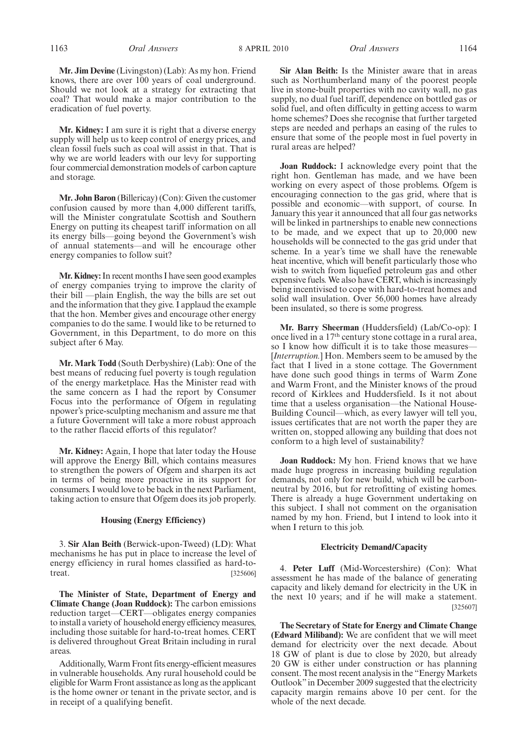1163 *Oral Answers Oral Answers* 8 APRIL 2010 1164

**Mr. Jim Devine** (Livingston) (Lab): As my hon. Friend knows, there are over 100 years of coal underground. Should we not look at a strategy for extracting that coal? That would make a major contribution to the eradication of fuel poverty.

**Mr. Kidney:** I am sure it is right that a diverse energy supply will help us to keep control of energy prices, and clean fossil fuels such as coal will assist in that. That is why we are world leaders with our levy for supporting four commercial demonstration models of carbon capture and storage.

**Mr. John Baron** (Billericay) (Con): Given the customer confusion caused by more than 4,000 different tariffs, will the Minister congratulate Scottish and Southern Energy on putting its cheapest tariff information on all its energy bills—going beyond the Government's wish of annual statements—and will he encourage other energy companies to follow suit?

**Mr. Kidney:**In recent months I have seen good examples of energy companies trying to improve the clarity of their bill —plain English, the way the bills are set out and the information that they give. I applaud the example that the hon. Member gives and encourage other energy companies to do the same. I would like to be returned to Government, in this Department, to do more on this subject after 6 May.

**Mr. Mark Todd** (South Derbyshire) (Lab): One of the best means of reducing fuel poverty is tough regulation of the energy marketplace. Has the Minister read with the same concern as I had the report by Consumer Focus into the performance of Ofgem in regulating npower's price-sculpting mechanism and assure me that a future Government will take a more robust approach to the rather flaccid efforts of this regulator?

**Mr. Kidney:** Again, I hope that later today the House will approve the Energy Bill, which contains measures to strengthen the powers of Ofgem and sharpen its act in terms of being more proactive in its support for consumers. I would love to be back in the next Parliament, taking action to ensure that Ofgem does its job properly.

#### **Housing (Energy Efficiency)**

3. **Sir Alan Beith** (Berwick-upon-Tweed) (LD): What mechanisms he has put in place to increase the level of energy efficiency in rural homes classified as hard-totreat. [325606]

**The Minister of State, Department of Energy and Climate Change (Joan Ruddock):** The carbon emissions reduction target—CERT—obligates energy companies to install a variety of household energy efficiency measures, including those suitable for hard-to-treat homes. CERT is delivered throughout Great Britain including in rural areas.

Additionally,Warm Front fits energy-efficient measures in vulnerable households. Any rural household could be eligible for Warm Front assistance as long as the applicant is the home owner or tenant in the private sector, and is in receipt of a qualifying benefit.

**Sir Alan Beith:** Is the Minister aware that in areas such as Northumberland many of the poorest people live in stone-built properties with no cavity wall, no gas supply, no dual fuel tariff, dependence on bottled gas or solid fuel, and often difficulty in getting access to warm home schemes? Does she recognise that further targeted steps are needed and perhaps an easing of the rules to ensure that some of the people most in fuel poverty in rural areas are helped?

**Joan Ruddock:** I acknowledge every point that the right hon. Gentleman has made, and we have been working on every aspect of those problems. Ofgem is encouraging connection to the gas grid, where that is possible and economic—with support, of course. In January this year it announced that all four gas networks will be linked in partnerships to enable new connections to be made, and we expect that up to 20,000 new households will be connected to the gas grid under that scheme. In a year's time we shall have the renewable heat incentive, which will benefit particularly those who wish to switch from liquefied petroleum gas and other expensive fuels. We also have CERT, which is increasingly being incentivised to cope with hard-to-treat homes and solid wall insulation. Over 56,000 homes have already been insulated, so there is some progress.

**Mr. Barry Sheerman** (Huddersfield) (Lab/Co-op): I once lived in a 17th century stone cottage in a rural area, so I know how difficult it is to take those measures-[*Interruption.*] Hon. Members seem to be amused by the fact that I lived in a stone cottage. The Government have done such good things in terms of Warm Zone and Warm Front, and the Minister knows of the proud record of Kirklees and Huddersfield. Is it not about time that a useless organisation—the National House-Building Council—which, as every lawyer will tell you, issues certificates that are not worth the paper they are written on, stopped allowing any building that does not conform to a high level of sustainability?

**Joan Ruddock:** My hon. Friend knows that we have made huge progress in increasing building regulation demands, not only for new build, which will be carbonneutral by 2016, but for retrofitting of existing homes. There is already a huge Government undertaking on this subject. I shall not comment on the organisation named by my hon. Friend, but I intend to look into it when I return to this job.

#### **Electricity Demand/Capacity**

4. **Peter Luff** (Mid-Worcestershire) (Con): What assessment he has made of the balance of generating capacity and likely demand for electricity in the UK in the next 10 years; and if he will make a statement. [325607]

**The Secretary of State for Energy and Climate Change (Edward Miliband):** We are confident that we will meet demand for electricity over the next decade. About 18 GW of plant is due to close by 2020, but already 20 GW is either under construction or has planning consent. The most recent analysis in the "Energy Markets Outlook"in December 2009 suggested that the electricity capacity margin remains above 10 per cent. for the whole of the next decade.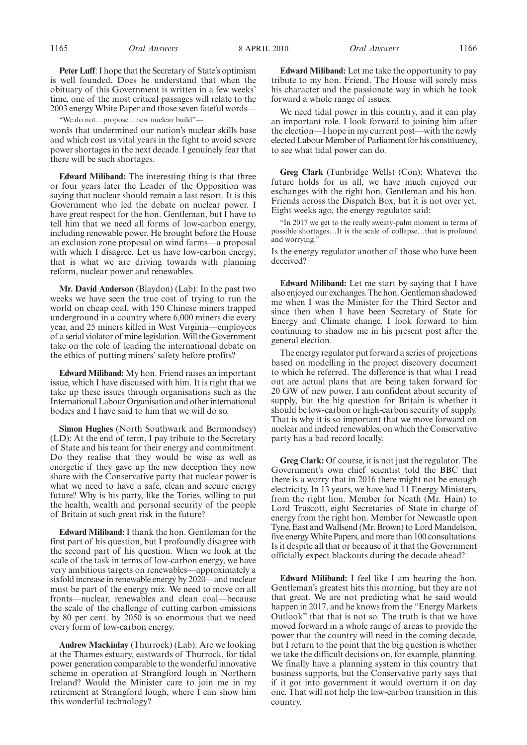**Peter Luff**: I hope that the Secretary of State's optimism is well founded. Does he understand that when the obituary of this Government is written in a few weeks' time, one of the most critical passages will relate to the 2003 energy White Paper and those seven fateful words—

"We do not…propose…new nuclear build"—

words that undermined our nation's nuclear skills base and which cost us vital years in the fight to avoid severe power shortages in the next decade. I genuinely fear that there will be such shortages.

**Edward Miliband:** The interesting thing is that three or four years later the Leader of the Opposition was saying that nuclear should remain a last resort. It is this Government who led the debate on nuclear power. I have great respect for the hon. Gentleman, but I have to tell him that we need all forms of low-carbon energy, including renewable power. He brought before the House an exclusion zone proposal on wind farms—a proposal with which I disagree. Let us have low-carbon energy; that is what we are driving towards with planning reform, nuclear power and renewables.

**Mr. David Anderson** (Blaydon) (Lab): In the past two weeks we have seen the true cost of trying to run the world on cheap coal, with 150 Chinese miners trapped underground in a country where 6,000 miners die every year, and 25 miners killed in West Virginia—employees of a serial violator of mine legislation.Will the Government take on the role of leading the international debate on the ethics of putting miners' safety before profits?

**Edward Miliband:** My hon. Friend raises an important issue, which I have discussed with him. It is right that we take up these issues through organisations such as the International Labour Organisation and other international bodies and I have said to him that we will do so.

**Simon Hughes** (North Southwark and Bermondsey) (LD): At the end of term, I pay tribute to the Secretary of State and his team for their energy and commitment. Do they realise that they would be wise as well as energetic if they gave up the new deception they now share with the Conservative party that nuclear power is what we need to have a safe, clean and secure energy future? Why is his party, like the Tories, willing to put the health, wealth and personal security of the people of Britain at such great risk in the future?

**Edward Miliband:** I thank the hon. Gentleman for the first part of his question, but I profoundly disagree with the second part of his question. When we look at the scale of the task in terms of low-carbon energy, we have very ambitious targets on renewables—approximately a sixfold increase in renewable energy by 2020—and nuclear must be part of the energy mix. We need to move on all fronts—nuclear, renewables and clean coal—because the scale of the challenge of cutting carbon emissions by 80 per cent. by 2050 is so enormous that we need every form of low-carbon energy.

**Andrew Mackinlay** (Thurrock) (Lab): Are we looking at the Thames estuary, eastwards of Thurrock, for tidal power generation comparable to the wonderful innovative scheme in operation at Strangford lough in Northern Ireland? Would the Minister care to join me in my retirement at Strangford lough, where I can show him this wonderful technology?

**Edward Miliband:** Let me take the opportunity to pay tribute to my hon. Friend. The House will sorely miss his character and the passionate way in which he took forward a whole range of issues.

We need tidal power in this country, and it can play an important role. I look forward to joining him after the election—I hope in my current post—with the newly elected Labour Member of Parliament for his constituency, to see what tidal power can do.

**Greg Clark** (Tunbridge Wells) (Con): Whatever the future holds for us all, we have much enjoyed our exchanges with the right hon. Gentleman and his hon. Friends across the Dispatch Box, but it is not over yet. Eight weeks ago, the energy regulator said:

"In 2017 we get to the really sweaty-palm moment in terms of possible shortages…It is the scale of collapse…that is profound and worrying.'

Is the energy regulator another of those who have been deceived?

**Edward Miliband:** Let me start by saying that I have also enjoyed our exchanges. The hon. Gentleman shadowed me when I was the Minister for the Third Sector and since then when I have been Secretary of State for Energy and Climate change. I look forward to him continuing to shadow me in his present post after the general election.

The energy regulator put forward a series of projections based on modelling in the project discovery document to which he referred. The difference is that what I read out are actual plans that are being taken forward for 20 GW of new power. I am confident about security of supply, but the big question for Britain is whether it should be low-carbon or high-carbon security of supply. That is why it is so important that we move forward on nuclear and indeed renewables, on which the Conservative party has a bad record locally.

**Greg Clark:** Of course, it is not just the regulator. The Government's own chief scientist told the BBC that there is a worry that in 2016 there might not be enough electricity. In 13 years, we have had 11 Energy Ministers, from the right hon. Member for Neath (Mr. Hain) to Lord Truscott, eight Secretaries of State in charge of energy from the right hon. Member for Newcastle upon Tyne, East and Wallsend (Mr. Brown) to Lord Mandelson, five energyWhite Papers, and more than 100 consultations. Is it despite all that or because of it that the Government officially expect blackouts during the decade ahead?

**Edward Miliband:** I feel like I am hearing the hon. Gentleman's greatest hits this morning, but they are not that great. We are not predicting what he said would happen in 2017, and he knows from the "Energy Markets Outlook" that that is not so. The truth is that we have moved forward in a whole range of areas to provide the power that the country will need in the coming decade, but I return to the point that the big question is whether we take the difficult decisions on, for example, planning. We finally have a planning system in this country that business supports, but the Conservative party says that if it got into government it would overturn it on day one. That will not help the low-carbon transition in this country.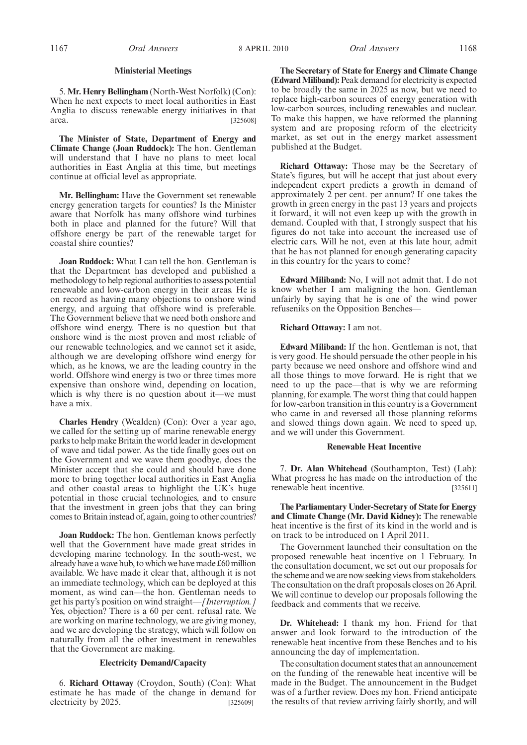#### **Ministerial Meetings**

5. **Mr. Henry Bellingham** (North-West Norfolk) (Con): When he next expects to meet local authorities in East Anglia to discuss renewable energy initiatives in that area. [325608]

**The Minister of State, Department of Energy and Climate Change (Joan Ruddock):** The hon. Gentleman will understand that I have no plans to meet local authorities in East Anglia at this time, but meetings continue at official level as appropriate.

**Mr. Bellingham:** Have the Government set renewable energy generation targets for counties? Is the Minister aware that Norfolk has many offshore wind turbines both in place and planned for the future? Will that offshore energy be part of the renewable target for coastal shire counties?

**Joan Ruddock:** What I can tell the hon. Gentleman is that the Department has developed and published a methodology to help regional authorities to assess potential renewable and low-carbon energy in their areas. He is on record as having many objections to onshore wind energy, and arguing that offshore wind is preferable. The Government believe that we need both onshore and offshore wind energy. There is no question but that onshore wind is the most proven and most reliable of our renewable technologies, and we cannot set it aside, although we are developing offshore wind energy for which, as he knows, we are the leading country in the world. Offshore wind energy is two or three times more expensive than onshore wind, depending on location, which is why there is no question about it—we must have a mix.

**Charles Hendry** (Wealden) (Con): Over a year ago, we called for the setting up of marine renewable energy parks to help make Britain the world leader in development of wave and tidal power. As the tide finally goes out on the Government and we wave them goodbye, does the Minister accept that she could and should have done more to bring together local authorities in East Anglia and other coastal areas to highlight the UK's huge potential in those crucial technologies, and to ensure that the investment in green jobs that they can bring comes to Britain instead of, again, going to other countries?

**Joan Ruddock:** The hon. Gentleman knows perfectly well that the Government have made great strides in developing marine technology. In the south-west, we already have a wave hub, to which we have made £60 million available. We have made it clear that, although it is not an immediate technology, which can be deployed at this moment, as wind can—the hon. Gentleman needs to get his party's position on wind straight—*[Interruption.]* Yes, objection? There is a 60 per cent. refusal rate. We are working on marine technology, we are giving money, and we are developing the strategy, which will follow on naturally from all the other investment in renewables that the Government are making.

#### **Electricity Demand/Capacity**

6. **Richard Ottaway** (Croydon, South) (Con): What estimate he has made of the change in demand for electricity by 2025. [325609]

**The Secretary of State for Energy and Climate Change** (Edward Miliband): Peak demand for electricity is expected to be broadly the same in 2025 as now, but we need to replace high-carbon sources of energy generation with low-carbon sources, including renewables and nuclear. To make this happen, we have reformed the planning system and are proposing reform of the electricity market, as set out in the energy market assessment published at the Budget.

**Richard Ottaway:** Those may be the Secretary of State's figures, but will he accept that just about every independent expert predicts a growth in demand of approximately 2 per cent. per annum? If one takes the growth in green energy in the past 13 years and projects it forward, it will not even keep up with the growth in demand. Coupled with that, I strongly suspect that his figures do not take into account the increased use of electric cars. Will he not, even at this late hour, admit that he has not planned for enough generating capacity in this country for the years to come?

**Edward Miliband:** No, I will not admit that. I do not know whether I am maligning the hon. Gentleman unfairly by saying that he is one of the wind power refuseniks on the Opposition Benches—

#### **Richard Ottaway:** I am not.

**Edward Miliband:** If the hon. Gentleman is not, that is very good. He should persuade the other people in his party because we need onshore and offshore wind and all those things to move forward. He is right that we need to up the pace—that is why we are reforming planning, for example. The worst thing that could happen for low-carbon transition in this country is a Government who came in and reversed all those planning reforms and slowed things down again. We need to speed up, and we will under this Government.

#### **Renewable Heat Incentive**

7. **Dr. Alan Whitehead** (Southampton, Test) (Lab): What progress he has made on the introduction of the renewable heat incentive. [325611]

**The Parliamentary Under-Secretary of State for Energy and Climate Change (Mr. David Kidney):** The renewable heat incentive is the first of its kind in the world and is on track to be introduced on 1 April 2011.

The Government launched their consultation on the proposed renewable heat incentive on 1 February. In the consultation document, we set out our proposals for the scheme and we are now seeking views from stakeholders. The consultation on the draft proposals closes on 26 April. We will continue to develop our proposals following the feedback and comments that we receive.

**Dr. Whitehead:** I thank my hon. Friend for that answer and look forward to the introduction of the renewable heat incentive from these Benches and to his announcing the day of implementation.

The consultation document states that an announcement on the funding of the renewable heat incentive will be made in the Budget. The announcement in the Budget was of a further review. Does my hon. Friend anticipate the results of that review arriving fairly shortly, and will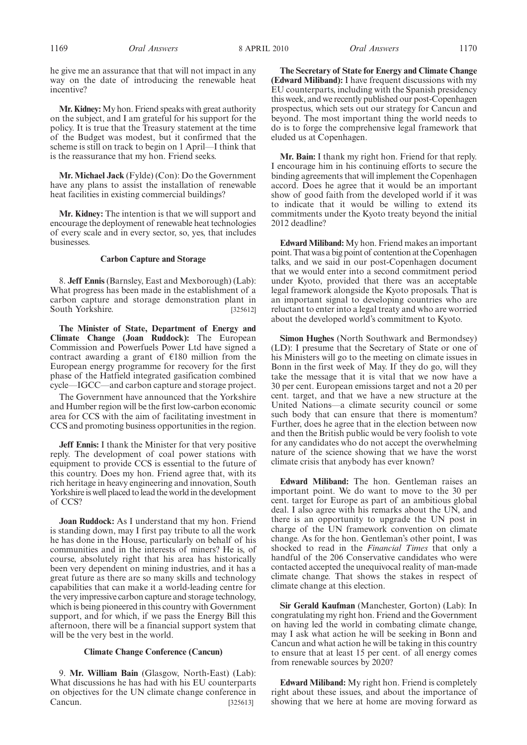1169 *Oral Answers Oral Answers* 8 APRIL 2010 1170

**Mr. Kidney:**My hon. Friend speaks with great authority on the subject, and I am grateful for his support for the policy. It is true that the Treasury statement at the time of the Budget was modest, but it confirmed that the scheme is still on track to begin on 1 April—I think that is the reassurance that my hon. Friend seeks.

**Mr. Michael Jack** (Fylde) (Con): Do the Government have any plans to assist the installation of renewable heat facilities in existing commercial buildings?

**Mr. Kidney:** The intention is that we will support and encourage the deployment of renewable heat technologies of every scale and in every sector, so, yes, that includes businesses.

#### **Carbon Capture and Storage**

8. **Jeff Ennis** (Barnsley, East and Mexborough) (Lab): What progress has been made in the establishment of a carbon capture and storage demonstration plant in South Yorkshire. [325612]

**The Minister of State, Department of Energy and Climate Change (Joan Ruddock):** The European Commission and Powerfuels Power Ltd have signed a contract awarding a grant of  $E180$  million from the European energy programme for recovery for the first phase of the Hatfield integrated gasification combined cycle—IGCC—and carbon capture and storage project.

The Government have announced that the Yorkshire and Humber region will be the first low-carbon economic area for CCS with the aim of facilitating investment in CCS and promoting business opportunities in the region.

**Jeff Ennis:** I thank the Minister for that very positive reply. The development of coal power stations with equipment to provide CCS is essential to the future of this country. Does my hon. Friend agree that, with its rich heritage in heavy engineering and innovation, South Yorkshire is well placed to lead the world in the development of CCS?

**Joan Ruddock:** As I understand that my hon. Friend is standing down, may I first pay tribute to all the work he has done in the House, particularly on behalf of his communities and in the interests of miners? He is, of course, absolutely right that his area has historically been very dependent on mining industries, and it has a great future as there are so many skills and technology capabilities that can make it a world-leading centre for the very impressive carbon capture and storage technology, which is being pioneered in this country with Government support, and for which, if we pass the Energy Bill this afternoon, there will be a financial support system that will be the very best in the world.

#### **Climate Change Conference (Cancun)**

9. **Mr. William Bain** (Glasgow, North-East) (Lab): What discussions he has had with his EU counterparts on objectives for the UN climate change conference in Cancun. [325613]

**The Secretary of State for Energy and Climate Change (Edward Miliband):** I have frequent discussions with my EU counterparts, including with the Spanish presidency this week, and we recently published our post-Copenhagen prospectus, which sets out our strategy for Cancun and beyond. The most important thing the world needs to do is to forge the comprehensive legal framework that eluded us at Copenhagen.

**Mr. Bain:** I thank my right hon. Friend for that reply. I encourage him in his continuing efforts to secure the binding agreements that will implement the Copenhagen accord. Does he agree that it would be an important show of good faith from the developed world if it was to indicate that it would be willing to extend its commitments under the Kyoto treaty beyond the initial 2012 deadline?

**Edward Miliband:** My hon. Friend makes an important point. That was a big point of contention at the Copenhagen talks, and we said in our post-Copenhagen document that we would enter into a second commitment period under Kyoto, provided that there was an acceptable legal framework alongside the Kyoto proposals. That is an important signal to developing countries who are reluctant to enter into a legal treaty and who are worried about the developed world's commitment to Kyoto.

**Simon Hughes** (North Southwark and Bermondsey) (LD): I presume that the Secretary of State or one of his Ministers will go to the meeting on climate issues in Bonn in the first week of May. If they do go, will they take the message that it is vital that we now have a 30 per cent. European emissions target and not a 20 per cent. target, and that we have a new structure at the United Nations—a climate security council or some such body that can ensure that there is momentum? Further, does he agree that in the election between now and then the British public would be very foolish to vote for any candidates who do not accept the overwhelming nature of the science showing that we have the worst climate crisis that anybody has ever known?

**Edward Miliband:** The hon. Gentleman raises an important point. We do want to move to the 30 per cent. target for Europe as part of an ambitious global deal. I also agree with his remarks about the UN, and there is an opportunity to upgrade the UN post in charge of the UN framework convention on climate change. As for the hon. Gentleman's other point, I was shocked to read in the *Financial Times* that only a handful of the 206 Conservative candidates who were contacted accepted the unequivocal reality of man-made climate change. That shows the stakes in respect of climate change at this election.

**Sir Gerald Kaufman** (Manchester, Gorton) (Lab): In congratulating my right hon. Friend and the Government on having led the world in combating climate change, may I ask what action he will be seeking in Bonn and Cancun and what action he will be taking in this country to ensure that at least 15 per cent. of all energy comes from renewable sources by 2020?

**Edward Miliband:** My right hon. Friend is completely right about these issues, and about the importance of showing that we here at home are moving forward as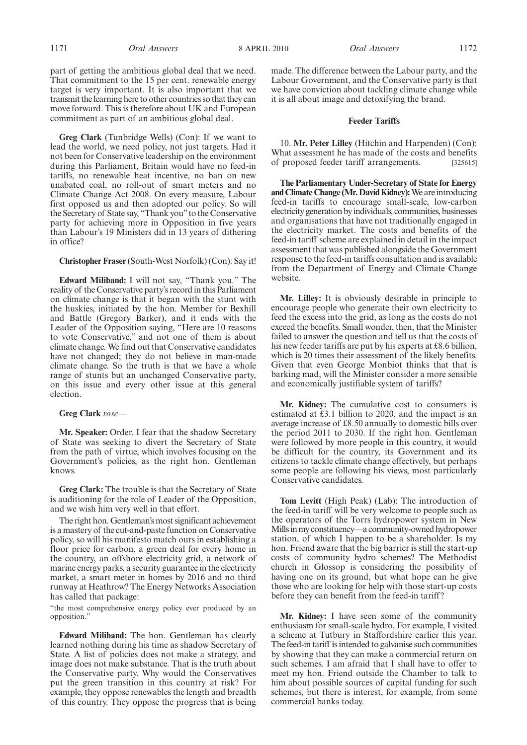part of getting the ambitious global deal that we need. That commitment to the 15 per cent. renewable energy target is very important. It is also important that we transmit the learning here to other countries so that they can move forward. This is therefore about UK and European commitment as part of an ambitious global deal.

**Greg Clark** (Tunbridge Wells) (Con): If we want to lead the world, we need policy, not just targets. Had it not been for Conservative leadership on the environment during this Parliament, Britain would have no feed-in tariffs, no renewable heat incentive, no ban on new unabated coal, no roll-out of smart meters and no Climate Change Act 2008. On every measure, Labour first opposed us and then adopted our policy. So will the Secretary of State say, "Thank you" to the Conservative party for achieving more in Opposition in five years than Labour's 19 Ministers did in 13 years of dithering in office?

#### **Christopher Fraser**(South-West Norfolk) (Con): Say it!

**Edward Miliband:** I will not say, "Thank you." The reality of the Conservative party's record in this Parliament on climate change is that it began with the stunt with the huskies, initiated by the hon. Member for Bexhill and Battle (Gregory Barker), and it ends with the Leader of the Opposition saying, "Here are 10 reasons to vote Conservative," and not one of them is about climate change. We find out that Conservative candidates have not changed; they do not believe in man-made climate change. So the truth is that we have a whole range of stunts but an unchanged Conservative party, on this issue and every other issue at this general election.

#### **Greg Clark** *rose—*

**Mr. Speaker:** Order. I fear that the shadow Secretary of State was seeking to divert the Secretary of State from the path of virtue, which involves focusing on the Government's policies, as the right hon. Gentleman knows.

**Greg Clark:** The trouble is that the Secretary of State is auditioning for the role of Leader of the Opposition, and we wish him very well in that effort.

The right hon. Gentleman's most significant achievement is a mastery of the cut-and-paste function on Conservative policy, so will his manifesto match ours in establishing a floor price for carbon, a green deal for every home in the country, an offshore electricity grid, a network of marine energy parks, a security guarantee in the electricity market, a smart meter in homes by 2016 and no third runway at Heathrow? The Energy Networks Association has called that package:

"the most comprehensive energy policy ever produced by an opposition."

**Edward Miliband:** The hon. Gentleman has clearly learned nothing during his time as shadow Secretary of State. A list of policies does not make a strategy, and image does not make substance. That is the truth about the Conservative party. Why would the Conservatives put the green transition in this country at risk? For example, they oppose renewables the length and breadth of this country. They oppose the progress that is being made. The difference between the Labour party, and the Labour Government, and the Conservative party is that we have conviction about tackling climate change while it is all about image and detoxifying the brand.

#### **Feeder Tariffs**

10. **Mr. Peter Lilley** (Hitchin and Harpenden) (Con): What assessment he has made of the costs and benefits of proposed feeder tariff arrangements. [325615]

**The Parliamentary Under-Secretary of State for Energy and Climate Change (Mr. David Kidney):**We are introducing feed-in tariffs to encourage small-scale, low-carbon electricity generation byindividuals, communities, businesses and organisations that have not traditionally engaged in the electricity market. The costs and benefits of the feed-in tariff scheme are explained in detail in the impact assessment that was published alongside the Government response to the feed-in tariffs consultation and is available from the Department of Energy and Climate Change website.

**Mr. Lilley:** It is obviously desirable in principle to encourage people who generate their own electricity to feed the excess into the grid, as long as the costs do not exceed the benefits. Small wonder, then, that the Minister failed to answer the question and tell us that the costs of his new feeder tariffs are put by his experts at £8.6 billion, which is 20 times their assessment of the likely benefits. Given that even George Monbiot thinks that that is barking mad, will the Minister consider a more sensible and economically justifiable system of tariffs?

**Mr. Kidney:** The cumulative cost to consumers is estimated at £3.1 billion to 2020, and the impact is an average increase of £8.50 annually to domestic bills over the period 2011 to 2030. If the right hon. Gentleman were followed by more people in this country, it would be difficult for the country, its Government and its citizens to tackle climate change effectively, but perhaps some people are following his views, most particularly Conservative candidates.

**Tom Levitt** (High Peak) (Lab): The introduction of the feed-in tariff will be very welcome to people such as the operators of the Torrs hydropower system in New Millsinmy constituency—a community-owned hydropower station, of which I happen to be a shareholder. Is my hon. Friend aware that the big barrier is still the start-up costs of community hydro schemes? The Methodist church in Glossop is considering the possibility of having one on its ground, but what hope can he give those who are looking for help with those start-up costs before they can benefit from the feed-in tariff ?

**Mr. Kidney:** I have seen some of the community enthusiasm for small-scale hydro. For example, I visited a scheme at Tutbury in Staffordshire earlier this year. The feed-in tariff is intended to galvanise such communities by showing that they can make a commercial return on such schemes. I am afraid that I shall have to offer to meet my hon. Friend outside the Chamber to talk to him about possible sources of capital funding for such schemes, but there is interest, for example, from some commercial banks today.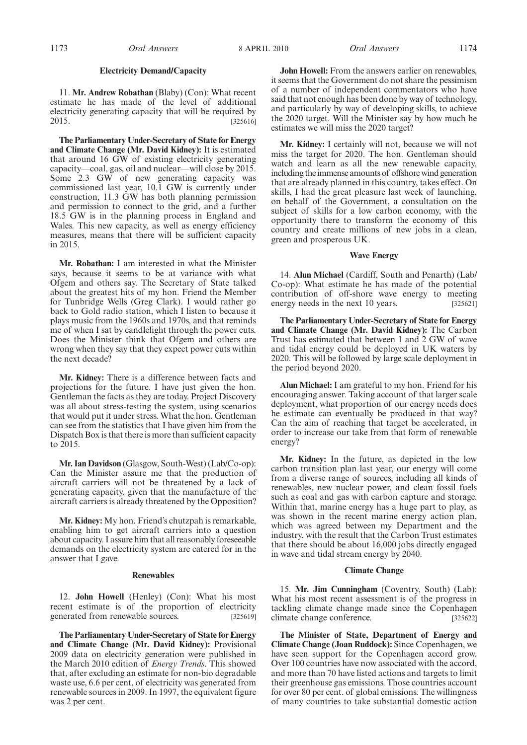#### **Electricity Demand/Capacity**

11. **Mr. Andrew Robathan** (Blaby) (Con): What recent estimate he has made of the level of additional electricity generating capacity that will be required by 2015. [325616]

**The Parliamentary Under-Secretary of State for Energy and Climate Change (Mr. David Kidney):** It is estimated that around 16 GW of existing electricity generating capacity—coal, gas, oil and nuclear—will close by 2015. Some 2.3 GW of new generating capacity was commissioned last year, 10.1 GW is currently under construction, 11.3 GW has both planning permission and permission to connect to the grid, and a further 18.5 GW is in the planning process in England and Wales. This new capacity, as well as energy efficiency measures, means that there will be sufficient capacity in 2015.

**Mr. Robathan:** I am interested in what the Minister says, because it seems to be at variance with what Ofgem and others say. The Secretary of State talked about the greatest hits of my hon. Friend the Member for Tunbridge Wells (Greg Clark). I would rather go back to Gold radio station, which I listen to because it plays music from the 1960s and 1970s, and that reminds me of when I sat by candlelight through the power cuts. Does the Minister think that Ofgem and others are wrong when they say that they expect power cuts within the next decade?

**Mr. Kidney:** There is a difference between facts and projections for the future. I have just given the hon. Gentleman the facts as they are today. Project Discovery was all about stress-testing the system, using scenarios that would put it under stress. What the hon. Gentleman can see from the statistics that I have given him from the Dispatch Box is that there is more than sufficient capacity to 2015.

**Mr. Ian Davidson** (Glasgow, South-West) (Lab/Co-op): Can the Minister assure me that the production of aircraft carriers will not be threatened by a lack of generating capacity, given that the manufacture of the aircraft carriers is already threatened by the Opposition?

**Mr. Kidney:** My hon. Friend's chutzpah is remarkable, enabling him to get aircraft carriers into a question about capacity. I assure him that all reasonably foreseeable demands on the electricity system are catered for in the answer that I gave.

#### **Renewables**

12. **John Howell** (Henley) (Con): What his most recent estimate is of the proportion of electricity generated from renewable sources. [325619]

**The Parliamentary Under-Secretary of State for Energy and Climate Change (Mr. David Kidney):** Provisional 2009 data on electricity generation were published in the March 2010 edition of *Energy Trends*. This showed that, after excluding an estimate for non-bio degradable waste use, 6.6 per cent. of electricity was generated from renewable sources in 2009. In 1997, the equivalent figure was 2 per cent.

**John Howell:** From the answers earlier on renewables, it seems that the Government do not share the pessimism of a number of independent commentators who have said that not enough has been done by way of technology, and particularly by way of developing skills, to achieve the 2020 target. Will the Minister say by how much he estimates we will miss the 2020 target?

**Mr. Kidney:** I certainly will not, because we will not miss the target for 2020. The hon. Gentleman should watch and learn as all the new renewable capacity, including the immense amounts of offshore wind generation that are already planned in this country, takes effect. On skills, I had the great pleasure last week of launching, on behalf of the Government, a consultation on the subject of skills for a low carbon economy, with the opportunity there to transform the economy of this country and create millions of new jobs in a clean, green and prosperous UK.

#### **Wave Energy**

14. **Alun Michael** (Cardiff, South and Penarth) (Lab/ Co-op): What estimate he has made of the potential contribution of off-shore wave energy to meeting energy needs in the next 10 years. [325621]

**The Parliamentary Under-Secretary of State for Energy and Climate Change (Mr. David Kidney):** The Carbon Trust has estimated that between 1 and 2 GW of wave and tidal energy could be deployed in UK waters by 2020. This will be followed by large scale deployment in the period beyond 2020.

**Alun Michael:** I am grateful to my hon. Friend for his encouraging answer. Taking account of that larger scale deployment, what proportion of our energy needs does he estimate can eventually be produced in that way? Can the aim of reaching that target be accelerated, in order to increase our take from that form of renewable energy?

**Mr. Kidney:** In the future, as depicted in the low carbon transition plan last year, our energy will come from a diverse range of sources, including all kinds of renewables, new nuclear power, and clean fossil fuels such as coal and gas with carbon capture and storage. Within that, marine energy has a huge part to play, as was shown in the recent marine energy action plan, which was agreed between my Department and the industry, with the result that the Carbon Trust estimates that there should be about 16,000 jobs directly engaged in wave and tidal stream energy by 2040.

#### **Climate Change**

15. **Mr. Jim Cunningham** (Coventry, South) (Lab): What his most recent assessment is of the progress in tackling climate change made since the Copenhagen climate change conference. [325622]

**The Minister of State, Department of Energy and Climate Change (Joan Ruddock):** Since Copenhagen, we have seen support for the Copenhagen accord grow. Over 100 countries have now associated with the accord, and more than 70 have listed actions and targets to limit their greenhouse gas emissions. Those countries account for over 80 per cent. of global emissions. The willingness of many countries to take substantial domestic action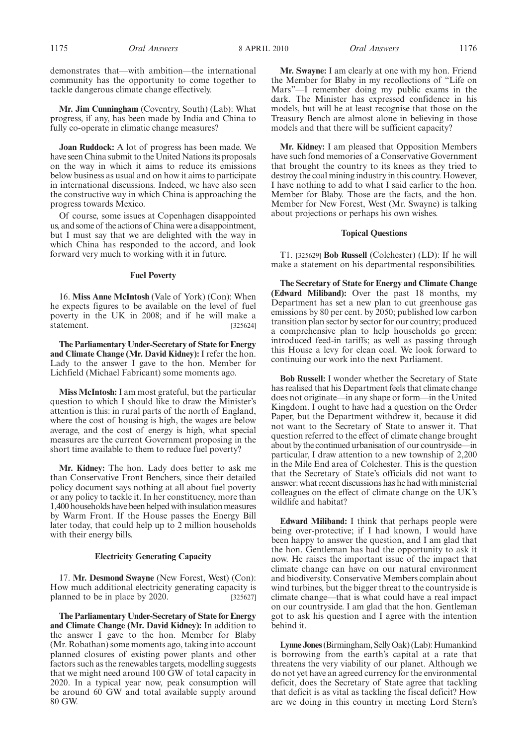demonstrates that—with ambition—the international community has the opportunity to come together to tackle dangerous climate change effectively.

**Mr. Jim Cunningham** (Coventry, South) (Lab): What progress, if any, has been made by India and China to fully co-operate in climatic change measures?

**Joan Ruddock:** A lot of progress has been made. We have seen China submit to the United Nations its proposals on the way in which it aims to reduce its emissions below business as usual and on how it aims to participate in international discussions. Indeed, we have also seen the constructive way in which China is approaching the progress towards Mexico.

Of course, some issues at Copenhagen disappointed us, and some of the actions of China were a disappointment, but I must say that we are delighted with the way in which China has responded to the accord, and look forward very much to working with it in future.

#### **Fuel Poverty**

16. **Miss Anne McIntosh** (Vale of York) (Con): When he expects figures to be available on the level of fuel poverty in the UK in 2008; and if he will make a statement. [325624]

**The Parliamentary Under-Secretary of State for Energy and Climate Change (Mr. David Kidney):** I refer the hon. Lady to the answer I gave to the hon. Member for Lichfield (Michael Fabricant) some moments ago.

**Miss McIntosh:** I am most grateful, but the particular question to which I should like to draw the Minister's attention is this: in rural parts of the north of England, where the cost of housing is high, the wages are below average, and the cost of energy is high, what special measures are the current Government proposing in the short time available to them to reduce fuel poverty?

**Mr. Kidney:** The hon. Lady does better to ask me than Conservative Front Benchers, since their detailed policy document says nothing at all about fuel poverty or any policy to tackle it. In her constituency, more than 1,400 households have been helped with insulation measures by Warm Front. If the House passes the Energy Bill later today, that could help up to 2 million households with their energy bills.

#### **Electricity Generating Capacity**

17. **Mr. Desmond Swayne** (New Forest, West) (Con): How much additional electricity generating capacity is planned to be in place by 2020. [325627]

**The Parliamentary Under-Secretary of State for Energy and Climate Change (Mr. David Kidney):** In addition to the answer I gave to the hon. Member for Blaby (Mr. Robathan) some moments ago, taking into account planned closures of existing power plants and other factors such as the renewables targets, modelling suggests that we might need around 100 GW of total capacity in 2020. In a typical year now, peak consumption will be around 60 GW and total available supply around 80 GW.

**Mr. Swayne:** I am clearly at one with my hon. Friend the Member for Blaby in my recollections of "Life on Mars"—I remember doing my public exams in the dark. The Minister has expressed confidence in his models, but will he at least recognise that those on the Treasury Bench are almost alone in believing in those models and that there will be sufficient capacity?

**Mr. Kidney:** I am pleased that Opposition Members have such fond memories of a Conservative Government that brought the country to its knees as they tried to destroy the coal mining industry in this country. However, I have nothing to add to what I said earlier to the hon. Member for Blaby. Those are the facts, and the hon. Member for New Forest, West (Mr. Swayne) is talking about projections or perhaps his own wishes.

#### **Topical Questions**

T1. [325629] **Bob Russell** (Colchester) (LD): If he will make a statement on his departmental responsibilities.

**The Secretary of State for Energy and Climate Change (Edward Miliband):** Over the past 18 months, my Department has set a new plan to cut greenhouse gas emissions by 80 per cent. by 2050; published low carbon transition plan sector by sector for our country; produced a comprehensive plan to help households go green; introduced feed-in tariffs; as well as passing through this House a levy for clean coal. We look forward to continuing our work into the next Parliament.

**Bob Russell:** I wonder whether the Secretary of State has realised that his Department feels that climate change does not originate—in any shape or form—in the United Kingdom. I ought to have had a question on the Order Paper, but the Department withdrew it, because it did not want to the Secretary of State to answer it. That question referred to the effect of climate change brought about by the continued urbanisation of our countryside—in particular, I draw attention to a new township of 2,200 in the Mile End area of Colchester. This is the question that the Secretary of State's officials did not want to answer: what recent discussions has he had with ministerial colleagues on the effect of climate change on the UK's wildlife and habitat?

**Edward Miliband:** I think that perhaps people were being over-protective; if I had known, I would have been happy to answer the question, and I am glad that the hon. Gentleman has had the opportunity to ask it now. He raises the important issue of the impact that climate change can have on our natural environment and biodiversity. Conservative Members complain about wind turbines, but the bigger threat to the countryside is climate change—that is what could have a real impact on our countryside. I am glad that the hon. Gentleman got to ask his question and I agree with the intention behind it.

**Lynne Jones** (Birmingham, Selly Oak) (Lab): Humankind is borrowing from the earth's capital at a rate that threatens the very viability of our planet. Although we do not yet have an agreed currency for the environmental deficit, does the Secretary of State agree that tackling that deficit is as vital as tackling the fiscal deficit? How are we doing in this country in meeting Lord Stern's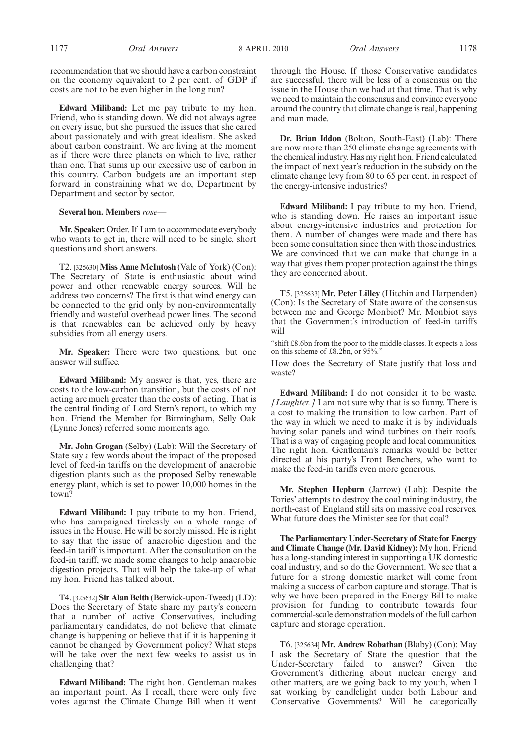**Edward Miliband:** Let me pay tribute to my hon. Friend, who is standing down. We did not always agree on every issue, but she pursued the issues that she cared about passionately and with great idealism. She asked about carbon constraint. We are living at the moment as if there were three planets on which to live, rather than one. That sums up our excessive use of carbon in this country. Carbon budgets are an important step forward in constraining what we do, Department by Department and sector by sector.

#### **Several hon. Members** *rose—*

**Mr. Speaker:** Order. If I am to accommodate everybody who wants to get in, there will need to be single, short questions and short answers.

T2. [325630] **Miss Anne McIntosh** (Vale of York) (Con): The Secretary of State is enthusiastic about wind power and other renewable energy sources. Will he address two concerns? The first is that wind energy can be connected to the grid only by non-environmentally friendly and wasteful overhead power lines. The second is that renewables can be achieved only by heavy subsidies from all energy users.

**Mr. Speaker:** There were two questions, but one answer will suffice.

**Edward Miliband:** My answer is that, yes, there are costs to the low-carbon transition, but the costs of not acting are much greater than the costs of acting. That is the central finding of Lord Stern's report, to which my hon. Friend the Member for Birmingham, Selly Oak (Lynne Jones) referred some moments ago.

**Mr. John Grogan** (Selby) (Lab): Will the Secretary of State say a few words about the impact of the proposed level of feed-in tariffs on the development of anaerobic digestion plants such as the proposed Selby renewable energy plant, which is set to power 10,000 homes in the town?

**Edward Miliband:** I pay tribute to my hon. Friend, who has campaigned tirelessly on a whole range of issues in the House. He will be sorely missed. He is right to say that the issue of anaerobic digestion and the feed-in tariff is important. After the consultation on the feed-in tariff, we made some changes to help anaerobic digestion projects. That will help the take-up of what my hon. Friend has talked about.

T4. [325632] **Sir Alan Beith** (Berwick-upon-Tweed) (LD): Does the Secretary of State share my party's concern that a number of active Conservatives, including parliamentary candidates, do not believe that climate change is happening or believe that if it is happening it cannot be changed by Government policy? What steps will he take over the next few weeks to assist us in challenging that?

**Edward Miliband:** The right hon. Gentleman makes an important point. As I recall, there were only five votes against the Climate Change Bill when it went

1177 *Oral Answers Oral Answers* 8 APRIL 2010 1178

through the House. If those Conservative candidates are successful, there will be less of a consensus on the issue in the House than we had at that time. That is why we need to maintain the consensus and convince everyone around the country that climate change is real, happening and man made.

**Dr. Brian Iddon** (Bolton, South-East) (Lab): There are now more than 250 climate change agreements with the chemical industry. Has my right hon. Friend calculated the impact of next year's reduction in the subsidy on the climate change levy from 80 to 65 per cent. in respect of the energy-intensive industries?

**Edward Miliband:** I pay tribute to my hon. Friend, who is standing down. He raises an important issue about energy-intensive industries and protection for them. A number of changes were made and there has been some consultation since then with those industries. We are convinced that we can make that change in a way that gives them proper protection against the things they are concerned about.

T5. [325633] **Mr. Peter Lilley** (Hitchin and Harpenden) (Con): Is the Secretary of State aware of the consensus between me and George Monbiot? Mr. Monbiot says that the Government's introduction of feed-in tariffs will

"shift £8.6bn from the poor to the middle classes. It expects a loss on this scheme of £8.2bn, or 95%."

How does the Secretary of State justify that loss and waste?

**Edward Miliband:** I do not consider it to be waste. *[Laughter.]* I am not sure why that is so funny. There is a cost to making the transition to low carbon. Part of the way in which we need to make it is by individuals having solar panels and wind turbines on their roofs. That is a way of engaging people and local communities. The right hon. Gentleman's remarks would be better directed at his party's Front Benchers, who want to make the feed-in tariffs even more generous.

**Mr. Stephen Hepburn** (Jarrow) (Lab): Despite the Tories' attempts to destroy the coal mining industry, the north-east of England still sits on massive coal reserves. What future does the Minister see for that coal?

**The Parliamentary Under-Secretary of State for Energy and Climate Change (Mr. David Kidney):** My hon. Friend has a long-standing interest in supporting a UK domestic coal industry, and so do the Government. We see that a future for a strong domestic market will come from making a success of carbon capture and storage. That is why we have been prepared in the Energy Bill to make provision for funding to contribute towards four commercial-scale demonstration models of the full carbon capture and storage operation.

T6. [325634] **Mr. Andrew Robathan** (Blaby) (Con): May I ask the Secretary of State the question that the Under-Secretary failed to answer? Given the Government's dithering about nuclear energy and other matters, are we going back to my youth, when I sat working by candlelight under both Labour and Conservative Governments? Will he categorically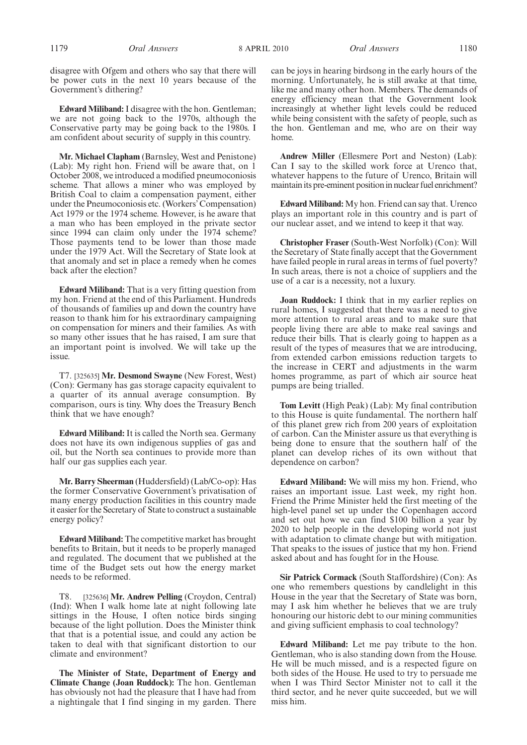disagree with Ofgem and others who say that there will be power cuts in the next 10 years because of the Government's dithering?

**Edward Miliband:**I disagree with the hon. Gentleman; we are not going back to the 1970s, although the Conservative party may be going back to the 1980s. I am confident about security of supply in this country.

**Mr. Michael Clapham** (Barnsley, West and Penistone) (Lab): My right hon. Friend will be aware that, on 1 October 2008, we introduced a modified pneumoconiosis scheme. That allows a miner who was employed by British Coal to claim a compensation payment, either under the Pneumoconiosis etc. (Workers' Compensation) Act 1979 or the 1974 scheme. However, is he aware that a man who has been employed in the private sector since 1994 can claim only under the 1974 scheme? Those payments tend to be lower than those made under the 1979 Act. Will the Secretary of State look at that anomaly and set in place a remedy when he comes back after the election?

**Edward Miliband:** That is a very fitting question from my hon. Friend at the end of this Parliament. Hundreds of thousands of families up and down the country have reason to thank him for his extraordinary campaigning on compensation for miners and their families. As with so many other issues that he has raised, I am sure that an important point is involved. We will take up the issue.

T7. [325635] **Mr. Desmond Swayne** (New Forest, West) (Con): Germany has gas storage capacity equivalent to a quarter of its annual average consumption. By comparison, ours is tiny. Why does the Treasury Bench think that we have enough?

**Edward Miliband:** It is called the North sea. Germany does not have its own indigenous supplies of gas and oil, but the North sea continues to provide more than half our gas supplies each year.

**Mr. Barry Sheerman** (Huddersfield) (Lab/Co-op): Has the former Conservative Government's privatisation of many energy production facilities in this country made it easier for the Secretary of State to construct a sustainable energy policy?

**Edward Miliband:** The competitive market has brought benefits to Britain, but it needs to be properly managed and regulated. The document that we published at the time of the Budget sets out how the energy market needs to be reformed.

T8. [325636] **Mr. Andrew Pelling** (Croydon, Central) (Ind): When I walk home late at night following late sittings in the House, I often notice birds singing because of the light pollution. Does the Minister think that that is a potential issue, and could any action be taken to deal with that significant distortion to our climate and environment?

**The Minister of State, Department of Energy and Climate Change (Joan Ruddock):** The hon. Gentleman has obviously not had the pleasure that I have had from a nightingale that I find singing in my garden. There can be joys in hearing birdsong in the early hours of the morning. Unfortunately, he is still awake at that time, like me and many other hon. Members. The demands of energy efficiency mean that the Government look increasingly at whether light levels could be reduced while being consistent with the safety of people, such as the hon. Gentleman and me, who are on their way home.

**Andrew Miller** (Ellesmere Port and Neston) (Lab): Can I say to the skilled work force at Urenco that, whatever happens to the future of Urenco, Britain will maintain its pre-eminent position in nuclear fuel enrichment?

**Edward Miliband:** My hon. Friend can say that. Urenco plays an important role in this country and is part of our nuclear asset, and we intend to keep it that way.

**Christopher Fraser** (South-West Norfolk) (Con): Will the Secretary of State finally accept that the Government have failed people in rural areas in terms of fuel poverty? In such areas, there is not a choice of suppliers and the use of a car is a necessity, not a luxury.

**Joan Ruddock:** I think that in my earlier replies on rural homes, I suggested that there was a need to give more attention to rural areas and to make sure that people living there are able to make real savings and reduce their bills. That is clearly going to happen as a result of the types of measures that we are introducing, from extended carbon emissions reduction targets to the increase in CERT and adjustments in the warm homes programme, as part of which air source heat pumps are being trialled.

**Tom Levitt** (High Peak) (Lab): My final contribution to this House is quite fundamental. The northern half of this planet grew rich from 200 years of exploitation of carbon. Can the Minister assure us that everything is being done to ensure that the southern half of the planet can develop riches of its own without that dependence on carbon?

**Edward Miliband:** We will miss my hon. Friend, who raises an important issue. Last week, my right hon. Friend the Prime Minister held the first meeting of the high-level panel set up under the Copenhagen accord and set out how we can find \$100 billion a year by 2020 to help people in the developing world not just with adaptation to climate change but with mitigation. That speaks to the issues of justice that my hon. Friend asked about and has fought for in the House.

**Sir Patrick Cormack** (South Staffordshire) (Con): As one who remembers questions by candlelight in this House in the year that the Secretary of State was born, may I ask him whether he believes that we are truly honouring our historic debt to our mining communities and giving sufficient emphasis to coal technology?

**Edward Miliband:** Let me pay tribute to the hon. Gentleman, who is also standing down from the House. He will be much missed, and is a respected figure on both sides of the House. He used to try to persuade me when I was Third Sector Minister not to call it the third sector, and he never quite succeeded, but we will miss him.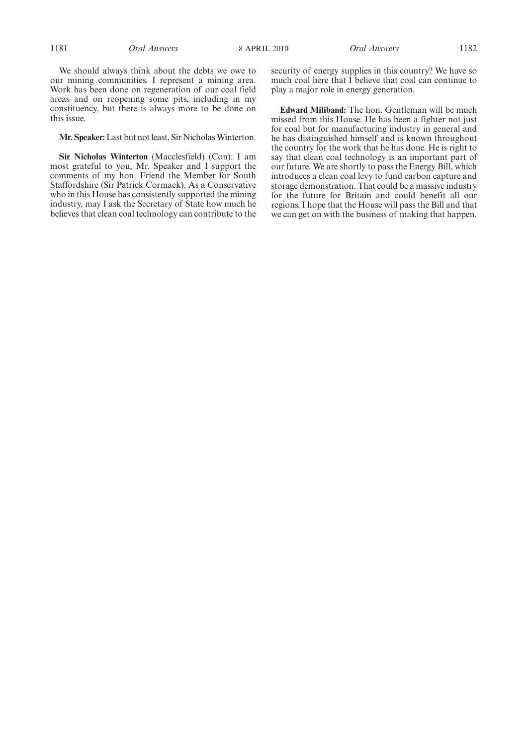We should always think about the debts we owe to our mining communities. I represent a mining area. Work has been done on regeneration of our coal field areas and on reopening some pits, including in my constituency, but there is always more to be done on this issue.

#### Mr. Speaker: Last but not least, Sir Nicholas Winterton.

**Sir Nicholas Winterton** (Macclesfield) (Con): I am most grateful to you, Mr. Speaker and I support the comments of my hon. Friend the Member for South Staffordshire (Sir Patrick Cormack). As a Conservative who in this House has consistently supported the mining industry, may I ask the Secretary of State how much he believes that clean coal technology can contribute to the security of energy supplies in this country? We have so much coal here that I believe that coal can continue to play a major role in energy generation.

**Edward Miliband:** The hon. Gentleman will be much missed from this House. He has been a fighter not just for coal but for manufacturing industry in general and he has distinguished himself and is known throughout the country for the work that he has done. He is right to say that clean coal technology is an important part of our future. We are shortly to pass the Energy Bill, which introduces a clean coal levy to fund carbon capture and storage demonstration. That could be a massive industry for the future for Britain and could benefit all our regions. I hope that the House will pass the Bill and that we can get on with the business of making that happen.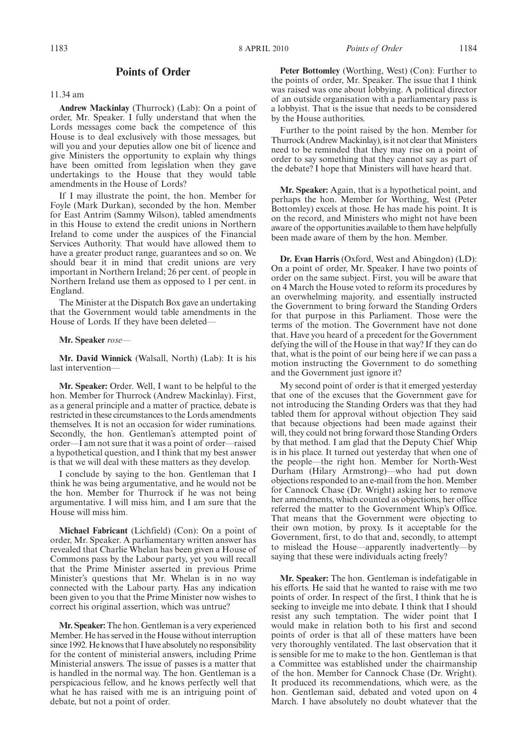#### **Points of Order**

#### 11.34 am

**Andrew Mackinlay** (Thurrock) (Lab): On a point of order, Mr. Speaker. I fully understand that when the Lords messages come back the competence of this House is to deal exclusively with those messages, but will you and your deputies allow one bit of licence and give Ministers the opportunity to explain why things have been omitted from legislation when they gave undertakings to the House that they would table amendments in the House of Lords?

If I may illustrate the point, the hon. Member for Foyle (Mark Durkan), seconded by the hon. Member for East Antrim (Sammy Wilson), tabled amendments in this House to extend the credit unions in Northern Ireland to come under the auspices of the Financial Services Authority. That would have allowed them to have a greater product range, guarantees and so on. We should bear it in mind that credit unions are very important in Northern Ireland; 26 per cent. of people in Northern Ireland use them as opposed to 1 per cent. in England.

The Minister at the Dispatch Box gave an undertaking that the Government would table amendments in the House of Lords. If they have been deleted—

#### **Mr. Speaker** *rose—*

**Mr. David Winnick** (Walsall, North) (Lab): It is his last intervention—

**Mr. Speaker:** Order. Well, I want to be helpful to the hon. Member for Thurrock (Andrew Mackinlay). First, as a general principle and a matter of practice, debate is restricted in these circumstances to the Lords amendments themselves. It is not an occasion for wider ruminations. Secondly, the hon. Gentleman's attempted point of order—I am not sure that it was a point of order—raised a hypothetical question, and I think that my best answer is that we will deal with these matters as they develop.

I conclude by saying to the hon. Gentleman that I think he was being argumentative, and he would not be the hon. Member for Thurrock if he was not being argumentative. I will miss him, and I am sure that the House will miss him.

**Michael Fabricant** (Lichfield) (Con): On a point of order, Mr. Speaker. A parliamentary written answer has revealed that Charlie Whelan has been given a House of Commons pass by the Labour party, yet you will recall that the Prime Minister asserted in previous Prime Minister's questions that Mr. Whelan is in no way connected with the Labour party. Has any indication been given to you that the Prime Minister now wishes to correct his original assertion, which was untrue?

**Mr. Speaker:** The hon. Gentleman is a very experienced Member. He has served in the House without interruption since 1992. He knows that I have absolutely no responsibility for the content of ministerial answers, including Prime Ministerial answers. The issue of passes is a matter that is handled in the normal way. The hon. Gentleman is a perspicacious fellow, and he knows perfectly well that what he has raised with me is an intriguing point of debate, but not a point of order.

**Peter Bottomley** (Worthing, West) (Con): Further to the points of order, Mr. Speaker. The issue that I think was raised was one about lobbying. A political director of an outside organisation with a parliamentary pass is a lobbyist. That is the issue that needs to be considered by the House authorities.

Further to the point raised by the hon. Member for Thurrock (Andrew Mackinlay), is it not clear that Ministers need to be reminded that they may rise on a point of order to say something that they cannot say as part of the debate? I hope that Ministers will have heard that.

**Mr. Speaker:** Again, that is a hypothetical point, and perhaps the hon. Member for Worthing, West (Peter Bottomley) excels at those. He has made his point. It is on the record, and Ministers who might not have been aware of the opportunities available to them have helpfully been made aware of them by the hon. Member.

**Dr. Evan Harris** (Oxford, West and Abingdon) (LD): On a point of order, Mr. Speaker. I have two points of order on the same subject. First, you will be aware that on 4 March the House voted to reform its procedures by an overwhelming majority, and essentially instructed the Government to bring forward the Standing Orders for that purpose in this Parliament. Those were the terms of the motion. The Government have not done that. Have you heard of a precedent for the Government defying the will of the House in that way? If they can do that, what is the point of our being here if we can pass a motion instructing the Government to do something and the Government just ignore it?

My second point of order is that it emerged yesterday that one of the excuses that the Government gave for not introducing the Standing Orders was that they had tabled them for approval without objection They said that because objections had been made against their will, they could not bring forward those Standing Orders by that method. I am glad that the Deputy Chief Whip is in his place. It turned out yesterday that when one of the people—the right hon. Member for North-West Durham (Hilary Armstrong)—who had put down objections responded to an e-mail from the hon. Member for Cannock Chase (Dr. Wright) asking her to remove her amendments, which counted as objections, her office referred the matter to the Government Whip's Office. That means that the Government were objecting to their own motion, by proxy. Is it acceptable for the Government, first, to do that and, secondly, to attempt to mislead the House—apparently inadvertently—by saying that these were individuals acting freely?

**Mr. Speaker:** The hon. Gentleman is indefatigable in his efforts. He said that he wanted to raise with me two points of order. In respect of the first, I think that he is seeking to inveigle me into debate. I think that I should resist any such temptation. The wider point that I would make in relation both to his first and second points of order is that all of these matters have been very thoroughly ventilated. The last observation that it is sensible for me to make to the hon. Gentleman is that a Committee was established under the chairmanship of the hon. Member for Cannock Chase (Dr. Wright). It produced its recommendations, which were, as the hon. Gentleman said, debated and voted upon on 4 March. I have absolutely no doubt whatever that the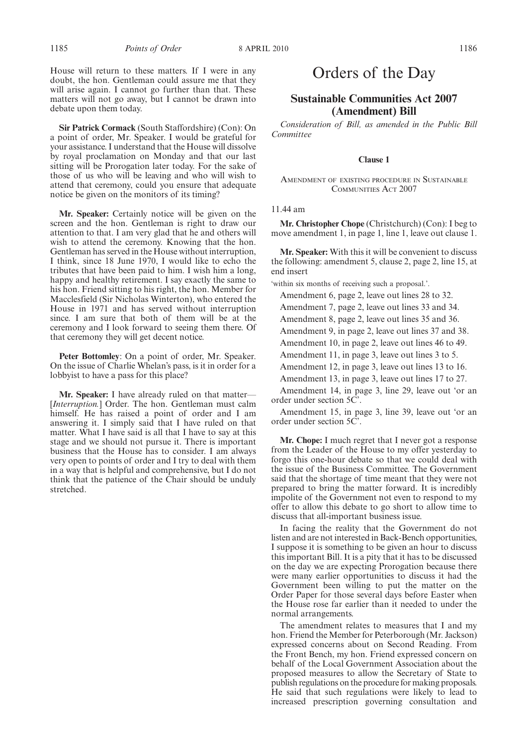House will return to these matters. If I were in any doubt, the hon. Gentleman could assure me that they will arise again. I cannot go further than that. These matters will not go away, but I cannot be drawn into debate upon them today.

**Sir Patrick Cormack** (South Staffordshire) (Con): On a point of order, Mr. Speaker. I would be grateful for your assistance. I understand that the House will dissolve by royal proclamation on Monday and that our last sitting will be Prorogation later today. For the sake of those of us who will be leaving and who will wish to attend that ceremony, could you ensure that adequate notice be given on the monitors of its timing?

**Mr. Speaker:** Certainly notice will be given on the screen and the hon. Gentleman is right to draw our attention to that. I am very glad that he and others will wish to attend the ceremony. Knowing that the hon. Gentleman has served in the House without interruption, I think, since 18 June 1970, I would like to echo the tributes that have been paid to him. I wish him a long, happy and healthy retirement. I say exactly the same to his hon. Friend sitting to his right, the hon. Member for Macclesfield (Sir Nicholas Winterton), who entered the House in 1971 and has served without interruption since. I am sure that both of them will be at the ceremony and I look forward to seeing them there. Of that ceremony they will get decent notice.

**Peter Bottomley**: On a point of order, Mr. Speaker. On the issue of Charlie Whelan's pass, is it in order for a lobbyist to have a pass for this place?

**Mr. Speaker:** I have already ruled on that matter— [*Interruption.*] Order. The hon. Gentleman must calm himself. He has raised a point of order and I am answering it. I simply said that I have ruled on that matter. What I have said is all that I have to say at this stage and we should not pursue it. There is important business that the House has to consider. I am always very open to points of order and I try to deal with them in a way that is helpful and comprehensive, but I do not think that the patience of the Chair should be unduly stretched.

### Orders of the Day

### **Sustainable Communities Act 2007 (Amendment) Bill**

*Consideration of Bill, as amended in the Public Bill Committee*

#### **Clause 1**

AMENDMENT OF EXISTING PROCEDURE IN SUSTAINABLE COMMUNITIES ACT 2007

#### 11.44 am

**Mr. Christopher Chope** (Christchurch) (Con): I beg to move amendment 1, in page 1, line 1, leave out clause 1.

**Mr. Speaker:** With this it will be convenient to discuss the following: amendment 5, clause 2, page 2, line 15, at end insert

'within six months of receiving such a proposal.'.

Amendment 6, page 2, leave out lines 28 to 32.

Amendment 7, page 2, leave out lines 33 and 34.

Amendment 8, page 2, leave out lines 35 and 36.

Amendment 9, in page 2, leave out lines 37 and 38.

Amendment 10, in page 2, leave out lines 46 to 49.

Amendment 11, in page 3, leave out lines 3 to 5.

Amendment 12, in page 3, leave out lines 13 to 16.

Amendment 13, in page 3, leave out lines 17 to 27.

Amendment 14, in page 3, line 29, leave out 'or an order under section 5C'.

Amendment 15, in page 3, line 39, leave out 'or an order under section 5C'.

**Mr. Chope:** I much regret that I never got a response from the Leader of the House to my offer yesterday to forgo this one-hour debate so that we could deal with the issue of the Business Committee. The Government said that the shortage of time meant that they were not prepared to bring the matter forward. It is incredibly impolite of the Government not even to respond to my offer to allow this debate to go short to allow time to discuss that all-important business issue.

In facing the reality that the Government do not listen and are not interested in Back-Bench opportunities, I suppose it is something to be given an hour to discuss this important Bill. It is a pity that it has to be discussed on the day we are expecting Prorogation because there were many earlier opportunities to discuss it had the Government been willing to put the matter on the Order Paper for those several days before Easter when the House rose far earlier than it needed to under the normal arrangements.

The amendment relates to measures that I and my hon. Friend the Member for Peterborough (Mr. Jackson) expressed concerns about on Second Reading. From the Front Bench, my hon. Friend expressed concern on behalf of the Local Government Association about the proposed measures to allow the Secretary of State to publish regulations on the procedure for making proposals. He said that such regulations were likely to lead to increased prescription governing consultation and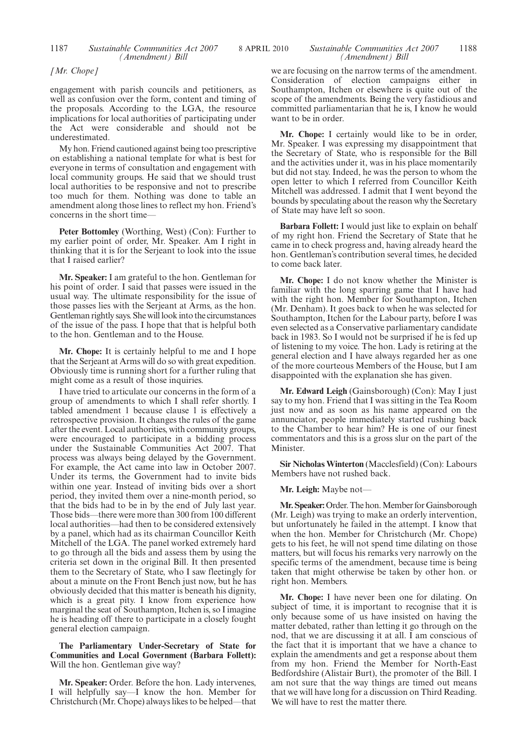#### 1187 *Sustainable Communities Act 2007* 8 APRIL 2010 *Sustainable Communities Act 2007* 1188 *Sustainable Communities Act 2007 (Amendment) Bill*

*[Mr. Chope]*

engagement with parish councils and petitioners, as well as confusion over the form, content and timing of the proposals. According to the LGA, the resource implications for local authorities of participating under the Act were considerable and should not be underestimated.

My hon. Friend cautioned against being too prescriptive on establishing a national template for what is best for everyone in terms of consultation and engagement with local community groups. He said that we should trust local authorities to be responsive and not to prescribe too much for them. Nothing was done to table an amendment along those lines to reflect my hon. Friend's concerns in the short time—

**Peter Bottomley** (Worthing, West) (Con): Further to my earlier point of order, Mr. Speaker. Am I right in thinking that it is for the Serjeant to look into the issue that I raised earlier?

**Mr. Speaker:** I am grateful to the hon. Gentleman for his point of order. I said that passes were issued in the usual way. The ultimate responsibility for the issue of those passes lies with the Serjeant at Arms, as the hon. Gentleman rightly says. She will look into the circumstances of the issue of the pass. I hope that that is helpful both to the hon. Gentleman and to the House.

**Mr. Chope:** It is certainly helpful to me and I hope that the Serjeant at Arms will do so with great expedition. Obviously time is running short for a further ruling that might come as a result of those inquiries.

I have tried to articulate our concerns in the form of a group of amendments to which I shall refer shortly. I tabled amendment 1 because clause 1 is effectively a retrospective provision. It changes the rules of the game after the event. Local authorities, with community groups, were encouraged to participate in a bidding process under the Sustainable Communities Act 2007. That process was always being delayed by the Government. For example, the Act came into law in October 2007. Under its terms, the Government had to invite bids within one year. Instead of inviting bids over a short period, they invited them over a nine-month period, so that the bids had to be in by the end of July last year. Those bids—there were more than 300 from 100 different local authorities—had then to be considered extensively by a panel, which had as its chairman Councillor Keith Mitchell of the LGA. The panel worked extremely hard to go through all the bids and assess them by using the criteria set down in the original Bill. It then presented them to the Secretary of State, who I saw fleetingly for about a minute on the Front Bench just now, but he has obviously decided that this matter is beneath his dignity, which is a great pity. I know from experience how marginal the seat of Southampton, Itchen is, so I imagine he is heading off there to participate in a closely fought general election campaign.

#### **The Parliamentary Under-Secretary of State for Communities and Local Government (Barbara Follett):** Will the hon. Gentleman give way?

**Mr. Speaker:** Order. Before the hon. Lady intervenes, I will helpfully say—I know the hon. Member for Christchurch (Mr. Chope) always likes to be helped—that we are focusing on the narrow terms of the amendment. Consideration of election campaigns either in Southampton, Itchen or elsewhere is quite out of the scope of the amendments. Being the very fastidious and committed parliamentarian that he is, I know he would want to be in order.

**Mr. Chope:** I certainly would like to be in order, Mr. Speaker. I was expressing my disappointment that the Secretary of State, who is responsible for the Bill and the activities under it, was in his place momentarily but did not stay. Indeed, he was the person to whom the open letter to which I referred from Councillor Keith Mitchell was addressed. I admit that I went beyond the bounds by speculating about the reason why the Secretary of State may have left so soon.

**Barbara Follett:** I would just like to explain on behalf of my right hon. Friend the Secretary of State that he came in to check progress and, having already heard the hon. Gentleman's contribution several times, he decided to come back later.

**Mr. Chope:** I do not know whether the Minister is familiar with the long sparring game that I have had with the right hon. Member for Southampton, Itchen (Mr. Denham). It goes back to when he was selected for Southampton, Itchen for the Labour party, before I was even selected as a Conservative parliamentary candidate back in 1983. So I would not be surprised if he is fed up of listening to my voice. The hon. Lady is retiring at the general election and I have always regarded her as one of the more courteous Members of the House, but I am disappointed with the explanation she has given.

**Mr. Edward Leigh** (Gainsborough) (Con): May I just say to my hon. Friend that I was sitting in the Tea Room just now and as soon as his name appeared on the annunciator, people immediately started rushing back to the Chamber to hear him? He is one of our finest commentators and this is a gross slur on the part of the Minister.

**Sir Nicholas Winterton** (Macclesfield) (Con): Labours Members have not rushed back.

**Mr. Leigh:** Maybe not—

Mr. Speaker: Order. The hon. Member for Gainsborough (Mr. Leigh) was trying to make an orderly intervention, but unfortunately he failed in the attempt. I know that when the hon. Member for Christchurch (Mr. Chope) gets to his feet, he will not spend time dilating on those matters, but will focus his remarks very narrowly on the specific terms of the amendment, because time is being taken that might otherwise be taken by other hon. or right hon. Members.

**Mr. Chope:** I have never been one for dilating. On subject of time, it is important to recognise that it is only because some of us have insisted on having the matter debated, rather than letting it go through on the nod, that we are discussing it at all. I am conscious of the fact that it is important that we have a chance to explain the amendments and get a response about them from my hon. Friend the Member for North-East Bedfordshire (Alistair Burt), the promoter of the Bill. I am not sure that the way things are timed out means that we will have long for a discussion on Third Reading. We will have to rest the matter there.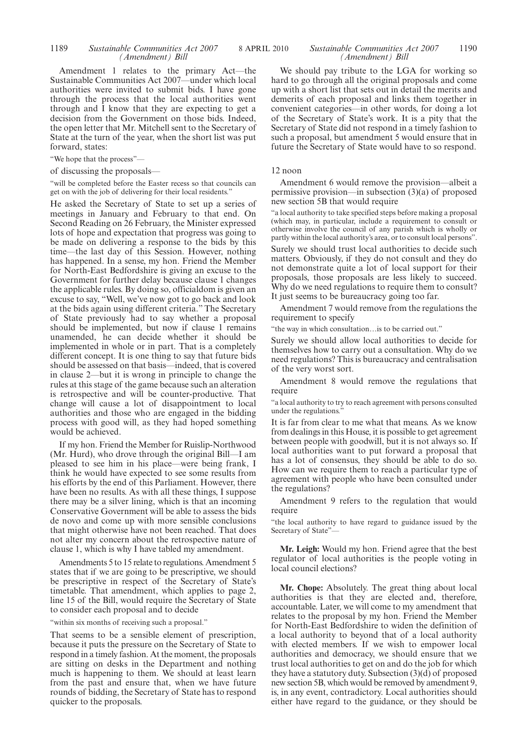Amendment 1 relates to the primary Act—the Sustainable Communities Act 2007—under which local authorities were invited to submit bids. I have gone through the process that the local authorities went through and I know that they are expecting to get a decision from the Government on those bids. Indeed, the open letter that Mr. Mitchell sent to the Secretary of State at the turn of the year, when the short list was put forward, states:

"We hope that the process"—

of discussing the proposals—

"will be completed before the Easter recess so that councils can get on with the job of delivering for their local residents."

He asked the Secretary of State to set up a series of meetings in January and February to that end. On Second Reading on 26 February, the Minister expressed lots of hope and expectation that progress was going to be made on delivering a response to the bids by this time—the last day of this Session. However, nothing has happened. In a sense, my hon. Friend the Member for North-East Bedfordshire is giving an excuse to the Government for further delay because clause 1 changes the applicable rules. By doing so, officialdom is given an excuse to say, "Well, we've now got to go back and look at the bids again using different criteria." The Secretary of State previously had to say whether a proposal should be implemented, but now if clause 1 remains unamended, he can decide whether it should be implemented in whole or in part. That is a completely different concept. It is one thing to say that future bids should be assessed on that basis—indeed, that is covered in clause 2—but it is wrong in principle to change the rules at this stage of the game because such an alteration is retrospective and will be counter-productive. That change will cause a lot of disappointment to local authorities and those who are engaged in the bidding process with good will, as they had hoped something would be achieved.

If my hon. Friend the Member for Ruislip-Northwood (Mr. Hurd), who drove through the original Bill—I am pleased to see him in his place—were being frank, I think he would have expected to see some results from his efforts by the end of this Parliament. However, there have been no results. As with all these things, I suppose there may be a silver lining, which is that an incoming Conservative Government will be able to assess the bids de novo and come up with more sensible conclusions that might otherwise have not been reached. That does not alter my concern about the retrospective nature of clause 1, which is why I have tabled my amendment.

Amendments 5 to 15 relate to regulations. Amendment 5 states that if we are going to be prescriptive, we should be prescriptive in respect of the Secretary of State's timetable. That amendment, which applies to page 2, line 15 of the Bill, would require the Secretary of State to consider each proposal and to decide

"within six months of receiving such a proposal."

That seems to be a sensible element of prescription, because it puts the pressure on the Secretary of State to respond in a timely fashion. At the moment, the proposals are sitting on desks in the Department and nothing much is happening to them. We should at least learn from the past and ensure that, when we have future rounds of bidding, the Secretary of State has to respond quicker to the proposals.

#### *Sustainable Communities Act 2007 (Amendment) Bill*

We should pay tribute to the LGA for working so hard to go through all the original proposals and come up with a short list that sets out in detail the merits and demerits of each proposal and links them together in convenient categories—in other words, for doing a lot of the Secretary of State's work. It is a pity that the Secretary of State did not respond in a timely fashion to such a proposal, but amendment 5 would ensure that in future the Secretary of State would have to so respond.

#### 12 noon

Amendment 6 would remove the provision—albeit a permissive provision—in subsection (3)(a) of proposed new section 5B that would require

"a local authority to take specified steps before making a proposal (which may, in particular, include a requirement to consult or otherwise involve the council of any parish which is wholly or partly within the local authority's area, or to consult local persons".

Surely we should trust local authorities to decide such matters. Obviously, if they do not consult and they do not demonstrate quite a lot of local support for their proposals, those proposals are less likely to succeed. Why do we need regulations to require them to consult? It just seems to be bureaucracy going too far.

Amendment 7 would remove from the regulations the requirement to specify

"the way in which consultation…is to be carried out."

Surely we should allow local authorities to decide for themselves how to carry out a consultation. Why do we need regulations? This is bureaucracy and centralisation of the very worst sort.

Amendment 8 would remove the regulations that require

"a local authority to try to reach agreement with persons consulted under the regulations."

It is far from clear to me what that means. As we know from dealings in this House, it is possible to get agreement between people with goodwill, but it is not always so. If local authorities want to put forward a proposal that has a lot of consensus, they should be able to do so. How can we require them to reach a particular type of agreement with people who have been consulted under the regulations?

Amendment 9 refers to the regulation that would require

"the local authority to have regard to guidance issued by the Secretary of State"-

**Mr. Leigh:** Would my hon. Friend agree that the best regulator of local authorities is the people voting in local council elections?

**Mr. Chope:** Absolutely. The great thing about local authorities is that they are elected and, therefore, accountable. Later, we will come to my amendment that relates to the proposal by my hon. Friend the Member for North-East Bedfordshire to widen the definition of a local authority to beyond that of a local authority with elected members. If we wish to empower local authorities and democracy, we should ensure that we trust local authorities to get on and do the job for which they have a statutory duty. Subsection (3)(d) of proposed new section 5B, which would be removed by amendment 9, is, in any event, contradictory. Local authorities should either have regard to the guidance, or they should be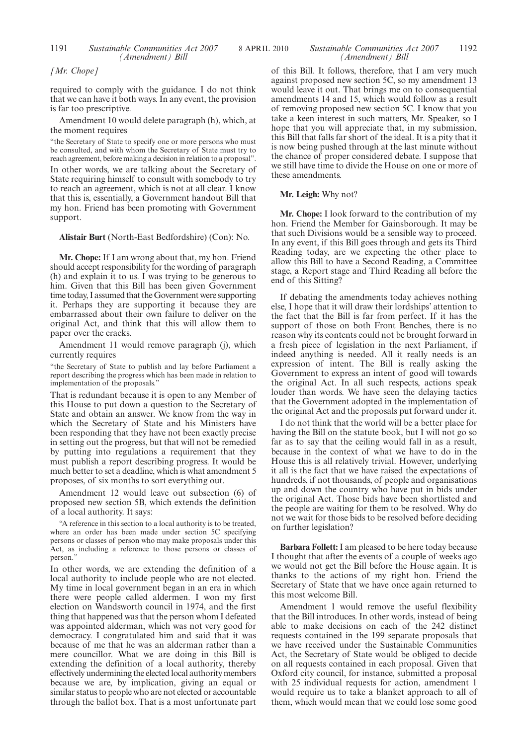#### 1191 *Sustainable Communities Act 2007* 8 APRIL 2010 1192 *Sustainable Communities Act 2007 (Amendment) Bill*

*[Mr. Chope]*

required to comply with the guidance. I do not think that we can have it both ways. In any event, the provision is far too prescriptive.

Amendment 10 would delete paragraph (h), which, at the moment requires

"the Secretary of State to specify one or more persons who must be consulted, and with whom the Secretary of State must try to reach agreement, before making a decision in relation to a proposal". In other words, we are talking about the Secretary of State requiring himself to consult with somebody to try to reach an agreement, which is not at all clear. I know that this is, essentially, a Government handout Bill that my hon. Friend has been promoting with Government support.

**Alistair Burt** (North-East Bedfordshire) (Con): No.

**Mr. Chope:** If I am wrong about that, my hon. Friend should accept responsibility for the wording of paragraph (h) and explain it to us. I was trying to be generous to him. Given that this Bill has been given Government time today, I assumed that the Government were supporting it. Perhaps they are supporting it because they are embarrassed about their own failure to deliver on the original Act, and think that this will allow them to paper over the cracks.

Amendment 11 would remove paragraph (j), which currently requires

"the Secretary of State to publish and lay before Parliament a report describing the progress which has been made in relation to implementation of the proposals."

That is redundant because it is open to any Member of this House to put down a question to the Secretary of State and obtain an answer. We know from the way in which the Secretary of State and his Ministers have been responding that they have not been exactly precise in setting out the progress, but that will not be remedied by putting into regulations a requirement that they must publish a report describing progress. It would be much better to set a deadline, which is what amendment 5 proposes, of six months to sort everything out.

Amendment 12 would leave out subsection (6) of proposed new section 5B, which extends the definition of a local authority. It says:

"A reference in this section to a local authority is to be treated, where an order has been made under section 5C specifying persons or classes of person who may make proposals under this Act, as including a reference to those persons or classes of person."

In other words, we are extending the definition of a local authority to include people who are not elected. My time in local government began in an era in which there were people called aldermen. I won my first election on Wandsworth council in 1974, and the first thing that happened was that the person whom I defeated was appointed alderman, which was not very good for democracy. I congratulated him and said that it was because of me that he was an alderman rather than a mere councillor. What we are doing in this Bill is extending the definition of a local authority, thereby effectively undermining the elected local authority members because we are, by implication, giving an equal or similar status to people who are not elected or accountable through the ballot box. That is a most unfortunate part of this Bill. It follows, therefore, that I am very much against proposed new section 5C, so my amendment 13 would leave it out. That brings me on to consequential amendments 14 and 15, which would follow as a result of removing proposed new section 5C. I know that you take a keen interest in such matters, Mr. Speaker, so I hope that you will appreciate that, in my submission, this Bill that falls far short of the ideal. It is a pity that it is now being pushed through at the last minute without the chance of proper considered debate. I suppose that we still have time to divide the House on one or more of these amendments.

#### **Mr. Leigh:** Why not?

**Mr. Chope:** I look forward to the contribution of my hon. Friend the Member for Gainsborough. It may be that such Divisions would be a sensible way to proceed. In any event, if this Bill goes through and gets its Third Reading today, are we expecting the other place to allow this Bill to have a Second Reading, a Committee stage, a Report stage and Third Reading all before the end of this Sitting?

If debating the amendments today achieves nothing else, I hope that it will draw their lordships' attention to the fact that the Bill is far from perfect. If it has the support of those on both Front Benches, there is no reason why its contents could not be brought forward in a fresh piece of legislation in the next Parliament, if indeed anything is needed. All it really needs is an expression of intent. The Bill is really asking the Government to express an intent of good will towards the original Act. In all such respects, actions speak louder than words. We have seen the delaying tactics that the Government adopted in the implementation of the original Act and the proposals put forward under it.

I do not think that the world will be a better place for having the Bill on the statute book, but I will not go so far as to say that the ceiling would fall in as a result, because in the context of what we have to do in the House this is all relatively trivial. However, underlying it all is the fact that we have raised the expectations of hundreds, if not thousands, of people and organisations up and down the country who have put in bids under the original Act. Those bids have been shortlisted and the people are waiting for them to be resolved. Why do not we wait for those bids to be resolved before deciding on further legislation?

**Barbara Follett:** I am pleased to be here today because I thought that after the events of a couple of weeks ago we would not get the Bill before the House again. It is thanks to the actions of my right hon. Friend the Secretary of State that we have once again returned to this most welcome Bill.

Amendment 1 would remove the useful flexibility that the Bill introduces. In other words, instead of being able to make decisions on each of the 242 distinct requests contained in the 199 separate proposals that we have received under the Sustainable Communities Act, the Secretary of State would be obliged to decide on all requests contained in each proposal. Given that Oxford city council, for instance, submitted a proposal with 25 individual requests for action, amendment 1 would require us to take a blanket approach to all of them, which would mean that we could lose some good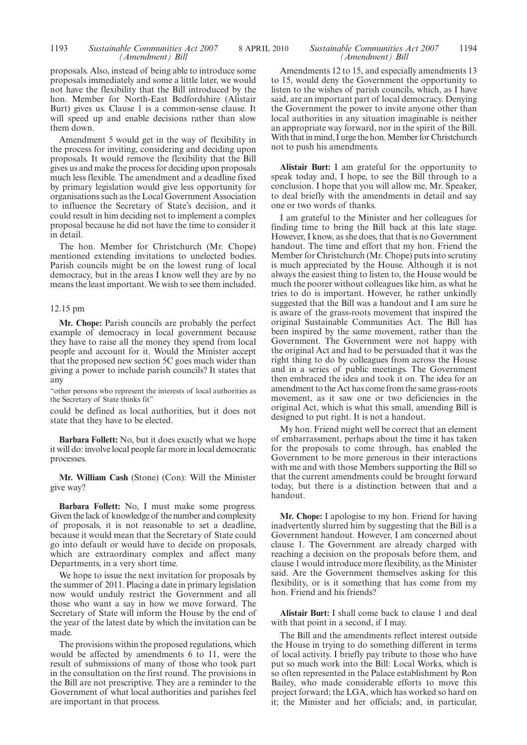#### 1193 *Sustainable Communities Act 2007* 8 APRIL 2010 1194 *Sustainable Communities Act 2007 (Amendment) Bill*

proposals. Also, instead of being able to introduce some proposals immediately and some a little later, we would not have the flexibility that the Bill introduced by the hon. Member for North-East Bedfordshire (Alistair Burt) gives us. Clause 1 is a common-sense clause. It will speed up and enable decisions rather than slow them down.

Amendment 5 would get in the way of flexibility in the process for inviting, considering and deciding upon proposals. It would remove the flexibility that the Bill gives us and make the process for deciding upon proposals much less flexible. The amendment and a deadline fixed by primary legislation would give less opportunity for organisations such as the Local Government Association to influence the Secretary of State's decision, and it could result in him deciding not to implement a complex proposal because he did not have the time to consider it in detail.

The hon. Member for Christchurch (Mr. Chope) mentioned extending invitations to unelected bodies. Parish councils might be on the lowest rung of local democracy, but in the areas I know well they are by no means the least important. We wish to see them included.

#### 12.15 pm

**Mr. Chope:** Parish councils are probably the perfect example of democracy in local government because they have to raise all the money they spend from local people and account for it. Would the Minister accept that the proposed new section 5C goes much wider than giving a power to include parish councils? It states that any

"other persons who represent the interests of local authorities as the Secretary of State thinks fit"

could be defined as local authorities, but it does not state that they have to be elected.

**Barbara Follett:** No, but it does exactly what we hope it will do: involve local people far more in local democratic processes.

**Mr. William Cash** (Stone) (Con): Will the Minister give way?

**Barbara Follett:** No, I must make some progress. Given the lack of knowledge of the number and complexity of proposals, it is not reasonable to set a deadline, because it would mean that the Secretary of State could go into default or would have to decide on proposals, which are extraordinary complex and affect many Departments, in a very short time.

We hope to issue the next invitation for proposals by the summer of 2011. Placing a date in primary legislation now would unduly restrict the Government and all those who want a say in how we move forward. The Secretary of State will inform the House by the end of the year of the latest date by which the invitation can be made.

The provisions within the proposed regulations, which would be affected by amendments 6 to 11, were the result of submissions of many of those who took part in the consultation on the first round. The provisions in the Bill are not prescriptive. They are a reminder to the Government of what local authorities and parishes feel are important in that process.

### *(Amendment) Bill*

Amendments 12 to 15, and especially amendments 13 to 15, would deny the Government the opportunity to listen to the wishes of parish councils, which, as I have said, are an important part of local democracy. Denying the Government the power to invite anyone other than local authorities in any situation imaginable is neither an appropriate way forward, nor in the spirit of the Bill. With that in mind, I urge the hon. Member for Christchurch not to push his amendments.

**Alistair Burt:** I am grateful for the opportunity to speak today and, I hope, to see the Bill through to a conclusion. I hope that you will allow me, Mr. Speaker, to deal briefly with the amendments in detail and say one or two words of thanks.

I am grateful to the Minister and her colleagues for finding time to bring the Bill back at this late stage. However, I know, as she does, that that is no Government handout. The time and effort that my hon. Friend the Member for Christchurch (Mr. Chope) puts into scrutiny is much appreciated by the House. Although it is not always the easiest thing to listen to, the House would be much the poorer without colleagues like him, as what he tries to do is important. However, he rather unkindly suggested that the Bill was a handout and I am sure he is aware of the grass-roots movement that inspired the original Sustainable Communities Act. The Bill has been inspired by the same movement, rather than the Government. The Government were not happy with the original Act and had to be persuaded that it was the right thing to do by colleagues from across the House and in a series of public meetings. The Government then embraced the idea and took it on. The idea for an amendment to the Act has come from the same grass-roots movement, as it saw one or two deficiencies in the original Act, which is what this small, amending Bill is designed to put right. It is not a handout.

My hon. Friend might well be correct that an element of embarrassment, perhaps about the time it has taken for the proposals to come through, has enabled the Government to be more generous in their interactions with me and with those Members supporting the Bill so that the current amendments could be brought forward today, but there is a distinction between that and a handout.

**Mr. Chope:** I apologise to my hon. Friend for having inadvertently slurred him by suggesting that the Bill is a Government handout. However, I am concerned about clause 1. The Government are already charged with reaching a decision on the proposals before them, and clause 1 would introduce more flexibility, as the Minister said. Are the Government themselves asking for this flexibility, or is it something that has come from my hon. Friend and his friends?

**Alistair Burt:** I shall come back to clause 1 and deal with that point in a second, if I may.

The Bill and the amendments reflect interest outside the House in trying to do something different in terms of local activity. I briefly pay tribute to those who have put so much work into the Bill: Local Works, which is so often represented in the Palace establishment by Ron Bailey, who made considerable efforts to move this project forward; the LGA, which has worked so hard on it; the Minister and her officials; and, in particular,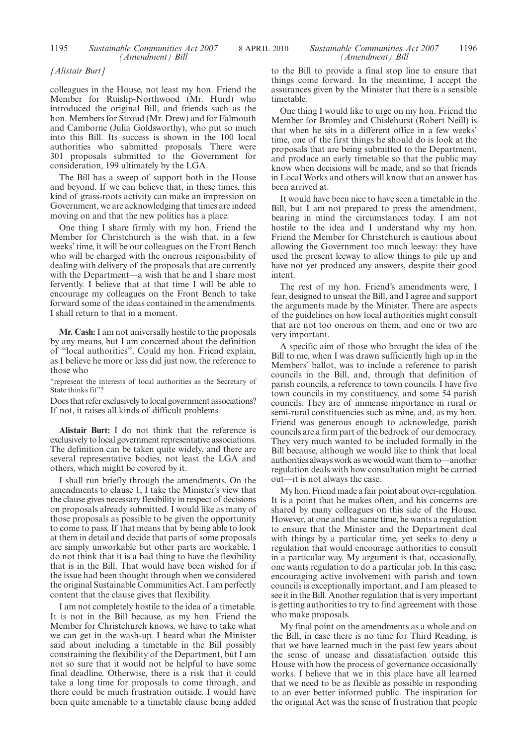#### *[Alistair Burt]*

colleagues in the House, not least my hon. Friend the Member for Ruislip-Northwood (Mr. Hurd) who introduced the original Bill, and friends such as the hon. Members for Stroud (Mr. Drew) and for Falmouth and Camborne (Julia Goldsworthy), who put so much into this Bill. Its success is shown in the 100 local authorities who submitted proposals. There were 301 proposals submitted to the Government for consideration, 199 ultimately by the LGA.

The Bill has a sweep of support both in the House and beyond. If we can believe that, in these times, this kind of grass-roots activity can make an impression on Government, we are acknowledging that times are indeed moving on and that the new politics has a place.

One thing I share firmly with my hon. Friend the Member for Christchurch is the wish that, in a few weeks' time, it will be our colleagues on the Front Bench who will be charged with the onerous responsibility of dealing with delivery of the proposals that are currently with the Department—a wish that he and I share most fervently. I believe that at that time I will be able to encourage my colleagues on the Front Bench to take forward some of the ideas contained in the amendments. I shall return to that in a moment.

**Mr. Cash:**I am not universally hostile to the proposals by any means, but I am concerned about the definition of "local authorities". Could my hon. Friend explain, as I believe he more or less did just now, the reference to those who

"represent the interests of local authorities as the Secretary of State thinks fit"?

Does that refer exclusively to local government associations? If not, it raises all kinds of difficult problems.

**Alistair Burt:** I do not think that the reference is exclusively to local government representative associations. The definition can be taken quite widely, and there are several representative bodies, not least the LGA and others, which might be covered by it.

I shall run briefly through the amendments. On the amendments to clause 1, I take the Minister's view that the clause gives necessary flexibility in respect of decisions on proposals already submitted. I would like as many of those proposals as possible to be given the opportunity to come to pass. If that means that by being able to look at them in detail and decide that parts of some proposals are simply unworkable but other parts are workable, I do not think that it is a bad thing to have the flexibility that is in the Bill. That would have been wished for if the issue had been thought through when we considered the original Sustainable Communities Act. I am perfectly content that the clause gives that flexibility.

I am not completely hostile to the idea of a timetable. It is not in the Bill because, as my hon. Friend the Member for Christchurch knows, we have to take what we can get in the wash-up. I heard what the Minister said about including a timetable in the Bill possibly constraining the flexibility of the Department, but I am not so sure that it would not be helpful to have some final deadline. Otherwise, there is a risk that it could take a long time for proposals to come through, and there could be much frustration outside. I would have been quite amenable to a timetable clause being added to the Bill to provide a final stop line to ensure that things come forward. In the meantime, I accept the assurances given by the Minister that there is a sensible timetable.

One thing I would like to urge on my hon. Friend the Member for Bromley and Chislehurst (Robert Neill) is that when he sits in a different office in a few weeks' time, one of the first things he should do is look at the proposals that are being submitted to the Department, and produce an early timetable so that the public may know when decisions will be made, and so that friends in Local Works and others will know that an answer has been arrived at.

It would have been nice to have seen a timetable in the Bill, but I am not prepared to press the amendment, bearing in mind the circumstances today. I am not hostile to the idea and I understand why my hon. Friend the Member for Christchurch is cautious about allowing the Government too much leeway: they have used the present leeway to allow things to pile up and have not yet produced any answers, despite their good intent.

The rest of my hon. Friend's amendments were, I fear, designed to unseat the Bill, and I agree and support the arguments made by the Minister. There are aspects of the guidelines on how local authorities might consult that are not too onerous on them, and one or two are very important.

A specific aim of those who brought the idea of the Bill to me, when I was drawn sufficiently high up in the Members' ballot, was to include a reference to parish councils in the Bill, and, through that definition of parish councils, a reference to town councils. I have five town councils in my constituency, and some 54 parish councils. They are of immense importance in rural or semi-rural constituencies such as mine, and, as my hon. Friend was generous enough to acknowledge, parish councils are a firm part of the bedrock of our democracy. They very much wanted to be included formally in the Bill because, although we would like to think that local authorities always work as we would want them to—another regulation deals with how consultation might be carried out—it is not always the case.

My hon. Friend made a fair point about over-regulation. It is a point that he makes often, and his concerns are shared by many colleagues on this side of the House. However, at one and the same time, he wants a regulation to ensure that the Minister and the Department deal with things by a particular time, yet seeks to deny a regulation that would encourage authorities to consult in a particular way. My argument is that, occasionally, one wants regulation to do a particular job. In this case, encouraging active involvement with parish and town councils is exceptionally important, and I am pleased to see it in the Bill. Another regulation that is very important is getting authorities to try to find agreement with those who make proposals.

My final point on the amendments as a whole and on the Bill, in case there is no time for Third Reading, is that we have learned much in the past few years about the sense of unease and dissatisfaction outside this House with how the process of governance occasionally works. I believe that we in this place have all learned that we need to be as flexible as possible in responding to an ever better informed public. The inspiration for the original Act was the sense of frustration that people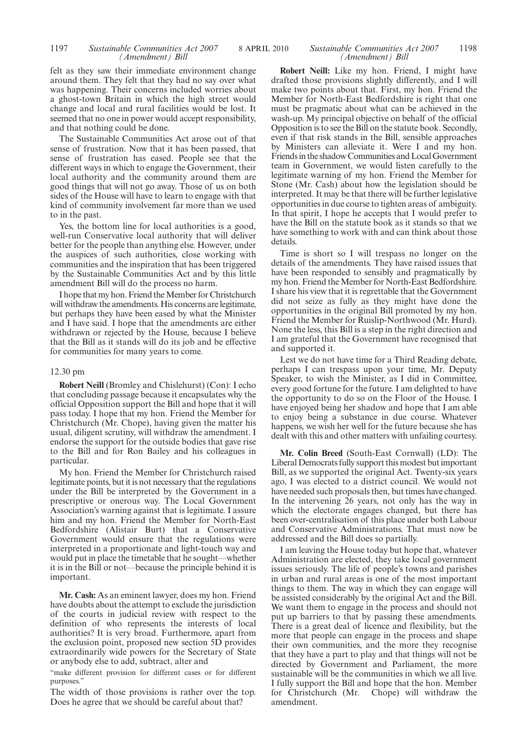#### 1197 *Sustainable Communities Act 2007* 8 APRIL 2010 1198 *Sustainable Communities Act 2007 (Amendment) Bill*

felt as they saw their immediate environment change around them. They felt that they had no say over what was happening. Their concerns included worries about a ghost-town Britain in which the high street would change and local and rural facilities would be lost. It seemed that no one in power would accept responsibility, and that nothing could be done.

The Sustainable Communities Act arose out of that sense of frustration. Now that it has been passed, that sense of frustration has eased. People see that the different ways in which to engage the Government, their local authority and the community around them are good things that will not go away. Those of us on both sides of the House will have to learn to engage with that kind of community involvement far more than we used to in the past.

Yes, the bottom line for local authorities is a good, well-run Conservative local authority that will deliver better for the people than anything else. However, under the auspices of such authorities, close working with communities and the inspiration that has been triggered by the Sustainable Communities Act and by this little amendment Bill will do the process no harm.

I hope that my hon. Friend the Member for Christchurch will withdraw the amendments. His concerns are legitimate, but perhaps they have been eased by what the Minister and I have said. I hope that the amendments are either withdrawn or rejected by the House, because I believe that the Bill as it stands will do its job and be effective for communities for many years to come.

#### 12.30 pm

**Robert Neill** (Bromley and Chislehurst) (Con): I echo that concluding passage because it encapsulates why the official Opposition support the Bill and hope that it will pass today. I hope that my hon. Friend the Member for Christchurch (Mr. Chope), having given the matter his usual, diligent scrutiny, will withdraw the amendment. I endorse the support for the outside bodies that gave rise to the Bill and for Ron Bailey and his colleagues in particular.

My hon. Friend the Member for Christchurch raised legitimate points, but it is not necessary that the regulations under the Bill be interpreted by the Government in a prescriptive or onerous way. The Local Government Association's warning against that is legitimate. I assure him and my hon. Friend the Member for North-East Bedfordshire (Alistair Burt) that a Conservative Government would ensure that the regulations were interpreted in a proportionate and light-touch way and would put in place the timetable that he sought—whether it is in the Bill or not—because the principle behind it is important.

**Mr. Cash:** As an eminent lawyer, does my hon. Friend have doubts about the attempt to exclude the jurisdiction of the courts in judicial review with respect to the definition of who represents the interests of local authorities? It is very broad. Furthermore, apart from the exclusion point, proposed new section 5D provides extraordinarily wide powers for the Secretary of State or anybody else to add, subtract, alter and

"make different provision for different cases or for different purposes."

The width of those provisions is rather over the top. Does he agree that we should be careful about that?

### *(Amendment) Bill*

**Robert Neill:** Like my hon. Friend, I might have drafted those provisions slightly differently, and I will make two points about that. First, my hon. Friend the Member for North-East Bedfordshire is right that one must be pragmatic about what can be achieved in the wash-up. My principal objective on behalf of the official Opposition is to see the Bill on the statute book. Secondly, even if that risk stands in the Bill, sensible approaches by Ministers can alleviate it. Were I and my hon. Friendsin the shadow Communities and LocalGovernment team in Government, we would listen carefully to the legitimate warning of my hon. Friend the Member for Stone (Mr. Cash) about how the legislation should be interpreted. It may be that there will be further legislative opportunities in due course to tighten areas of ambiguity. In that spirit, I hope he accepts that I would prefer to have the Bill on the statute book as it stands so that we have something to work with and can think about those details.

Time is short so I will trespass no longer on the details of the amendments. They have raised issues that have been responded to sensibly and pragmatically by my hon. Friend the Member for North-East Bedfordshire. I share his view that it is regrettable that the Government did not seize as fully as they might have done the opportunities in the original Bill promoted by my hon. Friend the Member for Ruislip-Northwood (Mr. Hurd). None the less, this Bill is a step in the right direction and I am grateful that the Government have recognised that and supported it.

Lest we do not have time for a Third Reading debate, perhaps I can trespass upon your time, Mr. Deputy Speaker, to wish the Minister, as I did in Committee, every good fortune for the future. I am delighted to have the opportunity to do so on the Floor of the House. I have enjoyed being her shadow and hope that I am able to enjoy being a substance in due course. Whatever happens, we wish her well for the future because she has dealt with this and other matters with unfailing courtesy.

**Mr. Colin Breed** (South-East Cornwall) (LD): The Liberal Democrats fully support this modest but important Bill, as we supported the original Act. Twenty-six years ago, I was elected to a district council. We would not have needed such proposals then, but times have changed. In the intervening 26 years, not only has the way in which the electorate engages changed, but there has been over-centralisation of this place under both Labour and Conservative Administrations. That must now be addressed and the Bill does so partially.

I am leaving the House today but hope that, whatever Administration are elected, they take local government issues seriously. The life of people's towns and parishes in urban and rural areas is one of the most important things to them. The way in which they can engage will be assisted considerably by the original Act and the Bill. We want them to engage in the process and should not put up barriers to that by passing these amendments. There is a great deal of licence and flexibility, but the more that people can engage in the process and shape their own communities, and the more they recognise that they have a part to play and that things will not be directed by Government and Parliament, the more sustainable will be the communities in which we all live. I fully support the Bill and hope that the hon. Member for Christchurch (Mr. Chope) will withdraw the amendment.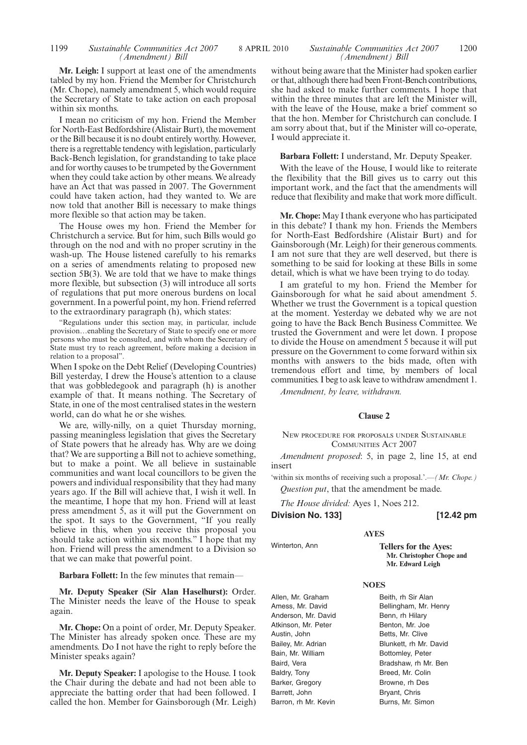**Mr. Leigh:** I support at least one of the amendments tabled by my hon. Friend the Member for Christchurch (Mr. Chope), namely amendment 5, which would require the Secretary of State to take action on each proposal within six months.

I mean no criticism of my hon. Friend the Member for North-East Bedfordshire (Alistair Burt), the movement or the Bill because it is no doubt entirely worthy. However, there is a regrettable tendency with legislation, particularly Back-Bench legislation, for grandstanding to take place and for worthy causes to be trumpeted by the Government when they could take action by other means. We already have an Act that was passed in 2007. The Government could have taken action, had they wanted to. We are now told that another Bill is necessary to make things more flexible so that action may be taken.

The House owes my hon. Friend the Member for Christchurch a service. But for him, such Bills would go through on the nod and with no proper scrutiny in the wash-up. The House listened carefully to his remarks on a series of amendments relating to proposed new section  $5B(3)$ . We are told that we have to make things more flexible, but subsection (3) will introduce all sorts of regulations that put more onerous burdens on local government. In a powerful point, my hon. Friend referred to the extraordinary paragraph (h), which states:

"Regulations under this section may, in particular, include provision…enabling the Secretary of State to specify one or more persons who must be consulted, and with whom the Secretary of State must try to reach agreement, before making a decision in relation to a proposal".

When I spoke on the Debt Relief (Developing Countries) Bill yesterday, I drew the House's attention to a clause that was gobbledegook and paragraph (h) is another example of that. It means nothing. The Secretary of State, in one of the most centralised states in the western world, can do what he or she wishes.

We are, willy-nilly, on a quiet Thursday morning, passing meaningless legislation that gives the Secretary of State powers that he already has. Why are we doing that? We are supporting a Bill not to achieve something, but to make a point. We all believe in sustainable communities and want local councillors to be given the powers and individual responsibility that they had many years ago. If the Bill will achieve that, I wish it well. In the meantime, I hope that my hon. Friend will at least press amendment 5, as it will put the Government on the spot. It says to the Government, "If you really believe in this, when you receive this proposal you should take action within six months." I hope that my hon. Friend will press the amendment to a Division so that we can make that powerful point.

**Barbara Follett:** In the few minutes that remain—

**Mr. Deputy Speaker (Sir Alan Haselhurst):** Order. The Minister needs the leave of the House to speak again.

**Mr. Chope:** On a point of order, Mr. Deputy Speaker. The Minister has already spoken once. These are my amendments. Do I not have the right to reply before the Minister speaks again?

**Mr. Deputy Speaker:** I apologise to the House. I took the Chair during the debate and had not been able to appreciate the batting order that had been followed. I called the hon. Member for Gainsborough (Mr. Leigh) without being aware that the Minister had spoken earlier or that, although there had been Front-Bench contributions, she had asked to make further comments. I hope that within the three minutes that are left the Minister will, with the leave of the House, make a brief comment so that the hon. Member for Christchurch can conclude. I am sorry about that, but if the Minister will co-operate, I would appreciate it.

#### **Barbara Follett:** I understand, Mr. Deputy Speaker.

With the leave of the House, I would like to reiterate the flexibility that the Bill gives us to carry out this important work, and the fact that the amendments will reduce that flexibility and make that work more difficult.

**Mr. Chope:** May I thank everyone who has participated in this debate? I thank my hon. Friends the Members for North-East Bedfordshire (Alistair Burt) and for Gainsborough (Mr. Leigh) for their generous comments. I am not sure that they are well deserved, but there is something to be said for looking at these Bills in some detail, which is what we have been trying to do today.

I am grateful to my hon. Friend the Member for Gainsborough for what he said about amendment 5. Whether we trust the Government is a topical question at the moment. Yesterday we debated why we are not going to have the Back Bench Business Committee. We trusted the Government and were let down. I propose to divide the House on amendment 5 because it will put pressure on the Government to come forward within six months with answers to the bids made, often with tremendous effort and time, by members of local communities. I beg to ask leave to withdraw amendment 1.

*Amendment, by leave, withdrawn.*

#### **Clause 2**

NEW PROCEDURE FOR PROPOSALS UNDER SUSTAINABLE COMMUNITIES ACT 2007

*Amendment proposed*: 5, in page 2, line 15, at end insert

'within six months of receiving such a proposal.'.—*(Mr. Chope.) Question put*, that the amendment be made.

**AYES**

*The House divided:* Ayes 1, Noes 212.

**Division No. 133] [12.42 pm**

Winterton, Ann **Tellers for the Ayes:**

Allen, Mr. Graham Amess, Mr. David Anderson, Mr. David Atkinson, Mr. Peter Austin, John Bailey, Mr. Adrian Bain, Mr. William Baird, Vera Baldry, Tony Barker, Gregory Barrett, John Barron, rh Mr. Kevin

**Mr. Christopher Chope and Mr. Edward Leigh**

#### **NOES**

Beith, rh Sir Alan Bellingham, Mr. Henry Benn, rh Hilary Benton, Mr. Joe Betts, Mr. Clive Blunkett, rh Mr. David Bottomley, Peter Bradshaw, rh Mr. Ben Breed, Mr. Colin Browne, rh Des Bryant, Chris Burns, Mr. Simon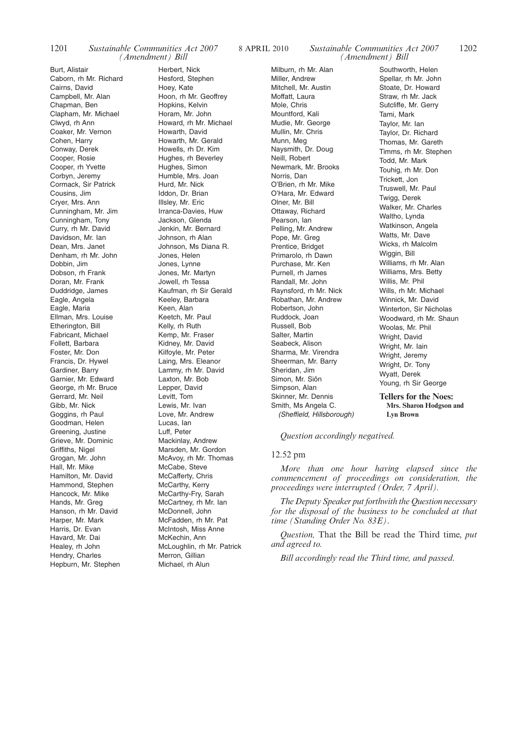Burt, Alistair Caborn, rh Mr. Richard Cairns, David Campbell, Mr. Alan Chapman, Ben Clapham, Mr. Michael Clwyd, rh Ann Coaker, Mr. Vernon Cohen, Harry Conway, Derek Cooper, Rosie Cooper, rh Yvette Corbyn, Jeremy Cormack, Sir Patrick Cousins, Jim Cryer, Mrs. Ann Cunningham, Mr. Jim Cunningham, Tony Curry, rh Mr. David Davidson, Mr. Ian Dean, Mrs. Janet Denham, rh Mr. John Dobbin, Jim Dobson, rh Frank Doran, Mr. Frank Duddridge, James Eagle, Angela Eagle, Maria Ellman, Mrs. Louise Etherington, Bill Fabricant, Michael Follett, Barbara Foster, Mr. Don Francis, Dr. Hywel Gardiner, Barry Garnier, Mr. Edward George, rh Mr. Bruce Gerrard, Mr. Neil Gibb, Mr. Nick Goggins, rh Paul Goodman, Helen Greening, Justine Grieve, Mr. Dominic Griffiths, Nigel Grogan, Mr. John Hall, Mr. Mike Hamilton, Mr. David Hammond, Stephen Hancock, Mr. Mike Hands, Mr. Greg Hanson, rh Mr. David Harper, Mr. Mark Harris, Dr. Evan Havard, Mr. Dai Healey, rh John Hendry, Charles Hepburn, Mr. Stephen

Herbert, Nick Hesford, Stephen Hoey, Kate Hoon, rh Mr. Geoffrey Hopkins, Kelvin Horam, Mr. John Howard, rh Mr. Michael Howarth, David Howarth, Mr. Gerald Howells, rh Dr. Kim Hughes, rh Beverley Hughes, Simon Humble, Mrs. Joan Hurd, Mr. Nick Iddon, Dr. Brian Illsley, Mr. Eric Irranca-Davies, Huw Jackson, Glenda Jenkin, Mr. Bernard Johnson, rh Alan Johnson, Ms Diana R. Jones, Helen Jones, Lynne Jones, Mr. Martyn Jowell, rh Tessa Kaufman, rh Sir Gerald Keeley, Barbara Keen, Alan Keetch, Mr. Paul Kelly, rh Ruth Kemp, Mr. Fraser Kidney, Mr. David Kilfoyle, Mr. Peter Laing, Mrs. Eleanor Lammy, rh Mr. David Laxton, Mr. Bob Lepper, David Levitt, Tom Lewis, Mr. Ivan Love, Mr. Andrew Lucas, Ian Luff, Peter Mackinlay, Andrew Marsden, Mr. Gordon McAvoy, rh Mr. Thomas McCabe, Steve McCafferty, Chris McCarthy, Kerry McCarthy-Fry, Sarah McCartney, rh Mr. Ian McDonnell, John McFadden, rh Mr. Pat McIntosh, Miss Anne McKechin, Ann McLoughlin, rh Mr. Patrick Merron, Gillian Michael, rh Alun

Milburn, rh Mr. Alan Miller, Andrew Mitchell, Mr. Austin Moffatt, Laura Mole, Chris Mountford, Kali Mudie, Mr. George Mullin, Mr. Chris Munn, Meg Naysmith, Dr. Doug Neill, Robert Newmark, Mr. Brooks Norris, Dan O'Brien, rh Mr. Mike O'Hara, Mr. Edward Olner, Mr. Bill Ottaway, Richard Pearson, Ian Pelling, Mr. Andrew Pope, Mr. Greg Prentice, Bridget Primarolo, rh Dawn Purchase, Mr. Ken Purnell, rh James Randall, Mr. John Raynsford, rh Mr. Nick Robathan, Mr. Andrew Robertson, John Ruddock, Joan Russell, Bob Salter, Martin Seabeck, Alison Sharma, Mr. Virendra Sheerman, Mr. Barry Sheridan, Jim Simon, Mr. Siôn Simpson, Alan Skinner, Mr. Dennis Smith, Ms Angela C. *(Sheffield, Hillsborough)*

#### *Sustainable Communities Act 2007 (Amendment) Bill*

Southworth, Helen Spellar, rh Mr. John Stoate, Dr. Howard Straw, rh Mr. Jack Sutcliffe, Mr. Gerry Tami, Mark Taylor, Mr. Ian Taylor, Dr. Richard Thomas, Mr. Gareth Timms, rh Mr. Stephen Todd, Mr. Mark Touhig, rh Mr. Don Trickett, Jon Truswell, Mr. Paul Twigg, Derek Walker, Mr. Charles Waltho, Lynda Watkinson, Angela Watts, Mr. Dave Wicks, rh Malcolm Wiggin, Bill Williams, rh Mr. Alan Williams, Mrs. Betty Willis, Mr. Phil Wills, rh Mr. Michael Winnick, Mr. David Winterton, Sir Nicholas Woodward, rh Mr. Shaun Woolas, Mr. Phil Wright, David Wright, Mr. Iain Wright, Jeremy Wright, Dr. Tony Wyatt, Derek Young, rh Sir George

**Tellers for the Noes: Mrs. Sharon Hodgson and Lyn Brown**

*Question accordingly negatived.*

#### 12.52 pm

*More than one hour having elapsed since the commencement of proceedings on consideration, the proceedings were interrupted (Order, 7 April).*

*The Deputy Speaker put forthwith the Question necessary for the disposal of the business to be concluded at that time (Standing Order No. 83E)*.

*Question,* That the Bill be read the Third time, *put and agreed to.*

*Bill accordingly read the Third time, and passed*.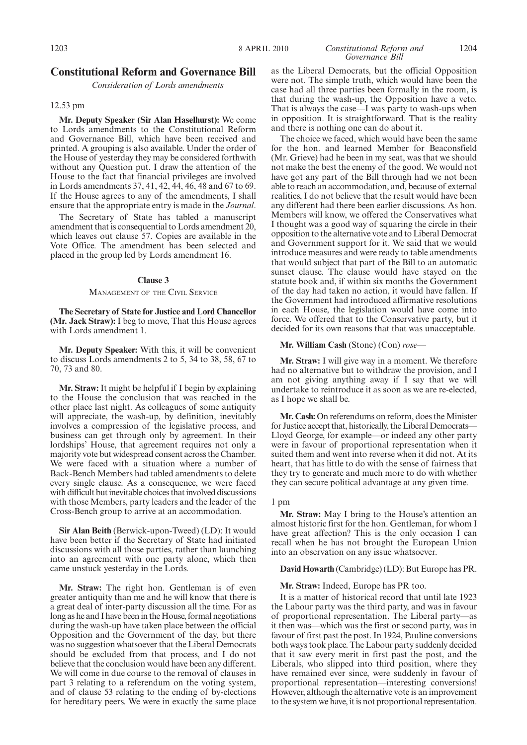#### 1203 8 APRIL 2010 *Constitutional Reform and* 1204 *Governance Bill*

#### **Constitutional Reform and Governance Bill**

*Consideration of Lords amendments*

#### 12.53 pm

**Mr. Deputy Speaker (Sir Alan Haselhurst):** We come to Lords amendments to the Constitutional Reform and Governance Bill, which have been received and printed. A grouping is also available. Under the order of the House of yesterday they may be considered forthwith without any Question put. I draw the attention of the House to the fact that financial privileges are involved in Lords amendments 37, 41, 42, 44, 46, 48 and 67 to 69. If the House agrees to any of the amendments, I shall ensure that the appropriate entry is made in the *Journal*.

The Secretary of State has tabled a manuscript amendment that is consequential to Lords amendment 20, which leaves out clause 57. Copies are available in the Vote Office. The amendment has been selected and placed in the group led by Lords amendment 16.

#### **Clause 3**

#### MANAGEMENT OF THE CIVIL SERVICE

**The Secretary of State for Justice and Lord Chancellor (Mr. Jack Straw):** I beg to move, That this House agrees with Lords amendment 1.

**Mr. Deputy Speaker:** With this, it will be convenient to discuss Lords amendments 2 to 5, 34 to 38, 58, 67 to 70, 73 and 80.

**Mr. Straw:** It might be helpful if I begin by explaining to the House the conclusion that was reached in the other place last night. As colleagues of some antiquity will appreciate, the wash-up, by definition, inevitably involves a compression of the legislative process, and business can get through only by agreement. In their lordships' House, that agreement requires not only a majority vote but widespread consent across the Chamber. We were faced with a situation where a number of Back-Bench Members had tabled amendments to delete every single clause. As a consequence, we were faced with difficult but inevitable choices that involved discussions with those Members, party leaders and the leader of the Cross-Bench group to arrive at an accommodation.

**Sir Alan Beith** (Berwick-upon-Tweed) (LD): It would have been better if the Secretary of State had initiated discussions with all those parties, rather than launching into an agreement with one party alone, which then came unstuck yesterday in the Lords.

**Mr. Straw:** The right hon. Gentleman is of even greater antiquity than me and he will know that there is a great deal of inter-party discussion all the time. For as long as he and I have been in the House, formal negotiations during the wash-up have taken place between the official Opposition and the Government of the day, but there was no suggestion whatsoever that the Liberal Democrats should be excluded from that process, and I do not believe that the conclusion would have been any different. We will come in due course to the removal of clauses in part 3 relating to a referendum on the voting system, and of clause 53 relating to the ending of by-elections for hereditary peers. We were in exactly the same place

as the Liberal Democrats, but the official Opposition were not. The simple truth, which would have been the case had all three parties been formally in the room, is that during the wash-up, the Opposition have a veto. That is always the case—I was party to wash-ups when in opposition. It is straightforward. That is the reality and there is nothing one can do about it.

The choice we faced, which would have been the same for the hon. and learned Member for Beaconsfield (Mr. Grieve) had he been in my seat, was that we should not make the best the enemy of the good. We would not have got any part of the Bill through had we not been able to reach an accommodation, and, because of external realities, I do not believe that the result would have been any different had there been earlier discussions. As hon. Members will know, we offered the Conservatives what I thought was a good way of squaring the circle in their opposition to the alternative vote and to Liberal Democrat and Government support for it. We said that we would introduce measures and were ready to table amendments that would subject that part of the Bill to an automatic sunset clause. The clause would have stayed on the statute book and, if within six months the Government of the day had taken no action, it would have fallen. If the Government had introduced affirmative resolutions in each House, the legislation would have come into force. We offered that to the Conservative party, but it decided for its own reasons that that was unacceptable.

#### **Mr. William Cash** (Stone) (Con) *rose—*

**Mr. Straw:** I will give way in a moment. We therefore had no alternative but to withdraw the provision, and I am not giving anything away if I say that we will undertake to reintroduce it as soon as we are re-elected, as I hope we shall be.

**Mr. Cash:** On referendums on reform, does the Minister for Justice accept that, historically, the Liberal Democrats— Lloyd George, for example—or indeed any other party were in favour of proportional representation when it suited them and went into reverse when it did not. At its heart, that has little to do with the sense of fairness that they try to generate and much more to do with whether they can secure political advantage at any given time.

#### 1 pm

**Mr. Straw:** May I bring to the House's attention an almost historic first for the hon. Gentleman, for whom I have great affection? This is the only occasion I can recall when he has not brought the European Union into an observation on any issue whatsoever.

#### **David Howarth** (Cambridge) (LD): But Europe has PR.

#### **Mr. Straw:** Indeed, Europe has PR too.

It is a matter of historical record that until late 1923 the Labour party was the third party, and was in favour of proportional representation. The Liberal party—as it then was—which was the first or second party, was in favour of first past the post. In 1924, Pauline conversions both ways took place. The Labour party suddenly decided that it saw every merit in first past the post, and the Liberals, who slipped into third position, where they have remained ever since, were suddenly in favour of proportional representation—interesting conversions! However, although the alternative vote is an improvement to the system we have, it is not proportional representation.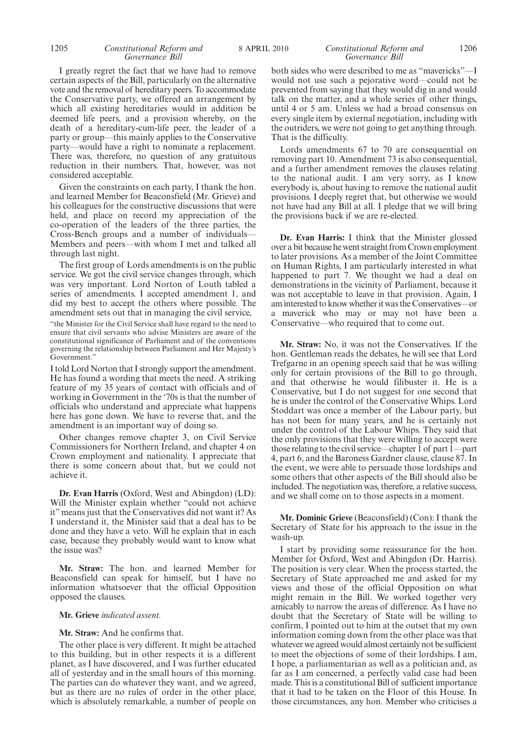#### 1205 **Constitutional Reform and** 8 APRIL 2010 **Constitutional Reform and** 1206 *Governance Bill*

### I greatly regret the fact that we have had to remove certain aspects of the Bill, particularly on the alternative vote and the removal of hereditary peers. To accommodate the Conservative party, we offered an arrangement by which all existing hereditaries would in addition be deemed life peers, and a provision whereby, on the

death of a hereditary-cum-life peer, the leader of a party or group—this mainly applies to the Conservative party—would have a right to nominate a replacement. There was, therefore, no question of any gratuitous reduction in their numbers. That, however, was not considered acceptable.

Given the constraints on each party, I thank the hon. and learned Member for Beaconsfield (Mr. Grieve) and his colleagues for the constructive discussions that were held, and place on record my appreciation of the co-operation of the leaders of the three parties, the Cross-Bench groups and a number of individuals— Members and peers—with whom I met and talked all through last night.

The first group of Lords amendments is on the public service. We got the civil service changes through, which was very important. Lord Norton of Louth tabled a series of amendments. I accepted amendment 1, and did my best to accept the others where possible. The amendment sets out that in managing the civil service,

"the Minister for the Civil Service shall have regard to the need to ensure that civil servants who advise Ministers are aware of the constitutional significance of Parliament and of the conventions governing the relationship between Parliament and Her Majesty's Government.'

I told Lord Norton that I strongly support the amendment. He has found a wording that meets the need. A striking feature of my 35 years of contact with officials and of working in Government in the '70s is that the number of officials who understand and appreciate what happens here has gone down. We have to reverse that, and the amendment is an important way of doing so.

Other changes remove chapter 3, on Civil Service Commissioners for Northern Ireland, and chapter 4 on Crown employment and nationality. I appreciate that there is some concern about that, but we could not achieve it.

**Dr. Evan Harris** (Oxford, West and Abingdon) (LD): Will the Minister explain whether "could not achieve it" means just that the Conservatives did not want it? As I understand it, the Minister said that a deal has to be done and they have a veto. Will he explain that in each case, because they probably would want to know what the issue was?

**Mr. Straw:** The hon. and learned Member for Beaconsfield can speak for himself, but I have no information whatsoever that the official Opposition opposed the clauses.

#### **Mr. Grieve** *indicated assent.*

#### **Mr. Straw:** And he confirms that.

The other place is very different. It might be attached to this building, but in other respects it is a different planet, as I have discovered, and I was further educated all of yesterday and in the small hours of this morning. The parties can do whatever they want, and we agreed, but as there are no rules of order in the other place, which is absolutely remarkable, a number of people on

#### *Constitutional Reform and Governance Bill*

both sides who were described to me as "mavericks"—I would not use such a pejorative word—could not be prevented from saying that they would dig in and would talk on the matter, and a whole series of other things, until 4 or 5 am. Unless we had a broad consensus on every single item by external negotiation, including with the outriders, we were not going to get anything through. That is the difficulty.

Lords amendments 67 to 70 are consequential on removing part 10. Amendment 73 is also consequential, and a further amendment removes the clauses relating to the national audit. I am very sorry, as I know everybody is, about having to remove the national audit provisions. I deeply regret that, but otherwise we would not have had any Bill at all. I pledge that we will bring the provisions back if we are re-elected.

**Dr. Evan Harris:** I think that the Minister glossed over a bit because he went straight from Crown employment to later provisions. As a member of the Joint Committee on Human Rights, I am particularly interested in what happened to part 7. We thought we had a deal on demonstrations in the vicinity of Parliament, because it was not acceptable to leave in that provision. Again, I am interested to know whether it was the Conservatives—or a maverick who may or may not have been a Conservative—who required that to come out.

**Mr. Straw:** No, it was not the Conservatives. If the hon. Gentleman reads the debates, he will see that Lord Trefgarne in an opening speech said that he was willing only for certain provisions of the Bill to go through, and that otherwise he would filibuster it. He is a Conservative, but I do not suggest for one second that he is under the control of the Conservative Whips. Lord Stoddart was once a member of the Labour party, but has not been for many years, and he is certainly not under the control of the Labour Whips. They said that the only provisions that they were willing to accept were those relating to the civil service—chapter 1 of part 1—part 4, part 6, and the Baroness Gardner clause, clause 87. In the event, we were able to persuade those lordships and some others that other aspects of the Bill should also be included. The negotiation was, therefore, a relative success, and we shall come on to those aspects in a moment.

**Mr. Dominic Grieve** (Beaconsfield) (Con): I thank the Secretary of State for his approach to the issue in the wash-up.

I start by providing some reassurance for the hon. Member for Oxford, West and Abingdon (Dr. Harris). The position is very clear. When the process started, the Secretary of State approached me and asked for my views and those of the official Opposition on what might remain in the Bill. We worked together very amicably to narrow the areas of difference. As I have no doubt that the Secretary of State will be willing to confirm, I pointed out to him at the outset that my own information coming down from the other place was that whatever we agreed would almost certainly not be sufficient to meet the objections of some of their lordships. I am, I hope, a parliamentarian as well as a politician and, as far as I am concerned, a perfectly valid case had been made. This is a constitutional Bill of sufficient importance that it had to be taken on the Floor of this House. In those circumstances, any hon. Member who criticises a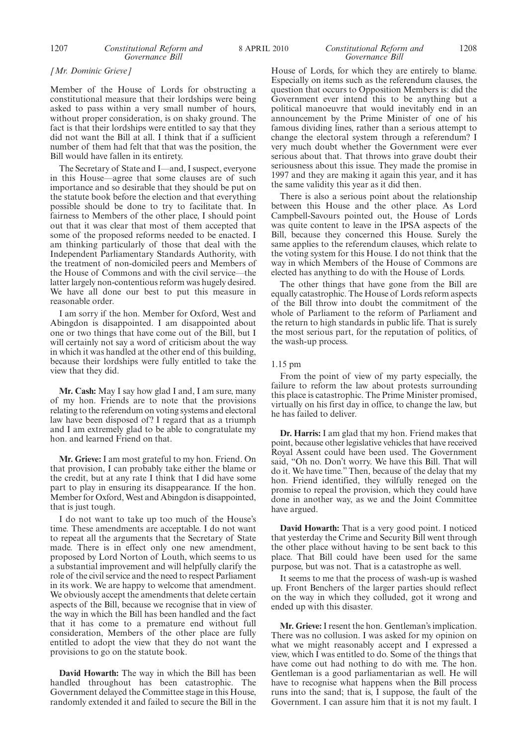#### 1207 *Constitutional Reform and* 8 APRIL 2010 1208 *Constitutional Reform and Governance Bill*

#### *[Mr. Dominic Grieve]*

Member of the House of Lords for obstructing a constitutional measure that their lordships were being asked to pass within a very small number of hours, without proper consideration, is on shaky ground. The fact is that their lordships were entitled to say that they did not want the Bill at all. I think that if a sufficient number of them had felt that that was the position, the Bill would have fallen in its entirety.

The Secretary of State and I—and, I suspect, everyone in this House—agree that some clauses are of such importance and so desirable that they should be put on the statute book before the election and that everything possible should be done to try to facilitate that. In fairness to Members of the other place, I should point out that it was clear that most of them accepted that some of the proposed reforms needed to be enacted. I am thinking particularly of those that deal with the Independent Parliamentary Standards Authority, with the treatment of non-domiciled peers and Members of the House of Commons and with the civil service—the latter largely non-contentious reform was hugely desired. We have all done our best to put this measure in reasonable order.

I am sorry if the hon. Member for Oxford, West and Abingdon is disappointed. I am disappointed about one or two things that have come out of the Bill, but I will certainly not say a word of criticism about the way in which it was handled at the other end of this building, because their lordships were fully entitled to take the view that they did.

**Mr. Cash:** May I say how glad I and, I am sure, many of my hon. Friends are to note that the provisions relating to the referendum on voting systems and electoral law have been disposed of? I regard that as a triumph and I am extremely glad to be able to congratulate my hon. and learned Friend on that.

**Mr. Grieve:** I am most grateful to my hon. Friend. On that provision, I can probably take either the blame or the credit, but at any rate I think that I did have some part to play in ensuring its disappearance. If the hon. Member for Oxford, West and Abingdon is disappointed, that is just tough.

I do not want to take up too much of the House's time. These amendments are acceptable. I do not want to repeat all the arguments that the Secretary of State made. There is in effect only one new amendment, proposed by Lord Norton of Louth, which seems to us a substantial improvement and will helpfully clarify the role of the civil service and the need to respect Parliament in its work. We are happy to welcome that amendment. We obviously accept the amendments that delete certain aspects of the Bill, because we recognise that in view of the way in which the Bill has been handled and the fact that it has come to a premature end without full consideration, Members of the other place are fully entitled to adopt the view that they do not want the provisions to go on the statute book.

**David Howarth:** The way in which the Bill has been handled throughout has been catastrophic. The Government delayed the Committee stage in this House, randomly extended it and failed to secure the Bill in the House of Lords, for which they are entirely to blame. Especially on items such as the referendum clauses, the question that occurs to Opposition Members is: did the Government ever intend this to be anything but a political manoeuvre that would inevitably end in an announcement by the Prime Minister of one of his famous dividing lines, rather than a serious attempt to change the electoral system through a referendum? I very much doubt whether the Government were ever serious about that. That throws into grave doubt their seriousness about this issue. They made the promise in 1997 and they are making it again this year, and it has the same validity this year as it did then.

There is also a serious point about the relationship between this House and the other place. As Lord Campbell-Savours pointed out, the House of Lords was quite content to leave in the IPSA aspects of the Bill, because they concerned this House. Surely the same applies to the referendum clauses, which relate to the voting system for this House. I do not think that the way in which Members of the House of Commons are elected has anything to do with the House of Lords.

The other things that have gone from the Bill are equally catastrophic. The House of Lords reform aspects of the Bill throw into doubt the commitment of the whole of Parliament to the reform of Parliament and the return to high standards in public life. That is surely the most serious part, for the reputation of politics, of the wash-up process.

#### 1.15 pm

From the point of view of my party especially, the failure to reform the law about protests surrounding this place is catastrophic. The Prime Minister promised, virtually on his first day in office, to change the law, but he has failed to deliver.

**Dr. Harris:** I am glad that my hon. Friend makes that point, because other legislative vehicles that have received Royal Assent could have been used. The Government said, "Oh no. Don't worry. We have this Bill. That will do it. We have time." Then, because of the delay that my hon. Friend identified, they wilfully reneged on the promise to repeal the provision, which they could have done in another way, as we and the Joint Committee have argued.

**David Howarth:** That is a very good point. I noticed that yesterday the Crime and Security Bill went through the other place without having to be sent back to this place. That Bill could have been used for the same purpose, but was not. That is a catastrophe as well.

It seems to me that the process of wash-up is washed up. Front Benchers of the larger parties should reflect on the way in which they colluded, got it wrong and ended up with this disaster.

**Mr. Grieve:** I resent the hon. Gentleman's implication. There was no collusion. I was asked for my opinion on what we might reasonably accept and I expressed a view, which I was entitled to do. Some of the things that have come out had nothing to do with me. The hon. Gentleman is a good parliamentarian as well. He will have to recognise what happens when the Bill process runs into the sand; that is, I suppose, the fault of the Government. I can assure him that it is not my fault. I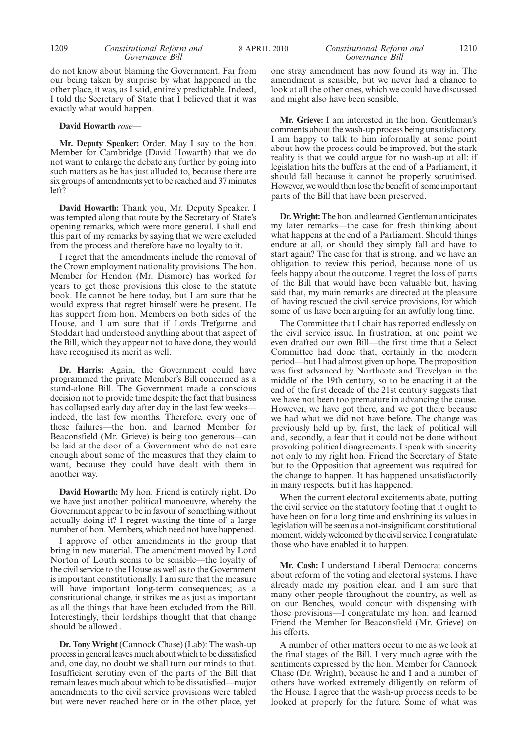do not know about blaming the Government. Far from our being taken by surprise by what happened in the other place, it was, as I said, entirely predictable. Indeed, I told the Secretary of State that I believed that it was exactly what would happen.

#### **David Howarth** *rose—*

**Mr. Deputy Speaker:** Order. May I say to the hon. Member for Cambridge (David Howarth) that we do not want to enlarge the debate any further by going into such matters as he has just alluded to, because there are six groups of amendments yet to be reached and 37 minutes left?

**David Howarth:** Thank you, Mr. Deputy Speaker. I was tempted along that route by the Secretary of State's opening remarks, which were more general. I shall end this part of my remarks by saying that we were excluded from the process and therefore have no loyalty to it.

I regret that the amendments include the removal of the Crown employment nationality provisions. The hon. Member for Hendon (Mr. Dismore) has worked for years to get those provisions this close to the statute book. He cannot be here today, but I am sure that he would express that regret himself were he present. He has support from hon. Members on both sides of the House, and I am sure that if Lords Trefgarne and Stoddart had understood anything about that aspect of the Bill, which they appear not to have done, they would have recognised its merit as well.

**Dr. Harris:** Again, the Government could have programmed the private Member's Bill concerned as a stand-alone Bill. The Government made a conscious decision not to provide time despite the fact that business has collapsed early day after day in the last few weeks indeed, the last few months. Therefore, every one of these failures—the hon. and learned Member for Beaconsfield (Mr. Grieve) is being too generous—can be laid at the door of a Government who do not care enough about some of the measures that they claim to want, because they could have dealt with them in another way.

**David Howarth:** My hon. Friend is entirely right. Do we have just another political manoeuvre, whereby the Government appear to be in favour of something without actually doing it? I regret wasting the time of a large number of hon. Members, which need not have happened.

I approve of other amendments in the group that bring in new material. The amendment moved by Lord Norton of Louth seems to be sensible—the loyalty of the civil service to the House as well as to the Government is important constitutionally. I am sure that the measure will have important long-term consequences; as a constitutional change, it strikes me as just as important as all the things that have been excluded from the Bill. Interestingly, their lordships thought that that change should be allowed .

**Dr. Tony Wright** (Cannock Chase) (Lab): The wash-up process in general leaves much about which to be dissatisfied and, one day, no doubt we shall turn our minds to that. Insufficient scrutiny even of the parts of the Bill that remain leaves much about which to be dissatisfied—major amendments to the civil service provisions were tabled but were never reached here or in the other place, yet

#### 1209 **Constitutional Reform and** 8 APRIL 2010 **Constitutional Reform and** 1210 *Constitutional Reform and Governance Bill*

one stray amendment has now found its way in. The amendment is sensible, but we never had a chance to look at all the other ones, which we could have discussed and might also have been sensible.

**Mr. Grieve:** I am interested in the hon. Gentleman's comments about the wash-up process being unsatisfactory. I am happy to talk to him informally at some point about how the process could be improved, but the stark reality is that we could argue for no wash-up at all: if legislation hits the buffers at the end of a Parliament, it should fall because it cannot be properly scrutinised. However, we would then lose the benefit of some important parts of the Bill that have been preserved.

**Dr.Wright:**The hon. and learned Gentleman anticipates my later remarks—the case for fresh thinking about what happens at the end of a Parliament. Should things endure at all, or should they simply fall and have to start again? The case for that is strong, and we have an obligation to review this period, because none of us feels happy about the outcome. I regret the loss of parts of the Bill that would have been valuable but, having said that, my main remarks are directed at the pleasure of having rescued the civil service provisions, for which some of us have been arguing for an awfully long time.

The Committee that I chair has reported endlessly on the civil service issue. In frustration, at one point we even drafted our own Bill—the first time that a Select Committee had done that, certainly in the modern period—but I had almost given up hope. The proposition was first advanced by Northcote and Trevelyan in the middle of the 19th century, so to be enacting it at the end of the first decade of the 21st century suggests that we have not been too premature in advancing the cause. However, we have got there, and we got there because we had what we did not have before. The change was previously held up by, first, the lack of political will and, secondly, a fear that it could not be done without provoking political disagreements. I speak with sincerity not only to my right hon. Friend the Secretary of State but to the Opposition that agreement was required for the change to happen. It has happened unsatisfactorily in many respects, but it has happened.

When the current electoral excitements abate, putting the civil service on the statutory footing that it ought to have been on for a long time and enshrining its values in legislation will be seen as a not-insignificant constitutional moment, widely welcomed by the civil service. I congratulate those who have enabled it to happen.

**Mr. Cash:** I understand Liberal Democrat concerns about reform of the voting and electoral systems. I have already made my position clear, and I am sure that many other people throughout the country, as well as on our Benches, would concur with dispensing with those provisions—I congratulate my hon. and learned Friend the Member for Beaconsfield (Mr. Grieve) on his efforts.

A number of other matters occur to me as we look at the final stages of the Bill. I very much agree with the sentiments expressed by the hon. Member for Cannock Chase (Dr. Wright), because he and I and a number of others have worked extremely diligently on reform of the House. I agree that the wash-up process needs to be looked at properly for the future. Some of what was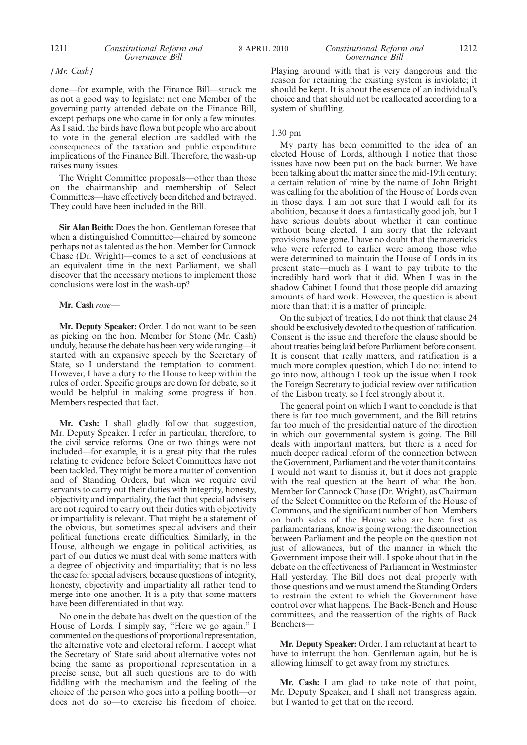#### 1211 *Constitutional Reform and* 8 APRIL 2010 1212 *Constitutional Reform and Governance Bill*

*[Mr. Cash]*

done—for example, with the Finance Bill—struck me as not a good way to legislate: not one Member of the governing party attended debate on the Finance Bill, except perhaps one who came in for only a few minutes. As I said, the birds have flown but people who are about to vote in the general election are saddled with the consequences of the taxation and public expenditure implications of the Finance Bill. Therefore, the wash-up raises many issues.

The Wright Committee proposals—other than those on the chairmanship and membership of Select Committees—have effectively been ditched and betrayed. They could have been included in the Bill.

**Sir Alan Beith:** Does the hon. Gentleman foresee that when a distinguished Committee—chaired by someone perhaps not as talented as the hon. Member for Cannock Chase (Dr. Wright)—comes to a set of conclusions at an equivalent time in the next Parliament, we shall discover that the necessary motions to implement those conclusions were lost in the wash-up?

#### **Mr. Cash** *rose—*

**Mr. Deputy Speaker:** Order. I do not want to be seen as picking on the hon. Member for Stone (Mr. Cash) unduly, because the debate has been very wide ranging—it started with an expansive speech by the Secretary of State, so I understand the temptation to comment. However, I have a duty to the House to keep within the rules of order. Specific groups are down for debate, so it would be helpful in making some progress if hon. Members respected that fact.

**Mr. Cash:** I shall gladly follow that suggestion, Mr. Deputy Speaker. I refer in particular, therefore, to the civil service reforms. One or two things were not included—for example, it is a great pity that the rules relating to evidence before Select Committees have not been tackled. They might be more a matter of convention and of Standing Orders, but when we require civil servants to carry out their duties with integrity, honesty, objectivity and impartiality, the fact that special advisers are not required to carry out their duties with objectivity or impartiality is relevant. That might be a statement of the obvious, but sometimes special advisers and their political functions create difficulties. Similarly, in the House, although we engage in political activities, as part of our duties we must deal with some matters with a degree of objectivity and impartiality; that is no less the case for special advisers, because questions of integrity, honesty, objectivity and impartiality all rather tend to merge into one another. It is a pity that some matters have been differentiated in that way.

No one in the debate has dwelt on the question of the House of Lords. I simply say, "Here we go again." I commented on the questions of proportional representation, the alternative vote and electoral reform. I accept what the Secretary of State said about alternative votes not being the same as proportional representation in a precise sense, but all such questions are to do with fiddling with the mechanism and the feeling of the choice of the person who goes into a polling booth—or does not do so—to exercise his freedom of choice. Playing around with that is very dangerous and the reason for retaining the existing system is inviolate; it should be kept. It is about the essence of an individual's choice and that should not be reallocated according to a system of shuffling.

#### 1.30 pm

My party has been committed to the idea of an elected House of Lords, although I notice that those issues have now been put on the back burner. We have been talking about the matter since the mid-19th century; a certain relation of mine by the name of John Bright was calling for the abolition of the House of Lords even in those days. I am not sure that I would call for its abolition, because it does a fantastically good job, but I have serious doubts about whether it can continue without being elected. I am sorry that the relevant provisions have gone. I have no doubt that the mavericks who were referred to earlier were among those who were determined to maintain the House of Lords in its present state—much as I want to pay tribute to the incredibly hard work that it did. When I was in the shadow Cabinet I found that those people did amazing amounts of hard work. However, the question is about more than that: it is a matter of principle.

On the subject of treaties, I do not think that clause 24 should be exclusively devoted to the question of ratification. Consent is the issue and therefore the clause should be about treaties being laid before Parliament before consent. It is consent that really matters, and ratification is a much more complex question, which I do not intend to go into now, although I took up the issue when I took the Foreign Secretary to judicial review over ratification of the Lisbon treaty, so I feel strongly about it.

The general point on which I want to conclude is that there is far too much government, and the Bill retains far too much of the presidential nature of the direction in which our governmental system is going. The Bill deals with important matters, but there is a need for much deeper radical reform of the connection between the Government, Parliament and the voter than it contains. I would not want to dismiss it, but it does not grapple with the real question at the heart of what the hon. Member for Cannock Chase (Dr. Wright), as Chairman of the Select Committee on the Reform of the House of Commons, and the significant number of hon. Members on both sides of the House who are here first as parliamentarians, know is going wrong: the disconnection between Parliament and the people on the question not just of allowances, but of the manner in which the Government impose their will. I spoke about that in the debate on the effectiveness of Parliament in Westminster Hall yesterday. The Bill does not deal properly with those questions and we must amend the Standing Orders to restrain the extent to which the Government have control over what happens. The Back-Bench and House committees, and the reassertion of the rights of Back Benchers—

**Mr. Deputy Speaker:** Order. I am reluctant at heart to have to interrupt the hon. Gentleman again, but he is allowing himself to get away from my strictures.

**Mr. Cash:** I am glad to take note of that point, Mr. Deputy Speaker, and I shall not transgress again, but I wanted to get that on the record.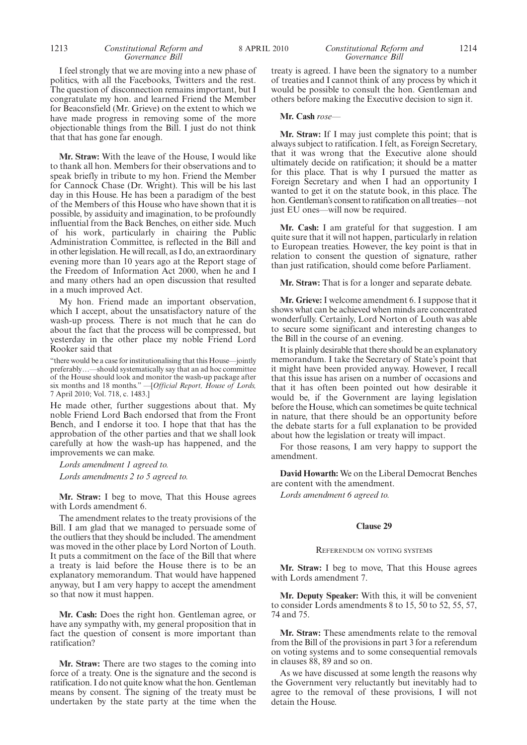#### 1213 *Constitutional Reform and* 8 APRIL 2010 1214 *Constitutional Reform and Governance Bill*

I feel strongly that we are moving into a new phase of politics, with all the Facebooks, Twitters and the rest. The question of disconnection remains important, but I congratulate my hon. and learned Friend the Member for Beaconsfield (Mr. Grieve) on the extent to which we have made progress in removing some of the more objectionable things from the Bill. I just do not think that that has gone far enough.

**Mr. Straw:** With the leave of the House, I would like to thank all hon. Members for their observations and to speak briefly in tribute to my hon. Friend the Member for Cannock Chase (Dr. Wright). This will be his last day in this House. He has been a paradigm of the best of the Members of this House who have shown that it is possible, by assiduity and imagination, to be profoundly influential from the Back Benches, on either side. Much of his work, particularly in chairing the Public Administration Committee, is reflected in the Bill and in other legislation. He will recall, as I do, an extraordinary evening more than 10 years ago at the Report stage of the Freedom of Information Act 2000, when he and I and many others had an open discussion that resulted in a much improved Act.

My hon. Friend made an important observation, which I accept, about the unsatisfactory nature of the wash-up process. There is not much that he can do about the fact that the process will be compressed, but yesterday in the other place my noble Friend Lord Rooker said that

"there would be a case for institutionalising that this House—jointly preferably…—should systematically say that an ad hoc committee of the House should look and monitor the wash-up package after six months and 18 months." —[*Official Report, House of Lords,* 7 April 2010; Vol. 718, c. 1483.]

He made other, further suggestions about that. My noble Friend Lord Bach endorsed that from the Front Bench, and I endorse it too. I hope that that has the approbation of the other parties and that we shall look carefully at how the wash-up has happened, and the improvements we can make.

*Lords amendment 1 agreed to. Lords amendments 2 to 5 agreed to.*

**Mr. Straw:** I beg to move, That this House agrees with Lords amendment 6.

The amendment relates to the treaty provisions of the Bill. I am glad that we managed to persuade some of the outliers that they should be included. The amendment was moved in the other place by Lord Norton of Louth. It puts a commitment on the face of the Bill that where a treaty is laid before the House there is to be an explanatory memorandum. That would have happened anyway, but I am very happy to accept the amendment so that now it must happen.

**Mr. Cash:** Does the right hon. Gentleman agree, or have any sympathy with, my general proposition that in fact the question of consent is more important than ratification?

**Mr. Straw:** There are two stages to the coming into force of a treaty. One is the signature and the second is ratification. I do not quite know what the hon. Gentleman means by consent. The signing of the treaty must be undertaken by the state party at the time when the treaty is agreed. I have been the signatory to a number of treaties and I cannot think of any process by which it would be possible to consult the hon. Gentleman and others before making the Executive decision to sign it.

#### **Mr. Cash** *rose—*

**Mr. Straw:** If I may just complete this point; that is always subject to ratification. I felt, as Foreign Secretary, that it was wrong that the Executive alone should ultimately decide on ratification; it should be a matter for this place. That is why I pursued the matter as Foreign Secretary and when I had an opportunity I wanted to get it on the statute book, in this place. The hon. Gentleman's consent to ratification on all treaties—not just EU ones—will now be required.

**Mr. Cash:** I am grateful for that suggestion. I am quite sure that it will not happen, particularly in relation to European treaties. However, the key point is that in relation to consent the question of signature, rather than just ratification, should come before Parliament.

**Mr. Straw:** That is for a longer and separate debate.

**Mr. Grieve:** I welcome amendment 6. I suppose that it shows what can be achieved when minds are concentrated wonderfully. Certainly, Lord Norton of Louth was able to secure some significant and interesting changes to the Bill in the course of an evening.

It is plainly desirable that there should be an explanatory memorandum. I take the Secretary of State's point that it might have been provided anyway. However, I recall that this issue has arisen on a number of occasions and that it has often been pointed out how desirable it would be, if the Government are laying legislation before the House, which can sometimes be quite technical in nature, that there should be an opportunity before the debate starts for a full explanation to be provided about how the legislation or treaty will impact.

For those reasons, I am very happy to support the amendment.

**David Howarth:** We on the Liberal Democrat Benches are content with the amendment.

*Lords amendment 6 agreed to.*

#### **Clause 29**

#### REFERENDUM ON VOTING SYSTEMS

**Mr. Straw:** I beg to move, That this House agrees with Lords amendment 7.

**Mr. Deputy Speaker:** With this, it will be convenient to consider Lords amendments 8 to 15, 50 to 52, 55, 57, 74 and 75.

**Mr. Straw:** These amendments relate to the removal from the Bill of the provisions in part 3 for a referendum on voting systems and to some consequential removals in clauses 88, 89 and so on.

As we have discussed at some length the reasons why the Government very reluctantly but inevitably had to agree to the removal of these provisions, I will not detain the House.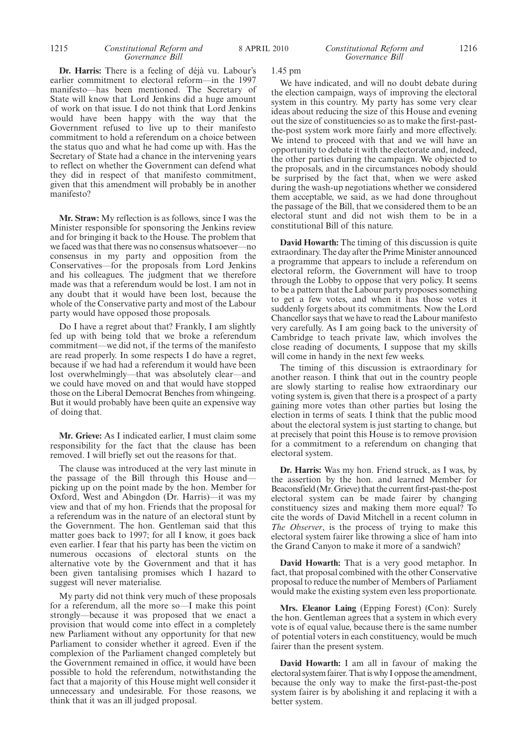#### 1215 **Constitutional Reform and** 8 APRIL 2010 **Constitutional Reform and** 1216 *Governance Bill*

#### *Constitutional Reform and Governance Bill*

**Dr. Harris:** There is a feeling of déjà vu. Labour's earlier commitment to electoral reform—in the 1997 manifesto—has been mentioned. The Secretary of State will know that Lord Jenkins did a huge amount of work on that issue. I do not think that Lord Jenkins would have been happy with the way that the Government refused to live up to their manifesto commitment to hold a referendum on a choice between the status quo and what he had come up with. Has the Secretary of State had a chance in the intervening years to reflect on whether the Government can defend what they did in respect of that manifesto commitment, given that this amendment will probably be in another manifesto?

**Mr. Straw:** My reflection is as follows, since I was the Minister responsible for sponsoring the Jenkins review and for bringing it back to the House. The problem that we faced was that there was no consensus whatsoever—no consensus in my party and opposition from the Conservatives—for the proposals from Lord Jenkins and his colleagues. The judgment that we therefore made was that a referendum would be lost. I am not in any doubt that it would have been lost, because the whole of the Conservative party and most of the Labour party would have opposed those proposals.

Do I have a regret about that? Frankly, I am slightly fed up with being told that we broke a referendum commitment—we did not, if the terms of the manifesto are read properly. In some respects I do have a regret, because if we had had a referendum it would have been lost overwhelmingly—that was absolutely clear—and we could have moved on and that would have stopped those on the Liberal Democrat Benches from whingeing. But it would probably have been quite an expensive way of doing that.

**Mr. Grieve:** As I indicated earlier, I must claim some responsibility for the fact that the clause has been removed. I will briefly set out the reasons for that.

The clause was introduced at the very last minute in the passage of the Bill through this House and picking up on the point made by the hon. Member for Oxford, West and Abingdon (Dr. Harris)—it was my view and that of my hon. Friends that the proposal for a referendum was in the nature of an electoral stunt by the Government. The hon. Gentleman said that this matter goes back to 1997; for all I know, it goes back even earlier. I fear that his party has been the victim on numerous occasions of electoral stunts on the alternative vote by the Government and that it has been given tantalising promises which I hazard to suggest will never materialise.

My party did not think very much of these proposals for a referendum, all the more so—I make this point strongly—because it was proposed that we enact a provision that would come into effect in a completely new Parliament without any opportunity for that new Parliament to consider whether it agreed. Even if the complexion of the Parliament changed completely but the Government remained in office, it would have been possible to hold the referendum, notwithstanding the fact that a majority of this House might well consider it unnecessary and undesirable. For those reasons, we think that it was an ill judged proposal.

1.45 pm

We have indicated, and will no doubt debate during the election campaign, ways of improving the electoral system in this country. My party has some very clear ideas about reducing the size of this House and evening out the size of constituencies so as to make the first-pastthe-post system work more fairly and more effectively. We intend to proceed with that and we will have an opportunity to debate it with the electorate and, indeed, the other parties during the campaign. We objected to the proposals, and in the circumstances nobody should be surprised by the fact that, when we were asked during the wash-up negotiations whether we considered them acceptable, we said, as we had done throughout the passage of the Bill, that we considered them to be an electoral stunt and did not wish them to be in a constitutional Bill of this nature.

**David Howarth:** The timing of this discussion is quite extraordinary. The day after the Prime Minister announced a programme that appears to include a referendum on electoral reform, the Government will have to troop through the Lobby to oppose that very policy. It seems to be a pattern that the Labour party proposes something to get a few votes, and when it has those votes it suddenly forgets about its commitments. Now the Lord Chancellor says that we have to read the Labour manifesto very carefully. As I am going back to the university of Cambridge to teach private law, which involves the close reading of documents, I suppose that my skills will come in handy in the next few weeks.

The timing of this discussion is extraordinary for another reason. I think that out in the country people are slowly starting to realise how extraordinary our voting system is, given that there is a prospect of a party gaining more votes than other parties but losing the election in terms of seats. I think that the public mood about the electoral system is just starting to change, but at precisely that point this House is to remove provision for a commitment to a referendum on changing that electoral system.

**Dr. Harris:** Was my hon. Friend struck, as I was, by the assertion by the hon. and learned Member for Beaconsfield (Mr.Grieve) that the current first-past-the-post electoral system can be made fairer by changing constituency sizes and making them more equal? To cite the words of David Mitchell in a recent column in *The Observer*, is the process of trying to make this electoral system fairer like throwing a slice of ham into the Grand Canyon to make it more of a sandwich?

**David Howarth:** That is a very good metaphor. In fact, that proposal combined with the other Conservative proposal to reduce the number of Members of Parliament would make the existing system even less proportionate.

**Mrs. Eleanor Laing** (Epping Forest) (Con): Surely the hon. Gentleman agrees that a system in which every vote is of equal value, because there is the same number of potential voters in each constituency, would be much fairer than the present system.

**David Howarth:** I am all in favour of making the electoral system fairer. That is why I oppose the amendment, because the only way to make the first-past-the-post system fairer is by abolishing it and replacing it with a better system.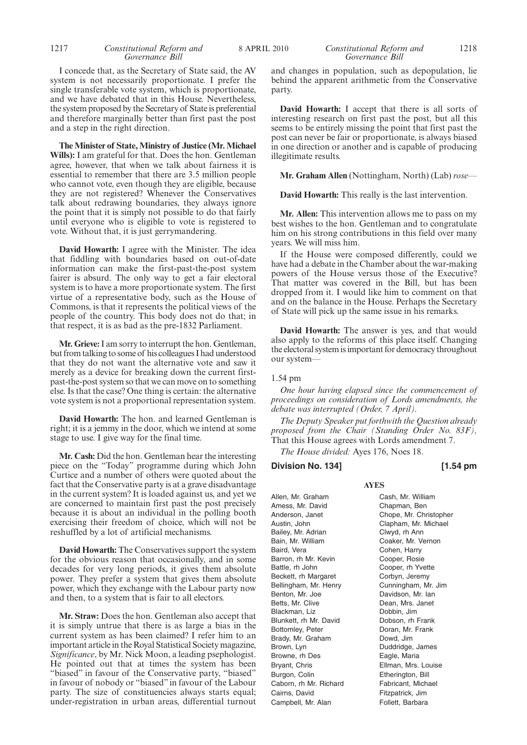#### 1217 *Constitutional Reform and* 8 APRIL 2010 1218 *Constitutional Reform and Governance Bill*

#### I concede that, as the Secretary of State said, the AV system is not necessarily proportionate. I prefer the single transferable vote system, which is proportionate, and we have debated that in this House. Nevertheless, the system proposed by the Secretary of State is preferential and therefore marginally better than first past the post and a step in the right direction.

**The Minister of State, Ministry of Justice (Mr. Michael Wills):** I am grateful for that. Does the hon. Gentleman agree, however, that when we talk about fairness it is essential to remember that there are 3.5 million people who cannot vote, even though they are eligible, because they are not registered? Whenever the Conservatives talk about redrawing boundaries, they always ignore the point that it is simply not possible to do that fairly until everyone who is eligible to vote is registered to vote. Without that, it is just gerrymandering.

**David Howarth:** I agree with the Minister. The idea that fiddling with boundaries based on out-of-date information can make the first-past-the-post system fairer is absurd. The only way to get a fair electoral system is to have a more proportionate system. The first virtue of a representative body, such as the House of Commons, is that it represents the political views of the people of the country. This body does not do that; in that respect, it is as bad as the pre-1832 Parliament.

**Mr. Grieve:**I am sorry to interrupt the hon. Gentleman, but from talking to some of his colleagues I had understood that they do not want the alternative vote and saw it merely as a device for breaking down the current firstpast-the-post system so that we can move on to something else. Is that the case? One thing is certain: the alternative vote system is not a proportional representation system.

**David Howarth:** The hon. and learned Gentleman is right; it is a jemmy in the door, which we intend at some stage to use. I give way for the final time.

**Mr. Cash:** Did the hon. Gentleman hear the interesting piece on the "Today" programme during which John Curtice and a number of others were quoted about the fact that the Conservative party is at a grave disadvantage in the current system? It is loaded against us, and yet we are concerned to maintain first past the post precisely because it is about an individual in the polling booth exercising their freedom of choice, which will not be reshuffled by a lot of artificial mechanisms.

**David Howarth:** The Conservatives support the system for the obvious reason that occasionally, and in some decades for very long periods, it gives them absolute power. They prefer a system that gives them absolute power, which they exchange with the Labour party now and then, to a system that is fair to all electors.

**Mr. Straw:** Does the hon. Gentleman also accept that it is simply untrue that there is as large a bias in the current system as has been claimed? I refer him to an important article in the Royal Statistical Society magazine, *Significance*, by Mr. Nick Moon, a leading psephologist. He pointed out that at times the system has been "biased" in favour of the Conservative party, "biased" in favour of nobody or "biased" in favour of the Labour party. The size of constituencies always starts equal; under-registration in urban areas, differential turnout

### *Governance Bill*

and changes in population, such as depopulation, lie behind the apparent arithmetic from the Conservative party.

**David Howarth:** I accept that there is all sorts of interesting research on first past the post, but all this seems to be entirely missing the point that first past the post can never be fair or proportionate, is always biased in one direction or another and is capable of producing illegitimate results.

**Mr. Graham Allen** (Nottingham, North) (Lab) *rose—*

**David Howarth:** This really is the last intervention.

**Mr. Allen:** This intervention allows me to pass on my best wishes to the hon. Gentleman and to congratulate him on his strong contributions in this field over many years. We will miss him.

If the House were composed differently, could we have had a debate in the Chamber about the war-making powers of the House versus those of the Executive? That matter was covered in the Bill, but has been dropped from it. I would like him to comment on that and on the balance in the House. Perhaps the Secretary of State will pick up the same issue in his remarks.

**David Howarth:** The answer is yes, and that would also apply to the reforms of this place itself. Changing the electoral system is important for democracy throughout our system—

#### 1.54 pm

*One hour having elapsed since the commencement of proceedings on consideration of Lords amendments, the debate was interrupted (Order, 7 April).*

*The Deputy Speaker put forthwith the Question already proposed from the Chair (Standing Order No. 83F),* That this House agrees with Lords amendment 7.

**AYES**

*The House divided:* Ayes 176, Noes 18.

#### **Division No. 134] [1.54 pm**

Allen, Mr. Graham Amess, Mr. David Anderson, Janet Austin, John Bailey, Mr. Adrian Bain, Mr. William Baird, Vera Barron, rh Mr. Kevin Battle, rh John Beckett, rh Margaret Bellingham, Mr. Henry Benton, Mr. Joe Betts, Mr. Clive Blackman, Liz Blunkett, rh Mr. David Bottomley, Peter Brady, Mr. Graham Brown, Lyn Browne, rh Des Bryant, Chris Burgon, Colin Caborn, rh Mr. Richard Cairns, David Campbell, Mr. Alan

Cash, Mr. William Chapman, Ben Chope, Mr. Christopher Clapham, Mr. Michael Clwyd, rh Ann Coaker, Mr. Vernon Cohen, Harry Cooper, Rosie Cooper, rh Yvette Corbyn, Jeremy Cunningham, Mr. Jim Davidson, Mr. Ian Dean, Mrs. Janet Dobbin, Jim Dobson, rh Frank Doran, Mr. Frank Dowd, Jim Duddridge, James Eagle, Maria Ellman, Mrs. Louise Etherington, Bill Fabricant, Michael Fitzpatrick, Jim Follett, Barbara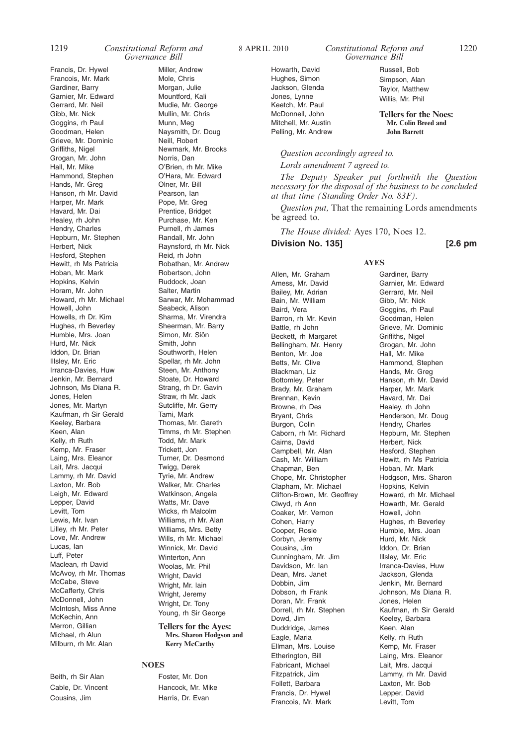#### 1219 *Constitutional Reform and* 8 APRIL 2010 1220 *Constitutional Reform and Governance Bill*

Francis, Dr. Hywel Francois, Mr. Mark Gardiner, Barry Garnier, Mr. Edward Gerrard, Mr. Neil Gibb, Mr. Nick Goggins, rh Paul Goodman, Helen Grieve, Mr. Dominic Griffiths, Nigel Grogan, Mr. John Hall, Mr. Mike Hammond, Stephen Hands, Mr. Greg Hanson, rh Mr. David Harper, Mr. Mark Havard, Mr. Dai Healey, rh John Hendry, Charles Hepburn, Mr. Stephen Herbert, Nick Hesford, Stephen Hewitt, rh Ms Patricia Hoban, Mr. Mark Hopkins, Kelvin Horam, Mr. John Howard, rh Mr. Michael Howell, John Howells, rh Dr. Kim Hughes, rh Beverley Humble, Mrs. Joan Hurd, Mr. Nick Iddon, Dr. Brian Illsley, Mr. Eric Irranca-Davies, Huw Jenkin, Mr. Bernard Johnson, Ms Diana R. Jones, Helen Jones, Mr. Martyn Kaufman, rh Sir Gerald Keeley, Barbara Keen, Alan Kelly, rh Ruth Kemp, Mr. Fraser Laing, Mrs. Eleanor Lait, Mrs. Jacqui Lammy, rh Mr. David Laxton, Mr. Bob Leigh, Mr. Edward Lepper, David Levitt, Tom Lewis, Mr. Ivan Lilley, rh Mr. Peter Love, Mr. Andrew Lucas, Ian Luff, Peter Maclean, rh David McAvoy, rh Mr. Thomas McCabe, Steve McCafferty, Chris McDonnell, John McIntosh, Miss Anne McKechin, Ann Merron, Gillian Michael, rh Alun Milburn, rh Mr. Alan

Beith, rh Sir Alan Cable, Dr. Vincent Cousins, Jim

Miller, Andrew Mole, Chris Morgan, Julie Mountford, Kali Mudie, Mr. George Mullin, Mr. Chris Munn, Meg Naysmith, Dr. Doug Neill, Robert Newmark, Mr. Brooks Norris, Dan O'Brien, rh Mr. Mike O'Hara, Mr. Edward Olner, Mr. Bill Pearson, Ian Pope, Mr. Greg Prentice, Bridget Purchase, Mr. Ken Purnell, rh James Randall, Mr. John Raynsford, rh Mr. Nick Reid, rh John Robathan, Mr. Andrew Robertson, John Ruddock, Joan Salter, Martin Sarwar, Mr. Mohammad Seabeck, Alison Sharma, Mr. Virendra Sheerman, Mr. Barry Simon, Mr. Siôn Smith, John Southworth, Helen Spellar, rh Mr. John Steen, Mr. Anthony Stoate, Dr. Howard Strang, rh Dr. Gavin Straw, rh Mr. Jack Sutcliffe, Mr. Gerry Tami, Mark Thomas, Mr. Gareth Timms, rh Mr. Stephen Todd, Mr. Mark Trickett, Jon Turner, Dr. Desmond Twigg, Derek Tyrie, Mr. Andrew Walker, Mr. Charles Watkinson, Angela Watts, Mr. Dave Wicks, rh Malcolm Williams, rh Mr. Alan Williams, Mrs. Betty Wills, rh Mr. Michael Winnick, Mr. David Winterton, Ann Woolas, Mr. Phil Wright, David Wright, Mr. Iain Wright, Jeremy Wright, Dr. Tony Young, rh Sir George **Tellers for the Ayes: Mrs. Sharon Hodgson and**

**Kerry McCarthy**

#### **NOES**

Foster, Mr. Don Hancock, Mr. Mike Harris, Dr. Evan

*Governance Bill*

Howarth, David Hughes, Simon Jackson, Glenda Jones, Lynne Keetch, Mr. Paul McDonnell, John Mitchell, Mr. Austin Pelling, Mr. Andrew

Simpson, Alan Taylor, Matthew Willis, Mr. Phil

Russell, Bob

**Tellers for the Noes: Mr. Colin Breed and John Barrett**

#### *Question accordingly agreed to.*

*Lords amendment 7 agreed to.*

*The Deputy Speaker put forthwith the Question necessary for the disposal of the business to be concluded at that time (Standing Order No. 83F).*

*Question put,* That the remaining Lords amendments be agreed to.

*The House divided:* Ayes 170, Noes 12.

**Division No. 135] [2.6 pm**

Allen, Mr. Graham Amess, Mr. David Bailey, Mr. Adrian Bain, Mr. William Baird, Vera Barron, rh Mr. Kevin Battle, rh John Beckett, rh Margaret Bellingham, Mr. Henry Benton, Mr. Joe Betts, Mr. Clive Blackman, Liz Bottomley, Peter Brady, Mr. Graham Brennan, Kevin Browne, rh Des Bryant, Chris Burgon, Colin Caborn, rh Mr. Richard Cairns, David Campbell, Mr. Alan Cash, Mr. William Chapman, Ben Chope, Mr. Christopher Clapham, Mr. Michael Clifton-Brown, Mr. Geoffrey Clwyd, rh Ann Coaker, Mr. Vernon Cohen, Harry Cooper, Rosie Corbyn, Jeremy Cousins, Jim Cunningham, Mr. Jim Davidson, Mr. Ian Dean, Mrs. Janet Dobbin, Jim Dobson, rh Frank Doran, Mr. Frank Dorrell, rh Mr. Stephen Dowd, Jim Duddridge, James Eagle, Maria Ellman, Mrs. Louise Etherington, Bill Fabricant, Michael Fitzpatrick, Jim Follett, Barbara Francis, Dr. Hywel Francois, Mr. Mark

**AYES**

Gardiner, Barry Garnier, Mr. Edward Gerrard, Mr. Neil Gibb, Mr. Nick Goggins, rh Paul Goodman, Helen Grieve, Mr. Dominic Griffiths, Nigel Grogan, Mr. John Hall, Mr. Mike Hammond, Stephen Hands, Mr. Greg Hanson, rh Mr. David Harper, Mr. Mark Havard, Mr. Dai Healey, rh John Henderson, Mr. Doug Hendry, Charles Hepburn, Mr. Stephen Herbert, Nick Hesford, Stephen Hewitt, rh Ms Patricia Hoban, Mr. Mark Hodgson, Mrs. Sharon Hopkins, Kelvin Howard, rh Mr. Michael Howarth, Mr. Gerald Howell, John Hughes, rh Beverley Humble, Mrs. Joan Hurd, Mr. Nick Iddon, Dr. Brian Illsley, Mr. Eric Irranca-Davies, Huw Jackson, Glenda Jenkin, Mr. Bernard Johnson, Ms Diana R. Jones, Helen Kaufman, rh Sir Gerald Keeley, Barbara Keen, Alan Kelly, rh Ruth Kemp, Mr. Fraser Laing, Mrs. Eleanor Lait, Mrs. Jacqui Lammy, rh Mr. David Laxton, Mr. Bob Lepper, David Levitt, Tom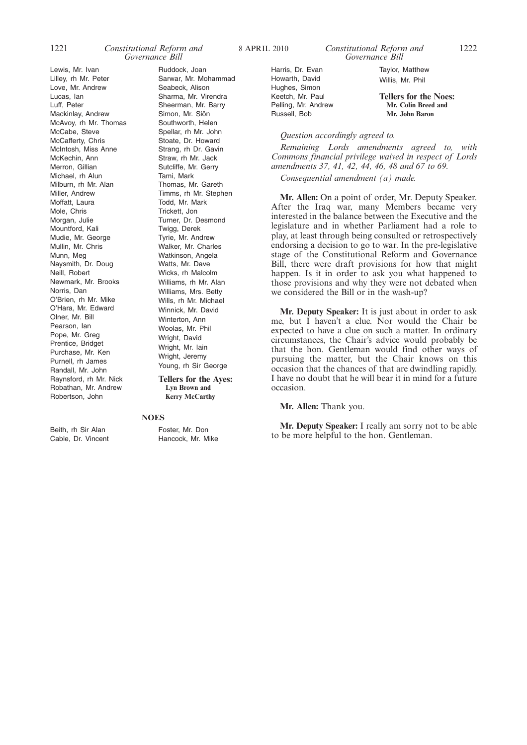Lewis, Mr. Ivan Lilley, rh Mr. Peter Love, Mr. Andrew Lucas, Ian Luff, Peter Mackinlay, Andrew McAvoy, rh Mr. Thomas McCabe, Steve McCafferty, Chris McIntosh, Miss Anne McKechin, Ann Merron, Gillian Michael, rh Alun Milburn, rh Mr. Alan Miller, Andrew Moffatt, Laura Mole, Chris Morgan, Julie Mountford, Kali Mudie, Mr. George Mullin, Mr. Chris Munn, Meg Naysmith, Dr. Doug Neill, Robert Newmark, Mr. Brooks Norris, Dan O'Brien, rh Mr. Mike O'Hara, Mr. Edward Olner, Mr. Bill Pearson, Ian Pope, Mr. Greg Prentice, Bridget Purchase, Mr. Ken Purnell, rh James Randall, Mr. John Raynsford, rh Mr. Nick Robathan, Mr. Andrew Robertson, John

Ruddock, Joan Sarwar, Mr. Mohammad Seabeck, Alison Sharma, Mr. Virendra Sheerman, Mr. Barry Simon, Mr. Siôn Southworth, Helen Spellar, rh Mr. John Stoate, Dr. Howard Strang, rh Dr. Gavin Straw, rh Mr. Jack Sutcliffe, Mr. Gerry Tami, Mark Thomas, Mr. Gareth Timms, rh Mr. Stephen Todd, Mr. Mark Trickett, Jon Turner, Dr. Desmond Twigg, Derek Tyrie, Mr. Andrew Walker, Mr. Charles Watkinson, Angela Watts, Mr. Dave

Williams, Mrs. Betty Wills, rh Mr. Michael Winnick, Mr. David Winterton, Ann Woolas, Mr. Phil Wright, David Wright, Mr. Iain Wright, Jeremy Young, rh Sir George **Tellers for the Ayes: Lyn Brown and**

Wicks, rh Malcolm Williams, rh Mr. Alan

Beith, rh Sir Alan Cable, Dr. Vincent **NOES** Foster, Mr. Don Hancock, Mr. Mike

**Kerry McCarthy**

Harris, Dr. Evan Howarth, David Hughes, Simon Keetch, Mr. Paul Pelling, Mr. Andrew Russell, Bob

Taylor, Matthew Willis, Mr. Phil

**Tellers for the Noes: Mr. Colin Breed and Mr. John Baron**

#### *Question accordingly agreed to.*

*Remaining Lords amendments agreed to, with Commons financial privilege waived in respect of Lords amendments 37, 41, 42, 44, 46, 48 and 67 to 69.*

*Consequential amendment (a) made.*

**Mr. Allen:** On a point of order, Mr. Deputy Speaker. After the Iraq war, many Members became very interested in the balance between the Executive and the legislature and in whether Parliament had a role to play, at least through being consulted or retrospectively endorsing a decision to go to war. In the pre-legislative stage of the Constitutional Reform and Governance Bill, there were draft provisions for how that might happen. Is it in order to ask you what happened to those provisions and why they were not debated when we considered the Bill or in the wash-up?

**Mr. Deputy Speaker:** It is just about in order to ask me, but I haven't a clue. Nor would the Chair be expected to have a clue on such a matter. In ordinary circumstances, the Chair's advice would probably be that the hon. Gentleman would find other ways of pursuing the matter, but the Chair knows on this occasion that the chances of that are dwindling rapidly. I have no doubt that he will bear it in mind for a future occasion.

**Mr. Allen:** Thank you.

**Mr. Deputy Speaker:** I really am sorry not to be able to be more helpful to the hon. Gentleman.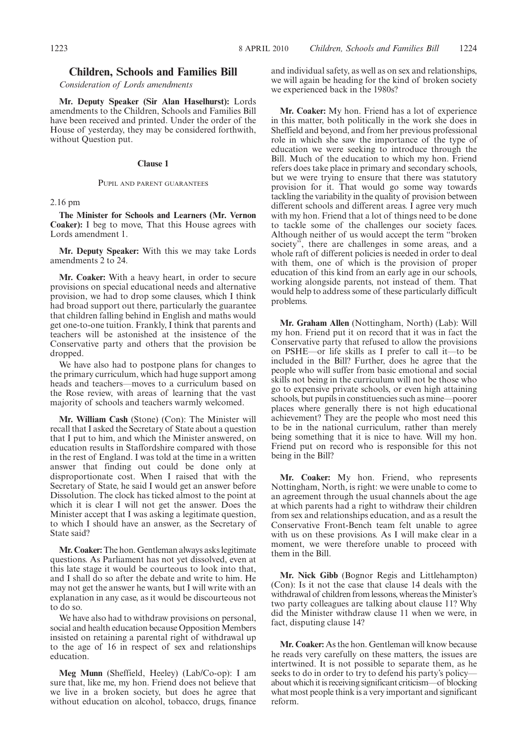#### **Children, Schools and Families Bill**

*Consideration of Lords amendments*

**Mr. Deputy Speaker (Sir Alan Haselhurst):** Lords amendments to the Children, Schools and Families Bill have been received and printed. Under the order of the House of yesterday, they may be considered forthwith, without Question put.

#### **Clause 1**

#### PUPIL AND PARENT GUARANTEES

2.16 pm

**The Minister for Schools and Learners (Mr. Vernon Coaker):** I beg to move, That this House agrees with Lords amendment 1.

**Mr. Deputy Speaker:** With this we may take Lords amendments 2 to 24.

**Mr. Coaker:** With a heavy heart, in order to secure provisions on special educational needs and alternative provision, we had to drop some clauses, which I think had broad support out there, particularly the guarantee that children falling behind in English and maths would get one-to-one tuition. Frankly, I think that parents and teachers will be astonished at the insistence of the Conservative party and others that the provision be dropped.

We have also had to postpone plans for changes to the primary curriculum, which had huge support among heads and teachers—moves to a curriculum based on the Rose review, with areas of learning that the vast majority of schools and teachers warmly welcomed.

**Mr. William Cash** (Stone) (Con): The Minister will recall that I asked the Secretary of State about a question that I put to him, and which the Minister answered, on education results in Staffordshire compared with those in the rest of England. I was told at the time in a written answer that finding out could be done only at disproportionate cost. When I raised that with the Secretary of State, he said I would get an answer before Dissolution. The clock has ticked almost to the point at which it is clear I will not get the answer. Does the Minister accept that I was asking a legitimate question, to which I should have an answer, as the Secretary of State said?

**Mr. Coaker:**The hon. Gentleman always asks legitimate questions. As Parliament has not yet dissolved, even at this late stage it would be courteous to look into that, and I shall do so after the debate and write to him. He may not get the answer he wants, but I will write with an explanation in any case, as it would be discourteous not to do so.

We have also had to withdraw provisions on personal, social and health education because Opposition Members insisted on retaining a parental right of withdrawal up to the age of 16 in respect of sex and relationships education.

**Meg Munn** (Sheffield, Heeley) (Lab/Co-op): I am sure that, like me, my hon. Friend does not believe that we live in a broken society, but does he agree that without education on alcohol, tobacco, drugs, finance and individual safety, as well as on sex and relationships, we will again be heading for the kind of broken society we experienced back in the 1980s?

**Mr. Coaker:** My hon. Friend has a lot of experience in this matter, both politically in the work she does in Sheffield and beyond, and from her previous professional role in which she saw the importance of the type of education we were seeking to introduce through the Bill. Much of the education to which my hon. Friend refers does take place in primary and secondary schools, but we were trying to ensure that there was statutory provision for it. That would go some way towards tackling the variability in the quality of provision between different schools and different areas. I agree very much with my hon. Friend that a lot of things need to be done to tackle some of the challenges our society faces. Although neither of us would accept the term "broken society", there are challenges in some areas, and a whole raft of different policies is needed in order to deal with them, one of which is the provision of proper education of this kind from an early age in our schools, working alongside parents, not instead of them. That would help to address some of these particularly difficult problems.

**Mr. Graham Allen** (Nottingham, North) (Lab): Will my hon. Friend put it on record that it was in fact the Conservative party that refused to allow the provisions on PSHE—or life skills as I prefer to call it—to be included in the Bill? Further, does he agree that the people who will suffer from basic emotional and social skills not being in the curriculum will not be those who go to expensive private schools, or even high attaining schools, but pupils in constituencies such as mine—poorer places where generally there is not high educational achievement? They are the people who most need this to be in the national curriculum, rather than merely being something that it is nice to have. Will my hon. Friend put on record who is responsible for this not being in the Bill?

**Mr. Coaker:** My hon. Friend, who represents Nottingham, North, is right: we were unable to come to an agreement through the usual channels about the age at which parents had a right to withdraw their children from sex and relationships education, and as a result the Conservative Front-Bench team felt unable to agree with us on these provisions. As I will make clear in a moment, we were therefore unable to proceed with them in the Bill.

**Mr. Nick Gibb** (Bognor Regis and Littlehampton) (Con): Is it not the case that clause 14 deals with the withdrawal of children from lessons, whereas the Minister's two party colleagues are talking about clause 11? Why did the Minister withdraw clause 11 when we were, in fact, disputing clause 14?

**Mr. Coaker:** As the hon. Gentleman will know because he reads very carefully on these matters, the issues are intertwined. It is not possible to separate them, as he seeks to do in order to try to defend his party's policyabout which it is receiving significant criticism—of blocking what most people think is a very important and significant reform.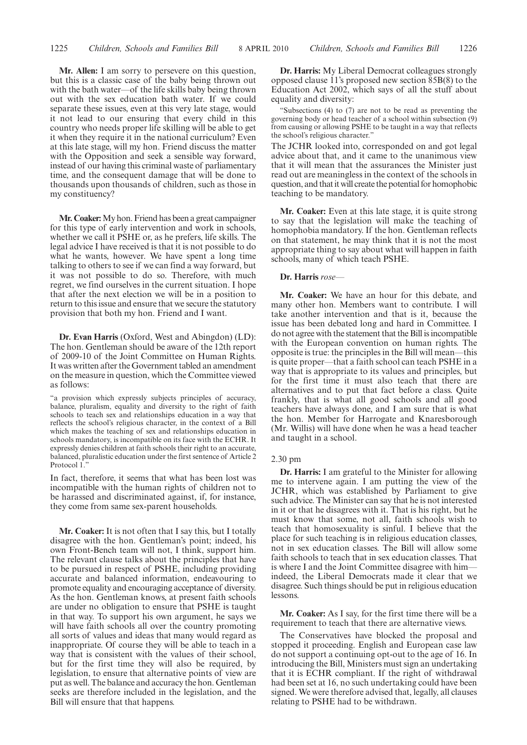**Mr. Allen:** I am sorry to persevere on this question, but this is a classic case of the baby being thrown out with the bath water—of the life skills baby being thrown out with the sex education bath water. If we could separate these issues, even at this very late stage, would it not lead to our ensuring that every child in this country who needs proper life skilling will be able to get it when they require it in the national curriculum? Even at this late stage, will my hon. Friend discuss the matter with the Opposition and seek a sensible way forward, instead of our having this criminal waste of parliamentary time, and the consequent damage that will be done to thousands upon thousands of children, such as those in my constituency?

**Mr. Coaker:**My hon. Friend has been a great campaigner for this type of early intervention and work in schools, whether we call it PSHE or, as he prefers, life skills. The legal advice I have received is that it is not possible to do what he wants, however. We have spent a long time talking to others to see if we can find a way forward, but it was not possible to do so. Therefore, with much regret, we find ourselves in the current situation. I hope that after the next election we will be in a position to return to this issue and ensure that we secure the statutory provision that both my hon. Friend and I want.

**Dr. Evan Harris** (Oxford, West and Abingdon) (LD): The hon. Gentleman should be aware of the 12th report of 2009-10 of the Joint Committee on Human Rights. It was written after the Government tabled an amendment on the measure in question, which the Committee viewed as follows:

"a provision which expressly subjects principles of accuracy, balance, pluralism, equality and diversity to the right of faith schools to teach sex and relationships education in a way that reflects the school's religious character, in the context of a Bill which makes the teaching of sex and relationships education in schools mandatory, is incompatible on its face with the ECHR. It expressly denies children at faith schools their right to an accurate, balanced, pluralistic education under the first sentence of Article 2 Protocol 1."

In fact, therefore, it seems that what has been lost was incompatible with the human rights of children not to be harassed and discriminated against, if, for instance, they come from same sex-parent households.

**Mr. Coaker:** It is not often that I say this, but I totally disagree with the hon. Gentleman's point; indeed, his own Front-Bench team will not, I think, support him. The relevant clause talks about the principles that have to be pursued in respect of PSHE, including providing accurate and balanced information, endeavouring to promote equality and encouraging acceptance of diversity. As the hon. Gentleman knows, at present faith schools are under no obligation to ensure that PSHE is taught in that way. To support his own argument, he says we will have faith schools all over the country promoting all sorts of values and ideas that many would regard as inappropriate. Of course they will be able to teach in a way that is consistent with the values of their school, but for the first time they will also be required, by legislation, to ensure that alternative points of view are put as well. The balance and accuracy the hon. Gentleman seeks are therefore included in the legislation, and the Bill will ensure that that happens.

**Dr. Harris:** My Liberal Democrat colleagues strongly opposed clause 11's proposed new section 85B(8) to the Education Act 2002, which says of all the stuff about equality and diversity:

"Subsections (4) to (7) are not to be read as preventing the governing body or head teacher of a school within subsection (9) from causing or allowing PSHE to be taught in a way that reflects the school's religious character."

The JCHR looked into, corresponded on and got legal advice about that, and it came to the unanimous view that it will mean that the assurances the Minister just read out are meaningless in the context of the schools in question, and that it will create the potential for homophobic teaching to be mandatory.

**Mr. Coaker:** Even at this late stage, it is quite strong to say that the legislation will make the teaching of homophobia mandatory. If the hon. Gentleman reflects on that statement, he may think that it is not the most appropriate thing to say about what will happen in faith schools, many of which teach PSHE.

#### **Dr. Harris** *rose—*

**Mr. Coaker:** We have an hour for this debate, and many other hon. Members want to contribute. I will take another intervention and that is it, because the issue has been debated long and hard in Committee. I do not agree with the statement that the Bill is incompatible with the European convention on human rights. The opposite is true: the principles in the Bill will mean—this is quite proper—that a faith school can teach PSHE in a way that is appropriate to its values and principles, but for the first time it must also teach that there are alternatives and to put that fact before a class. Quite frankly, that is what all good schools and all good teachers have always done, and I am sure that is what the hon. Member for Harrogate and Knaresborough (Mr. Willis) will have done when he was a head teacher and taught in a school.

#### 2.30 pm

**Dr. Harris:** I am grateful to the Minister for allowing me to intervene again. I am putting the view of the JCHR, which was established by Parliament to give such advice. The Minister can say that he is not interested in it or that he disagrees with it. That is his right, but he must know that some, not all, faith schools wish to teach that homosexuality is sinful. I believe that the place for such teaching is in religious education classes, not in sex education classes. The Bill will allow some faith schools to teach that in sex education classes. That is where I and the Joint Committee disagree with him indeed, the Liberal Democrats made it clear that we disagree. Such things should be put in religious education lessons.

**Mr. Coaker:** As I say, for the first time there will be a requirement to teach that there are alternative views.

The Conservatives have blocked the proposal and stopped it proceeding. English and European case law do not support a continuing opt-out to the age of 16. In introducing the Bill, Ministers must sign an undertaking that it is ECHR compliant. If the right of withdrawal had been set at 16, no such undertaking could have been signed. We were therefore advised that, legally, all clauses relating to PSHE had to be withdrawn.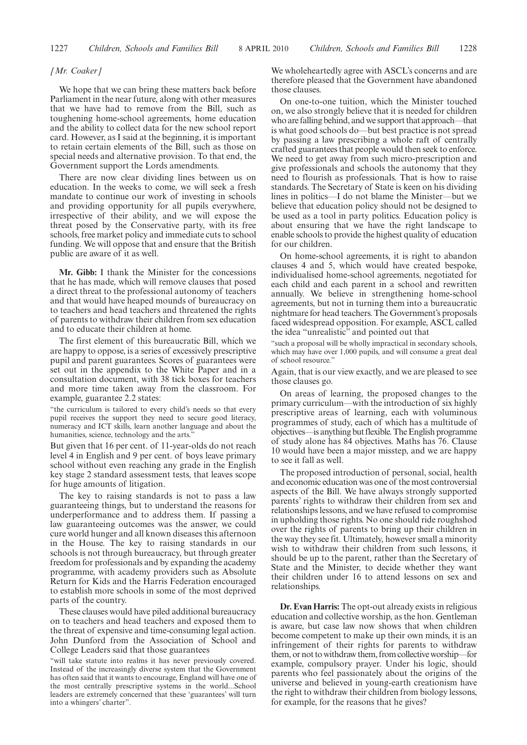#### *[Mr. Coaker]*

We hope that we can bring these matters back before Parliament in the near future, along with other measures that we have had to remove from the Bill, such as toughening home-school agreements, home education and the ability to collect data for the new school report card. However, as I said at the beginning, it is important to retain certain elements of the Bill, such as those on special needs and alternative provision. To that end, the Government support the Lords amendments.

There are now clear dividing lines between us on education. In the weeks to come, we will seek a fresh mandate to continue our work of investing in schools and providing opportunity for all pupils everywhere, irrespective of their ability, and we will expose the threat posed by the Conservative party, with its free schools, free market policy and immediate cuts to school funding. We will oppose that and ensure that the British public are aware of it as well.

**Mr. Gibb:** I thank the Minister for the concessions that he has made, which will remove clauses that posed a direct threat to the professional autonomy of teachers and that would have heaped mounds of bureaucracy on to teachers and head teachers and threatened the rights of parents to withdraw their children from sex education and to educate their children at home.

The first element of this bureaucratic Bill, which we are happy to oppose, is a series of excessively prescriptive pupil and parent guarantees. Scores of guarantees were set out in the appendix to the White Paper and in a consultation document, with 38 tick boxes for teachers and more time taken away from the classroom. For example, guarantee 2.2 states:

"the curriculum is tailored to every child's needs so that every pupil receives the support they need to secure good literacy, numeracy and ICT skills, learn another language and about the humanities, science, technology and the arts."

But given that 16 per cent. of 11-year-olds do not reach level 4 in English and 9 per cent. of boys leave primary school without even reaching any grade in the English key stage 2 standard assessment tests, that leaves scope for huge amounts of litigation.

The key to raising standards is not to pass a law guaranteeing things, but to understand the reasons for underperformance and to address them. If passing a law guaranteeing outcomes was the answer, we could cure world hunger and all known diseases this afternoon in the House. The key to raising standards in our schools is not through bureaucracy, but through greater freedom for professionals and by expanding the academy programme, with academy providers such as Absolute Return for Kids and the Harris Federation encouraged to establish more schools in some of the most deprived parts of the country.

These clauses would have piled additional bureaucracy on to teachers and head teachers and exposed them to the threat of expensive and time-consuming legal action. John Dunford from the Association of School and College Leaders said that those guarantees

"will take statute into realms it has never previously covered. Instead of the increasingly diverse system that the Government has often said that it wants to encourage, England will have one of the most centrally prescriptive systems in the world...School leaders are extremely concerned that these 'guarantees' will turn into a whingers' charter".

We wholeheartedly agree with ASCL's concerns and are therefore pleased that the Government have abandoned those clauses.

On one-to-one tuition, which the Minister touched on, we also strongly believe that it is needed for children who are falling behind, and we support that approach—that is what good schools do—but best practice is not spread by passing a law prescribing a whole raft of centrally crafted guarantees that people would then seek to enforce. We need to get away from such micro-prescription and give professionals and schools the autonomy that they need to flourish as professionals. That is how to raise standards. The Secretary of State is keen on his dividing lines in politics—I do not blame the Minister—but we believe that education policy should not be designed to be used as a tool in party politics. Education policy is about ensuring that we have the right landscape to enable schools to provide the highest quality of education for our children.

On home-school agreements, it is right to abandon clauses 4 and 5, which would have created bespoke, individualised home-school agreements, negotiated for each child and each parent in a school and rewritten annually. We believe in strengthening home-school agreements, but not in turning them into a bureaucratic nightmare for head teachers. The Government's proposals faced widespread opposition. For example, ASCL called the idea "unrealistic" and pointed out that

"such a proposal will be wholly impractical in secondary schools, which may have over 1,000 pupils, and will consume a great deal of school resource."

Again, that is our view exactly, and we are pleased to see those clauses go.

On areas of learning, the proposed changes to the primary curriculum—with the introduction of six highly prescriptive areas of learning, each with voluminous programmes of study, each of which has a multitude of objectives—is anything but flexible. The English programme of study alone has 84 objectives. Maths has 76. Clause 10 would have been a major misstep, and we are happy to see it fall as well.

The proposed introduction of personal, social, health and economic education was one of the most controversial aspects of the Bill. We have always strongly supported parents' rights to withdraw their children from sex and relationships lessons, and we have refused to compromise in upholding those rights. No one should ride roughshod over the rights of parents to bring up their children in the way they see fit. Ultimately, however small a minority wish to withdraw their children from such lessons, it should be up to the parent, rather than the Secretary of State and the Minister, to decide whether they want their children under 16 to attend lessons on sex and relationships.

**Dr. Evan Harris:** The opt-out already exists in religious education and collective worship, as the hon. Gentleman is aware, but case law now shows that when children become competent to make up their own minds, it is an infringement of their rights for parents to withdraw them, or not to withdraw them, from collective worship—for example, compulsory prayer. Under his logic, should parents who feel passionately about the origins of the universe and believed in young-earth creationism have the right to withdraw their children from biology lessons, for example, for the reasons that he gives?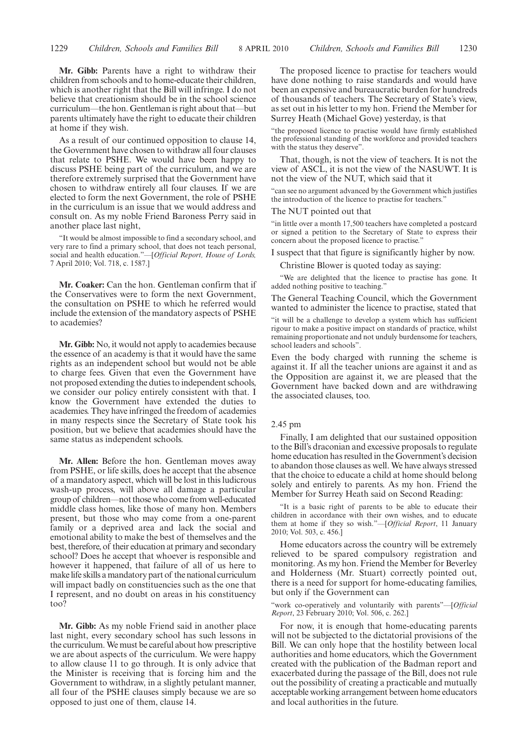**Mr. Gibb:** Parents have a right to withdraw their children from schools and to home-educate their children, which is another right that the Bill will infringe. I do not believe that creationism should be in the school science curriculum—the hon. Gentleman is right about that—but parents ultimately have the right to educate their children at home if they wish.

As a result of our continued opposition to clause 14, the Government have chosen to withdraw all four clauses that relate to PSHE. We would have been happy to discuss PSHE being part of the curriculum, and we are therefore extremely surprised that the Government have chosen to withdraw entirely all four clauses. If we are elected to form the next Government, the role of PSHE in the curriculum is an issue that we would address and consult on. As my noble Friend Baroness Perry said in another place last night,

"It would be almost impossible to find a secondary school, and very rare to find a primary school, that does not teach personal, social and health education."—[*Official Report, House of Lords,* 7 April 2010; Vol. 718, c. 1587.]

**Mr. Coaker:** Can the hon. Gentleman confirm that if the Conservatives were to form the next Government, the consultation on PSHE to which he referred would include the extension of the mandatory aspects of PSHE to academies?

**Mr. Gibb:** No, it would not apply to academies because the essence of an academy is that it would have the same rights as an independent school but would not be able to charge fees. Given that even the Government have not proposed extending the duties to independent schools, we consider our policy entirely consistent with that. I know the Government have extended the duties to academies. They have infringed the freedom of academies in many respects since the Secretary of State took his position, but we believe that academies should have the same status as independent schools.

**Mr. Allen:** Before the hon. Gentleman moves away from PSHE, or life skills, does he accept that the absence of a mandatory aspect, which will be lost in this ludicrous wash-up process, will above all damage a particular group of children—not those who come from well-educated middle class homes, like those of many hon. Members present, but those who may come from a one-parent family or a deprived area and lack the social and emotional ability to make the best of themselves and the best, therefore, of their education at primary and secondary school? Does he accept that whoever is responsible and however it happened, that failure of all of us here to make life skills a mandatory part of the national curriculum will impact badly on constituencies such as the one that I represent, and no doubt on areas in his constituency too?

**Mr. Gibb:** As my noble Friend said in another place last night, every secondary school has such lessons in the curriculum.We must be careful about how prescriptive we are about aspects of the curriculum. We were happy to allow clause 11 to go through. It is only advice that the Minister is receiving that is forcing him and the Government to withdraw, in a slightly petulant manner, all four of the PSHE clauses simply because we are so opposed to just one of them, clause 14.

The proposed licence to practise for teachers would have done nothing to raise standards and would have been an expensive and bureaucratic burden for hundreds of thousands of teachers. The Secretary of State's view, as set out in his letter to my hon. Friend the Member for Surrey Heath (Michael Gove) yesterday, is that

"the proposed licence to practise would have firmly established the professional standing of the workforce and provided teachers with the status they deserve".

That, though, is not the view of teachers. It is not the view of ASCL, it is not the view of the NASUWT. It is not the view of the NUT, which said that it

"can see no argument advanced by the Government which justifies the introduction of the licence to practise for teachers."

#### The NUT pointed out that

"in little over a month 17,500 teachers have completed a postcard or signed a petition to the Secretary of State to express their concern about the proposed licence to practise."

I suspect that that figure is significantly higher by now.

Christine Blower is quoted today as saying:

"We are delighted that the licence to practise has gone. It added nothing positive to teaching."

The General Teaching Council, which the Government wanted to administer the licence to practise, stated that

"it will be a challenge to develop a system which has sufficient rigour to make a positive impact on standards of practice, whilst remaining proportionate and not unduly burdensome for teachers, school leaders and schools".

Even the body charged with running the scheme is against it. If all the teacher unions are against it and as the Opposition are against it, we are pleased that the Government have backed down and are withdrawing the associated clauses, too.

## 2.45 pm

Finally, I am delighted that our sustained opposition to the Bill's draconian and excessive proposals to regulate home education has resulted in the Government's decision to abandon those clauses as well. We have always stressed that the choice to educate a child at home should belong solely and entirely to parents. As my hon. Friend the Member for Surrey Heath said on Second Reading:

"It is a basic right of parents to be able to educate their children in accordance with their own wishes, and to educate them at home if they so wish."—[*Official Report*, 11 January 2010; Vol. 503, c. 456.]

Home educators across the country will be extremely relieved to be spared compulsory registration and monitoring. As my hon. Friend the Member for Beverley and Holderness (Mr. Stuart) correctly pointed out, there is a need for support for home-educating families, but only if the Government can

"work co-operatively and voluntarily with parents"—[*Official Report*, 23 February 2010; Vol. 506, c. 262.]

For now, it is enough that home-educating parents will not be subjected to the dictatorial provisions of the Bill. We can only hope that the hostility between local authorities and home educators, which the Government created with the publication of the Badman report and exacerbated during the passage of the Bill, does not rule out the possibility of creating a practicable and mutually acceptable working arrangement between home educators and local authorities in the future.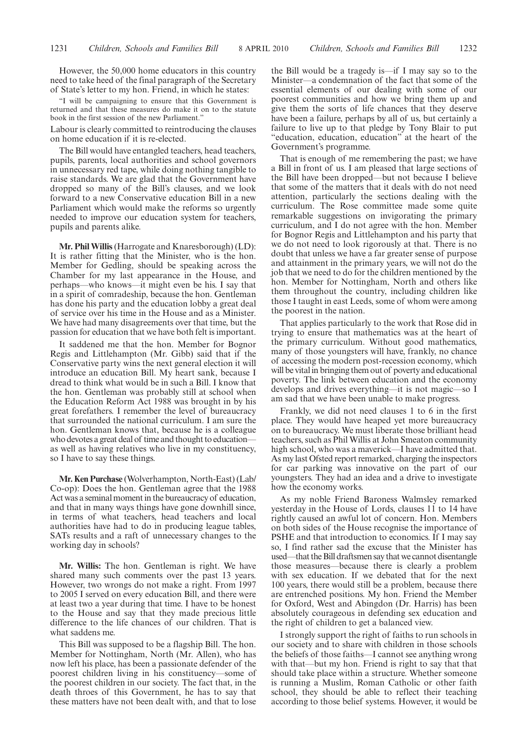However, the 50,000 home educators in this country need to take heed of the final paragraph of the Secretary of State's letter to my hon. Friend, in which he states:

"I will be campaigning to ensure that this Government is returned and that these measures do make it on to the statute book in the first session of the new Parliament."

Labour is clearly committed to reintroducing the clauses on home education if it is re-elected.

The Bill would have entangled teachers, head teachers, pupils, parents, local authorities and school governors in unnecessary red tape, while doing nothing tangible to raise standards. We are glad that the Government have dropped so many of the Bill's clauses, and we look forward to a new Conservative education Bill in a new Parliament which would make the reforms so urgently needed to improve our education system for teachers, pupils and parents alike.

**Mr. Phil Willis**(Harrogate and Knaresborough) (LD): It is rather fitting that the Minister, who is the hon. Member for Gedling, should be speaking across the Chamber for my last appearance in the House, and perhaps—who knows—it might even be his. I say that in a spirit of comradeship, because the hon. Gentleman has done his party and the education lobby a great deal of service over his time in the House and as a Minister. We have had many disagreements over that time, but the passion for education that we have both felt is important.

It saddened me that the hon. Member for Bognor Regis and Littlehampton (Mr. Gibb) said that if the Conservative party wins the next general election it will introduce an education Bill. My heart sank, because I dread to think what would be in such a Bill. I know that the hon. Gentleman was probably still at school when the Education Reform Act 1988 was brought in by his great forefathers. I remember the level of bureaucracy that surrounded the national curriculum. I am sure the hon. Gentleman knows that, because he is a colleague who devotes a great deal of time and thought to education as well as having relatives who live in my constituency, so I have to say these things.

**Mr. Ken Purchase** (Wolverhampton, North-East) (Lab/ Co-op): Does the hon. Gentleman agree that the 1988 Act was a seminal moment in the bureaucracy of education, and that in many ways things have gone downhill since, in terms of what teachers, head teachers and local authorities have had to do in producing league tables, SATs results and a raft of unnecessary changes to the working day in schools?

**Mr. Willis:** The hon. Gentleman is right. We have shared many such comments over the past 13 years. However, two wrongs do not make a right. From 1997 to 2005 I served on every education Bill, and there were at least two a year during that time. I have to be honest to the House and say that they made precious little difference to the life chances of our children. That is what saddens me.

This Bill was supposed to be a flagship Bill. The hon. Member for Nottingham, North (Mr. Allen), who has now left his place, has been a passionate defender of the poorest children living in his constituency—some of the poorest children in our society. The fact that, in the death throes of this Government, he has to say that these matters have not been dealt with, and that to lose the Bill would be a tragedy is—if I may say so to the Minister—a condemnation of the fact that some of the essential elements of our dealing with some of our poorest communities and how we bring them up and give them the sorts of life chances that they deserve have been a failure, perhaps by all of us, but certainly a failure to live up to that pledge by Tony Blair to put "education, education, education" at the heart of the Government's programme.

That is enough of me remembering the past; we have a Bill in front of us. I am pleased that large sections of the Bill have been dropped—but not because I believe that some of the matters that it deals with do not need attention, particularly the sections dealing with the curriculum. The Rose committee made some quite remarkable suggestions on invigorating the primary curriculum, and I do not agree with the hon. Member for Bognor Regis and Littlehampton and his party that we do not need to look rigorously at that. There is no doubt that unless we have a far greater sense of purpose and attainment in the primary years, we will not do the job that we need to do for the children mentioned by the hon. Member for Nottingham, North and others like them throughout the country, including children like those I taught in east Leeds, some of whom were among the poorest in the nation.

That applies particularly to the work that Rose did in trying to ensure that mathematics was at the heart of the primary curriculum. Without good mathematics, many of those youngsters will have, frankly, no chance of accessing the modern post-recession economy, which will be vital in bringing them out of poverty and educational poverty. The link between education and the economy develops and drives everything—it is not magic—so I am sad that we have been unable to make progress.

Frankly, we did not need clauses 1 to 6 in the first place. They would have heaped yet more bureaucracy on to bureaucracy. We must liberate those brilliant head teachers, such as Phil Willis at John Smeaton community high school, who was a maverick—I have admitted that. As my last Ofsted report remarked, charging the inspectors for car parking was innovative on the part of our youngsters. They had an idea and a drive to investigate how the economy works.

As my noble Friend Baroness Walmsley remarked yesterday in the House of Lords, clauses 11 to 14 have rightly caused an awful lot of concern. Hon. Members on both sides of the House recognise the importance of PSHE and that introduction to economics. If I may say so, I find rather sad the excuse that the Minister has used—that the Bill draftsmen say that we cannot disentangle those measures—because there is clearly a problem with sex education. If we debated that for the next 100 years, there would still be a problem, because there are entrenched positions. My hon. Friend the Member for Oxford, West and Abingdon (Dr. Harris) has been absolutely courageous in defending sex education and the right of children to get a balanced view.

I strongly support the right of faiths to run schools in our society and to share with children in those schools the beliefs of those faiths—I cannot see anything wrong with that—but my hon. Friend is right to say that that should take place within a structure. Whether someone is running a Muslim, Roman Catholic or other faith school, they should be able to reflect their teaching according to those belief systems. However, it would be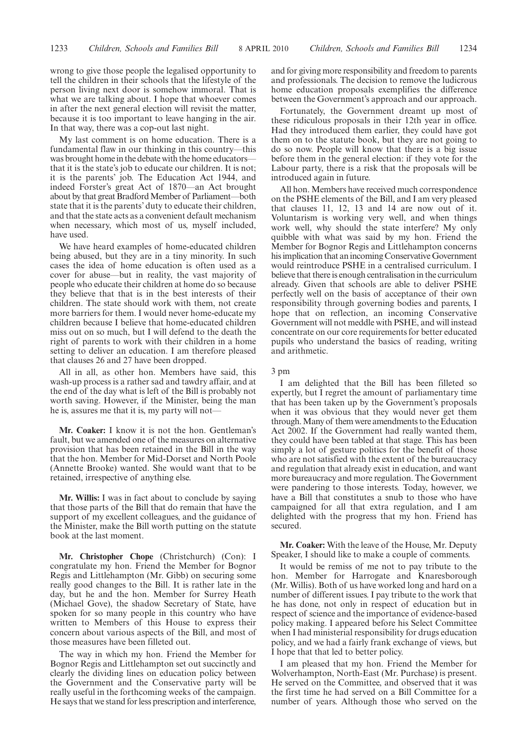wrong to give those people the legalised opportunity to tell the children in their schools that the lifestyle of the person living next door is somehow immoral. That is what we are talking about. I hope that whoever comes in after the next general election will revisit the matter, because it is too important to leave hanging in the air. In that way, there was a cop-out last night.

My last comment is on home education. There is a fundamental flaw in our thinking in this country—this was brought home in the debate with the home educators that it is the state's job to educate our children. It is not; it is the parents' job. The Education Act 1944, and indeed Forster's great Act of 1870—an Act brought about by that great Bradford Member of Parliament—both state that it is the parents' duty to educate their children, and that the state acts as a convenient default mechanism when necessary, which most of us, myself included, have used.

We have heard examples of home-educated children being abused, but they are in a tiny minority. In such cases the idea of home education is often used as a cover for abuse—but in reality, the vast majority of people who educate their children at home do so because they believe that that is in the best interests of their children. The state should work with them, not create more barriers for them. I would never home-educate my children because I believe that home-educated children miss out on so much, but I will defend to the death the right of parents to work with their children in a home setting to deliver an education. I am therefore pleased that clauses 26 and 27 have been dropped.

All in all, as other hon. Members have said, this wash-up process is a rather sad and tawdry affair, and at the end of the day what is left of the Bill is probably not worth saving. However, if the Minister, being the man he is, assures me that it is, my party will not—

**Mr. Coaker:** I know it is not the hon. Gentleman's fault, but we amended one of the measures on alternative provision that has been retained in the Bill in the way that the hon. Member for Mid-Dorset and North Poole (Annette Brooke) wanted. She would want that to be retained, irrespective of anything else.

**Mr. Willis:** I was in fact about to conclude by saying that those parts of the Bill that do remain that have the support of my excellent colleagues, and the guidance of the Minister, make the Bill worth putting on the statute book at the last moment.

**Mr. Christopher Chope** (Christchurch) (Con): I congratulate my hon. Friend the Member for Bognor Regis and Littlehampton (Mr. Gibb) on securing some really good changes to the Bill. It is rather late in the day, but he and the hon. Member for Surrey Heath (Michael Gove), the shadow Secretary of State, have spoken for so many people in this country who have written to Members of this House to express their concern about various aspects of the Bill, and most of those measures have been filleted out.

The way in which my hon. Friend the Member for Bognor Regis and Littlehampton set out succinctly and clearly the dividing lines on education policy between the Government and the Conservative party will be really useful in the forthcoming weeks of the campaign. He says that we stand for less prescription and interference, and for giving more responsibility and freedom to parents and professionals. The decision to remove the ludicrous home education proposals exemplifies the difference between the Government's approach and our approach.

Fortunately, the Government dreamt up most of these ridiculous proposals in their 12th year in office. Had they introduced them earlier, they could have got them on to the statute book, but they are not going to do so now. People will know that there is a big issue before them in the general election: if they vote for the Labour party, there is a risk that the proposals will be introduced again in future.

All hon. Members have received much correspondence on the PSHE elements of the Bill, and I am very pleased that clauses 11, 12, 13 and 14 are now out of it. Voluntarism is working very well, and when things work well, why should the state interfere? My only quibble with what was said by my hon. Friend the Member for Bognor Regis and Littlehampton concerns his implication that an incoming Conservative Government would reintroduce PSHE in a centralised curriculum. I believe that there is enough centralisation in the curriculum already. Given that schools are able to deliver PSHE perfectly well on the basis of acceptance of their own responsibility through governing bodies and parents, I hope that on reflection, an incoming Conservative Government will not meddle with PSHE, and will instead concentrate on our core requirements for better educated pupils who understand the basics of reading, writing and arithmetic.

#### 3 pm

I am delighted that the Bill has been filleted so expertly, but I regret the amount of parliamentary time that has been taken up by the Government's proposals when it was obvious that they would never get them through.Many of them were amendments to the Education Act 2002. If the Government had really wanted them, they could have been tabled at that stage. This has been simply a lot of gesture politics for the benefit of those who are not satisfied with the extent of the bureaucracy and regulation that already exist in education, and want more bureaucracy and more regulation. The Government were pandering to those interests. Today, however, we have a Bill that constitutes a snub to those who have campaigned for all that extra regulation, and I am delighted with the progress that my hon. Friend has secured.

**Mr. Coaker:** With the leave of the House, Mr. Deputy Speaker, I should like to make a couple of comments.

It would be remiss of me not to pay tribute to the hon. Member for Harrogate and Knaresborough (Mr. Willis). Both of us have worked long and hard on a number of different issues. I pay tribute to the work that he has done, not only in respect of education but in respect of science and the importance of evidence-based policy making. I appeared before his Select Committee when I had ministerial responsibility for drugs education policy, and we had a fairly frank exchange of views, but I hope that that led to better policy.

I am pleased that my hon. Friend the Member for Wolverhampton, North-East (Mr. Purchase) is present. He served on the Committee, and observed that it was the first time he had served on a Bill Committee for a number of years. Although those who served on the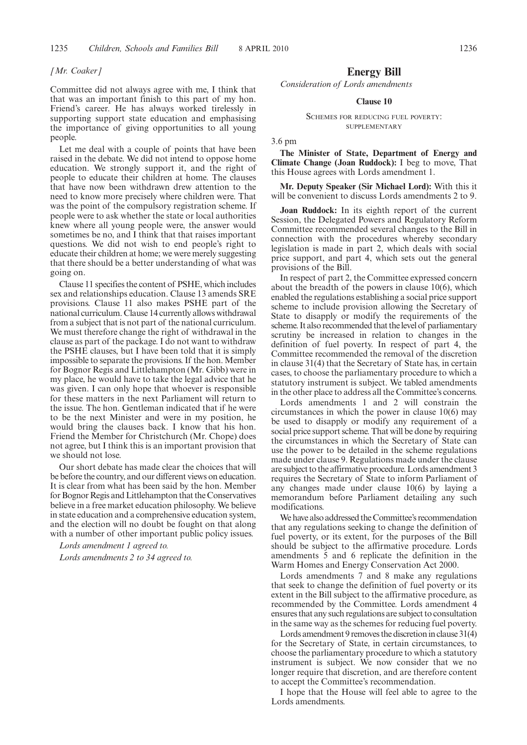#### *[Mr. Coaker]*

Committee did not always agree with me, I think that that was an important finish to this part of my hon. Friend's career. He has always worked tirelessly in supporting support state education and emphasising the importance of giving opportunities to all young people.

Let me deal with a couple of points that have been raised in the debate. We did not intend to oppose home education. We strongly support it, and the right of people to educate their children at home. The clauses that have now been withdrawn drew attention to the need to know more precisely where children were. That was the point of the compulsory registration scheme. If people were to ask whether the state or local authorities knew where all young people were, the answer would sometimes be no, and I think that that raises important questions. We did not wish to end people's right to educate their children at home; we were merely suggesting that there should be a better understanding of what was going on.

Clause 11 specifies the content of PSHE, which includes sex and relationships education. Clause 13 amends SRE provisions. Clause 11 also makes PSHE part of the national curriculum. Clause 14 currently allows withdrawal from a subject that is not part of the national curriculum. We must therefore change the right of withdrawal in the clause as part of the package. I do not want to withdraw the PSHE clauses, but I have been told that it is simply impossible to separate the provisions. If the hon. Member for Bognor Regis and Littlehampton (Mr. Gibb) were in my place, he would have to take the legal advice that he was given. I can only hope that whoever is responsible for these matters in the next Parliament will return to the issue. The hon. Gentleman indicated that if he were to be the next Minister and were in my position, he would bring the clauses back. I know that his hon. Friend the Member for Christchurch (Mr. Chope) does not agree, but I think this is an important provision that we should not lose.

Our short debate has made clear the choices that will be before the country, and our different views on education. It is clear from what has been said by the hon. Member for Bognor Regis and Littlehampton that the Conservatives believe in a free market education philosophy. We believe in state education and a comprehensive education system, and the election will no doubt be fought on that along with a number of other important public policy issues.

*Lords amendment 1 agreed to. Lords amendments 2 to 34 agreed to.*

## **Energy Bill**

*Consideration of Lords amendments*

## **Clause 10**

#### SCHEMES FOR REDUCING FUEL POVERTY: **SUPPLEMENTARY**

3.6 pm

**The Minister of State, Department of Energy and Climate Change (Joan Ruddock):** I beg to move, That this House agrees with Lords amendment 1.

**Mr. Deputy Speaker (Sir Michael Lord):** With this it will be convenient to discuss Lords amendments 2 to 9.

**Joan Ruddock:** In its eighth report of the current Session, the Delegated Powers and Regulatory Reform Committee recommended several changes to the Bill in connection with the procedures whereby secondary legislation is made in part 2, which deals with social price support, and part 4, which sets out the general provisions of the Bill.

In respect of part 2, the Committee expressed concern about the breadth of the powers in clause 10(6), which enabled the regulations establishing a social price support scheme to include provision allowing the Secretary of State to disapply or modify the requirements of the scheme. It also recommended that the level of parliamentary scrutiny be increased in relation to changes in the definition of fuel poverty. In respect of part 4, the Committee recommended the removal of the discretion in clause 31(4) that the Secretary of State has, in certain cases, to choose the parliamentary procedure to which a statutory instrument is subject. We tabled amendments in the other place to address all the Committee's concerns.

Lords amendments 1 and 2 will constrain the circumstances in which the power in clause 10(6) may be used to disapply or modify any requirement of a social price support scheme. That will be done by requiring the circumstances in which the Secretary of State can use the power to be detailed in the scheme regulations made under clause 9. Regulations made under the clause are subject to the affirmative procedure. Lords amendment 3 requires the Secretary of State to inform Parliament of any changes made under clause 10(6) by laying a memorandum before Parliament detailing any such modifications.

We have also addressed the Committee's recommendation that any regulations seeking to change the definition of fuel poverty, or its extent, for the purposes of the Bill should be subject to the affirmative procedure. Lords amendments 5 and 6 replicate the definition in the Warm Homes and Energy Conservation Act 2000.

Lords amendments 7 and 8 make any regulations that seek to change the definition of fuel poverty or its extent in the Bill subject to the affirmative procedure, as recommended by the Committee. Lords amendment 4 ensures that any such regulations are subject to consultation in the same way as the schemes for reducing fuel poverty.

Lords amendment 9 removes the discretion in clause  $31(4)$ for the Secretary of State, in certain circumstances, to choose the parliamentary procedure to which a statutory instrument is subject. We now consider that we no longer require that discretion, and are therefore content to accept the Committee's recommendation.

I hope that the House will feel able to agree to the Lords amendments.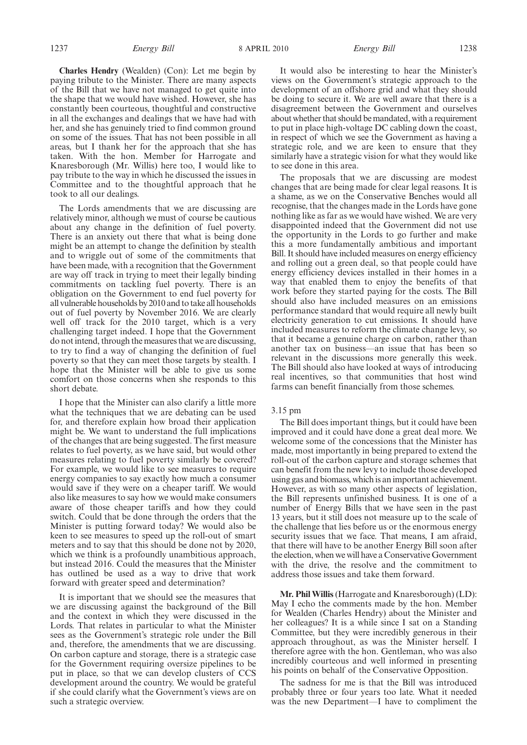1237 *Energy Bill Energy Bill* 8 APRIL 2010 1238

**Charles Hendry** (Wealden) (Con): Let me begin by paying tribute to the Minister. There are many aspects of the Bill that we have not managed to get quite into the shape that we would have wished. However, she has constantly been courteous, thoughtful and constructive in all the exchanges and dealings that we have had with her, and she has genuinely tried to find common ground on some of the issues. That has not been possible in all areas, but I thank her for the approach that she has taken. With the hon. Member for Harrogate and Knaresborough (Mr. Willis) here too, I would like to pay tribute to the way in which he discussed the issues in Committee and to the thoughtful approach that he took to all our dealings.

The Lords amendments that we are discussing are relatively minor, although we must of course be cautious about any change in the definition of fuel poverty. There is an anxiety out there that what is being done might be an attempt to change the definition by stealth and to wriggle out of some of the commitments that have been made, with a recognition that the Government are way off track in trying to meet their legally binding commitments on tackling fuel poverty. There is an obligation on the Government to end fuel poverty for all vulnerable households by 2010 and to take all households out of fuel poverty by November 2016. We are clearly well off track for the 2010 target, which is a very challenging target indeed. I hope that the Government do not intend, through the measures that we are discussing, to try to find a way of changing the definition of fuel poverty so that they can meet those targets by stealth. I hope that the Minister will be able to give us some comfort on those concerns when she responds to this short debate.

I hope that the Minister can also clarify a little more what the techniques that we are debating can be used for, and therefore explain how broad their application might be. We want to understand the full implications of the changes that are being suggested. The first measure relates to fuel poverty, as we have said, but would other measures relating to fuel poverty similarly be covered? For example, we would like to see measures to require energy companies to say exactly how much a consumer would save if they were on a cheaper tariff. We would also like measures to say how we would make consumers aware of those cheaper tariffs and how they could switch. Could that be done through the orders that the Minister is putting forward today? We would also be keen to see measures to speed up the roll-out of smart meters and to say that this should be done not by 2020, which we think is a profoundly unambitious approach, but instead 2016. Could the measures that the Minister has outlined be used as a way to drive that work forward with greater speed and determination?

It is important that we should see the measures that we are discussing against the background of the Bill and the context in which they were discussed in the Lords. That relates in particular to what the Minister sees as the Government's strategic role under the Bill and, therefore, the amendments that we are discussing. On carbon capture and storage, there is a strategic case for the Government requiring oversize pipelines to be put in place, so that we can develop clusters of CCS development around the country. We would be grateful if she could clarify what the Government's views are on such a strategic overview.

It would also be interesting to hear the Minister's views on the Government's strategic approach to the development of an offshore grid and what they should be doing to secure it. We are well aware that there is a disagreement between the Government and ourselves about whether that should be mandated, with a requirement to put in place high-voltage DC cabling down the coast, in respect of which we see the Government as having a strategic role, and we are keen to ensure that they similarly have a strategic vision for what they would like to see done in this area.

The proposals that we are discussing are modest changes that are being made for clear legal reasons. It is a shame, as we on the Conservative Benches would all recognise, that the changes made in the Lords have gone nothing like as far as we would have wished. We are very disappointed indeed that the Government did not use the opportunity in the Lords to go further and make this a more fundamentally ambitious and important Bill. It should have included measures on energy efficiency and rolling out a green deal, so that people could have energy efficiency devices installed in their homes in a way that enabled them to enjoy the benefits of that work before they started paying for the costs. The Bill should also have included measures on an emissions performance standard that would require all newly built electricity generation to cut emissions. It should have included measures to reform the climate change levy, so that it became a genuine charge on carbon, rather than another tax on business—an issue that has been so relevant in the discussions more generally this week. The Bill should also have looked at ways of introducing real incentives, so that communities that host wind farms can benefit financially from those schemes.

## 3.15 pm

The Bill does important things, but it could have been improved and it could have done a great deal more. We welcome some of the concessions that the Minister has made, most importantly in being prepared to extend the roll-out of the carbon capture and storage schemes that can benefit from the new levy to include those developed using gas and biomass, which is an important achievement. However, as with so many other aspects of legislation, the Bill represents unfinished business. It is one of a number of Energy Bills that we have seen in the past 13 years, but it still does not measure up to the scale of the challenge that lies before us or the enormous energy security issues that we face. That means, I am afraid, that there will have to be another Energy Bill soon after the election, when we will have a Conservative Government with the drive, the resolve and the commitment to address those issues and take them forward.

**Mr. Phil Willis**(Harrogate and Knaresborough) (LD): May I echo the comments made by the hon. Member for Wealden (Charles Hendry) about the Minister and her colleagues? It is a while since I sat on a Standing Committee, but they were incredibly generous in their approach throughout, as was the Minister herself. I therefore agree with the hon. Gentleman, who was also incredibly courteous and well informed in presenting his points on behalf of the Conservative Opposition.

The sadness for me is that the Bill was introduced probably three or four years too late. What it needed was the new Department—I have to compliment the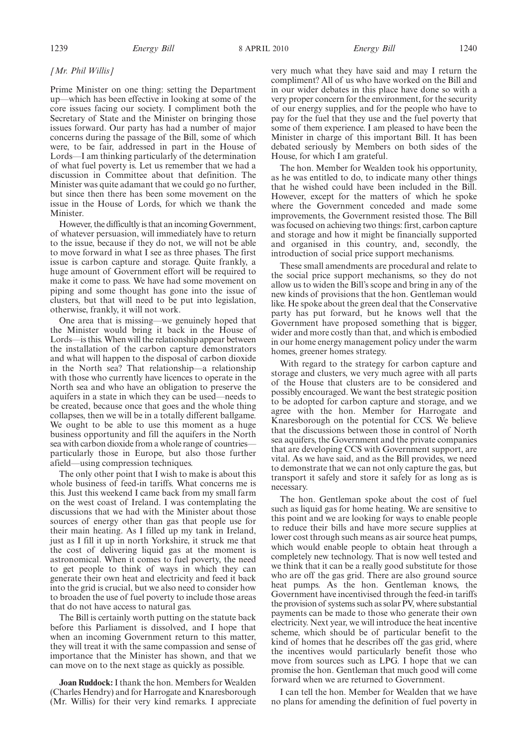1239 *Energy Bill Energy Bill* 8 APRIL 2010 1240

### *[Mr. Phil Willis]*

Prime Minister on one thing: setting the Department up—which has been effective in looking at some of the core issues facing our society. I compliment both the Secretary of State and the Minister on bringing those issues forward. Our party has had a number of major concerns during the passage of the Bill, some of which were, to be fair, addressed in part in the House of Lords—I am thinking particularly of the determination of what fuel poverty is. Let us remember that we had a discussion in Committee about that definition. The Minister was quite adamant that we could go no further, but since then there has been some movement on the issue in the House of Lords, for which we thank the Minister.

However, the difficultly is that an incoming Government, of whatever persuasion, will immediately have to return to the issue, because if they do not, we will not be able to move forward in what I see as three phases. The first issue is carbon capture and storage. Quite frankly, a huge amount of Government effort will be required to make it come to pass. We have had some movement on piping and some thought has gone into the issue of clusters, but that will need to be put into legislation, otherwise, frankly, it will not work.

One area that is missing—we genuinely hoped that the Minister would bring it back in the House of Lords—is this. When will the relationship appear between the installation of the carbon capture demonstrators and what will happen to the disposal of carbon dioxide in the North sea? That relationship—a relationship with those who currently have licences to operate in the North sea and who have an obligation to preserve the aquifers in a state in which they can be used—needs to be created, because once that goes and the whole thing collapses, then we will be in a totally different ballgame. We ought to be able to use this moment as a huge business opportunity and fill the aquifers in the North sea with carbon dioxide from a whole range of countries particularly those in Europe, but also those further afield—using compression techniques.

The only other point that I wish to make is about this whole business of feed-in tariffs. What concerns me is this. Just this weekend I came back from my small farm on the west coast of Ireland. I was contemplating the discussions that we had with the Minister about those sources of energy other than gas that people use for their main heating. As I filled up my tank in Ireland, just as I fill it up in north Yorkshire, it struck me that the cost of delivering liquid gas at the moment is astronomical. When it comes to fuel poverty, the need to get people to think of ways in which they can generate their own heat and electricity and feed it back into the grid is crucial, but we also need to consider how to broaden the use of fuel poverty to include those areas that do not have access to natural gas.

The Bill is certainly worth putting on the statute back before this Parliament is dissolved, and I hope that when an incoming Government return to this matter, they will treat it with the same compassion and sense of importance that the Minister has shown, and that we can move on to the next stage as quickly as possible.

**Joan Ruddock:**I thank the hon. Members for Wealden (Charles Hendry) and for Harrogate and Knaresborough (Mr. Willis) for their very kind remarks. I appreciate very much what they have said and may I return the compliment? All of us who have worked on the Bill and in our wider debates in this place have done so with a very proper concern for the environment, for the security of our energy supplies, and for the people who have to pay for the fuel that they use and the fuel poverty that some of them experience. I am pleased to have been the Minister in charge of this important Bill. It has been debated seriously by Members on both sides of the House, for which I am grateful.

The hon. Member for Wealden took his opportunity, as he was entitled to do, to indicate many other things that he wished could have been included in the Bill. However, except for the matters of which he spoke where the Government conceded and made some improvements, the Government resisted those. The Bill was focused on achieving two things: first, carbon capture and storage and how it might be financially supported and organised in this country, and, secondly, the introduction of social price support mechanisms.

These small amendments are procedural and relate to the social price support mechanisms, so they do not allow us to widen the Bill's scope and bring in any of the new kinds of provisions that the hon. Gentleman would like. He spoke about the green deal that the Conservative party has put forward, but he knows well that the Government have proposed something that is bigger, wider and more costly than that, and which is embodied in our home energy management policy under the warm homes, greener homes strategy.

With regard to the strategy for carbon capture and storage and clusters, we very much agree with all parts of the House that clusters are to be considered and possibly encouraged. We want the best strategic position to be adopted for carbon capture and storage, and we agree with the hon. Member for Harrogate and Knaresborough on the potential for CCS. We believe that the discussions between those in control of North sea aquifers, the Government and the private companies that are developing CCS with Government support, are vital. As we have said, and as the Bill provides, we need to demonstrate that we can not only capture the gas, but transport it safely and store it safely for as long as is necessary.

The hon. Gentleman spoke about the cost of fuel such as liquid gas for home heating. We are sensitive to this point and we are looking for ways to enable people to reduce their bills and have more secure supplies at lower cost through such means as air source heat pumps, which would enable people to obtain heat through a completely new technology. That is now well tested and we think that it can be a really good substitute for those who are off the gas grid. There are also ground source heat pumps. As the hon. Gentleman knows, the Government have incentivised through the feed-in tariffs the provision of systems such as solar PV, where substantial payments can be made to those who generate their own electricity. Next year, we will introduce the heat incentive scheme, which should be of particular benefit to the kind of homes that he describes off the gas grid, where the incentives would particularly benefit those who move from sources such as LPG. I hope that we can promise the hon. Gentleman that much good will come forward when we are returned to Government.

I can tell the hon. Member for Wealden that we have no plans for amending the definition of fuel poverty in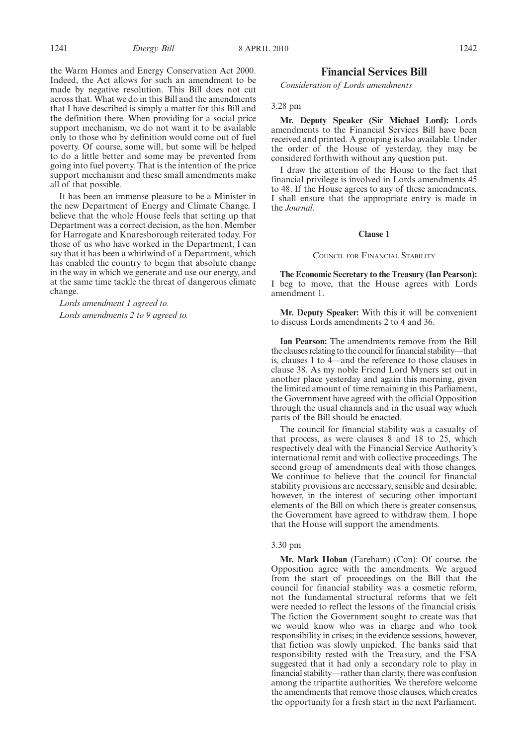the Warm Homes and Energy Conservation Act 2000. Indeed, the Act allows for such an amendment to be made by negative resolution. This Bill does not cut across that. What we do in this Bill and the amendments that I have described is simply a matter for this Bill and the definition there. When providing for a social price support mechanism, we do not want it to be available only to those who by definition would come out of fuel poverty. Of course, some will, but some will be helped to do a little better and some may be prevented from going into fuel poverty. That is the intention of the price support mechanism and these small amendments make all of that possible.

It has been an immense pleasure to be a Minister in the new Department of Energy and Climate Change. I believe that the whole House feels that setting up that Department was a correct decision, as the hon. Member for Harrogate and Knaresborough reiterated today. For those of us who have worked in the Department, I can say that it has been a whirlwind of a Department, which has enabled the country to begin that absolute change in the way in which we generate and use our energy, and at the same time tackle the threat of dangerous climate change.

*Lords amendment 1 agreed to. Lords amendments 2 to 9 agreed to.*

## **Financial Services Bill**

*Consideration of Lords amendments*

#### 3.28 pm

**Mr. Deputy Speaker (Sir Michael Lord):** Lords amendments to the Financial Services Bill have been received and printed. A grouping is also available. Under the order of the House of yesterday, they may be considered forthwith without any question put.

I draw the attention of the House to the fact that financial privilege is involved in Lords amendments 45 to 48. If the House agrees to any of these amendments, I shall ensure that the appropriate entry is made in the *Journal*.

#### **Clause 1**

COUNCIL FOR FINANCIAL STABILITY

**The Economic Secretary to the Treasury (Ian Pearson):** I beg to move, that the House agrees with Lords amendment 1.

**Mr. Deputy Speaker:** With this it will be convenient to discuss Lords amendments 2 to 4 and 36.

**Ian Pearson:** The amendments remove from the Bill the clauses relating to the council for financial stability—that is, clauses 1 to 4—and the reference to those clauses in clause 38. As my noble Friend Lord Myners set out in another place yesterday and again this morning, given the limited amount of time remaining in this Parliament, the Government have agreed with the official Opposition through the usual channels and in the usual way which parts of the Bill should be enacted.

The council for financial stability was a casualty of that process, as were clauses 8 and 18 to 25, which respectively deal with the Financial Service Authority's international remit and with collective proceedings. The second group of amendments deal with those changes. We continue to believe that the council for financial stability provisions are necessary, sensible and desirable; however, in the interest of securing other important elements of the Bill on which there is greater consensus, the Government have agreed to withdraw them. I hope that the House will support the amendments.

## 3.30 pm

**Mr. Mark Hoban** (Fareham) (Con): Of course, the Opposition agree with the amendments. We argued from the start of proceedings on the Bill that the council for financial stability was a cosmetic reform, not the fundamental structural reforms that we felt were needed to reflect the lessons of the financial crisis. The fiction the Government sought to create was that we would know who was in charge and who took responsibility in crises; in the evidence sessions, however, that fiction was slowly unpicked. The banks said that responsibility rested with the Treasury, and the FSA suggested that it had only a secondary role to play in financial stability—rather than clarity, there was confusion among the tripartite authorities. We therefore welcome the amendments that remove those clauses, which creates the opportunity for a fresh start in the next Parliament.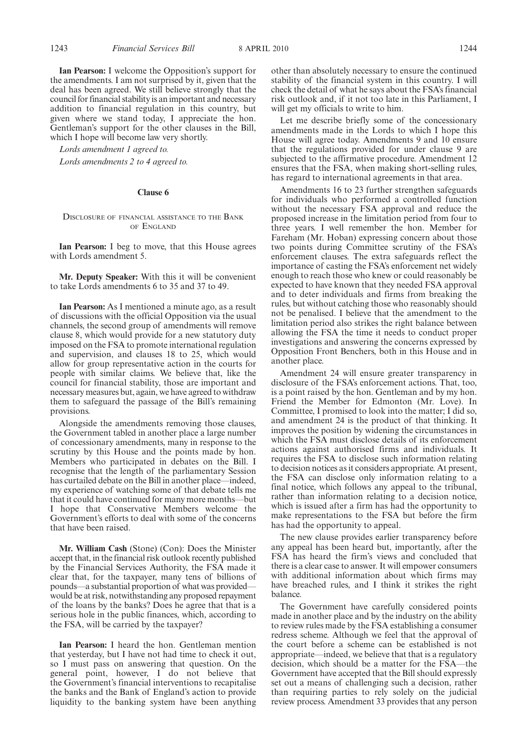**Ian Pearson:** I welcome the Opposition's support for the amendments. I am not surprised by it, given that the deal has been agreed. We still believe strongly that the council for financial stability is an important and necessary addition to financial regulation in this country, but given where we stand today, I appreciate the hon. Gentleman's support for the other clauses in the Bill, which I hope will become law very shortly.

*Lords amendment 1 agreed to. Lords amendments 2 to 4 agreed to.*

#### **Clause 6**

## DISCLOSURE OF FINANCIAL ASSISTANCE TO THE BANK OF ENGLAND

**Ian Pearson:** I beg to move, that this House agrees with Lords amendment 5.

**Mr. Deputy Speaker:** With this it will be convenient to take Lords amendments 6 to 35 and 37 to 49.

**Ian Pearson:** As I mentioned a minute ago, as a result of discussions with the official Opposition via the usual channels, the second group of amendments will remove clause 8, which would provide for a new statutory duty imposed on the FSA to promote international regulation and supervision, and clauses 18 to 25, which would allow for group representative action in the courts for people with similar claims. We believe that, like the council for financial stability, those are important and necessary measures but, again, we have agreed to withdraw them to safeguard the passage of the Bill's remaining provisions.

Alongside the amendments removing those clauses, the Government tabled in another place a large number of concessionary amendments, many in response to the scrutiny by this House and the points made by hon. Members who participated in debates on the Bill. I recognise that the length of the parliamentary Session has curtailed debate on the Bill in another place—indeed, my experience of watching some of that debate tells me that it could have continued for many more months—but I hope that Conservative Members welcome the Government's efforts to deal with some of the concerns that have been raised.

**Mr. William Cash** (Stone) (Con): Does the Minister accept that, in the financial risk outlook recently published by the Financial Services Authority, the FSA made it clear that, for the taxpayer, many tens of billions of pounds—a substantial proportion of what was provided would be at risk, notwithstanding any proposed repayment of the loans by the banks? Does he agree that that is a serious hole in the public finances, which, according to the FSA, will be carried by the taxpayer?

**Ian Pearson:** I heard the hon. Gentleman mention that yesterday, but I have not had time to check it out, so I must pass on answering that question. On the general point, however, I do not believe that the Government's financial interventions to recapitalise the banks and the Bank of England's action to provide liquidity to the banking system have been anything other than absolutely necessary to ensure the continued stability of the financial system in this country. I will check the detail of what he says about the FSA's financial risk outlook and, if it not too late in this Parliament, I will get my officials to write to him.

Let me describe briefly some of the concessionary amendments made in the Lords to which I hope this House will agree today. Amendments 9 and 10 ensure that the regulations provided for under clause 9 are subjected to the affirmative procedure. Amendment 12 ensures that the FSA, when making short-selling rules, has regard to international agreements in that area.

Amendments 16 to 23 further strengthen safeguards for individuals who performed a controlled function without the necessary FSA approval and reduce the proposed increase in the limitation period from four to three years. I well remember the hon. Member for Fareham (Mr. Hoban) expressing concern about those two points during Committee scrutiny of the FSA's enforcement clauses. The extra safeguards reflect the importance of casting the FSA's enforcement net widely enough to reach those who knew or could reasonably be expected to have known that they needed FSA approval and to deter individuals and firms from breaking the rules, but without catching those who reasonably should not be penalised. I believe that the amendment to the limitation period also strikes the right balance between allowing the FSA the time it needs to conduct proper investigations and answering the concerns expressed by Opposition Front Benchers, both in this House and in another place.

Amendment 24 will ensure greater transparency in disclosure of the FSA's enforcement actions. That, too, is a point raised by the hon. Gentleman and by my hon. Friend the Member for Edmonton (Mr. Love). In Committee, I promised to look into the matter; I did so, and amendment 24 is the product of that thinking. It improves the position by widening the circumstances in which the FSA must disclose details of its enforcement actions against authorised firms and individuals. It requires the FSA to disclose such information relating to decision notices as it considers appropriate. At present, the FSA can disclose only information relating to a final notice, which follows any appeal to the tribunal, rather than information relating to a decision notice, which is issued after a firm has had the opportunity to make representations to the FSA but before the firm has had the opportunity to appeal.

The new clause provides earlier transparency before any appeal has been heard but, importantly, after the FSA has heard the firm's views and concluded that there is a clear case to answer. It will empower consumers with additional information about which firms may have breached rules, and I think it strikes the right balance.

The Government have carefully considered points made in another place and by the industry on the ability to review rules made by the FSA establishing a consumer redress scheme. Although we feel that the approval of the court before a scheme can be established is not appropriate—indeed, we believe that that is a regulatory decision, which should be a matter for the FSA—the Government have accepted that the Bill should expressly set out a means of challenging such a decision, rather than requiring parties to rely solely on the judicial review process. Amendment 33 provides that any person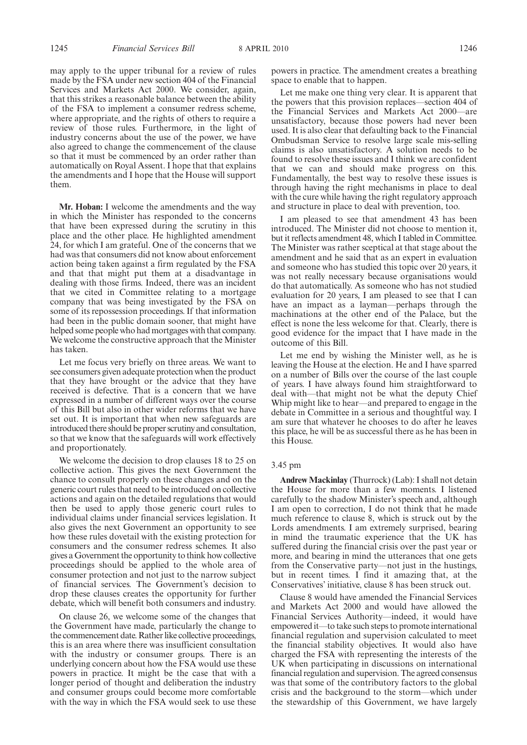may apply to the upper tribunal for a review of rules made by the FSA under new section 404 of the Financial Services and Markets Act 2000. We consider, again, that this strikes a reasonable balance between the ability of the FSA to implement a consumer redress scheme, where appropriate, and the rights of others to require a review of those rules. Furthermore, in the light of industry concerns about the use of the power, we have also agreed to change the commencement of the clause so that it must be commenced by an order rather than automatically on Royal Assent. I hope that that explains the amendments and I hope that the House will support them.

**Mr. Hoban:** I welcome the amendments and the way in which the Minister has responded to the concerns that have been expressed during the scrutiny in this place and the other place. He highlighted amendment 24, for which I am grateful. One of the concerns that we had was that consumers did not know about enforcement action being taken against a firm regulated by the FSA and that that might put them at a disadvantage in dealing with those firms. Indeed, there was an incident that we cited in Committee relating to a mortgage company that was being investigated by the FSA on some of its repossession proceedings. If that information had been in the public domain sooner, that might have helped some people who had mortgages with that company. We welcome the constructive approach that the Minister has taken.

Let me focus very briefly on three areas. We want to see consumers given adequate protection when the product that they have brought or the advice that they have received is defective. That is a concern that we have expressed in a number of different ways over the course of this Bill but also in other wider reforms that we have set out. It is important that when new safeguards are introduced there should be proper scrutiny and consultation, so that we know that the safeguards will work effectively and proportionately.

We welcome the decision to drop clauses 18 to 25 on collective action. This gives the next Government the chance to consult properly on these changes and on the generic court rules that need to be introduced on collective actions and again on the detailed regulations that would then be used to apply those generic court rules to individual claims under financial services legislation. It also gives the next Government an opportunity to see how these rules dovetail with the existing protection for consumers and the consumer redress schemes. It also gives a Government the opportunity to think how collective proceedings should be applied to the whole area of consumer protection and not just to the narrow subject of financial services. The Government's decision to drop these clauses creates the opportunity for further debate, which will benefit both consumers and industry.

On clause 26, we welcome some of the changes that the Government have made, particularly the change to the commencement date. Rather like collective proceedings, this is an area where there was insufficient consultation with the industry or consumer groups. There is an underlying concern about how the FSA would use these powers in practice. It might be the case that with a longer period of thought and deliberation the industry and consumer groups could become more comfortable with the way in which the FSA would seek to use these

powers in practice. The amendment creates a breathing space to enable that to happen.

Let me make one thing very clear. It is apparent that the powers that this provision replaces—section 404 of the Financial Services and Markets Act 2000—are unsatisfactory, because those powers had never been used. It is also clear that defaulting back to the Financial Ombudsman Service to resolve large scale mis-selling claims is also unsatisfactory. A solution needs to be found to resolve these issues and I think we are confident that we can and should make progress on this. Fundamentally, the best way to resolve these issues is through having the right mechanisms in place to deal with the cure while having the right regulatory approach and structure in place to deal with prevention, too.

I am pleased to see that amendment 43 has been introduced. The Minister did not choose to mention it, but it reflects amendment 48, which I tabled in Committee. The Minister was rather sceptical at that stage about the amendment and he said that as an expert in evaluation and someone who has studied this topic over 20 years, it was not really necessary because organisations would do that automatically. As someone who has not studied evaluation for 20 years, I am pleased to see that I can have an impact as a layman—perhaps through the machinations at the other end of the Palace, but the effect is none the less welcome for that. Clearly, there is good evidence for the impact that I have made in the outcome of this Bill.

Let me end by wishing the Minister well, as he is leaving the House at the election. He and I have sparred on a number of Bills over the course of the last couple of years. I have always found him straightforward to deal with—that might not be what the deputy Chief Whip might like to hear—and prepared to engage in the debate in Committee in a serious and thoughtful way. I am sure that whatever he chooses to do after he leaves this place, he will be as successful there as he has been in this House.

#### 3.45 pm

**Andrew Mackinlay** (Thurrock) (Lab): I shall not detain the House for more than a few moments. I listened carefully to the shadow Minister's speech and, although I am open to correction, I do not think that he made much reference to clause 8, which is struck out by the Lords amendments. I am extremely surprised, bearing in mind the traumatic experience that the UK has suffered during the financial crisis over the past year or more, and bearing in mind the utterances that one gets from the Conservative party—not just in the hustings, but in recent times. I find it amazing that, at the Conservatives' initiative, clause 8 has been struck out.

Clause 8 would have amended the Financial Services and Markets Act 2000 and would have allowed the Financial Services Authority—indeed, it would have empowered it—to take such steps to promote international financial regulation and supervision calculated to meet the financial stability objectives. It would also have charged the FSA with representing the interests of the UK when participating in discussions on international financial regulation and supervision. The agreed consensus was that some of the contributory factors to the global crisis and the background to the storm—which under the stewardship of this Government, we have largely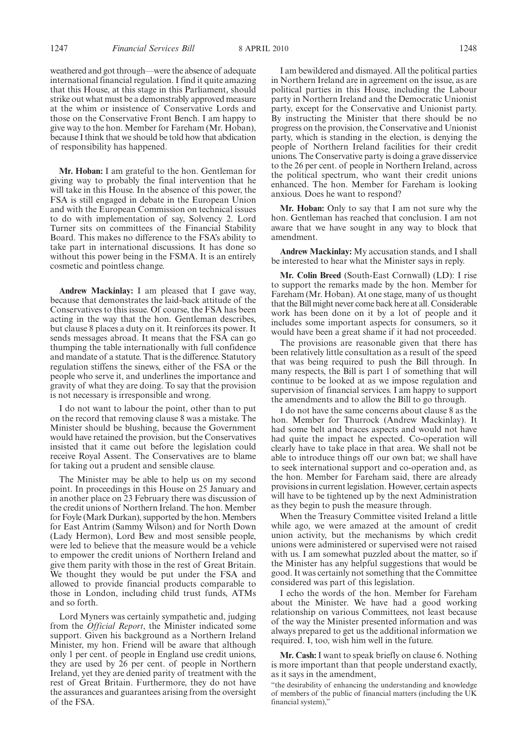weathered and got through—were the absence of adequate international financial regulation. I find it quite amazing that this House, at this stage in this Parliament, should strike out what must be a demonstrably approved measure at the whim or insistence of Conservative Lords and those on the Conservative Front Bench. I am happy to give way to the hon. Member for Fareham (Mr. Hoban), because I think that we should be told how that abdication of responsibility has happened.

**Mr. Hoban:** I am grateful to the hon. Gentleman for giving way to probably the final intervention that he will take in this House. In the absence of this power, the FSA is still engaged in debate in the European Union and with the European Commission on technical issues to do with implementation of say, Solvency 2. Lord Turner sits on committees of the Financial Stability Board. This makes no difference to the FSA's ability to take part in international discussions. It has done so without this power being in the FSMA. It is an entirely cosmetic and pointless change.

**Andrew Mackinlay:** I am pleased that I gave way, because that demonstrates the laid-back attitude of the Conservatives to this issue. Of course, the FSA has been acting in the way that the hon. Gentleman describes, but clause 8 places a duty on it. It reinforces its power. It sends messages abroad. It means that the FSA can go thumping the table internationally with full confidence and mandate of a statute. That is the difference. Statutory regulation stiffens the sinews, either of the FSA or the people who serve it, and underlines the importance and gravity of what they are doing. To say that the provision is not necessary is irresponsible and wrong.

I do not want to labour the point, other than to put on the record that removing clause 8 was a mistake. The Minister should be blushing, because the Government would have retained the provision, but the Conservatives insisted that it came out before the legislation could receive Royal Assent. The Conservatives are to blame for taking out a prudent and sensible clause.

The Minister may be able to help us on my second point. In proceedings in this House on 25 January and in another place on 23 February there was discussion of the credit unions of Northern Ireland. The hon. Member for Foyle (Mark Durkan), supported by the hon. Members for East Antrim (Sammy Wilson) and for North Down (Lady Hermon), Lord Bew and most sensible people, were led to believe that the measure would be a vehicle to empower the credit unions of Northern Ireland and give them parity with those in the rest of Great Britain. We thought they would be put under the FSA and allowed to provide financial products comparable to those in London, including child trust funds, ATMs and so forth.

Lord Myners was certainly sympathetic and, judging from the *Official Report*, the Minister indicated some support. Given his background as a Northern Ireland Minister, my hon. Friend will be aware that although only 1 per cent. of people in England use credit unions, they are used by 26 per cent. of people in Northern Ireland, yet they are denied parity of treatment with the rest of Great Britain. Furthermore, they do not have the assurances and guarantees arising from the oversight of the FSA.

I am bewildered and dismayed. All the political parties in Northern Ireland are in agreement on the issue, as are political parties in this House, including the Labour party in Northern Ireland and the Democratic Unionist party, except for the Conservative and Unionist party. By instructing the Minister that there should be no progress on the provision, the Conservative and Unionist party, which is standing in the election, is denying the people of Northern Ireland facilities for their credit unions. The Conservative party is doing a grave disservice to the 26 per cent. of people in Northern Ireland, across the political spectrum, who want their credit unions enhanced. The hon. Member for Fareham is looking anxious. Does he want to respond?

**Mr. Hoban:** Only to say that I am not sure why the hon. Gentleman has reached that conclusion. I am not aware that we have sought in any way to block that amendment.

**Andrew Mackinlay:** My accusation stands, and I shall be interested to hear what the Minister says in reply.

**Mr. Colin Breed** (South-East Cornwall) (LD): I rise to support the remarks made by the hon. Member for Fareham (Mr. Hoban). At one stage, many of us thought that the Bill might never come back here at all. Considerable work has been done on it by a lot of people and it includes some important aspects for consumers, so it would have been a great shame if it had not proceeded.

The provisions are reasonable given that there has been relatively little consultation as a result of the speed that was being required to push the Bill through. In many respects, the Bill is part 1 of something that will continue to be looked at as we impose regulation and supervision of financial services. I am happy to support the amendments and to allow the Bill to go through.

I do not have the same concerns about clause 8 as the hon. Member for Thurrock (Andrew Mackinlay). It had some belt and braces aspects and would not have had quite the impact he expected. Co-operation will clearly have to take place in that area. We shall not be able to introduce things off our own bat; we shall have to seek international support and co-operation and, as the hon. Member for Fareham said, there are already provisions in current legislation. However, certain aspects will have to be tightened up by the next Administration as they begin to push the measure through.

When the Treasury Committee visited Ireland a little while ago, we were amazed at the amount of credit union activity, but the mechanisms by which credit unions were administered or supervised were not raised with us. I am somewhat puzzled about the matter, so if the Minister has any helpful suggestions that would be good. It was certainly not something that the Committee considered was part of this legislation.

I echo the words of the hon. Member for Fareham about the Minister. We have had a good working relationship on various Committees, not least because of the way the Minister presented information and was always prepared to get us the additional information we required. I, too, wish him well in the future.

**Mr. Cash:**I want to speak briefly on clause 6. Nothing is more important than that people understand exactly, as it says in the amendment,

"the desirability of enhancing the understanding and knowledge of members of the public of financial matters (including the UK financial system),"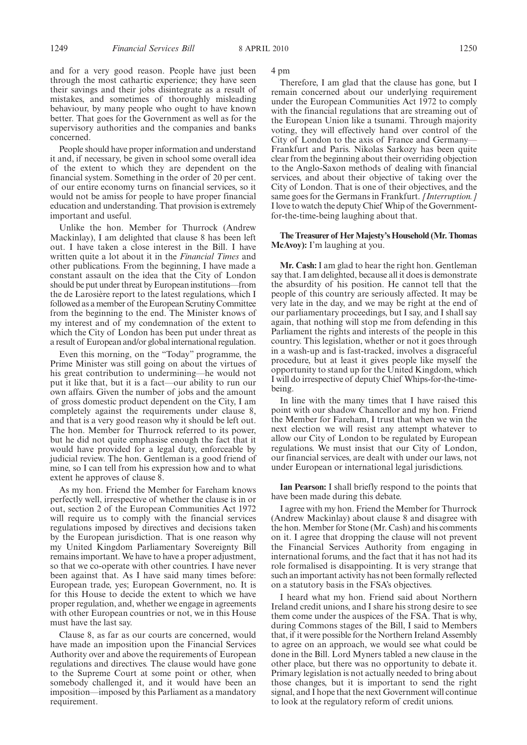and for a very good reason. People have just been through the most cathartic experience; they have seen their savings and their jobs disintegrate as a result of mistakes, and sometimes of thoroughly misleading behaviour, by many people who ought to have known better. That goes for the Government as well as for the supervisory authorities and the companies and banks concerned.

People should have proper information and understand it and, if necessary, be given in school some overall idea of the extent to which they are dependent on the financial system. Something in the order of 20 per cent. of our entire economy turns on financial services, so it would not be amiss for people to have proper financial education and understanding. That provision is extremely important and useful.

Unlike the hon. Member for Thurrock (Andrew Mackinlay), I am delighted that clause 8 has been left out. I have taken a close interest in the Bill. I have written quite a lot about it in the *Financial Times* and other publications. From the beginning, I have made a constant assault on the idea that the City of London should be put under threat by European institutions—from the de Larosière report to the latest regulations, which I followed as a member of the European Scrutiny Committee from the beginning to the end. The Minister knows of my interest and of my condemnation of the extent to which the City of London has been put under threat as a result of European and/or global international regulation.

Even this morning, on the "Today" programme, the Prime Minister was still going on about the virtues of his great contribution to undermining—he would not put it like that, but it is a fact—our ability to run our own affairs. Given the number of jobs and the amount of gross domestic product dependent on the City, I am completely against the requirements under clause 8, and that is a very good reason why it should be left out. The hon. Member for Thurrock referred to its power, but he did not quite emphasise enough the fact that it would have provided for a legal duty, enforceable by judicial review. The hon. Gentleman is a good friend of mine, so I can tell from his expression how and to what extent he approves of clause 8.

As my hon. Friend the Member for Fareham knows perfectly well, irrespective of whether the clause is in or out, section 2 of the European Communities Act 1972 will require us to comply with the financial services regulations imposed by directives and decisions taken by the European jurisdiction. That is one reason why my United Kingdom Parliamentary Sovereignty Bill remains important. We have to have a proper adjustment, so that we co-operate with other countries. I have never been against that. As I have said many times before: European trade, yes; European Government, no. It is for this House to decide the extent to which we have proper regulation, and, whether we engage in agreements with other European countries or not, we in this House must have the last say.

Clause 8, as far as our courts are concerned, would have made an imposition upon the Financial Services Authority over and above the requirements of European regulations and directives. The clause would have gone to the Supreme Court at some point or other, when somebody challenged it, and it would have been an imposition—imposed by this Parliament as a mandatory requirement.

4 pm

Therefore, I am glad that the clause has gone, but I remain concerned about our underlying requirement under the European Communities Act 1972 to comply with the financial regulations that are streaming out of the European Union like a tsunami. Through majority voting, they will effectively hand over control of the City of London to the axis of France and Germany— Frankfurt and Paris. Nikolas Sarkozy has been quite clear from the beginning about their overriding objection to the Anglo-Saxon methods of dealing with financial services, and about their objective of taking over the City of London. That is one of their objectives, and the same goes for the Germans in Frankfurt. *[Interruption.]* I love to watch the deputy Chief Whip of the Governmentfor-the-time-being laughing about that.

### The Treasurer of Her Majesty's Household (Mr. Thomas **McAvoy):** I'm laughing at you.

**Mr. Cash:** I am glad to hear the right hon. Gentleman say that. I am delighted, because all it does is demonstrate the absurdity of his position. He cannot tell that the people of this country are seriously affected. It may be very late in the day, and we may be right at the end of our parliamentary proceedings, but I say, and I shall say again, that nothing will stop me from defending in this Parliament the rights and interests of the people in this country. This legislation, whether or not it goes through in a wash-up and is fast-tracked, involves a disgraceful procedure, but at least it gives people like myself the opportunity to stand up for the United Kingdom, which I will do irrespective of deputy Chief Whips-for-the-timebeing.

In line with the many times that I have raised this point with our shadow Chancellor and my hon. Friend the Member for Fareham, I trust that when we win the next election we will resist any attempt whatever to allow our City of London to be regulated by European regulations. We must insist that our City of London, our financial services, are dealt with under our laws, not under European or international legal jurisdictions.

**Ian Pearson:** I shall briefly respond to the points that have been made during this debate.

I agree with my hon. Friend the Member for Thurrock (Andrew Mackinlay) about clause 8 and disagree with the hon. Member for Stone (Mr. Cash) and his comments on it. I agree that dropping the clause will not prevent the Financial Services Authority from engaging in international forums, and the fact that it has not had its role formalised is disappointing. It is very strange that such an important activity has not been formally reflected on a statutory basis in the FSA's objectives.

I heard what my hon. Friend said about Northern Ireland credit unions, and I share his strong desire to see them come under the auspices of the FSA. That is why, during Commons stages of the Bill, I said to Members that, if it were possible for the Northern Ireland Assembly to agree on an approach, we would see what could be done in the Bill. Lord Myners tabled a new clause in the other place, but there was no opportunity to debate it. Primary legislation is not actually needed to bring about those changes, but it is important to send the right signal, and I hope that the next Government will continue to look at the regulatory reform of credit unions.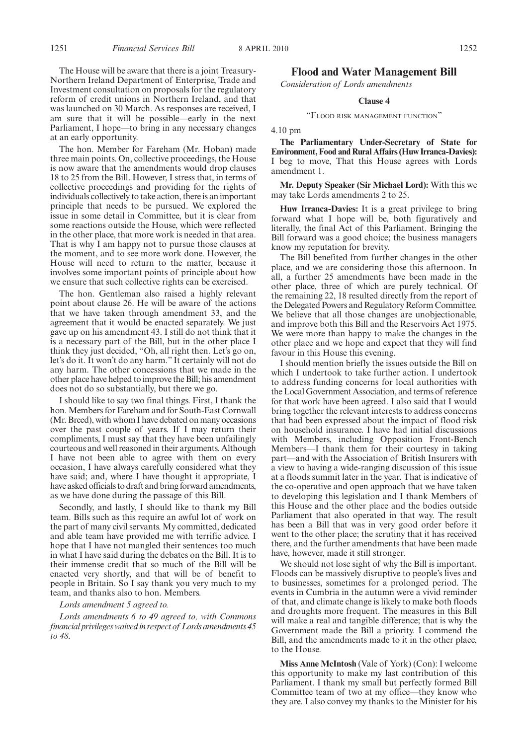The hon. Member for Fareham (Mr. Hoban) made three main points. On, collective proceedings, the House is now aware that the amendments would drop clauses 18 to 25 from the Bill. However, I stress that, in terms of collective proceedings and providing for the rights of individuals collectively to take action, there is an important principle that needs to be pursued. We explored the issue in some detail in Committee, but it is clear from some reactions outside the House, which were reflected in the other place, that more work is needed in that area. That is why I am happy not to pursue those clauses at the moment, and to see more work done. However, the House will need to return to the matter, because it involves some important points of principle about how we ensure that such collective rights can be exercised.

The hon. Gentleman also raised a highly relevant point about clause 26. He will be aware of the actions that we have taken through amendment 33, and the agreement that it would be enacted separately. We just gave up on his amendment 43. I still do not think that it is a necessary part of the Bill, but in the other place I think they just decided, "Oh, all right then. Let's go on, let's do it. It won't do any harm." It certainly will not do any harm. The other concessions that we made in the other place have helped to improve the Bill; his amendment does not do so substantially, but there we go.

I should like to say two final things. First, I thank the hon. Members for Fareham and for South-East Cornwall (Mr. Breed), with whom I have debated on many occasions over the past couple of years. If I may return their compliments, I must say that they have been unfailingly courteous and well reasoned in their arguments. Although I have not been able to agree with them on every occasion, I have always carefully considered what they have said; and, where I have thought it appropriate, I have asked officials to draft and bring forward amendments, as we have done during the passage of this Bill.

Secondly, and lastly, I should like to thank my Bill team. Bills such as this require an awful lot of work on the part of many civil servants. My committed, dedicated and able team have provided me with terrific advice. I hope that I have not mangled their sentences too much in what I have said during the debates on the Bill. It is to their immense credit that so much of the Bill will be enacted very shortly, and that will be of benefit to people in Britain. So I say thank you very much to my team, and thanks also to hon. Members.

## *Lords amendment 5 agreed to.*

*Lords amendments 6 to 49 agreed to, with Commons financial privileges waived in respect of Lords amendments 45 to 48.*

## **Flood and Water Management Bill**

*Consideration of Lords amendments*

## **Clause 4**

#### "FLOOD RISK MANAGEMENT FUNCTION"

4.10 pm

**The Parliamentary Under-Secretary of State for Environment, Food and Rural Affairs (Huw Irranca-Davies):** I beg to move, That this House agrees with Lords amendment 1.

**Mr. Deputy Speaker (Sir Michael Lord):** With this we may take Lords amendments 2 to 25.

**Huw Irranca-Davies:** It is a great privilege to bring forward what I hope will be, both figuratively and literally, the final Act of this Parliament. Bringing the Bill forward was a good choice; the business managers know my reputation for brevity.

The Bill benefited from further changes in the other place, and we are considering those this afternoon. In all, a further 25 amendments have been made in the other place, three of which are purely technical. Of the remaining 22, 18 resulted directly from the report of the Delegated Powers and Regulatory Reform Committee. We believe that all those changes are unobjectionable, and improve both this Bill and the Reservoirs Act 1975. We were more than happy to make the changes in the other place and we hope and expect that they will find favour in this House this evening.

I should mention briefly the issues outside the Bill on which I undertook to take further action. I undertook to address funding concerns for local authorities with the Local Government Association, and terms of reference for that work have been agreed. I also said that I would bring together the relevant interests to address concerns that had been expressed about the impact of flood risk on household insurance. I have had initial discussions with Members, including Opposition Front-Bench Members—I thank them for their courtesy in taking part—and with the Association of British Insurers with a view to having a wide-ranging discussion of this issue at a floods summit later in the year. That is indicative of the co-operative and open approach that we have taken to developing this legislation and I thank Members of this House and the other place and the bodies outside Parliament that also operated in that way. The result has been a Bill that was in very good order before it went to the other place; the scrutiny that it has received there, and the further amendments that have been made have, however, made it still stronger.

We should not lose sight of why the Bill is important. Floods can be massively disruptive to people's lives and to businesses, sometimes for a prolonged period. The events in Cumbria in the autumn were a vivid reminder of that, and climate change is likely to make both floods and droughts more frequent. The measures in this Bill will make a real and tangible difference; that is why the Government made the Bill a priority. I commend the Bill, and the amendments made to it in the other place, to the House.

**Miss Anne McIntosh** (Vale of York) (Con): I welcome this opportunity to make my last contribution of this Parliament. I thank my small but perfectly formed Bill Committee team of two at my office—they know who they are. I also convey my thanks to the Minister for his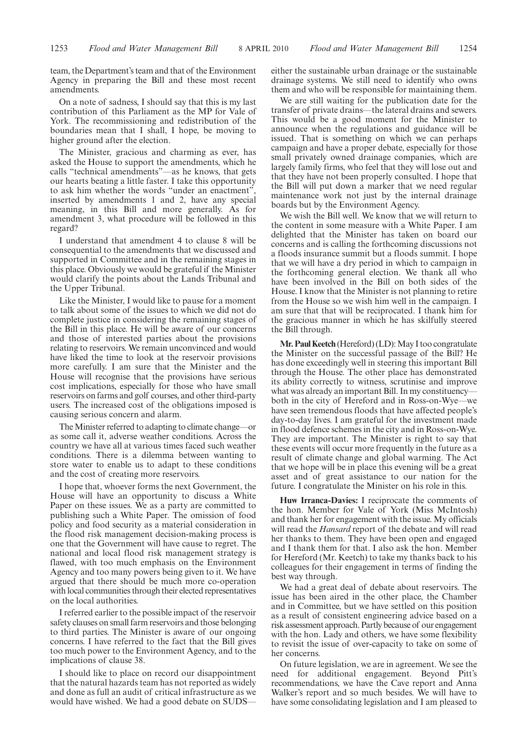team, the Department's team and that of the Environment Agency in preparing the Bill and these most recent amendments.

On a note of sadness, I should say that this is my last contribution of this Parliament as the MP for Vale of York. The recommissioning and redistribution of the boundaries mean that I shall, I hope, be moving to higher ground after the election.

The Minister, gracious and charming as ever, has asked the House to support the amendments, which he calls "technical amendments"—as he knows, that gets our hearts beating a little faster. I take this opportunity to ask him whether the words "under an enactment", inserted by amendments 1 and 2, have any special meaning, in this Bill and more generally. As for amendment 3, what procedure will be followed in this regard?

I understand that amendment 4 to clause 8 will be consequential to the amendments that we discussed and supported in Committee and in the remaining stages in this place. Obviously we would be grateful if the Minister would clarify the points about the Lands Tribunal and the Upper Tribunal.

Like the Minister, I would like to pause for a moment to talk about some of the issues to which we did not do complete justice in considering the remaining stages of the Bill in this place. He will be aware of our concerns and those of interested parties about the provisions relating to reservoirs. We remain unconvinced and would have liked the time to look at the reservoir provisions more carefully. I am sure that the Minister and the House will recognise that the provisions have serious cost implications, especially for those who have small reservoirs on farms and golf courses, and other third-party users. The increased cost of the obligations imposed is causing serious concern and alarm.

The Minister referred to adapting to climate change—or as some call it, adverse weather conditions. Across the country we have all at various times faced such weather conditions. There is a dilemma between wanting to store water to enable us to adapt to these conditions and the cost of creating more reservoirs.

I hope that, whoever forms the next Government, the House will have an opportunity to discuss a White Paper on these issues. We as a party are committed to publishing such a White Paper. The omission of food policy and food security as a material consideration in the flood risk management decision-making process is one that the Government will have cause to regret. The national and local flood risk management strategy is flawed, with too much emphasis on the Environment Agency and too many powers being given to it. We have argued that there should be much more co-operation with local communities through their elected representatives on the local authorities.

I referred earlier to the possible impact of the reservoir safety clauses on small farm reservoirs and those belonging to third parties. The Minister is aware of our ongoing concerns. I have referred to the fact that the Bill gives too much power to the Environment Agency, and to the implications of clause 38.

I should like to place on record our disappointment that the natural hazards team has not reported as widely and done as full an audit of critical infrastructure as we would have wished. We had a good debate on SUDS—

either the sustainable urban drainage or the sustainable drainage systems. We still need to identify who owns them and who will be responsible for maintaining them.

We are still waiting for the publication date for the transfer of private drains—the lateral drains and sewers. This would be a good moment for the Minister to announce when the regulations and guidance will be issued. That is something on which we can perhaps campaign and have a proper debate, especially for those small privately owned drainage companies, which are largely family firms, who feel that they will lose out and that they have not been properly consulted. I hope that the Bill will put down a marker that we need regular maintenance work not just by the internal drainage boards but by the Environment Agency.

We wish the Bill well. We know that we will return to the content in some measure with a White Paper. I am delighted that the Minister has taken on board our concerns and is calling the forthcoming discussions not a floods insurance summit but a floods summit. I hope that we will have a dry period in which to campaign in the forthcoming general election. We thank all who have been involved in the Bill on both sides of the House. I know that the Minister is not planning to retire from the House so we wish him well in the campaign. I am sure that that will be reciprocated. I thank him for the gracious manner in which he has skilfully steered the Bill through.

**Mr. Paul Keetch** (Hereford) (LD): May I too congratulate the Minister on the successful passage of the Bill? He has done exceedingly well in steering this important Bill through the House. The other place has demonstrated its ability correctly to witness, scrutinise and improve what was already an important Bill. In my constituency both in the city of Hereford and in Ross-on-Wye—we have seen tremendous floods that have affected people's day-to-day lives. I am grateful for the investment made in flood defence schemes in the city and in Ross-on-Wye. They are important. The Minister is right to say that these events will occur more frequently in the future as a result of climate change and global warming. The Act that we hope will be in place this evening will be a great asset and of great assistance to our nation for the future. I congratulate the Minister on his role in this.

**Huw Irranca-Davies:** I reciprocate the comments of the hon. Member for Vale of York (Miss McIntosh) and thank her for engagement with the issue. My officials will read the *Hansard* report of the debate and will read her thanks to them. They have been open and engaged and I thank them for that. I also ask the hon. Member for Hereford (Mr. Keetch) to take my thanks back to his colleagues for their engagement in terms of finding the best way through.

We had a great deal of debate about reservoirs. The issue has been aired in the other place, the Chamber and in Committee, but we have settled on this position as a result of consistent engineering advice based on a risk assessment approach. Partly because of our engagement with the hon. Lady and others, we have some flexibility to revisit the issue of over-capacity to take on some of her concerns.

On future legislation, we are in agreement. We see the need for additional engagement. Beyond Pitt's recommendations, we have the Cave report and Anna Walker's report and so much besides. We will have to have some consolidating legislation and I am pleased to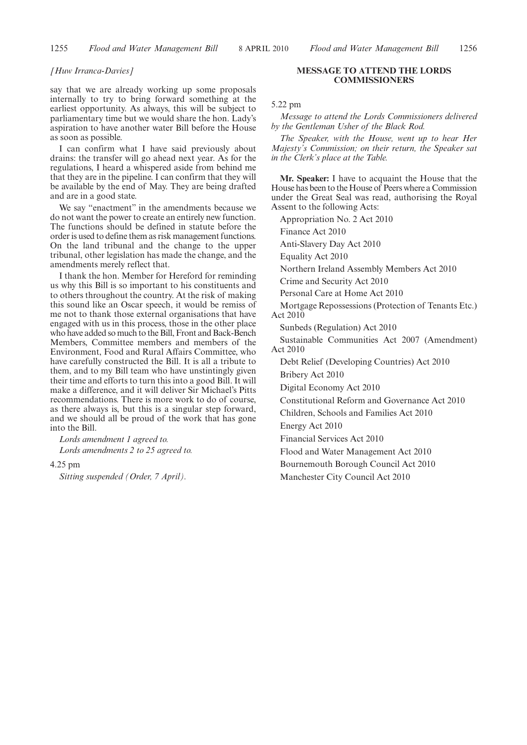#### *[Huw Irranca-Davies]*

say that we are already working up some proposals internally to try to bring forward something at the earliest opportunity. As always, this will be subject to parliamentary time but we would share the hon. Lady's aspiration to have another water Bill before the House as soon as possible.

I can confirm what I have said previously about drains: the transfer will go ahead next year. As for the regulations, I heard a whispered aside from behind me that they are in the pipeline. I can confirm that they will be available by the end of May. They are being drafted and are in a good state.

We say "enactment" in the amendments because we do not want the power to create an entirely new function. The functions should be defined in statute before the order is used to define them as risk management functions. On the land tribunal and the change to the upper tribunal, other legislation has made the change, and the amendments merely reflect that.

I thank the hon. Member for Hereford for reminding us why this Bill is so important to his constituents and to others throughout the country. At the risk of making this sound like an Oscar speech, it would be remiss of me not to thank those external organisations that have engaged with us in this process, those in the other place who have added so much to the Bill, Front and Back-Bench Members, Committee members and members of the Environment, Food and Rural Affairs Committee, who have carefully constructed the Bill. It is all a tribute to them, and to my Bill team who have unstintingly given their time and efforts to turn this into a good Bill. It will make a difference, and it will deliver Sir Michael's Pitts recommendations. There is more work to do of course, as there always is, but this is a singular step forward, and we should all be proud of the work that has gone into the Bill.

*Lords amendment 1 agreed to. Lords amendments 2 to 25 agreed to.*

4.25 pm

*Sitting suspended (Order, 7 April).*

### **MESSAGE TO ATTEND THE LORDS COMMISSIONERS**

5.22 pm

*Message to attend the Lords Commissioners delivered by the Gentleman Usher of the Black Rod.*

*The Speaker, with the House, went up to hear Her Majesty's Commission; on their return, the Speaker sat in the Clerk's place at the Table.*

**Mr. Speaker:** I have to acquaint the House that the House has been to the House of Peers where a Commission under the Great Seal was read, authorising the Royal Assent to the following Acts:

Appropriation No. 2 Act 2010

Finance Act 2010

Anti-Slavery Day Act 2010

Equality Act 2010

Northern Ireland Assembly Members Act 2010

Crime and Security Act 2010

Personal Care at Home Act 2010

Mortgage Repossessions (Protection of Tenants Etc.) Act 2010

Sunbeds (Regulation) Act 2010

Sustainable Communities Act 2007 (Amendment) Act 2010

Debt Relief (Developing Countries) Act 2010

Bribery Act 2010

Digital Economy Act 2010

Constitutional Reform and Governance Act 2010

Children, Schools and Families Act 2010

Energy Act 2010

Financial Services Act 2010

Flood and Water Management Act 2010

Bournemouth Borough Council Act 2010

Manchester City Council Act 2010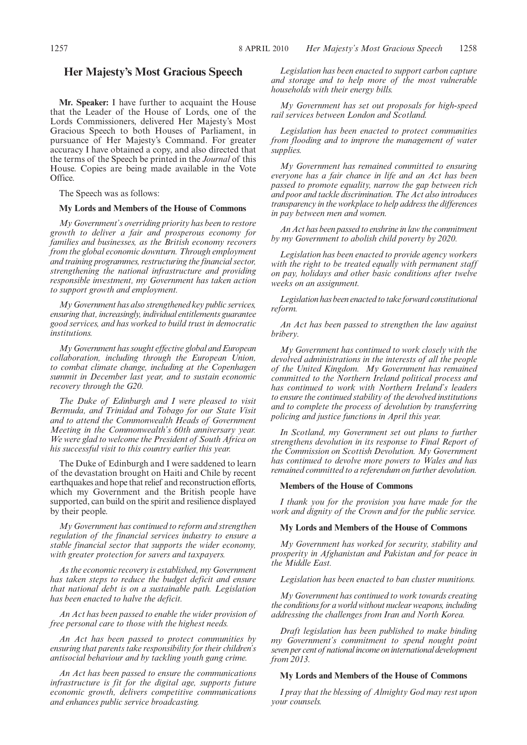## **Her Majesty's Most Gracious Speech**

**Mr. Speaker:** I have further to acquaint the House that the Leader of the House of Lords, one of the Lords Commissioners, delivered Her Majesty's Most Gracious Speech to both Houses of Parliament, in pursuance of Her Majesty's Command. For greater accuracy I have obtained a copy, and also directed that the terms of the Speech be printed in the *Journal* of this House. Copies are being made available in the Vote Office.

The Speech was as follows:

### **My Lords and Members of the House of Commons**

*My Government's overriding priority has been to restore growth to deliver a fair and prosperous economy for families and businesses, as the British economy recovers from the global economic downturn. Through employment and training programmes, restructuring the financial sector, strengthening the national infrastructure and providing responsible investment, my Government has taken action to support growth and employment.*

*My Government has also strengthened key public services, ensuring that, increasingly, individual entitlements guarantee good services, and has worked to build trust in democratic institutions.*

*My Government has sought effective global and European collaboration, including through the European Union, to combat climate change, including at the Copenhagen summit in December last year, and to sustain economic recovery through the G20.*

*The Duke of Edinburgh and I were pleased to visit Bermuda, and Trinidad and Tobago for our State Visit and to attend the Commonwealth Heads of Government Meeting in the Commonwealth's 60th anniversary year. We were glad to welcome the President of South Africa on his successful visit to this country earlier this year.*

The Duke of Edinburgh and I were saddened to learn of the devastation brought on Haiti and Chile by recent earthquakes and hope that relief and reconstruction efforts, which my Government and the British people have supported, can build on the spirit and resilience displayed by their people.

*My Government has continued to reform and strengthen regulation of the financial services industry to ensure a stable financial sector that supports the wider economy, with greater protection for savers and taxpayers.*

*As the economic recovery is established, my Government has taken steps to reduce the budget deficit and ensure that national debt is on a sustainable path. Legislation has been enacted to halve the deficit.*

*An Act has been passed to enable the wider provision of free personal care to those with the highest needs.*

*An Act has been passed to protect communities by ensuring that parents take responsibility for their children's antisocial behaviour and by tackling youth gang crime.*

*An Act has been passed to ensure the communications infrastructure is fit for the digital age, supports future economic growth, delivers competitive communications and enhances public service broadcasting.*

*Legislation has been enacted to support carbon capture and storage and to help more of the most vulnerable households with their energy bills.*

*My Government has set out proposals for high-speed rail services between London and Scotland.*

*Legislation has been enacted to protect communities from flooding and to improve the management of water supplies.*

*My Government has remained committed to ensuring everyone has a fair chance in life and an Act has been passed to promote equality, narrow the gap between rich and poor and tackle discrimination. The Act also introduces transparency in the workplace to help address the differences in pay between men and women.*

*An Act has been passed to enshrine in law the commitment by my Government to abolish child poverty by 2020.*

*Legislation has been enacted to provide agency workers with the right to be treated equally with permanent staff on pay, holidays and other basic conditions after twelve weeks on an assignment.*

*Legislation has been enacted to take forward constitutional reform.*

*An Act has been passed to strengthen the law against bribery.*

*My Government has continued to work closely with the devolved administrations in the interests of all the people of the United Kingdom. My Government has remained committed to the Northern Ireland political process and has continued to work with Northern Ireland's leaders to ensure the continued stability of the devolved institutions and to complete the process of devolution by transferring policing and justice functions in April this year.*

*In Scotland, my Government set out plans to further strengthens devolution in its response to Final Report of the Commission on Scottish Devolution. My Government has continued to devolve more powers to Wales and has remained committed to a referendum on further devolution.*

#### **Members of the House of Commons**

*I thank you for the provision you have made for the work and dignity of the Crown and for the public service.*

## **My Lords and Members of the House of Commons**

*My Government has worked for security, stability and prosperity in Afghanistan and Pakistan and for peace in the Middle East.*

*Legislation has been enacted to ban cluster munitions.*

*My Government has continued to work towards creating the conditions for a world without nuclear weapons, including addressing the challenges from Iran and North Korea.*

*Draft legislation has been published to make binding my Government's commitment to spend nought point seven per cent of nationalincome oninternational development from 2013.*

## **My Lords and Members of the House of Commons**

*I pray that the blessing of Almighty God may rest upon your counsels.*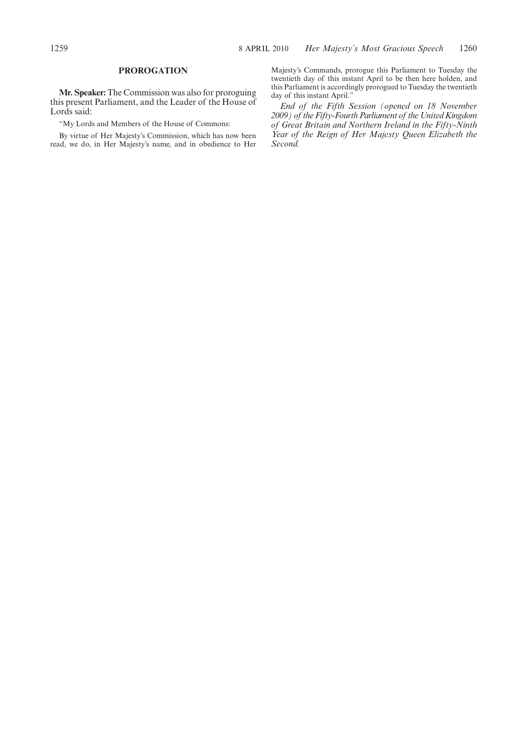## **PROROGATION**

**Mr. Speaker:** The Commission was also for proroguing this present Parliament, and the Leader of the House of Lords said:

"My Lords and Members of the House of Commons:

By virtue of Her Majesty's Commission, which has now been read, we do, in Her Majesty's name, and in obedience to Her Majesty's Commands, prorogue this Parliament to Tuesday the twentieth day of this instant April to be then here holden, and this Parliament is accordingly prorogued to Tuesday the twentieth day of this instant April."

*End of the Fifth Session (opened on 18 November 2009) of the Fifty-Fourth Parliament of the United Kingdom of Great Britain and Northern Ireland in the Fifty-Ninth Year of the Reign of Her Majesty Queen Elizabeth the Second.*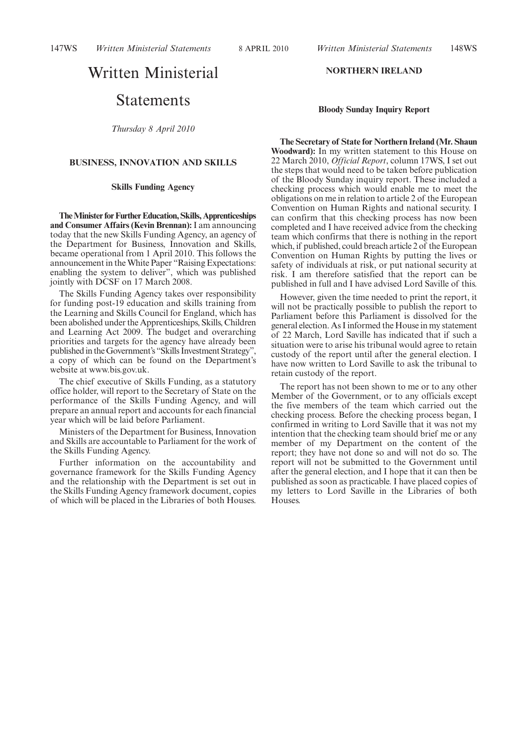147WS *Written Ministerial Statements Written Ministerial Statements* 8 APRIL 2010 148WS

# Written Ministerial

## Statements

*Thursday 8 April 2010*

## **BUSINESS, INNOVATION AND SKILLS**

## **Skills Funding Agency**

**The Minister for Further Education, Skills, Apprenticeships and Consumer Affairs (Kevin Brennan):**I am announcing today that the new Skills Funding Agency, an agency of the Department for Business, Innovation and Skills, became operational from 1 April 2010. This follows the announcement in the White Paper "Raising Expectations: enabling the system to deliver", which was published jointly with DCSF on 17 March 2008.

The Skills Funding Agency takes over responsibility for funding post-19 education and skills training from the Learning and Skills Council for England, which has been abolished under the Apprenticeships, Skills, Children and Learning Act 2009. The budget and overarching priorities and targets for the agency have already been published in the Government's "Skills Investment Strategy", a copy of which can be found on the Department's website at www.bis.gov.uk.

The chief executive of Skills Funding, as a statutory office holder, will report to the Secretary of State on the performance of the Skills Funding Agency, and will prepare an annual report and accounts for each financial year which will be laid before Parliament.

Ministers of the Department for Business, Innovation and Skills are accountable to Parliament for the work of the Skills Funding Agency.

Further information on the accountability and governance framework for the Skills Funding Agency and the relationship with the Department is set out in the Skills Funding Agency framework document, copies of which will be placed in the Libraries of both Houses.

## **NORTHERN IRELAND**

#### **Bloody Sunday Inquiry Report**

**The Secretary of State for Northern Ireland (Mr. Shaun Woodward):** In my written statement to this House on 22 March 2010, *Official Report*, column 17WS, I set out the steps that would need to be taken before publication of the Bloody Sunday inquiry report. These included a checking process which would enable me to meet the obligations on me in relation to article 2 of the European Convention on Human Rights and national security. I can confirm that this checking process has now been completed and I have received advice from the checking team which confirms that there is nothing in the report which, if published, could breach article 2 of the European Convention on Human Rights by putting the lives or safety of individuals at risk, or put national security at risk. I am therefore satisfied that the report can be published in full and I have advised Lord Saville of this.

However, given the time needed to print the report, it will not be practically possible to publish the report to Parliament before this Parliament is dissolved for the general election. As I informed the House in my statement of 22 March, Lord Saville has indicated that if such a situation were to arise his tribunal would agree to retain custody of the report until after the general election. I have now written to Lord Saville to ask the tribunal to retain custody of the report.

The report has not been shown to me or to any other Member of the Government, or to any officials except the five members of the team which carried out the checking process. Before the checking process began, I confirmed in writing to Lord Saville that it was not my intention that the checking team should brief me or any member of my Department on the content of the report; they have not done so and will not do so. The report will not be submitted to the Government until after the general election, and I hope that it can then be published as soon as practicable. I have placed copies of my letters to Lord Saville in the Libraries of both Houses.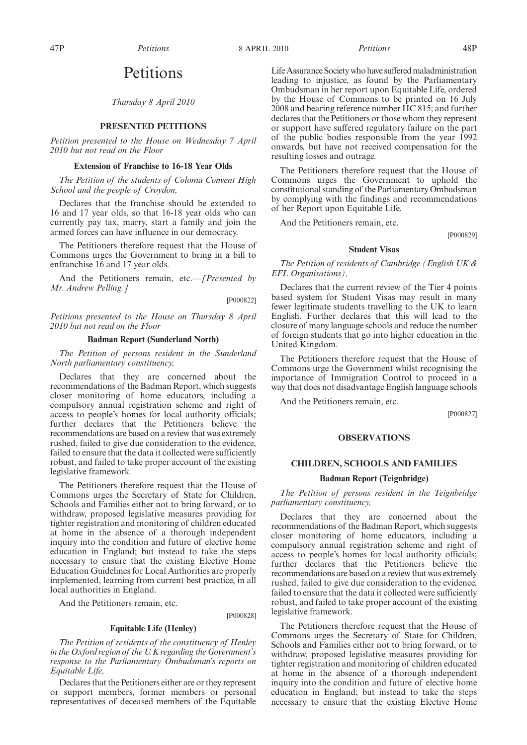## Petitions

*Thursday 8 April 2010*

#### **PRESENTED PETITIONS**

*Petition presented to the House on Wednesday 7 April 2010 but not read on the Floor*

#### **Extension of Franchise to 16-18 Year Olds**

*The Petition of the students of Coloma Convent High School and the people of Croydon,*

Declares that the franchise should be extended to 16 and 17 year olds, so that 16-18 year olds who can currently pay tax, marry, start a family and join the armed forces can have influence in our democracy.

The Petitioners therefore request that the House of Commons urges the Government to bring in a bill to enfranchise 16 and 17 year olds.

And the Petitioners remain, etc.*—[Presented by Mr. Andrew Pelling.]*

[P000822]

*Petitions presented to the House on Thursday 8 April 2010 but not read on the Floor*

#### **Badman Report (Sunderland North)**

*The Petition of persons resident in the Sunderland North parliamentary constituency,*

Declares that they are concerned about the recommendations of the Badman Report, which suggests closer monitoring of home educators, including a compulsory annual registration scheme and right of access to people's homes for local authority officials; further declares that the Petitioners believe the recommendations are based on a review that was extremely rushed, failed to give due consideration to the evidence, failed to ensure that the data it collected were sufficiently robust, and failed to take proper account of the existing legislative framework.

The Petitioners therefore request that the House of Commons urges the Secretary of State for Children, Schools and Families either not to bring forward, or to withdraw, proposed legislative measures providing for tighter registration and monitoring of children educated at home in the absence of a thorough independent inquiry into the condition and future of elective home education in England; but instead to take the steps necessary to ensure that the existing Elective Home Education Guidelines for Local Authorities are properly implemented, learning from current best practice, in all local authorities in England.

And the Petitioners remain, etc.

[P000828]

#### **Equitable Life (Henley)**

*The Petition of residents of the constituency of Henley in the Oxford region of the U.K regarding the Government's response to the Parliamentary Ombudsman's reports on Equitable Life,*

Declares that the Petitioners either are or they represent or support members, former members or personal representatives of deceased members of the Equitable

Life Assurance Society who have suffered maladministration leading to injustice, as found by the Parliamentary Ombudsman in her report upon Equitable Life, ordered by the House of Commons to be printed on 16 July 2008 and bearing reference number HC 815; and further declares that the Petitioners or those whom they represent or support have suffered regulatory failure on the part of the public bodies responsible from the year 1992 onwards, but have not received compensation for the resulting losses and outrage.

The Petitioners therefore request that the House of Commons urges the Government to uphold the constitutional standing of the Parliamentary Ombudsman by complying with the findings and recommendations of her Report upon Equitable Life.

And the Petitioners remain, etc.

[P000829]

## **Student Visas**

*The Petition of residents of Cambridge (English UK & EFL Organisations),*

Declares that the current review of the Tier 4 points based system for Student Visas may result in many fewer legitimate students travelling to the UK to learn English. Further declares that this will lead to the closure of many language schools and reduce the number of foreign students that go into higher education in the United Kingdom.

The Petitioners therefore request that the House of Commons urge the Government whilst recognising the importance of Immigration Control to proceed in a way that does not disadvantage English language schools

And the Petitioners remain, etc.

[P000827]

#### **OBSERVATIONS**

#### **CHILDREN, SCHOOLS AND FAMILIES**

#### **Badman Report (Teignbridge)**

*The Petition of persons resident in the Teignbridge parliamentary constituency,*

Declares that they are concerned about the recommendations of the Badman Report, which suggests closer monitoring of home educators, including a compulsory annual registration scheme and right of access to people's homes for local authority officials; further declares that the Petitioners believe the recommendations are based on a review that was extremely rushed, failed to give due consideration to the evidence, failed to ensure that the data it collected were sufficiently robust, and failed to take proper account of the existing legislative framework.

The Petitioners therefore request that the House of Commons urges the Secretary of State for Children, Schools and Families either not to bring forward, or to withdraw, proposed legislative measures providing for tighter registration and monitoring of children educated at home in the absence of a thorough independent inquiry into the condition and future of elective home education in England; but instead to take the steps necessary to ensure that the existing Elective Home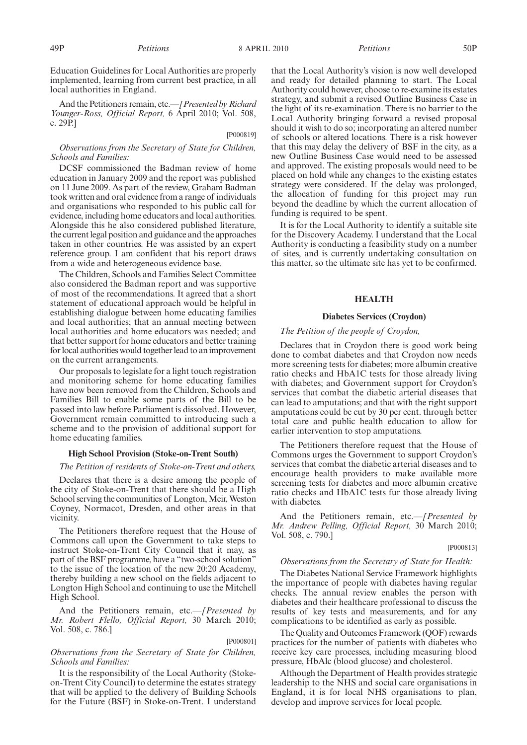Education Guidelines for Local Authorities are properly implemented, learning from current best practice, in all local authorities in England.

And the Petitioners remain, etc.*—[Presented by Richard Younger-Ross, Official Report,* 6 April 2010; Vol. 508, c. 29P.]

#### [P000819]

#### *Observations from the Secretary of State for Children, Schools and Families:*

DCSF commissioned the Badman review of home education in January 2009 and the report was published on 11 June 2009. As part of the review, Graham Badman took written and oral evidence from a range of individuals and organisations who responded to his public call for evidence, including home educators and local authorities. Alongside this he also considered published literature, the current legal position and guidance and the approaches taken in other countries. He was assisted by an expert reference group. I am confident that his report draws from a wide and heterogeneous evidence base.

The Children, Schools and Families Select Committee also considered the Badman report and was supportive of most of the recommendations. It agreed that a short statement of educational approach would be helpful in establishing dialogue between home educating families and local authorities; that an annual meeting between local authorities and home educators was needed; and that better support for home educators and better training for local authorities would together lead to an improvement on the current arrangements.

Our proposals to legislate for a light touch registration and monitoring scheme for home educating families have now been removed from the Children, Schools and Families Bill to enable some parts of the Bill to be passed into law before Parliament is dissolved. However, Government remain committed to introducing such a scheme and to the provision of additional support for home educating families.

#### **High School Provision (Stoke-on-Trent South)**

#### *The Petition of residents of Stoke-on-Trent and others,*

Declares that there is a desire among the people of the city of Stoke-on-Trent that there should be a High School serving the communities of Longton, Meir, Weston Coyney, Normacot, Dresden, and other areas in that vicinity.

The Petitioners therefore request that the House of Commons call upon the Government to take steps to instruct Stoke-on-Trent City Council that it may, as part of the BSF programme, have a "two-school solution" to the issue of the location of the new 20:20 Academy, thereby building a new school on the fields adjacent to Longton High School and continuing to use the Mitchell High School.

And the Petitioners remain, etc.*—[Presented by Mr. Robert Flello, Official Report,* 30 March 2010; Vol. 508, c. 786.]

#### [P000801]

## *Observations from the Secretary of State for Children, Schools and Families:*

It is the responsibility of the Local Authority (Stokeon-Trent City Council) to determine the estates strategy that will be applied to the delivery of Building Schools for the Future (BSF) in Stoke-on-Trent. I understand that the Local Authority's vision is now well developed and ready for detailed planning to start. The Local Authority could however, choose to re-examine its estates strategy, and submit a revised Outline Business Case in the light of its re-examination. There is no barrier to the Local Authority bringing forward a revised proposal should it wish to do so; incorporating an altered number of schools or altered locations. There is a risk however that this may delay the delivery of BSF in the city, as a new Outline Business Case would need to be assessed and approved. The existing proposals would need to be placed on hold while any changes to the existing estates strategy were considered. If the delay was prolonged, the allocation of funding for this project may run beyond the deadline by which the current allocation of funding is required to be spent.

It is for the Local Authority to identify a suitable site for the Discovery Academy. I understand that the Local Authority is conducting a feasibility study on a number of sites, and is currently undertaking consultation on this matter, so the ultimate site has yet to be confirmed.

#### **HEALTH**

#### **Diabetes Services (Croydon)**

## *The Petition of the people of Croydon,*

Declares that in Croydon there is good work being done to combat diabetes and that Croydon now needs more screening tests for diabetes; more albumin creative ratio checks and HbA1C tests for those already living with diabetes; and Government support for Croydon's services that combat the diabetic arterial diseases that can lead to amputations; and that with the right support amputations could be cut by 30 per cent. through better total care and public health education to allow for earlier intervention to stop amputations.

The Petitioners therefore request that the House of Commons urges the Government to support Croydon's services that combat the diabetic arterial diseases and to encourage health providers to make available more screening tests for diabetes and more albumin creative ratio checks and HbA1C tests fur those already living with diabetes.

And the Petitioners remain, etc.*—[Presented by Mr. Andrew Pelling, Official Report,* 30 March 2010; Vol. 508, c. 790.]

#### [P000813]

## *Observations from the Secretary of State for Health:*

The Diabetes National Service Framework highlights the importance of people with diabetes having regular checks. The annual review enables the person with diabetes and their healthcare professional to discuss the results of key tests and measurements, and for any complications to be identified as early as possible.

The Quality and Outcomes Framework (QOF) rewards practices for the number of patients with diabetes who receive key care processes, including measuring blood pressure, HbAlc (blood glucose) and cholesterol.

Although the Department of Health provides strategic leadership to the NHS and social care organisations in England, it is for local NHS organisations to plan, develop and improve services for local people.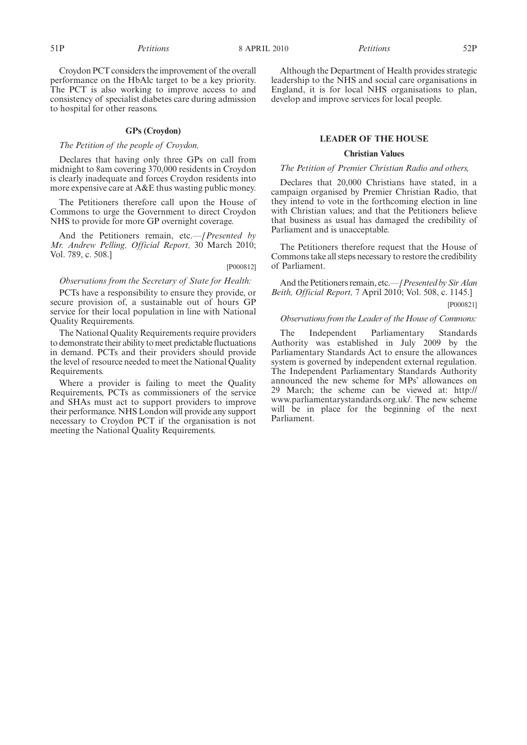Croydon PCT considers the improvement of the overall performance on the HbAlc target to be a key priority. The PCT is also working to improve access to and consistency of specialist diabetes care during admission to hospital for other reasons.

## **GPs (Croydon)**

## *The Petition of the people of Croydon,*

Declares that having only three GPs on call from midnight to 8am covering 370,000 residents in Croydon is clearly inadequate and forces Croydon residents into more expensive care at A&E thus wasting public money.

The Petitioners therefore call upon the House of Commons to urge the Government to direct Croydon NHS to provide for more GP overnight coverage.

And the Petitioners remain, etc.*—[Presented by Mr. Andrew Pelling, Official Report,* 30 March 2010; Vol. 789, c. 508.]

### [P000812]

## *Observations from the Secretary of State for Health:*

PCTs have a responsibility to ensure they provide, or secure provision of, a sustainable out of hours GP service for their local population in line with National Quality Requirements.

The National Quality Requirements require providers to demonstrate their ability to meet predictable fluctuations in demand. PCTs and their providers should provide the level of resource needed to meet the National Quality Requirements.

Where a provider is failing to meet the Quality Requirements, PCTs as commissioners of the service and SHAs must act to support providers to improve their performance. NHS London will provide any support necessary to Croydon PCT if the organisation is not meeting the National Quality Requirements.

Although the Department of Health provides strategic leadership to the NHS and social care organisations in England, it is for local NHS organisations to plan, develop and improve services for local people.

#### **LEADER OF THE HOUSE**

#### **Christian Values**

#### *The Petition of Premier Christian Radio and others,*

Declares that 20,000 Christians have stated, in a campaign organised by Premier Christian Radio, that they intend to vote in the forthcoming election in line with Christian values; and that the Petitioners believe that business as usual has damaged the credibility of Parliament and is unacceptable.

The Petitioners therefore request that the House of Commons take all steps necessary to restore the credibility of Parliament.

And the Petitioners remain, etc.*—[Presented by Sir Alan Beith, Official Report,* 7 April 2010; Vol. 508, c. 1145.]

## [P000821]

#### *Observations from the Leader of the House of Commons:*

The Independent Parliamentary Standards Authority was established in July 2009 by the Parliamentary Standards Act to ensure the allowances system is governed by independent external regulation. The Independent Parliamentary Standards Authority announced the new scheme for MPs' allowances on 29 March; the scheme can be viewed at: http:// www.parliamentarystandards.org.uk/. The new scheme will be in place for the beginning of the next Parliament.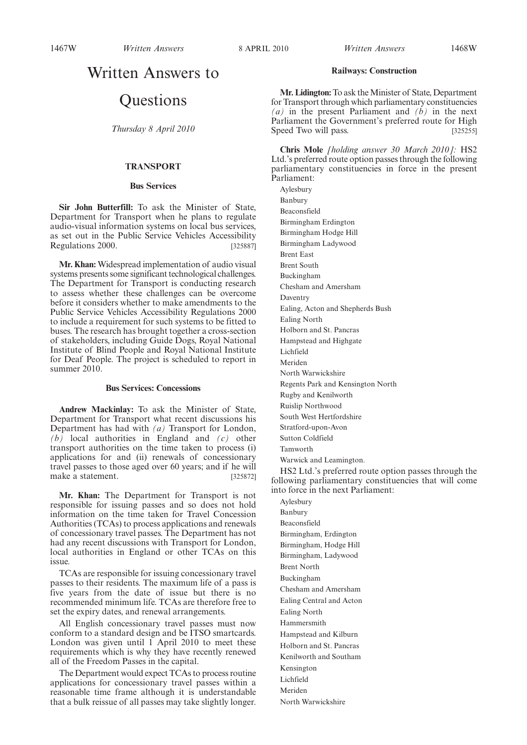## Written Answers to

## **Questions**

*Thursday 8 April 2010*

## **TRANSPORT**

#### **Bus Services**

**Sir John Butterfill:** To ask the Minister of State, Department for Transport when he plans to regulate audio-visual information systems on local bus services, as set out in the Public Service Vehicles Accessibility Regulations 2000. [325887]

**Mr. Khan:** Widespread implementation of audio visual systems presents some significant technological challenges. The Department for Transport is conducting research to assess whether these challenges can be overcome before it considers whether to make amendments to the Public Service Vehicles Accessibility Regulations 2000 to include a requirement for such systems to be fitted to buses. The research has brought together a cross-section of stakeholders, including Guide Dogs, Royal National Institute of Blind People and Royal National Institute for Deaf People. The project is scheduled to report in summer 2010.

#### **Bus Services: Concessions**

**Andrew Mackinlay:** To ask the Minister of State, Department for Transport what recent discussions his Department has had with *(a)* Transport for London, *(b)* local authorities in England and *(c)* other transport authorities on the time taken to process (i) applications for and (ii) renewals of concessionary travel passes to those aged over 60 years; and if he will make a statement. [325872]

**Mr. Khan:** The Department for Transport is not responsible for issuing passes and so does not hold information on the time taken for Travel Concession Authorities (TCAs) to process applications and renewals of concessionary travel passes. The Department has not had any recent discussions with Transport for London, local authorities in England or other TCAs on this issue.

TCAs are responsible for issuing concessionary travel passes to their residents. The maximum life of a pass is five years from the date of issue but there is no recommended minimum life. TCAs are therefore free to set the expiry dates, and renewal arrangements.

All English concessionary travel passes must now conform to a standard design and be ITSO smartcards. London was given until 1 April 2010 to meet these requirements which is why they have recently renewed all of the Freedom Passes in the capital.

The Department would expect TCAs to process routine applications for concessionary travel passes within a reasonable time frame although it is understandable that a bulk reissue of all passes may take slightly longer.

#### **Railways: Construction**

Mr. Lidington: To ask the Minister of State, Department for Transport through which parliamentary constituencies *(a)* in the present Parliament and *(b)* in the next Parliament the Government's preferred route for High Speed Two will pass. [325255]

**Chris Mole** *[holding answer 30 March 2010]:* HS2 Ltd.'s preferred route option passes through the following parliamentary constituencies in force in the present Parliament:

Aylesbury Banbury Beaconsfield Birmingham Erdington Birmingham Hodge Hill Birmingham Ladywood Brent East Brent South Buckingham Chesham and Amersham Daventry Ealing, Acton and Shepherds Bush Ealing North Holborn and St. Pancras Hampstead and Highgate Lichfield Meriden North Warwickshire Regents Park and Kensington North Rugby and Kenilworth Ruislip Northwood South West Hertfordshire Stratford-upon-Avon Sutton Coldfield

Tamworth

Warwick and Leamington.

HS2 Ltd.'s preferred route option passes through the following parliamentary constituencies that will come into force in the next Parliament:

Aylesbury Banbury Beaconsfield Birmingham, Erdington Birmingham, Hodge Hill Birmingham, Ladywood Brent North Buckingham Chesham and Amersham Ealing Central and Acton Ealing North Hammersmith Hampstead and Kilburn Holborn and St. Pancras Kenilworth and Southam Kensington Lichfield Meriden North Warwickshire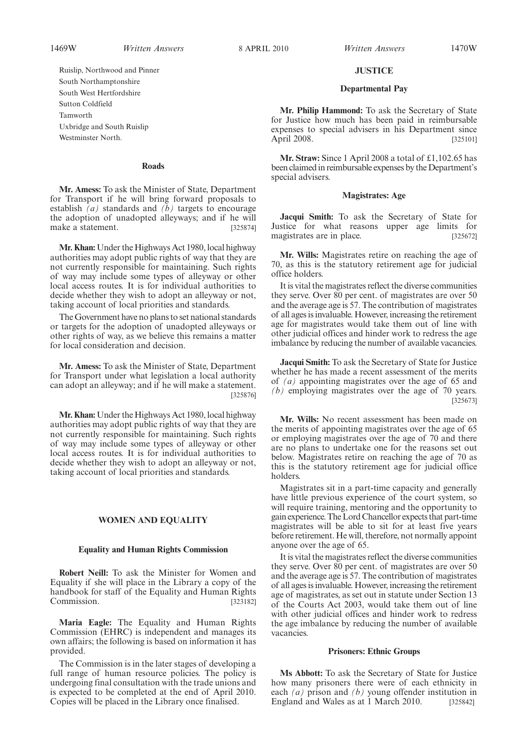1469W *Written Answers* 8 APRIL 2010 *Written Answers* 1470W

**JUSTICE**

#### **Departmental Pay**

**Mr. Philip Hammond:** To ask the Secretary of State for Justice how much has been paid in reimbursable expenses to special advisers in his Department since April 2008. [325101]

**Mr. Straw:** Since 1 April 2008 a total of £1,102.65 has been claimed in reimbursable expenses by the Department's special advisers.

#### **Magistrates: Age**

**Jacqui Smith:** To ask the Secretary of State for Justice for what reasons upper age limits for magistrates are in place. [325672]

**Mr. Wills:** Magistrates retire on reaching the age of 70, as this is the statutory retirement age for judicial office holders.

It is vital the magistrates reflect the diverse communities they serve. Over 80 per cent. of magistrates are over 50 and the average age is 57. The contribution of magistrates of all ages is invaluable. However, increasing the retirement age for magistrates would take them out of line with other judicial offices and hinder work to redress the age imbalance by reducing the number of available vacancies.

**Jacqui Smith:** To ask the Secretary of State for Justice whether he has made a recent assessment of the merits of *(a)* appointing magistrates over the age of 65 and *(b)* employing magistrates over the age of 70 years. [325673]

**Mr. Wills:** No recent assessment has been made on the merits of appointing magistrates over the age of 65 or employing magistrates over the age of 70 and there are no plans to undertake one for the reasons set out below. Magistrates retire on reaching the age of 70 as this is the statutory retirement age for judicial office holders.

Magistrates sit in a part-time capacity and generally have little previous experience of the court system, so will require training, mentoring and the opportunity to gain experience. The Lord Chancellor expects that part-time magistrates will be able to sit for at least five years before retirement. He will, therefore, not normally appoint anyone over the age of 65.

It is vital the magistrates reflect the diverse communities they serve. Over 80 per cent. of magistrates are over 50 and the average age is 57. The contribution of magistrates of all ages is invaluable. However, increasing the retirement age of magistrates, as set out in statute under Section 13 of the Courts Act 2003, would take them out of line with other judicial offices and hinder work to redress the age imbalance by reducing the number of available vacancies.

## **Prisoners: Ethnic Groups**

**Ms Abbott:** To ask the Secretary of State for Justice how many prisoners there were of each ethnicity in each *(a)* prison and *(b)* young offender institution in England and Wales as at 1 March 2010. [325842]

Ruislip, Northwood and Pinner South Northamptonshire South West Hertfordshire Sutton Coldfield Tamworth Uxbridge and South Ruislip Westminster North.

#### **Roads**

**Mr. Amess:** To ask the Minister of State, Department for Transport if he will bring forward proposals to establish  $\overline{(a)}$  standards and  $\overline{(b)}$  targets to encourage the adoption of unadopted alleyways; and if he will make a statement. [325874]

**Mr. Khan:** Under the Highways Act 1980, local highway authorities may adopt public rights of way that they are not currently responsible for maintaining. Such rights of way may include some types of alleyway or other local access routes. It is for individual authorities to decide whether they wish to adopt an alleyway or not, taking account of local priorities and standards.

The Government have no plans to set national standards or targets for the adoption of unadopted alleyways or other rights of way, as we believe this remains a matter for local consideration and decision.

**Mr. Amess:** To ask the Minister of State, Department for Transport under what legislation a local authority can adopt an alleyway; and if he will make a statement. [325876]

**Mr. Khan:** Under the Highways Act 1980, local highway authorities may adopt public rights of way that they are not currently responsible for maintaining. Such rights of way may include some types of alleyway or other local access routes. It is for individual authorities to decide whether they wish to adopt an alleyway or not, taking account of local priorities and standards.

### **WOMEN AND EQUALITY**

#### **Equality and Human Rights Commission**

**Robert Neill:** To ask the Minister for Women and Equality if she will place in the Library a copy of the handbook for staff of the Equality and Human Rights Commission. [323182]

**Maria Eagle:** The Equality and Human Rights Commission (EHRC) is independent and manages its own affairs; the following is based on information it has provided.

The Commission is in the later stages of developing a full range of human resource policies. The policy is undergoing final consultation with the trade unions and is expected to be completed at the end of April 2010. Copies will be placed in the Library once finalised.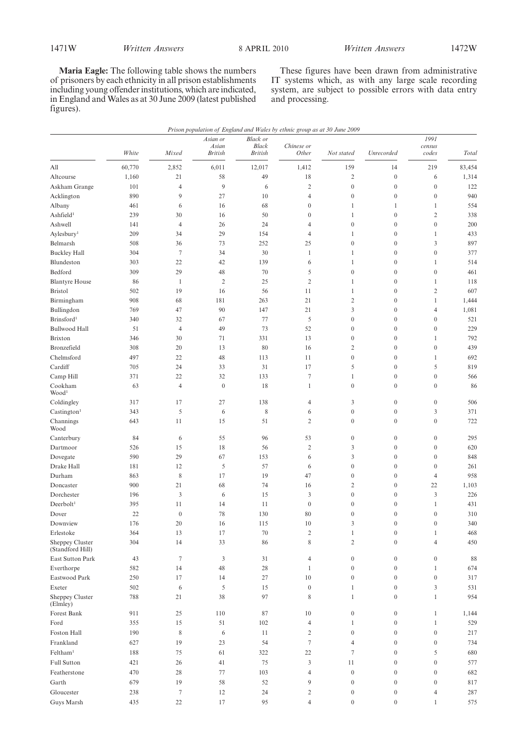**Maria Eagle:** The following table shows the numbers of prisoners by each ethnicity in all prison establishments including young offender institutions, which are indicated, in England and Wales as at 30 June 2009 (latest published figures).

These figures have been drawn from administrative IT systems which, as with any large scale recording system, are subject to possible errors with data entry and processing.

|                                         | White      | Mixed            | Asian or<br>Asian | <b>Black or</b><br><b>Black</b><br><b>British</b> | Prison population of England and Wales by ethnic group as at 30 June 2009<br>Chinese or |                              | Unrecorded                           | 1991<br>census                   |            |
|-----------------------------------------|------------|------------------|-------------------|---------------------------------------------------|-----------------------------------------------------------------------------------------|------------------------------|--------------------------------------|----------------------------------|------------|
|                                         |            |                  | <b>British</b>    |                                                   | Other                                                                                   | Not stated                   |                                      | codes                            | Total      |
| All                                     | 60,770     | 2,852            | 6,011             | 12,017                                            | 1,412                                                                                   | 159                          | 14                                   | 219                              | 83,454     |
| Altcourse                               | 1,160      | 21               | 58                | 49                                                | 18                                                                                      | $\overline{c}$               | $\boldsymbol{0}$                     | 6                                | 1,314      |
| Askham Grange                           | 101        | $\overline{4}$   | 9                 | 6                                                 | $\mathfrak{2}$                                                                          | $\boldsymbol{0}$             | $\boldsymbol{0}$                     | $\boldsymbol{0}$                 | 122        |
| Acklington                              | 890        | 9                | 27                | 10                                                | $\overline{4}$                                                                          | $\boldsymbol{0}$             | $\boldsymbol{0}$                     | $\boldsymbol{0}$                 | 940        |
| Albany                                  | 461        | 6                | 16                | 68                                                | $\boldsymbol{0}$                                                                        | 1                            | $\mathbf{1}$                         | $\mathbf{1}$                     | 554        |
| Ashfield <sup>1</sup>                   | 239        | 30               | 16                | 50                                                | $\boldsymbol{0}$                                                                        | $\mathbf{1}$                 | $\boldsymbol{0}$                     | $\overline{2}$                   | 338        |
| Ashwell                                 | 141        | $\overline{4}$   | 26                | 24                                                | 4                                                                                       | $\boldsymbol{0}$             | $\boldsymbol{0}$                     | $\boldsymbol{0}$                 | 200        |
| Aylesbury <sup>1</sup>                  | 209        | 34               | 29                | 154                                               | 4                                                                                       | $\mathbf{1}$                 | $\boldsymbol{0}$                     | $\mathbf{1}$                     | 433        |
| Belmarsh                                | 508        | 36<br>$\tau$     | 73<br>34          | 252<br>30                                         | 25                                                                                      | $\boldsymbol{0}$             | $\boldsymbol{0}$<br>$\boldsymbol{0}$ | 3<br>$\boldsymbol{0}$            | 897        |
| <b>Buckley Hall</b>                     | 304        |                  |                   |                                                   | 1                                                                                       | $\mathbf{1}$<br>$\mathbf{1}$ | $\boldsymbol{0}$                     |                                  | 377<br>514 |
| Blundeston<br>Bedford                   | 303<br>309 | 22<br>29         | 42<br>48          | 139<br>70                                         | 6<br>5                                                                                  | $\boldsymbol{0}$             | $\boldsymbol{0}$                     | $\mathbf{1}$<br>$\boldsymbol{0}$ | 461        |
|                                         | 86         | $\mathbf{1}$     | $\overline{2}$    | 25                                                | $\mathfrak{2}$                                                                          | $\mathbf{1}$                 | $\boldsymbol{0}$                     | $\mathbf{1}$                     | 118        |
| <b>Blantyre House</b><br><b>Bristol</b> | 502        | 19               | 16                | 56                                                | 11                                                                                      | $\mathbf{1}$                 | $\boldsymbol{0}$                     | $\overline{2}$                   | 607        |
| Birmingham                              | 908        | 68               | 181               | 263                                               | 21                                                                                      | $\overline{2}$               | $\boldsymbol{0}$                     | $\mathbf{1}$                     | 1,444      |
| Bullingdon                              | 769        | 47               | 90                | 147                                               | 21                                                                                      | 3                            | $\boldsymbol{0}$                     | $\overline{4}$                   | 1,081      |
| Brinsford <sup>1</sup>                  | 340        | 32               | 67                | 77                                                | 5                                                                                       | $\boldsymbol{0}$             | $\boldsymbol{0}$                     | $\boldsymbol{0}$                 | 521        |
| <b>Bullwood Hall</b>                    | 51         | $\overline{4}$   | 49                | 73                                                | 52                                                                                      | $\boldsymbol{0}$             | $\boldsymbol{0}$                     | $\boldsymbol{0}$                 | 229        |
| Brixton                                 | 346        | 30               | 71                | 331                                               | 13                                                                                      | $\boldsymbol{0}$             | $\boldsymbol{0}$                     | $\mathbf{1}$                     | 792        |
| Bronzefield                             | 308        | 20               | 13                | 80                                                | 16                                                                                      | $\overline{2}$               | $\boldsymbol{0}$                     | $\boldsymbol{0}$                 | 439        |
| Chelmsford                              | 497        | 22               | 48                | 113                                               | 11                                                                                      | $\boldsymbol{0}$             | $\boldsymbol{0}$                     | $\mathbf{1}$                     | 692        |
| Cardiff                                 | 705        | 24               | 33                | 31                                                | 17                                                                                      | 5                            | $\boldsymbol{0}$                     | 5                                | 819        |
| Camp Hill                               | 371        | 22               | 32                | 133                                               | $\boldsymbol{7}$                                                                        | $\mathbf{1}$                 | $\boldsymbol{0}$                     | $\boldsymbol{0}$                 | 566        |
| Cookham                                 | 63         | $\overline{4}$   | $\boldsymbol{0}$  | 18                                                | 1                                                                                       | $\boldsymbol{0}$             | $\boldsymbol{0}$                     | $\boldsymbol{0}$                 | 86         |
| Wood <sup>1</sup>                       |            |                  |                   |                                                   |                                                                                         |                              |                                      |                                  |            |
| Coldingley                              | 317        | 17               | 27                | 138                                               | 4                                                                                       | 3                            | $\boldsymbol{0}$                     | $\boldsymbol{0}$                 | 506        |
| Castington <sup>1</sup>                 | 343        | 5                | 6                 | $\,$ 8 $\,$                                       | 6                                                                                       | $\boldsymbol{0}$             | $\boldsymbol{0}$                     | 3                                | 371        |
| Channings<br>Wood                       | 643        | 11               | 15                | 51                                                | $\mathfrak{2}$                                                                          | $\overline{0}$               | $\boldsymbol{0}$                     | $\boldsymbol{0}$                 | 722        |
| Canterbury                              | 84         | 6                | 55                | 96                                                | 53                                                                                      | $\boldsymbol{0}$             | $\boldsymbol{0}$                     | $\boldsymbol{0}$                 | 295        |
| Dartmoor                                | 526        | 15               | 18                | 56                                                | $\mathfrak{2}$                                                                          | 3                            | $\boldsymbol{0}$                     | $\boldsymbol{0}$                 | 620        |
| Dovegate                                | 590        | 29               | 67                | 153                                               | 6                                                                                       | 3                            | $\boldsymbol{0}$                     | $\boldsymbol{0}$                 | 848        |
| Drake Hall                              | 181        | 12               | 5                 | 57                                                | 6                                                                                       | $\boldsymbol{0}$             | $\boldsymbol{0}$                     | $\boldsymbol{0}$                 | 261        |
| Durham                                  | 863        | $\,$ 8 $\,$      | 17                | 19                                                | 47                                                                                      | $\boldsymbol{0}$             | $\boldsymbol{0}$                     | $\overline{4}$                   | 958        |
| Doncaster                               | 900        | 21               | 68                | 74                                                | 16                                                                                      | $\overline{2}$               | $\boldsymbol{0}$                     | 22                               | 1,103      |
| Dorchester                              | 196        | 3                | 6                 | 15                                                | 3                                                                                       | $\boldsymbol{0}$             | $\boldsymbol{0}$                     | $\mathfrak{Z}$                   | 226        |
| Deerbolt <sup>1</sup>                   | 395        | 11               | 14                | 11                                                | $\boldsymbol{0}$                                                                        | $\boldsymbol{0}$             | $\boldsymbol{0}$                     | $\mathbf{1}$                     | 431        |
| Dover                                   | 22         | $\boldsymbol{0}$ | 78                | 130                                               | 80                                                                                      | $\mathbf{0}$                 | $\boldsymbol{0}$                     | $\mathbf{0}$                     | 310        |
| Downview                                | 176        | 20               | 16                | 115                                               | 10                                                                                      | 3                            | $\mathbf{0}$                         | $\mathbf{0}$                     | 340        |
| Erlestoke                               | 364        | 13               | 17                | $70\,$                                            | $\overline{2}$                                                                          | $\mathbf{1}$                 | $\boldsymbol{0}$                     | $\mathbf{1}$                     | 468        |
| Sheppey Cluster<br>(Standford Hill)     | 304        | 14               | 33                | 86                                                | 8                                                                                       | $\mathbf{2}$                 | $\boldsymbol{0}$                     | $\overline{4}$                   | 450        |
| East Sutton Park                        | 43         | $\tau$           | 3                 | 31                                                | 4                                                                                       | $\boldsymbol{0}$             | $\boldsymbol{0}$                     | $\mathbf{0}$                     | 88         |
| Everthorpe                              | 582        | 14               | 48                | 28                                                | 1                                                                                       | $\boldsymbol{0}$             | $\boldsymbol{0}$                     | $\mathbf{1}$                     | 674        |
| Eastwood Park                           | 250        | 17               | 14                | 27                                                | 10                                                                                      | $\boldsymbol{0}$             | $\boldsymbol{0}$                     | $\boldsymbol{0}$                 | 317        |
| Exeter                                  | 502        | 6                | 5                 | 15                                                | $\boldsymbol{0}$                                                                        | $\mathbf{1}$                 | $\boldsymbol{0}$                     | 3                                | 531        |
| Sheppey Cluster<br>(Elmley)             | 788        | 21               | 38                | 97                                                | 8                                                                                       | $\mathbf{1}$                 | $\boldsymbol{0}$                     | $\mathbf{1}$                     | 954        |
| Forest Bank                             | 911        | 25               | 110               | 87                                                | 10                                                                                      | $\boldsymbol{0}$             | $\boldsymbol{0}$                     | $\mathbf{1}$                     | 1,144      |
| Ford                                    | 355        | 15               | 51                | 102                                               | $\overline{4}$                                                                          | $\mathbf{1}$                 | $\boldsymbol{0}$                     | $\mathbf{1}$                     | 529        |
| Foston Hall                             | 190        | 8                | 6                 | 11                                                | 2                                                                                       | $\boldsymbol{0}$             | $\boldsymbol{0}$                     | $\boldsymbol{0}$                 | 217        |
| Frankland                               | 627        | 19               | 23                | 54                                                | $\tau$                                                                                  | $\overline{4}$               | $\boldsymbol{0}$                     | $\boldsymbol{0}$                 | 734        |
| Feltham <sup>1</sup>                    | 188        | 75               | 61                | 322                                               | 22                                                                                      | $\tau$                       | $\boldsymbol{0}$                     | 5                                | 680        |
| Full Sutton                             | 421        | 26               | 41                | 75                                                | 3                                                                                       | 11                           | $\boldsymbol{0}$                     | $\boldsymbol{0}$                 | 577        |
| Featherstone                            | 470        | 28               | 77                | 103                                               | 4                                                                                       | $\boldsymbol{0}$             | $\boldsymbol{0}$                     | $\boldsymbol{0}$                 | 682        |
| Garth                                   | 679        | 19               | 58                | 52                                                | 9                                                                                       | $\boldsymbol{0}$             | $\boldsymbol{0}$                     | $\boldsymbol{0}$                 | 817        |
| Gloucester                              | 238        | $\tau$           | 12                | 24                                                | $\overline{c}$                                                                          | $\boldsymbol{0}$             | $\boldsymbol{0}$                     | $\overline{4}$                   | 287        |
| Guys Marsh                              | 435        | $22\,$           | 17                | 95                                                | 4                                                                                       | $\boldsymbol{0}$             | $\boldsymbol{0}$                     | $\mathbf{1}$                     | 575        |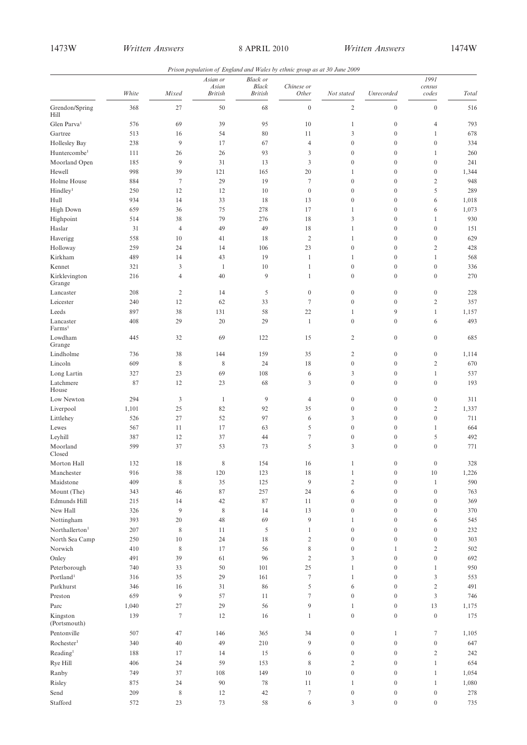| Prison population of England and Wales by ethnic group as at 30 June 2009 |  |  |  |  |
|---------------------------------------------------------------------------|--|--|--|--|
|---------------------------------------------------------------------------|--|--|--|--|

|                                 |       |                | Asian or         | <b>Black</b> or                |                     |                  |                  | 1991             |            |
|---------------------------------|-------|----------------|------------------|--------------------------------|---------------------|------------------|------------------|------------------|------------|
|                                 | White | Mixed          | Asian<br>British | <b>Black</b><br><b>British</b> | Chinese or<br>Other | Not stated       | Unrecorded       | census<br>codes  | Total      |
| Grendon/Spring<br>Hill          | 368   | 27             | 50               | 68                             | $\boldsymbol{0}$    | $\sqrt{2}$       | $\boldsymbol{0}$ | $\boldsymbol{0}$ | 516        |
| Glen Parva <sup>1</sup>         | 576   | 69             | 39               | 95                             | 10                  | $\mathbf{1}$     | $\boldsymbol{0}$ | 4                | 793        |
| Gartree                         | 513   | 16             | 54               | 80                             | 11                  | 3                | $\boldsymbol{0}$ | $\mathbf{1}$     | 678        |
| Hollesley Bay                   | 238   | 9              | 17               | 67                             | $\overline{4}$      | $\boldsymbol{0}$ | $\boldsymbol{0}$ | $\boldsymbol{0}$ | 334        |
| Huntercombe <sup>1</sup>        | 111   | 26             | 26               | 93                             | 3                   | $\boldsymbol{0}$ | $\boldsymbol{0}$ | $\mathbf{1}$     | 260        |
| Moorland Open                   | 185   | 9              | 31               | 13                             | 3                   | $\boldsymbol{0}$ | $\boldsymbol{0}$ | $\boldsymbol{0}$ | 241        |
| Hewell                          | 998   | 39             | 121              | 165                            | 20                  | 1                | $\boldsymbol{0}$ | $\boldsymbol{0}$ | 1,344      |
| Holme House                     | 884   | $\tau$         | 29               | 19                             | $\tau$              | $\boldsymbol{0}$ | $\boldsymbol{0}$ | $\overline{c}$   | 948        |
| Hindley <sup>1</sup>            | 250   | 12             | 12               | 10                             | $\boldsymbol{0}$    | $\boldsymbol{0}$ | $\boldsymbol{0}$ | 5                | 289        |
| Hull                            | 934   | 14             | 33               | 18                             | 13                  | $\boldsymbol{0}$ | $\boldsymbol{0}$ | 6                | 1,018      |
|                                 | 659   | 36             | 75               | 278                            | 17                  | $\mathbf{1}$     | $\boldsymbol{0}$ |                  | 1,073      |
| High Down                       |       |                | 79               | 276                            | 18                  | 3                | $\boldsymbol{0}$ | 6                | 930        |
| Highpoint                       | 514   | 38             |                  |                                |                     |                  |                  | $\mathbf{1}$     |            |
| Haslar                          | 31    | $\overline{4}$ | 49               | 49                             | 18                  | $\mathbf{1}$     | $\boldsymbol{0}$ | $\boldsymbol{0}$ | 151        |
| Haverigg                        | 558   | 10             | 41               | 18                             | $\overline{2}$      | $\mathbf{1}$     | $\boldsymbol{0}$ | $\boldsymbol{0}$ | 629        |
| Holloway                        | 259   | 24             | 14               | 106                            | 23                  | $\boldsymbol{0}$ | $\boldsymbol{0}$ | $\overline{c}$   | 428        |
| Kirkham                         | 489   | 14             | 43               | 19                             | $\mathbf{1}$        | $\mathbf{1}$     | $\boldsymbol{0}$ | $\mathbf{1}$     | 568        |
| Kennet                          | 321   | 3              | $\mathbf{1}$     | 10                             | $\mathbf{1}$        | $\boldsymbol{0}$ | $\boldsymbol{0}$ | $\boldsymbol{0}$ | 336        |
| Kirklevington<br>Grange         | 216   | $\overline{4}$ | 40               | 9                              | $\mathbf{1}$        | $\boldsymbol{0}$ | $\boldsymbol{0}$ | $\boldsymbol{0}$ | 270        |
| Lancaster                       | 208   | 2              | 14               | 5                              | $\boldsymbol{0}$    | $\boldsymbol{0}$ | $\boldsymbol{0}$ | $\boldsymbol{0}$ | 228        |
| Leicester                       | 240   | 12             | 62               | 33                             | $\tau$              | $\boldsymbol{0}$ | $\boldsymbol{0}$ | $\overline{c}$   | 357        |
| Leeds                           | 897   | 38             | 131              | 58                             | 22                  | $\mathbf{1}$     | 9                | $\mathbf{1}$     | 1,157      |
| Lancaster<br>Farms <sup>1</sup> | 408   | 29             | 20               | 29                             | $\mathbf{1}$        | $\boldsymbol{0}$ | $\boldsymbol{0}$ | 6                | 493        |
| Lowdham<br>Grange               | 445   | 32             | 69               | 122                            | 15                  | 2                | $\boldsymbol{0}$ | $\boldsymbol{0}$ | 685        |
| Lindholme                       | 736   | 38             | 144              | 159                            | 35                  | $\mathbf{2}$     | $\boldsymbol{0}$ | $\boldsymbol{0}$ | 1,114      |
| Lincoln                         | 609   | $\,$ 8 $\,$    | 8                | 24                             | 18                  | $\boldsymbol{0}$ | $\boldsymbol{0}$ | $\overline{2}$   | 670        |
| Long Lartin                     | 327   | 23             | 69               | 108                            | 6                   | 3                | $\boldsymbol{0}$ | $\mathbf{1}$     | 537        |
| Latchmere<br>House              | 87    | 12             | 23               | 68                             | 3                   | $\boldsymbol{0}$ | $\boldsymbol{0}$ | $\overline{0}$   | 193        |
| Low Newton                      | 294   | $\mathfrak{Z}$ | 1                | 9                              | $\overline{4}$      | $\boldsymbol{0}$ | $\boldsymbol{0}$ | $\boldsymbol{0}$ | 311        |
| Liverpool                       | 1,101 | 25             | 82               | 92                             | 35                  | $\boldsymbol{0}$ | $\boldsymbol{0}$ | $\overline{c}$   | 1,337      |
| Littlehey                       | 526   | 27             | 52               | 97                             | 6                   | 3                | $\boldsymbol{0}$ | $\boldsymbol{0}$ | 711        |
| Lewes                           | 567   | 11             | 17               | 63                             | 5                   | $\boldsymbol{0}$ | $\boldsymbol{0}$ | $\mathbf{1}$     | 664        |
| Leyhill                         | 387   | 12             | 37               | 44                             | $\tau$              | $\boldsymbol{0}$ | $\mathbf{0}$     | 5                | 492        |
| Moorland<br>Closed              | 599   | 37             | 53               | 73                             | 5                   | 3                | $\boldsymbol{0}$ | $\boldsymbol{0}$ | 771        |
| Morton Hall                     | 132   | 18             | 8                | 154                            | 16                  | $\mathbf{1}$     | $\boldsymbol{0}$ | $\boldsymbol{0}$ | 328        |
| Manchester                      | 916   | 38             | 120              | 123                            | 18                  | 1                | $\boldsymbol{0}$ | $10\,$           | 1,226      |
| Maidstone                       | 409   | $\,$ 8 $\,$    | 35               | 125                            | $\boldsymbol{9}$    | $\mathbf{2}$     | $\boldsymbol{0}$ | $\mathbf{1}$     | 590        |
| Mount (The)                     | 343   | 46             | 87               | 257                            | 24                  | 6                | $\boldsymbol{0}$ | $\boldsymbol{0}$ | 763        |
| Edmunds Hill                    | 215   | 14             | 42               | 87                             | 11                  | $\boldsymbol{0}$ | $\boldsymbol{0}$ | $\boldsymbol{0}$ | 369        |
| New Hall                        | 326   | 9              | $\,$ 8 $\,$      | 14                             | 13                  | $\boldsymbol{0}$ | $\boldsymbol{0}$ | $\boldsymbol{0}$ | 370        |
| Nottingham                      | 393   | 20             | 48               | 69                             | $\overline{9}$      | $\mathbf{1}$     | $\boldsymbol{0}$ | 6                | 545        |
| Northallerton <sup>1</sup>      | 207   | 8              | 11               | 5                              | $\mathbf{1}$        | $\boldsymbol{0}$ | $\boldsymbol{0}$ | $\boldsymbol{0}$ | 232        |
| North Sea Camp                  | 250   | 10             | 24               | 18                             | $\sqrt{2}$          | $\boldsymbol{0}$ | $\boldsymbol{0}$ | $\boldsymbol{0}$ | 303        |
| Norwich                         | 410   | $\,$ 8 $\,$    | 17               | 56                             | $\,$ 8 $\,$         | $\boldsymbol{0}$ | $\mathbf{1}$     | $\overline{c}$   | 502        |
|                                 |       |                |                  |                                |                     | 3                | $\boldsymbol{0}$ | $\boldsymbol{0}$ |            |
| Onley                           | 491   | 39             | 61               | 96                             | $\sqrt{2}$          |                  |                  |                  | 692<br>950 |
| Peterborough                    | 740   | 33             | 50               | 101                            | 25                  | $\mathbf{1}$     | $\boldsymbol{0}$ | $\mathbf{1}$     |            |
| Portland <sup>1</sup>           | 316   | 35             | 29               | 161                            | $\tau$              | $\mathbf{1}$     | $\boldsymbol{0}$ | $\mathfrak{Z}$   | 553        |
| Parkhurst                       | 346   | 16             | 31               | 86                             | 5                   | 6                | $\boldsymbol{0}$ | $\overline{c}$   | 491        |
| Preston                         | 659   | 9              | 57               | 11                             | $\tau$              | $\boldsymbol{0}$ | $\boldsymbol{0}$ | $\mathfrak{Z}$   | 746        |
| Parc                            | 1,040 | 27             | 29               | 56                             | 9                   | $\mathbf{1}$     | $\boldsymbol{0}$ | 13               | 1,175      |
| Kingston<br>(Portsmouth)        | 139   | $\tau$         | 12               | 16                             | $\mathbf{1}$        | $\boldsymbol{0}$ | $\boldsymbol{0}$ | $\boldsymbol{0}$ | 175        |
| Pentonville                     | 507   | 47             | 146              | 365                            | 34                  | $\boldsymbol{0}$ | $\mathbf{1}$     | $\tau$           | 1,105      |
| Rochester <sup>1</sup>          | 340   | 40             | 49               | 210                            | 9                   | $\boldsymbol{0}$ | $\boldsymbol{0}$ | $\boldsymbol{0}$ | 647        |
| Reading <sup>1</sup>            | 188   | 17             | 14               | 15                             | 6                   | $\boldsymbol{0}$ | $\boldsymbol{0}$ | $\overline{c}$   | 242        |
| Rye Hill                        | 406   | 24             | 59               | 153                            | 8                   | 2                | $\mathbf{0}$     | $\mathbf{1}$     | 654        |
| Ranby                           | 749   | 37             | 108              | 149                            | 10                  | $\boldsymbol{0}$ | $\boldsymbol{0}$ | $\mathbf{1}$     | 1,054      |
| Risley                          | 875   | 24             | 90               | 78                             | 11                  | $\mathbf{1}$     | $\boldsymbol{0}$ | $\mathbf{1}$     | 1,080      |
| Send                            | 209   | $\,$ 8 $\,$    | 12               | 42                             | $\tau$              | $\boldsymbol{0}$ | $\boldsymbol{0}$ | $\boldsymbol{0}$ | 278        |
|                                 |       |                |                  |                                |                     | $\overline{3}$   | $\boldsymbol{0}$ | $\boldsymbol{0}$ |            |
| Stafford                        | 572   | 23             | 73               | 58                             | $\sqrt{6}$          |                  |                  |                  | 735        |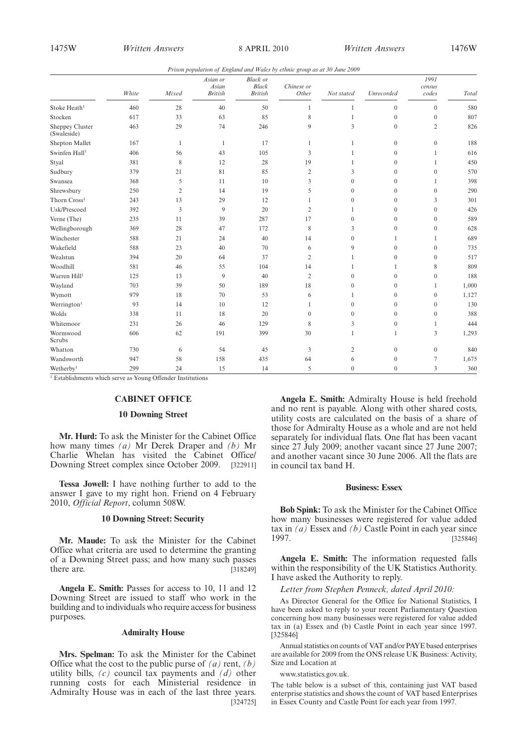*Prison population of England and Wales by ethnic group as at 30 June 2009*

|                                | White | Mixed          | Asian or<br>Asian<br><b>British</b> | <b>Black</b> or<br><b>Black</b><br><b>British</b> | Chinese or<br>Other | Not stated     | Unrecorded   | 1991<br>census<br>codes | Total |
|--------------------------------|-------|----------------|-------------------------------------|---------------------------------------------------|---------------------|----------------|--------------|-------------------------|-------|
| Stoke Heath <sup>1</sup>       | 460   | 28             | 40                                  | 50                                                | 1                   |                | $\mathbf{0}$ | $\mathbf{0}$            | 580   |
| Stocken                        | 617   | 33             | 63                                  | 85                                                | 8                   | 1              | $\mathbf{0}$ | $\mathbf{0}$            | 807   |
| Sheppey Cluster<br>(Swaleside) | 463   | 29             | 74                                  | 246                                               | 9                   | 3              | $\theta$     | $\overline{2}$          | 826   |
| Shepton Mallet                 | 167   | $\mathbf{1}$   | $\mathbf{1}$                        | 17                                                | $\mathbf{1}$        | 1              | $\mathbf{0}$ | $\mathbf{0}$            | 188   |
| Swinfen Hall <sup>1</sup>      | 406   | 56             | 43                                  | 105                                               | 3                   | 1              | $\mathbf{0}$ | $\mathbf{1}$            | 616   |
| Styal                          | 381   | 8              | 12                                  | 28                                                | 19                  | 1              | $\mathbf{0}$ | 1                       | 450   |
| Sudbury                        | 379   | 21             | 81                                  | 85                                                | 2                   | 3              | $\mathbf{0}$ | $\mathbf{0}$            | 570   |
| Swansea                        | 368   | 5              | 11                                  | 10                                                | 3                   | $\mathbf{0}$   | $\mathbf{0}$ | 1                       | 398   |
| Shrewsbury                     | 250   | 2              | 14                                  | 19                                                | 5                   | $\theta$       | $\theta$     | $\mathbf{0}$            | 290   |
| Thorn Cross <sup>1</sup>       | 243   | 13             | 29                                  | 12                                                | 1                   | $\overline{0}$ | $\mathbf{0}$ | 3                       | 301   |
| Usk/Prescoed                   | 392   | $\overline{3}$ | 9                                   | 20                                                | $\overline{2}$      | 1              | $\theta$     | $\theta$                | 426   |
| Verne (The)                    | 235   | 11             | 39                                  | 287                                               | 17                  | $\mathbf{0}$   | $\mathbf{0}$ | $\mathbf{0}$            | 589   |
| Wellingborough                 | 369   | 28             | 47                                  | 172                                               | 8                   | 3              | $\mathbf{0}$ | $\mathbf{0}$            | 628   |
| Winchester                     | 588   | 21             | 24                                  | 40                                                | 14                  | $\overline{0}$ | 1            | 1                       | 689   |
| Wakefield                      | 588   | 23             | 40                                  | 70                                                | 6                   | 9              | $\mathbf{0}$ | $\mathbf{0}$            | 735   |
| Wealstun                       | 394   | 20             | 64                                  | 37                                                | $\overline{c}$      |                | $\mathbf{0}$ | $\mathbf{0}$            | 517   |
| Woodhill                       | 581   | 46             | 55                                  | 104                                               | 14                  | 1              | 1            | 8                       | 809   |
| Warren Hill <sup>1</sup>       | 125   | 13             | 9                                   | 40                                                | $\overline{2}$      | $\mathbf{0}$   | $\mathbf{0}$ | $\mathbf{0}$            | 188   |
| Wayland                        | 703   | 39             | 50                                  | 189                                               | 18                  | $\theta$       | $\theta$     | $\mathbf{1}$            | 1,000 |
| Wymott                         | 979   | 18             | 70                                  | 53                                                | 6                   | 1              | $\mathbf{0}$ | $\mathbf{0}$            | 1,127 |
| Werrington <sup>1</sup>        | 93    | 14             | 10                                  | 12                                                | 1                   | $\mathbf{0}$   | $\mathbf{0}$ | $\mathbf{0}$            | 130   |
| Wolds                          | 338   | 11             | 18                                  | 20                                                | $\theta$            | $\theta$       | $\theta$     | $\mathbf{0}$            | 388   |
| Whitemoor                      | 231   | 26             | 46                                  | 129                                               | 8                   | 3              | $\mathbf{0}$ | $\mathbf{1}$            | 444   |
| Wormwood<br>Scrubs             | 606   | 62             | 191                                 | 399                                               | 30                  | 1              | 1            | 3                       | 1,293 |
| Whatton                        | 730   | 6              | 54                                  | 45                                                | 3                   | $\overline{c}$ | $\mathbf{0}$ | $\boldsymbol{0}$        | 840   |
| Wandsworth                     | 947   | 58             | 158                                 | 435                                               | 64                  | 6              | $\mathbf{0}$ | $\tau$                  | 1,675 |
| Wetherby <sup>1</sup>          | 299   | 24             | 15                                  | 14                                                | 5                   | $\overline{0}$ | $\mathbf{0}$ | 3                       | 360   |

<sup>1</sup> Establishments which serve as Young Offender Institutions

#### **CABINET OFFICE**

#### **10 Downing Street**

**Mr. Hurd:** To ask the Minister for the Cabinet Office how many times *(a)* Mr Derek Draper and *(b)* Mr Charlie Whelan has visited the Cabinet Office/ Downing Street complex since October 2009. [322911]

**Tessa Jowell:** I have nothing further to add to the answer I gave to my right hon. Friend on 4 February 2010, *Official Report*, column 508W.

### **10 Downing Street: Security**

**Mr. Maude:** To ask the Minister for the Cabinet Office what criteria are used to determine the granting of a Downing Street pass; and how many such passes there are. [318249]

**Angela E. Smith:** Passes for access to 10, 11 and 12 Downing Street are issued to staff who work in the building and to individuals who require access for business purposes.

#### **Admiralty House**

**Mrs. Spelman:** To ask the Minister for the Cabinet Office what the cost to the public purse of *(a)* rent, *(b)* utility bills, *(c)* council tax payments and *(d)* other running costs for each Ministerial residence in Admiralty House was in each of the last three years. [324725]

**Angela E. Smith:** Admiralty House is held freehold and no rent is payable. Along with other shared costs, utility costs are calculated on the basis of a share of those for Admiralty House as a whole and are not held separately for individual flats. One flat has been vacant since 27 July 2009; another vacant since 27 June 2007; and another vacant since 30 June 2006. All the flats are in council tax band H.

#### **Business: Essex**

**Bob Spink:** To ask the Minister for the Cabinet Office how many businesses were registered for value added tax in *(a)* Essex and *(b)* Castle Point in each year since 1997. [325846]

**Angela E. Smith:** The information requested falls within the responsibility of the UK Statistics Authority. I have asked the Authority to reply.

*Letter from Stephen Penneck, dated April 2010:*

As Director General for the Office for National Statistics, I have been asked to reply to your recent Parliamentary Question concerning how many businesses were registered for value added tax in (a) Essex and (b) Castle Point in each year since 1997. [325846]

Annual statistics on counts of VAT and/or PAYE based enterprises are available for 2009 from the ONS release UK Business: Activity, Size and Location at

www.statistics.gov.uk.

The table below is a subset of this, containing just VAT based enterprise statistics and shows the count of VAT based Enterprises in Essex County and Castle Point for each year from 1997.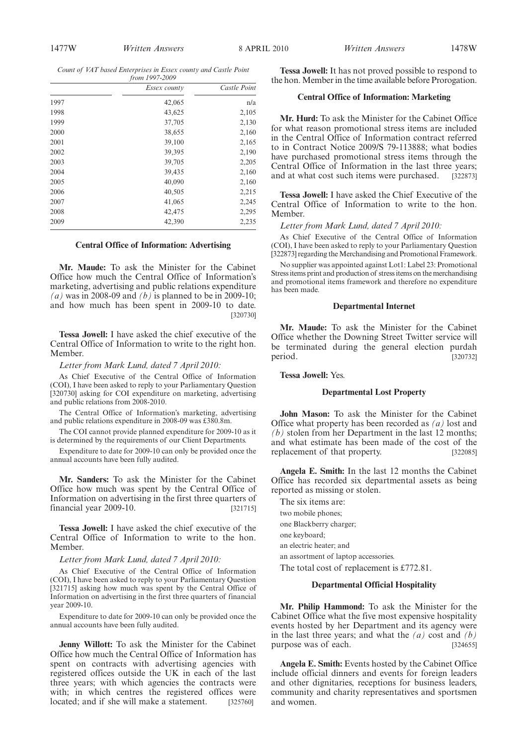*Count of VAT based Enterprises in Essex county and Castle Point from 1997-2009*

| $1101111777 - 2007$ |              |              |  |  |  |
|---------------------|--------------|--------------|--|--|--|
|                     | Essex county | Castle Point |  |  |  |
| 1997                | 42,065       | n/a          |  |  |  |
| 1998                | 43,625       | 2,105        |  |  |  |
| 1999                | 37,705       | 2,130        |  |  |  |
| 2000                | 38,655       | 2,160        |  |  |  |
| 2001                | 39,100       | 2,165        |  |  |  |
| 2002                | 39,395       | 2,190        |  |  |  |
| 2003                | 39,705       | 2,205        |  |  |  |
| 2004                | 39,435       | 2,160        |  |  |  |
| 2005                | 40,090       | 2,160        |  |  |  |
| 2006                | 40,505       | 2,215        |  |  |  |
| 2007                | 41,065       | 2,245        |  |  |  |
| 2008                | 42,475       | 2,295        |  |  |  |
| 2009                | 42,390       | 2,235        |  |  |  |
|                     |              |              |  |  |  |

#### **Central Office of Information: Advertising**

**Mr. Maude:** To ask the Minister for the Cabinet Office how much the Central Office of Information's marketing, advertising and public relations expenditure *(a)* was in 2008-09 and *(b)* is planned to be in 2009-10; and how much has been spent in 2009-10 to date. [320730]

**Tessa Jowell:** I have asked the chief executive of the Central Office of Information to write to the right hon. Member.

#### *Letter from Mark Lund, dated 7 April 2010:*

As Chief Executive of the Central Office of Information (COI), I have been asked to reply to your Parliamentary Question [320730] asking for COI expenditure on marketing, advertising and public relations from 2008-2010.

The Central Office of Information's marketing, advertising and public relations expenditure in 2008-09 was £380.8m.

The COI cannot provide planned expenditure for 2009-10 as it is determined by the requirements of our Client Departments.

Expenditure to date for 2009-10 can only be provided once the annual accounts have been fully audited.

**Mr. Sanders:** To ask the Minister for the Cabinet Office how much was spent by the Central Office of Information on advertising in the first three quarters of financial year 2009-10. [321715]

**Tessa Jowell:** I have asked the chief executive of the Central Office of Information to write to the hon. Member.

#### *Letter from Mark Lund, dated 7 April 2010:*

As Chief Executive of the Central Office of Information (COI), I have been asked to reply to your Parliamentary Question [321715] asking how much was spent by the Central Office of Information on advertising in the first three quarters of financial year 2009-10.

Expenditure to date for 2009-10 can only be provided once the annual accounts have been fully audited.

**Jenny Willott:** To ask the Minister for the Cabinet Office how much the Central Office of Information has spent on contracts with advertising agencies with registered offices outside the UK in each of the last three years; with which agencies the contracts were with; in which centres the registered offices were located; and if she will make a statement. [325760]

**Tessa Jowell:** It has not proved possible to respond to the hon. Member in the time available before Prorogation.

## **Central Office of Information: Marketing**

**Mr. Hurd:** To ask the Minister for the Cabinet Office for what reason promotional stress items are included in the Central Office of Information contract referred to in Contract Notice 2009/S 79-113888; what bodies have purchased promotional stress items through the Central Office of Information in the last three years; and at what cost such items were purchased. [322873]

**Tessa Jowell:** I have asked the Chief Executive of the Central Office of Information to write to the hon. Member.

#### *Letter from Mark Lund, dated 7 April 2010:*

As Chief Executive of the Central Office of Information (COI), I have been asked to reply to your Parliamentary Question [322873] regarding the Merchandising and Promotional Framework.

No supplier was appointed against Lot1: Label 23: Promotional Stress items print and production of stress items on the merchandising and promotional items framework and therefore no expenditure has been made.

#### **Departmental Internet**

**Mr. Maude:** To ask the Minister for the Cabinet Office whether the Downing Street Twitter service will be terminated during the general election purdah period. [320732]

**Tessa Jowell:** Yes.

#### **Departmental Lost Property**

**John Mason:** To ask the Minister for the Cabinet Office what property has been recorded as *(a)* lost and *(b)* stolen from her Department in the last 12 months; and what estimate has been made of the cost of the replacement of that property. [322085]

**Angela E. Smith:** In the last 12 months the Cabinet Office has recorded six departmental assets as being reported as missing or stolen.

The six items are: two mobile phones; one Blackberry charger; one keyboard; an electric heater; and an assortment of laptop accessories. The total cost of replacement is £772.81.

## **Departmental Official Hospitality**

**Mr. Philip Hammond:** To ask the Minister for the Cabinet Office what the five most expensive hospitality events hosted by her Department and its agency were in the last three years; and what the *(a)* cost and *(b)* purpose was of each. [324655]

**Angela E. Smith:** Events hosted by the Cabinet Office include official dinners and events for foreign leaders and other dignitaries, receptions for business leaders, community and charity representatives and sportsmen and women.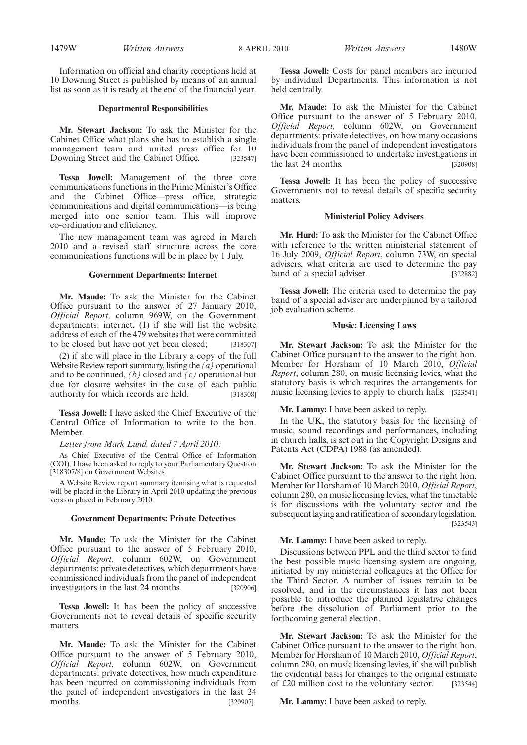Information on official and charity receptions held at 10 Downing Street is published by means of an annual list as soon as it is ready at the end of the financial year.

#### **Departmental Responsibilities**

**Mr. Stewart Jackson:** To ask the Minister for the Cabinet Office what plans she has to establish a single management team and united press office for 10 Downing Street and the Cabinet Office. [323547]

**Tessa Jowell:** Management of the three core communications functions in the Prime Minister's Office and the Cabinet Office—press office, strategic communications and digital communications—is being merged into one senior team. This will improve co-ordination and efficiency.

The new management team was agreed in March 2010 and a revised staff structure across the core communications functions will be in place by 1 July.

#### **Government Departments: Internet**

**Mr. Maude:** To ask the Minister for the Cabinet Office pursuant to the answer of 27 January 2010, *Official Report,* column 969W, on the Government departments: internet, (1) if she will list the website address of each of the 479 websites that were committed to be closed but have not yet been closed; [318307]

(2) if she will place in the Library a copy of the full Website Review report summary, listing the *(a)* operational and to be continued, *(b)* closed and *(c)* operational but due for closure websites in the case of each public authority for which records are held. [318308]

**Tessa Jowell:** I have asked the Chief Executive of the Central Office of Information to write to the hon. Member.

#### *Letter from Mark Lund, dated 7 April 2010:*

As Chief Executive of the Central Office of Information (COI), I have been asked to reply to your Parliamentary Question [318307/8] on Government Websites.

A Website Review report summary itemising what is requested will be placed in the Library in April 2010 updating the previous version placed in February 2010.

#### **Government Departments: Private Detectives**

**Mr. Maude:** To ask the Minister for the Cabinet Office pursuant to the answer of 5 February 2010, *Official Report,* column 602W, on Government departments: private detectives, which departments have commissioned individuals from the panel of independent investigators in the last 24 months. [320906]

**Tessa Jowell:** It has been the policy of successive Governments not to reveal details of specific security matters.

**Mr. Maude:** To ask the Minister for the Cabinet Office pursuant to the answer of 5 February 2010, *Official Report,* column 602W, on Government departments: private detectives, how much expenditure has been incurred on commissioning individuals from the panel of independent investigators in the last 24 months. [320907]

1479W *Written Answers Written Answers* 8 APRIL 2010 1480W

**Tessa Jowell:** Costs for panel members are incurred by individual Departments. This information is not held centrally.

**Mr. Maude:** To ask the Minister for the Cabinet Office pursuant to the answer of 5 February 2010, *Official Report,* column 602W, on Government departments: private detectives, on how many occasions individuals from the panel of independent investigators have been commissioned to undertake investigations in the last 24 months. [320908]

**Tessa Jowell:** It has been the policy of successive Governments not to reveal details of specific security matters.

## **Ministerial Policy Advisers**

**Mr. Hurd:** To ask the Minister for the Cabinet Office with reference to the written ministerial statement of 16 July 2009, *Official Report*, column 73W, on special advisers, what criteria are used to determine the pay band of a special adviser. [322882]

**Tessa Jowell:** The criteria used to determine the pay band of a special adviser are underpinned by a tailored job evaluation scheme.

#### **Music: Licensing Laws**

**Mr. Stewart Jackson:** To ask the Minister for the Cabinet Office pursuant to the answer to the right hon. Member for Horsham of 10 March 2010, *Official Report*, column 280, on music licensing levies, what the statutory basis is which requires the arrangements for music licensing levies to apply to church halls. [323541]

## **Mr. Lammy:** I have been asked to reply.

In the UK, the statutory basis for the licensing of music, sound recordings and performances, including in church halls, is set out in the Copyright Designs and Patents Act (CDPA) 1988 (as amended).

**Mr. Stewart Jackson:** To ask the Minister for the Cabinet Office pursuant to the answer to the right hon. Member for Horsham of 10 March 2010, *Official Report*, column 280, on music licensing levies, what the timetable is for discussions with the voluntary sector and the subsequent laying and ratification of secondary legislation. [323543]

#### **Mr. Lammy:** I have been asked to reply.

Discussions between PPL and the third sector to find the best possible music licensing system are ongoing, initiated by my ministerial colleagues at the Office for the Third Sector. A number of issues remain to be resolved, and in the circumstances it has not been possible to introduce the planned legislative changes before the dissolution of Parliament prior to the forthcoming general election.

**Mr. Stewart Jackson:** To ask the Minister for the Cabinet Office pursuant to the answer to the right hon. Member for Horsham of 10 March 2010, *Official Report*, column 280, on music licensing levies, if she will publish the evidential basis for changes to the original estimate of £20 million cost to the voluntary sector. [323544]

**Mr. Lammy:** I have been asked to reply.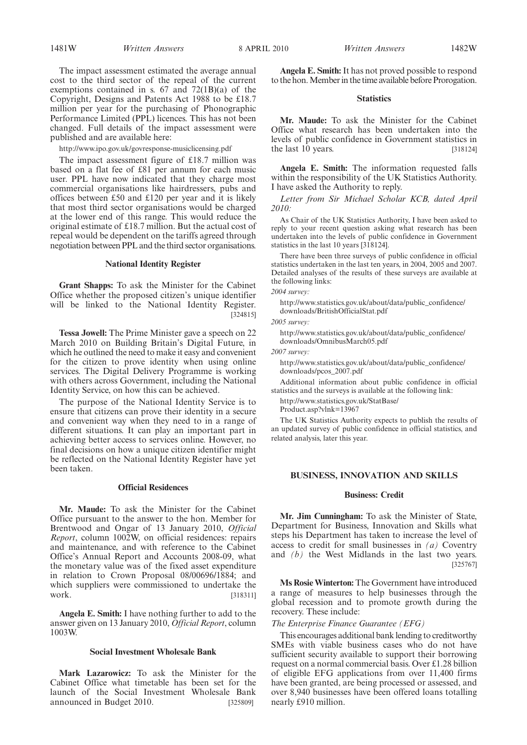The impact assessment estimated the average annual cost to the third sector of the repeal of the current exemptions contained in s. 67 and 72(1B)(a) of the Copyright, Designs and Patents Act 1988 to be £18.7 million per year for the purchasing of Phonographic Performance Limited (PPL) licences. This has not been changed. Full details of the impact assessment were published and are available here:

http://www.ipo.gov.uk/govresponse-musiclicensing.pdf

The impact assessment figure of £18.7 million was based on a flat fee of £81 per annum for each music user. PPL have now indicated that they charge most commercial organisations like hairdressers, pubs and offices between £50 and £120 per year and it is likely that most third sector organisations would be charged at the lower end of this range. This would reduce the original estimate of £18.7 million. But the actual cost of repeal would be dependent on the tariffs agreed through negotiation between PPL and the third sector organisations.

## **National Identity Register**

**Grant Shapps:** To ask the Minister for the Cabinet Office whether the proposed citizen's unique identifier will be linked to the National Identity Register. [324815]

**Tessa Jowell:** The Prime Minister gave a speech on 22 March 2010 on Building Britain's Digital Future, in which he outlined the need to make it easy and convenient for the citizen to prove identity when using online services. The Digital Delivery Programme is working with others across Government, including the National Identity Service, on how this can be achieved.

The purpose of the National Identity Service is to ensure that citizens can prove their identity in a secure and convenient way when they need to in a range of different situations. It can play an important part in achieving better access to services online. However, no final decisions on how a unique citizen identifier might be reflected on the National Identity Register have yet been taken.

#### **Official Residences**

**Mr. Maude:** To ask the Minister for the Cabinet Office pursuant to the answer to the hon. Member for Brentwood and Ongar of 13 January 2010, *Official Report*, column 1002W, on official residences: repairs and maintenance, and with reference to the Cabinet Office's Annual Report and Accounts 2008-09, what the monetary value was of the fixed asset expenditure in relation to Crown Proposal 08/00696/1884; and which suppliers were commissioned to undertake the work. [318311]

**Angela E. Smith:** I have nothing further to add to the answer given on 13 January 2010, *Official Report*, column 1003W.

#### **Social Investment Wholesale Bank**

**Mark Lazarowicz:** To ask the Minister for the Cabinet Office what timetable has been set for the launch of the Social Investment Wholesale Bank announced in Budget 2010. [325809]

**Angela E. Smith:**It has not proved possible to respond to the hon.Member in the time available before Prorogation.

#### **Statistics**

**Mr. Maude:** To ask the Minister for the Cabinet Office what research has been undertaken into the levels of public confidence in Government statistics in the last  $10$  years. [318124]

**Angela E. Smith:** The information requested falls within the responsibility of the UK Statistics Authority. I have asked the Authority to reply.

*Letter from Sir Michael Scholar KCB, dated April 2010:*

As Chair of the UK Statistics Authority, I have been asked to reply to your recent question asking what research has been undertaken into the levels of public confidence in Government statistics in the last 10 years [318124].

There have been three surveys of public confidence in official statistics undertaken in the last ten years, in 2004, 2005 and 2007. Detailed analyses of the results of these surveys are available at the following links:

*2004 survey:*

http://www.statistics.gov.uk/about/data/public\_confidence/ downloads/BritishOfficialStat.pdf

*2005 survey:*

http://www.statistics.gov.uk/about/data/public\_confidence/ downloads/OmnibusMarch05.pdf

*2007 survey:*

http://www.statistics.gov.uk/about/data/public\_confidence/ downloads/pcos\_2007.pdf

Additional information about public confidence in official statistics and the surveys is available at the following link:

http://www.statistics.gov.uk/StatBase/

Product.asp?vlnk=13967

The UK Statistics Authority expects to publish the results of an updated survey of public confidence in official statistics, and related analysis, later this year.

#### **BUSINESS, INNOVATION AND SKILLS**

#### **Business: Credit**

**Mr. Jim Cunningham:** To ask the Minister of State, Department for Business, Innovation and Skills what steps his Department has taken to increase the level of access to credit for small businesses in *(a)* Coventry and *(b)* the West Midlands in the last two years. [325767]

**Ms Rosie Winterton:** The Government have introduced a range of measures to help businesses through the global recession and to promote growth during the recovery. These include:

## *The Enterprise Finance Guarantee (EFG)*

This encourages additional bank lending to creditworthy SMEs with viable business cases who do not have sufficient security available to support their borrowing request on a normal commercial basis. Over £1.28 billion of eligible EFG applications from over 11,400 firms have been granted, are being processed or assessed, and over 8,940 businesses have been offered loans totalling nearly £910 million.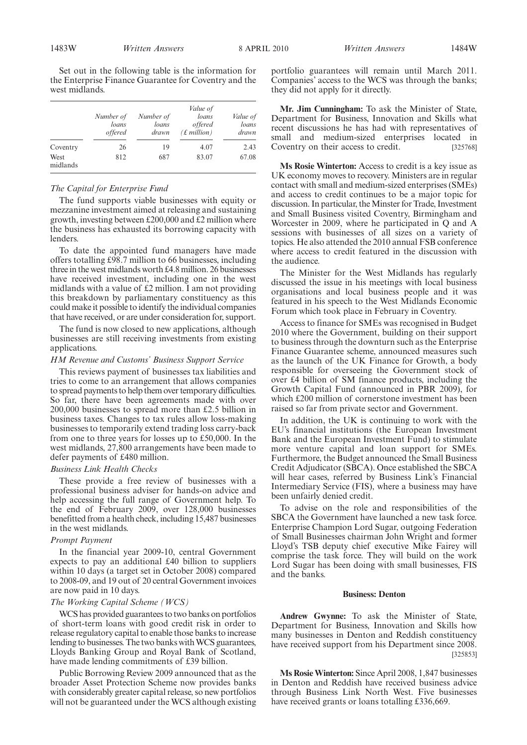Set out in the following table is the information for the Enterprise Finance Guarantee for Coventry and the west midlands.

|                  | Number of<br>loans<br><i>offered</i> | Number of<br>loans<br>drawn | Value of<br>loans<br><i>offered</i><br>$(f.$ <i>million</i> ) | Value of<br>loans<br>drawn |
|------------------|--------------------------------------|-----------------------------|---------------------------------------------------------------|----------------------------|
| Coventry         | 26                                   | 19                          | 4.07                                                          | 2.43                       |
| West<br>midlands | 812                                  | 687                         | 83.07                                                         | 67.08                      |

## *The Capital for Enterprise Fund*

The fund supports viable businesses with equity or mezzanine investment aimed at releasing and sustaining growth, investing between £200,000 and £2 million where the business has exhausted its borrowing capacity with lenders.

To date the appointed fund managers have made offers totalling £98.7 million to 66 businesses, including three in the west midlands worth £4.8 million. 26 businesses have received investment, including one in the west midlands with a value of £2 million. I am not providing this breakdown by parliamentary constituency as this could make it possible to identify the individual companies that have received, or are under consideration for, support.

The fund is now closed to new applications, although businesses are still receiving investments from existing applications.

#### *HM Revenue and Customs' Business Support Service*

This reviews payment of businesses tax liabilities and tries to come to an arrangement that allows companies to spread payments to help them over temporary difficulties. So far, there have been agreements made with over 200,000 businesses to spread more than £2.5 billion in business taxes. Changes to tax rules allow loss-making businesses to temporarily extend trading loss carry-back from one to three years for losses up to £50,000. In the west midlands, 27,800 arrangements have been made to defer payments of £480 million.

### *Business Link Health Checks*

These provide a free review of businesses with a professional business adviser for hands-on advice and help accessing the full range of Government help. To the end of February 2009, over 128,000 businesses benefitted from a health check, including 15,487 businesses in the west midlands.

#### *Prompt Payment*

In the financial year 2009-10, central Government expects to pay an additional £40 billion to suppliers within 10 days (a target set in October 2008) compared to 2008-09, and 19 out of 20 central Government invoices are now paid in 10 days.

#### *The Working Capital Scheme (WCS)*

WCS has provided guarantees to two banks on portfolios of short-term loans with good credit risk in order to release regulatory capital to enable those banks to increase lending to businesses. The two banks with WCS guarantees, Lloyds Banking Group and Royal Bank of Scotland, have made lending commitments of £39 billion.

Public Borrowing Review 2009 announced that as the broader Asset Protection Scheme now provides banks with considerably greater capital release, so new portfolios will not be guaranteed under the WCS although existing portfolio guarantees will remain until March 2011. Companies' access to the WCS was through the banks; they did not apply for it directly.

**Mr. Jim Cunningham:** To ask the Minister of State, Department for Business, Innovation and Skills what recent discussions he has had with representatives of small and medium-sized enterprises located in Coventry on their access to credit. [325768]

**Ms Rosie Winterton:** Access to credit is a key issue as UK economy moves to recovery. Ministers are in regular contact with small and medium-sized enterprises (SMEs) and access to credit continues to be a major topic for discussion. In particular, the Minster for Trade, Investment and Small Business visited Coventry, Birmingham and Worcester in 2009, where he participated in Q and A sessions with businesses of all sizes on a variety of topics. He also attended the 2010 annual FSB conference where access to credit featured in the discussion with the audience.

The Minister for the West Midlands has regularly discussed the issue in his meetings with local business organisations and local business people and it was featured in his speech to the West Midlands Economic Forum which took place in February in Coventry.

Access to finance for SMEs was recognised in Budget 2010 where the Government, building on their support to business through the downturn such as the Enterprise Finance Guarantee scheme, announced measures such as the launch of the UK Finance for Growth, a body responsible for overseeing the Government stock of over £4 billion of SM finance products, including the Growth Capital Fund (announced in PBR 2009), for which £200 million of cornerstone investment has been raised so far from private sector and Government.

In addition, the UK is continuing to work with the EU's financial institutions (the European Investment Bank and the European Investment Fund) to stimulate more venture capital and loan support for SMEs. Furthermore, the Budget announced the Small Business Credit Adjudicator (SBCA). Once established the SBCA will hear cases, referred by Business Link's Financial Intermediary Service (FIS), where a business may have been unfairly denied credit.

To advise on the role and responsibilities of the SBCA the Government have launched a new task force. Enterprise Champion Lord Sugar, outgoing Federation of Small Businesses chairman John Wright and former Lloyd's TSB deputy chief executive Mike Fairey will comprise the task force. They will build on the work Lord Sugar has been doing with small businesses, FIS and the banks.

## **Business: Denton**

**Andrew Gwynne:** To ask the Minister of State, Department for Business, Innovation and Skills how many businesses in Denton and Reddish constituency have received support from his Department since 2008. [325853]

**Ms Rosie Winterton:** Since April 2008, 1,847 businesses in Denton and Reddish have received business advice through Business Link North West. Five businesses have received grants or loans totalling £336,669.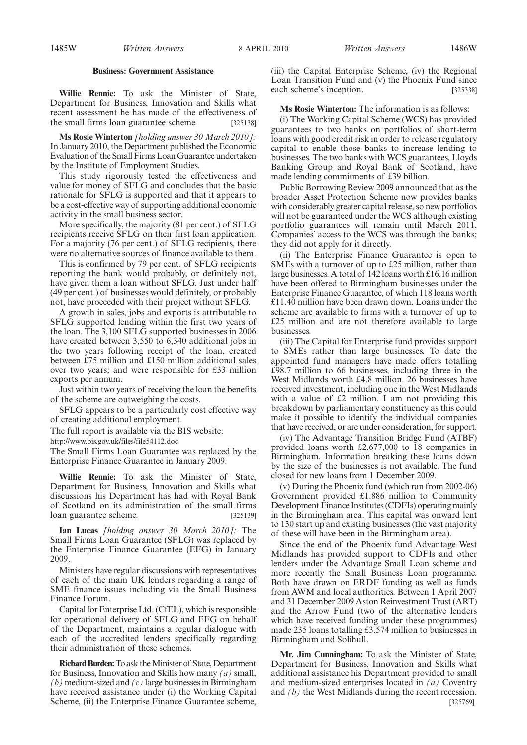## **Business: Government Assistance**

**Willie Rennie:** To ask the Minister of State, Department for Business, Innovation and Skills what recent assessment he has made of the effectiveness of the small firms loan guarantee scheme. [325138]

**Ms Rosie Winterton** *[holding answer 30 March 2010]:* In January 2010, the Department published the Economic Evaluation of the Small Firms Loan Guarantee undertaken by the Institute of Employment Studies.

This study rigorously tested the effectiveness and value for money of SFLG and concludes that the basic rationale for SFLG is supported and that it appears to be a cost-effective way of supporting additional economic activity in the small business sector.

More specifically, the majority (81 per cent.) of SFLG recipients receive SFLG on their first loan application. For a majority (76 per cent.) of SFLG recipients, there were no alternative sources of finance available to them.

This is confirmed by 79 per cent. of SFLG recipients reporting the bank would probably, or definitely not, have given them a loan without SFLG. Just under half (49 per cent.) of businesses would definitely, or probably not, have proceeded with their project without SFLG.

A growth in sales, jobs and exports is attributable to SFLG supported lending within the first two years of the loan. The 3,100 SFLG supported businesses in 2006 have created between 3,550 to 6,340 additional jobs in the two years following receipt of the loan, created between £75 million and £150 million additional sales over two years; and were responsible for £33 million exports per annum.

Just within two years of receiving the loan the benefits of the scheme are outweighing the costs.

SFLG appears to be a particularly cost effective way of creating additional employment.

The full report is available via the BIS website:

http://www.bis.gov.uk/files/file54112.doc

The Small Firms Loan Guarantee was replaced by the Enterprise Finance Guarantee in January 2009.

**Willie Rennie:** To ask the Minister of State, Department for Business, Innovation and Skills what discussions his Department has had with Royal Bank of Scotland on its administration of the small firms loan guarantee scheme. [325139]

**Ian Lucas** *[holding answer 30 March 2010]:* The Small Firms Loan Guarantee (SFLG) was replaced by the Enterprise Finance Guarantee (EFG) in January 2009.

Ministers have regular discussions with representatives of each of the main UK lenders regarding a range of SME finance issues including via the Small Business Finance Forum.

Capital for Enterprise Ltd. (CfEL), which is responsible for operational delivery of SFLG and EFG on behalf of the Department, maintains a regular dialogue with each of the accredited lenders specifically regarding their administration of these schemes.

**Richard Burden:** To ask the Minister of State, Department for Business, Innovation and Skills how many *(a)* small, *(b)* medium-sized and *(c)* large businesses in Birmingham have received assistance under (i) the Working Capital Scheme, (ii) the Enterprise Finance Guarantee scheme,

(iii) the Capital Enterprise Scheme, (iv) the Regional Loan Transition Fund and (v) the Phoenix Fund since each scheme's inception. [325338]

**Ms Rosie Winterton:** The information is as follows:

(i) The Working Capital Scheme (WCS) has provided guarantees to two banks on portfolios of short-term loans with good credit risk in order to release regulatory capital to enable those banks to increase lending to businesses. The two banks with WCS guarantees, Lloyds Banking Group and Royal Bank of Scotland, have made lending commitments of £39 billion.

Public Borrowing Review 2009 announced that as the broader Asset Protection Scheme now provides banks with considerably greater capital release, so new portfolios will not be guaranteed under the WCS although existing portfolio guarantees will remain until March 2011. Companies' access to the WCS was through the banks; they did not apply for it directly.

(ii) The Enterprise Finance Guarantee is open to SMEs with a turnover of up to £25 million, rather than large businesses. A total of 142 loans worth £16.16 million have been offered to Birmingham businesses under the Enterprise Finance Guarantee, of which 118 loans worth £11.40 million have been drawn down. Loans under the scheme are available to firms with a turnover of up to £25 million and are not therefore available to large businesses.

(iii) The Capital for Enterprise fund provides support to SMEs rather than large businesses. To date the appointed fund managers have made offers totalling £98.7 million to 66 businesses, including three in the West Midlands worth £4.8 million. 26 businesses have received investment, including one in the West Midlands with a value of  $£2$  million. I am not providing this breakdown by parliamentary constituency as this could make it possible to identify the individual companies that have received, or are under consideration, for support.

(iv) The Advantage Transition Bridge Fund (ATBF) provided loans worth £2,677,000 to 18 companies in Birmingham. Information breaking these loans down by the size of the businesses is not available. The fund closed for new loans from 1 December 2009.

(v) During the Phoenix fund (which ran from 2002-06) Government provided £1.886 million to Community Development Finance Institutes (CDFIs) operating mainly in the Birmingham area. This capital was onward lent to 130 start up and existing businesses (the vast majority of these will have been in the Birmingham area).

Since the end of the Phoenix fund Advantage West Midlands has provided support to CDFIs and other lenders under the Advantage Small Loan scheme and more recently the Small Business Loan programme. Both have drawn on ERDF funding as well as funds from AWM and local authorities. Between 1 April 2007 and 31 December 2009 Aston Reinvestment Trust (ART) and the Arrow Fund (two of the alternative lenders which have received funding under these programmes) made 235 loans totalling £3.574 million to businesses in Birmingham and Solihull.

**Mr. Jim Cunningham:** To ask the Minister of State, Department for Business, Innovation and Skills what additional assistance his Department provided to small and medium-sized enterprises located in *(a)* Coventry and *(b)* the West Midlands during the recent recession. [325769]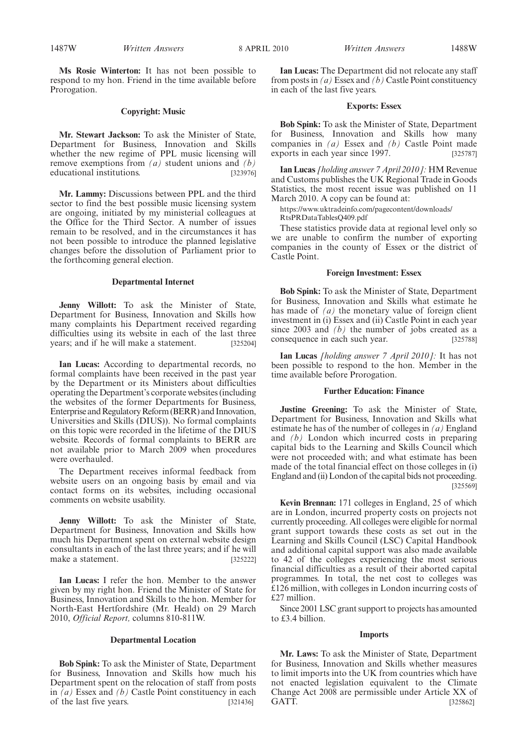#### **Copyright: Music**

**Mr. Stewart Jackson:** To ask the Minister of State, Department for Business, Innovation and Skills whether the new regime of PPL music licensing will remove exemptions from *(a)* student unions and *(b)* educational institutions. [323976]

**Mr. Lammy:** Discussions between PPL and the third sector to find the best possible music licensing system are ongoing, initiated by my ministerial colleagues at the Office for the Third Sector. A number of issues remain to be resolved, and in the circumstances it has not been possible to introduce the planned legislative changes before the dissolution of Parliament prior to the forthcoming general election.

#### **Departmental Internet**

**Jenny Willott:** To ask the Minister of State, Department for Business, Innovation and Skills how many complaints his Department received regarding difficulties using its website in each of the last three years; and if he will make a statement. [325204]

**Ian Lucas:** According to departmental records, no formal complaints have been received in the past year by the Department or its Ministers about difficulties operating the Department's corporate websites (including the websites of the former Departments for Business, Enterprise and Regulatory Reform (BERR) and Innovation, Universities and Skills (DIUS)). No formal complaints on this topic were recorded in the lifetime of the DIUS website. Records of formal complaints to BERR are not available prior to March 2009 when procedures were overhauled.

The Department receives informal feedback from website users on an ongoing basis by email and via contact forms on its websites, including occasional comments on website usability.

**Jenny Willott:** To ask the Minister of State, Department for Business, Innovation and Skills how much his Department spent on external website design consultants in each of the last three years; and if he will make a statement. [325222]

**Ian Lucas:** I refer the hon. Member to the answer given by my right hon. Friend the Minister of State for Business, Innovation and Skills to the hon. Member for North-East Hertfordshire (Mr. Heald) on 29 March 2010, *Official Report,* columns 810-811W.

#### **Departmental Location**

**Bob Spink:** To ask the Minister of State, Department for Business, Innovation and Skills how much his Department spent on the relocation of staff from posts in *(a)* Essex and *(b)* Castle Point constituency in each of the last five years. [321436]

**Ian Lucas:** The Department did not relocate any staff from posts in *(a)* Essex and *(b)* Castle Point constituency in each of the last five years.

#### **Exports: Essex**

**Bob Spink:** To ask the Minister of State, Department for Business, Innovation and Skills how many companies in *(a)* Essex and *(b)* Castle Point made exports in each year since 1997. [325787]

**Ian Lucas** *[holding answer 7 April 2010]:* HM Revenue and Customs publishes the UK Regional Trade in Goods Statistics, the most recent issue was published on 11 March 2010. A copy can be found at:

https://www.uktradeinfo.com/pagecontent/downloads/

RtsPRDataTablesQ409.pdf

These statistics provide data at regional level only so we are unable to confirm the number of exporting companies in the county of Essex or the district of Castle Point.

## **Foreign Investment: Essex**

**Bob Spink:** To ask the Minister of State, Department for Business, Innovation and Skills what estimate he has made of *(a)* the monetary value of foreign client investment in (i) Essex and (ii) Castle Point in each year since 2003 and *(b)* the number of jobs created as a consequence in each such year. [325788]

**Ian Lucas** *[holding answer 7 April 2010]:* It has not been possible to respond to the hon. Member in the time available before Prorogation.

#### **Further Education: Finance**

**Justine Greening:** To ask the Minister of State, Department for Business, Innovation and Skills what estimate he has of the number of colleges in *(a)* England and *(b)* London which incurred costs in preparing capital bids to the Learning and Skills Council which were not proceeded with; and what estimate has been made of the total financial effect on those colleges in (i) England and (ii) London of the capital bids not proceeding. [325569]

**Kevin Brennan:** 171 colleges in England, 25 of which are in London, incurred property costs on projects not currently proceeding. All colleges were eligible for normal grant support towards these costs as set out in the Learning and Skills Council (LSC) Capital Handbook and additional capital support was also made available to 42 of the colleges experiencing the most serious financial difficulties as a result of their aborted capital programmes. In total, the net cost to colleges was £126 million, with colleges in London incurring costs of £27 million.

Since 2001 LSC grant support to projects has amounted to £3.4 billion.

#### **Imports**

**Mr. Laws:** To ask the Minister of State, Department for Business, Innovation and Skills whether measures to limit imports into the UK from countries which have not enacted legislation equivalent to the Climate Change Act 2008 are permissible under Article XX of GATT. [325862]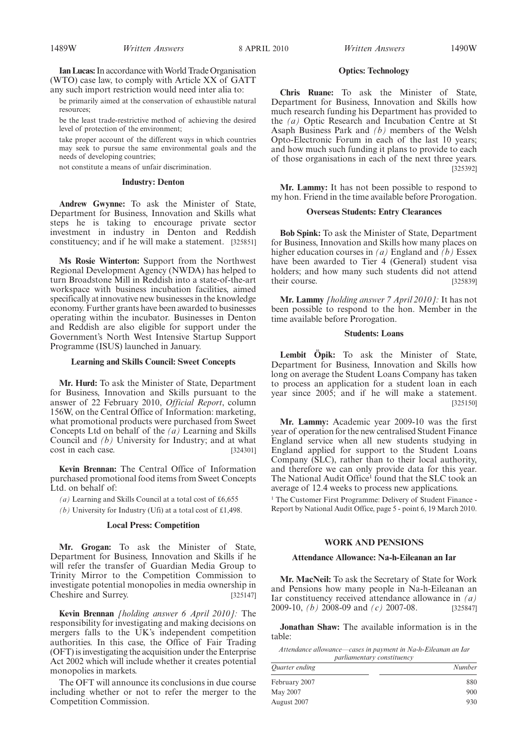Ian Lucas: In accordance with World Trade Organisation (WTO) case law, to comply with Article XX of GATT any such import restriction would need inter alia to:

be primarily aimed at the conservation of exhaustible natural resources;

be the least trade-restrictive method of achieving the desired level of protection of the environment;

take proper account of the different ways in which countries may seek to pursue the same environmental goals and the needs of developing countries;

not constitute a means of unfair discrimination.

## **Industry: Denton**

**Andrew Gwynne:** To ask the Minister of State, Department for Business, Innovation and Skills what steps he is taking to encourage private sector investment in industry in Denton and Reddish constituency; and if he will make a statement. [325851]

**Ms Rosie Winterton:** Support from the Northwest Regional Development Agency (NWDA) has helped to turn Broadstone Mill in Reddish into a state-of-the-art workspace with business incubation facilities, aimed specifically at innovative new businesses in the knowledge economy. Further grants have been awarded to businesses operating within the incubator. Businesses in Denton and Reddish are also eligible for support under the Government's North West Intensive Startup Support Programme (ISUS) launched in January.

#### **Learning and Skills Council: Sweet Concepts**

**Mr. Hurd:** To ask the Minister of State, Department for Business, Innovation and Skills pursuant to the answer of 22 February 2010, *Official Report*, column 156W, on the Central Office of Information: marketing, what promotional products were purchased from Sweet Concepts Ltd on behalf of the *(a)* Learning and Skills Council and *(b)* University for Industry; and at what cost in each case. [324301]

**Kevin Brennan:** The Central Office of Information purchased promotional food items from Sweet Concepts Ltd. on behalf of:

*(a)* Learning and Skills Council at a total cost of £6,655

*(b)* University for Industry (Ufi) at a total cost of £1,498.

#### **Local Press: Competition**

**Mr. Grogan:** To ask the Minister of State, Department for Business, Innovation and Skills if he will refer the transfer of Guardian Media Group to Trinity Mirror to the Competition Commission to investigate potential monopolies in media ownership in Cheshire and Surrey. [325147]

**Kevin Brennan** *[holding answer 6 April 2010]:* The responsibility for investigating and making decisions on mergers falls to the UK's independent competition authorities. In this case, the Office of Fair Trading (OFT) is investigating the acquisition under the Enterprise Act 2002 which will include whether it creates potential monopolies in markets.

The OFT will announce its conclusions in due course including whether or not to refer the merger to the Competition Commission.

1489W *Written Answers* 8 APRIL 2010 *Written Answers* 1490W

### **Optics: Technology**

**Chris Ruane:** To ask the Minister of State, Department for Business, Innovation and Skills how much research funding his Department has provided to the *(a)* Optic Research and Incubation Centre at St Asaph Business Park and *(b)* members of the Welsh Opto-Electronic Forum in each of the last 10 years; and how much such funding it plans to provide to each of those organisations in each of the next three years. [325392]

**Mr. Lammy:** It has not been possible to respond to my hon. Friend in the time available before Prorogation.

## **Overseas Students: Entry Clearances**

**Bob Spink:** To ask the Minister of State, Department for Business, Innovation and Skills how many places on higher education courses in *(a)* England and *(b)* Essex have been awarded to Tier 4 (General) student visa holders; and how many such students did not attend their course. [325839]

**Mr. Lammy** *[holding answer 7 April 2010]:* It has not been possible to respond to the hon. Member in the time available before Prorogation.

## **Students: Loans**

**Lembit Öpik:** To ask the Minister of State, Department for Business, Innovation and Skills how long on average the Student Loans Company has taken to process an application for a student loan in each year since 2005; and if he will make a statement. [325150]

**Mr. Lammy:** Academic year 2009-10 was the first year of operation for the new centralised Student Finance England service when all new students studying in England applied for support to the Student Loans Company (SLC), rather than to their local authority, and therefore we can only provide data for this year. The National Audit Office<sup>1</sup> found that the SLC took an average of 12.4 weeks to process new applications.

<sup>1</sup> The Customer First Programme: Delivery of Student Finance -Report by National Audit Office, page 5 - point 6, 19 March 2010.

#### **WORK AND PENSIONS**

#### **Attendance Allowance: Na-h-Eileanan an Iar**

**Mr. MacNeil:** To ask the Secretary of State for Work and Pensions how many people in Na-h-Eileanan an Iar constituency received attendance allowance in *(a)* 2009-10, *(b)* 2008-09 and *(c)* 2007-08. [325847]

**Jonathan Shaw:** The available information is in the table:

*Attendance allowance—cases in payment in Na-h-Eileanan an Iar parliamentary constituency*

| Quarter ending | Number |
|----------------|--------|
| February 2007  | 880    |
| May 2007       | 900    |
| August 2007    | 930    |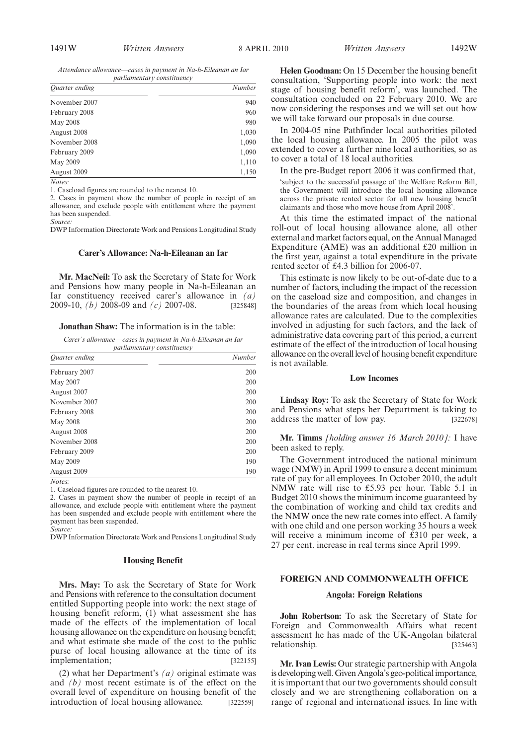*Attendance allowance—cases in payment in Na-h-Eileanan an Iar parliamentary constituency*

| <i>Ouarter ending</i> | Number |
|-----------------------|--------|
| November 2007         | 940    |
| February 2008         | 960    |
| May 2008              | 980    |
| August 2008           | 1,030  |
| November 2008         | 1,090  |
| February 2009         | 1,090  |
| May 2009              | 1,110  |
| August 2009           | 1,150  |

*Notes:*

1. Caseload figures are rounded to the nearest 10.

2. Cases in payment show the number of people in receipt of an allowance, and exclude people with entitlement where the payment has been suspended.

*Source:*

DWP Information Directorate Work and Pensions Longitudinal Study

#### **Carer's Allowance: Na-h-Eileanan an Iar**

**Mr. MacNeil:** To ask the Secretary of State for Work and Pensions how many people in Na-h-Eileanan an Iar constituency received carer's allowance in  $(a)$ <br>2009-10,  $(b)$  2008-09 and  $(c)$  2007-08. [325848] 2009-10, *(b)* 2008-09 and *(c)* 2007-08.

#### **Jonathan Shaw:** The information is in the table:

*Carer's allowance—cases in payment in Na-h-Eileanan an Iar parliamentary constituency* 

| Quarter ending  | Number |
|-----------------|--------|
| February 2007   | 200    |
| May 2007        | 200    |
| August 2007     | 200    |
| November 2007   | 200    |
| February 2008   | 200    |
| <b>May 2008</b> | 200    |
| August 2008     | 200    |
| November 2008   | 200    |
| February 2009   | 200    |
| May 2009        | 190    |
| August 2009     | 190    |

*Notes:*

1. Caseload figures are rounded to the nearest 10.

2. Cases in payment show the number of people in receipt of an allowance, and exclude people with entitlement where the payment has been suspended and exclude people with entitlement where the payment has been suspended. *Source:*

DWP Information Directorate Work and Pensions Longitudinal Study

## **Housing Benefit**

**Mrs. May:** To ask the Secretary of State for Work and Pensions with reference to the consultation document entitled Supporting people into work: the next stage of housing benefit reform, (1) what assessment she has made of the effects of the implementation of local housing allowance on the expenditure on housing benefit; and what estimate she made of the cost to the public purse of local housing allowance at the time of its implementation; [322155]

(2) what her Department's *(a)* original estimate was and *(b)* most recent estimate is of the effect on the overall level of expenditure on housing benefit of the introduction of local housing allowance. [322559]

**Helen Goodman:** On 15 December the housing benefit consultation, 'Supporting people into work: the next stage of housing benefit reform', was launched. The consultation concluded on 22 February 2010. We are now considering the responses and we will set out how we will take forward our proposals in due course.

In 2004-05 nine Pathfinder local authorities piloted the local housing allowance. In 2005 the pilot was extended to cover a further nine local authorities, so as to cover a total of 18 local authorities.

In the pre-Budget report 2006 it was confirmed that,

'subject to the successful passage of the Welfare Reform Bill, the Government will introduce the local housing allowance across the private rented sector for all new housing benefit claimants and those who move house from April 2008'.

At this time the estimated impact of the national roll-out of local housing allowance alone, all other external and market factors equal, on the Annual Managed Expenditure (AME) was an additional £20 million in the first year, against a total expenditure in the private rented sector of £4.3 billion for 2006-07.

This estimate is now likely to be out-of-date due to a number of factors, including the impact of the recession on the caseload size and composition, and changes in the boundaries of the areas from which local housing allowance rates are calculated. Due to the complexities involved in adjusting for such factors, and the lack of administrative data covering part of this period, a current estimate of the effect of the introduction of local housing allowance on the overall level of housing benefit expenditure is not available.

#### **Low Incomes**

**Lindsay Roy:** To ask the Secretary of State for Work and Pensions what steps her Department is taking to address the matter of low pay. [322678]

**Mr. Timms** *[holding answer 16 March 2010]:* I have been asked to reply.

The Government introduced the national minimum wage (NMW) in April 1999 to ensure a decent minimum rate of pay for all employees. In October 2010, the adult NMW rate will rise to £5.93 per hour. Table 5.1 in Budget 2010 shows the minimum income guaranteed by the combination of working and child tax credits and the NMW once the new rate comes into effect. A family with one child and one person working 35 hours a week will receive a minimum income of £310 per week, a 27 per cent. increase in real terms since April 1999.

## **FOREIGN AND COMMONWEALTH OFFICE**

#### **Angola: Foreign Relations**

**John Robertson:** To ask the Secretary of State for Foreign and Commonwealth Affairs what recent assessment he has made of the UK-Angolan bilateral relationship. [325463]

**Mr. Ivan Lewis:** Our strategic partnership with Angola is developing well. Given Angola's geo-political importance, it is important that our two governments should consult closely and we are strengthening collaboration on a range of regional and international issues. In line with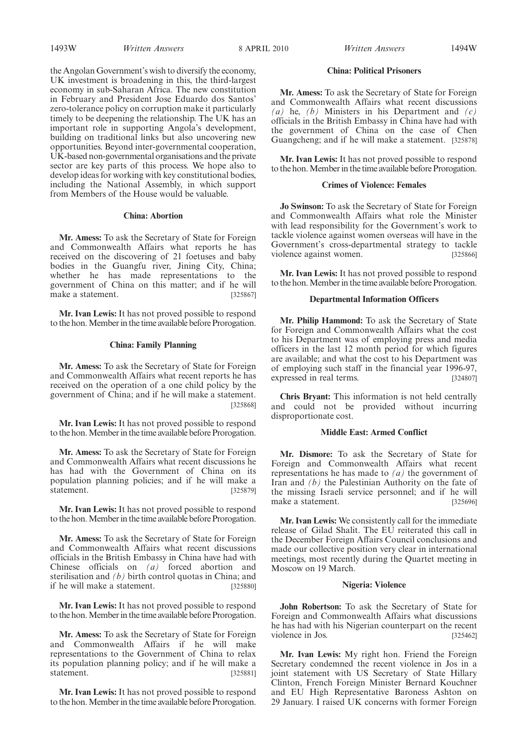1493W *Written Answers Written Answers* 8 APRIL 2010 1494W

the Angolan Government's wish to diversify the economy, UK investment is broadening in this, the third-largest economy in sub-Saharan Africa. The new constitution in February and President Jose Eduardo dos Santos' zero-tolerance policy on corruption make it particularly timely to be deepening the relationship. The UK has an important role in supporting Angola's development, building on traditional links but also uncovering new opportunities. Beyond inter-governmental cooperation, UK-based non-governmental organisations and the private sector are key parts of this process. We hope also to develop ideas for working with key constitutional bodies, including the National Assembly, in which support from Members of the House would be valuable.

#### **China: Abortion**

**Mr. Amess:** To ask the Secretary of State for Foreign and Commonwealth Affairs what reports he has received on the discovering of 21 foetuses and baby bodies in the Guangfu river, Jining City, China; whether he has made representations to the government of China on this matter; and if he will make a statement. [325867]

**Mr. Ivan Lewis:** It has not proved possible to respond to the hon. Member in the time available before Prorogation.

### **China: Family Planning**

**Mr. Amess:** To ask the Secretary of State for Foreign and Commonwealth Affairs what recent reports he has received on the operation of a one child policy by the government of China; and if he will make a statement. [325868]

**Mr. Ivan Lewis:** It has not proved possible to respond to the hon.Member in the time available before Prorogation.

**Mr. Amess:** To ask the Secretary of State for Foreign and Commonwealth Affairs what recent discussions he has had with the Government of China on its population planning policies; and if he will make a statement. [325879]

**Mr. Ivan Lewis:** It has not proved possible to respond to the hon. Member in the time available before Prorogation.

**Mr. Amess:** To ask the Secretary of State for Foreign and Commonwealth Affairs what recent discussions officials in the British Embassy in China have had with Chinese officials on *(a)* forced abortion and sterilisation and *(b)* birth control quotas in China; and if he will make a statement. [325880]

**Mr. Ivan Lewis:** It has not proved possible to respond to the hon. Member in the time available before Prorogation.

**Mr. Amess:** To ask the Secretary of State for Foreign and Commonwealth Affairs if he will make representations to the Government of China to relax its population planning policy; and if he will make a statement. [325881]

**Mr. Ivan Lewis:** It has not proved possible to respond to the hon. Member in the time available before Prorogation.

## **China: Political Prisoners**

**Mr. Amess:** To ask the Secretary of State for Foreign and Commonwealth Affairs what recent discussions *(a)* he, *(b)* Ministers in his Department and *(c)* officials in the British Embassy in China have had with the government of China on the case of Chen Guangcheng; and if he will make a statement. [325878]

**Mr. Ivan Lewis:** It has not proved possible to respond to the hon. Member in the time available before Prorogation.

### **Crimes of Violence: Females**

**Jo Swinson:** To ask the Secretary of State for Foreign and Commonwealth Affairs what role the Minister with lead responsibility for the Government's work to tackle violence against women overseas will have in the Government's cross-departmental strategy to tackle violence against women. [325866]

**Mr. Ivan Lewis:** It has not proved possible to respond to the hon. Member in the time available before Prorogation.

#### **Departmental Information Officers**

**Mr. Philip Hammond:** To ask the Secretary of State for Foreign and Commonwealth Affairs what the cost to his Department was of employing press and media officers in the last 12 month period for which figures are available; and what the cost to his Department was of employing such staff in the financial year 1996-97, expressed in real terms. [324807]

**Chris Bryant:** This information is not held centrally and could not be provided without incurring disproportionate cost.

## **Middle East: Armed Conflict**

**Mr. Dismore:** To ask the Secretary of State for Foreign and Commonwealth Affairs what recent representations he has made to *(a)* the government of Iran and *(b)* the Palestinian Authority on the fate of the missing Israeli service personnel; and if he will make a statement. [325696]

**Mr. Ivan Lewis:** We consistently call for the immediate release of Gilad Shalit. The EU reiterated this call in the December Foreign Affairs Council conclusions and made our collective position very clear in international meetings, most recently during the Quartet meeting in Moscow on 19 March.

## **Nigeria: Violence**

**John Robertson:** To ask the Secretary of State for Foreign and Commonwealth Affairs what discussions he has had with his Nigerian counterpart on the recent violence in Jos. [325462]

**Mr. Ivan Lewis:** My right hon. Friend the Foreign Secretary condemned the recent violence in Jos in a joint statement with US Secretary of State Hillary Clinton, French Foreign Minister Bernard Kouchner and EU High Representative Baroness Ashton on 29 January. I raised UK concerns with former Foreign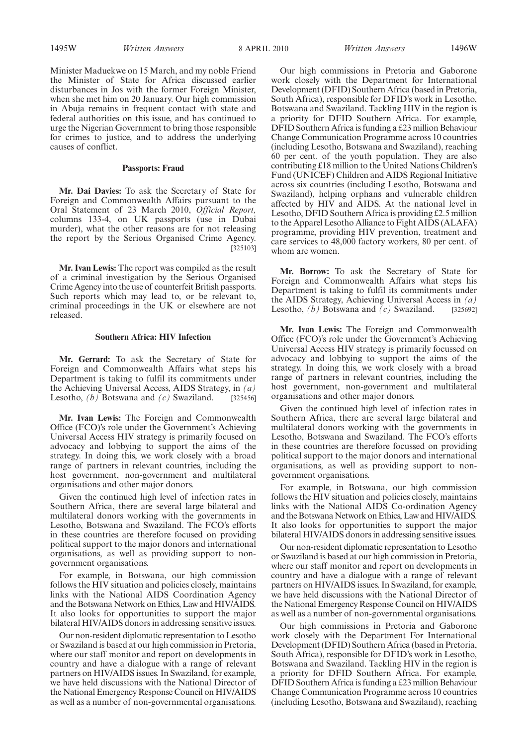1495W *Written Answers* 8 APRIL 2010 *Written Answers* 1496W

Minister Maduekwe on 15 March, and my noble Friend the Minister of State for Africa discussed earlier disturbances in Jos with the former Foreign Minister, when she met him on 20 January. Our high commission in Abuja remains in frequent contact with state and federal authorities on this issue, and has continued to urge the Nigerian Government to bring those responsible for crimes to justice, and to address the underlying causes of conflict.

# **Passports: Fraud**

**Mr. Dai Davies:** To ask the Secretary of State for Foreign and Commonwealth Affairs pursuant to the Oral Statement of 23 March 2010, *Official Report,* columns 133-4, on UK passports (use in Dubai murder), what the other reasons are for not releasing the report by the Serious Organised Crime Agency. [325103]

**Mr. Ivan Lewis:** The report was compiled as the result of a criminal investigation by the Serious Organised Crime Agency into the use of counterfeit British passports. Such reports which may lead to, or be relevant to, criminal proceedings in the UK or elsewhere are not released.

## **Southern Africa: HIV Infection**

**Mr. Gerrard:** To ask the Secretary of State for Foreign and Commonwealth Affairs what steps his Department is taking to fulfil its commitments under the Achieving Universal Access, AIDS Strategy, in *(a)* Lesotho, *(b)* Botswana and *(c)* Swaziland. [325456]

**Mr. Ivan Lewis:** The Foreign and Commonwealth Office (FCO)'s role under the Government's Achieving Universal Access HIV strategy is primarily focused on advocacy and lobbying to support the aims of the strategy. In doing this, we work closely with a broad range of partners in relevant countries, including the host government, non-government and multilateral organisations and other major donors.

Given the continued high level of infection rates in Southern Africa, there are several large bilateral and multilateral donors working with the governments in Lesotho, Botswana and Swaziland. The FCO's efforts in these countries are therefore focused on providing political support to the major donors and international organisations, as well as providing support to nongovernment organisations.

For example, in Botswana, our high commission follows the HIV situation and policies closely, maintains links with the National AIDS Coordination Agency and the Botswana Network on Ethics, Law and HIV/AIDS. It also looks for opportunities to support the major bilateral HIV/AIDS donors in addressing sensitive issues.

Our non-resident diplomatic representation to Lesotho or Swaziland is based at our high commission in Pretoria, where our staff monitor and report on developments in country and have a dialogue with a range of relevant partners on HIV/AIDS issues. In Swaziland, for example, we have held discussions with the National Director of the National Emergency Response Council on HIV/AIDS as well as a number of non-governmental organisations.

Our high commissions in Pretoria and Gaborone work closely with the Department for International Development (DFID) Southern Africa (based in Pretoria, South Africa), responsible for DFID's work in Lesotho, Botswana and Swaziland. Tackling HIV in the region is a priority for DFID Southern Africa. For example, DFID Southern Africa is funding a £23 million Behaviour Change Communication Programme across 10 countries (including Lesotho, Botswana and Swaziland), reaching 60 per cent. of the youth population. They are also contributing £18 million to the United Nations Children's Fund (UNICEF) Children and AIDS Regional Initiative across six countries (including Lesotho, Botswana and Swaziland), helping orphans and vulnerable children affected by HIV and AIDS. At the national level in Lesotho, DFID Southern Africa is providing £2.5 million to the Apparel Lesotho Alliance to Fight AIDS (ALAFA) programme, providing HIV prevention, treatment and care services to 48,000 factory workers, 80 per cent. of whom are women.

**Mr. Borrow:** To ask the Secretary of State for Foreign and Commonwealth Affairs what steps his Department is taking to fulfil its commitments under the AIDS Strategy, Achieving Universal Access in *(a)* Lesotho, *(b)* Botswana and *(c)* Swaziland. [325692]

**Mr. Ivan Lewis:** The Foreign and Commonwealth Office (FCO)'s role under the Government's Achieving Universal Access HIV strategy is primarily focussed on advocacy and lobbying to support the aims of the strategy. In doing this, we work closely with a broad range of partners in relevant countries, including the host government, non-government and multilateral organisations and other major donors.

Given the continued high level of infection rates in Southern Africa, there are several large bilateral and multilateral donors working with the governments in Lesotho, Botswana and Swaziland. The FCO's efforts in these countries are therefore focussed on providing political support to the major donors and international organisations, as well as providing support to nongovernment organisations.

For example, in Botswana, our high commission follows the HIV situation and policies closely, maintains links with the National AIDS Co-ordination Agency and the Botswana Network on Ethics, Law and HIV/AIDS. It also looks for opportunities to support the major bilateral HIV/AIDS donors in addressing sensitive issues.

Our non-resident diplomatic representation to Lesotho or Swaziland is based at our high commission in Pretoria, where our staff monitor and report on developments in country and have a dialogue with a range of relevant partners on HIV/AIDS issues. In Swaziland, for example, we have held discussions with the National Director of the National Emergency Response Council on HIV/AIDS as well as a number of non-governmental organisations.

Our high commissions in Pretoria and Gaborone work closely with the Department For International Development (DFID) Southern Africa (based in Pretoria, South Africa), responsible for DFID's work in Lesotho, Botswana and Swaziland. Tackling HIV in the region is a priority for DFID Southern Africa. For example, DFID Southern Africa is funding a £23 million Behaviour Change Communication Programme across 10 countries (including Lesotho, Botswana and Swaziland), reaching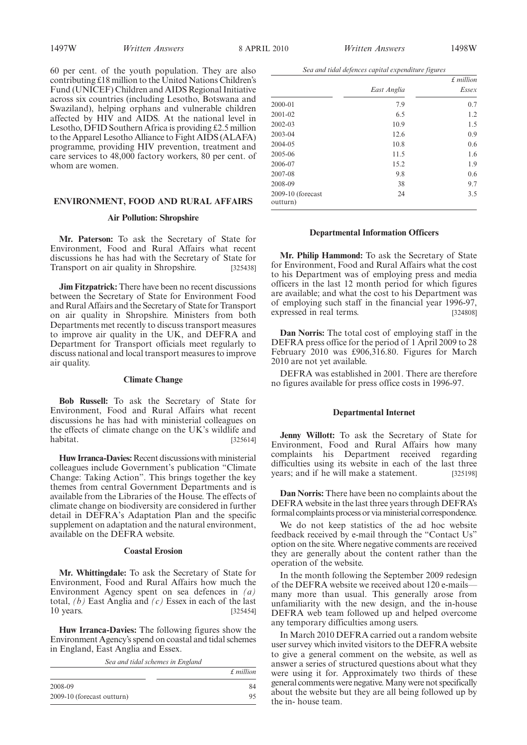60 per cent. of the youth population. They are also contributing £18 million to the United Nations Children's Fund (UNICEF) Children and AIDS Regional Initiative across six countries (including Lesotho, Botswana and Swaziland), helping orphans and vulnerable children affected by HIV and AIDS. At the national level in Lesotho, DFID Southern Africa is providing £2.5 million to the Apparel Lesotho Alliance to Fight AIDS (ALAFA) programme, providing HIV prevention, treatment and care services to 48,000 factory workers, 80 per cent. of whom are women.

# **ENVIRONMENT, FOOD AND RURAL AFFAIRS**

# **Air Pollution: Shropshire**

**Mr. Paterson:** To ask the Secretary of State for Environment, Food and Rural Affairs what recent discussions he has had with the Secretary of State for Transport on air quality in Shropshire. [325438]

**Jim Fitzpatrick:** There have been no recent discussions between the Secretary of State for Environment Food and Rural Affairs and the Secretary of State for Transport on air quality in Shropshire. Ministers from both Departments met recently to discuss transport measures to improve air quality in the UK, and DEFRA and Department for Transport officials meet regularly to discuss national and local transport measures to improve air quality.

## **Climate Change**

**Bob Russell:** To ask the Secretary of State for Environment, Food and Rural Affairs what recent discussions he has had with ministerial colleagues on the effects of climate change on the UK's wildlife and habitat. [325614]  $[325614]$ 

**Huw Irranca-Davies:** Recent discussions with ministerial colleagues include Government's publication "Climate Change: Taking Action". This brings together the key themes from central Government Departments and is available from the Libraries of the House. The effects of climate change on biodiversity are considered in further detail in DEFRA's Adaptation Plan and the specific supplement on adaptation and the natural environment, available on the DEFRA website.

#### **Coastal Erosion**

**Mr. Whittingdale:** To ask the Secretary of State for Environment, Food and Rural Affairs how much the Environment Agency spent on sea defences in *(a)* total, *(b)* East Anglia and *(c)* Essex in each of the last 10 years. [325454]

**Huw Irranca-Davies:** The following figures show the Environment Agency's spend on coastal and tidal schemes in England, East Anglia and Essex.

*Sea and tidal schemes in England*

|                            | $£$ million |
|----------------------------|-------------|
| 2008-09                    | 84          |
| 2009-10 (forecast outturn) | 95          |

*Sea and tidal defences capital expenditure figures*

|                               |             | $£$ million |
|-------------------------------|-------------|-------------|
|                               | East Anglia | Essex       |
| 2000-01                       | 7.9         | 0.7         |
| 2001-02                       | 6.5         | 1.2         |
| 2002-03                       | 10.9        | 1.5         |
| 2003-04                       | 12.6        | 0.9         |
| 2004-05                       | 10.8        | 0.6         |
| 2005-06                       | 11.5        | 1.6         |
| 2006-07                       | 15.2        | 1.9         |
| 2007-08                       | 9.8         | 0.6         |
| 2008-09                       | 38          | 9.7         |
| 2009-10 (forecast<br>outturn) | 24          | 3.5         |

#### **Departmental Information Officers**

**Mr. Philip Hammond:** To ask the Secretary of State for Environment, Food and Rural Affairs what the cost to his Department was of employing press and media officers in the last 12 month period for which figures are available; and what the cost to his Department was of employing such staff in the financial year 1996-97, expressed in real terms. [324808]

**Dan Norris:** The total cost of employing staff in the DEFRA press office for the period of 1 April 2009 to 28 February 2010 was £906,316.80. Figures for March 2010 are not yet available.

DEFRA was established in 2001. There are therefore no figures available for press office costs in 1996-97.

#### **Departmental Internet**

**Jenny Willott:** To ask the Secretary of State for Environment, Food and Rural Affairs how many complaints his Department received regarding difficulties using its website in each of the last three years; and if he will make a statement. [325198]

**Dan Norris:** There have been no complaints about the DEFRA website in the last three years through DEFRA's formal complaints process or viaministerial correspondence.

We do not keep statistics of the ad hoc website feedback received by e-mail through the "Contact Us" option on the site. Where negative comments are received they are generally about the content rather than the operation of the website.

In the month following the September 2009 redesign of the DEFRA website we received about 120 e-mailsmany more than usual. This generally arose from unfamiliarity with the new design, and the in-house DEFRA web team followed up and helped overcome any temporary difficulties among users.

In March 2010 DEFRA carried out a random website user survey which invited visitors to the DEFRA website to give a general comment on the website, as well as answer a series of structured questions about what they were using it for. Approximately two thirds of these general comments were negative.Many were not specifically about the website but they are all being followed up by the in- house team.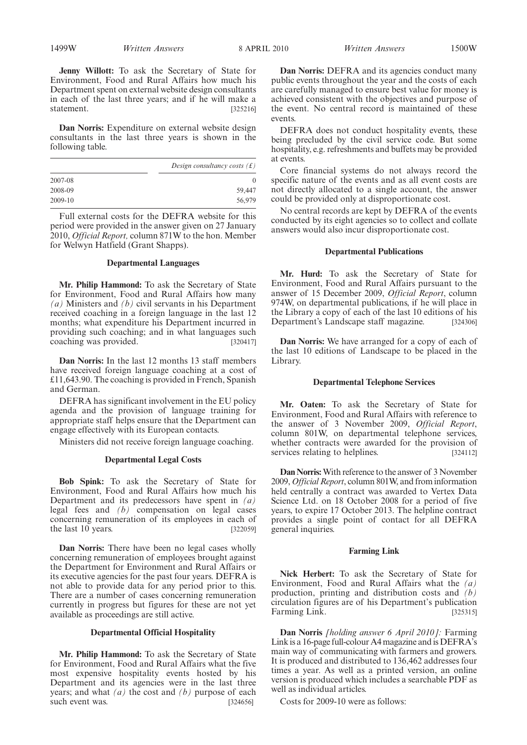**Jenny Willott:** To ask the Secretary of State for Environment, Food and Rural Affairs how much his Department spent on external website design consultants in each of the last three years; and if he will make a statement. [325216]

**Dan Norris:** Expenditure on external website design consultants in the last three years is shown in the following table.

|         | Design consultancy costs $(f)$ |
|---------|--------------------------------|
| 2007-08 |                                |
| 2008-09 | 59,447                         |
| 2009-10 | 56,979                         |

Full external costs for the DEFRA website for this period were provided in the answer given on 27 January 2010, *Official Report,* column 871W to the hon. Member for Welwyn Hatfield (Grant Shapps).

## **Departmental Languages**

**Mr. Philip Hammond:** To ask the Secretary of State for Environment, Food and Rural Affairs how many *(a)* Ministers and *(b)* civil servants in his Department received coaching in a foreign language in the last 12 months; what expenditure his Department incurred in providing such coaching; and in what languages such coaching was provided. [320417]

**Dan Norris:** In the last 12 months 13 staff members have received foreign language coaching at a cost of £11,643.90. The coaching is provided in French, Spanish and German.

DEFRA has significant involvement in the EU policy agenda and the provision of language training for appropriate staff helps ensure that the Department can engage effectively with its European contacts.

Ministers did not receive foreign language coaching.

## **Departmental Legal Costs**

**Bob Spink:** To ask the Secretary of State for Environment, Food and Rural Affairs how much his Department and its predecessors have spent in *(a)* legal fees and *(b)* compensation on legal cases concerning remuneration of its employees in each of the last 10 years. [322059]

**Dan Norris:** There have been no legal cases wholly concerning remuneration of employees brought against the Department for Environment and Rural Affairs or its executive agencies for the past four years. DEFRA is not able to provide data for any period prior to this. There are a number of cases concerning remuneration currently in progress but figures for these are not yet available as proceedings are still active.

## **Departmental Official Hospitality**

**Mr. Philip Hammond:** To ask the Secretary of State for Environment, Food and Rural Affairs what the five most expensive hospitality events hosted by his Department and its agencies were in the last three years; and what *(a)* the cost and *(b)* purpose of each such event was. [324656]

**Dan Norris:** DEFRA and its agencies conduct many public events throughout the year and the costs of each are carefully managed to ensure best value for money is achieved consistent with the objectives and purpose of the event. No central record is maintained of these events

DEFRA does not conduct hospitality events, these being precluded by the civil service code. But some hospitality, e.g. refreshments and buffets may be provided at events.

Core financial systems do not always record the specific nature of the events and as all event costs are not directly allocated to a single account, the answer could be provided only at disproportionate cost.

No central records are kept by DEFRA of the events conducted by its eight agencies so to collect and collate answers would also incur disproportionate cost.

#### **Departmental Publications**

**Mr. Hurd:** To ask the Secretary of State for Environment, Food and Rural Affairs pursuant to the answer of 15 December 2009, *Official Report*, column 974W, on departmental publications, if he will place in the Library a copy of each of the last 10 editions of his Department's Landscape staff magazine. [324306]

**Dan Norris:** We have arranged for a copy of each of the last 10 editions of Landscape to be placed in the Library.

#### **Departmental Telephone Services**

**Mr. Oaten:** To ask the Secretary of State for Environment, Food and Rural Affairs with reference to the answer of 3 November 2009, *Official Report*, column 801W, on departmental telephone services, whether contracts were awarded for the provision of services relating to helplines. [324112]

**Dan Norris:**With reference to the answer of 3 November 2009, *Official Report*, column 801W, and from information held centrally a contract was awarded to Vertex Data Science Ltd. on 18 October 2008 for a period of five years, to expire 17 October 2013. The helpline contract provides a single point of contact for all DEFRA general inquiries.

#### **Farming Link**

**Nick Herbert:** To ask the Secretary of State for Environment, Food and Rural Affairs what the *(a)* production, printing and distribution costs and *(b)* circulation figures are of his Department's publication Farming Link. [325315]

**Dan Norris** *[holding answer 6 April 2010]:* Farming Link is a 16-page full-colour A4 magazine and is DEFRA's main way of communicating with farmers and growers. It is produced and distributed to 136,462 addresses four times a year. As well as a printed version, an online version is produced which includes a searchable PDF as well as individual articles.

Costs for 2009-10 were as follows: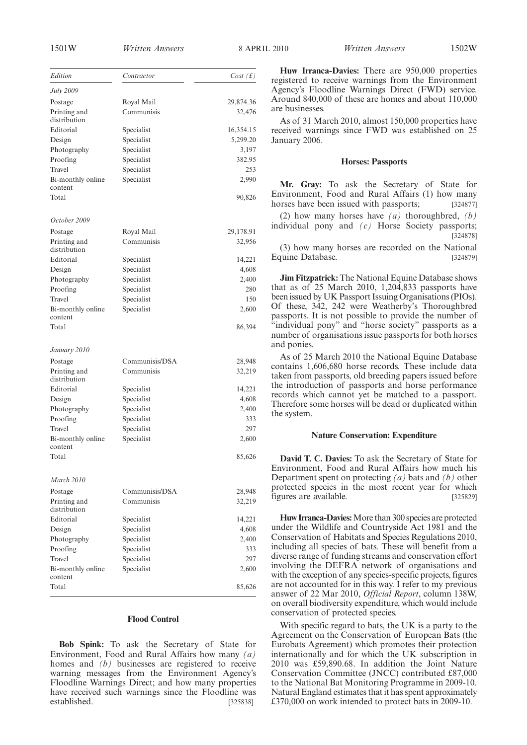1501W *Written Answers Written Answers* 8 APRIL 2010 1502W

**Huw Irranca-Davies:** There are 950,000 properties registered to receive warnings from the Environment Agency's Floodline Warnings Direct (FWD) service. Around 840,000 of these are homes and about 110,000 are businesses.

As of 31 March 2010, almost 150,000 properties have received warnings since FWD was established on 25 January 2006.

#### **Horses: Passports**

**Mr. Gray:** To ask the Secretary of State for Environment, Food and Rural Affairs (1) how many horses have been issued with passports; [324877]

(2) how many horses have *(a)* thoroughbred, *(b)* individual pony and *(c)* Horse Society passports; [324878]

(3) how many horses are recorded on the National Equine Database. [324879]

**Jim Fitzpatrick:** The National Equine Database shows that as of 25 March 2010, 1,204,833 passports have been issued by UK Passport Issuing Organisations (PIOs). Of these, 342, 242 were Weatherby's Thoroughbred passports. It is not possible to provide the number of "individual pony" and "horse society" passports as a number of organisations issue passports for both horses and ponies.

As of 25 March 2010 the National Equine Database contains 1,606,680 horse records. These include data taken from passports, old breeding papers issued before the introduction of passports and horse performance records which cannot yet be matched to a passport. Therefore some horses will be dead or duplicated within the system.

#### **Nature Conservation: Expenditure**

**David T. C. Davies:** To ask the Secretary of State for Environment, Food and Rural Affairs how much his Department spent on protecting *(a)* bats and *(b)* other protected species in the most recent year for which figures are available. [325829]

**Huw Irranca-Davies:**More than 300 species are protected under the Wildlife and Countryside Act 1981 and the Conservation of Habitats and Species Regulations 2010, including all species of bats. These will benefit from a diverse range of funding streams and conservation effort involving the DEFRA network of organisations and with the exception of any species-specific projects, figures are not accounted for in this way. I refer to my previous answer of 22 Mar 2010, *Official Report*, column 138W, on overall biodiversity expenditure, which would include conservation of protected species.

With specific regard to bats, the UK is a party to the Agreement on the Conservation of European Bats (the Eurobats Agreement) which promotes their protection internationally and for which the UK subscription in 2010 was £59,890.68. In addition the Joint Nature Conservation Committee (JNCC) contributed £87,000 to the National Bat Monitoring Programme in 2009-10. Natural England estimates that it has spent approximately £370,000 on work intended to protect bats in 2009-10.

| Edition                      | Contractor     | Cost(f)   |
|------------------------------|----------------|-----------|
| July 2009                    |                |           |
| Postage                      | Royal Mail     | 29,874.36 |
| Printing and                 | Communisis     | 32,476    |
| distribution                 |                |           |
| Editorial                    | Specialist     | 16,354.15 |
| Design                       | Specialist     | 5,299.20  |
| Photography                  | Specialist     | 3,197     |
| Proofing                     | Specialist     | 382.95    |
| Travel                       | Specialist     | 253       |
| Bi-monthly online<br>content | Specialist     | 2,990     |
| Total                        |                | 90,826    |
|                              |                |           |
| October 2009                 |                |           |
| Postage                      | Royal Mail     | 29,178.91 |
| Printing and                 | Communisis     | 32,956    |
| distribution                 |                |           |
| Editorial                    | Specialist     | 14,221    |
| Design                       | Specialist     | 4,608     |
| Photography                  | Specialist     | 2,400     |
| Proofing                     | Specialist     | 280       |
| Travel                       | Specialist     | 150       |
| Bi-monthly online<br>content | Specialist     | 2,600     |
| Total                        |                | 86,394    |
|                              |                |           |
| January 2010                 |                |           |
| Postage                      | Communisis/DSA | 28,948    |
| Printing and                 | Communisis     | 32,219    |
| distribution                 |                |           |
| Editorial                    | Specialist     | 14,221    |
| Design                       | Specialist     | 4,608     |
| Photography                  | Specialist     | 2,400     |
| Proofing                     | Specialist     | 333       |
| Travel                       | Specialist     | 297       |
| Bi-monthly online<br>content | Specialist     | 2,600     |
| Total                        |                | 85,626    |
| <b>March 2010</b>            |                |           |
|                              |                |           |
| Postage                      | Communisis/DSA | 28,948    |
| Printing and<br>distribution | Communisis     | 32,219    |
| Editorial                    | Specialist     | 14,221    |
| Design                       | Specialist     | 4,608     |
| Photography                  | Specialist     | 2,400     |
| Proofing                     | Specialist     | 333       |
| Travel                       | Specialist     | 297       |
| Bi-monthly online<br>content | Specialist     | 2,600     |
| Total                        |                | 85,626    |
|                              |                |           |

# **Flood Control**

**Bob Spink:** To ask the Secretary of State for Environment, Food and Rural Affairs how many *(a)* homes and *(b)* businesses are registered to receive warning messages from the Environment Agency's Floodline Warnings Direct; and how many properties have received such warnings since the Floodline was established. [325838]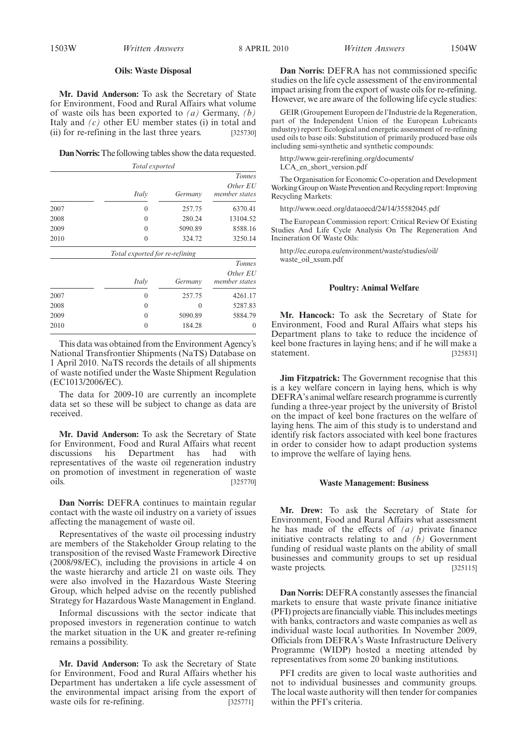#### **Oils: Waste Disposal**

**Mr. David Anderson:** To ask the Secretary of State for Environment, Food and Rural Affairs what volume of waste oils has been exported to *(a)* Germany, *(b)* Italy and *(c)* other EU member states (i) in total and (ii) for re-refining in the last three years. [325730]

**Dan Norris:**The following tables show the data requested.

|      | Total exported                 |         |                           |
|------|--------------------------------|---------|---------------------------|
|      |                                |         | <b>Tonnes</b>             |
|      | Italy                          | Germany | Other EU<br>member states |
| 2007 | $\overline{0}$                 | 257.75  | 6370.41                   |
| 2008 | 0                              | 280.24  | 13104.52                  |
| 2009 | $\theta$                       | 5090.89 | 8588.16                   |
| 2010 | $\theta$                       | 324.72  | 3250.14                   |
|      | Total exported for re-refining |         |                           |
|      |                                |         | <b>Tonnes</b>             |
|      |                                |         | $O$ thor $FII$            |

|      | Italy    | Germany          | Other EU<br>member states |
|------|----------|------------------|---------------------------|
| 2007 | $\theta$ | 257.75           | 4261.17                   |
| 2008 | $\theta$ | $\left( \right)$ | 5287.83                   |
| 2009 | $\theta$ | 5090.89          | 5884.79                   |
| 2010 | 0        | 184.28           | $\theta$                  |
|      |          |                  |                           |

This data was obtained from the Environment Agency's National Transfrontier Shipments (NaTS) Database on 1 April 2010. NaTS records the details of all shipments of waste notified under the Waste Shipment Regulation (EC1013/2006/EC).

The data for 2009-10 are currently an incomplete data set so these will be subject to change as data are received.

**Mr. David Anderson:** To ask the Secretary of State for Environment, Food and Rural Affairs what recent discussions his Department has had with representatives of the waste oil regeneration industry on promotion of investment in regeneration of waste oils. [325770]

**Dan Norris:** DEFRA continues to maintain regular contact with the waste oil industry on a variety of issues affecting the management of waste oil.

Representatives of the waste oil processing industry are members of the Stakeholder Group relating to the transposition of the revised Waste Framework Directive (2008/98/EC), including the provisions in article 4 on the waste hierarchy and article 21 on waste oils. They were also involved in the Hazardous Waste Steering Group, which helped advise on the recently published Strategy for Hazardous Waste Management in England.

Informal discussions with the sector indicate that proposed investors in regeneration continue to watch the market situation in the UK and greater re-refining remains a possibility.

**Mr. David Anderson:** To ask the Secretary of State for Environment, Food and Rural Affairs whether his Department has undertaken a life cycle assessment of the environmental impact arising from the export of waste oils for re-refining. [325771]

**Dan Norris:** DEFRA has not commissioned specific studies on the life cycle assessment of the environmental impact arising from the export of waste oils for re-refining. However, we are aware of the following life cycle studies:

GEIR (Groupement Europeen de l'Industrie de la Regeneration, part of the Independent Union of the European Lubricants industry) report: Ecological and energetic assessment of re-refining used oils to base oils: Substitution of primarily produced base oils including semi-synthetic and synthetic compounds:

http://www.geir-rerefining.org/documents/ LCA\_en\_short\_version.pdf

The Organisation for Economic Co-operation and Development WorkingGroup onWaste Prevention and Recycling report: Improving Recycling Markets:

http://www.oecd.org/dataoecd/24/14/35582045.pdf

The European Commission report: Critical Review Of Existing Studies And Life Cycle Analysis On The Regeneration And Incineration Of Waste Oils:

http://ec.europa.eu/environment/waste/studies/oil/ waste\_oil\_xsum.pdf

#### **Poultry: Animal Welfare**

**Mr. Hancock:** To ask the Secretary of State for Environment, Food and Rural Affairs what steps his Department plans to take to reduce the incidence of keel bone fractures in laying hens; and if he will make a statement. [325831]

**Jim Fitzpatrick:** The Government recognise that this is a key welfare concern in laying hens, which is why DEFRA's animal welfare research programme is currently funding a three-year project by the university of Bristol on the impact of keel bone fractures on the welfare of laying hens. The aim of this study is to understand and identify risk factors associated with keel bone fractures in order to consider how to adapt production systems to improve the welfare of laying hens.

#### **Waste Management: Business**

**Mr. Drew:** To ask the Secretary of State for Environment, Food and Rural Affairs what assessment he has made of the effects of *(a)* private finance initiative contracts relating to and  $(\overline{b})$  Government funding of residual waste plants on the ability of small businesses and community groups to set up residual waste projects. [325115]

**Dan Norris:** DEFRA constantly assesses the financial markets to ensure that waste private finance initiative (PFI) projects are financially viable. This includes meetings with banks, contractors and waste companies as well as individual waste local authorities. In November 2009, Officials from DEFRA's Waste Infrastructure Delivery Programme (WIDP) hosted a meeting attended by representatives from some 20 banking institutions.

PFI credits are given to local waste authorities and not to individual businesses and community groups. The local waste authority will then tender for companies within the PFI's criteria.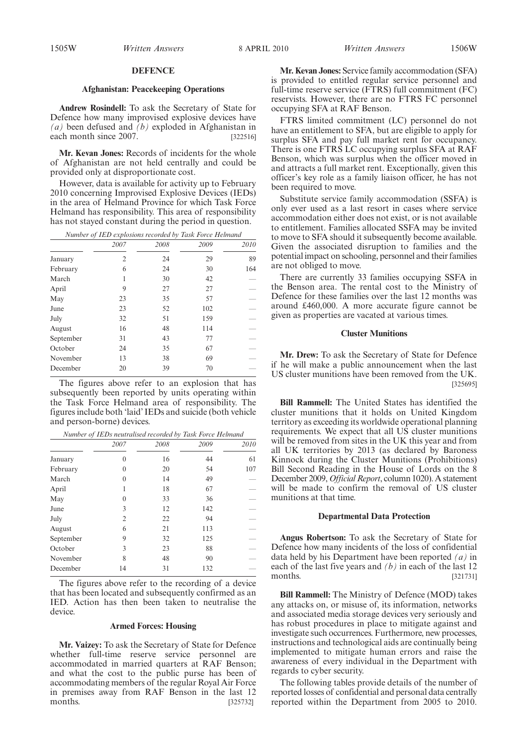1505W *Written Answers Written Answers* 8 APRIL 2010 1506W

## **Afghanistan: Peacekeeping Operations**

**Andrew Rosindell:** To ask the Secretary of State for Defence how many improvised explosive devices have *(a)* been defused and *(b)* exploded in Afghanistan in each month since 2007. [322516]

**Mr. Kevan Jones:** Records of incidents for the whole of Afghanistan are not held centrally and could be provided only at disproportionate cost.

However, data is available for activity up to February 2010 concerning Improvised Explosive Devices (IEDs) in the area of Helmand Province for which Task Force Helmand has responsibility. This area of responsibility has not stayed constant during the period in question.

| Number of IED explosions recorded by Task Force Helmand |      |      |      |      |
|---------------------------------------------------------|------|------|------|------|
|                                                         | 2007 | 2008 | 2009 | 2010 |
| January                                                 | 2    | 24   | 29   | 89   |
| February                                                | 6    | 24   | 30   | 164  |
| March                                                   | 1    | 30   | 42   |      |
| April                                                   | 9    | 27   | 27   |      |
| May                                                     | 23   | 35   | 57   |      |
| June                                                    | 23   | 52   | 102  |      |
| July                                                    | 32   | 51   | 159  |      |
| August                                                  | 16   | 48   | 114  |      |
| September                                               | 31   | 43   | 77   |      |
| October                                                 | 24   | 35   | 67   |      |
| November                                                | 13   | 38   | 69   |      |
| December                                                | 20   | 39   | 70   |      |

The figures above refer to an explosion that has subsequently been reported by units operating within the Task Force Helmand area of responsibility. The figures include both 'laid' IEDs and suicide (both vehicle and person-borne) devices.

|           | 2007           | 2008 | 2009 | 2010 |
|-----------|----------------|------|------|------|
| January   | 0              | 16   | 44   | 61   |
| February  | $\theta$       | 20   | 54   | 107  |
| March     | $\theta$       | 14   | 49   |      |
| April     | 1              | 18   | 67   |      |
| May       | $\Omega$       | 33   | 36   |      |
| June      | 3              | 12   | 142  |      |
| July      | $\overline{2}$ | 22   | 94   |      |
| August    | 6              | 21   | 113  |      |
| September | 9              | 32   | 125  |      |
| October   | 3              | 23   | 88   |      |
| November  | 8              | 48   | 90   |      |
| December  | 14             | 31   | 132  |      |

The figures above refer to the recording of a device that has been located and subsequently confirmed as an IED. Action has then been taken to neutralise the device.

## **Armed Forces: Housing**

**Mr. Vaizey:** To ask the Secretary of State for Defence whether full-time reserve service personnel are accommodated in married quarters at RAF Benson; and what the cost to the public purse has been of accommodating members of the regular Royal Air Force in premises away from RAF Benson in the last 12 months. [325732]

**Mr. Kevan Jones:** Service family accommodation (SFA) is provided to entitled regular service personnel and full-time reserve service (FTRS) full commitment (FC) reservists. However, there are no FTRS FC personnel occupying SFA at RAF Benson.

FTRS limited commitment (LC) personnel do not have an entitlement to SFA, but are eligible to apply for surplus SFA and pay full market rent for occupancy. There is one FTRS LC occupying surplus SFA at RAF Benson, which was surplus when the officer moved in and attracts a full market rent. Exceptionally, given this officer's key role as a family liaison officer, he has not been required to move.

Substitute service family accommodation (SSFA) is only ever used as a last resort in cases where service accommodation either does not exist, or is not available to entitlement. Families allocated SSFA may be invited to move to SFA should it subsequently become available. Given the associated disruption to families and the potential impact on schooling, personnel and their families are not obliged to move.

There are currently 33 families occupying SSFA in the Benson area. The rental cost to the Ministry of Defence for these families over the last 12 months was around £460,000. A more accurate figure cannot be given as properties are vacated at various times.

# **Cluster Munitions**

**Mr. Drew:** To ask the Secretary of State for Defence if he will make a public announcement when the last US cluster munitions have been removed from the UK. [325695]

**Bill Rammell:** The United States has identified the cluster munitions that it holds on United Kingdom territory as exceeding its worldwide operational planning requirements. We expect that all US cluster munitions will be removed from sites in the UK this year and from all UK territories by 2013 (as declared by Baroness Kinnock during the Cluster Munitions (Prohibitions) Bill Second Reading in the House of Lords on the 8 December 2009,*Official Report*, column 1020). A statement will be made to confirm the removal of US cluster munitions at that time.

# **Departmental Data Protection**

**Angus Robertson:** To ask the Secretary of State for Defence how many incidents of the loss of confidential data held by his Department have been reported *(a)* in each of the last five years and *(b)* in each of the last 12  $[321731]$ 

**Bill Rammell:** The Ministry of Defence (MOD) takes any attacks on, or misuse of, its information, networks and associated media storage devices very seriously and has robust procedures in place to mitigate against and investigate such occurrences. Furthermore, new processes, instructions and technological aids are continually being implemented to mitigate human errors and raise the awareness of every individual in the Department with regards to cyber security.

The following tables provide details of the number of reported losses of confidential and personal data centrally reported within the Department from 2005 to 2010.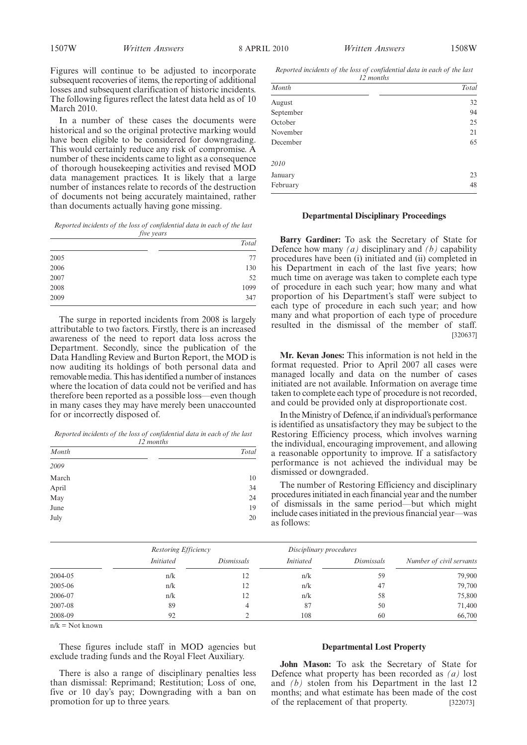Figures will continue to be adjusted to incorporate subsequent recoveries of items, the reporting of additional losses and subsequent clarification of historic incidents. The following figures reflect the latest data held as of 10 March 2010.

In a number of these cases the documents were historical and so the original protective marking would have been eligible to be considered for downgrading. This would certainly reduce any risk of compromise. A number of these incidents came to light as a consequence of thorough housekeeping activities and revised MOD data management practices. It is likely that a large number of instances relate to records of the destruction of documents not being accurately maintained, rather than documents actually having gone missing.

*Reported incidents of the loss of confidential data in each of the last five years*

|      | Total |
|------|-------|
| 2005 | 77    |
| 2006 | 130   |
| 2007 | 52    |
| 2008 | 1099  |
| 2009 | 347   |

The surge in reported incidents from 2008 is largely attributable to two factors. Firstly, there is an increased awareness of the need to report data loss across the Department. Secondly, since the publication of the Data Handling Review and Burton Report, the MOD is now auditing its holdings of both personal data and removable media. This has identified a number of instances where the location of data could not be verified and has therefore been reported as a possible loss—even though in many cases they may have merely been unaccounted for or incorrectly disposed of.

*Reported incidents of the loss of confidential data in each of the last*

| 12 months |       |
|-----------|-------|
| Month     | Total |
| 2009      |       |
| March     | 10    |
| April     | 34    |
| May       | 24    |
| June      | 19    |
| July      | 20    |

*Reported incidents of the loss of confidential data in each of the last 12 months*

| Month     | Total |
|-----------|-------|
| August    | 32    |
| September | 94    |
| October   | 25    |
| November  | 21    |
| December  | 65    |
| 2010      |       |
| January   | 23    |
| February  | 48    |
|           |       |

## **Departmental Disciplinary Proceedings**

**Barry Gardiner:** To ask the Secretary of State for Defence how many *(a)* disciplinary and *(b)* capability procedures have been (i) initiated and (ii) completed in his Department in each of the last five years; how much time on average was taken to complete each type of procedure in each such year; how many and what proportion of his Department's staff were subject to each type of procedure in each such year; and how many and what proportion of each type of procedure resulted in the dismissal of the member of staff. [320637]

**Mr. Kevan Jones:** This information is not held in the format requested. Prior to April 2007 all cases were managed locally and data on the number of cases initiated are not available. Information on average time taken to complete each type of procedure is not recorded, and could be provided only at disproportionate cost.

In the Ministry of Defence, if an individual's performance is identified as unsatisfactory they may be subject to the Restoring Efficiency process, which involves warning the individual, encouraging improvement, and allowing a reasonable opportunity to improve. If a satisfactory performance is not achieved the individual may be dismissed or downgraded.

The number of Restoring Efficiency and disciplinary procedures initiated in each financial year and the number of dismissals in the same period—but which might include cases initiated in the previous financial year—was as follows:

|         | Restoring Efficiency |            | Disciplinary procedures |            |                          |
|---------|----------------------|------------|-------------------------|------------|--------------------------|
|         | <b>Initiated</b>     | Dismissals | <i>Initiated</i>        | Dismissals | Number of civil servants |
| 2004-05 | n/k                  | 12         | n/k                     | 59         | 79,900                   |
| 2005-06 | n/k                  | 12         | n/k                     | 47         | 79,700                   |
| 2006-07 | n/k                  | 12         | n/k                     | 58         | 75,800                   |
| 2007-08 | 89                   |            | 87                      | 50         | 71,400                   |
| 2008-09 | 92                   |            | 108                     | 60         | 66,700                   |

 $n/k = Not known$ 

These figures include staff in MOD agencies but exclude trading funds and the Royal Fleet Auxiliary.

There is also a range of disciplinary penalties less than dismissal: Reprimand; Restitution; Loss of one, five or 10 day's pay; Downgrading with a ban on promotion for up to three years.

#### **Departmental Lost Property**

**John Mason:** To ask the Secretary of State for Defence what property has been recorded as *(a)* lost and *(b)* stolen from his Department in the last 12 months; and what estimate has been made of the cost of the replacement of that property. [322073]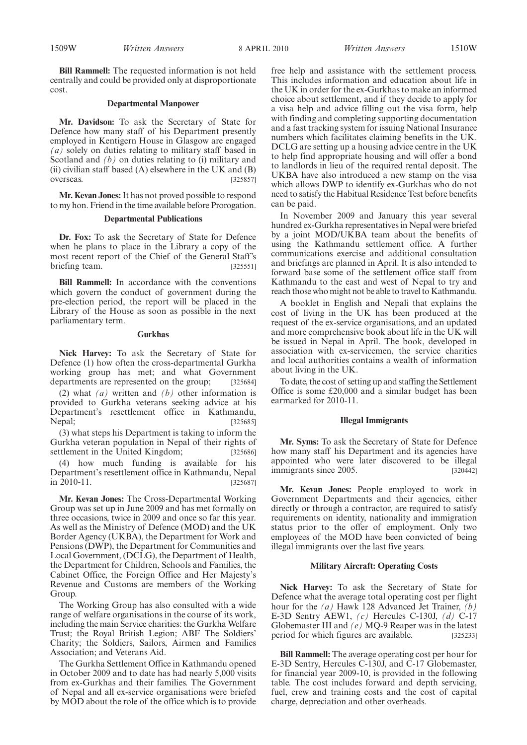**Bill Rammell:** The requested information is not held centrally and could be provided only at disproportionate cost.

## **Departmental Manpower**

**Mr. Davidson:** To ask the Secretary of State for Defence how many staff of his Department presently employed in Kentigern House in Glasgow are engaged *(a)* solely on duties relating to military staff based in Scotland and *(b)* on duties relating to *(i)* military and (ii) civilian staff based  $(A)$  elsewhere in the UK and  $(B)$ overseas. [325857]

**Mr. Kevan Jones:**It has not proved possible to respond to my hon. Friend in the time available before Prorogation.

## **Departmental Publications**

**Dr. Fox:** To ask the Secretary of State for Defence when he plans to place in the Library a copy of the most recent report of the Chief of the General Staff's briefing team. [325551]

**Bill Rammell:** In accordance with the conventions which govern the conduct of government during the pre-election period, the report will be placed in the Library of the House as soon as possible in the next parliamentary term.

## **Gurkhas**

**Nick Harvey:** To ask the Secretary of State for Defence (1) how often the cross-departmental Gurkha working group has met; and what Government departments are represented on the group; [325684]

(2) what *(a)* written and *(b)* other information is provided to Gurkha veterans seeking advice at his Department's resettlement office in Kathmandu, Nepal; [325685]

(3) what steps his Department is taking to inform the Gurkha veteran population in Nepal of their rights of settlement in the United Kingdom; [325686]

(4) how much funding is available for his Department's resettlement office in Kathmandu, Nepal  $\overline{2010-11}$ . [325687]

**Mr. Kevan Jones:** The Cross-Departmental Working Group was set up in June 2009 and has met formally on three occasions, twice in 2009 and once so far this year. As well as the Ministry of Defence (MOD) and the UK Border Agency (UKBA), the Department for Work and Pensions (DWP), the Department for Communities and Local Government, (DCLG), the Department of Health, the Department for Children, Schools and Families, the Cabinet Office, the Foreign Office and Her Majesty's Revenue and Customs are members of the Working Group.

The Working Group has also consulted with a wide range of welfare organisations in the course of its work, including the main Service charities: the Gurkha Welfare Trust; the Royal British Legion; ABF The Soldiers' Charity; the Soldiers, Sailors, Airmen and Families Association; and Veterans Aid.

The Gurkha Settlement Office in Kathmandu opened in October 2009 and to date has had nearly 5,000 visits from ex-Gurkhas and their families. The Government of Nepal and all ex-service organisations were briefed by MOD about the role of the office which is to provide

free help and assistance with the settlement process. This includes information and education about life in the UK in order for the ex-Gurkhas to make an informed choice about settlement, and if they decide to apply for a visa help and advice filling out the visa form, help with finding and completing supporting documentation and a fast tracking system for issuing National Insurance numbers which facilitates claiming benefits in the UK. DCLG are setting up a housing advice centre in the UK to help find appropriate housing and will offer a bond to landlords in lieu of the required rental deposit. The UKBA have also introduced a new stamp on the visa which allows DWP to identify ex-Gurkhas who do not need to satisfy the Habitual Residence Test before benefits can be paid.

In November 2009 and January this year several hundred ex-Gurkha representatives in Nepal were briefed by a joint MOD/UKBA team about the benefits of using the Kathmandu settlement office. A further communications exercise and additional consultation and briefings are planned in April. It is also intended to forward base some of the settlement office staff from Kathmandu to the east and west of Nepal to try and reach those who might not be able to travel to Kathmandu.

A booklet in English and Nepali that explains the cost of living in the UK has been produced at the request of the ex-service organisations, and an updated and more comprehensive book about life in the UK will be issued in Nepal in April. The book, developed in association with ex-servicemen, the service charities and local authorities contains a wealth of information about living in the UK.

To date, the cost of setting up and staffing the Settlement Office is some £20,000 and a similar budget has been earmarked for 2010-11.

## **Illegal Immigrants**

**Mr. Syms:** To ask the Secretary of State for Defence how many staff his Department and its agencies have appointed who were later discovered to be illegal immigrants since 2005. [320442] immigrants since 2005.

**Mr. Kevan Jones:** People employed to work in Government Departments and their agencies, either directly or through a contractor, are required to satisfy requirements on identity, nationality and immigration status prior to the offer of employment. Only two employees of the MOD have been convicted of being illegal immigrants over the last five years.

# **Military Aircraft: Operating Costs**

**Nick Harvey:** To ask the Secretary of State for Defence what the average total operating cost per flight hour for the *(a)* Hawk 128 Advanced Jet Trainer, *(b)* E-3D Sentry AEW1, *(c)* Hercules C-130J, *(d)* C-17 Globemaster III and *(e)* MQ-9 Reaper was in the latest period for which figures are available. [325233]

**Bill Rammell:** The average operating cost per hour for E-3D Sentry, Hercules C-130J, and C-17 Globemaster, for financial year 2009-10, is provided in the following table. The cost includes forward and depth servicing, fuel, crew and training costs and the cost of capital charge, depreciation and other overheads.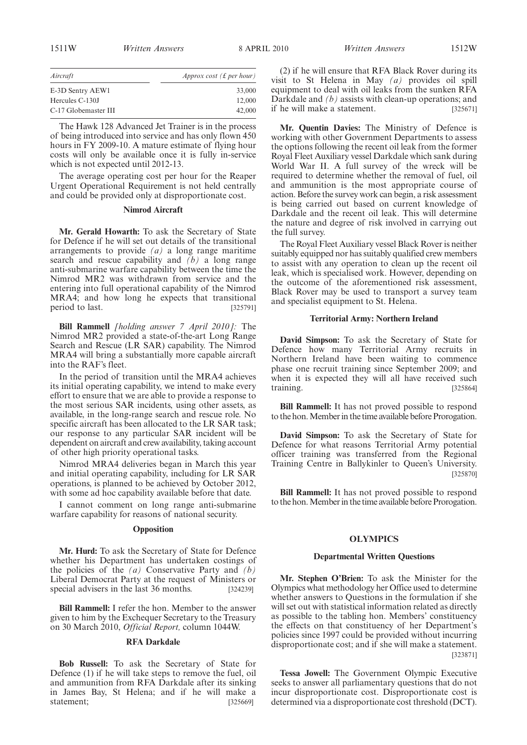| Aircraft             | Approx cost ( $\pounds$ per hour) |
|----------------------|-----------------------------------|
| E-3D Sentry AEW1     | 33,000                            |
| Hercules C-130J      | 12,000                            |
| C-17 Globemaster III | 42,000                            |

The Hawk 128 Advanced Jet Trainer is in the process of being introduced into service and has only flown 450 hours in FY 2009-10. A mature estimate of flying hour costs will only be available once it is fully in-service which is not expected until 2012-13.

The average operating cost per hour for the Reaper Urgent Operational Requirement is not held centrally and could be provided only at disproportionate cost.

## **Nimrod Aircraft**

**Mr. Gerald Howarth:** To ask the Secretary of State for Defence if he will set out details of the transitional arrangements to provide *(a)* a long range maritime search and rescue capability and *(b)* a long range anti-submarine warfare capability between the time the Nimrod MR2 was withdrawn from service and the entering into full operational capability of the Nimrod MRA4; and how long he expects that transitional period to last. [325791]

**Bill Rammell** *[holding answer 7 April 2010]:* The Nimrod MR2 provided a state-of-the-art Long Range Search and Rescue (LR SAR) capability. The Nimrod MRA4 will bring a substantially more capable aircraft into the RAF's fleet.

In the period of transition until the MRA4 achieves its initial operating capability, we intend to make every effort to ensure that we are able to provide a response to the most serious SAR incidents, using other assets, as available, in the long-range search and rescue role. No specific aircraft has been allocated to the LR SAR task; our response to any particular SAR incident will be dependent on aircraft and crew availability, taking account of other high priority operational tasks.

Nimrod MRA4 deliveries began in March this year and initial operating capability, including for LR SAR operations, is planned to be achieved by October 2012, with some ad hoc capability available before that date.

I cannot comment on long range anti-submarine warfare capability for reasons of national security.

# **Opposition**

**Mr. Hurd:** To ask the Secretary of State for Defence whether his Department has undertaken costings of the policies of the *(a)* Conservative Party and *(b)* Liberal Democrat Party at the request of Ministers or special advisers in the last 36 months. [324239]

**Bill Rammell:** I refer the hon. Member to the answer given to him by the Exchequer Secretary to the Treasury on 30 March 2010, *Official Report,* column 1044W.

# **RFA Darkdale**

**Bob Russell:** To ask the Secretary of State for Defence (1) if he will take steps to remove the fuel, oil and ammunition from RFA Darkdale after its sinking in James Bay, St Helena; and if he will make a statement: [325669]

(2) if he will ensure that RFA Black Rover during its visit to St Helena in May *(a)* provides oil spill equipment to deal with oil leaks from the sunken RFA Darkdale and *(b)* assists with clean-up operations; and if he will make a statement. [325671]

**Mr. Quentin Davies:** The Ministry of Defence is working with other Government Departments to assess the options following the recent oil leak from the former Royal Fleet Auxiliary vessel Darkdale which sank during World War II. A full survey of the wreck will be required to determine whether the removal of fuel, oil and ammunition is the most appropriate course of action. Before the survey work can begin, a risk assessment is being carried out based on current knowledge of Darkdale and the recent oil leak. This will determine the nature and degree of risk involved in carrying out the full survey.

The Royal Fleet Auxiliary vessel Black Rover is neither suitably equipped nor has suitably qualified crew members to assist with any operation to clean up the recent oil leak, which is specialised work. However, depending on the outcome of the aforementioned risk assessment, Black Rover may be used to transport a survey team and specialist equipment to St. Helena.

## **Territorial Army: Northern Ireland**

**David Simpson:** To ask the Secretary of State for Defence how many Territorial Army recruits in Northern Ireland have been waiting to commence phase one recruit training since September 2009; and when it is expected they will all have received such training. [325864]

**Bill Rammell:** It has not proved possible to respond to the hon. Member in the time available before Prorogation.

**David Simpson:** To ask the Secretary of State for Defence for what reasons Territorial Army potential officer training was transferred from the Regional Training Centre in Ballykinler to Queen's University. [325870]

**Bill Rammell:** It has not proved possible to respond to the hon. Member in the time available before Prorogation.

# **OLYMPICS**

#### **Departmental Written Questions**

**Mr. Stephen O'Brien:** To ask the Minister for the Olympics what methodology her Office used to determine whether answers to Questions in the formulation if she will set out with statistical information related as directly as possible to the tabling hon. Members' constituency the effects on that constituency of her Department's policies since 1997 could be provided without incurring disproportionate cost; and if she will make a statement. [323871]

**Tessa Jowell:** The Government Olympic Executive seeks to answer all parliamentary questions that do not incur disproportionate cost. Disproportionate cost is determined via a disproportionate cost threshold (DCT).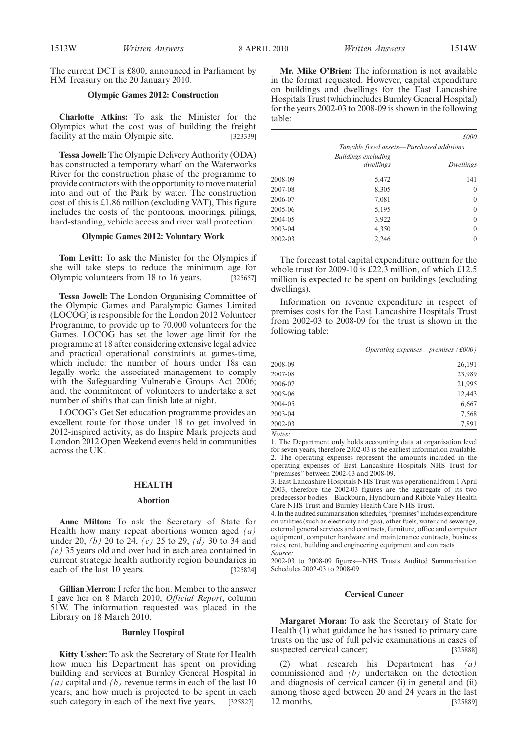The current DCT is £800, announced in Parliament by HM Treasury on the 20 January 2010.

# **Olympic Games 2012: Construction**

**Charlotte Atkins:** To ask the Minister for the Olympics what the cost was of building the freight facility at the main Olympic site. [323339]

**Tessa Jowell:** The Olympic Delivery Authority (ODA) has constructed a temporary wharf on the Waterworks River for the construction phase of the programme to provide contractors with the opportunity to move material into and out of the Park by water. The construction cost of this is £1.86 million (excluding VAT), This figure includes the costs of the pontoons, moorings, pilings, hard-standing, vehicle access and river wall protection.

# **Olympic Games 2012: Voluntary Work**

**Tom Levitt:** To ask the Minister for the Olympics if she will take steps to reduce the minimum age for Olympic volunteers from 18 to 16 years. [325657]

**Tessa Jowell:** The London Organising Committee of the Olympic Games and Paralympic Games Limited (LOCOG) is responsible for the London 2012 Volunteer Programme, to provide up to 70,000 volunteers for the Games. LOCOG has set the lower age limit for the programme at 18 after considering extensive legal advice and practical operational constraints at games-time, which include: the number of hours under 18s can legally work; the associated management to comply with the Safeguarding Vulnerable Groups Act 2006; and, the commitment of volunteers to undertake a set number of shifts that can finish late at night.

LOCOG's Get Set education programme provides an excellent route for those under 18 to get involved in 2012-inspired activity, as do Inspire Mark projects and London 2012 Open Weekend events held in communities across the UK.

#### **HEALTH**

#### **Abortion**

**Anne Milton:** To ask the Secretary of State for Health how many repeat abortions women aged *(a)* under 20, *(b)* 20 to 24, *(c)* 25 to 29, *(d)* 30 to 34 and *(e)* 35 years old and over had in each area contained in current strategic health authority region boundaries in each of the last 10 years. [325824]

**Gillian Merron:** I refer the hon. Member to the answer I gave her on 8 March 2010, *Official Report*, column 51W. The information requested was placed in the Library on 18 March 2010.

## **Burnley Hospital**

**Kitty Ussher:** To ask the Secretary of State for Health how much his Department has spent on providing building and services at Burnley General Hospital in *(a)* capital and *(b)* revenue terms in each of the last 10 years; and how much is projected to be spent in each such category in each of the next five years. [325827]

**Mr. Mike O'Brien:** The information is not available in the format requested. However, capital expenditure on buildings and dwellings for the East Lancashire Hospitals Trust (which includes Burnley General Hospital) for the years 2002-03 to 2008-09 is shown in the following table:

|             |                                           | £000      |
|-------------|-------------------------------------------|-----------|
|             | Tangible fixed assets—Purchased additions |           |
|             | <b>Buildings excluding</b><br>dwellings   | Dwellings |
| 2008-09     | 5,472                                     | 141       |
| 2007-08     | 8,305                                     | $\theta$  |
| 2006-07     | 7,081                                     | $\theta$  |
| 2005-06     | 5,195                                     | $\theta$  |
| 2004-05     | 3,922                                     | $\theta$  |
| 2003-04     | 4,350                                     | $\theta$  |
| $2002 - 03$ | 2,246                                     | 0         |

The forecast total capital expenditure outturn for the whole trust for 2009-10 is £22.3 million, of which £12.5 million is expected to be spent on buildings (excluding dwellings).

Information on revenue expenditure in respect of premises costs for the East Lancashire Hospitals Trust from 2002-03 to 2008-09 for the trust is shown in the following table:

|         | Operating expenses—premises $(£000)$ |
|---------|--------------------------------------|
| 2008-09 | 26,191                               |
| 2007-08 | 23,989                               |
| 2006-07 | 21,995                               |
| 2005-06 | 12,443                               |
| 2004-05 | 6,667                                |
| 2003-04 | 7,568                                |
| 2002-03 | 7.891                                |

*Notes:*

1. The Department only holds accounting data at organisation level for seven years, therefore 2002-03 is the earliest information available. 2. The operating expenses represent the amounts included in the operating expenses of East Lancashire Hospitals NHS Trust for "premises" between 2002-03 and 2008-09.

3. East Lancashire Hospitals NHS Trust was operational from 1 April 2003, therefore the 2002-03 figures are the aggregate of its two predecessor bodies—Blackburn, Hyndburn and Ribble Valley Health Care NHS Trust and Burnley Health Care NHS Trust.

4. In the audited summarisation schedules, "premises"includes expenditure on utilities (such as electricity and gas), other fuels, water and sewerage, external general services and contracts, furniture, office and computer equipment, computer hardware and maintenance contracts, business rates, rent, building and engineering equipment and contracts. *Source:*

2002-03 to 2008-09 figures—NHS Trusts Audited Summarisation Schedules 2002-03 to 2008-09.

# **Cervical Cancer**

**Margaret Moran:** To ask the Secretary of State for Health (1) what guidance he has issued to primary care trusts on the use of full pelvic examinations in cases of suspected cervical cancer; [325888]

(2) what research his Department has *(a)* commissioned and *(b)* undertaken on the detection and diagnosis of cervical cancer (i) in general and (ii) among those aged between 20 and 24 years in the last 12 months. [325889]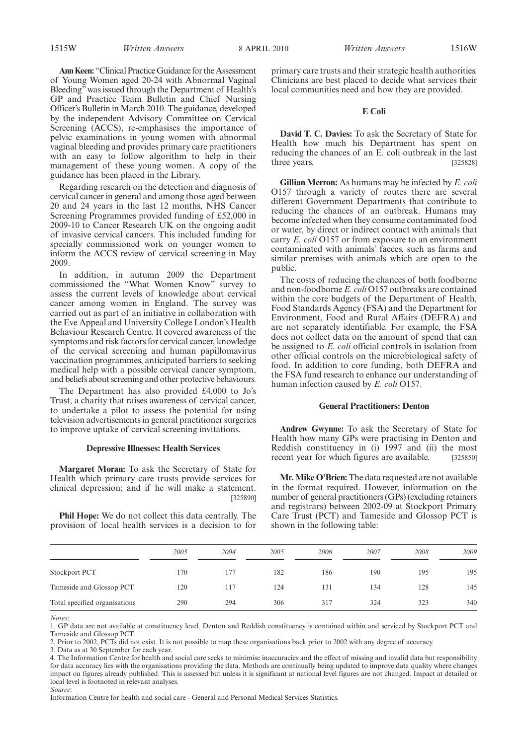Ann Keen: "Clinical Practice Guidance for the Assessment of Young Women aged 20-24 with Abnormal Vaginal Bleeding"was issued through the Department of Health's GP and Practice Team Bulletin and Chief Nursing Officer's Bulletin in March 2010. The guidance, developed by the independent Advisory Committee on Cervical Screening (ACCS), re-emphasises the importance of pelvic examinations in young women with abnormal vaginal bleeding and provides primary care practitioners with an easy to follow algorithm to help in their management of these young women. A copy of the guidance has been placed in the Library.

Regarding research on the detection and diagnosis of cervical cancer in general and among those aged between 20 and 24 years in the last 12 months, NHS Cancer Screening Programmes provided funding of £52,000 in 2009-10 to Cancer Research UK on the ongoing audit of invasive cervical cancers. This included funding for specially commissioned work on younger women to inform the ACCS review of cervical screening in May 2009.

In addition, in autumn 2009 the Department commissioned the "What Women Know" survey to assess the current levels of knowledge about cervical cancer among women in England. The survey was carried out as part of an initiative in collaboration with the Eve Appeal and University College London's Health Behaviour Research Centre. It covered awareness of the symptoms and risk factors for cervical cancer, knowledge of the cervical screening and human papillomavirus vaccination programmes, anticipated barriers to seeking medical help with a possible cervical cancer symptom, and beliefs about screening and other protective behaviours.

The Department has also provided £4,000 to Jo's Trust, a charity that raises awareness of cervical cancer, to undertake a pilot to assess the potential for using television advertisements in general practitioner surgeries to improve uptake of cervical screening invitations.

# **Depressive Illnesses: Health Services**

**Margaret Moran:** To ask the Secretary of State for Health which primary care trusts provide services for clinical depression; and if he will make a statement. [325890]

**Phil Hope:** We do not collect this data centrally. The provision of local health services is a decision to for primary care trusts and their strategic health authorities. Clinicians are best placed to decide what services their local communities need and how they are provided.

# **E Coli**

**David T. C. Davies:** To ask the Secretary of State for Health how much his Department has spent on reducing the chances of an E. coli outbreak in the last three years. [325828]

**Gillian Merron:** As humans may be infected by *E. coli* O157 through a variety of routes there are several different Government Departments that contribute to reducing the chances of an outbreak. Humans may become infected when they consume contaminated food or water, by direct or indirect contact with animals that carry *E. coli* O157 or from exposure to an environment contaminated with animals' faeces, such as farms and similar premises with animals which are open to the public.

The costs of reducing the chances of both foodborne and non-foodborne *E. coli* O157 outbreaks are contained within the core budgets of the Department of Health, Food Standards Agency (FSA) and the Department for Environment, Food and Rural Affairs (DEFRA) and are not separately identifiable. For example, the FSA does not collect data on the amount of spend that can be assigned to *E. coli* official controls in isolation from other official controls on the microbiological safety of food. In addition to core funding, both DEFRA and the FSA fund research to enhance our understanding of human infection caused by *E. coli* O157.

# **General Practitioners: Denton**

**Andrew Gwynne:** To ask the Secretary of State for Health how many GPs were practising in Denton and Reddish constituency in (i) 1997 and (ii) the most recent year for which figures are available. [325850]

**Mr. Mike O'Brien:** The data requested are not available in the format required. However, information on the number of general practitioners (GPs) (excluding retainers and registrars) between 2002-09 at Stockport Primary Care Trust (PCT) and Tameside and Glossop PCT is shown in the following table:

|                               | 2003 | 2004 | 2005 | 2006 | 2007 | 2008 | 2009 |
|-------------------------------|------|------|------|------|------|------|------|
| <b>Stockport PCT</b>          | 170  | 177  | 182  | 186  | 190  | 195  | 195  |
| Tameside and Glossop PCT      | 120  | 117  | 124  | 131  | 134  | 128  | 145  |
| Total specified organisations | 290  | 294  | 306  | 317  | 324  | 323  | 340  |

*Notes*:

1. GP data are not available at constituency level. Denton and Reddish constituency is contained within and serviced by Stockport PCT and Tameside and Glossop PCT.

2. Prior to 2002, PCTs did not exist. It is not possible to map these organisations back prior to 2002 with any degree of accuracy.

4. The Information Centre for health and social care seeks to minimise inaccuracies and the effect of missing and invalid data but responsibility for data accuracy lies with the organisations providing the data. Methods are continually being updated to improve data quality where changes impact on figures already published. This is assessed but unless it is significant at national level figures are not changed. Impact at detailed or local level is footnoted in relevant analyses. *Source*:

Information Centre for health and social care - General and Personal Medical Services Statistics.

<sup>3.</sup> Data as at 30 September for each year.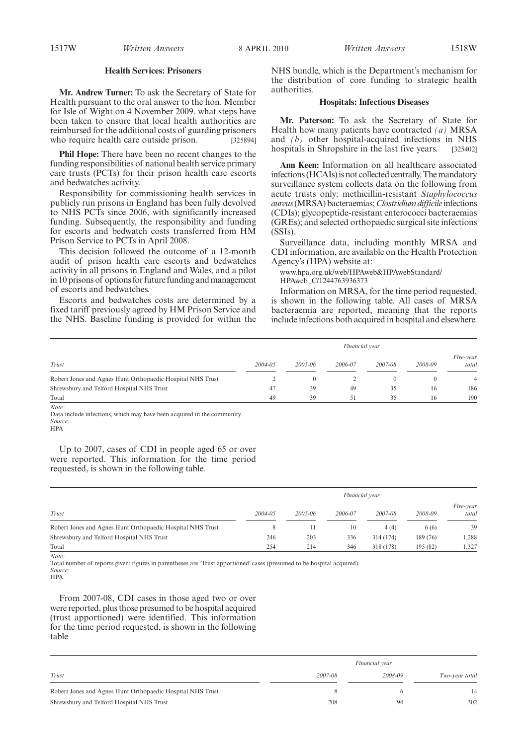# **Health Services: Prisoners**

**Mr. Andrew Turner:** To ask the Secretary of State for Health pursuant to the oral answer to the hon. Member for Isle of Wight on 4 November 2009. what steps have been taken to ensure that local health authorities are reimbursed for the additional costs of guarding prisoners who require health care outside prison. [325894]

**Phil Hope:** There have been no recent changes to the funding responsibilities of national health service primary care trusts (PCTs) for their prison health care escorts and bedwatches activity.

Responsibility for commissioning health services in publicly run prisons in England has been fully devolved to NHS PCTs since 2006, with significantly increased funding. Subsequently, the responsibility and funding for escorts and bedwatch costs transferred from HM Prison Service to PCTs in April 2008.

This decision followed the outcome of a 12-month audit of prison health care escorts and bedwatches activity in all prisons in England and Wales, and a pilot in 10 prisons of options for future funding and management of escorts and bedwatches.

Escorts and bedwatches costs are determined by a fixed tariff previously agreed by HM Prison Service and the NHS. Baseline funding is provided for within the NHS bundle, which is the Department's mechanism for the distribution of core funding to strategic health authorities.

## **Hospitals: Infectious Diseases**

**Mr. Paterson:** To ask the Secretary of State for Health how many patients have contracted *(a)* MRSA and *(b)* other hospital-acquired infections in NHS hospitals in Shropshire in the last five years. [325402]

**Ann Keen:** Information on all healthcare associated infections (HCAIs) is not collected centrally. The mandatory surveillance system collects data on the following from acute trusts only: methicillin-resistant *Staphylococcus aureus*(MRSA) bacteraemias;*Clostridium difficile* infections (CDIs); glycopeptide-resistant enterococci bacteraemias (GREs); and selected orthopaedic surgical site infections (SSIs).

Surveillance data, including monthly MRSA and CDI information, are available on the Health Protection Agency's (HPA) website at:

www.hpa.org.uk/web/HPAweb&HPAwebStandard/ HPAweb\_C/1244763936373

Information on MRSA, for the time period requested, is shown in the following table. All cases of MRSA bacteraemia are reported, meaning that the reports include infections both acquired in hospital and elsewhere.

|                                                            | Financial year |             |         |         |         |                    |
|------------------------------------------------------------|----------------|-------------|---------|---------|---------|--------------------|
| Trust                                                      | $2004 - 05$    | $2005 - 06$ | 2006-07 | 2007-08 | 2008-09 | Five-year<br>total |
| Robert Jones and Agnes Hunt Orthopaedic Hospital NHS Trust |                | $\theta$    |         |         |         | 4                  |
| Shrewsbury and Telford Hospital NHS Trust                  | 47             | 39          | 49      | 35      | 16      | 186                |
| Total                                                      | 49             | 39          | 51      | 35      | 16      | 190                |
| Note:                                                      |                |             |         |         |         |                    |

Data include infections, which may have been acquired in the community. *Source:*

HPA

Up to 2007, cases of CDI in people aged 65 or over were reported. This information for the time period requested, is shown in the following table.

|                                                            | Financial year |         |         |           |          |                    |  |
|------------------------------------------------------------|----------------|---------|---------|-----------|----------|--------------------|--|
| Trust                                                      | 2004-05        | 2005-06 | 2006-07 | 2007-08   | 2008-09  | Five-year<br>total |  |
| Robert Jones and Agnes Hunt Orthopaedic Hospital NHS Trust |                |         | 10      | 4(4)      | 6(6)     | 39                 |  |
| Shrewsbury and Telford Hospital NHS Trust                  | 246            | 203     | 336     | 314 (174) | 189 (76) | 1,288              |  |
| Total                                                      | 254            | 214     | 346     | 318 (178) | 195 (82) | 1,327              |  |

Total number of reports given; figures in parentheses are 'Trust apportioned' cases (presumed to be hospital acquired). *Source:*

HPA.

*Note:*

From 2007-08, CDI cases in those aged two or over were reported, plus those presumed to be hospital acquired (trust apportioned) were identified. This information for the time period requested, is shown in the following table

|                                                            |         | Financial year |                |
|------------------------------------------------------------|---------|----------------|----------------|
| Trust                                                      | 2007-08 | 2008-09        | Two-year total |
| Robert Jones and Agnes Hunt Orthopaedic Hospital NHS Trust | 8       |                | 14             |
| Shrewsbury and Telford Hospital NHS Trust                  | 208     | 94             | 302            |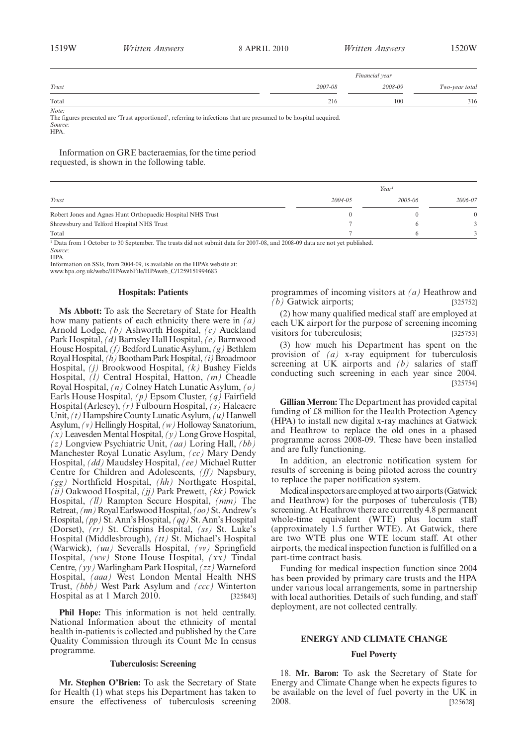| 1519W | <i>Written Answers</i> | 8 APRIL 2010 | <i>Written Answers</i> | .520W |
|-------|------------------------|--------------|------------------------|-------|
|       |                        |              |                        |       |

|       |         | Financial year |                |
|-------|---------|----------------|----------------|
| Trust | 2007-08 | 2008-09        | Two-year total |
| Total | 216     | 100            | 316            |

*Note:*

The figures presented are 'Trust apportioned', referring to infections that are presumed to be hospital acquired. *Source:*

HPA.

Information on GRE bacteraemias, for the time period requested, is shown in the following table.

|                                                            |             | Year <sup>1</sup> |          |
|------------------------------------------------------------|-------------|-------------------|----------|
| Trust                                                      | $2004 - 05$ | 2005-06           | 2006-07  |
| Robert Jones and Agnes Hunt Orthopaedic Hospital NHS Trust |             |                   | $\Omega$ |
| Shrewsbury and Telford Hospital NHS Trust                  |             |                   |          |
| Total                                                      |             |                   |          |

<sup>1</sup> Data from 1 October to 30 September. The trusts did not submit data for 2007-08, and 2008-09 data are not yet published. *Source:*

HPA.

Information on SSIs, from 2004-09, is available on the HPA's website at:

www.hpa.org.uk/webc/HPAwebFile/HPAweb\_C/1259151994683

# **Hospitals: Patients**

**Ms Abbott:** To ask the Secretary of State for Health how many patients of each ethnicity there were in *(a)* Arnold Lodge, *(b)* Ashworth Hospital, *(c)* Auckland Park Hospital, *(d)* Barnsley Hall Hospital, *(e)* Barnwood House Hospital, *(f)* Bedford Lunatic Asylum, *(g)* Bethlem RoyalHospital,*(h)*BoothamParkHospital,*(i)*Broadmoor Hospital, *(j)* Brookwood Hospital, *(k)* Bushey Fields Hospital, *(l)* Central Hospital, Hatton, *(m)* Cheadle Royal Hospital, *(n)* Colney Hatch Lunatic Asylum, *(o)* Earls House Hospital, *(p)* Epsom Cluster, *(q)* Fairfield Hospital (Arlesey), *(r)* Fulbourn Hospital, *(s)* Haleacre Unit, *(t)* Hampshire County Lunatic Asylum, *(u)* Hanwell Asylum,  $(v)$  Hellingly Hospital,  $(w)$  Holloway Sanatorium,  $(x)$  Leavesden Mental Hospital,  $(y)$  Long Grove Hospital, *(z)* Longview Psychiatric Unit, *(aa)* Loring Hall, *(bb)* Manchester Royal Lunatic Asylum, *(cc)* Mary Dendy Hospital, *(dd)* Maudsley Hospital, *(ee)* Michael Rutter Centre for Children and Adolescents, *(ff)* Napsbury, *(gg)* Northfield Hospital, *(hh)* Northgate Hospital, *(ii)* Oakwood Hospital, *(jj)* Park Prewett, *(kk)* Powick Hospital, *(ll)* Rampton Secure Hospital, *(mm)* The Retreat, *(nn)*RoyalEarlswoodHospital, *(oo)*St.Andrew's Hospital, *(pp)* St. Ann's Hospital, *(qq)* St. Ann's Hospital (Dorset), *(rr)* St. Crispins Hospital, *(ss)* St. Luke's Hospital (Middlesbrough), *(tt)* St. Michael's Hospital (Warwick), *(uu)* Severalls Hospital, *(vv)* Springfield Hospital, *(ww)* Stone House Hospital, *(xx)* Tindal Centre, *(yy)* Warlingham Park Hospital, *(zz)* Warneford Hospital, *(aaa)* West London Mental Health NHS Trust, *(bbb)* West Park Asylum and *(ccc)* Winterton Hospital as at 1 March 2010. [325843]

**Phil Hope:** This information is not held centrally. National Information about the ethnicity of mental health in-patients is collected and published by the Care Quality Commission through its Count Me In census programme.

## **Tuberculosis: Screening**

**Mr. Stephen O'Brien:** To ask the Secretary of State for Health (1) what steps his Department has taken to ensure the effectiveness of tuberculosis screening programmes of incoming visitors at *(a)* Heathrow and *(b)* Gatwick airports; [325752]

(2) how many qualified medical staff are employed at each UK airport for the purpose of screening incoming visitors for tuberculosis; [325753]

(3) how much his Department has spent on the provision of *(a)* x-ray equipment for tuberculosis screening at UK airports and *(b)* salaries of staff conducting such screening in each year since 2004. [325754]

**Gillian Merron:** The Department has provided capital funding of £8 million for the Health Protection Agency (HPA) to install new digital x-ray machines at Gatwick and Heathrow to replace the old ones in a phased programme across 2008-09. These have been installed and are fully functioning.

In addition, an electronic notification system for results of screening is being piloted across the country to replace the paper notification system.

Medical inspectors are employed at two airports (Gatwick and Heathrow) for the purposes of tuberculosis (TB) screening. At Heathrow there are currently 4.8 permanent whole-time equivalent (WTE) plus locum staff (approximately 1.5 further WTE). At Gatwick, there are two WTE plus one WTE locum staff. At other airports, the medical inspection function is fulfilled on a part-time contract basis.

Funding for medical inspection function since 2004 has been provided by primary care trusts and the HPA under various local arrangements, some in partnership with local authorities. Details of such funding, and staff deployment, are not collected centrally.

# **ENERGY AND CLIMATE CHANGE**

# **Fuel Poverty**

18. **Mr. Baron:** To ask the Secretary of State for Energy and Climate Change when he expects figures to be available on the level of fuel poverty in the UK in 2008. [325628]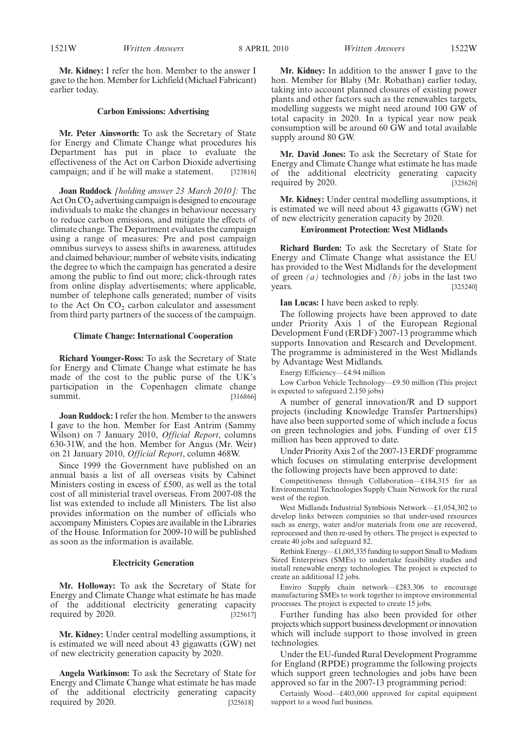**Mr. Kidney:** I refer the hon. Member to the answer I gave to the hon. Member for Lichfield (Michael Fabricant) earlier today.

## **Carbon Emissions: Advertising**

**Mr. Peter Ainsworth:** To ask the Secretary of State for Energy and Climate Change what procedures his Department has put in place to evaluate the effectiveness of the Act on Carbon Dioxide advertising campaign; and if he will make a statement. [323816]

**Joan Ruddock** *[holding answer 23 March 2010]:* The Act On  $CO<sub>2</sub>$  advertising campaign is designed to encourage individuals to make the changes in behaviour necessary to reduce carbon emissions, and mitigate the effects of climate change. The Department evaluates the campaign using a range of measures: Pre and post campaign omnibus surveys to assess shifts in awareness, attitudes and claimed behaviour; number of website visits, indicating the degree to which the campaign has generated a desire among the public to find out more; click-through rates from online display advertisements; where applicable, number of telephone calls generated; number of visits to the Act On  $CO<sub>2</sub>$  carbon calculator and assessment from third party partners of the success of the campaign.

## **Climate Change: International Cooperation**

**Richard Younger-Ross:** To ask the Secretary of State for Energy and Climate Change what estimate he has made of the cost to the public purse of the UK's participation in the Copenhagen climate change summit. [316866]

**Joan Ruddock:**I refer the hon. Member to the answers I gave to the hon. Member for East Antrim (Sammy Wilson) on 7 January 2010, *Official Report*, columns 630-31W, and the hon. Member for Angus (Mr. Weir) on 21 January 2010, *Official Report*, column 468W.

Since 1999 the Government have published on an annual basis a list of all overseas visits by Cabinet Ministers costing in excess of £500, as well as the total cost of all ministerial travel overseas. From 2007-08 the list was extended to include all Ministers. The list also provides information on the number of officials who accompany Ministers. Copies are available in the Libraries of the House. Information for 2009-10 will be published as soon as the information is available.

#### **Electricity Generation**

**Mr. Holloway:** To ask the Secretary of State for Energy and Climate Change what estimate he has made of the additional electricity generating capacity required by 2020.  $\begin{bmatrix} 325617 \end{bmatrix}$ 

**Mr. Kidney:** Under central modelling assumptions, it is estimated we will need about 43 gigawatts (GW) net of new electricity generation capacity by 2020.

**Angela Watkinson:** To ask the Secretary of State for Energy and Climate Change what estimate he has made of the additional electricity generating capacity required by 2020. [325618]

**Mr. Kidney:** In addition to the answer I gave to the hon. Member for Blaby (Mr. Robathan) earlier today, taking into account planned closures of existing power plants and other factors such as the renewables targets, modelling suggests we might need around 100 GW of total capacity in 2020. In a typical year now peak consumption will be around 60 GW and total available supply around 80 GW.

**Mr. David Jones:** To ask the Secretary of State for Energy and Climate Change what estimate he has made of the additional electricity generating capacity required by 2020. [325626]

**Mr. Kidney:** Under central modelling assumptions, it is estimated we will need about 43 gigawatts (GW) net of new electricity generation capacity by 2020.

## **Environment Protection: West Midlands**

**Richard Burden:** To ask the Secretary of State for Energy and Climate Change what assistance the EU has provided to the West Midlands for the development of green *(a)* technologies and *(b)* jobs in the last two years. [325240]

**Ian Lucas:** I have been asked to reply.

The following projects have been approved to date under Priority Axis 1 of the European Regional Development Fund (ERDF) 2007-13 programme which supports Innovation and Research and Development. The programme is administered in the West Midlands by Advantage West Midlands.

Energy Efficiency—£4.94 million

Low Carbon Vehicle Technology—£9.50 million (This project is expected to safeguard 2,150 jobs)

A number of general innovation/R and D support projects (including Knowledge Transfer Partnerships) have also been supported some of which include a focus on green technologies and jobs. Funding of over £15 million has been approved to date.

Under Priority Axis 2 of the 2007-13 ERDF programme which focuses on stimulating enterprise development the following projects have been approved to date:

Competitiveness through Collaboration—£184,315 for an Environmental Technologies Supply Chain Network for the rural west of the region.

West Midlands Industrial Symbiosis Network—£1,054,302 to develop links between companies so that under-used resources such as energy, water and/or materials from one are recovered, reprocessed and then re-used by others. The project is expected to create 40 jobs and safeguard 82.

Rethink Energy— $£1,005,335$  funding to support Small to Medium Sized Enterprises (SMEs) to undertake feasibility studies and install renewable energy technologies. The project is expected to create an additional 12 jobs.

Enviro Supply chain network—£283,306 to encourage manufacturing SMEs to work together to improve environmental processes. The project is expected to create 15 jobs.

Further funding has also been provided for other projects which support business development or innovation which will include support to those involved in green technologies.

Under the EU-funded Rural Development Programme for England (RPDE) programme the following projects which support green technologies and jobs have been approved so far in the 2007-13 programming period:

Certainly Wood—£403,000 approved for capital equipment support to a wood fuel business.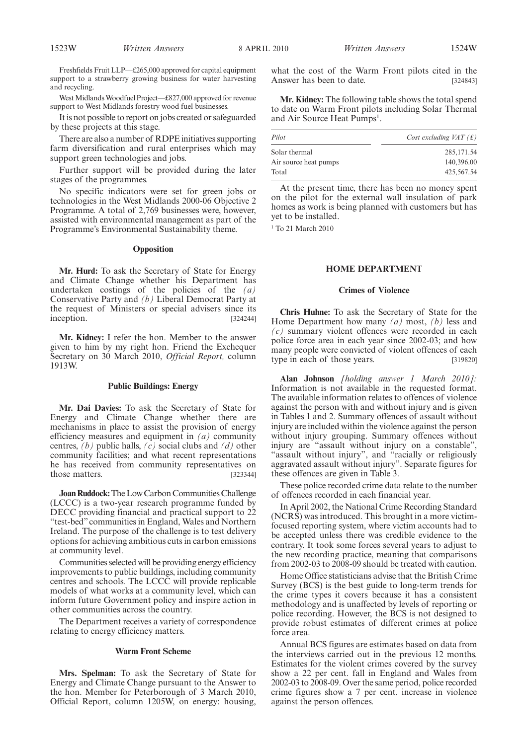Freshfields Fruit LLP—£265,000 approved for capital equipment support to a strawberry growing business for water harvesting and recycling.

West Midlands Woodfuel Project—£827,000 approved for revenue support to West Midlands forestry wood fuel businesses.

It is not possible to report on jobs created or safeguarded by these projects at this stage.

There are also a number of RDPE initiatives supporting farm diversification and rural enterprises which may support green technologies and jobs.

Further support will be provided during the later stages of the programmes.

No specific indicators were set for green jobs or technologies in the West Midlands 2000-06 Objective 2 Programme. A total of 2,769 businesses were, however, assisted with environmental management as part of the Programme's Environmental Sustainability theme.

#### **Opposition**

**Mr. Hurd:** To ask the Secretary of State for Energy and Climate Change whether his Department has undertaken costings of the policies of the *(a)* Conservative Party and *(b)* Liberal Democrat Party at the request of Ministers or special advisers since its inception. [324244]

**Mr. Kidney:** I refer the hon. Member to the answer given to him by my right hon. Friend the Exchequer Secretary on 30 March 2010, *Official Report,* column 1913W.

#### **Public Buildings: Energy**

**Mr. Dai Davies:** To ask the Secretary of State for Energy and Climate Change whether there are mechanisms in place to assist the provision of energy efficiency measures and equipment in *(a)* community centres, *(b)* public halls, *(c)* social clubs and *(d)* other community facilities; and what recent representations he has received from community representatives on those matters. [323344]

**Joan Ruddock:**The Low Carbon Communities Challenge (LCCC) is a two-year research programme funded by DECC providing financial and practical support to 22 "test-bed" communities in England, Wales and Northern Ireland. The purpose of the challenge is to test delivery options for achieving ambitious cuts in carbon emissions at community level.

Communities selected will be providing energy efficiency improvements to public buildings, including community centres and schools. The LCCC will provide replicable models of what works at a community level, which can inform future Government policy and inspire action in other communities across the country.

The Department receives a variety of correspondence relating to energy efficiency matters.

## **Warm Front Scheme**

**Mrs. Spelman:** To ask the Secretary of State for Energy and Climate Change pursuant to the Answer to the hon. Member for Peterborough of 3 March 2010, Official Report, column 1205W, on energy: housing, what the cost of the Warm Front pilots cited in the Answer has been to date. [324843]

**Mr. Kidney:** The following table shows the total spend to date on Warm Front pilots including Solar Thermal and Air Source Heat Pumps<sup>1</sup>.

| Pilot                 | Cost excluding $VAT(f)$ |
|-----------------------|-------------------------|
| Solar thermal         | 285, 171.54             |
| Air source heat pumps | 140,396.00              |
| Total                 | 425,567.54              |
|                       |                         |

At the present time, there has been no money spent on the pilot for the external wall insulation of park homes as work is being planned with customers but has yet to be installed.

<sup>1</sup> To 21 March 2010

# **HOME DEPARTMENT**

## **Crimes of Violence**

**Chris Huhne:** To ask the Secretary of State for the Home Department how many *(a)* most, *(b)* less and *(c)* summary violent offences were recorded in each police force area in each year since 2002-03; and how many people were convicted of violent offences of each type in each of those years. [319820]

**Alan Johnson** *[holding answer 1 March 2010]:* Information is not available in the requested format. The available information relates to offences of violence against the person with and without injury and is given in Tables 1 and 2. Summary offences of assault without injury are included within the violence against the person without injury grouping. Summary offences without injury are "assault without injury on a constable", "assault without injury", and "racially or religiously aggravated assault without injury". Separate figures for these offences are given in Table 3.

These police recorded crime data relate to the number of offences recorded in each financial year.

In April 2002, the National Crime Recording Standard (NCRS) was introduced. This brought in a more victimfocused reporting system, where victim accounts had to be accepted unless there was credible evidence to the contrary. It took some forces several years to adjust to the new recording practice, meaning that comparisons from 2002-03 to 2008-09 should be treated with caution.

Home Office statisticians advise that the British Crime Survey (BCS) is the best guide to long-term trends for the crime types it covers because it has a consistent methodology and is unaffected by levels of reporting or police recording. However, the BCS is not designed to provide robust estimates of different crimes at police force area.

Annual BCS figures are estimates based on data from the interviews carried out in the previous 12 months. Estimates for the violent crimes covered by the survey show a 22 per cent. fall in England and Wales from 2002-03 to 2008-09. Over the same period, police recorded crime figures show a 7 per cent. increase in violence against the person offences.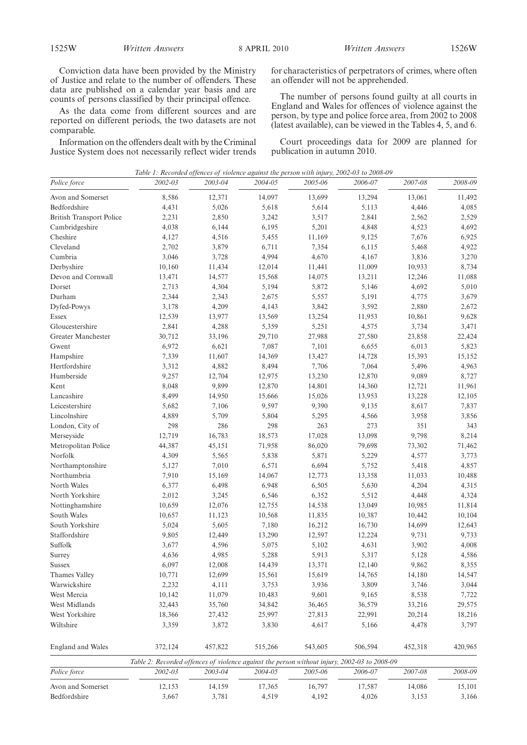Conviction data have been provided by the Ministry of Justice and relate to the number of offenders. These data are published on a calendar year basis and are counts of persons classified by their principal offence.

As the data come from different sources and are reported on different periods, the two datasets are not comparable.

Information on the offenders dealt with by the Criminal Justice System does not necessarily reflect wider trends for characteristics of perpetrators of crimes, where often an offender will not be apprehended.

The number of persons found guilty at all courts in England and Wales for offences of violence against the person, by type and police force area, from 2002 to 2008 (latest available), can be viewed in the Tables 4, 5, and 6.

Court proceedings data for 2009 are planned for publication in autumn 2010.

|                                  | Table 1: Recorded offences of violence against the person with injury, 2002-03 to 2008-09    |         |              |              |              |              |              |
|----------------------------------|----------------------------------------------------------------------------------------------|---------|--------------|--------------|--------------|--------------|--------------|
| Police force                     | 2002-03                                                                                      | 2003-04 | 2004-05      | 2005-06      | 2006-07      | 2007-08      | 2008-09      |
| Avon and Somerset                | 8,586                                                                                        | 12,371  | 14,097       | 13,699       | 13,294       | 13,061       | 11,492       |
| Bedfordshire                     | 4,431                                                                                        | 5,026   | 5,618        | 5,614        | 5,113        | 4,446        | 4,085        |
| <b>British Transport Police</b>  | 2,231                                                                                        | 2,850   | 3,242        | 3,517        | 2,841        | 2,562        | 2,529        |
| Cambridgeshire                   | 4,038                                                                                        | 6,144   | 6,195        | 5,201        | 4,848        | 4,523        | 4,692        |
| Cheshire                         | 4,127                                                                                        | 4,516   | 5,455        | 11,169       | 9,125        | 7,676        | 6,925        |
| Cleveland                        | 2,702                                                                                        | 3,879   | 6,711        | 7,354        | 6,115        | 5,468        | 4,922        |
| Cumbria                          | 3,046                                                                                        | 3,728   | 4,994        | 4,670        | 4,167        | 3,836        | 3,270        |
| Derbyshire                       | 10,160                                                                                       | 11,434  | 12,014       | 11,441       | 11,009       | 10,933       | 8,734        |
| Devon and Cornwall               | 13,471                                                                                       | 14,577  | 15,568       | 14,075       | 13,211       | 12,246       | 11,088       |
| Dorset                           | 2,713                                                                                        | 4,304   | 5,194        | 5,872        | 5,146        | 4,692        | 5,010        |
| Durham                           | 2,344                                                                                        | 2,343   | 2,675        | 5,557        | 5,191        | 4,775        | 3,679        |
| Dyfed-Powys                      | 3,178                                                                                        | 4,209   | 4,143        | 3,842        | 3,592        | 2,880        | 2,672        |
| Essex                            | 12,539                                                                                       | 13,977  | 13,569       | 13,254       | 11,953       | 10,861       | 9,628        |
| Gloucestershire                  | 2,841                                                                                        | 4,288   | 5,359        | 5,251        | 4,575        | 3,734        | 3,471        |
| Greater Manchester               | 30,712                                                                                       | 33,196  | 29,710       | 27,988       | 27,580       | 23,858       | 22,424       |
| Gwent                            | 6,972                                                                                        | 6,621   | 7,087        | 7,101        | 6,655        | 6,013        | 5,823        |
| Hampshire                        | 7,339                                                                                        | 11,607  | 14,369       | 13,427       | 14,728       | 15,393       | 15,152       |
| Hertfordshire                    | 3,312                                                                                        | 4,882   | 8,494        | 7,706        | 7,064        | 5,496        | 4,963        |
| Humberside                       | 9,257                                                                                        | 12,704  | 12,975       | 13,230       | 12,870       | 9,089        | 8,727        |
| Kent                             | 8,048                                                                                        | 9,899   | 12,870       | 14,801       | 14,360       | 12,721       | 11,961       |
| Lancashire                       | 8,499                                                                                        | 14,950  | 15,666       | 15,026       | 13,953       | 13,228       | 12,105       |
| Leicestershire                   | 5,682                                                                                        | 7,106   | 9,597        | 9,390        | 9,135        | 8,617        | 7,837        |
| Lincolnshire                     |                                                                                              | 5,709   |              |              |              |              |              |
|                                  | 4,889<br>298                                                                                 | 286     | 5,804<br>298 | 5,295<br>263 | 4,566<br>273 | 3,958<br>351 | 3,856<br>343 |
| London, City of                  |                                                                                              |         |              |              |              |              |              |
| Merseyside                       | 12,719                                                                                       | 16,783  | 18,573       | 17,028       | 13,098       | 9,798        | 8,214        |
| Metropolitan Police              | 44,387                                                                                       | 45,151  | 71,958       | 86,020       | 79,698       | 73,302       | 71,462       |
| Norfolk                          | 4,309                                                                                        | 5,565   | 5,838        | 5,871        | 5,229        | 4,577        | 3,773        |
| Northamptonshire                 | 5,127                                                                                        | 7,010   | 6,571        | 6,694        | 5,752        | 5,418        | 4,857        |
| Northumbria                      | 7,910                                                                                        | 15,169  | 14,067       | 12,773       | 13,358       | 11,033       | 10,488       |
| North Wales                      | 6,377                                                                                        | 6,498   | 6,948        | 6,505        | 5,630        | 4,204        | 4,315        |
| North Yorkshire                  | 2,012                                                                                        | 3,245   | 6,546        | 6,352        | 5,512        | 4,448        | 4,324        |
| Nottinghamshire                  | 10,659                                                                                       | 12,076  | 12,755       | 14,538       | 13,049       | 10,985       | 11,814       |
| South Wales                      | 10,657                                                                                       | 11,123  | 10,568       | 11,835       | 10,387       | 10,442       | 10,104       |
| South Yorkshire                  | 5,024                                                                                        | 5,605   | 7,180        | 16,212       | 16,730       | 14,699       | 12,643       |
| Staffordshire                    | 9,805                                                                                        | 12,449  | 13,290       | 12,597       | 12,224       | 9,731        | 9,733        |
| Suffolk                          | 3,677                                                                                        | 4,596   | 5,075        | 5,102        | 4,631        | 3,902        | 4,008        |
| Surrey                           | 4,636                                                                                        | 4,985   | 5,288        | 5,913        | 5,317        | 5,128        | 4,586        |
| $\ensuremath{\mathsf{S}}\xspace$ | 6,097                                                                                        | 12,008  | 14,439       | 13,371       | 12,140       | 9,862        | 8,355        |
| Thames Valley                    | 10,771                                                                                       | 12,699  | 15,561       | 15,619       | 14,765       | 14,180       | 14,547       |
| Warwickshire                     | 2,232                                                                                        | 4,111   | 3,753        | 3,936        | 3,809        | 3,746        | 3,044        |
| West Mercia                      | 10,142                                                                                       | 11,079  | 10,483       | 9,601        | 9,165        | 8,538        | 7,722        |
| West Midlands                    | 32,443                                                                                       | 35,760  | 34,842       | 36,465       | 36,579       | 33,216       | 29,575       |
| West Yorkshire                   | 18,366                                                                                       | 27,432  | 25,997       | 27,813       | 22,991       | 20,214       | 18,216       |
| Wiltshire                        | 3,359                                                                                        | 3,872   | 3,830        | 4,617        | 5,166        | 4,478        | 3,797        |
| <b>England and Wales</b>         | 372,124                                                                                      | 457,822 | 515,266      | 543,605      | 506,594      | 452,318      | 420,965      |
|                                  | Table 2: Recorded offences of violence against the person without injury, 2002-03 to 2008-09 |         |              |              |              |              |              |
| Police force                     | 2002-03                                                                                      | 2003-04 | 2004-05      | 2005-06      | 2006-07      | 2007-08      | 2008-09      |
| Avon and Somerset                | 12,153                                                                                       | 14,159  | 17,365       | 16,797       | 17,587       | 14,086       | 15,101       |
| Bedfordshire                     | 3,667                                                                                        | 3,781   | 4,519        | 4,192        | 4,026        | 3,153        | 3,166        |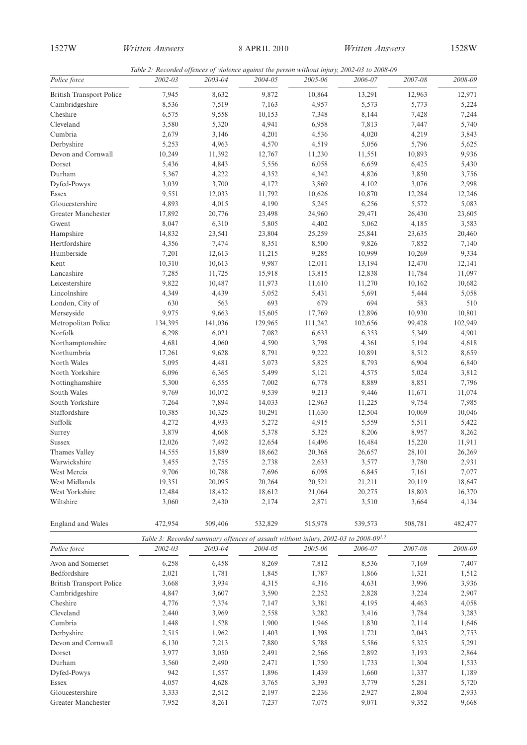*Table 2: Recorded offences of violence against the person without injury, 2002-03 to 2008-09*

| Police force                    | гате 2. Кесонией оденсез од уюшнсе аданки те ретзон минош три у, 2002-03 to 2006-09<br>2002-03 | 2003-04 | 2004-05 | 2005-06                                                                                         | 2006-07 | 2007-08 | 2008-09 |
|---------------------------------|------------------------------------------------------------------------------------------------|---------|---------|-------------------------------------------------------------------------------------------------|---------|---------|---------|
| <b>British Transport Police</b> | 7,945                                                                                          | 8,632   | 9,872   | 10,864                                                                                          | 13,291  | 12,963  | 12,971  |
| Cambridgeshire                  | 8,536                                                                                          | 7,519   | 7,163   | 4,957                                                                                           | 5,573   | 5,773   | 5,224   |
| Cheshire                        | 6,575                                                                                          | 9,558   | 10,153  | 7,348                                                                                           | 8,144   | 7,428   | 7,244   |
| Cleveland                       | 3,580                                                                                          | 5,320   | 4,941   | 6,958                                                                                           | 7,813   | 7,447   | 5,740   |
| Cumbria                         | 2,679                                                                                          | 3,146   | 4,201   | 4,536                                                                                           | 4,020   | 4,219   | 3,843   |
| Derbyshire                      | 5,253                                                                                          | 4,963   | 4,570   | 4,519                                                                                           | 5,056   | 5,796   | 5,625   |
| Devon and Cornwall              | 10,249                                                                                         | 11,392  | 12,767  | 11,230                                                                                          | 11,551  | 10,893  | 9,936   |
| Dorset                          | 5,436                                                                                          | 4,843   | 5,556   | 6,058                                                                                           | 6,659   | 6,425   | 5,430   |
| Durham                          | 5,367                                                                                          | 4,222   | 4,352   | 4,342                                                                                           | 4,826   | 3,850   | 3,756   |
| Dyfed-Powys                     | 3,039                                                                                          | 3,700   | 4,172   | 3,869                                                                                           | 4,102   | 3,076   | 2,998   |
| Essex                           | 9,551                                                                                          | 12,033  | 11,792  | 10,626                                                                                          | 10,870  | 12,284  | 12,246  |
| Gloucestershire                 | 4,893                                                                                          | 4,015   | 4,190   | 5,245                                                                                           | 6,256   | 5,572   | 5,083   |
| Greater Manchester              | 17,892                                                                                         | 20,776  | 23,498  | 24,960                                                                                          | 29,471  | 26,430  | 23,605  |
| Gwent                           | 8,047                                                                                          | 6,310   | 5,805   | 4,402                                                                                           | 5,062   | 4,185   | 3,583   |
| Hampshire                       | 14,832                                                                                         | 23,541  | 23,804  | 25,259                                                                                          | 25,841  | 23,635  | 20,460  |
| Hertfordshire                   | 4,356                                                                                          | 7,474   | 8,351   | 8,500                                                                                           | 9,826   | 7,852   | 7,140   |
| Humberside                      | 7,201                                                                                          | 12,613  | 11,215  | 9,285                                                                                           | 10,999  | 10,269  | 9,334   |
| Kent                            | 10,310                                                                                         | 10,613  | 9,987   | 12,011                                                                                          | 13,194  | 12,470  | 12,141  |
| Lancashire                      | 7,285                                                                                          | 11,725  | 15,918  | 13,815                                                                                          | 12,838  | 11,784  | 11,097  |
| Leicestershire                  | 9,822                                                                                          | 10,487  | 11,973  | 11,610                                                                                          | 11,270  | 10,162  | 10,682  |
| Lincolnshire                    | 4,349                                                                                          | 4,439   | 5,052   | 5,431                                                                                           | 5,691   | 5,444   | 5,058   |
| London, City of                 | 630                                                                                            | 563     | 693     | 679                                                                                             | 694     | 583     | 510     |
| Merseyside                      | 9,975                                                                                          | 9,663   | 15,605  | 17,769                                                                                          | 12,896  | 10,930  | 10,801  |
| Metropolitan Police             | 134,395                                                                                        | 141,036 | 129,965 | 111,242                                                                                         | 102,656 | 99,428  | 102,949 |
| Norfolk                         | 6,298                                                                                          | 6,021   | 7,082   | 6,633                                                                                           | 6,353   | 5,349   | 4,901   |
| Northamptonshire                | 4,681                                                                                          | 4,060   | 4,590   | 3,798                                                                                           | 4,361   | 5,194   | 4,618   |
| Northumbria                     | 17,261                                                                                         | 9,628   | 8,791   | 9,222                                                                                           | 10,891  | 8,512   | 8,659   |
| North Wales                     | 5,095                                                                                          | 4,481   | 5,073   | 5,825                                                                                           | 8,793   | 6,904   | 6,840   |
| North Yorkshire                 | 6,096                                                                                          | 6,365   | 5,499   | 5,121                                                                                           | 4,575   | 5,024   | 3,812   |
| Nottinghamshire                 | 5,300                                                                                          | 6,555   | 7,002   | 6,778                                                                                           | 8,889   | 8,851   | 7,796   |
| South Wales                     | 9,769                                                                                          | 10,072  | 9,539   | 9,213                                                                                           | 9,446   | 11,671  | 11,074  |
| South Yorkshire                 | 7,264                                                                                          | 7,894   | 14,033  | 12,963                                                                                          | 11,225  | 9,754   | 7,985   |
| Staffordshire                   | 10,385                                                                                         | 10,325  | 10,291  | 11,630                                                                                          | 12,504  | 10,069  | 10,046  |
| Suffolk                         | 4,272                                                                                          | 4,933   | 5,272   | 4,915                                                                                           | 5,559   | 5,511   | 5,422   |
| Surrey                          | 3,879                                                                                          | 4,668   | 5,378   | 5,325                                                                                           | 8,206   | 8,957   | 8,262   |
| <b>Sussex</b>                   | 12,026                                                                                         | 7,492   | 12,654  | 14,496                                                                                          | 16,484  | 15,220  | 11,911  |
| Thames Valley                   | 14,555                                                                                         | 15,889  | 18,662  | 20,368                                                                                          | 26,657  | 28,101  | 26,269  |
| Warwickshire                    | 3,455                                                                                          | 2,755   | 2,738   | 2,633                                                                                           | 3,577   | 3,780   | 2,931   |
| West Mercia                     | 9,706                                                                                          | 10,788  | 7,696   | 6,098                                                                                           | 6,845   | 7,161   | 7,077   |
| West Midlands                   | 19,351                                                                                         | 20,095  | 20,264  | 20,521                                                                                          | 21,211  | 20,119  | 18,647  |
| West Yorkshire                  | 12,484                                                                                         | 18,432  | 18,612  | 21,064                                                                                          | 20,275  | 18,803  | 16,370  |
| Wiltshire                       | 3,060                                                                                          | 2,430   | 2,174   | 2,871                                                                                           | 3,510   | 3,664   | 4,134   |
| England and Wales               | 472,954                                                                                        | 509,406 | 532,829 | 515,978                                                                                         | 539,573 | 508,781 | 482,477 |
|                                 |                                                                                                |         |         | Table 3: Recorded summary offences of assault without injury, 2002-03 to 2008-09 <sup>1,2</sup> |         |         |         |
| Police force                    | 2002-03                                                                                        | 2003-04 | 2004-05 | 2005-06                                                                                         | 2006-07 | 2007-08 | 2008-09 |
| Avon and Somerset               | 6,258                                                                                          | 6,458   | 8,269   | 7,812                                                                                           | 8,536   | 7,169   | 7,407   |
| Bedfordshire                    | 2,021                                                                                          | 1,781   | 1,845   | 1,787                                                                                           | 1,866   | 1,321   | 1,512   |
| <b>British Transport Police</b> | 3,668                                                                                          | 3,934   | 4,315   | 4,316                                                                                           | 4,631   | 3,996   | 3,936   |
| Cambridgeshire                  | 4,847                                                                                          | 3,607   | 3,590   | 2,252                                                                                           | 2,828   | 3,224   | 2,907   |
| Cheshire                        | 4,776                                                                                          | 7,374   | 7,147   | 3,381                                                                                           | 4,195   | 4,463   | 4,058   |

Cleveland 2,440 3,969 2,558 3,282 3,416 3,784 3,283 Cumbria 1,448 1,528 1,900 1,946 1,830 2,114 1,646 Derbyshire 2,515 1,962 1,403 1,398 1,721 2,043 2,753 Devon and Cornwall 6,130 7,213 7,880 5,788 5,586 5,325 5,291 Dorset 3,977 3,050 2,491 2,566 2,892 3,193 2,864 Durham 3,560 2,490 2,471 1,750 1,733 1,304 1,533 Dyfed-Powys 942 1,557 1,896 1,439 1,660 1,337 1,189 Essex 4,057 4,628 3,765 3,393 3,779 5,281 5,720 Gloucestershire 3,333 2,512 2,197 2,236 2,927 2,804 2,933 Greater Manchester **7**,952 8,261 7,237 7,075 9,071 9,352 9,668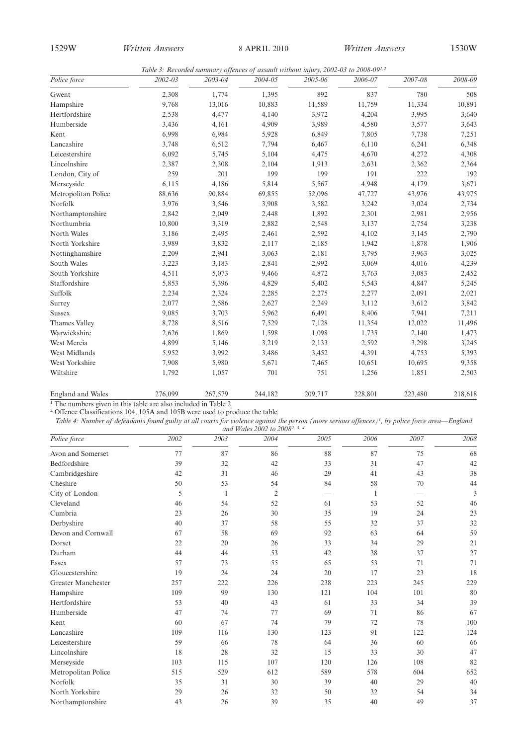*Table 3: Recorded summary offences of assault without injury, 2002-03 to 2008-091,2*

| Police force             | 2002-03 | 2003-04 | $2004 - 05$ | нам э. несопаса запита у одјепсез од азман типоат идагу, 2002 оз то 2000 оз<br>2005-06 | 2006-07 | 2007-08 | 2008-09 |
|--------------------------|---------|---------|-------------|----------------------------------------------------------------------------------------|---------|---------|---------|
| Gwent                    | 2,308   | 1,774   | 1,395       | 892                                                                                    | 837     | 780     | 508     |
| Hampshire                | 9,768   | 13,016  | 10,883      | 11,589                                                                                 | 11,759  | 11,334  | 10,891  |
| Hertfordshire            | 2,538   | 4,477   | 4,140       | 3,972                                                                                  | 4,204   | 3,995   | 3,640   |
| Humberside               | 3,436   | 4,161   | 4,909       | 3,989                                                                                  | 4,580   | 3,577   | 3,643   |
| Kent                     | 6,998   | 6,984   | 5,928       | 6,849                                                                                  | 7,805   | 7,738   | 7,251   |
| Lancashire               | 3,748   | 6,512   | 7,794       | 6,467                                                                                  | 6,110   | 6,241   | 6,348   |
| Leicestershire           | 6,092   | 5,745   | 5,104       | 4,475                                                                                  | 4,670   | 4,272   | 4,308   |
| Lincolnshire             | 2,387   | 2,308   | 2,104       | 1,913                                                                                  | 2,631   | 2,362   | 2,364   |
| London, City of          | 259     | 201     | 199         | 199                                                                                    | 191     | 222     | 192     |
| Merseyside               | 6,115   | 4,186   | 5,814       | 5,567                                                                                  | 4,948   | 4,179   | 3,671   |
| Metropolitan Police      | 88,636  | 90,884  | 69,855      | 52,096                                                                                 | 47,727  | 43,976  | 43,975  |
| Norfolk                  | 3,976   | 3,546   | 3,908       | 3,582                                                                                  | 3,242   | 3,024   | 2,734   |
| Northamptonshire         | 2,842   | 2,049   | 2,448       | 1,892                                                                                  | 2,301   | 2,981   | 2,956   |
| Northumbria              | 10,800  | 3,319   | 2,882       | 2,548                                                                                  | 3,137   | 2,754   | 3,238   |
| North Wales              | 3,186   | 2,495   | 2,461       | 2,592                                                                                  | 4,102   | 3,145   | 2,790   |
| North Yorkshire          | 3,989   | 3,832   | 2,117       | 2,185                                                                                  | 1,942   | 1,878   | 1,906   |
| Nottinghamshire          | 2,209   | 2,941   | 3,063       | 2,181                                                                                  | 3,795   | 3,963   | 3,025   |
| South Wales              | 3,223   | 3,183   | 2,841       | 2,992                                                                                  | 3,069   | 4,016   | 4,239   |
| South Yorkshire          | 4,511   | 5,073   | 9,466       | 4,872                                                                                  | 3,763   | 3,083   | 2,452   |
| Staffordshire            | 5,853   | 5,396   | 4,829       | 5,402                                                                                  | 5,543   | 4,847   | 5,245   |
| Suffolk                  | 2,234   | 2,324   | 2,285       | 2,275                                                                                  | 2,277   | 2,091   | 2,021   |
| Surrey                   | 2,077   | 2,586   | 2,627       | 2,249                                                                                  | 3,112   | 3,612   | 3,842   |
| <b>Sussex</b>            | 9,085   | 3,703   | 5,962       | 6,491                                                                                  | 8,406   | 7,941   | 7,211   |
| Thames Valley            | 8,728   | 8,516   | 7,529       | 7,128                                                                                  | 11,354  | 12,022  | 11,496  |
| Warwickshire             | 2,626   | 1,869   | 1,598       | 1,098                                                                                  | 1,735   | 2,140   | 1,473   |
| West Mercia              | 4,899   | 5,146   | 3,219       | 2,133                                                                                  | 2,592   | 3,298   | 3,245   |
| West Midlands            | 5,952   | 3,992   | 3,486       | 3,452                                                                                  | 4,391   | 4,753   | 5,393   |
| West Yorkshire           | 7,908   | 5,980   | 5,671       | 7,465                                                                                  | 10,651  | 10,695  | 9,358   |
| Wiltshire                | 1,792   | 1,057   | 701         | 751                                                                                    | 1,256   | 1,851   | 2,503   |
| <b>England and Wales</b> | 276,099 | 267,579 | 244,182     | 209,717                                                                                | 228,801 | 223,480 | 218,618 |

<sup>1</sup> The numbers given in this table are also included in Table 2.

<sup>2</sup> Offence Classifications 104, 105A and 105B were used to produce the table.

*Table 4: Number of defendants found guilty at all courts for violence against the person (more serious offences)1 , by police force area—England and Wales 2002 to 20082, 3, 4*

| Police force        | 2002 | 2003 | una maics 2002 to 2000<br>2004 | 2005 | 2006 | 2007 | 2008 |
|---------------------|------|------|--------------------------------|------|------|------|------|
| Avon and Somerset   | 77   | 87   | 86                             | 88   | 87   | 75   | 68   |
| Bedfordshire        | 39   | 32   | 42                             | 33   | 31   | 47   | 42   |
| Cambridgeshire      | 42   | 31   | 46                             | 29   | 41   | 43   | 38   |
| Cheshire            | 50   | 53   | 54                             | 84   | 58   | 70   | 44   |
| City of London      | 5    | -1   | $\overline{2}$                 |      | -1   |      | 3    |
| Cleveland           | 46   | 54   | 52                             | 61   | 53   | 52   | 46   |
| Cumbria             | 23   | 26   | 30                             | 35   | 19   | 24   | 23   |
| Derbyshire          | 40   | 37   | 58                             | 55   | 32   | 37   | 32   |
| Devon and Cornwall  | 67   | 58   | 69                             | 92   | 63   | 64   | 59   |
| Dorset              | 22   | 20   | 26                             | 33   | 34   | 29   | 21   |
| Durham              | 44   | 44   | 53                             | 42   | 38   | 37   | 27   |
| <b>Essex</b>        | 57   | 73   | 55                             | 65   | 53   | 71   | 71   |
| Gloucestershire     | 19   | 24   | 24                             | 20   | 17   | 23   | 18   |
| Greater Manchester  | 257  | 222  | 226                            | 238  | 223  | 245  | 229  |
| Hampshire           | 109  | 99   | 130                            | 121  | 104  | 101  | 80   |
| Hertfordshire       | 53   | 40   | 43                             | 61   | 33   | 34   | 39   |
| Humberside          | 47   | 74   | 77                             | 69   | 71   | 86   | 67   |
| Kent                | 60   | 67   | 74                             | 79   | 72   | 78   | 100  |
| Lancashire          | 109  | 116  | 130                            | 123  | 91   | 122  | 124  |
| Leicestershire      | 59   | 66   | 78                             | 64   | 36   | 60   | 66   |
| Lincolnshire        | 18   | 28   | 32                             | 15   | 33   | 30   | 47   |
| Merseyside          | 103  | 115  | 107                            | 120  | 126  | 108  | 82   |
| Metropolitan Police | 515  | 529  | 612                            | 589  | 578  | 604  | 652  |
| Norfolk             | 35   | 31   | 30                             | 39   | 40   | 29   | 40   |
| North Yorkshire     | 29   | 26   | 32                             | 50   | 32   | 54   | 34   |
| Northamptonshire    | 43   | 26   | 39                             | 35   | 40   | 49   | 37   |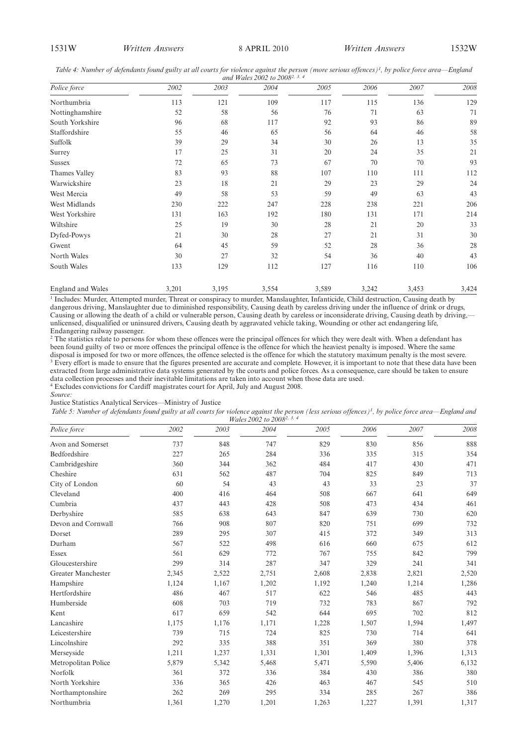*Table 4: Number of defendants found guilty at all courts for violence against the person (more serious offences)1 , by police force area—England*

|                          |       |       | and Wales 2002 to 2008 <sup>2, 3, 4</sup> |       |       |       |       |
|--------------------------|-------|-------|-------------------------------------------|-------|-------|-------|-------|
| Police force             | 2002  | 2003  | 2004                                      | 2005  | 2006  | 2007  | 2008  |
| Northumbria              | 113   | 121   | 109                                       | 117   | 115   | 136   | 129   |
| Nottinghamshire          | 52    | 58    | 56                                        | 76    | 71    | 63    | 71    |
| South Yorkshire          | 96    | 68    | 117                                       | 92    | 93    | 86    | 89    |
| Staffordshire            | 55    | 46    | 65                                        | 56    | 64    | 46    | 58    |
| Suffolk                  | 39    | 29    | 34                                        | 30    | 26    | 13    | 35    |
| Surrey                   | 17    | 25    | 31                                        | 20    | 24    | 35    | 21    |
| <b>Sussex</b>            | 72    | 65    | 73                                        | 67    | 70    | 70    | 93    |
| Thames Valley            | 83    | 93    | 88                                        | 107   | 110   | 111   | 112   |
| Warwickshire             | 23    | 18    | 21                                        | 29    | 23    | 29    | 24    |
| West Mercia              | 49    | 58    | 53                                        | 59    | 49    | 63    | 43    |
| West Midlands            | 230   | 222   | 247                                       | 228   | 238   | 221   | 206   |
| West Yorkshire           | 131   | 163   | 192                                       | 180   | 131   | 171   | 214   |
| Wiltshire                | 25    | 19    | 30                                        | 28    | 21    | 20    | 33    |
| Dyfed-Powys              | 21    | 30    | 28                                        | 27    | 21    | 31    | 30    |
| Gwent                    | 64    | 45    | 59                                        | 52    | 28    | 36    | 28    |
| North Wales              | 30    | 27    | 32                                        | 54    | 36    | 40    | 43    |
| South Wales              | 133   | 129   | 112                                       | 127   | 116   | 110   | 106   |
| <b>England and Wales</b> | 3,201 | 3,195 | 3,554                                     | 3,589 | 3,242 | 3,453 | 3,424 |

 $\frac{1}{1}$  Includes: Murder, Attempted murder, Threat or conspiracy to murder, Manslaughter, Infanticide, Child destruction, Causing death by dangerous driving, Manslaughter due to diminished responsibility, Causing death by careless driving under the influence of drink or drugs, Causing or allowing the death of a child or vulnerable person, Causing death by careless or inconsiderate driving, Causing death by driving, unlicensed, disqualified or uninsured drivers, Causing death by aggravated vehicle taking, Wounding or other act endangering life, Endangering railway passenger.

<sup>2</sup> The statistics relate to persons for whom these offences were the principal offences for which they were dealt with. When a defendant has been found guilty of two or more offences the principal offence is the offence for which the heaviest penalty is imposed. Where the same disposal is imposed for two or more offences, the offence selected is the offence for which the statutory maximum penalty is the most severe. <sup>3</sup> Every effort is made to ensure that the figures presented are accurate and complete. However, it is important to note that these data have been extracted from large administrative data systems generated by the courts and police forces. As a consequence, care should be taken to ensure data collection processes and their inevitable limitations are taken into account when those data are used. <sup>4</sup> Excludes convictions for Cardiff magistrates court for April, July and August 2008.

*Source:* Justice Statistics Analytical Services—Ministry of Justice

| Table 5: Number of defendants found guilty at all courts for violence against the person (less serious offences) <sup>1</sup> , by police force area—England and |                                              |  |  |
|------------------------------------------------------------------------------------------------------------------------------------------------------------------|----------------------------------------------|--|--|
|                                                                                                                                                                  | <i>Wales</i> 2002 to 2008 <sup>2, 3, 4</sup> |  |  |

| Police force        | 2002  | 2003  | 2004  | 2005  | 2006  | 2007  | 2008  |
|---------------------|-------|-------|-------|-------|-------|-------|-------|
| Avon and Somerset   | 737   | 848   | 747   | 829   | 830   | 856   | 888   |
| Bedfordshire        | 227   | 265   | 284   | 336   | 335   | 315   | 354   |
| Cambridgeshire      | 360   | 344   | 362   | 484   | 417   | 430   | 471   |
| Cheshire            | 631   | 562   | 487   | 704   | 825   | 849   | 713   |
| City of London      | 60    | 54    | 43    | 43    | 33    | 23    | 37    |
| Cleveland           | 400   | 416   | 464   | 508   | 667   | 641   | 649   |
| Cumbria             | 437   | 443   | 428   | 508   | 473   | 434   | 461   |
| Derbyshire          | 585   | 638   | 643   | 847   | 639   | 730   | 620   |
| Devon and Cornwall  | 766   | 908   | 807   | 820   | 751   | 699   | 732   |
| Dorset              | 289   | 295   | 307   | 415   | 372   | 349   | 313   |
| Durham              | 567   | 522   | 498   | 616   | 660   | 675   | 612   |
| Essex               | 561   | 629   | 772   | 767   | 755   | 842   | 799   |
| Gloucestershire     | 299   | 314   | 287   | 347   | 329   | 241   | 341   |
| Greater Manchester  | 2,345 | 2,522 | 2,751 | 2,608 | 2,838 | 2,821 | 2,520 |
| Hampshire           | 1,124 | 1,167 | 1,202 | 1,192 | 1,240 | 1,214 | 1,286 |
| Hertfordshire       | 486   | 467   | 517   | 622   | 546   | 485   | 443   |
| Humberside          | 608   | 703   | 719   | 732   | 783   | 867   | 792   |
| Kent                | 617   | 659   | 542   | 644   | 695   | 702   | 812   |
| Lancashire          | 1,175 | 1,176 | 1,171 | 1,228 | 1,507 | 1,594 | 1,497 |
| Leicestershire      | 739   | 715   | 724   | 825   | 730   | 714   | 641   |
| Lincolnshire        | 292   | 335   | 388   | 351   | 369   | 380   | 378   |
| Merseyside          | 1,211 | 1,237 | 1,331 | 1,301 | 1,409 | 1,396 | 1,313 |
| Metropolitan Police | 5,879 | 5,342 | 5,468 | 5,471 | 5,590 | 5,406 | 6,132 |
| Norfolk             | 361   | 372   | 336   | 384   | 430   | 386   | 380   |
| North Yorkshire     | 336   | 365   | 426   | 463   | 467   | 545   | 510   |
| Northamptonshire    | 262   | 269   | 295   | 334   | 285   | 267   | 386   |
| Northumbria         | 1,361 | 1,270 | 1,201 | 1,263 | 1,227 | 1,391 | 1,317 |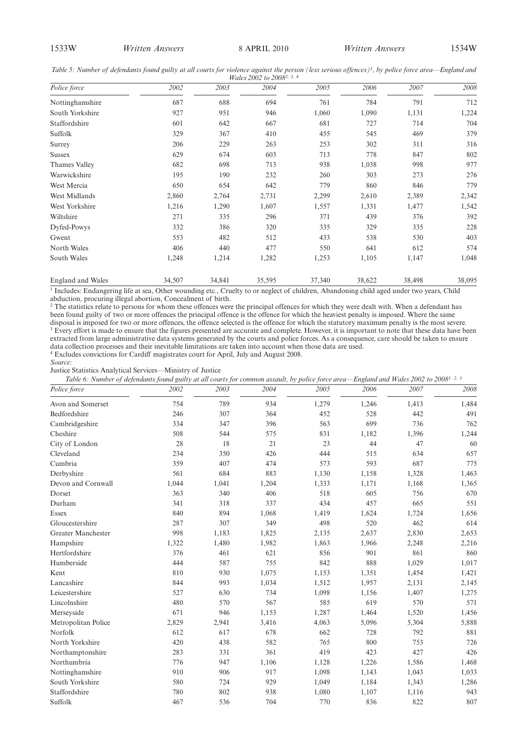Table 5: Number of defendants found guilty at all courts for violence against the person (less serious offences)<sup>1</sup>, by police force area—England and

| Wales 2002 to 2008 <sup>2, 3, 4</sup> |        |        |        |        |        |        |        |
|---------------------------------------|--------|--------|--------|--------|--------|--------|--------|
| Police force                          | 2002   | 2003   | 2004   | 2005   | 2006   | 2007   | 2008   |
| Nottinghamshire                       | 687    | 688    | 694    | 761    | 784    | 791    | 712    |
| South Yorkshire                       | 927    | 951    | 946    | 1,060  | 1,090  | 1,131  | 1,224  |
| Staffordshire                         | 601    | 642    | 667    | 681    | 727    | 714    | 704    |
| Suffolk                               | 329    | 367    | 410    | 455    | 545    | 469    | 379    |
| Surrey                                | 206    | 229    | 263    | 253    | 302    | 311    | 316    |
| <b>Sussex</b>                         | 629    | 674    | 603    | 713    | 778    | 847    | 802    |
| Thames Valley                         | 682    | 698    | 713    | 938    | 1,038  | 998    | 977    |
| Warwickshire                          | 195    | 190    | 232    | 260    | 303    | 273    | 276    |
| West Mercia                           | 650    | 654    | 642    | 779    | 860    | 846    | 779    |
| West Midlands                         | 2,860  | 2,764  | 2,731  | 2,299  | 2,610  | 2,389  | 2,342  |
| West Yorkshire                        | 1,216  | 1,290  | 1,607  | 1,557  | 1,331  | 1,477  | 1,542  |
| Wiltshire                             | 271    | 335    | 296    | 371    | 439    | 376    | 392    |
| Dyfed-Powys                           | 332    | 386    | 320    | 335    | 329    | 335    | 228    |
| Gwent                                 | 553    | 482    | 512    | 433    | 538    | 530    | 403    |
| North Wales                           | 406    | 440    | 477    | 550    | 641    | 612    | 574    |
| South Wales                           | 1,248  | 1,214  | 1,282  | 1,253  | 1,105  | 1,147  | 1,048  |
| <b>England and Wales</b>              | 34,507 | 34,841 | 35,595 | 37,340 | 38,622 | 38,498 | 38,095 |

<sup>1</sup> Includes: Endangering life at sea, Other wounding etc., Cruelty to or neglect of children, Abandoning child aged under two years, Child abduction, procuring illegal abortion, Concealment of birth.

<sup>2</sup> The statistics relate to persons for whom these offences were the principal offences for which they were dealt with. When a defendant has been found guilty of two or more offences the principal offence is the offence for which the heaviest penalty is imposed. Where the same disposal is imposed for two or more offences, the offence selected is the offence for which the statutory maximum penalty is the most severe. <sup>3</sup> Every effort is made to ensure that the figures presented are accurate and complete. However, it is important to note that these data have been extracted from large administrative data systems generated by the courts and police forces. As a consequence, care should be taken to ensure extracted from large administrative data systems generated by the courts and poli data collection processes and their inevitable limitations are taken into account when those data are used.

<sup>4</sup> Excludes convictions for Cardiff magistrates court for April, July and August 2008.

*Source:*

Justice Statistics Analytical Services—Ministry of Justice

*Table 6: Number of defendants found guilty at all courts for common assault, by police force area—England and Wales 2002 to 20081, 2, 3*

| Police force        | 2002  | 2003  | 2004  | 2005  | 2006  | 2007  | 2008  |
|---------------------|-------|-------|-------|-------|-------|-------|-------|
| Avon and Somerset   | 754   | 789   | 934   | 1,279 | 1,246 | 1,413 | 1,484 |
| Bedfordshire        | 246   | 307   | 364   | 452   | 528   | 442   | 491   |
| Cambridgeshire      | 334   | 347   | 396   | 563   | 699   | 736   | 762   |
| Cheshire            | 508   | 544   | 575   | 831   | 1,182 | 1,396 | 1,244 |
| City of London      | 28    | 18    | 21    | 23    | 44    | 47    | 60    |
| Cleveland           | 234   | 350   | 426   | 444   | 515   | 634   | 657   |
| Cumbria             | 359   | 407   | 474   | 573   | 593   | 687   | 775   |
| Derbyshire          | 561   | 684   | 883   | 1,130 | 1,158 | 1,328 | 1,463 |
| Devon and Cornwall  | 1,044 | 1,041 | 1,204 | 1,333 | 1,171 | 1,168 | 1,365 |
| Dorset              | 363   | 340   | 406   | 518   | 605   | 756   | 670   |
| Durham              | 341   | 318   | 337   | 434   | 457   | 665   | 551   |
| Essex               | 840   | 894   | 1,068 | 1,419 | 1,624 | 1,724 | 1,656 |
| Gloucestershire     | 287   | 307   | 349   | 498   | 520   | 462   | 614   |
| Greater Manchester  | 998   | 1,183 | 1,825 | 2,135 | 2,637 | 2,830 | 2,653 |
| Hampshire           | 1,322 | 1,480 | 1,982 | 1,863 | 1,966 | 2,248 | 2,216 |
| Hertfordshire       | 376   | 461   | 621   | 856   | 901   | 861   | 860   |
| Humberside          | 444   | 587   | 755   | 842   | 888   | 1,029 | 1,017 |
| Kent                | 810   | 930   | 1,075 | 1,153 | 1,351 | 1,454 | 1,421 |
| Lancashire          | 844   | 993   | 1,034 | 1,512 | 1,957 | 2,131 | 2,145 |
| Leicestershire      | 527   | 630   | 734   | 1,098 | 1,156 | 1,407 | 1,275 |
| Lincolnshire        | 480   | 570   | 567   | 585   | 619   | 570   | 571   |
| Merseyside          | 671   | 946   | 1,153 | 1,287 | 1,464 | 1,520 | 1,456 |
| Metropolitan Police | 2,829 | 2,941 | 3,416 | 4,063 | 5,096 | 5,304 | 5,888 |
| Norfolk             | 612   | 617   | 678   | 662   | 728   | 792   | 881   |
| North Yorkshire     | 420   | 438   | 582   | 765   | 800   | 753   | 726   |
| Northamptonshire    | 283   | 331   | 361   | 419   | 423   | 427   | 426   |
| Northumbria         | 776   | 947   | 1,106 | 1,128 | 1,226 | 1,586 | 1,468 |
| Nottinghamshire     | 910   | 906   | 917   | 1,098 | 1,143 | 1,043 | 1,033 |
| South Yorkshire     | 580   | 724   | 929   | 1,049 | 1,184 | 1,343 | 1,286 |
| Staffordshire       | 780   | 802   | 938   | 1,080 | 1,107 | 1,116 | 943   |
| Suffolk             | 467   | 536   | 704   | 770   | 836   | 822   | 807   |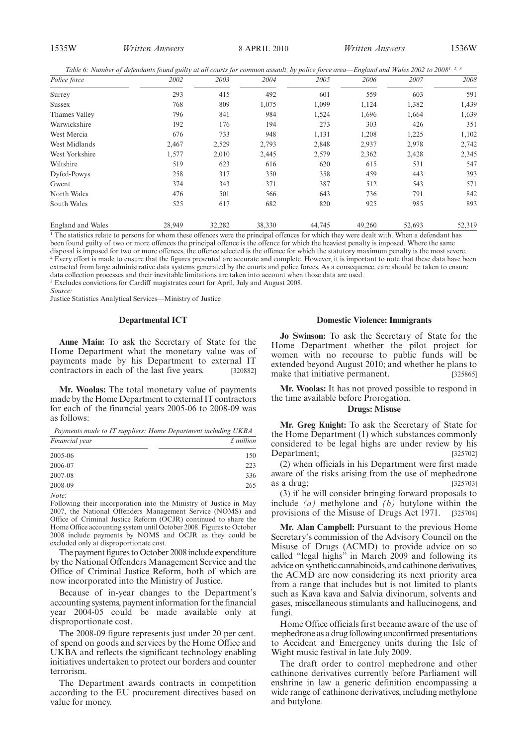1535W *Written Answers Written Answers* 8 APRIL 2010 1536W

*Table 6: Number of defendants found guilty at all courts for common assault, by police force area—England and Wales 2002 to 20081, 2, 3*

| Police force      | 2002   | 2003   | 2004   | 2005   | 2006   | 2007   | 2008   |
|-------------------|--------|--------|--------|--------|--------|--------|--------|
| Surrey            | 293    | 415    | 492    | 601    | 559    | 603    | 591    |
| Sussex            | 768    | 809    | 1,075  | 1,099  | 1,124  | 1,382  | 1,439  |
| Thames Valley     | 796    | 841    | 984    | 1,524  | 1,696  | 1,664  | 1,639  |
| Warwickshire      | 192    | 176    | 194    | 273    | 303    | 426    | 351    |
| West Mercia       | 676    | 733    | 948    | 1,131  | 1,208  | 1,225  | 1,102  |
| West Midlands     | 2,467  | 2,529  | 2,793  | 2,848  | 2,937  | 2,978  | 2,742  |
| West Yorkshire    | 1,577  | 2,010  | 2,445  | 2,579  | 2,362  | 2,428  | 2,345  |
| Wiltshire         | 519    | 623    | 616    | 620    | 615    | 531    | 547    |
| Dyfed-Powys       | 258    | 317    | 350    | 358    | 459    | 443    | 393    |
| Gwent             | 374    | 343    | 371    | 387    | 512    | 543    | 571    |
| North Wales       | 476    | 501    | 566    | 643    | 736    | 791    | 842    |
| South Wales       | 525    | 617    | 682    | 820    | 925    | 985    | 893    |
| England and Wales | 28,949 | 32,282 | 38,330 | 44,745 | 49,260 | 52,693 | 52,319 |

<sup>1</sup> The statistics relate to persons for whom these offences were the principal offences for which they were dealt with. When a defendant has been found guilty of two or more offences the principal offence is the offence for which the heaviest penalty is imposed. Where the same disposal is imposed for two or more offences, the offence selected is the offence for which the statutory maximum penalty is the most severe. <sup>2</sup> Every effort is made to ensure that the figures presented are accurate and complete. However, it is important to note that these data have been extracted from large administrative data systems generated by the courts and police forces. As a consequence, care should be taken to ensure

data collection processes and their inevitable limitations are taken into account when those data are used.

<sup>3</sup> Excludes convictions for Cardiff magistrates court for April, July and August 2008.

*Source:*

Justice Statistics Analytical Services—Ministry of Justice

#### **Departmental ICT**

**Anne Main:** To ask the Secretary of State for the Home Department what the monetary value was of payments made by his Department to external IT contractors in each of the last five years. [320882]

**Mr. Woolas:** The total monetary value of payments made by the Home Department to external IT contractors for each of the financial years 2005-06 to 2008-09 was as follows:

| Payments made to IT suppliers: Home Department including UKBA |  |  |
|---------------------------------------------------------------|--|--|
|                                                               |  |  |

| Financial year | $£$ million |
|----------------|-------------|
| 2005-06        | 150         |
| 2006-07        | 223         |
| 2007-08        | 336         |
| 2008-09        | 265         |
| Note:          |             |

Following their incorporation into the Ministry of Justice in May 2007, the National Offenders Management Service (NOMS) and Office of Criminal Justice Reform (OCJR) continued to share the Home Office accounting system until October 2008. Figures to October 2008 include payments by NOMS and OCJR as they could be excluded only at disproportionate cost.

The payment figures to October 2008 include expenditure by the National Offenders Management Service and the Office of Criminal Justice Reform, both of which are now incorporated into the Ministry of Justice.

Because of in-year changes to the Department's accounting systems, payment information for the financial year 2004-05 could be made available only at disproportionate cost.

The 2008-09 figure represents just under 20 per cent. of spend on goods and services by the Home Office and UKBA and reflects the significant technology enabling initiatives undertaken to protect our borders and counter terrorism.

The Department awards contracts in competition according to the EU procurement directives based on value for money.

#### **Domestic Violence: Immigrants**

**Jo Swinson:** To ask the Secretary of State for the Home Department whether the pilot project for women with no recourse to public funds will be extended beyond August 2010; and whether he plans to make that initiative permanent. [325865]

**Mr. Woolas:** It has not proved possible to respond in the time available before Prorogation.

#### **Drugs: Misuse**

**Mr. Greg Knight:** To ask the Secretary of State for the Home Department (1) which substances commonly considered to be legal highs are under review by his Department; [325702]

(2) when officials in his Department were first made aware of the risks arising from the use of mephedrone as a drug; [325703]

(3) if he will consider bringing forward proposals to include *(a)* methylone and *(b)* butylone within the provisions of the Misuse of Drugs Act 1971. [325704]

**Mr. Alan Campbell:** Pursuant to the previous Home Secretary's commission of the Advisory Council on the Misuse of Drugs (ACMD) to provide advice on so called "legal highs" in March 2009 and following its advice on synthetic cannabinoids, and cathinone derivatives, the ACMD are now considering its next priority area from a range that includes but is not limited to plants such as Kava kava and Salvia divinorum, solvents and gases, miscellaneous stimulants and hallucinogens, and fungi.

Home Office officials first became aware of the use of mephedrone as a drug following unconfirmed presentations to Accident and Emergency units during the Isle of Wight music festival in late July 2009.

The draft order to control mephedrone and other cathinone derivatives currently before Parliament will enshrine in law a generic definition encompassing a wide range of cathinone derivatives, including methylone and butylone.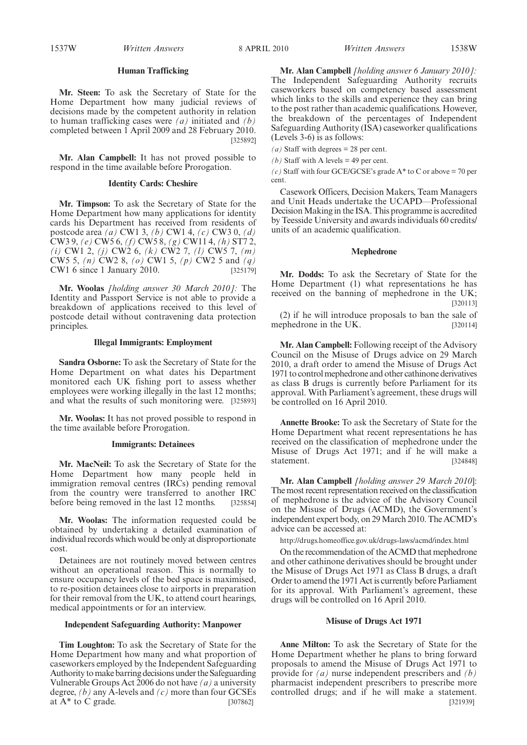1537W *Written Answers Written Answers* 8 APRIL 2010 1538W

# **Human Trafficking**

**Mr. Steen:** To ask the Secretary of State for the Home Department how many judicial reviews of decisions made by the competent authority in relation to human trafficking cases were *(a)* initiated and *(b)* completed between 1 April 2009 and 28 February 2010. [325892]

**Mr. Alan Campbell:** It has not proved possible to respond in the time available before Prorogation.

# **Identity Cards: Cheshire**

**Mr. Timpson:** To ask the Secretary of State for the Home Department how many applications for identity cards his Department has received from residents of postcode area *(a)* CW1 3, *(b)* CW1 4, *(c)* CW3 0, *(d)* CW3 9, *(e)* CW5 6, *(f)* CW5 8, *(g)* CW11 4, *(h)* ST7 2, *(i)* CW1 2, *(j)* CW2 6, *(k)* CW2 7, *(l)* CW5 7, *(m)* CW5 5, *(n)* CW2 8, *(o)* CW1 5, *(p)* CW2 5 and *(q)* CW1 6 since 1 January 2010. [325179]

**Mr. Woolas** *[holding answer 30 March 2010]:* The Identity and Passport Service is not able to provide a breakdown of applications received to this level of postcode detail without contravening data protection principles.

# **Illegal Immigrants: Employment**

**Sandra Osborne:** To ask the Secretary of State for the Home Department on what dates his Department monitored each UK fishing port to assess whether employees were working illegally in the last 12 months; and what the results of such monitoring were. [325893]

**Mr. Woolas:** It has not proved possible to respond in the time available before Prorogation.

#### **Immigrants: Detainees**

**Mr. MacNeil:** To ask the Secretary of State for the Home Department how many people held in immigration removal centres (IRCs) pending removal from the country were transferred to another IRC before being removed in the last 12 months. [325854]

**Mr. Woolas:** The information requested could be obtained by undertaking a detailed examination of individual records which would be only at disproportionate cost.

Detainees are not routinely moved between centres without an operational reason. This is normally to ensure occupancy levels of the bed space is maximised, to re-position detainees close to airports in preparation for their removal from the UK, to attend court hearings, medical appointments or for an interview.

## **Independent Safeguarding Authority: Manpower**

**Tim Loughton:** To ask the Secretary of State for the Home Department how many and what proportion of caseworkers employed by the Independent Safeguarding Authority tomake barring decisions under the Safeguarding Vulnerable Groups Act 2006 do not have *(a)* a university degree, *(b)* any A-levels and *(c)* more than four GCSEs at A\* to C grade. [307862]

**Mr. Alan Campbell** *[holding answer 6 January 2010]:* The Independent Safeguarding Authority recruits caseworkers based on competency based assessment which links to the skills and experience they can bring to the post rather than academic qualifications. However, the breakdown of the percentages of Independent Safeguarding Authority (ISA) caseworker qualifications (Levels 3-6) is as follows:

(*a*) Staff with degrees = 28 per cent.

*(b)* Staff with A levels  $=$  49 per cent.

 $(c)$  Staff with four GCE/GCSE's grade  $A^*$  to C or above = 70 per cent.

Casework Officers, Decision Makers, Team Managers and Unit Heads undertake the UCAPD—Professional Decision Making in the ISA. This programme is accredited by Teesside University and awards individuals 60 credits/ units of an academic qualification.

#### **Mephedrone**

**Mr. Dodds:** To ask the Secretary of State for the Home Department (1) what representations he has received on the banning of mephedrone in the UK; [320113]

(2) if he will introduce proposals to ban the sale of mephedrone in the UK. [320114]

**Mr. Alan Campbell:** Following receipt of the Advisory Council on the Misuse of Drugs advice on 29 March 2010, a draft order to amend the Misuse of Drugs Act 1971 to control mephedrone and other cathinone derivatives as class B drugs is currently before Parliament for its approval. With Parliament's agreement, these drugs will be controlled on 16 April 2010.

**Annette Brooke:** To ask the Secretary of State for the Home Department what recent representations he has received on the classification of mephedrone under the Misuse of Drugs Act 1971; and if he will make a statement. [324848]

**Mr. Alan Campbell** *[holding answer 29 March 2010*]: The most recent representation received on the classification of mephedrone is the advice of the Advisory Council on the Misuse of Drugs (ACMD), the Government's independent expert body, on 29March 2010. The ACMD's advice can be accessed at:

http://drugs.homeoffice.gov.uk/drugs-laws/acmd/index.html

On the recommendation of the ACMD that mephedrone and other cathinone derivatives should be brought under the Misuse of Drugs Act 1971 as Class B drugs, a draft Order to amend the 1971 Act is currently before Parliament for its approval. With Parliament's agreement, these drugs will be controlled on 16 April 2010.

#### **Misuse of Drugs Act 1971**

**Anne Milton:** To ask the Secretary of State for the Home Department whether he plans to bring forward proposals to amend the Misuse of Drugs Act 1971 to provide for *(a)* nurse independent prescribers and *(b)* pharmacist independent prescribers to prescribe more controlled drugs; and if he will make a statement. [321939]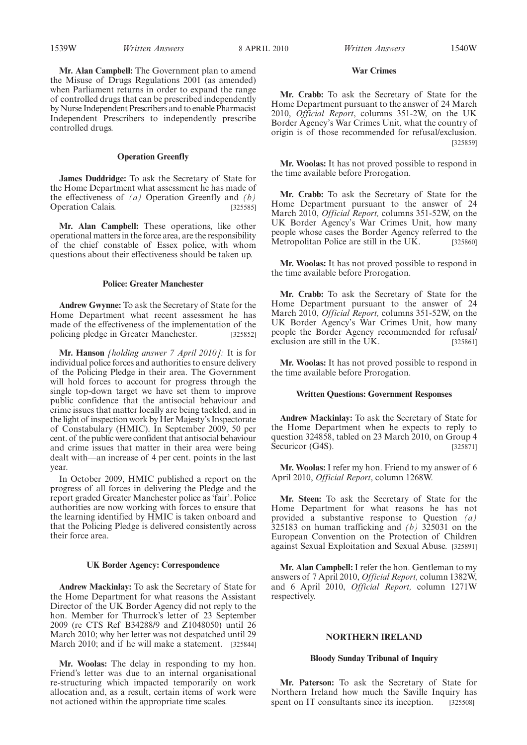# **War Crimes**

**Mr. Crabb:** To ask the Secretary of State for the Home Department pursuant to the answer of 24 March 2010, *Official Report*, columns 351-2W, on the UK Border Agency's War Crimes Unit, what the country of origin is of those recommended for refusal/exclusion. [325859]

**Mr. Woolas:** It has not proved possible to respond in the time available before Prorogation.

**Mr. Crabb:** To ask the Secretary of State for the Home Department pursuant to the answer of 24 March 2010, *Official Report,* columns 351-52W, on the UK Border Agency's War Crimes Unit, how many people whose cases the Border Agency referred to the Metropolitan Police are still in the UK. [325860]

**Mr. Woolas:** It has not proved possible to respond in the time available before Prorogation.

**Mr. Crabb:** To ask the Secretary of State for the Home Department pursuant to the answer of 24 March 2010, *Official Report,* columns 351-52W, on the UK Border Agency's War Crimes Unit, how many people the Border Agency recommended for refusal/ exclusion are still in the UK. [325861]

**Mr. Woolas:** It has not proved possible to respond in the time available before Prorogation.

## **Written Questions: Government Responses**

**Andrew Mackinlay:** To ask the Secretary of State for the Home Department when he expects to reply to question 324858, tabled on 23 March 2010, on Group 4 Securicor (G4S). [325871]

**Mr. Woolas:** I refer my hon. Friend to my answer of 6 April 2010, *Official Report*, column 1268W.

**Mr. Steen:** To ask the Secretary of State for the Home Department for what reasons he has not provided a substantive response to Question *(a)* 325183 on human trafficking and *(b)* 325031 on the European Convention on the Protection of Children against Sexual Exploitation and Sexual Abuse. [325891]

**Mr. Alan Campbell:** I refer the hon. Gentleman to my answers of 7 April 2010, *Official Report,* column 1382W, and 6 April 2010, *Official Report,* column 1271W respectively.

## **NORTHERN IRELAND**

#### **Bloody Sunday Tribunal of Inquiry**

**Mr. Paterson:** To ask the Secretary of State for Northern Ireland how much the Saville Inquiry has spent on IT consultants since its inception. [325508]

**Mr. Alan Campbell:** The Government plan to amend the Misuse of Drugs Regulations 2001 (as amended) when Parliament returns in order to expand the range of controlled drugs that can be prescribed independently by Nurse Independent Prescribers and to enable Pharmacist Independent Prescribers to independently prescribe controlled drugs.

# **Operation Greenfly**

**James Duddridge:** To ask the Secretary of State for the Home Department what assessment he has made of the effectiveness of *(a)* Operation Greenfly and *(b)* Operation Calais. [325585]

**Mr. Alan Campbell:** These operations, like other operational matters in the force area, are the responsibility of the chief constable of Essex police, with whom questions about their effectiveness should be taken up.

### **Police: Greater Manchester**

**Andrew Gwynne:** To ask the Secretary of State for the Home Department what recent assessment he has made of the effectiveness of the implementation of the policing pledge in Greater Manchester. [325852]

**Mr. Hanson** *[holding answer 7 April 2010]:* It is for individual police forces and authorities to ensure delivery of the Policing Pledge in their area. The Government will hold forces to account for progress through the single top-down target we have set them to improve public confidence that the antisocial behaviour and crime issues that matter locally are being tackled, and in the light of inspection work by Her Majesty's Inspectorate of Constabulary (HMIC). In September 2009, 50 per cent. of the public were confident that antisocial behaviour and crime issues that matter in their area were being dealt with—an increase of 4 per cent. points in the last year.

In October 2009, HMIC published a report on the progress of all forces in delivering the Pledge and the report graded Greater Manchester police as 'fair'. Police authorities are now working with forces to ensure that the learning identified by HMIC is taken onboard and that the Policing Pledge is delivered consistently across their force area.

# **UK Border Agency: Correspondence**

**Andrew Mackinlay:** To ask the Secretary of State for the Home Department for what reasons the Assistant Director of the UK Border Agency did not reply to the hon. Member for Thurrock's letter of 23 September 2009 (re CTS Ref B34288/9 and Z1048050) until 26 March 2010; why her letter was not despatched until 29 March 2010; and if he will make a statement. [325844]

**Mr. Woolas:** The delay in responding to my hon. Friend's letter was due to an internal organisational re-structuring which impacted temporarily on work allocation and, as a result, certain items of work were not actioned within the appropriate time scales.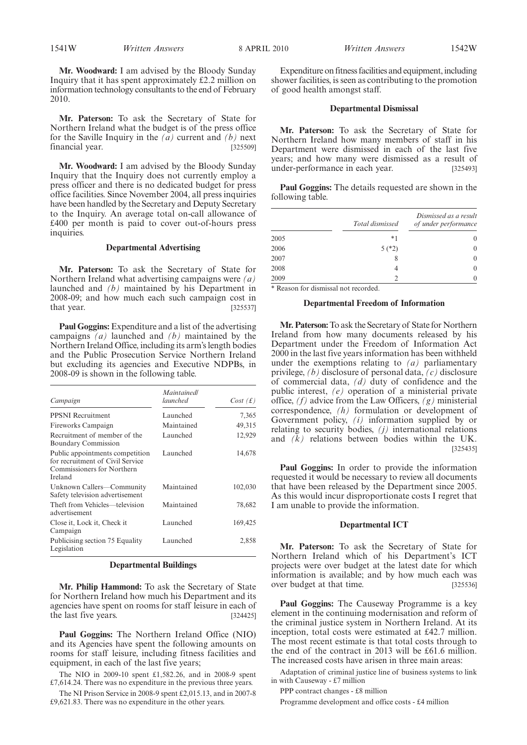**Mr. Woodward:** I am advised by the Bloody Sunday Inquiry that it has spent approximately £2.2 million on information technology consultants to the end of February 2010.

**Mr. Paterson:** To ask the Secretary of State for Northern Ireland what the budget is of the press office for the Saville Inquiry in the *(a)* current and *(b)* next financial year. [325509]

**Mr. Woodward:** I am advised by the Bloody Sunday Inquiry that the Inquiry does not currently employ a press officer and there is no dedicated budget for press office facilities. Since November 2004, all press inquiries have been handled by the Secretary and Deputy Secretary to the Inquiry. An average total on-call allowance of £400 per month is paid to cover out-of-hours press inquiries.

# **Departmental Advertising**

**Mr. Paterson:** To ask the Secretary of State for Northern Ireland what advertising campaigns were *(a)* launched and *(b)* maintained by his Department in 2008-09; and how much each such campaign cost in that year. [325537]

**Paul Goggins:** Expenditure and a list of the advertising campaigns *(a)* launched and *(b)* maintained by the Northern Ireland Office, including its arm's length bodies and the Public Prosecution Service Northern Ireland but excluding its agencies and Executive NDPBs, in 2008-09 is shown in the following table.

| Campaign                                                                                                     | Maintainedl<br>launched | Cost(f) |
|--------------------------------------------------------------------------------------------------------------|-------------------------|---------|
| <b>PPSNI</b> Recruitment                                                                                     | Launched                | 7,365   |
| Fireworks Campaign                                                                                           | Maintained              | 49,315  |
| Recruitment of member of the<br><b>Boundary Commission</b>                                                   | Launched                | 12,929  |
| Public appointments competition<br>for recruitment of Civil Service<br>Commissioners for Northern<br>Ireland | Launched                | 14,678  |
| Unknown Callers—Community<br>Safety television advertisement                                                 | Maintained              | 102,030 |
| Theft from Vehicles—television<br>advertisement                                                              | Maintained              | 78,682  |
| Close it, Lock it, Check it<br>Campaign                                                                      | Launched                | 169,425 |
| Publicising section 75 Equality<br>Legislation                                                               | Launched                | 2,858   |

# **Departmental Buildings**

**Mr. Philip Hammond:** To ask the Secretary of State for Northern Ireland how much his Department and its agencies have spent on rooms for staff leisure in each of the last five years. [324425]

**Paul Goggins:** The Northern Ireland Office (NIO) and its Agencies have spent the following amounts on rooms for staff leisure, including fitness facilities and equipment, in each of the last five years;

The NIO in 2009-10 spent £1,582.26, and in 2008-9 spent £7,614.24. There was no expenditure in the previous three years.

The NI Prison Service in 2008-9 spent £2,015.13, and in 2007-8 £9,621.83. There was no expenditure in the other years.

Expenditure on fitness facilities and equipment, including shower facilities, is seen as contributing to the promotion of good health amongst staff.

#### **Departmental Dismissal**

**Mr. Paterson:** To ask the Secretary of State for Northern Ireland how many members of staff in his Department were dismissed in each of the last five years; and how many were dismissed as a result of under-performance in each year. [325493]

**Paul Goggins:** The details requested are shown in the following table.

|      | Total dismissed | Dismissed as a result<br>of under performance |
|------|-----------------|-----------------------------------------------|
| 2005 | $*1$            | $\theta$                                      |
| 2006 | $5(*)2)$        | $\theta$                                      |
| 2007 | 8               | $\theta$                                      |
| 2008 |                 | 0                                             |
| 2009 |                 | 0                                             |

\* Reason for dismissal not recorded.

#### **Departmental Freedom of Information**

**Mr. Paterson:**To ask the Secretary of State for Northern Ireland from how many documents released by his Department under the Freedom of Information Act 2000 in the last five years information has been withheld under the exemptions relating to *(a)* parliamentary privilege, *(b)* disclosure of personal data, *(c)* disclosure of commercial data, *(d)* duty of confidence and the public interest, *(e)* operation of a ministerial private office, *(f)* advice from the Law Officers, *(g)* ministerial correspondence, *(h)* formulation or development of Government policy, *(i)* information supplied by or relating to security bodies, *(j)* international relations and *(k)* relations between bodies within the UK. [325435]

**Paul Goggins:** In order to provide the information requested it would be necessary to review all documents that have been released by the Department since 2005. As this would incur disproportionate costs I regret that I am unable to provide the information.

#### **Departmental ICT**

**Mr. Paterson:** To ask the Secretary of State for Northern Ireland which of his Department's ICT projects were over budget at the latest date for which information is available; and by how much each was over budget at that time. [325536]

**Paul Goggins:** The Causeway Programme is a key element in the continuing modernisation and reform of the criminal justice system in Northern Ireland. At its inception, total costs were estimated at £42.7 million. The most recent estimate is that total costs through to the end of the contract in 2013 will be £61.6 million. The increased costs have arisen in three main areas:

Adaptation of criminal justice line of business systems to link in with Causeway - £7 million

PPP contract changes - £8 million

Programme development and office costs - £4 million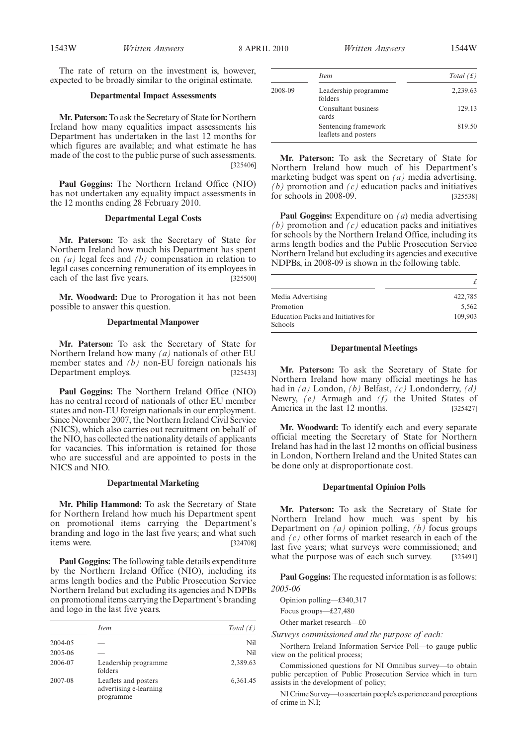The rate of return on the investment is, however, expected to be broadly similar to the original estimate.

#### **Departmental Impact Assessments**

**Mr. Paterson:**To ask the Secretary of State for Northern Ireland how many equalities impact assessments his Department has undertaken in the last 12 months for which figures are available; and what estimate he has made of the cost to the public purse of such assessments. [325406]

**Paul Goggins:** The Northern Ireland Office (NIO) has not undertaken any equality impact assessments in the 12 months ending 28 February 2010.

## **Departmental Legal Costs**

**Mr. Paterson:** To ask the Secretary of State for Northern Ireland how much his Department has spent on *(a)* legal fees and *(b)* compensation in relation to legal cases concerning remuneration of its employees in each of the last five years. [325500]

**Mr. Woodward:** Due to Prorogation it has not been possible to answer this question.

#### **Departmental Manpower**

**Mr. Paterson:** To ask the Secretary of State for Northern Ireland how many *(a)* nationals of other EU member states and *(b)* non-EU foreign nationals his Department employs. [325433]

**Paul Goggins:** The Northern Ireland Office (NIO) has no central record of nationals of other EU member states and non-EU foreign nationals in our employment. Since November 2007, the Northern Ireland Civil Service (NICS), which also carries out recruitment on behalf of the NIO, has collected the nationality details of applicants for vacancies. This information is retained for those who are successful and are appointed to posts in the NICS and NIO.

#### **Departmental Marketing**

**Mr. Philip Hammond:** To ask the Secretary of State for Northern Ireland how much his Department spent on promotional items carrying the Department's branding and logo in the last five years; and what such items were. [324708]

**Paul Goggins:** The following table details expenditure by the Northern Ireland Office (NIO), including its arms length bodies and the Public Prosecution Service Northern Ireland but excluding its agencies and NDPBs on promotional items carrying the Department's branding and logo in the last five years.

|         | <i>Item</i>                                                 | Total $(f)$ |
|---------|-------------------------------------------------------------|-------------|
| 2004-05 |                                                             | Nil         |
| 2005-06 |                                                             | Nil         |
| 2006-07 | Leadership programme<br>folders                             | 2,389.63    |
| 2007-08 | Leaflets and posters<br>advertising e-learning<br>programme | 6,361.45    |

|         | <i>Item</i>                                  | Total $(f)$ |
|---------|----------------------------------------------|-------------|
| 2008-09 | Leadership programme<br>folders              | 2,239.63    |
|         | Consultant business<br>cards                 | 129.13      |
|         | Sentencing framework<br>leaflets and posters | 819.50      |

**Mr. Paterson:** To ask the Secretary of State for Northern Ireland how much of his Department's marketing budget was spent on *(a)* media advertising, *(b)* promotion and *(c)* education packs and initiatives for schools in 2008-09. [325538]

**Paul Goggins:** Expenditure on *(a*) media advertising *(b)* promotion and *(c)* education packs and initiatives for schools by the Northern Ireland Office, including its arms length bodies and the Public Prosecution Service Northern Ireland but excluding its agencies and executive NDPBs, in 2008-09 is shown in the following table.

| Media Advertising                              | 422.785 |
|------------------------------------------------|---------|
| Promotion                                      | 5.562   |
| Education Packs and Initiatives for<br>Schools | 109.903 |

## **Departmental Meetings**

**Mr. Paterson:** To ask the Secretary of State for Northern Ireland how many official meetings he has had in *(a)* London, *(b)* Belfast, *(c)* Londonderry, *(d)* Newry, *(e)* Armagh and *(f)* the United States of America in the last 12 months. [325427]

**Mr. Woodward:** To identify each and every separate official meeting the Secretary of State for Northern Ireland has had in the last 12 months on official business in London, Northern Ireland and the United States can be done only at disproportionate cost.

# **Departmental Opinion Polls**

**Mr. Paterson:** To ask the Secretary of State for Northern Ireland how much was spent by his Department on *(a)* opinion polling, *(b)* focus groups and *(c)* other forms of market research in each of the last five years; what surveys were commissioned; and what the purpose was of each such survey. [325491]

**Paul Goggins:** The requested information is as follows: *2005-06*

Opinion polling—£340,317

Focus groups—£27,480

Other market research—£0

*Surveys commissioned and the purpose of each:*

Northern Ireland Information Service Poll—to gauge public view on the political process;

Commissioned questions for NI Omnibus survey—to obtain public perception of Public Prosecution Service which in turn assists in the development of policy;

NI Crime Survey—to ascertain people's experience and perceptions of crime in N.I;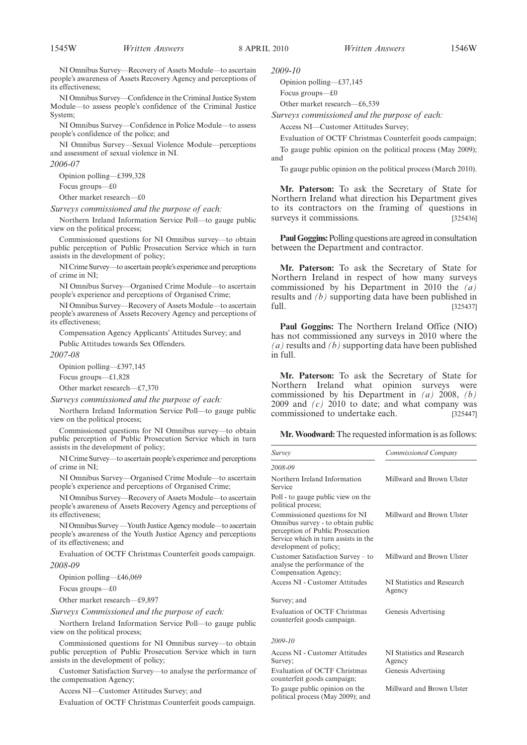NI Omnibus Survey—Recovery of Assets Module—to ascertain people's awareness of Assets Recovery Agency and perceptions of its effectiveness;

NI Omnibus Survey—Confidence in the Criminal Justice System Module—to assess people's confidence of the Criminal Justice System;

NI Omnibus Survey—Confidence in Police Module—to assess people's confidence of the police; and

NI Omnibus Survey—Sexual Violence Module—perceptions and assessment of sexual violence in NI.

*2006-07*

Opinion polling—£399,328

Focus groups—£0

Other market research—£0

*Surveys commissioned and the purpose of each:*

Northern Ireland Information Service Poll—to gauge public view on the political process;

Commissioned questions for NI Omnibus survey—to obtain public perception of Public Prosecution Service which in turn assists in the development of policy;

NI Crime Survey—to ascertain people's experience and perceptions of crime in NI;

NI Omnibus Survey—Organised Crime Module—to ascertain people's experience and perceptions of Organised Crime;

NI Omnibus Survey—Recovery of Assets Module—to ascertain people's awareness of Assets Recovery Agency and perceptions of its effectiveness;

Compensation Agency Applicants' Attitudes Survey; and Public Attitudes towards Sex Offenders.

*2007-08*

Opinion polling—£397,145

Focus groups—£1,828

Other market research—£7,370

*Surveys commissioned and the purpose of each:*

Northern Ireland Information Service Poll—to gauge public view on the political process;

Commissioned questions for NI Omnibus survey—to obtain public perception of Public Prosecution Service which in turn assists in the development of policy;

NI Crime Survey—to ascertain people's experience and perceptions of crime in NI;

NI Omnibus Survey—Organised Crime Module—to ascertain people's experience and perceptions of Organised Crime;

NI Omnibus Survey—Recovery of Assets Module—to ascertain people's awareness of Assets Recovery Agency and perceptions of its effectiveness;

NI Omnibus Survey—Youth Justice Agency module—to ascertain people's awareness of the Youth Justice Agency and perceptions of its effectiveness; and

Evaluation of OCTF Christmas Counterfeit goods campaign. *2008-09*

Opinion polling—£46,069

Focus groups—£0

Other market research—£9,897

*Surveys Commissioned and the purpose of each:*

Northern Ireland Information Service Poll—to gauge public view on the political process;

Commissioned questions for NI Omnibus survey—to obtain public perception of Public Prosecution Service which in turn assists in the development of policy;

Customer Satisfaction Survey—to analyse the performance of the compensation Agency;

Access NI—Customer Attitudes Survey; and

Evaluation of OCTF Christmas Counterfeit goods campaign.

*2009-10*

Opinion polling—£37,145 Focus groups—£0

Other market research—£6,539

*Surveys commissioned and the purpose of each:*

Access NI—Customer Attitudes Survey;

Evaluation of OCTF Christmas Counterfeit goods campaign; To gauge public opinion on the political process (May 2009); and

To gauge public opinion on the political process (March 2010).

**Mr. Paterson:** To ask the Secretary of State for Northern Ireland what direction his Department gives to its contractors on the framing of questions in surveys it commissions. [325436]

**Paul Goggins:** Polling questions are agreed in consultation between the Department and contractor.

**Mr. Paterson:** To ask the Secretary of State for Northern Ireland in respect of how many surveys commissioned by his Department in 2010 the *(a)* results and *(b)* supporting data have been published in full. [325437]

**Paul Goggins:** The Northern Ireland Office (NIO) has not commissioned any surveys in 2010 where the *(a)* results and *(b)* supporting data have been published in full.

**Mr. Paterson:** To ask the Secretary of State for Northern Ireland what opinion surveys were commissioned by his Department in *(a)* 2008, *(b)* 2009 and *(c)* 2010 to date; and what company was commissioned to undertake each. [325447]

**Mr.Woodward:**The requested information is as follows:

| Survey                                                                                                                                                                   | Commissioned Company                 |
|--------------------------------------------------------------------------------------------------------------------------------------------------------------------------|--------------------------------------|
| 2008-09                                                                                                                                                                  |                                      |
| Northern Ireland Information<br>Service                                                                                                                                  | Millward and Brown Ulster            |
| Poll - to gauge public view on the<br>political process;                                                                                                                 |                                      |
| Commissioned questions for NI<br>Omnibus survey - to obtain public<br>perception of Public Prosecution<br>Service which in turn assists in the<br>development of policy; | Millward and Brown Ulster            |
| Customer Satisfaction Survey – to<br>analyse the performance of the<br>Compensation Agency;                                                                              | Millward and Brown Ulster            |
| Access NI - Customer Attitudes                                                                                                                                           | NI Statistics and Research<br>Agency |
| Survey; and                                                                                                                                                              |                                      |
| Evaluation of OCTF Christmas<br>counterfeit goods campaign.                                                                                                              | Genesis Advertising                  |
| 2009-10                                                                                                                                                                  |                                      |
| Access NI - Customer Attitudes<br>Survey:                                                                                                                                | NI Statistics and Research<br>Agency |
| Evaluation of OCTF Christmas<br>counterfeit goods campaign;                                                                                                              | Genesis Advertising                  |

To gauge public opinion on the political process (May 2009); and Millward and Brown Ulster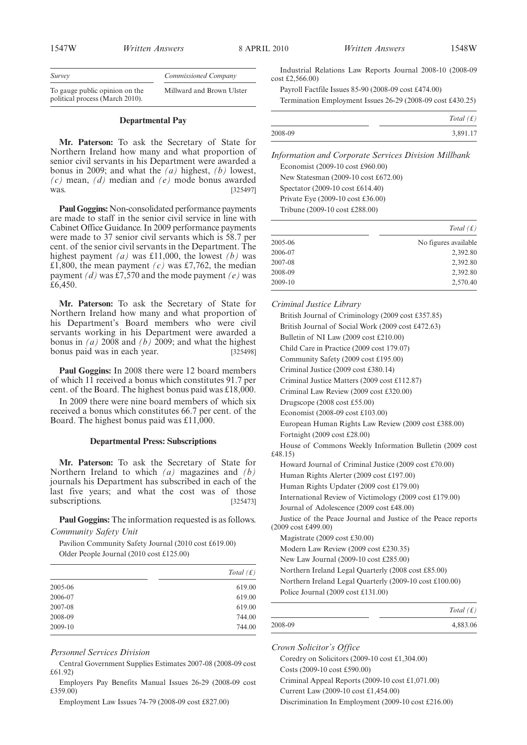| 1547W                                                             | <i>Written Answers</i> |                           | 8 APRIL 2010 |                        | <i>Written Answers</i>                                     | 1548W |
|-------------------------------------------------------------------|------------------------|---------------------------|--------------|------------------------|------------------------------------------------------------|-------|
| Survey                                                            |                        | Commissioned Company      |              | $cost \pounds2.566.00$ | Industrial Relations Law Reports Journal 2008-10 (2008-09  |       |
| To gauge public opinion on the<br>political process (March 2010). |                        | Millward and Brown Ulster |              |                        | Payroll Factfile Issues 85-90 (2008-09 cost £474.00)       |       |
|                                                                   |                        |                           |              |                        | Termination Employment Issues 26-29 (2008-09 cost £430.25) |       |

# **Departmental Pay**

**Mr. Paterson:** To ask the Secretary of State for Northern Ireland how many and what proportion of senior civil servants in his Department were awarded a bonus in 2009; and what the *(a)* highest, *(b)* lowest, *(c)* mean, *(d)* median and *(e)* mode bonus awarded was. [325497]

**Paul Goggins:** Non-consolidated performance payments are made to staff in the senior civil service in line with Cabinet Office Guidance. In 2009 performance payments were made to 37 senior civil servants which is 58.7 per cent. of the senior civil servants in the Department. The highest payment *(a)* was £11,000, the lowest *(b)* was £1,800, the mean payment  $(c)$  was £7,762, the median payment *(d)* was £7,570 and the mode payment *(e)* was £6,450.

**Mr. Paterson:** To ask the Secretary of State for Northern Ireland how many and what proportion of his Department's Board members who were civil servants working in his Department were awarded a bonus in *(a)* 2008 and *(b)* 2009; and what the highest bonus paid was in each year. [325498]

**Paul Goggins:** In 2008 there were 12 board members of which 11 received a bonus which constitutes 91.7 per cent. of the Board. The highest bonus paid was £18,000.

In 2009 there were nine board members of which six received a bonus which constitutes 66.7 per cent. of the Board. The highest bonus paid was £11,000.

#### **Departmental Press: Subscriptions**

**Mr. Paterson:** To ask the Secretary of State for Northern Ireland to which *(a)* magazines and *(b)* journals his Department has subscribed in each of the last five years; and what the cost was of those subscriptions. [325473]

**Paul Goggins:** The information requested is as follows. *Community Safety Unit*

Pavilion Community Safety Journal (2010 cost £619.00) Older People Journal (2010 cost £125.00)

|         | Total $(f)$ |
|---------|-------------|
| 2005-06 | 619.00      |
| 2006-07 | 619.00      |
| 2007-08 | 619.00      |
| 2008-09 | 744.00      |
| 2009-10 | 744.00      |

## *Personnel Services Division*

Central Government Supplies Estimates 2007-08 (2008-09 cost £61.92)

Employers Pay Benefits Manual Issues 26-29 (2008-09 cost £359.00)

Employment Law Issues 74-79 (2008-09 cost £827.00)

|         | Total $(f)$ |
|---------|-------------|
| 2008-09 | 3,891.17    |

*Information and Corporate Services Division Millbank* Economist (2009-10 cost £960.00) New Statesman (2009-10 cost £672.00) Spectator (2009-10 cost £614.40) Private Eye (2009-10 cost £36.00)

Tribune (2009-10 cost £288.00)

|         | Total $(f)$          |
|---------|----------------------|
| 2005-06 | No figures available |
| 2006-07 | 2,392.80             |
| 2007-08 | 2,392.80             |
| 2008-09 | 2,392.80             |
| 2009-10 | 2,570.40             |

*Criminal Justice Library* British Journal of Criminology (2009 cost £357.85) British Journal of Social Work (2009 cost £472.63) Bulletin of NI Law (2009 cost £210.00) Child Care in Practice (2009 cost 179.07) Community Safety (2009 cost £195.00) Criminal Justice (2009 cost £380.14) Criminal Justice Matters (2009 cost £112.87) Criminal Law Review (2009 cost £320.00) Drugscope (2008 cost £55.00) Economist (2008-09 cost £103.00) European Human Rights Law Review (2009 cost £388.00) Fortnight (2009 cost £28.00) House of Commons Weekly Information Bulletin (2009 cost £48.15) Howard Journal of Criminal Justice (2009 cost £70.00) Human Rights Alerter (2009 cost £197.00) Human Rights Updater (2009 cost £179.00) International Review of Victimology (2009 cost £179.00) Journal of Adolescence (2009 cost £48.00) Justice of the Peace Journal and Justice of the Peace reports (2009 cost £499.00) Magistrate (2009 cost £30.00) Modern Law Review (2009 cost £230.35) New Law Journal (2009-10 cost £285.00) Northern Ireland Legal Quarterly (2008 cost £85.00) Northern Ireland Legal Quarterly (2009-10 cost £100.00) Police Journal (2009 cost £131.00)

|         | Total $(f)$ |
|---------|-------------|
| 2008-09 | 4,883.06    |

*Crown Solicitor's Office*

Coredry on Solicitors (2009-10 cost £1,304.00) Costs (2009-10 cost £590.00) Criminal Appeal Reports (2009-10 cost £1,071.00) Current Law (2009-10 cost £1,454.00) Discrimination In Employment (2009-10 cost £216.00)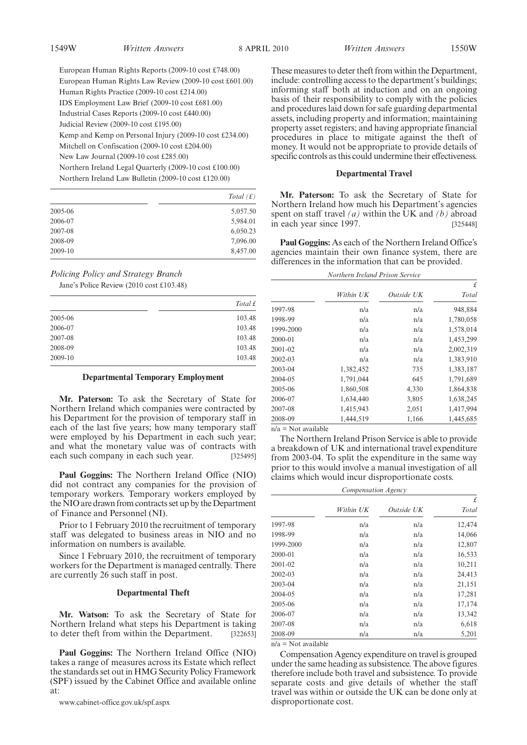European Human Rights Reports (2009-10 cost £748.00) European Human Rights Law Review (2009-10 cost £601.00) Human Rights Practice (2009-10 cost £214.00) IDS Employment Law Brief (2009-10 cost £681.00) Industrial Cases Reports (2009-10 cost £440.00) Judicial Review (2009-10 cost £195.00) Kemp and Kemp on Personal Injury (2009-10 cost £234.00) Mitchell on Confiscation (2009-10 cost £204.00) New Law Journal (2009-10 cost £285.00) Northern Ireland Legal Quarterly (2009-10 cost £100.00) Northern Ireland Law Bulletin (2009-10 cost £120.00)

|         | Total $(f)$ |
|---------|-------------|
| 2005-06 | 5,057.50    |
| 2006-07 | 5,984.01    |
| 2007-08 | 6,050.23    |
| 2008-09 | 7,096.00    |
| 2009-10 | 8,457.00    |

# *Policing Policy and Strategy Branch*

Jane's Police Review (2010 cost £103.48)

|         | Total $f$ |
|---------|-----------|
| 2005-06 | 103.48    |
| 2006-07 | 103.48    |
| 2007-08 | 103.48    |
| 2008-09 | 103.48    |
| 2009-10 | 103.48    |

## **Departmental Temporary Employment**

**Mr. Paterson:** To ask the Secretary of State for Northern Ireland which companies were contracted by his Department for the provision of temporary staff in each of the last five years; how many temporary staff were employed by his Department in each such year; and what the monetary value was of contracts with each such company in each such year. [325495]

**Paul Goggins:** The Northern Ireland Office (NIO) did not contract any companies for the provision of temporary workers. Temporary workers employed by the NIO are drawn from contracts set up by the Department of Finance and Personnel (NI).

Prior to 1 February 2010 the recruitment of temporary staff was delegated to business areas in NIO and no information on numbers is available.

Since 1 February 2010, the recruitment of temporary workers for the Department is managed centrally. There are currently 26 such staff in post.

#### **Departmental Theft**

**Mr. Watson:** To ask the Secretary of State for Northern Ireland what steps his Department is taking to deter theft from within the Department. [322653]

**Paul Goggins:** The Northern Ireland Office (NIO) takes a range of measures across its Estate which reflect the standards set out in HMG Security Policy Framework (SPF) issued by the Cabinet Office and available online at:

www.cabinet-office.gov.uk/spf.aspx

These measures to deter theft from within the Department, include: controlling access to the department's buildings; informing staff both at induction and on an ongoing basis of their responsibility to comply with the policies and procedures laid down for safe guarding departmental assets, including property and information; maintaining property asset registers; and having appropriate financial procedures in place to mitigate against the theft of money. It would not be appropriate to provide details of specific controls as this could undermine their effectiveness.

#### **Departmental Travel**

**Mr. Paterson:** To ask the Secretary of State for Northern Ireland how much his Department's agencies spent on staff travel *(a)* within the UK and *(b)* abroad in each year since 1997. [325448]

**Paul Goggins:** As each of the Northern Ireland Office's agencies maintain their own finance system, there are differences in the information that can be provided.

## *Northern Ireland Prison Service*

|           |           |            | £         |
|-----------|-----------|------------|-----------|
|           | Within UK | Outside UK | Total     |
| 1997-98   | n/a       | n/a        | 948,884   |
| 1998-99   | n/a       | n/a        | 1,780,058 |
| 1999-2000 | n/a       | n/a        | 1,578,014 |
| 2000-01   | n/a       | n/a        | 1,453,299 |
| 2001-02   | n/a       | n/a        | 2,002,319 |
| 2002-03   | n/a       | n/a        | 1,383,910 |
| 2003-04   | 1,382,452 | 735        | 1,383,187 |
| 2004-05   | 1,791,044 | 645        | 1,791,689 |
| 2005-06   | 1,860,508 | 4,330      | 1,864,838 |
| 2006-07   | 1,634,440 | 3,805      | 1,638,245 |
| 2007-08   | 1,415,943 | 2,051      | 1,417,994 |
| 2008-09   | 1,444,519 | 1,166      | 1,445,685 |
|           |           |            |           |

n/a = Not available

The Northern Ireland Prison Service is able to provide a breakdown of UK and international travel expenditure from 2003-04. To split the expenditure in the same way prior to this would involve a manual investigation of all claims which would incur disproportionate costs.

| Compensation Agency |           |            |        |
|---------------------|-----------|------------|--------|
|                     |           |            | £      |
|                     | Within UK | Outside UK | Total  |
| 1997-98             | n/a       | n/a        | 12,474 |
| 1998-99             | n/a       | n/a        | 14,066 |
| 1999-2000           | n/a       | n/a        | 12,807 |
| 2000-01             | n/a       | n/a        | 16,533 |
| 2001-02             | n/a       | n/a        | 10,211 |
| 2002-03             | n/a       | n/a        | 24,413 |
| 2003-04             | n/a       | n/a        | 21,151 |
| 2004-05             | n/a       | n/a        | 17,281 |
| 2005-06             | n/a       | n/a        | 17,174 |
| 2006-07             | n/a       | n/a        | 13,342 |
| 2007-08             | n/a       | n/a        | 6,618  |
| 2008-09             | n/a       | n/a        | 5,201  |

 $n/a = Not available$ 

Compensation Agency expenditure on travel is grouped under the same heading as subsistence. The above figures therefore include both travel and subsistence. To provide separate costs and give details of whether the staff travel was within or outside the UK can be done only at disproportionate cost.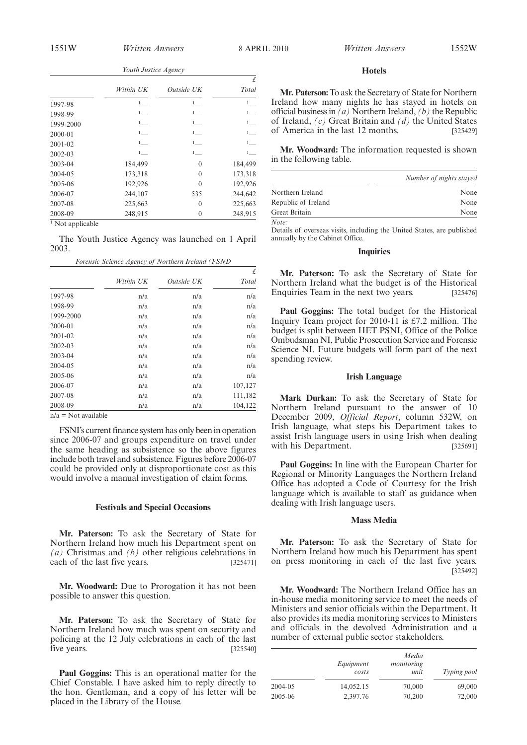|  |  | Youth Justice Agency |
|--|--|----------------------|
|--|--|----------------------|

|                             |                     |                     | £                   |
|-----------------------------|---------------------|---------------------|---------------------|
|                             | Within UK           | Outside UK          | Total               |
| 1997-98                     | $1$ <sub>___</sub>  | $1$ <sub>----</sub> | $1$                 |
| 1998-99                     | $1$ <sub>——</sub>   | $1$ <sub>——</sub>   | $1$ <sub>----</sub> |
| 1999-2000                   | $1$ <sub>----</sub> | $1$                 | $1$ <sub>—</sub>    |
| 2000-01                     | $1$ <sub>----</sub> | $1$ <sub>----</sub> | $1$                 |
| 2001-02                     | $1$ <sub>----</sub> | $1$ <sub>----</sub> | $1$ <sub>----</sub> |
| 2002-03                     | $1$ <sub>___</sub>  | $1$                 | $1$ <sub>___</sub>  |
| 2003-04                     | 184,499             | $\theta$            | 184,499             |
| 2004-05                     | 173,318             | $\Omega$            | 173,318             |
| 2005-06                     | 192,926             | $\Omega$            | 192,926             |
| 2006-07                     | 244,107             | 535                 | 244,642             |
| 2007-08                     | 225,663             | $\theta$            | 225,663             |
| 2008-09                     | 248,915             | $\mathbf{0}$        | 248,915             |
| $\sim$ $-$<br>$\sim$ $\sim$ |                     |                     |                     |

<sup>1</sup> Not applicable

The Youth Justice Agency was launched on 1 April 2003. *Forensic Science Agency of Northern Ireland (FSND*

| £       |            |           |           |
|---------|------------|-----------|-----------|
| Total   | Outside UK | Within UK |           |
| n/a     | n/a        | n/a       | 1997-98   |
| n/a     | n/a        | n/a       | 1998-99   |
| n/a     | n/a        | n/a       | 1999-2000 |
| n/a     | n/a        | n/a       | 2000-01   |
| n/a     | n/a        | n/a       | 2001-02   |
| n/a     | n/a        | n/a       | 2002-03   |
| n/a     | n/a        | n/a       | 2003-04   |
| n/a     | n/a        | n/a       | 2004-05   |
| n/a     | n/a        | n/a       | 2005-06   |
| 107,127 | n/a        | n/a       | 2006-07   |
| 111,182 | n/a        | n/a       | 2007-08   |
| 104,122 | n/a        | n/a       | 2008-09   |

 $n/a = Not available$ 

FSNI's current finance system has only been in operation since 2006-07 and groups expenditure on travel under the same heading as subsistence so the above figures include both travel and subsistence. Figures before 2006-07 could be provided only at disproportionate cost as this would involve a manual investigation of claim forms.

# **Festivals and Special Occasions**

**Mr. Paterson:** To ask the Secretary of State for Northern Ireland how much his Department spent on *(a)* Christmas and *(b)* other religious celebrations in each of the last five years. [325471]

**Mr. Woodward:** Due to Prorogation it has not been possible to answer this question.

**Mr. Paterson:** To ask the Secretary of State for Northern Ireland how much was spent on security and policing at the 12 July celebrations in each of the last five years. [325540]

**Paul Goggins:** This is an operational matter for the Chief Constable. I have asked him to reply directly to the hon. Gentleman, and a copy of his letter will be placed in the Library of the House.

## **Hotels**

**Mr. Paterson:**To ask the Secretary of State for Northern Ireland how many nights he has stayed in hotels on official business in *(a)* Northern Ireland, *(b)* the Republic of Ireland, *(c)* Great Britain and *(d)* the United States of America in the last 12 months. [325429]

**Mr. Woodward:** The information requested is shown in the following table.

|                     | Number of nights stayed |
|---------------------|-------------------------|
| Northern Ireland    | None                    |
| Republic of Ireland | None                    |
| Great Britain       | None                    |
| Note:               |                         |

Details of overseas visits, including the United States, are published annually by the Cabinet Office.

## **Inquiries**

**Mr. Paterson:** To ask the Secretary of State for Northern Ireland what the budget is of the Historical Enquiries Team in the next two years. [325476]

**Paul Goggins:** The total budget for the Historical Inquiry Team project for 2010-11 is £7.2 million. The budget is split between HET PSNI, Office of the Police Ombudsman NI, Public Prosecution Service and Forensic Science NI. Future budgets will form part of the next spending review.

#### **Irish Language**

**Mark Durkan:** To ask the Secretary of State for Northern Ireland pursuant to the answer of 10 December 2009, *Official Report*, column 532W, on Irish language, what steps his Department takes to assist Irish language users in using Irish when dealing with his Department. [325691]

**Paul Goggins:** In line with the European Charter for Regional or Minority Languages the Northern Ireland Office has adopted a Code of Courtesy for the Irish language which is available to staff as guidance when dealing with Irish language users.

## **Mass Media**

**Mr. Paterson:** To ask the Secretary of State for Northern Ireland how much his Department has spent on press monitoring in each of the last five years. [325492]

**Mr. Woodward:** The Northern Ireland Office has an in-house media monitoring service to meet the needs of Ministers and senior officials within the Department. It also provides its media monitoring services to Ministers and officials in the devolved Administration and a number of external public sector stakeholders.

|         | Equipment<br>costs | Media<br>monitoring<br>unit | Typing pool |
|---------|--------------------|-----------------------------|-------------|
| 2004-05 | 14,052.15          | 70,000                      | 69,000      |
| 2005-06 | 2,397.76           | 70,200                      | 72,000      |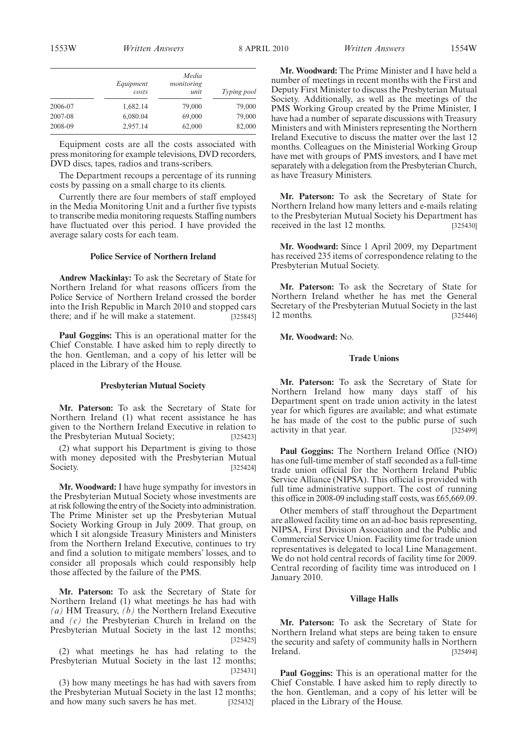|         | Equipment<br>costs | Media<br>monitoring<br>unit | Typing pool |
|---------|--------------------|-----------------------------|-------------|
| 2006-07 | 1,682.14           | 79,000                      | 79,000      |
| 2007-08 | 6,080.04           | 69,000                      | 79,000      |
| 2008-09 | 2,957.14           | 62,000                      | 82,000      |

Equipment costs are all the costs associated with press monitoring for example televisions, DVD recorders, DVD discs, tapes, radios and trans-scribers.

The Department recoups a percentage of its running costs by passing on a small charge to its clients.

Currently there are four members of staff employed in the Media Monitoring Unit and a further five typists to transcribe media monitoring requests. Staffing numbers have fluctuated over this period. I have provided the average salary costs for each team.

# **Police Service of Northern Ireland**

**Andrew Mackinlay:** To ask the Secretary of State for Northern Ireland for what reasons officers from the Police Service of Northern Ireland crossed the border into the Irish Republic in March 2010 and stopped cars there; and if he will make a statement. [325845]

**Paul Goggins:** This is an operational matter for the Chief Constable. I have asked him to reply directly to the hon. Gentleman, and a copy of his letter will be placed in the Library of the House.

## **Presbyterian Mutual Society**

**Mr. Paterson:** To ask the Secretary of State for Northern Ireland (1) what recent assistance he has given to the Northern Ireland Executive in relation to the Presbyterian Mutual Society; [325423]

(2) what support his Department is giving to those with money deposited with the Presbyterian Mutual Society. [325424]

**Mr. Woodward:** I have huge sympathy for investors in the Presbyterian Mutual Society whose investments are at risk following the entry of the Society into administration. The Prime Minister set up the Presbyterian Mutual Society Working Group in July 2009. That group, on which I sit alongside Treasury Ministers and Ministers from the Northern Ireland Executive, continues to try and find a solution to mitigate members' losses, and to consider all proposals which could responsibly help those affected by the failure of the PMS.

**Mr. Paterson:** To ask the Secretary of State for Northern Ireland (1) what meetings he has had with *(a)* HM Treasury, *(b)* the Northern Ireland Executive and *(c)* the Presbyterian Church in Ireland on the Presbyterian Mutual Society in the last 12 months; [325425]

(2) what meetings he has had relating to the Presbyterian Mutual Society in the last 12 months; [325431]

(3) how many meetings he has had with savers from the Presbyterian Mutual Society in the last 12 months; and how many such savers he has met. [325432]

**Mr. Woodward:** The Prime Minister and I have held a number of meetings in recent months with the First and Deputy First Minister to discuss the Presbyterian Mutual Society. Additionally, as well as the meetings of the PMS Working Group created by the Prime Minister, I have had a number of separate discussions with Treasury Ministers and with Ministers representing the Northern Ireland Executive to discuss the matter over the last 12 months. Colleagues on the Ministerial Working Group have met with groups of PMS investors, and I have met separately with a delegation from the Presbyterian Church, as have Treasury Ministers.

**Mr. Paterson:** To ask the Secretary of State for Northern Ireland how many letters and e-mails relating to the Presbyterian Mutual Society his Department has received in the last 12 months. [325430]

**Mr. Woodward:** Since 1 April 2009, my Department has received 235 items of correspondence relating to the Presbyterian Mutual Society.

**Mr. Paterson:** To ask the Secretary of State for Northern Ireland whether he has met the General Secretary of the Presbyterian Mutual Society in the last 12 months. [325446]

**Mr. Woodward:** No.

## **Trade Unions**

**Mr. Paterson:** To ask the Secretary of State for Northern Ireland how many days staff of his Department spent on trade union activity in the latest year for which figures are available; and what estimate he has made of the cost to the public purse of such activity in that year. [325499]

**Paul Goggins:** The Northern Ireland Office (NIO) has one full-time member of staff seconded as a full-time trade union official for the Northern Ireland Public Service Alliance (NIPSA). This official is provided with full time administrative support. The cost of running this office in 2008-09 including staff costs, was £65,669.09.

Other members of staff throughout the Department are allowed facility time on an ad-hoc basis representing, NIPSA, First Division Association and the Public and Commercial Service Union. Facility time for trade union representatives is delegated to local Line Management. We do not hold central records of facility time for 2009. Central recording of facility time was introduced on 1 January 2010.

#### **Village Halls**

**Mr. Paterson:** To ask the Secretary of State for Northern Ireland what steps are being taken to ensure the security and safety of community halls in Northern **Ireland.** [325494]

**Paul Goggins:** This is an operational matter for the Chief Constable. I have asked him to reply directly to the hon. Gentleman, and a copy of his letter will be placed in the Library of the House.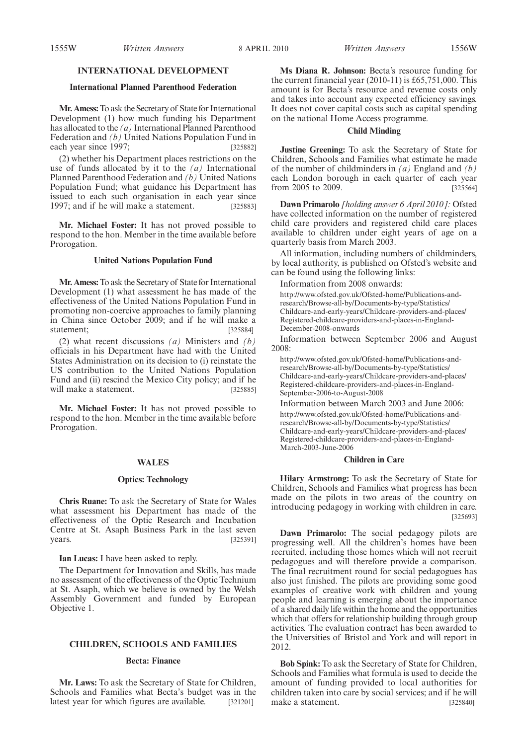# **INTERNATIONAL DEVELOPMENT**

## **International Planned Parenthood Federation**

**Mr. Amess:**To ask the Secretary of State for International Development (1) how much funding his Department has allocated to the *(a)* International Planned Parenthood Federation and *(b)* United Nations Population Fund in each year since 1997; [325882]

(2) whether his Department places restrictions on the use of funds allocated by it to the *(a)* International Planned Parenthood Federation and *(b)* United Nations Population Fund; what guidance his Department has issued to each such organisation in each year since 1997; and if he will make a statement. [325883]

**Mr. Michael Foster:** It has not proved possible to respond to the hon. Member in the time available before Prorogation.

#### **United Nations Population Fund**

**Mr. Amess:**To ask the Secretary of State for International Development (1) what assessment he has made of the effectiveness of the United Nations Population Fund in promoting non-coercive approaches to family planning in China since October 2009; and if he will make a statement: [325884]

(2) what recent discussions *(a)* Ministers and *(b)* officials in his Department have had with the United States Administration on its decision to (i) reinstate the US contribution to the United Nations Population Fund and (ii) rescind the Mexico City policy; and if he will make a statement. [325885]

**Mr. Michael Foster:** It has not proved possible to respond to the hon. Member in the time available before Prorogation.

# **WALES**

#### **Optics: Technology**

**Chris Ruane:** To ask the Secretary of State for Wales what assessment his Department has made of the effectiveness of the Optic Research and Incubation Centre at St. Asaph Business Park in the last seven years. [325391]

**Ian Lucas:** I have been asked to reply.

The Department for Innovation and Skills, has made no assessment of the effectiveness of the Optic Technium at St. Asaph, which we believe is owned by the Welsh Assembly Government and funded by European Objective 1.

# **CHILDREN, SCHOOLS AND FAMILIES**

## **Becta: Finance**

**Mr. Laws:** To ask the Secretary of State for Children, Schools and Families what Becta's budget was in the latest year for which figures are available. [321201]

**Ms Diana R. Johnson:** Becta's resource funding for the current financial year (2010-11) is £65,751,000. This amount is for Becta's resource and revenue costs only and takes into account any expected efficiency savings. It does not cover capital costs such as capital spending on the national Home Access programme.

## **Child Minding**

**Justine Greening:** To ask the Secretary of State for Children, Schools and Families what estimate he made of the number of childminders in *(a)* England and *(b)* each London borough in each quarter of each year from 2005 to 2009. [325564]

**Dawn Primarolo** *[holding answer 6 April 2010]:* Ofsted have collected information on the number of registered child care providers and registered child care places available to children under eight years of age on a quarterly basis from March 2003.

All information, including numbers of childminders, by local authority, is published on Ofsted's website and can be found using the following links:

Information from 2008 onwards:

http://www.ofsted.gov.uk/Ofsted-home/Publications-andresearch/Browse-all-by/Documents-by-type/Statistics/ Childcare-and-early-years/Childcare-providers-and-places/ Registered-childcare-providers-and-places-in-England-December-2008-onwards

Information between September 2006 and August 2008:

http://www.ofsted.gov.uk/Ofsted-home/Publications-andresearch/Browse-all-by/Documents-by-type/Statistics/ Childcare-and-early-years/Childcare-providers-and-places/ Registered-childcare-providers-and-places-in-England-September-2006-to-August-2008

Information between March 2003 and June 2006: http://www.ofsted.gov.uk/Ofsted-home/Publications-andresearch/Browse-all-by/Documents-by-type/Statistics/ Childcare-and-early-years/Childcare-providers-and-places/ Registered-childcare-providers-and-places-in-England-March-2003-June-2006

# **Children in Care**

**Hilary Armstrong:** To ask the Secretary of State for Children, Schools and Families what progress has been made on the pilots in two areas of the country on introducing pedagogy in working with children in care. [325693]

**Dawn Primarolo:** The social pedagogy pilots are progressing well. All the children's homes have been recruited, including those homes which will not recruit pedagogues and will therefore provide a comparison. The final recruitment round for social pedagogues has also just finished. The pilots are providing some good examples of creative work with children and young people and learning is emerging about the importance of a shared daily life within the home and the opportunities which that offers for relationship building through group activities. The evaluation contract has been awarded to the Universities of Bristol and York and will report in 2012.

**Bob Spink:** To ask the Secretary of State for Children, Schools and Families what formula is used to decide the amount of funding provided to local authorities for children taken into care by social services; and if he will make a statement. [325840]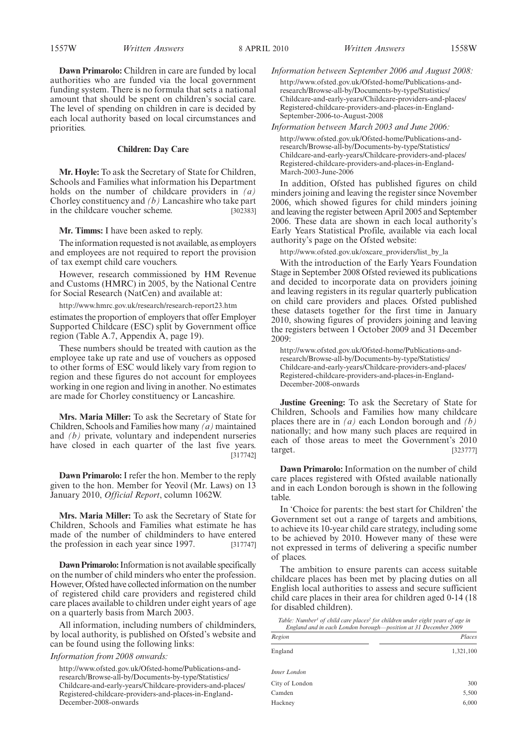**Dawn Primarolo:** Children in care are funded by local authorities who are funded via the local government funding system. There is no formula that sets a national amount that should be spent on children's social care. The level of spending on children in care is decided by each local authority based on local circumstances and priorities.

# **Children: Day Care**

**Mr. Hoyle:** To ask the Secretary of State for Children, Schools and Families what information his Department holds on the number of childcare providers in *(a)* Chorley constituency and *(b)* Lancashire who take part in the childcare voucher scheme. [302383]

**Mr. Timms:** I have been asked to reply.

The information requested is not available, as employers and employees are not required to report the provision of tax exempt child care vouchers.

However, research commissioned by HM Revenue and Customs (HMRC) in 2005, by the National Centre for Social Research (NatCen) and available at:

http://www.hmrc.gov.uk/research/research-report23.htm

estimates the proportion of employers that offer Employer Supported Childcare (ESC) split by Government office region (Table A.7, Appendix A, page 19).

These numbers should be treated with caution as the employee take up rate and use of vouchers as opposed to other forms of ESC would likely vary from region to region and these figures do not account for employees working in one region and living in another. No estimates are made for Chorley constituency or Lancashire.

**Mrs. Maria Miller:** To ask the Secretary of State for Children, Schools and Families how many *(a)* maintained and *(b)* private, voluntary and independent nurseries have closed in each quarter of the last five years. [317742]

**Dawn Primarolo:** I refer the hon. Member to the reply given to the hon. Member for Yeovil (Mr. Laws) on 13 January 2010, *Official Report*, column 1062W.

**Mrs. Maria Miller:** To ask the Secretary of State for Children, Schools and Families what estimate he has made of the number of childminders to have entered the profession in each year since 1997. [317747]

**Dawn Primarolo:**Information is not available specifically on the number of child minders who enter the profession. However, Ofsted have collected information on the number of registered child care providers and registered child care places available to children under eight years of age on a quarterly basis from March 2003.

All information, including numbers of childminders, by local authority, is published on Ofsted's website and can be found using the following links:

*Information from 2008 onwards:*

http://www.ofsted.gov.uk/Ofsted-home/Publications-andresearch/Browse-all-by/Documents-by-type/Statistics/ Childcare-and-early-years/Childcare-providers-and-places/ Registered-childcare-providers-and-places-in-England-December-2008-onwards

*Information between September 2006 and August 2008:* http://www.ofsted.gov.uk/Ofsted-home/Publications-andresearch/Browse-all-by/Documents-by-type/Statistics/ Childcare-and-early-years/Childcare-providers-and-places/

Registered-childcare-providers-and-places-in-England-September-2006-to-August-2008

*Information between March 2003 and June 2006:*

http://www.ofsted.gov.uk/Ofsted-home/Publications-andresearch/Browse-all-by/Documents-by-type/Statistics/ Childcare-and-early-years/Childcare-providers-and-places/ Registered-childcare-providers-and-places-in-England-March-2003-June-2006

In addition, Ofsted has published figures on child minders joining and leaving the register since November 2006, which showed figures for child minders joining and leaving the register between April 2005 and September 2006. These data are shown in each local authority's Early Years Statistical Profile, available via each local authority's page on the Ofsted website:

http://www.ofsted.gov.uk/oxcare\_providers/list\_by\_la

With the introduction of the Early Years Foundation Stage in September 2008 Ofsted reviewed its publications and decided to incorporate data on providers joining and leaving registers in its regular quarterly publication on child care providers and places. Ofsted published these datasets together for the first time in January 2010, showing figures of providers joining and leaving the registers between 1 October 2009 and 31 December 2009:

http://www.ofsted.gov.uk/Ofsted-home/Publications-andresearch/Browse-all-by/Documents-by-type/Statistics/ Childcare-and-early-years/Childcare-providers-and-places/ Registered-childcare-providers-and-places-in-England-December-2008-onwards

**Justine Greening:** To ask the Secretary of State for Children, Schools and Families how many childcare places there are in *(a)* each London borough and *(b)* nationally; and how many such places are required in each of those areas to meet the Government's 2010 target. [323777]

**Dawn Primarolo:** Information on the number of child care places registered with Ofsted available nationally and in each London borough is shown in the following table.

In 'Choice for parents: the best start for Children' the Government set out a range of targets and ambitions, to achieve its 10-year child care strategy, including some to be achieved by 2010. However many of these were not expressed in terms of delivering a specific number of places.

The ambition to ensure parents can access suitable childcare places has been met by placing duties on all English local authorities to assess and secure sufficient child care places in their area for children aged 0-14 (18 for disabled children).

*Table: Number1 of child care places2 for children under eight years of age in England and in each London borough—position at 31 December 2009*

| Region         | Places    |
|----------------|-----------|
| England        | 1,321,100 |
| Inner London   |           |
| City of London | 300       |
| Camden         | 5,500     |
| Hackney        | 6,000     |
|                |           |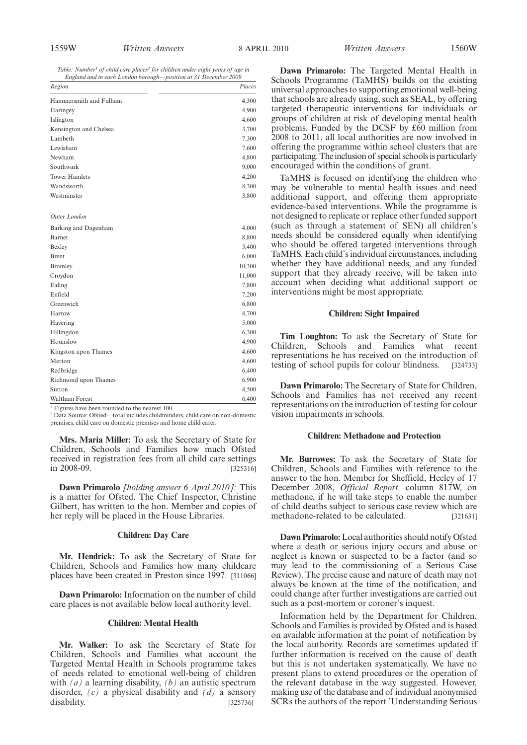*Table: Number1 of child care places2 for children under eight years of age in England and in each London borough—position at 31 December 2009*

| Region                                                       | Places |
|--------------------------------------------------------------|--------|
| Hammersmith and Fulham                                       | 4,300  |
| Haringey                                                     | 4,900  |
| Islington                                                    | 4,600  |
| Kensington and Chelsea                                       | 3,700  |
| Lambeth                                                      | 7,300  |
| Lewisham                                                     | 7,600  |
| Newham                                                       | 4,800  |
| Southwark                                                    | 9,000  |
| <b>Tower Hamlets</b>                                         | 4,200  |
| Wandsworth                                                   | 8,300  |
| Westminster                                                  | 3,800  |
| Outer London                                                 |        |
| Barking and Dagenham                                         | 4,000  |
| Barnet                                                       | 8,800  |
| Bexley                                                       | 5,400  |
| <b>Brent</b>                                                 | 6,000  |
| <b>Bromley</b>                                               | 10,300 |
| Croydon                                                      | 11,000 |
| Ealing                                                       | 7,800  |
| Enfield                                                      | 7,200  |
| Greenwich                                                    | 6,800  |
| Harrow                                                       | 4,700  |
| Havering                                                     | 5,000  |
| Hillingdon                                                   | 6,300  |
| Hounslow                                                     | 4,900  |
| Kingston upon Thames                                         | 4,600  |
| Merton                                                       | 4,600  |
| Redbridge                                                    | 6,400  |
| Richmond upon Thames                                         | 6,900  |
| Sutton                                                       | 4,500  |
| Waltham Forest                                               | 6,400  |
| $\frac{1}{1}$ Eigures have been rounded to the nearest $100$ |        |

<sup>1</sup> Figures have been rounded to the nearest 100.<br><sup>2</sup> Data Source: Ofsted—total includes childminders, child care on non-domestic premises, child care on domestic premises and home child carer.

**Mrs. Maria Miller:** To ask the Secretary of State for Children, Schools and Families how much Ofsted received in registration fees from all child care settings in 2008-09. [325316]

**Dawn Primarolo** *[holding answer 6 April 2010]:* This is a matter for Ofsted. The Chief Inspector, Christine Gilbert, has written to the hon. Member and copies of her reply will be placed in the House Libraries.

#### **Children: Day Care**

**Mr. Hendrick:** To ask the Secretary of State for Children, Schools and Families how many childcare places have been created in Preston since 1997. [311066]

**Dawn Primarolo:** Information on the number of child care places is not available below local authority level.

# **Children: Mental Health**

**Mr. Walker:** To ask the Secretary of State for Children, Schools and Families what account the Targeted Mental Health in Schools programme takes of needs related to emotional well-being of children with *(a)* a learning disability, *(b)* an autistic spectrum disorder, *(c)* a physical disability and *(d)* a sensory disability. [325736]

**Dawn Primarolo:** The Targeted Mental Health in Schools Programme (TaMHS) builds on the existing universal approaches to supporting emotional well-being that schools are already using, such as SEAL, by offering targeted therapeutic interventions for individuals or groups of children at risk of developing mental health problems. Funded by the DCSF by £60 million from 2008 to 2011, all local authorities are now involved in offering the programme within school clusters that are participating. The inclusion of special schools is particularly encouraged within the conditions of grant.

TaMHS is focused on identifying the children who may be vulnerable to mental health issues and need additional support, and offering them appropriate evidence-based interventions. While the programme is not designed to replicate or replace other funded support (such as through a statement of SEN) all children's needs should be considered equally when identifying who should be offered targeted interventions through TaMHS. Each child's individual circumstances, including whether they have additional needs, and any funded support that they already receive, will be taken into account when deciding what additional support or interventions might be most appropriate.

# **Children: Sight Impaired**

**Tim Loughton:** To ask the Secretary of State for Children, Schools and Families what recent representations he has received on the introduction of testing of school pupils for colour blindness. [324733]

**Dawn Primarolo:** The Secretary of State for Children, Schools and Families has not received any recent representations on the introduction of testing for colour vision impairments in schools.

#### **Children: Methadone and Protection**

**Mr. Burrowes:** To ask the Secretary of State for Children, Schools and Families with reference to the answer to the hon. Member for Sheffield, Heeley of 17 December 2008, *Official Report,* column 817W, on methadone, if he will take steps to enable the number of child deaths subject to serious case review which are methadone-related to be calculated. [321631]

**Dawn Primarolo:**Local authorities should notify Ofsted where a death or serious injury occurs and abuse or neglect is known or suspected to be a factor (and so may lead to the commissioning of a Serious Case Review). The precise cause and nature of death may not always be known at the time of the notification, and could change after further investigations are carried out such as a post-mortem or coroner's inquest.

Information held by the Department for Children, Schools and Families is provided by Ofsted and is based on available information at the point of notification by the local authority. Records are sometimes updated if further information is received on the cause of death but this is not undertaken systematically. We have no present plans to extend procedures or the operation of the relevant database in the way suggested. However, making use of the database and of individual anonymised SCRs the authors of the report 'Understanding Serious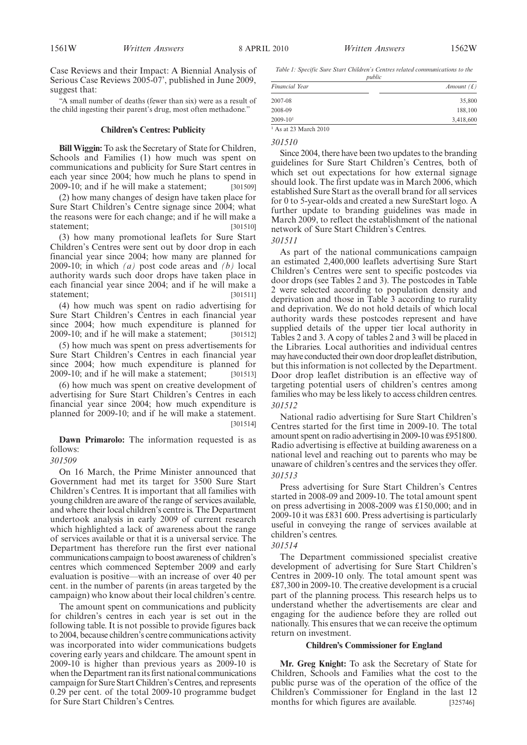Case Reviews and their Impact: A Biennial Analysis of Serious Case Reviews 2005-07', published in June 2009, suggest that:

"A small number of deaths (fewer than six) were as a result of the child ingesting their parent's drug, most often methadone."

## **Children's Centres: Publicity**

**Bill Wiggin:** To ask the Secretary of State for Children, Schools and Families (1) how much was spent on communications and publicity for Sure Start centres in each year since 2004; how much he plans to spend in 2009-10; and if he will make a statement; [301509]

(2) how many changes of design have taken place for Sure Start Children's Centre signage since 2004; what the reasons were for each change; and if he will make a statement; [301510]

(3) how many promotional leaflets for Sure Start Children's Centres were sent out by door drop in each financial year since 2004; how many are planned for 2009-10; in which *(a)* post code areas and *(b)* local authority wards such door drops have taken place in each financial year since 2004; and if he will make a statement; [301511]

(4) how much was spent on radio advertising for Sure Start Children's Centres in each financial year since 2004; how much expenditure is planned for  $2009-10$ ; and if he will make a statement; [301512]

(5) how much was spent on press advertisements for Sure Start Children's Centres in each financial year since 2004; how much expenditure is planned for 2009-10; and if he will make a statement; [301513]

(6) how much was spent on creative development of advertising for Sure Start Children's Centres in each financial year since 2004; how much expenditure is planned for 2009-10; and if he will make a statement. [301514]

**Dawn Primarolo:** The information requested is as follows:

# *301509*

On 16 March, the Prime Minister announced that Government had met its target for 3500 Sure Start Children's Centres. It is important that all families with young children are aware of the range of services available, and where their local children's centre is. The Department undertook analysis in early 2009 of current research which highlighted a lack of awareness about the range of services available or that it is a universal service. The Department has therefore run the first ever national communications campaign to boost awareness of children's centres which commenced September 2009 and early evaluation is positive—with an increase of over 40 per cent. in the number of parents (in areas targeted by the campaign) who know about their local children's centre.

The amount spent on communications and publicity for children's centres in each year is set out in the following table. It is not possible to provide figures back to 2004, because children's centre communications activity was incorporated into wider communications budgets covering early years and childcare. The amount spent in 2009-10 is higher than previous years as 2009-10 is when the Department ran its first national communications campaign for Sure Start Children's Centres, and represents 0.29 per cent. of the total 2009-10 programme budget for Sure Start Children's Centres.

*Table 1: Specific Sure Start Children's Centres related communications to the public*

| Financial Year | Amount $(f)$ |
|----------------|--------------|
| 2007-08        | 35,800       |
| 2008-09        | 188,100      |
| $2009 - 101$   | 3,418,600    |

#### *301510*

Since 2004, there have been two updates to the branding guidelines for Sure Start Children's Centres, both of which set out expectations for how external signage should look. The first update was in March 2006, which established Sure Start as the overall brand for all services for 0 to 5-year-olds and created a new SureStart logo. A further update to branding guidelines was made in March 2009, to reflect the establishment of the national network of Sure Start Children's Centres.

#### *301511*

As part of the national communications campaign an estimated 2,400,000 leaflets advertising Sure Start Children's Centres were sent to specific postcodes via door drops (see Tables 2 and 3). The postcodes in Table 2 were selected according to population density and deprivation and those in Table 3 according to rurality and deprivation. We do not hold details of which local authority wards these postcodes represent and have supplied details of the upper tier local authority in Tables 2 and 3. A copy of tables 2 and 3 will be placed in the Libraries. Local authorities and individual centres may have conducted their own door drop leaflet distribution, but this information is not collected by the Department. Door drop leaflet distribution is an effective way of targeting potential users of children's centres among families who may be less likely to access children centres. *301512*

National radio advertising for Sure Start Children's Centres started for the first time in 2009-10. The total amount spent on radio advertising in 2009-10 was £951800. Radio advertising is effective at building awareness on a national level and reaching out to parents who may be unaware of children's centres and the services they offer. *301513*

Press advertising for Sure Start Children's Centres started in 2008-09 and 2009-10. The total amount spent on press advertising in 2008-2009 was £150,000; and in 2009-10 it was £831 600. Press advertising is particularly useful in conveying the range of services available at children's centres.

# *301514*

The Department commissioned specialist creative development of advertising for Sure Start Children's Centres in 2009-10 only. The total amount spent was £87,300 in 2009-10. The creative development is a crucial part of the planning process. This research helps us to understand whether the advertisements are clear and engaging for the audience before they are rolled out nationally. This ensures that we can receive the optimum return on investment.

#### **Children's Commissioner for England**

**Mr. Greg Knight:** To ask the Secretary of State for Children, Schools and Families what the cost to the public purse was of the operation of the office of the Children's Commissioner for England in the last 12 months for which figures are available. [325746]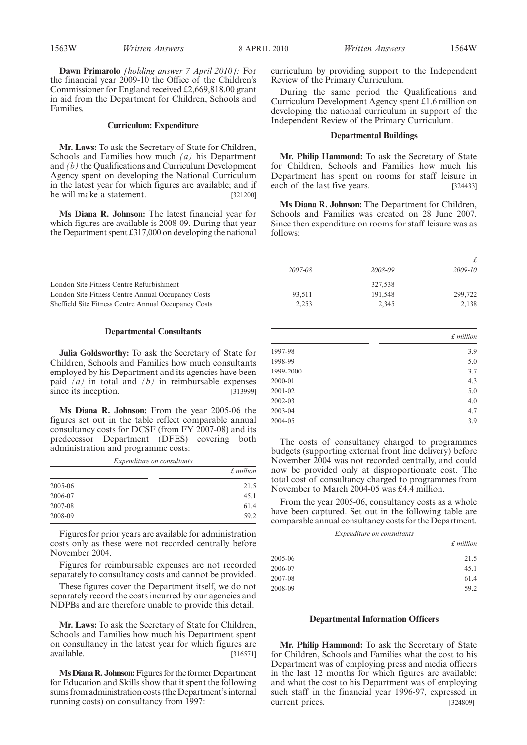**Dawn Primarolo** *[holding answer 7 April 2010]:* For the financial year 2009-10 the Office of the Children's Commissioner for England received £2,669,818.00 grant in aid from the Department for Children, Schools and Families.

#### **Curriculum: Expenditure**

**Mr. Laws:** To ask the Secretary of State for Children, Schools and Families how much *(a)* his Department and *(b)* the Qualifications and Curriculum Development Agency spent on developing the National Curriculum in the latest year for which figures are available; and if he will make a statement. [321200]

**Ms Diana R. Johnson:** The latest financial year for which figures are available is 2008-09. During that year the Department spent £317,000 on developing the national curriculum by providing support to the Independent Review of the Primary Curriculum.

During the same period the Qualifications and Curriculum Development Agency spent £1.6 million on developing the national curriculum in support of the Independent Review of the Primary Curriculum.

#### **Departmental Buildings**

**Mr. Philip Hammond:** To ask the Secretary of State for Children, Schools and Families how much his Department has spent on rooms for staff leisure in each of the last five years. [324433]

**Ms Diana R. Johnson:** The Department for Children, Schools and Families was created on 28 June 2007. Since then expenditure on rooms for staff leisure was as follows:

| 2007-08 | 2008-09 | 2009-10 |
|---------|---------|---------|
|         | 327,538 |         |
| 93.511  | 191.548 | 299,722 |
| 2.253   | 2.345   | 2.138   |
|         |         |         |

#### **Departmental Consultants**

**Julia Goldsworthy:** To ask the Secretary of State for Children, Schools and Families how much consultants employed by his Department and its agencies have been paid *(a)* in total and *(b)* in reimbursable expenses since its inception. [313999]

**Ms Diana R. Johnson:** From the year 2005-06 the figures set out in the table reflect comparable annual consultancy costs for DCSF (from FY 2007-08) and its predecessor Department (DFES) covering both administration and programme costs:

*Expenditure on consultants*

|         | $£$ million |
|---------|-------------|
| 2005-06 | 21.5        |
| 2006-07 | 45.1        |
| 2007-08 | 61.4        |
| 2008-09 | 59.2        |

Figures for prior years are available for administration costs only as these were not recorded centrally before November 2004.

Figures for reimbursable expenses are not recorded separately to consultancy costs and cannot be provided.

These figures cover the Department itself, we do not separately record the costs incurred by our agencies and NDPBs and are therefore unable to provide this detail.

**Mr. Laws:** To ask the Secretary of State for Children, Schools and Families how much his Department spent on consultancy in the latest year for which figures are available. [316571]

**Ms Diana R. Johnson:** Figures for the former Department for Education and Skills show that it spent the following sums from administration costs (the Department's internal running costs) on consultancy from 1997:

|           | f million |
|-----------|-----------|
| 1997-98   | 3.9       |
| 1998-99   | 5.0       |
| 1999-2000 | 3.7       |
| 2000-01   | 4.3       |
| 2001-02   | 5.0       |
| 2002-03   | 4.0       |
| 2003-04   | 4.7       |
| 2004-05   | 3.9       |

The costs of consultancy charged to programmes budgets (supporting external front line delivery) before November 2004 was not recorded centrally, and could now be provided only at disproportionate cost. The total cost of consultancy charged to programmes from November to March 2004-05 was £4.4 million.

From the year 2005-06, consultancy costs as a whole have been captured. Set out in the following table are comparable annual consultancy costs for the Department.

| Expenditure on consultants |             |  |
|----------------------------|-------------|--|
|                            | $£$ million |  |
| 2005-06                    | 21.5        |  |
| 2006-07                    | 45.1        |  |
| 2007-08                    | 61.4        |  |
| 2008-09                    | 59.2        |  |

#### **Departmental Information Officers**

**Mr. Philip Hammond:** To ask the Secretary of State for Children, Schools and Families what the cost to his Department was of employing press and media officers in the last 12 months for which figures are available; and what the cost to his Department was of employing such staff in the financial year 1996-97, expressed in current prices. [324809]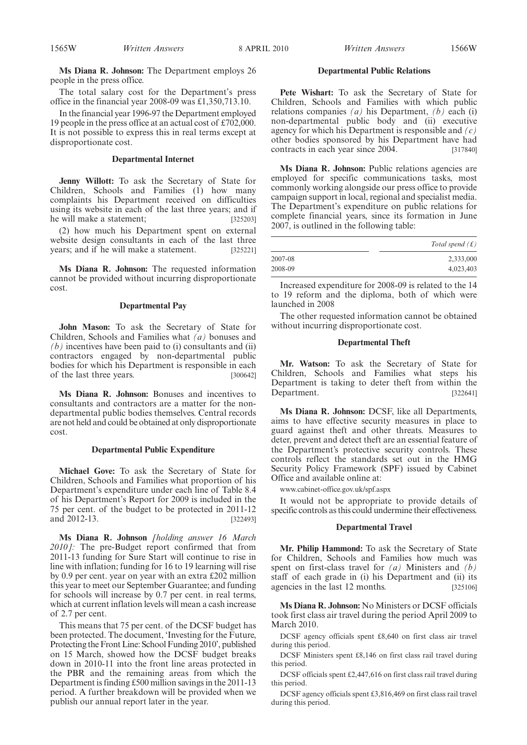**Ms Diana R. Johnson:** The Department employs 26 people in the press office.

The total salary cost for the Department's press office in the financial year 2008-09 was £1,350,713.10.

In the financial year 1996-97 the Department employed 19 people in the press office at an actual cost of £702,000. It is not possible to express this in real terms except at disproportionate cost.

## **Departmental Internet**

**Jenny Willott:** To ask the Secretary of State for Children, Schools and Families (1) how many complaints his Department received on difficulties using its website in each of the last three years; and if he will make a statement; [325203]

(2) how much his Department spent on external website design consultants in each of the last three years; and if he will make a statement. [325221]

**Ms Diana R. Johnson:** The requested information cannot be provided without incurring disproportionate cost.

## **Departmental Pay**

**John Mason:** To ask the Secretary of State for Children, Schools and Families what *(a)* bonuses and *(b)* incentives have been paid to (i) consultants and (ii) contractors engaged by non-departmental public bodies for which his Department is responsible in each of the last three years. [300642]

**Ms Diana R. Johnson:** Bonuses and incentives to consultants and contractors are a matter for the nondepartmental public bodies themselves. Central records are not held and could be obtained at only disproportionate cost.

#### **Departmental Public Expenditure**

**Michael Gove:** To ask the Secretary of State for Children, Schools and Families what proportion of his Department's expenditure under each line of Table 8.4 of his Department's Report for 2009 is included in the 75 per cent. of the budget to be protected in 2011-12 and 2012-13. [322493]

**Ms Diana R. Johnson** *[holding answer 16 March 2010]:* The pre-Budget report confirmed that from 2011-13 funding for Sure Start will continue to rise in line with inflation; funding for 16 to 19 learning will rise by 0.9 per cent. year on year with an extra £202 million this year to meet our September Guarantee; and funding for schools will increase by 0.7 per cent. in real terms, which at current inflation levels will mean a cash increase of 2.7 per cent.

This means that 75 per cent. of the DCSF budget has been protected. The document, 'Investing for the Future, Protecting the Front Line: School Funding 2010', published on 15 March, showed how the DCSF budget breaks down in 2010-11 into the front line areas protected in the PBR and the remaining areas from which the Department is finding £500 million savings in the 2011-13 period. A further breakdown will be provided when we publish our annual report later in the year.

#### **Departmental Public Relations**

**Pete Wishart:** To ask the Secretary of State for Children, Schools and Families with which public relations companies *(a)* his Department, *(b)* each (i) non-departmental public body and (ii) executive agency for which his Department is responsible and *(c)* other bodies sponsored by his Department have had contracts in each year since 2004. [317840]

Ms Diana R. Johnson: Public relations agencies are employed for specific communications tasks, most commonly working alongside our press office to provide campaign support in local, regional and specialist media. The Department's expenditure on public relations for complete financial years, since its formation in June 2007, is outlined in the following table:

|         | Total spend $(f)$ |
|---------|-------------------|
| 2007-08 | 2,333,000         |
| 2008-09 | 4,023,403         |

Increased expenditure for 2008-09 is related to the 14 to 19 reform and the diploma, both of which were launched in 2008

The other requested information cannot be obtained without incurring disproportionate cost.

## **Departmental Theft**

**Mr. Watson:** To ask the Secretary of State for Children, Schools and Families what steps his Department is taking to deter theft from within the Department. [322641]

**Ms Diana R. Johnson:** DCSF, like all Departments, aims to have effective security measures in place to guard against theft and other threats. Measures to deter, prevent and detect theft are an essential feature of the Department's protective security controls. These controls reflect the standards set out in the HMG Security Policy Framework (SPF) issued by Cabinet Office and available online at:

www.cabinet-office.gov.uk/spf.aspx

It would not be appropriate to provide details of specific controls as this could undermine their effectiveness.

#### **Departmental Travel**

**Mr. Philip Hammond:** To ask the Secretary of State for Children, Schools and Families how much was spent on first-class travel for *(a)* Ministers and *(b)* staff of each grade in (i) his Department and (ii) its agencies in the last 12 months. [325106]

**Ms Diana R. Johnson:** No Ministers or DCSF officials took first class air travel during the period April 2009 to March 2010.

DCSF agency officials spent £8,640 on first class air travel during this period.

DCSF Ministers spent £8,146 on first class rail travel during this period.

DCSF officials spent £2,447,616 on first class rail travel during this period.

DCSF agency officials spent £3,816,469 on first class rail travel during this period.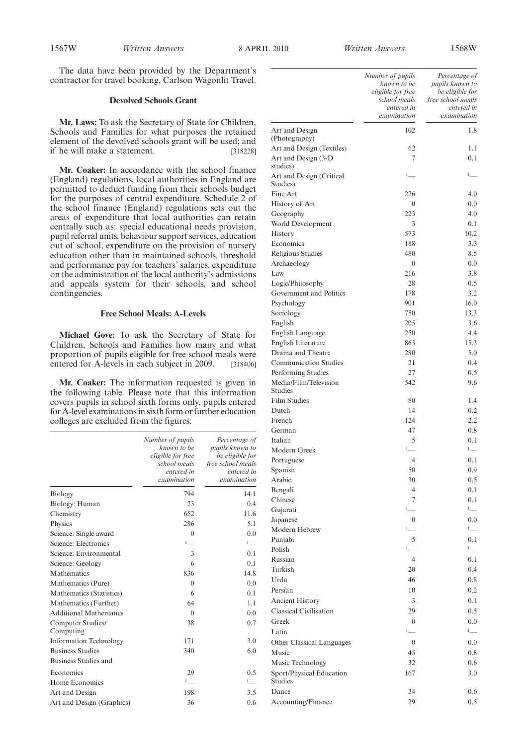The data have been provided by the Department's contractor for travel booking, Carlson Wagonlit Travel.

#### **Devolved Schools Grant**

**Mr. Laws:** To ask the Secretary of State for Children, Schools and Families for what purposes the retained element of the devolved schools grant will be used; and if he will make a statement. [318228]

**Mr. Coaker:** In accordance with the school finance (England) regulations, local authorities in England are permitted to deduct funding from their schools budget for the purposes of central expenditure. Schedule 2 of the school finance (England) regulations sets out the areas of expenditure that local authorities can retain centrally such as: special educational needs provision, pupil referral units, behaviour support services, education out of school, expenditure on the provision of nursery education other than in maintained schools, threshold and performance pay for teachers' salaries, expenditure on the administration of the local authority's admissions and appeals system for their schools, and school contingencies.

#### **Free School Meals: A-Levels**

**Michael Gove:** To ask the Secretary of State for Children, Schools and Families how many and what proportion of pupils eligible for free school meals were entered for A-levels in each subject in 2009. [318406]

**Mr. Coaker:** The information requested is given in the following table. Please note that this information covers pupils in school sixth forms only, pupils entered for A-level examinations in sixth form or further education colleges are excluded from the figures.

|                                | Number of pupils<br>known to be<br>eligible for free<br>school meals<br>entered in<br>examination | Percentage of<br>pupils known to<br>be eligible for<br>free school meals<br>entered in<br>examination |
|--------------------------------|---------------------------------------------------------------------------------------------------|-------------------------------------------------------------------------------------------------------|
| Biology                        | 794                                                                                               | 14.1                                                                                                  |
| Biology: Human                 | 23                                                                                                | 0.4                                                                                                   |
| Chemistry                      | 652                                                                                               | 11.6                                                                                                  |
| Physics                        | 286                                                                                               | 5.1                                                                                                   |
| Science: Single award          | $\theta$                                                                                          | 0.0                                                                                                   |
| Science: Electronics           | $1$ <sub>----</sub>                                                                               | $1$ <sub>----</sub>                                                                                   |
| Science: Environmental         | 3                                                                                                 | 0.1                                                                                                   |
| Science: Geology               | 6                                                                                                 | 0.1                                                                                                   |
| Mathematics                    | 836                                                                                               | 14.8                                                                                                  |
| Mathematics (Pure)             | $\theta$                                                                                          | 0.0                                                                                                   |
| Mathematics (Statistics)       | 6                                                                                                 | 0.1                                                                                                   |
| Mathematics (Further)          | 64                                                                                                | 1.1                                                                                                   |
| <b>Additional Mathematics</b>  | $\theta$                                                                                          | 0.0                                                                                                   |
| Computer Studies/<br>Computing | 38                                                                                                | 0.7                                                                                                   |
| <b>Information Technology</b>  | 171                                                                                               | 3.0                                                                                                   |
| <b>Business Studies</b>        | 340                                                                                               | 6.0                                                                                                   |
| Business Studies and           |                                                                                                   |                                                                                                       |
| Economics                      | 29                                                                                                | 0.5                                                                                                   |
| Home Economics                 | $1$ <sub>___</sub>                                                                                | $1$ <sub>---</sub>                                                                                    |
| Art and Design                 | 198                                                                                               | 3.5                                                                                                   |
| Art and Design (Graphics)      | 36                                                                                                | 0.6                                                                                                   |

|                                     | Number of pupils<br>known to be<br>eligible for free<br>school meals<br>entered in<br>examination | Percentage of<br>pupils known to<br>be eligible for<br>free school meals<br>entered in<br>examination |
|-------------------------------------|---------------------------------------------------------------------------------------------------|-------------------------------------------------------------------------------------------------------|
| Art and Design                      | 102                                                                                               | 1.8                                                                                                   |
| (Photography)                       |                                                                                                   |                                                                                                       |
| Art and Design (Textiles)           | 62<br>7                                                                                           | 1.1                                                                                                   |
| Art and Design (3-D)<br>studies)    |                                                                                                   | 0.1                                                                                                   |
| Art and Design (Critical            | $1$ <sub>___</sub>                                                                                | $1$ <sub>___</sub>                                                                                    |
| Studies)<br>Fine Art                | 226                                                                                               | 4.0                                                                                                   |
| History of Art                      | $\boldsymbol{0}$                                                                                  | 0.0                                                                                                   |
| Geography                           | 223                                                                                               | 4.0                                                                                                   |
| World Development                   | 3                                                                                                 | 0.1                                                                                                   |
| History                             | 573                                                                                               | 10.2                                                                                                  |
| Economics                           | 188                                                                                               | 3.3                                                                                                   |
| Religious Studies                   | 480                                                                                               | 8.5                                                                                                   |
| Archaeology                         | $\boldsymbol{0}$                                                                                  | 0.0                                                                                                   |
| Law                                 | 216                                                                                               | 3.8                                                                                                   |
| Logic/Philosophy                    | 28                                                                                                | 0.5                                                                                                   |
| Government and Politics             | 178                                                                                               | 3.2                                                                                                   |
| Psychology                          | 901                                                                                               | 16.0                                                                                                  |
| Sociology                           | 750                                                                                               | 13.3                                                                                                  |
| English                             | 205                                                                                               | 3.6                                                                                                   |
| English Language                    | 250                                                                                               | 4.4                                                                                                   |
| English Literature                  | 863                                                                                               | 15.3                                                                                                  |
| Drama and Theatre                   | 280                                                                                               | 5.0                                                                                                   |
| <b>Communication Studies</b>        | 21                                                                                                | 0.4                                                                                                   |
| Performing Studies                  | 27                                                                                                | 0.5                                                                                                   |
| Media/Film/Television<br>Studies    | 542                                                                                               | 9.6                                                                                                   |
| Film Studies                        | 80                                                                                                | 1.4                                                                                                   |
| Dutch                               | 14                                                                                                | 0.2                                                                                                   |
| French                              | 124                                                                                               | 2.2                                                                                                   |
| German                              | 47                                                                                                | 0.8                                                                                                   |
| Italian                             | 5                                                                                                 | 0.1                                                                                                   |
| Modern Greek                        | $1$ <sub>___</sub>                                                                                | $1$ <sub>----</sub>                                                                                   |
| Portuguese                          | $\overline{4}$                                                                                    | 0.1                                                                                                   |
| Spanish                             | 50                                                                                                | 0.9                                                                                                   |
| Arabic                              | 30                                                                                                | 0.5                                                                                                   |
| Bengali                             | 4                                                                                                 | 0.1                                                                                                   |
| Chinese                             | 7<br>$1$ <sub>___</sub>                                                                           | 0.1<br>$1$ <sub>----</sub>                                                                            |
| Gujarati                            |                                                                                                   |                                                                                                       |
| Japanese<br>Modern Hebrew           | $\boldsymbol{0}$<br>$1$ <sub>---</sub>                                                            | 0.0<br>$1$ <sub>—</sub>                                                                               |
| Punjabi                             | 5                                                                                                 | 0.1                                                                                                   |
| Polish                              | $1$ <sub>__</sub>                                                                                 | 1                                                                                                     |
| Russian                             | $\overline{4}$                                                                                    | 0.1                                                                                                   |
| Turkish                             | 20                                                                                                | 0.4                                                                                                   |
| Urdu                                | 46                                                                                                | 0.8                                                                                                   |
|                                     |                                                                                                   |                                                                                                       |
| Persian                             | 10                                                                                                | 0.2                                                                                                   |
| Ancient History                     | 3                                                                                                 | 0.1                                                                                                   |
| Classical Civilisation              | 29                                                                                                | 0.5                                                                                                   |
| Greek                               | $\mathbf{0}$                                                                                      | 0.0                                                                                                   |
| Latin                               | $1$ <sub>__</sub>                                                                                 | $1$ <sub>----</sub>                                                                                   |
| Other Classical Languages           | $\boldsymbol{0}$                                                                                  | 0.0                                                                                                   |
| Music                               | 45                                                                                                | 0.8                                                                                                   |
| Music Technology                    | 32                                                                                                | 0.6                                                                                                   |
| Sport/Physical Education<br>Studies | 167                                                                                               | 3.0                                                                                                   |
| Dance                               | 34                                                                                                | 0.6                                                                                                   |
| Accounting/Finance                  | 29                                                                                                | 0.5                                                                                                   |
|                                     |                                                                                                   |                                                                                                       |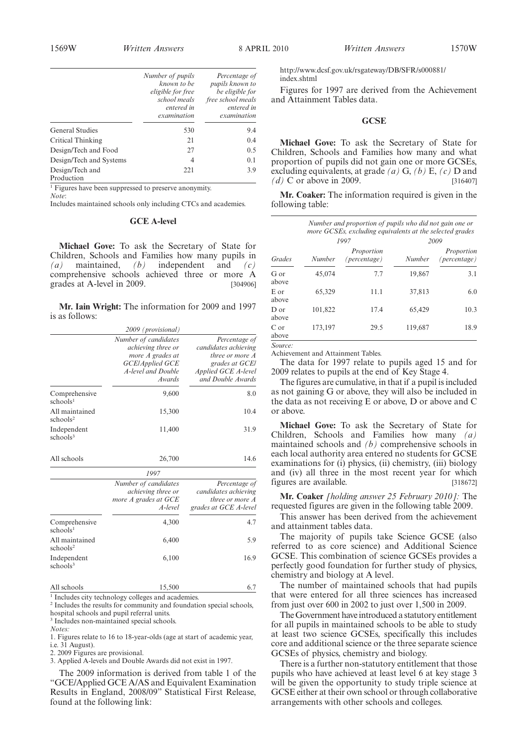$N$ umber  $\frac{1}{2}$ 

| <i>amber of pupils</i><br>known to be<br>eligible for free<br>school meals | Percentage of<br>pupils known to<br>be eligible for<br>free school meals | http://www<br>index.shtm<br>Figures f<br>and Attain |
|----------------------------------------------------------------------------|--------------------------------------------------------------------------|-----------------------------------------------------|
| entered in                                                                 | entered in                                                               |                                                     |

*entered in examination entered in examination* General Studies 530 9.4 Critical Thinking 21 0.4 Design/Tech and Food 27 0.5 Design/Tech and Systems 4 0.1 Design/Tech and Production 221 3.9

<sup>1</sup> Figures have been suppressed to preserve anonymity.

*Note*:

Includes maintained schools only including CTCs and academies.

#### **GCE A-level**

**Michael Gove:** To ask the Secretary of State for Children, Schools and Families how many pupils in *(a)* maintained, *(b)* independent and *(c)* comprehensive schools achieved three or more A grades at A-level in 2009. [304906]

**Mr. Iain Wright:** The information for 2009 and 1997 is as follows:

|                                        | 2009 (provisional)                                                                                                |                                                                                                                        |
|----------------------------------------|-------------------------------------------------------------------------------------------------------------------|------------------------------------------------------------------------------------------------------------------------|
|                                        | Number of candidates<br>achieving three or<br>more A grades at<br>GCE/Applied GCE<br>A-level and Double<br>Awards | Percentage of<br>candidates achieving<br>three or more A<br>grades at GCE/<br>Applied GCE A-level<br>and Double Awards |
| Comprehensive<br>schools <sup>1</sup>  | 9,600                                                                                                             | 8.0                                                                                                                    |
| All maintained<br>schools <sup>2</sup> | 15,300                                                                                                            | 10.4                                                                                                                   |
| Independent<br>schools <sup>3</sup>    | 11,400                                                                                                            | 31.9                                                                                                                   |
| All schools                            | 26.700                                                                                                            | 14.6                                                                                                                   |

|                                        | 1997<br>Number of candidates<br>achieving three or<br>more A grades at GCE<br>A-level | Percentage of<br>candidates achieving<br>three or more A<br>grades at GCE A-level |
|----------------------------------------|---------------------------------------------------------------------------------------|-----------------------------------------------------------------------------------|
| Comprehensive<br>schools <sup>1</sup>  | 4,300                                                                                 | 4.7                                                                               |
| All maintained<br>schools <sup>2</sup> | 6,400                                                                                 | 5.9                                                                               |
| Independent<br>schools <sup>3</sup>    | 6,100                                                                                 | 16.9                                                                              |

All schools 6.7

<sup>1</sup> Includes city technology colleges and academies.

<sup>2</sup> Includes the results for community and foundation special schools, hospital schools and pupil referral units.

<sup>3</sup> Includes non-maintained special schools.

*Notes:*

1. Figures relate to 16 to 18-year-olds (age at start of academic year, i.e. 31 August).

2. 2009 Figures are provisional.

3. Applied A-levels and Double Awards did not exist in 1997.

The 2009 information is derived from table 1 of the "GCE/Applied GCE A/AS and Equivalent Examination Results in England, 2008/09" Statistical First Release, found at the following link:

.dcsf.gov.uk/rsgateway/DB/SFR/s000881/ index.shtml

For 1997 are derived from the Achievement nent Tables data.

#### **GCSE**

**Michael Gove:** To ask the Secretary of State for Children, Schools and Families how many and what proportion of pupils did not gain one or more GCSEs, excluding equivalents, at grade *(a)* G, *(b)* E, *(c)* D and *(d)* C or above in 2009. [316407]

**Mr. Coaker:** The information required is given in the following table:

|               |         | Number and proportion of pupils who did not gain one or<br>more GCSEs, excluding equivalents at the selected grades |         |                            |  |  |
|---------------|---------|---------------------------------------------------------------------------------------------------------------------|---------|----------------------------|--|--|
|               |         | 1997                                                                                                                |         | 2009                       |  |  |
| Grades        | Number  | Proportion<br>(percentage)                                                                                          | Number  | Proportion<br>(percentage) |  |  |
| G or<br>above | 45.074  | 7.7                                                                                                                 | 19,867  | 3.1                        |  |  |
| E or<br>above | 65.329  | 11.1                                                                                                                | 37,813  | 6.0                        |  |  |
| D or<br>above | 101.822 | 17.4                                                                                                                | 65.429  | 10.3                       |  |  |
| C or<br>above | 173,197 | 29.5                                                                                                                | 119,687 | 18.9                       |  |  |

*Source:*

Achievement and Attainment Tables.

The data for 1997 relate to pupils aged 15 and for 2009 relates to pupils at the end of Key Stage 4.

The figures are cumulative, in that if a pupil is included as not gaining G or above, they will also be included in the data as not receiving E or above, D or above and C or above.

**Michael Gove:** To ask the Secretary of State for Children, Schools and Families how many *(a)* maintained schools and *(b)* comprehensive schools in each local authority area entered no students for GCSE examinations for (i) physics, (ii) chemistry, (iii) biology and (iv) all three in the most recent year for which figures are available. [318672]

**Mr. Coaker** *[holding answer 25 February 2010]:* The requested figures are given in the following table 2009.

This answer has been derived from the achievement and attainment tables data.

The majority of pupils take Science GCSE (also referred to as core science) and Additional Science GCSE. This combination of science GCSEs provides a perfectly good foundation for further study of physics, chemistry and biology at A level.

The number of maintained schools that had pupils that were entered for all three sciences has increased from just over 600 in 2002 to just over 1,500 in 2009.

The Government have introduced a statutory entitlement for all pupils in maintained schools to be able to study at least two science GCSEs, specifically this includes core and additional science or the three separate science GCSEs of physics, chemistry and biology.

There is a further non-statutory entitlement that those pupils who have achieved at least level 6 at key stage 3 will be given the opportunity to study triple science at GCSE either at their own school or through collaborative arrangements with other schools and colleges.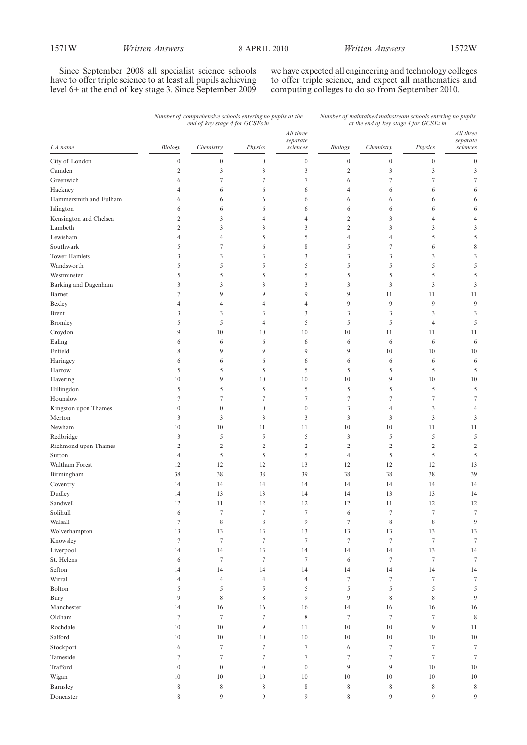Since September 2008 all specialist science schools have to offer triple science to at least all pupils achieving level 6+ at the end of key stage 3. Since September 2009 we have expected all engineering and technology colleges to offer triple science, and expect all mathematics and computing colleges to do so from September 2010.

|                        | Number of comprehensive schools entering no pupils at the<br>end of key stage 4 for GCSEs in |                  |                  | Number of maintained mainstream schools entering no pupils<br>at the end of key stage 4 for GCSEs in |                  |                  |                  |                                   |
|------------------------|----------------------------------------------------------------------------------------------|------------------|------------------|------------------------------------------------------------------------------------------------------|------------------|------------------|------------------|-----------------------------------|
| LA name                | Biology                                                                                      | Chemistry        | Physics          | All three<br>separate<br>sciences                                                                    | $\it Biology$    | Chemistry        | Physics          | All three<br>separate<br>sciences |
|                        |                                                                                              |                  |                  |                                                                                                      |                  |                  |                  |                                   |
| City of London         | $\boldsymbol{0}$                                                                             | $\boldsymbol{0}$ | $\boldsymbol{0}$ | $\boldsymbol{0}$                                                                                     | $\boldsymbol{0}$ | $\boldsymbol{0}$ | $\boldsymbol{0}$ | $\boldsymbol{0}$                  |
| Camden                 | $\sqrt{2}$                                                                                   | 3                | 3                | $\mathfrak{Z}$                                                                                       | $\mathfrak{2}$   | $\mathfrak{Z}$   | 3                | 3                                 |
| Greenwich              | 6                                                                                            | $\overline{7}$   | 7                | $\tau$                                                                                               | 6                | $\tau$           | 7                | $\tau$                            |
| Hackney                | $\overline{4}$                                                                               | 6                | 6                | 6                                                                                                    | $\overline{4}$   | 6                | 6                | 6                                 |
| Hammersmith and Fulham | 6                                                                                            | 6                | 6                | 6                                                                                                    | 6                | 6                | 6                | 6                                 |
| Islington              | 6                                                                                            | 6                | 6                | 6                                                                                                    | 6                | 6                | 6                | 6                                 |
| Kensington and Chelsea | 2                                                                                            | 3                | 4                | $\overline{4}$                                                                                       | $\mathfrak{2}$   | 3                | $\overline{4}$   | $\overline{4}$                    |
| Lambeth                | $\overline{2}$                                                                               | 3                | 3                | 3                                                                                                    | $\overline{2}$   | 3                | 3                | 3                                 |
| Lewisham               | $\overline{4}$                                                                               | 4                | 5                | 5                                                                                                    | $\overline{4}$   | $\overline{4}$   | 5                | 5                                 |
| Southwark              | 5                                                                                            | 7                | 6                | 8                                                                                                    | 5                | $\tau$           | 6                | 8                                 |
| <b>Tower Hamlets</b>   | $\mathfrak{Z}$                                                                               | 3                | 3                | $\mathfrak{Z}$                                                                                       | $\mathfrak{Z}$   | 3                | 3                | 3                                 |
| Wandsworth             | 5                                                                                            | 5                | 5                | 5                                                                                                    | 5                | 5                | 5                | 5                                 |
| Westminster            | 5                                                                                            | 5                | 5                | 5                                                                                                    | 5                | 5                | 5                | 5                                 |
| Barking and Dagenham   | 3                                                                                            | 3                | 3                | 3                                                                                                    | 3                | 3                | 3                | 3                                 |
| Barnet                 | $\tau$                                                                                       | 9                | 9                | 9                                                                                                    | 9                | 11               | 11               | 11                                |
| Bexley                 | $\overline{4}$                                                                               | 4                | 4                | $\overline{4}$                                                                                       | $\overline{9}$   | 9                | 9                | $\overline{9}$                    |
| <b>Brent</b>           | 3                                                                                            | 3                | 3                | $\mathfrak{Z}$                                                                                       | 3                | 3                | 3                | 3                                 |
| <b>Bromley</b>         | 5                                                                                            | 5                | 4                | 5                                                                                                    | 5                | 5                | $\overline{4}$   | 5                                 |
| Croydon                | 9                                                                                            | 10               | 10               | 10                                                                                                   | 10               | 11               | 11               | 11                                |
| Ealing                 | 6                                                                                            | 6                | 6                | 6                                                                                                    | 6                | 6                | 6                | 6                                 |
| Enfield                | 8                                                                                            | 9                | 9                | 9                                                                                                    | 9                | 10               | 10               | 10                                |
| Haringey               | 6                                                                                            | 6                | 6                | 6                                                                                                    | 6                | 6                | 6                | 6                                 |
| Harrow                 | 5                                                                                            | 5                | 5                | 5                                                                                                    | 5                | 5                | 5                | 5                                 |
| Havering               | 10                                                                                           | 9                | 10               | 10                                                                                                   | 10               | 9                | 10               | 10                                |
| Hillingdon             | 5                                                                                            | 5                | 5                | 5                                                                                                    | 5                | 5                | 5                | 5                                 |
| Hounslow               | $\boldsymbol{7}$                                                                             | $\overline{7}$   | 7                | $\tau$                                                                                               | $\tau$           | 7                | $\tau$           | $\tau$                            |
| Kingston upon Thames   | $\boldsymbol{0}$                                                                             | $\boldsymbol{0}$ | $\boldsymbol{0}$ | $\boldsymbol{0}$                                                                                     | 3                | $\overline{4}$   | 3                | $\overline{4}$                    |
| Merton                 | $\mathfrak{Z}$                                                                               | 3                | 3                | 3                                                                                                    | 3                | 3                | 3                | 3                                 |
| Newham                 | 10                                                                                           | 10               | 11               | 11                                                                                                   | 10               | 10               | 11               | 11                                |
| Redbridge              | $\mathfrak{Z}$                                                                               | 5                | 5                | $\sqrt{5}$                                                                                           | $\mathfrak{Z}$   | 5                | 5                | 5                                 |
| Richmond upon Thames   | $\mathfrak{2}$                                                                               | $\overline{c}$   | $\overline{c}$   | $\sqrt{2}$                                                                                           | $\mathfrak{2}$   | $\overline{2}$   | $\sqrt{2}$       | $\overline{c}$                    |
| Sutton                 | $\overline{4}$                                                                               | 5                | 5                | 5                                                                                                    | 4                | 5                | 5                | 5                                 |
| Waltham Forest         | 12                                                                                           | 12               | 12               | 13                                                                                                   | 12               | 12               | 12               | 13                                |
| Birmingham             | 38                                                                                           | 38               | 38               | 39                                                                                                   | 38               | 38               | 38               | 39                                |
|                        | 14                                                                                           | 14               | 14               | 14                                                                                                   | 14               | 14               | 14               |                                   |
| Coventry               |                                                                                              |                  |                  |                                                                                                      |                  |                  |                  | 14                                |
| Dudley                 | 14                                                                                           | 13               | 13               | 14                                                                                                   | 14               | 13               | 13               | 14                                |
| Sandwell               | 12                                                                                           | 11               | 12               | 12                                                                                                   | 12               | 11               | 12               | 12                                |
| Solihull               | 6                                                                                            | 7                | 7                | 7                                                                                                    | 6                | 7                | 7                | 7                                 |
| Walsall                | $\tau$                                                                                       | $8\,$            | 8                | 9                                                                                                    | $\tau$           | $8\,$            | $\,$ 8 $\,$      | 9                                 |
| Wolverhampton          | 13                                                                                           | 13               | 13               | 13                                                                                                   | 13               | 13               | 13               | 13                                |
| Knowsley               | $\tau$                                                                                       | $\boldsymbol{7}$ | $\tau$           | $\boldsymbol{7}$                                                                                     | $\tau$           | $\boldsymbol{7}$ | $\boldsymbol{7}$ | $\boldsymbol{7}$                  |
| Liverpool              | 14                                                                                           | 14               | 13               | 14                                                                                                   | 14               | 14               | 13               | 14                                |
| St. Helens             | 6                                                                                            | $\boldsymbol{7}$ | $\tau$           | $\tau$                                                                                               | 6                | $\boldsymbol{7}$ | $\tau$           | $\tau$                            |
| Sefton                 | 14                                                                                           | 14               | 14               | 14                                                                                                   | 14               | 14               | 14               | 14                                |
| Wirral                 | $\overline{4}$                                                                               | $\overline{4}$   | $\overline{4}$   | $\overline{4}$                                                                                       | $\boldsymbol{7}$ | $\boldsymbol{7}$ | $\tau$           | $\overline{7}$                    |
| Bolton                 | 5                                                                                            | 5                | 5                | 5                                                                                                    | 5                | 5                | 5                | 5                                 |
| Bury                   | 9                                                                                            | $\,$ 8 $\,$      | 8                | 9                                                                                                    | 9                | $\,$ 8 $\,$      | 8                | 9                                 |
| Manchester             | 14                                                                                           | 16               | 16               | 16                                                                                                   | 14               | 16               | 16               | 16                                |
| Oldham                 | $\tau$                                                                                       | $\boldsymbol{7}$ | $\tau$           | $\,$ 8 $\,$                                                                                          | $\tau$           | $\tau$           | $\tau$           | $\,$ 8 $\,$                       |
| Rochdale               | $10\,$                                                                                       | $10\,$           | 9                | 11                                                                                                   | $10\,$           | 10               | 9                | 11                                |
| Salford                | $10\,$                                                                                       | 10               | 10               | 10                                                                                                   | 10               | 10               | 10               | $10\,$                            |
| Stockport              | 6                                                                                            | $\boldsymbol{7}$ | $\tau$           | $\tau$                                                                                               | 6                | $\boldsymbol{7}$ | $\tau$           | $\boldsymbol{7}$                  |
| Tameside               | $\tau$                                                                                       | $\boldsymbol{7}$ | $\tau$           | $\overline{7}$                                                                                       | $\tau$           | $\tau$           | $\tau$           | $\tau$                            |
| Trafford               | $\boldsymbol{0}$                                                                             | $\boldsymbol{0}$ | $\boldsymbol{0}$ | $\boldsymbol{0}$                                                                                     | 9                | 9                | 10               | 10                                |
| Wigan                  | 10                                                                                           | 10               | 10               | 10                                                                                                   | 10               | 10               | 10               | 10                                |
| Barnsley               |                                                                                              |                  |                  |                                                                                                      |                  |                  |                  |                                   |
|                        | $\,$ 8 $\,$                                                                                  | 8                | 8                | $\,$ 8 $\,$                                                                                          | 8                | 8                | $\,$ 8 $\,$      | 8                                 |
| Doncaster              | 8                                                                                            | 9                | 9                | $\overline{9}$                                                                                       | 8                | 9                | 9                | 9                                 |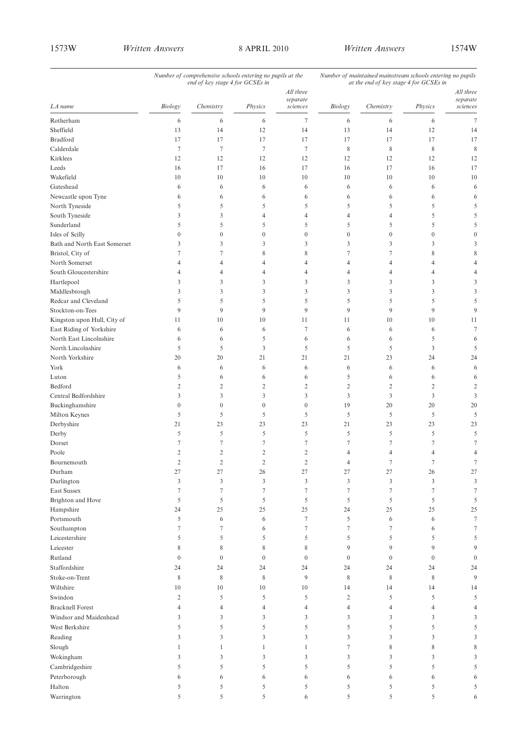|                                       | Number of comprehensive schools entering no pupils at the<br>end of key stage 4 for GCSEs in |                  |                |                       | Number of maintained mainstream schools entering no pupils<br>at the end of key stage 4 for GCSEs in |                     |                  |                       |
|---------------------------------------|----------------------------------------------------------------------------------------------|------------------|----------------|-----------------------|------------------------------------------------------------------------------------------------------|---------------------|------------------|-----------------------|
|                                       |                                                                                              |                  |                | All three<br>separate |                                                                                                      |                     |                  | All three<br>separate |
| LA name                               | Biology                                                                                      | Chemistry        | Physics        | sciences              | $\it Biology$                                                                                        | Chemistry           | Physics          | sciences              |
| Rotherham                             | 6                                                                                            | 6                | 6              | $\tau$                | 6                                                                                                    | 6                   | 6                | $\overline{7}$        |
| Sheffield                             | 13                                                                                           | 14               | 12             | 14                    | 13                                                                                                   | 14                  | 12               | 14                    |
| <b>Bradford</b>                       | 17                                                                                           | 17               | 17             | 17                    | 17                                                                                                   | 17                  | 17               | 17                    |
| Calderdale                            | $\tau$                                                                                       | $\tau$           | $\tau$         | $\tau$                | 8                                                                                                    | 8                   | 8                | 8                     |
| Kirklees                              | 12                                                                                           | 12               | 12             | 12                    | 12                                                                                                   | 12                  | 12               | 12                    |
| Leeds                                 | 16                                                                                           | 17               | 16             | 17                    | 16                                                                                                   | 17                  | 16               | 17                    |
| Wakefield                             | 10                                                                                           | 10               | 10             | 10                    | 10                                                                                                   | 10                  | 10               | 10                    |
| Gateshead                             | 6                                                                                            | 6                | 6              | 6                     | 6                                                                                                    | 6                   | 6                | 6                     |
| Newcastle upon Tyne                   | 6                                                                                            | 6                | 6              | 6                     | 6                                                                                                    | 6                   | 6                | 6                     |
| North Tyneside                        | 5                                                                                            | 5                | 5              | 5                     | 5                                                                                                    | 5                   | 5                |                       |
| South Tyneside                        | 3                                                                                            | 3                | $\overline{4}$ | $\overline{4}$        | 4                                                                                                    | $\overline{4}$      | 5                |                       |
| Sunderland                            | 5                                                                                            | 5                | 5              | 5                     | 5                                                                                                    | 5                   | 5                |                       |
| Isles of Scilly                       | $\mathbf{0}$                                                                                 | $\boldsymbol{0}$ | $\overline{0}$ | $\boldsymbol{0}$      | $\mathbf{0}$                                                                                         | $\mathbf{0}$        | $\overline{0}$   |                       |
| Bath and North East Somerset          | 3                                                                                            | 3                | 3              | 3                     | 3                                                                                                    | 3                   | 3                |                       |
| Bristol, City of<br>North Somerset    | 7                                                                                            | 7                | 8              | 8                     | 7                                                                                                    | $\tau$              | 8                |                       |
|                                       | 4                                                                                            | 4                | 4              | $\overline{4}$        | 4                                                                                                    | $\overline{4}$      | 4                |                       |
| South Gloucestershire                 | 4<br>3                                                                                       | 4<br>3           | 4<br>3         | $\overline{4}$<br>3   | 4<br>3                                                                                               | $\overline{4}$<br>3 | 4<br>3           | 3                     |
| Hartlepool                            | 3                                                                                            | 3                | 3              | 3                     |                                                                                                      | 3                   | 3                | 3                     |
| Middlesbrough<br>Redcar and Cleveland | 5                                                                                            | 5                | 5              | 5                     | 3<br>5                                                                                               | 5                   | 5                | 5                     |
| Stockton-on-Tees                      | 9                                                                                            | 9                | 9              | 9                     | 9                                                                                                    | 9                   | 9                | 9                     |
| Kingston upon Hull, City of           | 11                                                                                           | 10               | 10             | 11                    | 11                                                                                                   | 10                  | 10               | 11                    |
| East Riding of Yorkshire              | 6                                                                                            | 6                | 6              | $\tau$                | 6                                                                                                    | 6                   | 6                | 7                     |
| North East Lincolnshire               | 6                                                                                            | 6                | 5              | 6                     | 6                                                                                                    | 6                   | 5                | 6                     |
| North Lincolnshire                    | 5                                                                                            | 5                | 3              | 5                     | 5                                                                                                    | 5                   | $\mathfrak{Z}$   | 5                     |
| North Yorkshire                       | 20                                                                                           | 20               | 21             | 21                    | 21                                                                                                   | 23                  | 24               | 24                    |
| York                                  | 6                                                                                            | 6                | 6              | 6                     | 6                                                                                                    | 6                   | 6                | 6                     |
| Luton                                 | 5                                                                                            | 6                | 6              | 6                     | 5                                                                                                    | 6                   | 6                | 6                     |
| Bedford                               | $\overline{2}$                                                                               | $\mathfrak{2}$   | $\overline{c}$ | $\overline{2}$        | $\sqrt{2}$                                                                                           | $\overline{2}$      | $\sqrt{2}$       | $\overline{c}$        |
| Central Bedfordshire                  | 3                                                                                            | 3                | 3              | 3                     | 3                                                                                                    | 3                   | 3                | 3                     |
| Buckinghamshire                       | $\mathbf{0}$                                                                                 | $\boldsymbol{0}$ | $\overline{0}$ | $\boldsymbol{0}$      | 19                                                                                                   | 20                  | 20               | 20                    |
| Milton Keynes                         | 5                                                                                            | 5                | 5              | 5                     | 5                                                                                                    | 5                   | 5                | 5                     |
| Derbyshire                            | 21                                                                                           | 23               | 23             | 23                    | 21                                                                                                   | 23                  | 23               | 23                    |
| Derby                                 | 5                                                                                            | 5                | 5              | 5                     | 5                                                                                                    | 5                   | 5                | 5                     |
| Dorset                                | $\tau$                                                                                       | $\tau$           | 7              | 7                     | 7                                                                                                    | $\tau$              | 7                |                       |
| Poole                                 | $\overline{2}$                                                                               | $\mathfrak{2}$   | $\overline{c}$ | $\overline{2}$        | $\overline{4}$                                                                                       | $\overline{4}$      | 4                |                       |
| Bournemouth                           | $\overline{2}$                                                                               | $\overline{c}$   | $\overline{c}$ | $\overline{2}$        | 4                                                                                                    | 7                   | 7                | 7                     |
| Durham                                | 27                                                                                           | 27               | 26             | 27                    | 27                                                                                                   | 27                  | 26               | 27                    |
| Darlington                            | $\mathfrak{Z}$                                                                               | 3                | 3              | $\mathfrak{Z}$        | $\mathfrak{Z}$                                                                                       | $\mathfrak{Z}$      | $\mathfrak{Z}$   | 3                     |
| <b>East Sussex</b>                    | $\tau$                                                                                       | $\tau$           | $\tau$         | $\tau$                | $\tau$                                                                                               | $\overline{7}$      | $\tau$           | 7                     |
| Brighton and Hove                     | 5                                                                                            | 5                | 5              | 5                     | 5                                                                                                    | 5                   | 5                | 5                     |
| Hampshire                             | 24                                                                                           | 25               | 25             | 25                    | 24                                                                                                   | 25                  | 25               | 25                    |
| Portsmouth                            | 5                                                                                            | 6                | 6              | $\tau$                | 5                                                                                                    | 6                   | 6                | 7                     |
| Southampton                           | $\tau$                                                                                       | $\tau$           | 6              | $\tau$                | $\tau$                                                                                               | $\tau$              | 6                | 7                     |
| Leicestershire                        | 5                                                                                            | 5                | 5              | 5                     | 5                                                                                                    | 5                   | 5                | 5                     |
| Leicester                             | 8                                                                                            | $\,$ 8 $\,$      | 8              | 8                     | 9                                                                                                    | 9                   | 9                | 9                     |
| Rutland                               | $\overline{0}$                                                                               | $\boldsymbol{0}$ | $\mathbf{0}$   | $\boldsymbol{0}$      | $\boldsymbol{0}$                                                                                     | $\mathbf{0}$        | $\boldsymbol{0}$ | $\boldsymbol{0}$      |
| Staffordshire                         | 24                                                                                           | 24               | 24             | 24                    | 24                                                                                                   | 24                  | 24               | 24                    |
| Stoke-on-Trent                        | 8                                                                                            | $\,$ 8 $\,$      | 8              | 9                     | $\,$ 8 $\,$                                                                                          | 8                   | 8                | 9                     |
| Wiltshire                             | 10                                                                                           | 10               | 10             | 10                    | 14                                                                                                   | 14                  | 14               | 14                    |
| Swindon                               | $\overline{2}$                                                                               | 5                | 5              | 5                     | $\overline{c}$                                                                                       | 5                   | 5                | 5                     |
| <b>Bracknell Forest</b>               | $\overline{4}$                                                                               | 4                | $\overline{4}$ | $\overline{4}$        | $\overline{4}$                                                                                       | $\overline{4}$      | 4                | 4                     |
| Windsor and Maidenhead                | 3                                                                                            | 3                | 3              | 3                     | 3                                                                                                    | 3                   | 3                | 3                     |
| West Berkshire                        | 5                                                                                            | 5                | 5              | 5                     | 5                                                                                                    | 5                   | 5                | 5                     |
| Reading                               | 3                                                                                            | 3                | 3              | 3                     | 3                                                                                                    | 3                   | 3                | 3                     |
| Slough                                | $\mathbf{1}$                                                                                 | $\mathbf{1}$     | $\mathbf{1}$   | $\mathbf{1}$          | $\tau$                                                                                               | $\,$ 8 $\,$         | 8                |                       |
| Wokingham                             | 3                                                                                            | 3                | 3              | 3                     | 3                                                                                                    | 3                   | 3                |                       |
| Cambridgeshire                        | 5                                                                                            | 5                | 5              | 5                     | 5                                                                                                    | 5                   | 5                |                       |
| Peterborough                          | 6                                                                                            | 6                | 6              | 6                     | 6                                                                                                    | 6                   | 6                |                       |
| Halton                                | 5                                                                                            | 5                | 5              | 5                     | 5                                                                                                    | 5                   | 5                | 5                     |
| Warrington                            | 5                                                                                            | 5                | 5              | 6                     | 5                                                                                                    | 5                   | 5                | 6                     |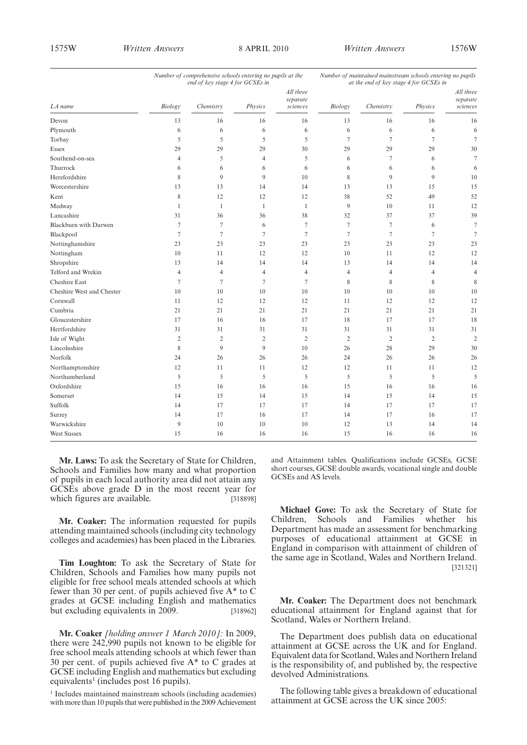|                           | Number of comprehensive schools entering no pupils at the<br>end of key stage 4 for GCSEs in |                |                |                                   | Number of maintained mainstream schools entering no pupils<br>at the end of key stage 4 for GCSEs in |                |                |                                   |
|---------------------------|----------------------------------------------------------------------------------------------|----------------|----------------|-----------------------------------|------------------------------------------------------------------------------------------------------|----------------|----------------|-----------------------------------|
| LA name                   | Biology                                                                                      | Chemistry      | Physics        | All three<br>separate<br>sciences | Biology                                                                                              | Chemistry      | Physics        | All three<br>separate<br>sciences |
| Devon                     | 13                                                                                           | 16             | 16             | 16                                | 13                                                                                                   | 16             | 16             | 16                                |
| Plymouth                  | 6                                                                                            | 6              | 6              | 6                                 | 6                                                                                                    | 6              | 6              | 6                                 |
| Torbay                    | 5                                                                                            | 5              | 5              | 5                                 | $\tau$                                                                                               | $\overline{7}$ | $\overline{7}$ | $\overline{7}$                    |
| <b>Essex</b>              | 29                                                                                           | 29             | 29             | 30                                | 29                                                                                                   | 29             | 29             | 30                                |
| Southend-on-sea           | $\overline{4}$                                                                               | 5              | 4              | 5                                 | 6                                                                                                    | $\tau$         | 6              | $\overline{7}$                    |
| Thurrock                  | 6                                                                                            | 6              | 6              | 6                                 | 6                                                                                                    | 6              | 6              | 6                                 |
| Herefordshire             | 8                                                                                            | 9              | 9              | 10                                | 8                                                                                                    | 9              | 9              | 10                                |
| Worcestershire            | 13                                                                                           | 13             | 14             | 14                                | 13                                                                                                   | 13             | 15             | 15                                |
| Kent                      | 8                                                                                            | 12             | 12             | 12                                | 38                                                                                                   | 52             | 49             | 52                                |
| Medway                    | $\mathbf{1}$                                                                                 | $\mathbf{1}$   | 1              | $\mathbf{1}$                      | 9                                                                                                    | 10             | 11             | 12                                |
| Lancashire                | 31                                                                                           | 36             | 36             | 38                                | 32                                                                                                   | 37             | 37             | 39                                |
| Blackburn with Darwen     | $\overline{7}$                                                                               | $\tau$         | 6              | $\tau$                            | $\overline{7}$                                                                                       | $\tau$         | 6              | $\overline{7}$                    |
| Blackpool                 | $\tau$                                                                                       | $\tau$         | $\tau$         | $\tau$                            | $\tau$                                                                                               | $\tau$         | $\tau$         | $\overline{7}$                    |
| Nottinghamshire           | 23                                                                                           | 23             | 23             | 23                                | 23                                                                                                   | 23             | 23             | 23                                |
| Nottingham                | 10                                                                                           | 11             | 12             | 12                                | 10                                                                                                   | 11             | 12             | 12                                |
| Shropshire                | 13                                                                                           | 14             | 14             | 14                                | 13                                                                                                   | 14             | 14             | 14                                |
| Telford and Wrekin        | $\overline{4}$                                                                               | 4              | $\overline{4}$ | $\overline{4}$                    | $\overline{4}$                                                                                       | $\overline{4}$ | $\overline{4}$ | $\overline{4}$                    |
| <b>Cheshire East</b>      | $\overline{7}$                                                                               | 7              | $\tau$         | 7                                 | 8                                                                                                    | 8              | 8              | 8                                 |
| Cheshire West and Chester | 10                                                                                           | 10             | 10             | 10                                | 10                                                                                                   | 10             | 10             | 10                                |
| Cornwall                  | 11                                                                                           | 12             | 12             | 12                                | 11                                                                                                   | 12             | 12             | 12                                |
| Cumbria                   | 21                                                                                           | 21             | 21             | 21                                | 21                                                                                                   | 21             | 21             | 21                                |
| Gloucestershire           | 17                                                                                           | 16             | 16             | 17                                | 18                                                                                                   | 17             | 17             | 18                                |
| Hertfordshire             | 31                                                                                           | 31             | 31             | 31                                | 31                                                                                                   | 31             | 31             | 31                                |
| Isle of Wight             | $\overline{2}$                                                                               | $\overline{c}$ | $\overline{2}$ | $\overline{2}$                    | $\overline{2}$                                                                                       | $\overline{2}$ | $\overline{2}$ | $\overline{2}$                    |
| Lincolnshire              | 8                                                                                            | 9              | 9              | 10                                | 26                                                                                                   | 28             | 29             | 30                                |
| Norfolk                   | 24                                                                                           | 26             | 26             | 26                                | 24                                                                                                   | 26             | 26             | 26                                |
| Northamptonshire          | 12                                                                                           | 11             | 11             | 12                                | 12                                                                                                   | 11             | 11             | 12                                |
| Northumberland            | 5                                                                                            | 5              | 5              | 5                                 | 5                                                                                                    | 5              | 5              | 5                                 |
| Oxfordshire               | 15                                                                                           | 16             | 16             | 16                                | 15                                                                                                   | 16             | 16             | 16                                |
| Somerset                  | 14                                                                                           | 15             | 14             | 15                                | 14                                                                                                   | 15             | 14             | 15                                |
| Suffolk                   | 14                                                                                           | 17             | 17             | 17                                | 14                                                                                                   | 17             | 17             | 17                                |
| Surrey                    | 14                                                                                           | 17             | 16             | 17                                | 14                                                                                                   | 17             | 16             | 17                                |
| Warwickshire              | 9                                                                                            | 10             | 10             | 10                                | 12                                                                                                   | 13             | 14             | 14                                |
| <b>West Sussex</b>        | 15                                                                                           | 16             | 16             | 16                                | 15                                                                                                   | 16             | 16             | 16                                |

**Mr. Laws:** To ask the Secretary of State for Children, Schools and Families how many and what proportion of pupils in each local authority area did not attain any GCSEs above grade D in the most recent year for which figures are available. [318898]

**Mr. Coaker:** The information requested for pupils attending maintained schools (including city technology colleges and academies) has been placed in the Libraries.

**Tim Loughton:** To ask the Secretary of State for Children, Schools and Families how many pupils not eligible for free school meals attended schools at which fewer than 30 per cent. of pupils achieved five A\* to C grades at GCSE including English and mathematics but excluding equivalents in 2009. [318962]

**Mr. Coaker** *[holding answer 1 March 2010]:* In 2009, there were 242,990 pupils not known to be eligible for free school meals attending schools at which fewer than 30 per cent. of pupils achieved five A\* to C grades at GCSE including English and mathematics but excluding equivalents<sup>1</sup> (includes post 16 pupils).

<sup>1</sup> Includes maintained mainstream schools (including academies) with more than 10 pupils that were published in the 2009 Achievement and Attainment tables. Qualifications include GCSEs, GCSE short courses, GCSE double awards, vocational single and double GCSEs and AS levels.

**Michael Gove:** To ask the Secretary of State for Children, Schools and Families whether his Department has made an assessment for benchmarking purposes of educational attainment at GCSE in England in comparison with attainment of children of the same age in Scotland, Wales and Northern Ireland. [321321]

**Mr. Coaker:** The Department does not benchmark educational attainment for England against that for Scotland, Wales or Northern Ireland.

The Department does publish data on educational attainment at GCSE across the UK and for England. Equivalent data for Scotland,Wales and Northern Ireland is the responsibility of, and published by, the respective devolved Administrations.

The following table gives a breakdown of educational attainment at GCSE across the UK since 2005: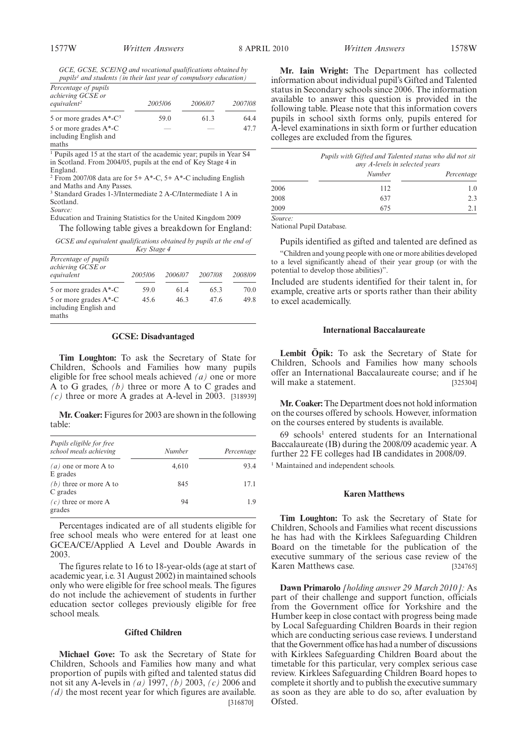*GCE, GCSE, SCE/NQ and vocational qualifications obtained by pupils1 and students (in their last year of compulsory education)*

| Percentage of pupils |  |  |  |  |
|----------------------|--|--|--|--|
|                      |  |  |  |  |

| 2005/06 | 2006/07 | 2007/08 |
|---------|---------|---------|
| 59.0    | 61.3    | 64.4    |
|         | -       | 477     |
|         |         |         |

<sup>1</sup> Pupils aged 15 at the start of the academic year; pupils in Year S4 in Scotland. From 2004/05, pupils at the end of Key Stage 4 in England.

<sup>2</sup> From 2007/08 data are for 5+ A\*-C, 5+ A\*-C including English and Maths and Any Passes.

<sup>3</sup> Standard Grades 1-3/Intermediate 2 A-C/Intermediate 1 A in Scotland.

*Source:*

Education and Training Statistics for the United Kingdom 2009 The following table gives a breakdown for England:

*GCSE and equivalent qualifications obtained by pupils at the end of Key Stage 4*

|                                                         | $\mathbf{r}$ is $\mathbf{r}$ |         |         |         |
|---------------------------------------------------------|------------------------------|---------|---------|---------|
| Percentage of pupils<br>achieving GCSE or<br>equivalent | 2005/06                      | 2006/07 | 2007/08 | 2008/09 |
| 5 or more grades $A^*$ -C                               | 59.0                         | 61.4    | 65.3    | 70.0    |
| 5 or more grades A*-C<br>including English and<br>maths | 45.6                         | 46.3    | 47.6    | 49.8    |

#### **GCSE: Disadvantaged**

**Tim Loughton:** To ask the Secretary of State for Children, Schools and Families how many pupils eligible for free school meals achieved *(a)* one or more A to G grades, *(b)* three or more A to C grades and  $(c)$  three or more A grades at A-level in 2003. [318939]

**Mr. Coaker:**Figures for 2003 are shown in the following table:

| Pupils eligible for free<br>school meals achieving | Number | Percentage |
|----------------------------------------------------|--------|------------|
| $(a)$ one or more A to<br>E grades                 | 4,610  | 93.4       |
| $(b)$ three or more A to<br>C grades               | 845    | 17.1       |
| $(c)$ three or more A<br>grades                    | 94     | 1.9        |

Percentages indicated are of all students eligible for free school meals who were entered for at least one GCEA/CE/Applied A Level and Double Awards in 2003.

The figures relate to 16 to 18-year-olds (age at start of academic year, i.e. 31 August 2002) in maintained schools only who were eligible for free school meals. The figures do not include the achievement of students in further education sector colleges previously eligible for free school meals.

#### **Gifted Children**

**Michael Gove:** To ask the Secretary of State for Children, Schools and Families how many and what proportion of pupils with gifted and talented status did not sit any A-levels in *(a)* 1997, *(b)* 2003, *(c)* 2006 and *(d)* the most recent year for which figures are available. [316870]

**Mr. Iain Wright:** The Department has collected information about individual pupil's Gifted and Talented status in Secondary schools since 2006. The information available to answer this question is provided in the following table. Please note that this information covers pupils in school sixth forms only, pupils entered for A-level examinations in sixth form or further education colleges are excluded from the figures.

|         | Pupils with Gifted and Talented status who did not sit<br>any A-levels in selected years |            |  |
|---------|------------------------------------------------------------------------------------------|------------|--|
|         | Number                                                                                   | Percentage |  |
| 2006    | 112                                                                                      | 1.0        |  |
| 2008    | 637                                                                                      | 2.3        |  |
| 2009    | 675                                                                                      | 2.1        |  |
| Source: |                                                                                          |            |  |

National Pupil Database.

Pupils identified as gifted and talented are defined as

"Children and young people with one or more abilities developed to a level significantly ahead of their year group (or with the potential to develop those abilities)".

Included are students identified for their talent in, for example, creative arts or sports rather than their ability to excel academically.

#### **International Baccalaureate**

**Lembit Öpik:** To ask the Secretary of State for Children, Schools and Families how many schools offer an International Baccalaureate course; and if he will make a statement. [325304]

**Mr. Coaker:**The Department does not hold information on the courses offered by schools. However, information on the courses entered by students is available.

 $69$  schools<sup>1</sup> entered students for an International Baccalaureate (IB) during the 2008/09 academic year. A further 22 FE colleges had IB candidates in 2008/09.

<sup>1</sup> Maintained and independent schools.

#### **Karen Matthews**

**Tim Loughton:** To ask the Secretary of State for Children, Schools and Families what recent discussions he has had with the Kirklees Safeguarding Children Board on the timetable for the publication of the executive summary of the serious case review of the Karen Matthews case. [324765]

**Dawn Primarolo** *[holding answer 29 March 2010]:* As part of their challenge and support function, officials from the Government office for Yorkshire and the Humber keep in close contact with progress being made by Local Safeguarding Children Boards in their region which are conducting serious case reviews. I understand that the Government office has had a number of discussions with Kirklees Safeguarding Children Board about the timetable for this particular, very complex serious case review. Kirklees Safeguarding Children Board hopes to complete it shortly and to publish the executive summary as soon as they are able to do so, after evaluation by Ofsted.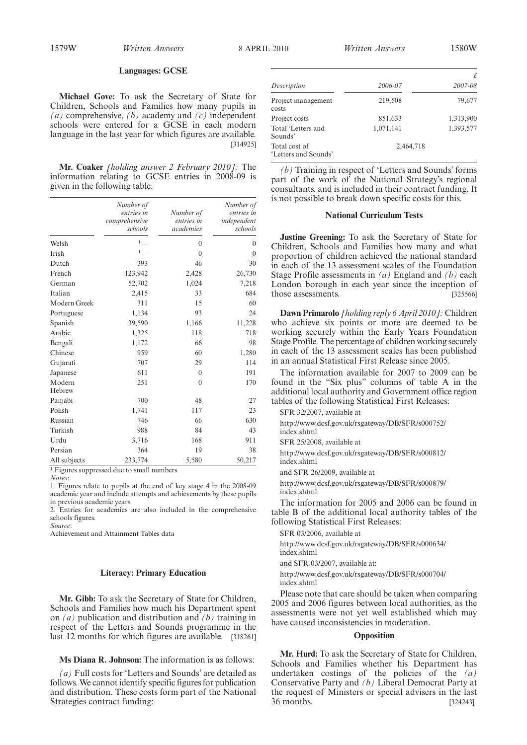#### **Languages: GCSE**

**Michael Gove:** To ask the Secretary of State for Children, Schools and Families how many pupils in *(a)* comprehensive, *(b)* academy and *(c)* independent schools were entered for a GCSE in each modern language in the last year for which figures are available. [314925]

**Mr. Coaker** *[holding answer 2 February 2010]:* The information relating to GCSE entries in 2008-09 is given in the following table:

|                  | Number of<br>entries in<br>comprehensive<br>schools | Number of<br>entries in<br>academies | Number of<br>entries in<br>independent<br>schools |
|------------------|-----------------------------------------------------|--------------------------------------|---------------------------------------------------|
|                  |                                                     |                                      |                                                   |
| Welsh            | $1$ <sub>___</sub>                                  | $\mathbf{0}$                         | $\theta$                                          |
| Irish            | 1                                                   | $\overline{0}$                       | $\theta$                                          |
| Dutch            | 393                                                 | 46                                   | 30                                                |
| French           | 123,942                                             | 2,428                                | 26,730                                            |
| German           | 52,702                                              | 1,024                                | 7,218                                             |
| Italian          | 2,415                                               | 33                                   | 684                                               |
| Modern Greek     | 311                                                 | 15                                   | 60                                                |
| Portuguese       | 1,134                                               | 93                                   | 24                                                |
| Spanish          | 39,590                                              | 1,166                                | 11,228                                            |
| Arabic           | 1,325                                               | 118                                  | 718                                               |
| Bengali          | 1,172                                               | 66                                   | 98                                                |
| Chinese          | 959                                                 | 60                                   | 1,280                                             |
| Gujarati         | 707                                                 | 29                                   | 114                                               |
| Japanese         | 611                                                 | $\overline{0}$                       | 191                                               |
| Modern<br>Hebrew | 251                                                 | $\theta$                             | 170                                               |
| Panjabi          | 700                                                 | 48                                   | 27                                                |
| Polish           | 1,741                                               | 117                                  | 23                                                |
| Russian          | 746                                                 | 66                                   | 630                                               |
| Turkish          | 988                                                 | 84                                   | 43                                                |
| Urdu             | 3,716                                               | 168                                  | 911                                               |
| Persian          | 364                                                 | 19                                   | 38                                                |
| All subjects     | 233,774                                             | 5,580                                | 50,217                                            |

 $\frac{1}{1}$  Figures suppressed due to small numbers

*Notes*:

1. Figures relate to pupils at the end of key stage 4 in the 2008-09 academic year and include attempts and achievements by these pupils in previous academic years.

2. Entries for academies are also included in the comprehensive schools figures.

*Source*:

Achievement and Attainment Tables data

#### **Literacy: Primary Education**

**Mr. Gibb:** To ask the Secretary of State for Children, Schools and Families how much his Department spent on *(a)* publication and distribution and *(b)* training in respect of the Letters and Sounds programme in the last 12 months for which figures are available. [318261]

**Ms Diana R. Johnson:** The information is as follows:

*(a)* Full costs for 'Letters and Sounds' are detailed as follows. We cannot identify specific figures for publication and distribution. These costs form part of the National Strategies contract funding:

| 2006-07   | 2007-08   |
|-----------|-----------|
| 219,508   | 79,677    |
| 851,633   | 1,313,900 |
| 1,071,141 | 1,393,577 |
| 2,464,718 |           |
|           |           |

*(b)* Training in respect of 'Letters and Sounds' forms part of the work of the National Strategy's regional consultants, and is included in their contract funding. It is not possible to break down specific costs for this.

#### **National Curriculum Tests**

**Justine Greening:** To ask the Secretary of State for Children, Schools and Families how many and what proportion of children achieved the national standard in each of the 13 assessment scales of the Foundation Stage Profile assessments in *(a)* England and *(b)* each London borough in each year since the inception of those assessments. [325566]

**Dawn Primarolo** *[holding reply 6 April 2010]:* Children who achieve six points or more are deemed to be working securely within the Early Years Foundation Stage Profile. The percentage of children working securely in each of the 13 assessment scales has been published in an annual Statistical First Release since 2005.

The information available for 2007 to 2009 can be found in the "Six plus" columns of table A in the additional local authority and Government office region tables of the following Statistical First Releases:

SFR 32/2007, available at

http://www.dcsf.gov.uk/rsgateway/DB/SFR/s000752/ index.shtml SFR 25/2008, available at http://www.dcsf.gov.uk/rsgateway/DB/SFR/s000812/ index.shtml

and SFR 26/2009, available at

http://www.dcsf.gov.uk/rsgateway/DB/SFR/s000879/ index.shtml

The information for 2005 and 2006 can be found in table B of the additional local authority tables of the following Statistical First Releases:

SFR 03/2006, available at

http://www.dcsf.gov.uk/rsgateway/DB/SFR/s000634/ index.shtml and SFR 03/2007, available at:

http://www.dcsf.gov.uk/rsgateway/DB/SFR/s000704/ index.shtml

Please note that care should be taken when comparing 2005 and 2006 figures between local authorities, as the assessments were not yet well established which may have caused inconsistencies in moderation.

#### **Opposition**

**Mr. Hurd:** To ask the Secretary of State for Children, Schools and Families whether his Department has undertaken costings of the policies of the *(a)* Conservative Party and *(b)* Liberal Democrat Party at the request of Ministers or special advisers in the last 36 months. [324243]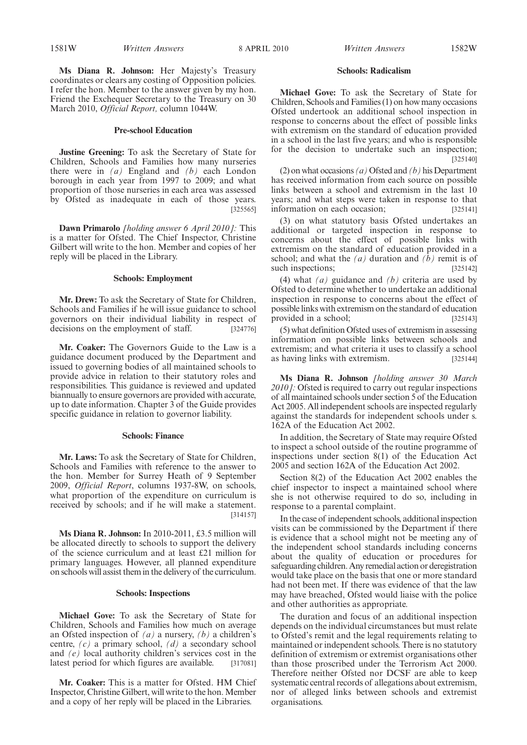**Ms Diana R. Johnson:** Her Majesty's Treasury coordinates or clears any costing of Opposition policies. I refer the hon. Member to the answer given by my hon. Friend the Exchequer Secretary to the Treasury on 30 March 2010, *Official Report,* column 1044W.

#### **Pre-school Education**

**Justine Greening:** To ask the Secretary of State for Children, Schools and Families how many nurseries there were in *(a)* England and *(b)* each London borough in each year from 1997 to 2009; and what proportion of those nurseries in each area was assessed by Ofsted as inadequate in each of those years. [325565]

**Dawn Primarolo** *[holding answer 6 April 2010]:* This is a matter for Ofsted. The Chief Inspector, Christine Gilbert will write to the hon. Member and copies of her reply will be placed in the Library.

#### **Schools: Employment**

**Mr. Drew:** To ask the Secretary of State for Children, Schools and Families if he will issue guidance to school governors on their individual liability in respect of decisions on the employment of staff. [324776]

**Mr. Coaker:** The Governors Guide to the Law is a guidance document produced by the Department and issued to governing bodies of all maintained schools to provide advice in relation to their statutory roles and responsibilities. This guidance is reviewed and updated biannually to ensure governors are provided with accurate, up to date information. Chapter 3 of the Guide provides specific guidance in relation to governor liability.

#### **Schools: Finance**

**Mr. Laws:** To ask the Secretary of State for Children, Schools and Families with reference to the answer to the hon. Member for Surrey Heath of 9 September 2009, *Official Report*, columns 1937-8W, on schools, what proportion of the expenditure on curriculum is received by schools; and if he will make a statement. [314157]

**Ms Diana R. Johnson:** In 2010-2011, £3.5 million will be allocated directly to schools to support the delivery of the science curriculum and at least £21 million for primary languages. However, all planned expenditure on schools will assist them in the delivery of the curriculum.

#### **Schools: Inspections**

**Michael Gove:** To ask the Secretary of State for Children, Schools and Families how much on average an Ofsted inspection of *(a)* a nursery, *(b)* a children's centre, *(c)* a primary school, *(d)* a secondary school and *(e)* local authority children's services cost in the latest period for which figures are available. [317081]

**Mr. Coaker:** This is a matter for Ofsted. HM Chief Inspector, Christine Gilbert, will write to the hon. Member and a copy of her reply will be placed in the Libraries.

#### 1581W *Written Answers Written Answers* 8 APRIL 2010 1582W

#### **Schools: Radicalism**

**Michael Gove:** To ask the Secretary of State for Children, Schools and Families (1) on how many occasions Ofsted undertook an additional school inspection in response to concerns about the effect of possible links with extremism on the standard of education provided in a school in the last five years; and who is responsible for the decision to undertake such an inspection; [325140]

(2) on what occasions *(a)*Ofsted and *(b)* his Department has received information from each source on possible links between a school and extremism in the last 10 years; and what steps were taken in response to that information on each occasion; [325141]

(3) on what statutory basis Ofsted undertakes an additional or targeted inspection in response to concerns about the effect of possible links with extremism on the standard of education provided in a school; and what the  $(a)$  duration and  $(\bar{b})$  remit is of such inspections; [325142]

(4) what *(a)* guidance and *(b)* criteria are used by Ofsted to determine whether to undertake an additional inspection in response to concerns about the effect of possible links with extremism on the standard of education provided in a school; [325143]

(5) what definition Ofsted uses of extremism in assessing information on possible links between schools and extremism; and what criteria it uses to classify a school as having links with extremism. [325144]

**Ms Diana R. Johnson** *[holding answer 30 March 2010]:* Ofsted is required to carry out regular inspections of all maintained schools under section 5 of the Education Act 2005. All independent schools are inspected regularly against the standards for independent schools under s. 162A of the Education Act 2002.

In addition, the Secretary of State may require Ofsted to inspect a school outside of the routine programme of inspections under section 8(1) of the Education Act 2005 and section 162A of the Education Act 2002.

Section 8(2) of the Education Act 2002 enables the chief inspector to inspect a maintained school where she is not otherwise required to do so, including in response to a parental complaint.

In the case of independent schools, additional inspection visits can be commissioned by the Department if there is evidence that a school might not be meeting any of the independent school standards including concerns about the quality of education or procedures for safeguarding children. Any remedial action or deregistration would take place on the basis that one or more standard had not been met. If there was evidence of that the law may have breached, Ofsted would liaise with the police and other authorities as appropriate.

The duration and focus of an additional inspection depends on the individual circumstances but must relate to Ofsted's remit and the legal requirements relating to maintained or independent schools. There is no statutory definition of extremism or extremist organisations other than those proscribed under the Terrorism Act 2000. Therefore neither Ofsted nor DCSF are able to keep systematic central records of allegations about extremism, nor of alleged links between schools and extremist organisations.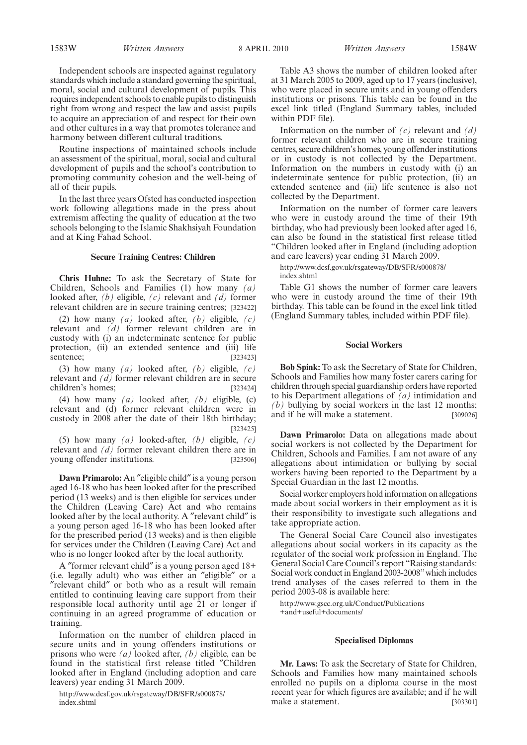Independent schools are inspected against regulatory standards which include a standard governing the spiritual, moral, social and cultural development of pupils. This requires independent schools to enable pupils to distinguish right from wrong and respect the law and assist pupils to acquire an appreciation of and respect for their own and other cultures in a way that promotes tolerance and harmony between different cultural traditions.

Routine inspections of maintained schools include an assessment of the spiritual, moral, social and cultural development of pupils and the school's contribution to promoting community cohesion and the well-being of all of their pupils.

In the last three years Ofsted has conducted inspection work following allegations made in the press about extremism affecting the quality of education at the two schools belonging to the Islamic Shakhsiyah Foundation and at King Fahad School.

#### **Secure Training Centres: Children**

**Chris Huhne:** To ask the Secretary of State for Children, Schools and Families (1) how many *(a)* looked after, *(b)* eligible, *(c)* relevant and *(d)* former relevant children are in secure training centres; [323422]

(2) how many *(a)* looked after, *(b)* eligible, *(c)* relevant and *(d)* former relevant children are in custody with (i) an indeterminate sentence for public protection, (ii) an extended sentence and (iii) life sentence; [323423]

(3) how many *(a)* looked after, *(b)* eligible, *(c)* relevant and *(d)* former relevant children are in secure children's homes; [323424]

(4) how many *(a)* looked after, *(b)* eligible, (c) relevant and (d) former relevant children were in custody in 2008 after the date of their 18th birthday; [323425]

(5) how many *(a)* looked-after, *(b)* eligible, *(c)* relevant and *(d)* former relevant children there are in young offender institutions. [323506]

**Dawn Primarolo:** An ″eligible child″ is a young person aged 16-18 who has been looked after for the prescribed period (13 weeks) and is then eligible for services under the Children (Leaving Care) Act and who remains looked after by the local authority. A ″relevant child″ is a young person aged 16-18 who has been looked after for the prescribed period (13 weeks) and is then eligible for services under the Children (Leaving Care) Act and who is no longer looked after by the local authority.

A ″former relevant child″ is a young person aged 18+ (i.e. legally adult) who was either an ″eligible″ or a ″relevant child″ or both who as a result will remain entitled to continuing leaving care support from their responsible local authority until age 21 or longer if continuing in an agreed programme of education or training.

Information on the number of children placed in secure units and in young offenders institutions or prisons who were *(a)* looked after, *(b)* eligible, can be found in the statistical first release titled ″Children looked after in England (including adoption and care leavers) year ending 31 March 2009.

http://www.dcsf.gov.uk/rsgateway/DB/SFR/s000878/ index.shtml

Table A3 shows the number of children looked after at 31 March 2005 to 2009, aged up to 17 years (inclusive), who were placed in secure units and in young offenders institutions or prisons. This table can be found in the excel link titled (England Summary tables, included within PDF file).

Information on the number of *(c)* relevant and *(d)* former relevant children who are in secure training centres, secure children's homes, young offender institutions or in custody is not collected by the Department. Information on the numbers in custody with (i) an indeterminate sentence for public protection, (ii) an extended sentence and (iii) life sentence is also not collected by the Department.

Information on the number of former care leavers who were in custody around the time of their 19th birthday, who had previously been looked after aged 16, can also be found in the statistical first release titled "Children looked after in England (including adoption and care leavers) year ending 31 March 2009.

http://www.dcsf.gov.uk/rsgateway/DB/SFR/s000878/ index.shtml

Table G1 shows the number of former care leavers who were in custody around the time of their 19th birthday. This table can be found in the excel link titled (England Summary tables, included within PDF file).

#### **Social Workers**

**Bob Spink:** To ask the Secretary of State for Children, Schools and Families how many foster carers caring for children through special guardianship orders have reported to his Department allegations of *(a)* intimidation and *(b)* bullying by social workers in the last 12 months; and if he will make a statement. [309026]

**Dawn Primarolo:** Data on allegations made about social workers is not collected by the Department for Children, Schools and Families. I am not aware of any allegations about intimidation or bullying by social workers having been reported to the Department by a Special Guardian in the last 12 months.

Social worker employers hold information on allegations made about social workers in their employment as it is their responsibility to investigate such allegations and take appropriate action.

The General Social Care Council also investigates allegations about social workers in its capacity as the regulator of the social work profession in England. The General Social Care Council's report "Raising standards: Social work conduct in England 2003-2008"which includes trend analyses of the cases referred to them in the period 2003-08 is available here:

http://www.gscc.org.uk/Conduct/Publications +and+useful+documents/

#### **Specialised Diplomas**

**Mr. Laws:** To ask the Secretary of State for Children, Schools and Families how many maintained schools enrolled no pupils on a diploma course in the most recent year for which figures are available; and if he will make a statement. [303301]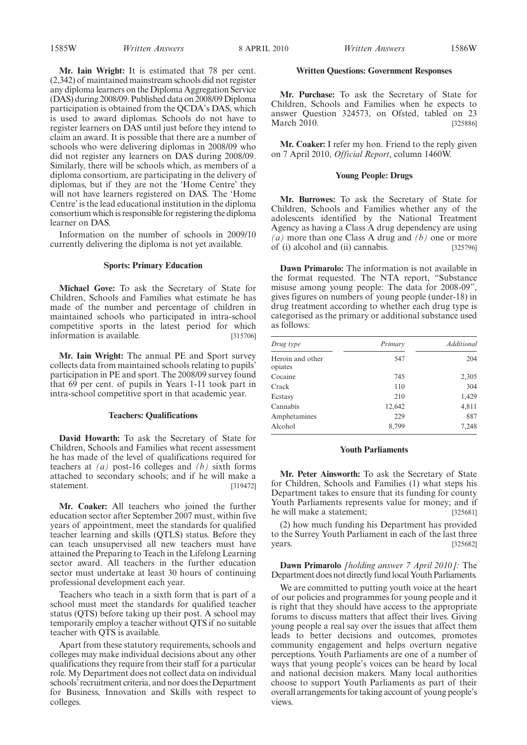**Mr. Iain Wright:** It is estimated that 78 per cent. (2,342) of maintained mainstream schools did not register any diploma learners on the Diploma Aggregation Service (DAS) during 2008/09. Published data on 2008/09 Diploma participation is obtained from the QCDA's DAS, which is used to award diplomas. Schools do not have to register learners on DAS until just before they intend to claim an award. It is possible that there are a number of schools who were delivering diplomas in 2008/09 who did not register any learners on DAS during 2008/09. Similarly, there will be schools which, as members of a diploma consortium, are participating in the delivery of diplomas, but if they are not the 'Home Centre' they will not have learners registered on DAS. The 'Home Centre' is the lead educational institution in the diploma consortium which is responsible for registering the diploma learner on DAS.

Information on the number of schools in 2009/10 currently delivering the diploma is not yet available.

#### **Sports: Primary Education**

**Michael Gove:** To ask the Secretary of State for Children, Schools and Families what estimate he has made of the number and percentage of children in maintained schools who participated in intra-school competitive sports in the latest period for which information is available. [315706]

**Mr. Iain Wright:** The annual PE and Sport survey collects data from maintained schools relating to pupils' participation in PE and sport. The 2008/09 survey found that 69 per cent. of pupils in Years 1-11 took part in intra-school competitive sport in that academic year.

#### **Teachers: Qualifications**

**David Howarth:** To ask the Secretary of State for Children, Schools and Families what recent assessment he has made of the level of qualifications required for teachers at *(a)* post-16 colleges and *(b)* sixth forms attached to secondary schools; and if he will make a statement. [319472]

**Mr. Coaker:** All teachers who joined the further education sector after September 2007 must, within five years of appointment, meet the standards for qualified teacher learning and skills (QTLS) status. Before they can teach unsupervised all new teachers must have attained the Preparing to Teach in the Lifelong Learning sector award. All teachers in the further education sector must undertake at least 30 hours of continuing professional development each year.

Teachers who teach in a sixth form that is part of a school must meet the standards for qualified teacher status (QTS) before taking up their post. A school may temporarily employ a teacher without QTS if no suitable teacher with QTS is available.

Apart from these statutory requirements, schools and colleges may make individual decisions about any other qualifications they require from their staff for a particular role. My Department does not collect data on individual schools' recruitment criteria, and nor does the Department for Business, Innovation and Skills with respect to colleges.

#### **Written Questions: Government Responses**

**Mr. Purchase:** To ask the Secretary of State for Children, Schools and Families when he expects to answer Question 324573, on Ofsted, tabled on 23 March 2010. [325886]

**Mr. Coaker:** I refer my hon. Friend to the reply given on 7 April 2010, *Official Report*, column 1460W.

#### **Young People: Drugs**

**Mr. Burrowes:** To ask the Secretary of State for Children, Schools and Families whether any of the adolescents identified by the National Treatment Agency as having a Class A drug dependency are using *(a)* more than one Class A drug and *(b)* one or more of (i) alcohol and (ii) cannabis. [325796]

**Dawn Primarolo:** The information is not available in the format requested. The NTA report, "Substance misuse among young people: The data for 2008-09", gives figures on numbers of young people (under-18) in drug treatment according to whether each drug type is categorised as the primary or additional substance used as follows:

| Drug type                   | Primary | Additional |
|-----------------------------|---------|------------|
| Heroin and other<br>opiates | 547     | 204        |
| Cocaine                     | 745     | 2,305      |
| Crack                       | 110     | 304        |
| Ecstasy                     | 210     | 1,429      |
| Cannabis                    | 12,642  | 4,811      |
| Amphetamines                | 229     | 887        |
| Alcohol                     | 8,799   | 7,248      |

#### **Youth Parliaments**

**Mr. Peter Ainsworth:** To ask the Secretary of State for Children, Schools and Families (1) what steps his Department takes to ensure that its funding for county Youth Parliaments represents value for money; and if he will make a statement; [325681]

(2) how much funding his Department has provided to the Surrey Youth Parliament in each of the last three years. [325682]

**Dawn Primarolo** *[holding answer 7 April 2010]:* The Department does not directly fund local Youth Parliaments.

We are committed to putting youth voice at the heart of our policies and programmes for young people and it is right that they should have access to the appropriate forums to discuss matters that affect their lives. Giving young people a real say over the issues that affect them leads to better decisions and outcomes, promotes community engagement and helps overturn negative perceptions. Youth Parliaments are one of a number of ways that young people's voices can be heard by local and national decision makers. Many local authorities choose to support Youth Parliaments as part of their overall arrangements for taking account of young people's views.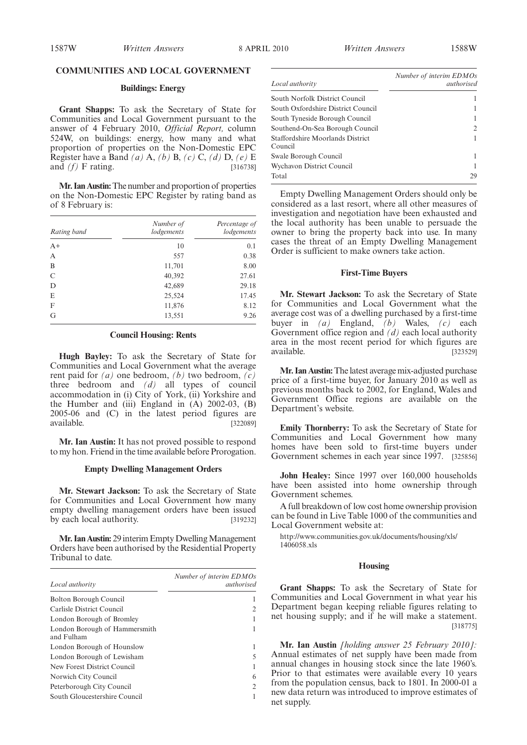#### **COMMUNITIES AND LOCAL GOVERNMENT**

#### **Buildings: Energy**

**Grant Shapps:** To ask the Secretary of State for Communities and Local Government pursuant to the answer of 4 February 2010, *Official Report,* column 524W, on buildings: energy, how many and what proportion of properties on the Non-Domestic EPC Register have a Band *(a)* A, *(b)* B, *(c)* C, *(d)* D, *(e)* E and *(f)* F rating. [316738]

**Mr. Ian Austin:**The number and proportion of properties on the Non-Domestic EPC Register by rating band as of 8 February is:

| Rating band | Number of<br>lodgements | Percentage of<br>lodgements |
|-------------|-------------------------|-----------------------------|
| $A+$        | 10                      | 0.1                         |
| A           | 557                     | 0.38                        |
| B           | 11,701                  | 8.00                        |
| C           | 40,392                  | 27.61                       |
| D           | 42,689                  | 29.18                       |
| E           | 25,524                  | 17.45                       |
| F           | 11,876                  | 8.12                        |
| G           | 13,551                  | 9.26                        |

#### **Council Housing: Rents**

**Hugh Bayley:** To ask the Secretary of State for Communities and Local Government what the average rent paid for *(a)* one bedroom, *(b)* two bedroom, *(c)* three bedroom and *(d)* all types of council accommodation in (i) City of York, (ii) Yorkshire and the Humber and (iii) England in  $(A)$  2002-03,  $(B)$ 2005-06 and (C) in the latest period figures are available. [322089]

**Mr. Ian Austin:** It has not proved possible to respond to my hon. Friend in the time available before Prorogation.

#### **Empty Dwelling Management Orders**

**Mr. Stewart Jackson:** To ask the Secretary of State for Communities and Local Government how many empty dwelling management orders have been issued by each local authority. [319232]

**Mr. Ian Austin:** 29 interim Empty Dwelling Management Orders have been authorised by the Residential Property Tribunal to date.

| Local authority                             | Number of interim EDMOs<br>authorised |
|---------------------------------------------|---------------------------------------|
| Bolton Borough Council                      |                                       |
| Carlisle District Council                   | 2                                     |
| London Borough of Bromley                   | 1                                     |
| London Borough of Hammersmith<br>and Fulham | 1                                     |
| London Borough of Hounslow                  | 1                                     |
| London Borough of Lewisham                  | 5                                     |
| New Forest District Council                 |                                       |
| Norwich City Council                        | 6                                     |
| Peterborough City Council                   | $\overline{2}$                        |
| South Gloucestershire Council               |                                       |

| Local authority                             | Number of interim EDMOs<br>authorised |
|---------------------------------------------|---------------------------------------|
| South Norfolk District Council              |                                       |
| South Oxfordshire District Council          |                                       |
| South Tyneside Borough Council              |                                       |
| Southend-On-Sea Borough Council             | 2                                     |
| Staffordshire Moorlands District<br>Council |                                       |
| Swale Borough Council                       |                                       |
| Wychavon District Council                   |                                       |
| Total                                       | 29                                    |

Empty Dwelling Management Orders should only be considered as a last resort, where all other measures of investigation and negotiation have been exhausted and the local authority has been unable to persuade the owner to bring the property back into use. In many cases the threat of an Empty Dwelling Management Order is sufficient to make owners take action.

#### **First-Time Buyers**

**Mr. Stewart Jackson:** To ask the Secretary of State for Communities and Local Government what the average cost was of a dwelling purchased by a first-time buyer in *(a)* England, *(b)* Wales, *(c)* each Government office region and *(d)* each local authority area in the most recent period for which figures are available. [323529]

**Mr. Ian Austin:**The latest average mix-adjusted purchase price of a first-time buyer, for January 2010 as well as previous months back to 2002, for England, Wales and Government Office regions are available on the Department's website.

**Emily Thornberry:** To ask the Secretary of State for Communities and Local Government how many homes have been sold to first-time buyers under Government schemes in each year since 1997. [325856]

**John Healey:** Since 1997 over 160,000 households have been assisted into home ownership through Government schemes.

A full breakdown of low cost home ownership provision can be found in Live Table 1000 of the communities and Local Government website at:

http://www.communities.gov.uk/documents/housing/xls/ 1406058.xls

#### **Housing**

**Grant Shapps:** To ask the Secretary of State for Communities and Local Government in what year his Department began keeping reliable figures relating to net housing supply; and if he will make a statement. [318775]

**Mr. Ian Austin** *[holding answer 25 February 2010]:* Annual estimates of net supply have been made from annual changes in housing stock since the late 1960's. Prior to that estimates were available every 10 years from the population census, back to 1801. In 2000-01 a new data return was introduced to improve estimates of net supply.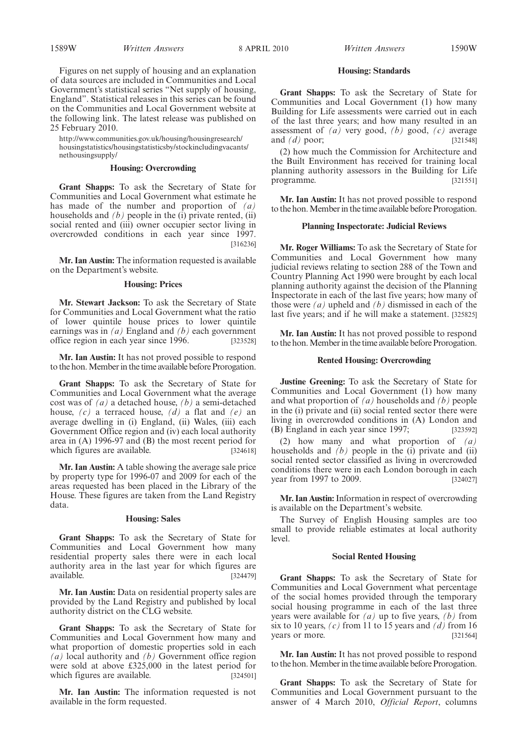Figures on net supply of housing and an explanation of data sources are included in Communities and Local Government's statistical series "Net supply of housing, England". Statistical releases in this series can be found on the Communities and Local Government website at the following link. The latest release was published on 25 February 2010.

http://www.communities.gov.uk/housing/housingresearch/ housingstatistics/housingstatisticsby/stockincludingvacants/ nethousingsupply/

#### **Housing: Overcrowding**

**Grant Shapps:** To ask the Secretary of State for Communities and Local Government what estimate he has made of the number and proportion of *(a)* households and *(b)* people in the (i) private rented, (ii) social rented and (iii) owner occupier sector living in overcrowded conditions in each year since 1997. [316236]

**Mr. Ian Austin:** The information requested is available on the Department's website.

#### **Housing: Prices**

**Mr. Stewart Jackson:** To ask the Secretary of State for Communities and Local Government what the ratio of lower quintile house prices to lower quintile earnings was in *(a)* England and *(b)* each government office region in each year since 1996. [323528]

**Mr. Ian Austin:** It has not proved possible to respond to the hon.Member in the time available before Prorogation.

**Grant Shapps:** To ask the Secretary of State for Communities and Local Government what the average cost was of *(a)* a detached house, *(b)* a semi-detached house, *(c)* a terraced house, *(d)* a flat and *(e)* an average dwelling in (i) England, (ii) Wales, (iii) each Government Office region and (iv) each local authority area in (A) 1996-97 and (B) the most recent period for which figures are available. [324618]

**Mr. Ian Austin:** A table showing the average sale price by property type for 1996-07 and 2009 for each of the areas requested has been placed in the Library of the House. These figures are taken from the Land Registry data.

#### **Housing: Sales**

**Grant Shapps:** To ask the Secretary of State for Communities and Local Government how many residential property sales there were in each local authority area in the last year for which figures are available. [324479]

**Mr. Ian Austin:** Data on residential property sales are provided by the Land Registry and published by local authority district on the CLG website.

**Grant Shapps:** To ask the Secretary of State for Communities and Local Government how many and what proportion of domestic properties sold in each *(a)* local authority and *(b)* Government office region were sold at above £325,000 in the latest period for which figures are available. [324501]

**Mr. Ian Austin:** The information requested is not available in the form requested.

#### **Housing: Standards**

**Grant Shapps:** To ask the Secretary of State for Communities and Local Government (1) how many Building for Life assessments were carried out in each of the last three years; and how many resulted in an assessment of *(a)* very good, *(b)* good, *(c)* average and *(d)* poor; [321548]

(2) how much the Commission for Architecture and the Built Environment has received for training local planning authority assessors in the Building for Life programme. [321551]

**Mr. Ian Austin:** It has not proved possible to respond to the hon.Member in the time available before Prorogation.

#### **Planning Inspectorate: Judicial Reviews**

**Mr. Roger Williams:** To ask the Secretary of State for Communities and Local Government how many judicial reviews relating to section 288 of the Town and Country Planning Act 1990 were brought by each local planning authority against the decision of the Planning Inspectorate in each of the last five years; how many of those were *(a)* upheld and *(b)* dismissed in each of the last five years; and if he will make a statement. [325825]

**Mr. Ian Austin:** It has not proved possible to respond to the hon. Member in the time available before Prorogation.

#### **Rented Housing: Overcrowding**

**Justine Greening:** To ask the Secretary of State for Communities and Local Government (1) how many and what proportion of *(a)* households and *(b)* people in the (i) private and (ii) social rented sector there were living in overcrowded conditions in (A) London and (B) England in each year since 1997; [323592]

(2) how many and what proportion of *(a)* households and  $(b)$  people in the  $(i)$  private and  $(ii)$ social rented sector classified as living in overcrowded conditions there were in each London borough in each<br>year from 1997 to 2009. [324027] year from 1997 to 2009.

**Mr. Ian Austin:**Information in respect of overcrowding is available on the Department's website.

The Survey of English Housing samples are too small to provide reliable estimates at local authority level.

#### **Social Rented Housing**

**Grant Shapps:** To ask the Secretary of State for Communities and Local Government what percentage of the social homes provided through the temporary social housing programme in each of the last three years were available for *(a)* up to five years, *(b)* from six to 10 years, *(c)* from 11 to 15 years and *(d)* from 16 years or more. [321564]

**Mr. Ian Austin:** It has not proved possible to respond to the hon. Member in the time available before Prorogation.

**Grant Shapps:** To ask the Secretary of State for Communities and Local Government pursuant to the answer of 4 March 2010, *Official Report*, columns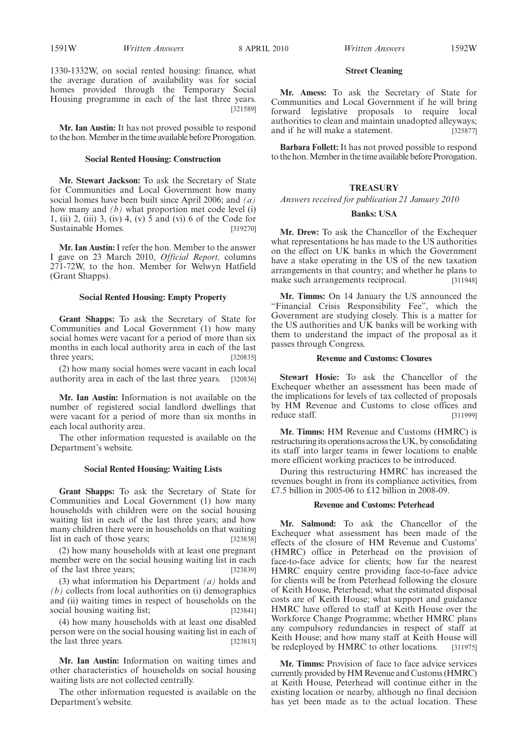1330-1332W, on social rented housing: finance, what the average duration of availability was for social homes provided through the Temporary Social Housing programme in each of the last three years. [321589]

**Mr. Ian Austin:** It has not proved possible to respond to the hon. Member in the time available before Prorogation.

#### **Social Rented Housing: Construction**

**Mr. Stewart Jackson:** To ask the Secretary of State for Communities and Local Government how many social homes have been built since April 2006; and *(a)* how many and *(b)* what proportion met code level (i) 1, (ii) 2, (iii) 3, (iv) 4, (v) 5 and (vi) 6 of the Code for Sustainable Homes. [319270]

**Mr. Ian Austin:** I refer the hon. Member to the answer I gave on 23 March 2010, *Official Report,* columns 271-72W, to the hon. Member for Welwyn Hatfield (Grant Shapps).

#### **Social Rented Housing: Empty Property**

**Grant Shapps:** To ask the Secretary of State for Communities and Local Government (1) how many social homes were vacant for a period of more than six months in each local authority area in each of the last three years; [320835]

(2) how many social homes were vacant in each local authority area in each of the last three years. [320836]

**Mr. Ian Austin:** Information is not available on the number of registered social landlord dwellings that were vacant for a period of more than six months in each local authority area.

The other information requested is available on the Department's website.

#### **Social Rented Housing: Waiting Lists**

**Grant Shapps:** To ask the Secretary of State for Communities and Local Government (1) how many households with children were on the social housing waiting list in each of the last three years; and how many children there were in households on that waiting list in each of those years; [323838]

(2) how many households with at least one pregnant member were on the social housing waiting list in each of the last three years; [323839]

(3) what information his Department *(a)* holds and *(b)* collects from local authorities on (i) demographics and (ii) waiting times in respect of households on the social housing waiting list; [323841]

(4) how many households with at least one disabled person were on the social housing waiting list in each of the last three years. [323813]

**Mr. Ian Austin:** Information on waiting times and other characteristics of households on social housing waiting lists are not collected centrally.

The other information requested is available on the Department's website.

#### **Street Cleaning**

**Mr. Amess:** To ask the Secretary of State for Communities and Local Government if he will bring forward legislative proposals to require local authorities to clean and maintain unadopted alleyways; and if he will make a statement. [325877]

**Barbara Follett:** It has not proved possible to respond to the hon. Member in the time available before Prorogation.

#### **TREASURY**

*Answers received for publication 21 January 2010*

#### **Banks: USA**

**Mr. Drew:** To ask the Chancellor of the Exchequer what representations he has made to the US authorities on the effect on UK banks in which the Government have a stake operating in the US of the new taxation arrangements in that country; and whether he plans to make such arrangements reciprocal. [311948]

**Mr. Timms:** On 14 January the US announced the "Financial Crisis Responsibility Fee", which the Government are studying closely. This is a matter for the US authorities and UK banks will be working with them to understand the impact of the proposal as it passes through Congress.

#### **Revenue and Customs: Closures**

**Stewart Hosie:** To ask the Chancellor of the Exchequer whether an assessment has been made of the implications for levels of tax collected of proposals by HM Revenue and Customs to close offices and reduce staff. [311999]

**Mr. Timms:** HM Revenue and Customs (HMRC) is restructuring its operations across the UK, by consolidating its staff into larger teams in fewer locations to enable more efficient working practices to be introduced.

During this restructuring HMRC has increased the revenues bought in from its compliance activities, from £7.5 billion in 2005-06 to £12 billion in 2008-09.

#### **Revenue and Customs: Peterhead**

**Mr. Salmond:** To ask the Chancellor of the Exchequer what assessment has been made of the effects of the closure of HM Revenue and Customs' (HMRC) office in Peterhead on the provision of face-to-face advice for clients; how far the nearest HMRC enquiry centre providing face-to-face advice for clients will be from Peterhead following the closure of Keith House, Peterhead; what the estimated disposal costs are of Keith House; what support and guidance HMRC have offered to staff at Keith House over the Workforce Change Programme; whether HMRC plans any compulsory redundancies in respect of staff at Keith House; and how many staff at Keith House will be redeployed by HMRC to other locations. [311975]

**Mr. Timms:** Provision of face to face advice services currently provided by HM Revenue and Customs (HMRC) at Keith House, Peterhead will continue either in the existing location or nearby, although no final decision has yet been made as to the actual location. These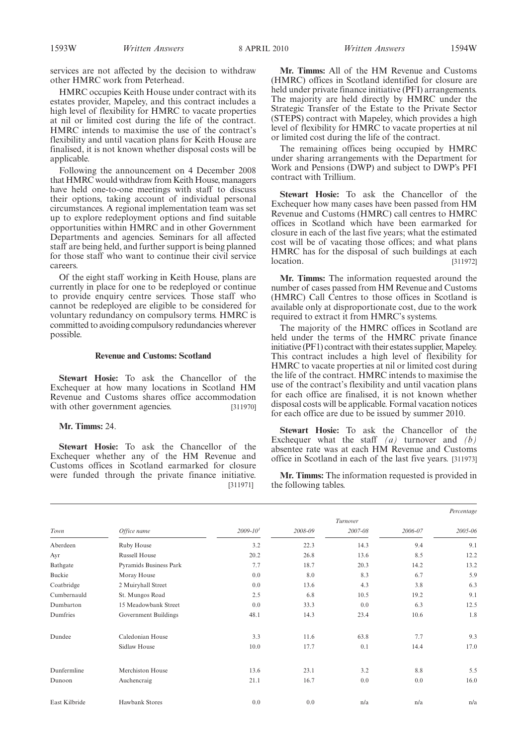services are not affected by the decision to withdraw other HMRC work from Peterhead.

HMRC occupies Keith House under contract with its estates provider, Mapeley, and this contract includes a high level of flexibility for HMRC to vacate properties at nil or limited cost during the life of the contract. HMRC intends to maximise the use of the contract's flexibility and until vacation plans for Keith House are finalised, it is not known whether disposal costs will be applicable.

Following the announcement on 4 December 2008 that HMRC would withdraw from Keith House, managers have held one-to-one meetings with staff to discuss their options, taking account of individual personal circumstances. A regional implementation team was set up to explore redeployment options and find suitable opportunities within HMRC and in other Government Departments and agencies. Seminars for all affected staff are being held, and further support is being planned for those staff who want to continue their civil service careers.

Of the eight staff working in Keith House, plans are currently in place for one to be redeployed or continue to provide enquiry centre services. Those staff who cannot be redeployed are eligible to be considered for voluntary redundancy on compulsory terms. HMRC is committed to avoiding compulsory redundancies wherever possible.

#### **Revenue and Customs: Scotland**

**Stewart Hosie:** To ask the Chancellor of the Exchequer at how many locations in Scotland HM Revenue and Customs shares office accommodation with other government agencies. [311970]

#### **Mr. Timms:** 24.

**Stewart Hosie:** To ask the Chancellor of the Exchequer whether any of the HM Revenue and Customs offices in Scotland earmarked for closure were funded through the private finance initiative. [311971]

**Mr. Timms:** All of the HM Revenue and Customs (HMRC) offices in Scotland identified for closure are held under private finance initiative (PFI) arrangements. The majority are held directly by HMRC under the Strategic Transfer of the Estate to the Private Sector (STEPS) contract with Mapeley, which provides a high level of flexibility for HMRC to vacate properties at nil or limited cost during the life of the contract.

The remaining offices being occupied by HMRC under sharing arrangements with the Department for Work and Pensions (DWP) and subject to DWP's PFI contract with Trillium.

**Stewart Hosie:** To ask the Chancellor of the Exchequer how many cases have been passed from HM Revenue and Customs (HMRC) call centres to HMRC offices in Scotland which have been earmarked for closure in each of the last five years; what the estimated cost will be of vacating those offices; and what plans HMRC has for the disposal of such buildings at each location. [311972]

**Mr. Timms:** The information requested around the number of cases passed from HM Revenue and Customs (HMRC) Call Centres to those offices in Scotland is available only at disproportionate cost, due to the work required to extract it from HMRC's systems.

The majority of the HMRC offices in Scotland are held under the terms of the HMRC private finance initiative (PF1) contract with their estates supplier, Mapeley. This contract includes a high level of flexibility for HMRC to vacate properties at nil or limited cost during the life of the contract. HMRC intends to maximise the use of the contract's flexibility and until vacation plans for each office are finalised, it is not known whether disposal costs will be applicable. Formal vacation notices for each office are due to be issued by summer 2010.

**Stewart Hosie:** To ask the Chancellor of the Exchequer what the staff *(a)* turnover and *(b)* absentee rate was at each HM Revenue and Customs office in Scotland in each of the last five years. [311973]

**Mr. Timms:** The information requested is provided in the following tables.

|               |                               |              |         |          |         | Percentage |
|---------------|-------------------------------|--------------|---------|----------|---------|------------|
|               |                               |              |         | Turnover |         |            |
| Town          | Office name                   | $2009 - 101$ | 2008-09 | 2007-08  | 2006-07 | 2005-06    |
| Aberdeen      | Ruby House                    | 3.2          | 22.3    | 14.3     | 9.4     | 9.1        |
| Ayr           | <b>Russell House</b>          | 20.2         | 26.8    | 13.6     | 8.5     | 12.2       |
| Bathgate      | <b>Pyramids Business Park</b> | 7.7          | 18.7    | 20.3     | 14.2    | 13.2       |
| Buckie        | Moray House                   | 0.0          | 8.0     | 8.3      | 6.7     | 5.9        |
| Coatbridge    | 2 Muiryhall Street            | 0.0          | 13.6    | 4.3      | 3.8     | 6.3        |
| Cumbernauld   | St. Mungos Road               | 2.5          | 6.8     | 10.5     | 19.2    | 9.1        |
| Dumbarton     | 15 Meadowbank Street          | 0.0          | 33.3    | 0.0      | 6.3     | 12.5       |
| Dumfries      | Government Buildings          | 48.1         | 14.3    | 23.4     | 10.6    | 1.8        |
| Dundee        | Caledonian House              | 3.3          | 11.6    | 63.8     | 7.7     | 9.3        |
|               | Sidlaw House                  | 10.0         | 17.7    | 0.1      | 14.4    | 17.0       |
| Dunfermline   | Merchiston House              | 13.6         | 23.1    | 3.2      | 8.8     | 5.5        |
| Dunoon        | Auchencraig                   | 21.1         | 16.7    | 0.0      | 0.0     | 16.0       |
| East Kilbride | Hawbank Stores                | 0.0          | 0.0     | n/a      | n/a     | n/a        |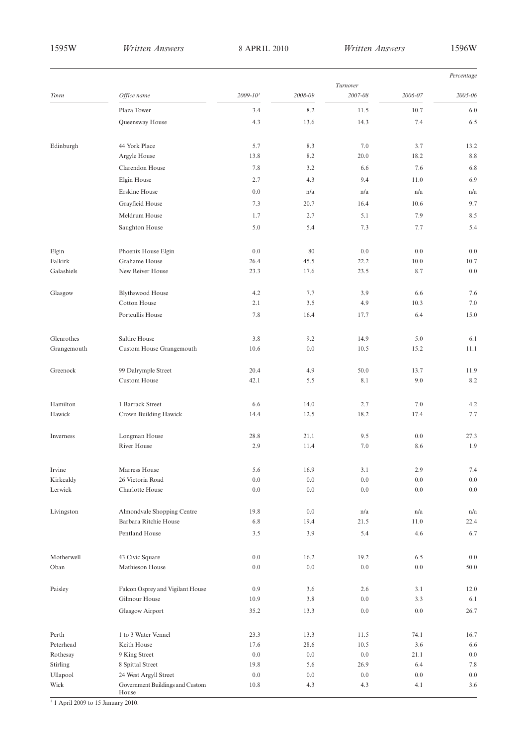| Turnover<br>Office name<br>$2009 - 101$<br>2008-09<br>2007-08<br>Town<br>2006-07<br>8.2<br>10.7<br>Plaza Tower<br>3.4<br>11.5<br>Queensway House<br>4.3<br>13.6<br>14.3<br>7.4<br>44 York Place<br>Edinburgh<br>5.7<br>8.3<br>7.0<br>3.7<br>Argyle House<br>8.2<br>20.0<br>18.2<br>13.8<br>Clarendon House<br>7.8<br>3.2<br>6.6<br>7.6<br>Elgin House<br>2.7<br>9.4<br>11.0<br>4.3<br>Erskine House<br>n/a<br>0.0<br>n/a<br>n/a<br>Grayfieid House<br>10.6<br>7.3<br>20.7<br>16.4<br>Meldrum House<br>2.7<br>5.1<br>7.9<br>1.7<br>Saughton House<br>5.0<br>5.4<br>7.3<br>7.7<br>Elgin<br>Phoenix House Elgin<br>0.0<br>0.0<br>80<br>0.0<br>Falkirk<br>Grahame House<br>26.4<br>45.5<br>22.2<br>10.0<br>Galashiels<br>New Reiver House<br>23.3<br>17.6<br>23.5<br>8.7 | Percentage |
|----------------------------------------------------------------------------------------------------------------------------------------------------------------------------------------------------------------------------------------------------------------------------------------------------------------------------------------------------------------------------------------------------------------------------------------------------------------------------------------------------------------------------------------------------------------------------------------------------------------------------------------------------------------------------------------------------------------------------------------------------------------------|------------|
|                                                                                                                                                                                                                                                                                                                                                                                                                                                                                                                                                                                                                                                                                                                                                                      |            |
|                                                                                                                                                                                                                                                                                                                                                                                                                                                                                                                                                                                                                                                                                                                                                                      | 2005-06    |
|                                                                                                                                                                                                                                                                                                                                                                                                                                                                                                                                                                                                                                                                                                                                                                      | 6.0        |
|                                                                                                                                                                                                                                                                                                                                                                                                                                                                                                                                                                                                                                                                                                                                                                      | 6.5        |
|                                                                                                                                                                                                                                                                                                                                                                                                                                                                                                                                                                                                                                                                                                                                                                      | 13.2       |
|                                                                                                                                                                                                                                                                                                                                                                                                                                                                                                                                                                                                                                                                                                                                                                      | 8.8        |
|                                                                                                                                                                                                                                                                                                                                                                                                                                                                                                                                                                                                                                                                                                                                                                      | 6.8        |
|                                                                                                                                                                                                                                                                                                                                                                                                                                                                                                                                                                                                                                                                                                                                                                      | 6.9        |
|                                                                                                                                                                                                                                                                                                                                                                                                                                                                                                                                                                                                                                                                                                                                                                      | n/a        |
|                                                                                                                                                                                                                                                                                                                                                                                                                                                                                                                                                                                                                                                                                                                                                                      | 9.7        |
|                                                                                                                                                                                                                                                                                                                                                                                                                                                                                                                                                                                                                                                                                                                                                                      | 8.5        |
|                                                                                                                                                                                                                                                                                                                                                                                                                                                                                                                                                                                                                                                                                                                                                                      | 5.4        |
|                                                                                                                                                                                                                                                                                                                                                                                                                                                                                                                                                                                                                                                                                                                                                                      |            |
|                                                                                                                                                                                                                                                                                                                                                                                                                                                                                                                                                                                                                                                                                                                                                                      | 0.0        |
|                                                                                                                                                                                                                                                                                                                                                                                                                                                                                                                                                                                                                                                                                                                                                                      | 10.7       |
|                                                                                                                                                                                                                                                                                                                                                                                                                                                                                                                                                                                                                                                                                                                                                                      | 0.0        |
| Glasgow<br><b>Blythswood House</b><br>4.2<br>7.7<br>3.9<br>6.6                                                                                                                                                                                                                                                                                                                                                                                                                                                                                                                                                                                                                                                                                                       | 7.6        |
| Cotton House<br>2.1<br>3.5<br>10.3<br>4.9                                                                                                                                                                                                                                                                                                                                                                                                                                                                                                                                                                                                                                                                                                                            | 7.0        |
| Portcullis House<br>7.8<br>16.4<br>6.4<br>17.7                                                                                                                                                                                                                                                                                                                                                                                                                                                                                                                                                                                                                                                                                                                       | 15.0       |
| Glenrothes<br>Saltire House<br>9.2                                                                                                                                                                                                                                                                                                                                                                                                                                                                                                                                                                                                                                                                                                                                   | 6.1        |
| 3.8<br>5.0<br>14.9<br>Custom House Grangemouth<br>0.0<br>15.2<br>Grangemouth<br>10.6<br>10.5                                                                                                                                                                                                                                                                                                                                                                                                                                                                                                                                                                                                                                                                         | 11.1       |
|                                                                                                                                                                                                                                                                                                                                                                                                                                                                                                                                                                                                                                                                                                                                                                      |            |
| 99 Dalrymple Street<br>4.9<br>50.0<br>13.7<br>Greenock<br>20.4                                                                                                                                                                                                                                                                                                                                                                                                                                                                                                                                                                                                                                                                                                       | 11.9       |
| Custom House<br>42.1<br>5.5<br>8.1<br>9.0                                                                                                                                                                                                                                                                                                                                                                                                                                                                                                                                                                                                                                                                                                                            | 8.2        |
| Hamilton<br>1 Barrack Street<br>6.6<br>14.0<br>2.7<br>7.0                                                                                                                                                                                                                                                                                                                                                                                                                                                                                                                                                                                                                                                                                                            | 4.2        |
| Hawick<br>Crown Building Hawick<br>12.5<br>18.2<br>17.4<br>14.4                                                                                                                                                                                                                                                                                                                                                                                                                                                                                                                                                                                                                                                                                                      | 7.7        |
|                                                                                                                                                                                                                                                                                                                                                                                                                                                                                                                                                                                                                                                                                                                                                                      |            |
| Longman House<br>28.8<br>21.1<br>9.5<br>0.0<br>Inverness                                                                                                                                                                                                                                                                                                                                                                                                                                                                                                                                                                                                                                                                                                             | 27.3       |
| River House<br>2.9<br>11.4<br>7.0<br>8.6                                                                                                                                                                                                                                                                                                                                                                                                                                                                                                                                                                                                                                                                                                                             | 1.9        |
| Irvine<br>Marress House<br>5.6<br>16.9<br>3.1<br>2.9                                                                                                                                                                                                                                                                                                                                                                                                                                                                                                                                                                                                                                                                                                                 | 7.4        |
| $0.0\,$<br>Kirkcaldy<br>26 Victoria Road<br>0.0<br>$0.0\,$<br>$0.0\,$                                                                                                                                                                                                                                                                                                                                                                                                                                                                                                                                                                                                                                                                                                | 0.0        |
| Lerwick<br>Charlotte House<br>0.0<br>$0.0\,$<br>$0.0\,$<br>0.0                                                                                                                                                                                                                                                                                                                                                                                                                                                                                                                                                                                                                                                                                                       | 0.0        |
| Almondvale Shopping Centre<br>Livingston<br>19.8<br>0.0<br>n/a<br>n/a                                                                                                                                                                                                                                                                                                                                                                                                                                                                                                                                                                                                                                                                                                | n/a        |
| Barbara Ritchie House<br>6.8<br>19.4<br>21.5<br>11.0                                                                                                                                                                                                                                                                                                                                                                                                                                                                                                                                                                                                                                                                                                                 | 22.4       |
| Pentland House<br>3.5<br>3.9<br>5.4<br>4.6                                                                                                                                                                                                                                                                                                                                                                                                                                                                                                                                                                                                                                                                                                                           | 6.7        |
|                                                                                                                                                                                                                                                                                                                                                                                                                                                                                                                                                                                                                                                                                                                                                                      |            |
| Motherwell<br>43 Civic Square<br>0.0<br>16.2<br>19.2<br>6.5                                                                                                                                                                                                                                                                                                                                                                                                                                                                                                                                                                                                                                                                                                          | 0.0        |
| Oban<br>Mathieson House<br>0.0<br>$0.0\,$<br>0.0<br>0.0                                                                                                                                                                                                                                                                                                                                                                                                                                                                                                                                                                                                                                                                                                              | 50.0       |
| Falcon Osprey and Vigilant House<br>0.9<br>3.6<br>2.6<br>3.1<br>Paisley                                                                                                                                                                                                                                                                                                                                                                                                                                                                                                                                                                                                                                                                                              | 12.0       |
| Gilmour House<br>3.8<br>$0.0\,$<br>3.3<br>10.9                                                                                                                                                                                                                                                                                                                                                                                                                                                                                                                                                                                                                                                                                                                       | 6.1        |
| $0.0\,$<br><b>Glasgow Airport</b><br>35.2<br>13.3<br>0.0                                                                                                                                                                                                                                                                                                                                                                                                                                                                                                                                                                                                                                                                                                             | 26.7       |
|                                                                                                                                                                                                                                                                                                                                                                                                                                                                                                                                                                                                                                                                                                                                                                      |            |
| Perth<br>1 to 3 Water Vennel<br>23.3<br>13.3<br>11.5<br>74.1                                                                                                                                                                                                                                                                                                                                                                                                                                                                                                                                                                                                                                                                                                         | 16.7       |
| Peterhead<br>Keith House<br>17.6<br>28.6<br>10.5<br>3.6                                                                                                                                                                                                                                                                                                                                                                                                                                                                                                                                                                                                                                                                                                              | 6.6        |
| Rothesay<br>9 King Street<br>0.0<br>0.0<br>0.0<br>21.1                                                                                                                                                                                                                                                                                                                                                                                                                                                                                                                                                                                                                                                                                                               | 0.0        |
| Stirling<br>8 Spittal Street<br>19.8<br>26.9<br>6.4<br>5.6<br>Ullapool<br>24 West Argyll Street<br>0.0<br>0.0<br>$0.0\,$<br>0.0                                                                                                                                                                                                                                                                                                                                                                                                                                                                                                                                                                                                                                      | 7.8<br>0.0 |
| Wick<br>Government Buildings and Custom<br>10.8<br>4.3<br>4.3<br>4.1<br>House                                                                                                                                                                                                                                                                                                                                                                                                                                                                                                                                                                                                                                                                                        | 3.6        |

<sup>1</sup> 1 April 2009 to 15 January 2010.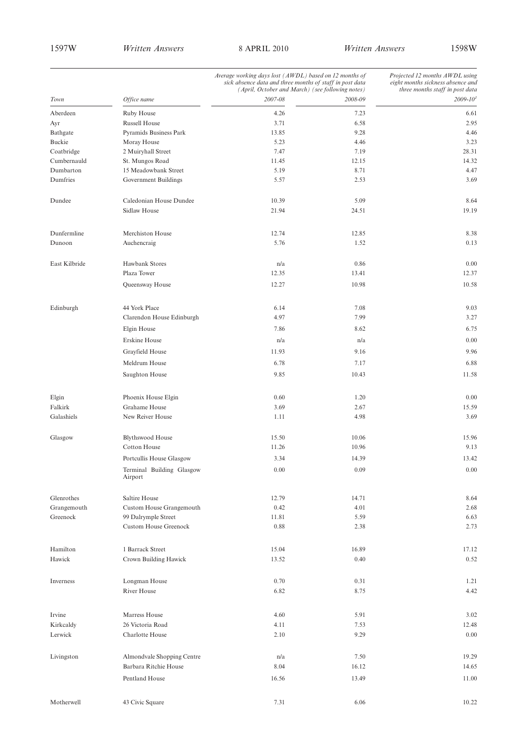|                          | Average working days lost (AWDL) based on 12 months of<br>sick absence data and three months of staff in post data<br>(April, October and March) (see following notes) |               |               | Projected 12 months AWDL using<br>eight months sickness absence and<br>three months staff in post data |  |
|--------------------------|------------------------------------------------------------------------------------------------------------------------------------------------------------------------|---------------|---------------|--------------------------------------------------------------------------------------------------------|--|
| Town                     | Office name                                                                                                                                                            | 2007-08       | 2008-09       | $2009 - 10^{1}$                                                                                        |  |
| Aberdeen                 | Ruby House                                                                                                                                                             | 4.26          | 7.23          | 6.61                                                                                                   |  |
| Ayr                      | <b>Russell House</b>                                                                                                                                                   | 3.71          | 6.58          | 2.95                                                                                                   |  |
| Bathgate                 | Pyramids Business Park                                                                                                                                                 | 13.85         | 9.28          | 4.46                                                                                                   |  |
| Buckie                   | Moray House                                                                                                                                                            | 5.23          | 4.46          | 3.23                                                                                                   |  |
| Coatbridge               | 2 Muiryhall Street                                                                                                                                                     | 7.47          | 7.19          | 28.31                                                                                                  |  |
| Cumbernauld<br>Dumbarton | St. Mungos Road<br>15 Meadowbank Street                                                                                                                                | 11.45<br>5.19 | 12.15<br>8.71 | 14.32                                                                                                  |  |
| Dumfries                 | Government Buildings                                                                                                                                                   | 5.57          | 2.53          | 4.47<br>3.69                                                                                           |  |
|                          |                                                                                                                                                                        |               |               |                                                                                                        |  |
| Dundee                   | Caledonian House Dundee                                                                                                                                                | 10.39         | 5.09          | 8.64                                                                                                   |  |
|                          | Sidlaw House                                                                                                                                                           | 21.94         | 24.51         | 19.19                                                                                                  |  |
| Dunfermline              | Merchiston House                                                                                                                                                       | 12.74         | 12.85         | 8.38                                                                                                   |  |
| Dunoon                   | Auchencraig                                                                                                                                                            | 5.76          | 1.52          | 0.13                                                                                                   |  |
| East Kilbride            | Hawbank Stores                                                                                                                                                         | n/a           | 0.86          | 0.00                                                                                                   |  |
|                          | Plaza Tower                                                                                                                                                            | 12.35         | 13.41         | 12.37                                                                                                  |  |
|                          | Queensway House                                                                                                                                                        | 12.27         | 10.98         | 10.58                                                                                                  |  |
| Edinburgh                | 44 York Place                                                                                                                                                          | 6.14          | 7.08          | 9.03                                                                                                   |  |
|                          | Clarendon House Edinburgh                                                                                                                                              | 4.97          | 7.99          | 3.27                                                                                                   |  |
|                          | Elgin House                                                                                                                                                            | 7.86          | 8.62          | 6.75                                                                                                   |  |
|                          | Erskine House                                                                                                                                                          | n/a           | n/a           | 0.00                                                                                                   |  |
|                          | Grayfield House                                                                                                                                                        | 11.93         | 9.16          | 9.96                                                                                                   |  |
|                          | Meldrum House                                                                                                                                                          | 6.78          | 7.17          | 6.88                                                                                                   |  |
|                          | Saughton House                                                                                                                                                         | 9.85          | 10.43         | 11.58                                                                                                  |  |
| Elgin                    | Phoenix House Elgin                                                                                                                                                    | 0.60          | 1.20          | 0.00                                                                                                   |  |
| Falkirk                  | Grahame House                                                                                                                                                          | 3.69          | 2.67          | 15.59                                                                                                  |  |
| Galashiels               | New Reiver House                                                                                                                                                       | 1.11          | 4.98          | 3.69                                                                                                   |  |
| Glasgow                  | <b>Blythswood House</b>                                                                                                                                                | 15.50         | 10.06         | 15.96                                                                                                  |  |
|                          | <b>Cotton House</b>                                                                                                                                                    | 11.26         | 10.96         | 9.13                                                                                                   |  |
|                          | Portcullis House Glasgow                                                                                                                                               | 3.34          | 14.39         | 13.42                                                                                                  |  |
|                          | Terminal Building Glasgow<br>Airport                                                                                                                                   | $0.00\,$      | 0.09          | $0.00\,$                                                                                               |  |
| Glenrothes               | Saltire House                                                                                                                                                          | 12.79         | 14.71         | 8.64                                                                                                   |  |
| Grangemouth              | Custom House Grangemouth                                                                                                                                               | 0.42          | 4.01          | 2.68                                                                                                   |  |
| Greenock                 | 99 Dalrymple Street                                                                                                                                                    | 11.81         | 5.59          | 6.63                                                                                                   |  |
|                          | <b>Custom House Greenock</b>                                                                                                                                           | 0.88          | 2.38          | 2.73                                                                                                   |  |
| Hamilton                 | 1 Barrack Street                                                                                                                                                       | 15.04         | 16.89         | 17.12                                                                                                  |  |
| Hawick                   | Crown Building Hawick                                                                                                                                                  | 13.52         | 0.40          | 0.52                                                                                                   |  |
|                          |                                                                                                                                                                        |               |               |                                                                                                        |  |
| Inverness                | Longman House                                                                                                                                                          | 0.70          | 0.31          | 1.21                                                                                                   |  |
|                          | River House                                                                                                                                                            | 6.82          | 8.75          | 4.42                                                                                                   |  |
| Irvine                   | Marress House                                                                                                                                                          | 4.60          | 5.91          | 3.02                                                                                                   |  |
| Kirkcaldy                | 26 Victoria Road                                                                                                                                                       | 4.11          | 7.53          | 12.48                                                                                                  |  |
| Lerwick                  | Charlotte House                                                                                                                                                        | 2.10          | 9.29          | 0.00                                                                                                   |  |
| Livingston               | Almondvale Shopping Centre                                                                                                                                             | n/a           | 7.50          | 19.29                                                                                                  |  |
|                          | Barbara Ritchie House                                                                                                                                                  | 8.04          | 16.12         | 14.65                                                                                                  |  |
|                          | Pentland House                                                                                                                                                         | 16.56         | 13.49         | 11.00                                                                                                  |  |
|                          |                                                                                                                                                                        |               |               |                                                                                                        |  |
| Motherwell               | 43 Civic Square                                                                                                                                                        | 7.31          | 6.06          | 10.22                                                                                                  |  |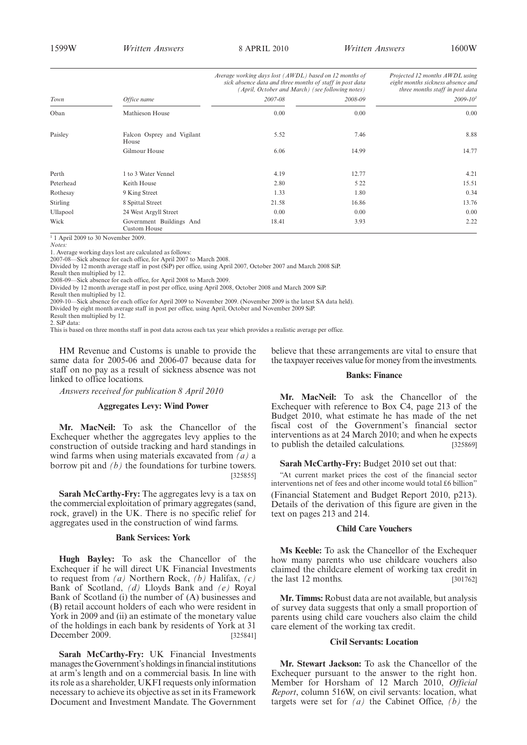1599W *Written Answers* 8 APRIL 2010 *Written Answers* 1600W

|                 |                                          | Average working days lost (AWDL) based on 12 months of<br>sick absence data and three months of staff in post data<br>(April, October and March) (see following notes) |         | Projected 12 months AWDL using<br>eight months sickness absence and<br>three months staff in post data |
|-----------------|------------------------------------------|------------------------------------------------------------------------------------------------------------------------------------------------------------------------|---------|--------------------------------------------------------------------------------------------------------|
| Town            | Office name                              | 2007-08                                                                                                                                                                | 2008-09 | $2009 - 101$                                                                                           |
| Oban            | Mathieson House                          | 0.00                                                                                                                                                                   | 0.00    | 0.00                                                                                                   |
| Paisley         | Falcon Osprey and Vigilant<br>House      | 5.52                                                                                                                                                                   | 7.46    | 8.88                                                                                                   |
|                 | Gilmour House                            | 6.06                                                                                                                                                                   | 14.99   | 14.77                                                                                                  |
| Perth           | 1 to 3 Water Vennel                      | 4.19                                                                                                                                                                   | 12.77   | 4.21                                                                                                   |
| Peterhead       | Keith House                              | 2.80                                                                                                                                                                   | 5 2 2   | 15.51                                                                                                  |
| Rothesay        | 9 King Street                            | 1.33                                                                                                                                                                   | 1.80    | 0.34                                                                                                   |
| <b>Stirling</b> | 8 Spittal Street                         | 21.58                                                                                                                                                                  | 16.86   | 13.76                                                                                                  |
| Ullapool        | 24 West Argyll Street                    | 0.00                                                                                                                                                                   | 0.00    | 0.00                                                                                                   |
| Wick            | Government Buildings And<br>Custom House | 18.41                                                                                                                                                                  | 3.93    | 2.22                                                                                                   |

 $1$  1 April 2009 to 30 November 2009.

*Notes:*

1. Average working days lost are calculated as follows:

2007-08—Sick absence for each office, for April 2007 to March 2008.

Divided by 12 month average staff in post (SiP) per office, using April 2007, October 2007 and March 2008 SiP. Result then multiplied by 12.

2008-09—Sick absence for each office, for April 2008 to March 2009.

Divided by 12 month average staff in post per office, using April 2008, October 2008 and March 2009 SiP.

Result then multiplied by 12.

2009-10—Sick absence for each office for April 2009 to November 2009. (November 2009 is the latest SA data held). Divided by eight month average staff in post per office, using April, October and November 2009 SiP.

Result then multiplied by 12.

2. SiP data:

This is based on three months staff in post data across each tax year which provides a realistic average per office.

HM Revenue and Customs is unable to provide the same data for 2005-06 and 2006-07 because data for staff on no pay as a result of sickness absence was not linked to office locations.

*Answers received for publication 8 April 2010*

#### **Aggregates Levy: Wind Power**

**Mr. MacNeil:** To ask the Chancellor of the Exchequer whether the aggregates levy applies to the construction of outside tracking and hard standings in wind farms when using materials excavated from *(a)* a borrow pit and *(b)* the foundations for turbine towers. [325855]

**Sarah McCarthy-Fry:** The aggregates levy is a tax on the commercial exploitation of primary aggregates (sand, rock, gravel) in the UK. There is no specific relief for aggregates used in the construction of wind farms.

#### **Bank Services: York**

**Hugh Bayley:** To ask the Chancellor of the Exchequer if he will direct UK Financial Investments to request from *(a)* Northern Rock, *(b)* Halifax, *(c)* Bank of Scotland, *(d)* Lloyds Bank and *(e)* Royal Bank of Scotland (i) the number of (A) businesses and (B) retail account holders of each who were resident in York in 2009 and (ii) an estimate of the monetary value of the holdings in each bank by residents of York at 31 December 2009. [325841]

**Sarah McCarthy-Fry:** UK Financial Investments manages theGovernment's holdings in financial institutions at arm's length and on a commercial basis. In line with its role as a shareholder, UKFI requests only information necessary to achieve its objective as set in its Framework Document and Investment Mandate. The Government believe that these arrangements are vital to ensure that the taxpayer receives value for money from the investments.

#### **Banks: Finance**

**Mr. MacNeil:** To ask the Chancellor of the Exchequer with reference to Box C4, page 213 of the Budget 2010, what estimate he has made of the net fiscal cost of the Government's financial sector interventions as at 24 March 2010; and when he expects to publish the detailed calculations. [325869]

#### **Sarah McCarthy-Fry:** Budget 2010 set out that:

"At current market prices the cost of the financial sector interventions net of fees and other income would total £6 billion" (Financial Statement and Budget Report 2010, p213). Details of the derivation of this figure are given in the text on pages 213 and 214.

#### **Child Care Vouchers**

**Ms Keeble:** To ask the Chancellor of the Exchequer how many parents who use childcare vouchers also claimed the childcare element of working tax credit in the last 12 months. [301762]

**Mr. Timms:** Robust data are not available, but analysis of survey data suggests that only a small proportion of parents using child care vouchers also claim the child care element of the working tax credit.

#### **Civil Servants: Location**

**Mr. Stewart Jackson:** To ask the Chancellor of the Exchequer pursuant to the answer to the right hon. Member for Horsham of 12 March 2010, *Official Report*, column 516W, on civil servants: location, what targets were set for *(a)* the Cabinet Office, *(b)* the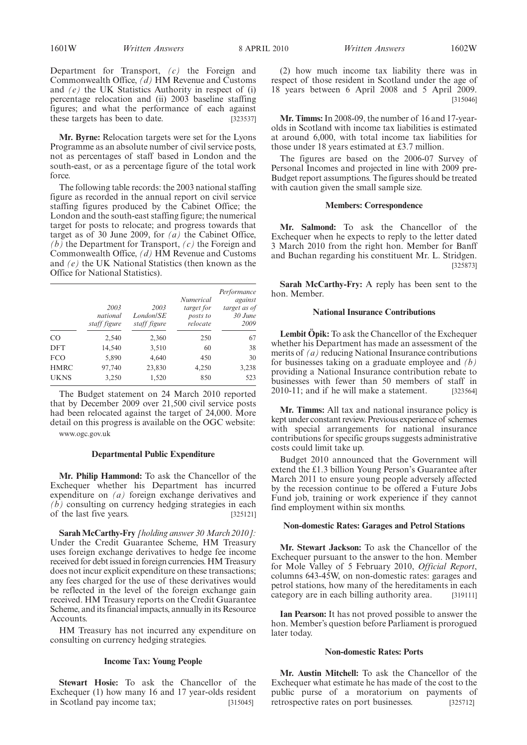Department for Transport, *(c)* the Foreign and Commonwealth Office, *(d)* HM Revenue and Customs and *(e)* the UK Statistics Authority in respect of (i) percentage relocation and (ii) 2003 baseline staffing figures; and what the performance of each against these targets has been to date. [323537]

**Mr. Byrne:** Relocation targets were set for the Lyons Programme as an absolute number of civil service posts, not as percentages of staff based in London and the south-east, or as a percentage figure of the total work force.

The following table records: the 2003 national staffing figure as recorded in the annual report on civil service staffing figures produced by the Cabinet Office; the London and the south-east staffing figure; the numerical target for posts to relocate; and progress towards that target as of 30 June 2009, for *(a)* the Cabinet Office, *(b)* the Department for Transport, *(c)* the Foreign and Commonwealth Office, *(d)* HM Revenue and Customs and *(e)* the UK National Statistics (then known as the Office for National Statistics).

|             | 2003<br>national<br>staff figure | 2003<br>London/SE<br>staff figure | <i>Numerical</i><br>target for<br>posts to<br>relocate | Performance<br>against<br>target as of<br>$30$ June<br>2009 |
|-------------|----------------------------------|-----------------------------------|--------------------------------------------------------|-------------------------------------------------------------|
| CO.         | 2,540                            | 2,360                             | 250                                                    | 67                                                          |
| <b>DFT</b>  | 14,540                           | 3,510                             | 60                                                     | 38                                                          |
| <b>FCO</b>  | 5,890                            | 4,640                             | 450                                                    | 30                                                          |
| <b>HMRC</b> | 97,740                           | 23,830                            | 4,250                                                  | 3,238                                                       |
| <b>UKNS</b> | 3,250                            | 1,520                             | 850                                                    | 523                                                         |

The Budget statement on 24 March 2010 reported that by December 2009 over 21,500 civil service posts had been relocated against the target of 24,000. More detail on this progress is available on the OGC website:

www.ogc.gov.uk

#### **Departmental Public Expenditure**

**Mr. Philip Hammond:** To ask the Chancellor of the Exchequer whether his Department has incurred expenditure on *(a)* foreign exchange derivatives and *(b)* consulting on currency hedging strategies in each of the last five years. [325121]

**Sarah McCarthy-Fry** *[holding answer 30 March 2010]:* Under the Credit Guarantee Scheme, HM Treasury uses foreign exchange derivatives to hedge fee income received for debt issued in foreign currencies. HM Treasury does not incur explicit expenditure on these transactions; any fees charged for the use of these derivatives would be reflected in the level of the foreign exchange gain received. HM Treasury reports on the Credit Guarantee Scheme, and its financial impacts, annually in its Resource Accounts.

HM Treasury has not incurred any expenditure on consulting on currency hedging strategies.

#### **Income Tax: Young People**

**Stewart Hosie:** To ask the Chancellor of the Exchequer (1) how many 16 and 17 year-olds resident in Scotland pay income tax; [315045]

(2) how much income tax liability there was in respect of those resident in Scotland under the age of 18 years between 6 April 2008 and 5 April 2009. [315046]

**Mr. Timms:**In 2008-09, the number of 16 and 17-yearolds in Scotland with income tax liabilities is estimated at around 6,000, with total income tax liabilities for those under 18 years estimated at £3.7 million.

The figures are based on the 2006-07 Survey of Personal Incomes and projected in line with 2009 pre-Budget report assumptions. The figures should be treated with caution given the small sample size.

#### **Members: Correspondence**

**Mr. Salmond:** To ask the Chancellor of the Exchequer when he expects to reply to the letter dated 3 March 2010 from the right hon. Member for Banff and Buchan regarding his constituent Mr. L. Stridgen. [325873]

**Sarah McCarthy-Fry:** A reply has been sent to the hon. Member.

#### **National Insurance Contributions**

**Lembit Öpik:** To ask the Chancellor of the Exchequer whether his Department has made an assessment of the merits of *(a)* reducing National Insurance contributions for businesses taking on a graduate employee and *(b)* providing a National Insurance contribution rebate to businesses with fewer than 50 members of staff in 2010-11; and if he will make a statement. [323564]

**Mr. Timms:** All tax and national insurance policy is kept under constant review. Previous experience of schemes with special arrangements for national insurance contributions for specific groups suggests administrative costs could limit take up.

Budget 2010 announced that the Government will extend the £1.3 billion Young Person's Guarantee after March 2011 to ensure young people adversely affected by the recession continue to be offered a Future Jobs Fund job, training or work experience if they cannot find employment within six months.

#### **Non-domestic Rates: Garages and Petrol Stations**

**Mr. Stewart Jackson:** To ask the Chancellor of the Exchequer pursuant to the answer to the hon. Member for Mole Valley of 5 February 2010, *Official Report*, columns 643-45W, on non-domestic rates: garages and petrol stations, how many of the hereditaments in each category are in each billing authority area. [319111]

**Ian Pearson:** It has not proved possible to answer the hon. Member's question before Parliament is prorogued later today.

#### **Non-domestic Rates: Ports**

**Mr. Austin Mitchell:** To ask the Chancellor of the Exchequer what estimate he has made of the cost to the public purse of a moratorium on payments of retrospective rates on port businesses. [325712]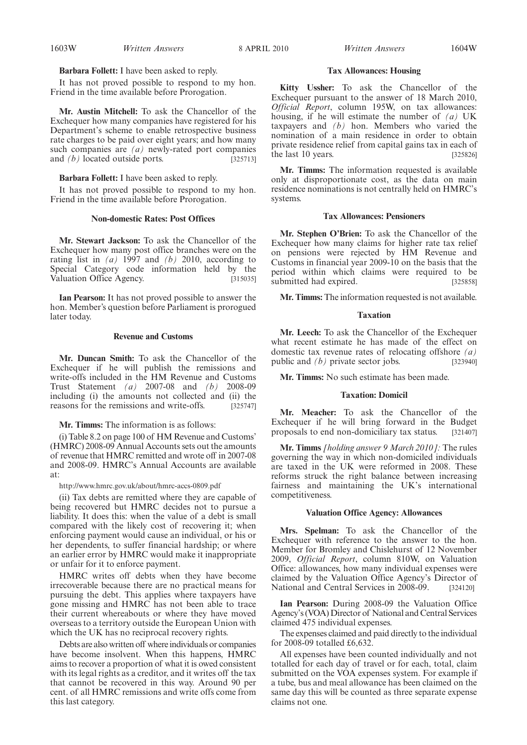#### **Barbara Follett:** I have been asked to reply.

It has not proved possible to respond to my hon. Friend in the time available before Prorogation.

**Mr. Austin Mitchell:** To ask the Chancellor of the Exchequer how many companies have registered for his Department's scheme to enable retrospective business rate charges to be paid over eight years; and how many such companies are *(a)* newly-rated port companies and  $(b)$  located outside ports.  $[325713]$ 

**Barbara Follett:** I have been asked to reply.

It has not proved possible to respond to my hon. Friend in the time available before Prorogation.

#### **Non-domestic Rates: Post Offices**

**Mr. Stewart Jackson:** To ask the Chancellor of the Exchequer how many post office branches were on the rating list in *(a)* 1997 and *(b)* 2010, according to Special Category code information held by the Valuation Office Agency. [315035]

**Ian Pearson:** It has not proved possible to answer the hon. Member's question before Parliament is prorogued later today.

#### **Revenue and Customs**

**Mr. Duncan Smith:** To ask the Chancellor of the Exchequer if he will publish the remissions and write-offs included in the HM Revenue and Customs Trust Statement *(a)* 2007-08 and *(b)* 2008-09 including (i) the amounts not collected and (ii) the reasons for the remissions and write-offs. [325747]

**Mr. Timms:** The information is as follows:

(i) Table 8.2 on page 100 of HM Revenue and Customs' (HMRC) 2008-09 Annual Accounts sets out the amounts of revenue that HMRC remitted and wrote off in 2007-08 and 2008-09. HMRC's Annual Accounts are available at:

http://www.hmrc.gov.uk/about/hmrc-accs-0809.pdf

(ii) Tax debts are remitted where they are capable of being recovered but HMRC decides not to pursue a liability. It does this: when the value of a debt is small compared with the likely cost of recovering it; when enforcing payment would cause an individual, or his or her dependents, to suffer financial hardship; or where an earlier error by HMRC would make it inappropriate or unfair for it to enforce payment.

HMRC writes off debts when they have become irrecoverable because there are no practical means for pursuing the debt. This applies where taxpayers have gone missing and HMRC has not been able to trace their current whereabouts or where they have moved overseas to a territory outside the European Union with which the UK has no reciprocal recovery rights.

Debts are also written off where individuals or companies have become insolvent. When this happens, HMRC aims to recover a proportion of what it is owed consistent with its legal rights as a creditor, and it writes off the tax that cannot be recovered in this way. Around 90 per cent. of all HMRC remissions and write offs come from this last category.

#### **Tax Allowances: Housing**

**Kitty Ussher:** To ask the Chancellor of the Exchequer pursuant to the answer of 18 March 2010, *Official Report*, column 195W, on tax allowances: housing, if he will estimate the number of *(a)* UK taxpayers and *(b)* hon. Members who varied the nomination of a main residence in order to obtain private residence relief from capital gains tax in each of the last 10 years. [325826]

**Mr. Timms:** The information requested is available only at disproportionate cost, as the data on main residence nominations is not centrally held on HMRC's systems.

#### **Tax Allowances: Pensioners**

**Mr. Stephen O'Brien:** To ask the Chancellor of the Exchequer how many claims for higher rate tax relief on pensions were rejected by HM Revenue and Customs in financial year 2009-10 on the basis that the period within which claims were required to be submitted had expired. [325858]

**Mr. Timms:** The information requested is not available.

#### **Taxation**

**Mr. Leech:** To ask the Chancellor of the Exchequer what recent estimate he has made of the effect on domestic tax revenue rates of relocating offshore *(a)* public and *(b)* private sector jobs. [323940]

**Mr. Timms:** No such estimate has been made.

#### **Taxation: Domicil**

**Mr. Meacher:** To ask the Chancellor of the Exchequer if he will bring forward in the Budget proposals to end non-domiciliary tax status. [321407]

**Mr. Timms** *[holding answer 9 March 2010]:* The rules governing the way in which non-domiciled individuals are taxed in the UK were reformed in 2008. These reforms struck the right balance between increasing fairness and maintaining the UK's international competitiveness.

#### **Valuation Office Agency: Allowances**

**Mrs. Spelman:** To ask the Chancellor of the Exchequer with reference to the answer to the hon. Member for Bromley and Chislehurst of 12 November 2009, *Official Report*, column 810W, on Valuation Office: allowances, how many individual expenses were claimed by the Valuation Office Agency's Director of National and Central Services in 2008-09. [324120]

**Ian Pearson:** During 2008-09 the Valuation Office Agency's (VOA) Director of National and Central Services claimed 475 individual expenses.

The expenses claimed and paid directly to the individual for 2008-09 totalled £6,632.

All expenses have been counted individually and not totalled for each day of travel or for each, total, claim submitted on the VOA expenses system. For example if a tube, bus and meal allowance has been claimed on the same day this will be counted as three separate expense claims not one.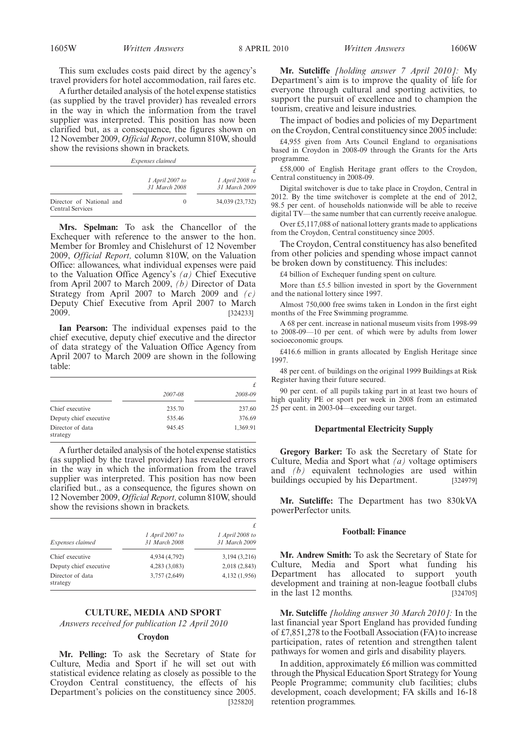This sum excludes costs paid direct by the agency's travel providers for hotel accommodation, rail fares etc.

A further detailed analysis of the hotel expense statistics (as supplied by the travel provider) has revealed errors in the way in which the information from the travel supplier was interpreted. This position has now been clarified but, as a consequence, the figures shown on 12 November 2009, *Official Report*, column 810W, should show the revisions shown in brackets.

*Expenses claimed*

|                                                     | 1 April 2007 to<br>31 March 2008 | 1 April 2008 to<br>31 March 2009 |
|-----------------------------------------------------|----------------------------------|----------------------------------|
| Director of National and<br><b>Central Services</b> | $\Omega$                         | 34,039 (23,732)                  |

**Mrs. Spelman:** To ask the Chancellor of the Exchequer with reference to the answer to the hon. Member for Bromley and Chislehurst of 12 November 2009, *Official Report,* column 810W, on the Valuation Office: allowances, what individual expenses were paid to the Valuation Office Agency's *(a)* Chief Executive from April 2007 to March 2009, *(b)* Director of Data Strategy from April 2007 to March 2009 and *(c)* Deputy Chief Executive from April 2007 to March 2009. [324233]

**Ian Pearson:** The individual expenses paid to the chief executive, deputy chief executive and the director of data strategy of the Valuation Office Agency from April 2007 to March 2009 are shown in the following table:

|                              |         | £        |
|------------------------------|---------|----------|
|                              | 2007-08 | 2008-09  |
| Chief executive              | 235.70  | 237.60   |
| Deputy chief executive       | 535.46  | 376.69   |
| Director of data<br>strategy | 945.45  | 1,369.91 |

A further detailed analysis of the hotel expense statistics (as supplied by the travel provider) has revealed errors in the way in which the information from the travel supplier was interpreted. This position has now been clarified but., as a consequence, the figures shown on 12 November 2009, *Official Report,* column 810W, should show the revisions shown in brackets.

|                              |                                  | £<br>1 April 2008 to<br>31 March 2009 |  |
|------------------------------|----------------------------------|---------------------------------------|--|
| Expenses claimed             | 1 April 2007 to<br>31 March 2008 |                                       |  |
| Chief executive              | 4,934 (4,792)                    | 3,194(3,216)                          |  |
| Deputy chief executive       | 4,283 (3,083)                    | 2,018(2,843)                          |  |
| Director of data<br>strategy | 3,757 (2,649)                    | 4,132 (1,956)                         |  |

#### **CULTURE, MEDIA AND SPORT**

*Answers received for publication 12 April 2010*

#### **Croydon**

**Mr. Pelling:** To ask the Secretary of State for Culture, Media and Sport if he will set out with statistical evidence relating as closely as possible to the Croydon Central constituency, the effects of his Department's policies on the constituency since 2005. [325820]

**Mr. Sutcliffe** *[holding answer 7 April 2010]:* My Department's aim is to improve the quality of life for everyone through cultural and sporting activities, to support the pursuit of excellence and to champion the tourism, creative and leisure industries.

The impact of bodies and policies of my Department on the Croydon, Central constituency since 2005 include:

£4,955 given from Arts Council England to organisations based in Croydon in 2008-09 through the Grants for the Arts programme.

£58,000 of English Heritage grant offers to the Croydon, Central constituency in 2008-09.

Digital switchover is due to take place in Croydon, Central in 2012. By the time switchover is complete at the end of 2012, 98.5 per cent. of households nationwide will be able to receive digital TV—the same number that can currently receive analogue.

Over £5,117,088 of national lottery grants made to applications from the Croydon, Central constituency since 2005.

The Croydon, Central constituency has also benefited from other policies and spending whose impact cannot be broken down by constituency. This includes:

£4 billion of Exchequer funding spent on culture.

More than £5.5 billion invested in sport by the Government and the national lottery since 1997.

Almost 750,000 free swims taken in London in the first eight months of the Free Swimming programme.

A 68 per cent. increase in national museum visits from 1998-99 to 2008-09—10 per cent. of which were by adults from lower socioeconomic groups.

£416.6 million in grants allocated by English Heritage since 1997.

48 per cent. of buildings on the original 1999 Buildings at Risk Register having their future secured.

90 per cent. of all pupils taking part in at least two hours of high quality PE or sport per week in 2008 from an estimated 25 per cent. in 2003-04—exceeding our target.

#### **Departmental Electricity Supply**

**Gregory Barker:** To ask the Secretary of State for Culture, Media and Sport what *(a)* voltage optimisers and *(b)* equivalent technologies are used within buildings occupied by his Department. [324979]

**Mr. Sutcliffe:** The Department has two 830kVA powerPerfector units.

#### **Football: Finance**

**Mr. Andrew Smith:** To ask the Secretary of State for Culture, Media and Sport what funding his Department has allocated to support youth development and training at non-league football clubs in the last  $12$  months. [324705]

**Mr. Sutcliffe** *[holding answer 30 March 2010]:* In the last financial year Sport England has provided funding of £7,851,278 to the Football Association (FA) to increase participation, rates of retention and strengthen talent pathways for women and girls and disability players.

In addition, approximately £6 million was committed through the Physical Education Sport Strategy for Young People Programme; community club facilities; clubs development, coach development; FA skills and 16-18 retention programmes.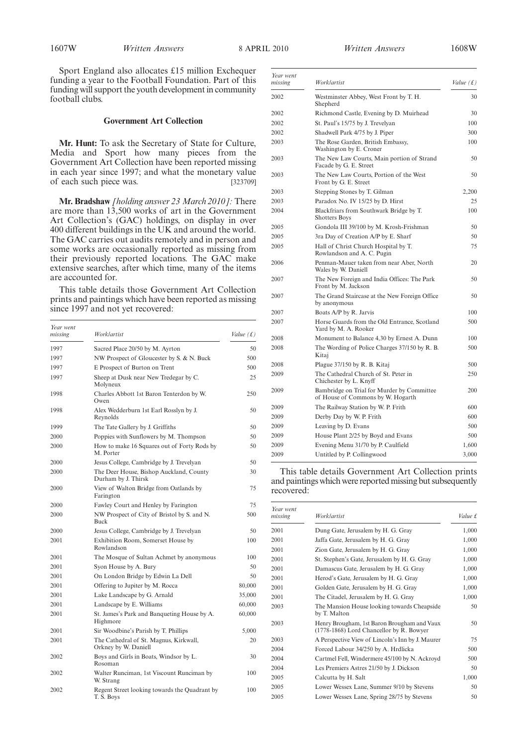Sport England also allocates £15 million Exchequer funding a year to the Football Foundation. Part of this funding will support the youth development in community football clubs.

#### **Government Art Collection**

**Mr. Hunt:** To ask the Secretary of State for Culture, Media and Sport how many pieces from the Government Art Collection have been reported missing in each year since 1997; and what the monetary value of each such piece was. [323709]

**Mr. Bradshaw** *[holding answer 23 March 2010]:* There are more than 13,500 works of art in the Government Art Collection's (GAC) holdings, on display in over 400 different buildings in the UK and around the world. The GAC carries out audits remotely and in person and some works are occasionally reported as missing from their previously reported locations. The GAC make extensive searches, after which time, many of the items are accounted for.

This table details those Government Art Collection prints and paintings which have been reported as missing since 1997 and not yet recovered:

| Year went<br>missing | Worklartist                                                    | Value $(f)$ |
|----------------------|----------------------------------------------------------------|-------------|
| 1997                 | Sacred Place 20/50 by M. Ayrton                                | 50          |
| 1997                 | NW Prospect of Gloucester by S. & N. Buck                      | 500         |
| 1997                 | E Prospect of Burton on Trent                                  | 500         |
| 1997                 | Sheep at Dusk near New Tredegar by C.<br>Molyneux              | 25          |
| 1998                 | Charles Abbott 1st Baron Tenterdon by W.<br>Owen               | 250         |
| 1998                 | Alex Wedderburn 1st Earl Rosslyn by J.<br>Reynolds             | 50          |
| 1999                 | The Tate Gallery by J. Griffiths                               | 50          |
| 2000                 | Poppies with Sunflowers by M. Thompson                         | 50          |
| 2000                 | How to make 16 Squares out of Forty Rods by<br>M. Porter       | 50          |
| 2000                 | Jesus College, Cambridge by J. Trevelyan                       | 50          |
| 2000                 | The Deer House, Bishop Auckland, County<br>Durham by J. Thirsk | 30          |
| 2000                 | View of Walton Bridge from Oatlands by<br>Farington            | 75          |
| 2000                 | Fawley Court and Henley by Farington                           | 75          |
| 2000                 | NW Prospect of City of Bristol by S. and N.<br><b>Buck</b>     | 500         |
| 2000                 | Jesus College, Cambridge by J. Trevelyan                       | 50          |
| 2001                 | Exhibition Room, Somerset House by<br>Rowlandson               | 100         |
| 2001                 | The Mosque of Sultan Achmet by anonymous                       | 100         |
| 2001                 | Syon House by A. Bury                                          | 50          |
| 2001                 | On London Bridge by Edwin La Dell                              | 50          |
| 2001                 | Offering to Jupiter by M. Rocca                                | 80,000      |
| 2001                 | Lake Landscape by G. Arnald                                    | 35,000      |
| 2001                 | Landscape by E. Williams                                       | 60,000      |
| 2001                 | St. James's Park and Banqueting House by A.<br>Highmore        | 60,000      |
| 2001                 | Sir Woodbine's Parish by T. Phillips                           | 5,000       |
| 2001                 | The Cathedral of St. Magnus, Kirkwall,<br>Orkney by W. Daniell | 20          |
| 2002                 | Boys and Girls in Boats, Windsor by L.<br>Rosoman              | 30          |
| 2002                 | Walter Runciman, 1st Viscount Runciman by<br>W. Strang         | 100         |
| 2002                 | Regent Street looking towards the Quadrant by<br>T. S. Boys    | 100         |

| Year went<br>missing | Worklartist                                                                     | Value $(f)$ |
|----------------------|---------------------------------------------------------------------------------|-------------|
| 2002                 | Westminster Abbey, West Front by T. H.<br>Shepherd                              | 30          |
| 2002                 | Richmond Castle, Evening by D. Muirhead                                         | 30          |
| 2002                 | St. Paul's 15/75 by J. Trevelyan                                                | 100         |
| 2002                 | Shadwell Park 4/75 by J. Piper                                                  | 300         |
| 2003                 | The Rose Garden, British Embassy,<br>Washington by E. Croner                    | 100         |
| 2003                 | The New Law Courts, Main portion of Strand<br>Facade by G. E. Street            | 50          |
| 2003                 | The New Law Courts, Portion of the West<br>Front by G. E. Street                | 50          |
| 2003                 | Stepping Stones by T. Gilman                                                    | 2,200       |
| 2003                 | Paradox No. IV 15/25 by D. Hirst                                                | 25          |
| 2004                 | Blackfriars from Southwark Bridge by T.<br><b>Shotters Boys</b>                 | 100         |
| 2005                 | Gondola III 39/100 by M. Krosh-Frishman                                         | 50          |
| 2005                 | 3ra Day of Creation A/P by E. Sharf                                             | 50          |
| 2005                 | Hall of Christ Church Hospital by T.<br>Rowlandson and A. C. Pugin              | 75          |
| 2006                 | Penman-Mauer taken from near Aber, North<br>Wales by W. Daniell                 | 20          |
| 2007                 | The New Foreign and India Offices: The Park<br>Front by M. Jackson              | 50          |
| 2007                 | The Grand Staircase at the New Foreign Office<br>by anonymous                   | 50          |
| 2007                 | Boats A/P by R. Jarvis                                                          | 100         |
| 2007                 | Horse Guards from the Old Entrance, Scotland<br>Yard by M. A. Rooker            | 500         |
| 2008                 | Monument to Balance 4,30 by Ernest A. Dunn                                      | 100         |
| 2008                 | The Wording of Police Charges 37/150 by R. B.<br>Kitaj                          | 500         |
| 2008                 | Plague 37/150 by R. B. Kitaj                                                    | 500         |
| 2009                 | The Cathedral Church of St. Peter in<br>Chichester by L. Knyff                  | 250         |
| 2009                 | Bambridge on Trial for Murder by Committee<br>of House of Commons by W. Hogarth | 200         |
| 2009                 | The Railway Station by W. P. Frith                                              | 600         |
| 2009                 | Derby Day by W. P. Frith                                                        | 600         |
| 2009                 | Leaving by D. Evans                                                             | 500         |
| 2009                 | House Plant 2/25 by Boyd and Evans                                              | 500         |
| 2009                 | Evening Menu 31/70 by P. Caulfield                                              | 1,600       |
| 2009                 | Untitled by P. Collingwood                                                      | 3,000       |

This table details Government Art Collection prints and paintings which were reported missing but subsequently recovered:

| Year went<br>missing | Worklartist                                                                             | Value f |
|----------------------|-----------------------------------------------------------------------------------------|---------|
| 2001                 | Dung Gate, Jerusalem by H. G. Gray                                                      | 1,000   |
| 2001                 | Jaffa Gate, Jerusalem by H. G. Gray                                                     | 1,000   |
| 2001                 | Zion Gate, Jerusalem by H. G. Gray                                                      | 1,000   |
| 2001                 | St. Stephen's Gate, Jerusalem by H. G. Gray                                             | 1,000   |
| 2001                 | Damascus Gate, Jerusalem by H. G. Gray                                                  | 1,000   |
| 2001                 | Herod's Gate, Jerusalem by H. G. Gray                                                   | 1,000   |
| 2001                 | Golden Gate, Jerusalem by H. G. Gray                                                    | 1,000   |
| 2001                 | The Citadel, Jerusalem by H. G. Gray                                                    | 1,000   |
| 2003                 | The Mansion House looking towards Cheapside<br>by T. Malton                             | 50      |
| 2003                 | Henry Brougham, 1st Baron Brougham and Vaux<br>(1778-1868) Lord Chancellor by R. Bowyer | 50      |
| 2003                 | A Perspective View of Lincoln's Inn by J. Maurer                                        | 75      |
| 2004                 | Forced Labour 34/250 by A. Hrdlicka                                                     | 500     |
| 2004                 | Cartmel Fell, Windermere 45/100 by N. Ackroyd                                           | 500     |
| 2004                 | Les Premiers Astres 21/50 by J. Dickson                                                 | 50      |
| 2005                 | Calcutta by H. Salt                                                                     | 1,000   |
| 2005                 | Lower Wessex Lane, Summer 9/10 by Stevens                                               | 50      |
| 2005                 | Lower Wessex Lane, Spring 28/75 by Stevens                                              | 50      |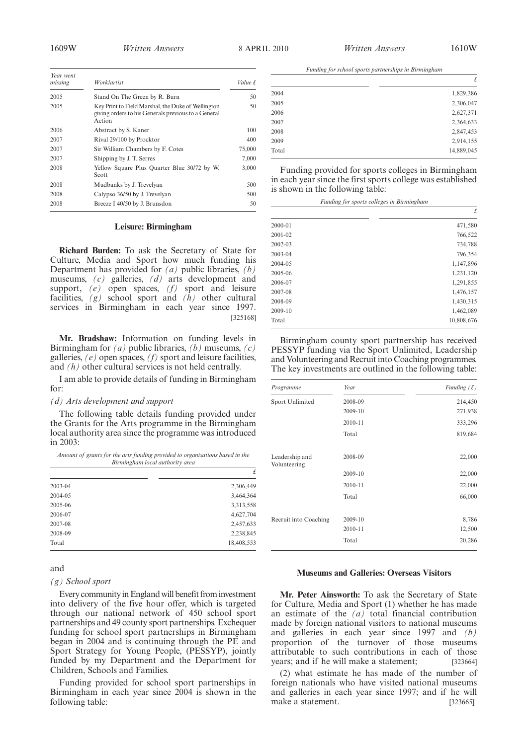*£*

*£*

*Funding for school sports partnerships in Birmingham*

2004 1,829,386 2005 2,306,047 2006 2,627,371 2007 2,364,633 2008 2,847,453 2009 2,914,155 Total 14,889,045

Funding provided for sports colleges in Birmingham in each year since the first sports college was established

*Funding for sports colleges in Birmingham*

2000-01 471,580 2001-02 766,522 2002-03 734,788 2003-04 796,354 2004-05 1,147,896 2005-06 1,231,120

is shown in the following table:

| Year went<br>missing | Worklartist                                                                                                         | Value £ |
|----------------------|---------------------------------------------------------------------------------------------------------------------|---------|
| 2005                 | Stand On The Green by R. Burn                                                                                       | 50      |
| 2005                 | Key Print to Field Marshal, the Duke of Wellington<br>giving orders to his Generals previous to a General<br>Action | 50      |
| 2006                 | Abstract by S. Kaner                                                                                                | 100     |
| 2007                 | Rival 29/100 by Procktor                                                                                            | 400     |
| 2007                 | Sir William Chambers by F. Cotes                                                                                    | 75,000  |
| 2007                 | Shipping by J. T. Serres                                                                                            | 7,000   |
| 2008                 | Yellow Square Plus Quarter Blue 30/72 by W.<br>Scott                                                                | 3.000   |
| 2008                 | Mudbanks by J. Trevelyan                                                                                            | 500     |
| 2008                 | Calypso 36/50 by J. Trevelyan                                                                                       | 500     |
| 2008                 | Breeze I 40/50 by J. Brunsdon                                                                                       | 50      |

#### **Leisure: Birmingham**

**Richard Burden:** To ask the Secretary of State for Culture, Media and Sport how much funding his Department has provided for *(a)* public libraries, *(b)* museums, *(c)* galleries, *(d)* arts development and support, *(e)* open spaces, *(f)* sport and leisure facilities,  $(g)$  school sport and  $(h)$  other cultural services in Birmingham in each year since 1997. [325168]

**Mr. Bradshaw:** Information on funding levels in Birmingham for *(a)* public libraries, *(b)* museums, *(c)* galleries, *(e)* open spaces, *(f)* sport and leisure facilities, and *(h)* other cultural services is not held centrally.

I am able to provide details of funding in Birmingham for:

#### *(d) Arts development and support*

The following table details funding provided under the Grants for the Arts programme in the Birmingham local authority area since the programme was introduced in 2003:

*Amount of grants for the arts funding provided to organisations based in the Birmingham local authority area*

|         | £          |
|---------|------------|
| 2003-04 | 2,306,449  |
| 2004-05 | 3,464,364  |
| 2005-06 | 3,313,558  |
| 2006-07 | 4,627,704  |
| 2007-08 | 2,457,633  |
| 2008-09 | 2,238,845  |
| Total   | 18,408,553 |

#### 2006-07 1,291,855 2007-08 1,476,157 2008-09 1,430,315

Birmingham county sport partnership has received PESSYP funding via the Sport Unlimited, Leadership and Volunteering and Recruit into Coaching programmes. The key investments are outlined in the following table:

2009-10 1,462,089 Total 10,808,676

| Programme                      | Year    | Funding $(f)$ |
|--------------------------------|---------|---------------|
| Sport Unlimited                | 2008-09 | 214,450       |
|                                | 2009-10 | 271,938       |
|                                | 2010-11 | 333,296       |
|                                | Total   | 819,684       |
| Leadership and<br>Volunteering | 2008-09 | 22,000        |
|                                | 2009-10 | 22,000        |
|                                | 2010-11 | 22,000        |
|                                | Total   | 66,000        |
| Recruit into Coaching          | 2009-10 | 8,786         |
|                                | 2010-11 | 12,500        |
|                                | Total   | 20,286        |

#### and

#### *(g) School sport*

Every community in England will benefit from investment into delivery of the five hour offer, which is targeted through our national network of 450 school sport partnerships and 49 county sport partnerships. Exchequer funding for school sport partnerships in Birmingham began in 2004 and is continuing through the PE and Sport Strategy for Young People, (PESSYP), jointly funded by my Department and the Department for Children, Schools and Families.

Funding provided for school sport partnerships in Birmingham in each year since 2004 is shown in the following table:

#### **Museums and Galleries: Overseas Visitors**

**Mr. Peter Ainsworth:** To ask the Secretary of State for Culture, Media and Sport (1) whether he has made an estimate of the  $(a)$  total financial contribution made by foreign national visitors to national museums and galleries in each year since 1997 and *(b)* proportion of the turnover of those museums attributable to such contributions in each of those years; and if he will make a statement; [323664]

(2) what estimate he has made of the number of foreign nationals who have visited national museums and galleries in each year since 1997; and if he will make a statement. [323665]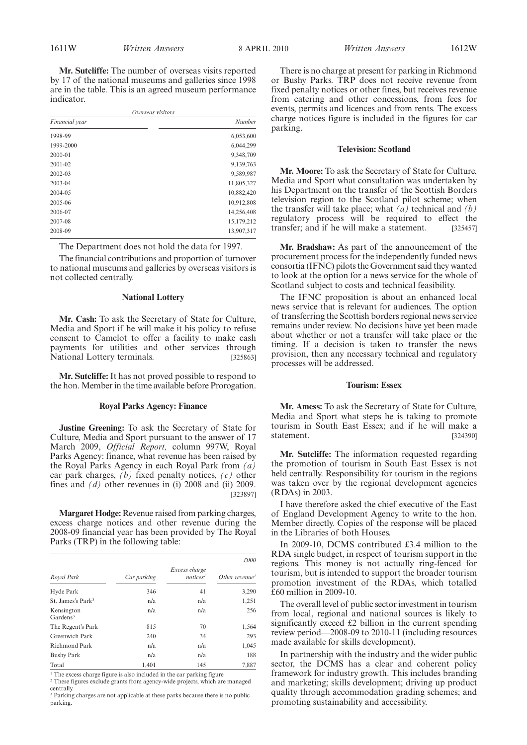**Mr. Sutcliffe:** The number of overseas visits reported by 17 of the national museums and galleries since 1998 are in the table. This is an agreed museum performance indicator.

| Overseas visitors |            |  |
|-------------------|------------|--|
| Financial year    | Number     |  |
| 1998-99           | 6,053,600  |  |
| 1999-2000         | 6,044,299  |  |
| 2000-01           | 9,348,709  |  |
| 2001-02           | 9,139,763  |  |
| 2002-03           | 9,589,987  |  |
| 2003-04           | 11,805,327 |  |
| 2004-05           | 10,882,420 |  |
| 2005-06           | 10,912,808 |  |
| 2006-07           | 14,256,408 |  |
| 2007-08           | 15,179,212 |  |
| 2008-09           | 13,907,317 |  |
|                   |            |  |

The Department does not hold the data for 1997.

The financial contributions and proportion of turnover to national museums and galleries by overseas visitors is not collected centrally.

#### **National Lottery**

**Mr. Cash:** To ask the Secretary of State for Culture, Media and Sport if he will make it his policy to refuse consent to Camelot to offer a facility to make cash payments for utilities and other services through National Lottery terminals. [325863]

**Mr. Sutcliffe:** It has not proved possible to respond to the hon. Member in the time available before Prorogation.

#### **Royal Parks Agency: Finance**

**Justine Greening:** To ask the Secretary of State for Culture, Media and Sport pursuant to the answer of 17 March 2009, *Official Report,* column 997W, Royal Parks Agency: finance, what revenue has been raised by the Royal Parks Agency in each Royal Park from *(a)* car park charges, *(b)* fixed penalty notices, *(c)* other fines and *(d)* other revenues in (i) 2008 and (ii) 2009. [323897]

**Margaret Hodge:** Revenue raised from parking charges, excess charge notices and other revenue during the 2008-09 financial year has been provided by The Royal Parks (TRP) in the following table:

|                                    |             |                                       | £000                       |
|------------------------------------|-------------|---------------------------------------|----------------------------|
| Royal Park                         | Car parking | Excess charge<br>notices <sup>1</sup> | Other revenue <sup>2</sup> |
| Hyde Park                          | 346         | 41                                    | 3,290                      |
| St. James's Park <sup>3</sup>      | n/a         | n/a                                   | 1,251                      |
| Kensington<br>Gardens <sup>3</sup> | n/a         | n/a                                   | 256                        |
| The Regent's Park                  | 815         | 70                                    | 1,564                      |
| Greenwich Park                     | 240         | 34                                    | 293                        |
| Richmond Park                      | n/a         | n/a                                   | 1,045                      |
| <b>Bushy Park</b>                  | n/a         | n/a                                   | 188                        |
| Total                              | 1.401       | 145                                   | 7.887                      |

 $1$ <sup>1</sup> The excess charge figure is also included in the car parking figure

<sup>2</sup> These figures exclude grants from agency-wide projects, which are managed centrally.

<sup>3</sup> Parking charges are not applicable at these parks because there is no public parking.

There is no charge at present for parking in Richmond or Bushy Parks. TRP does not receive revenue from fixed penalty notices or other fines, but receives revenue from catering and other concessions, from fees for events, permits and licences and from rents. The excess charge notices figure is included in the figures for car parking.

#### **Television: Scotland**

**Mr. Moore:** To ask the Secretary of State for Culture, Media and Sport what consultation was undertaken by his Department on the transfer of the Scottish Borders television region to the Scotland pilot scheme; when the transfer will take place; what *(a)* technical and *(b)* regulatory process will be required to effect the transfer; and if he will make a statement. [325457]

**Mr. Bradshaw:** As part of the announcement of the procurement process for the independently funded news consortia (IFNC) pilots the Government said they wanted to look at the option for a news service for the whole of Scotland subject to costs and technical feasibility.

The IFNC proposition is about an enhanced local news service that is relevant for audiences. The option of transferring the Scottish borders regional news service remains under review. No decisions have yet been made about whether or not a transfer will take place or the timing. If a decision is taken to transfer the news provision, then any necessary technical and regulatory processes will be addressed.

#### **Tourism: Essex**

**Mr. Amess:** To ask the Secretary of State for Culture, Media and Sport what steps he is taking to promote tourism in South East Essex; and if he will make a statement. [324390]

**Mr. Sutcliffe:** The information requested regarding the promotion of tourism in South East Essex is not held centrally. Responsibility for tourism in the regions was taken over by the regional development agencies (RDAs) in 2003.

I have therefore asked the chief executive of the East of England Development Agency to write to the hon. Member directly. Copies of the response will be placed in the Libraries of both Houses.

In 2009-10, DCMS contributed £3.4 million to the RDA single budget, in respect of tourism support in the regions. This money is not actually ring-fenced for tourism, but is intended to support the broader tourism promotion investment of the RDAs, which totalled £60 million in 2009-10.

The overall level of public sector investment in tourism from local, regional and national sources is likely to significantly exceed £2 billion in the current spending review period—2008-09 to 2010-11 (including resources made available for skills development).

In partnership with the industry and the wider public sector, the DCMS has a clear and coherent policy framework for industry growth. This includes branding and marketing; skills development; driving up product quality through accommodation grading schemes; and promoting sustainability and accessibility.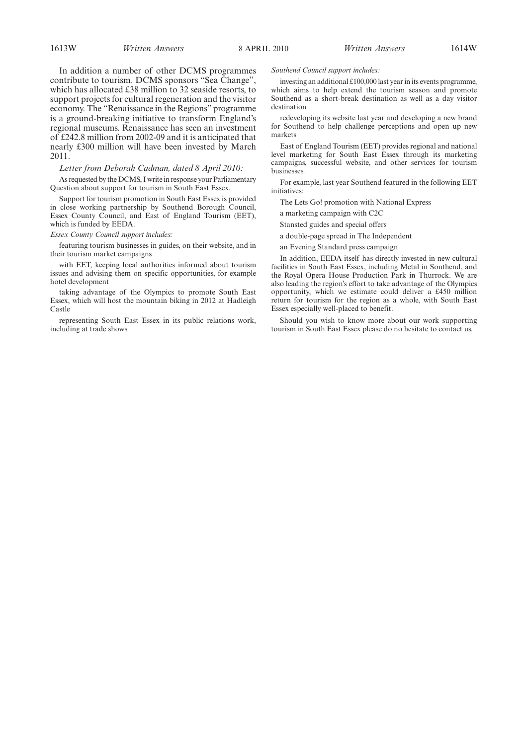In addition a number of other DCMS programmes contribute to tourism. DCMS sponsors "Sea Change", which has allocated £38 million to 32 seaside resorts, to support projects for cultural regeneration and the visitor economy. The "Renaissance in the Regions" programme is a ground-breaking initiative to transform England's regional museums. Renaissance has seen an investment of £242.8 million from 2002-09 and it is anticipated that nearly £300 million will have been invested by March 2011.

#### *Letter from Deborah Cadman, dated 8 April 2010:*

As requested by the DCMS, I write in response your Parliamentary Question about support for tourism in South East Essex.

Support for tourism promotion in South East Essex is provided in close working partnership by Southend Borough Council, Essex County Council, and East of England Tourism (EET), which is funded by EEDA.

#### *Essex County Council support includes:*

featuring tourism businesses in guides, on their website, and in their tourism market campaigns

with EET, keeping local authorities informed about tourism issues and advising them on specific opportunities, for example hotel development

taking advantage of the Olympics to promote South East Essex, which will host the mountain biking in 2012 at Hadleigh Castle

representing South East Essex in its public relations work, including at trade shows

#### *Southend Council support includes:*

investing an additional £100,000 last year in its events programme, which aims to help extend the tourism season and promote Southend as a short-break destination as well as a day visitor destination

redeveloping its website last year and developing a new brand for Southend to help challenge perceptions and open up new markets

East of England Tourism (EET) provides regional and national level marketing for South East Essex through its marketing campaigns, successful website, and other services for tourism businesses.

For example, last year Southend featured in the following EET initiatives:

The Lets Go! promotion with National Express

a marketing campaign with C2C

- Stansted guides and special offers
- a double-page spread in The Independent
- an Evening Standard press campaign

In addition, EEDA itself has directly invested in new cultural facilities in South East Essex, including Metal in Southend, and the Royal Opera House Production Park in Thurrock. We are also leading the region's effort to take advantage of the Olympics opportunity, which we estimate could deliver a £450 million return for tourism for the region as a whole, with South East Essex especially well-placed to benefit.

Should you wish to know more about our work supporting tourism in South East Essex please do no hesitate to contact us.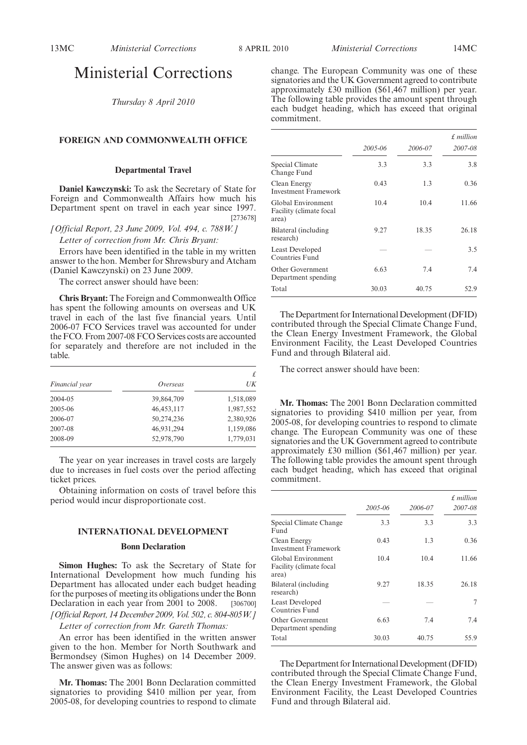### Ministerial Corrections

*Thursday 8 April 2010*

#### **FOREIGN AND COMMONWEALTH OFFICE**

#### **Departmental Travel**

**Daniel Kawczynski:** To ask the Secretary of State for Foreign and Commonwealth Affairs how much his Department spent on travel in each year since 1997. [273678]

*[Official Report, 23 June 2009, Vol. 494, c. 788W.]*

*Letter of correction from Mr. Chris Bryant:*

Errors have been identified in the table in my written answer to the hon. Member for Shrewsbury and Atcham (Daniel Kawczynski) on 23 June 2009.

The correct answer should have been:

**Chris Bryant:** The Foreign and Commonwealth Office has spent the following amounts on overseas and UK travel in each of the last five financial years. Until 2006-07 FCO Services travel was accounted for under the FCO. From 2007-08 FCO Services costs are accounted for separately and therefore are not included in the table.

| Financial year | Overseas     | £<br>$U\bar{K}$ |
|----------------|--------------|-----------------|
| 2004-05        | 39,864,709   | 1,518,089       |
| 2005-06        | 46, 453, 117 | 1,987,552       |
| 2006-07        | 50,274,236   | 2,380,926       |
| 2007-08        | 46,931,294   | 1,159,086       |
| 2008-09        | 52,978,790   | 1,779,031       |

The year on year increases in travel costs are largely due to increases in fuel costs over the period affecting ticket prices.

Obtaining information on costs of travel before this period would incur disproportionate cost.

#### **INTERNATIONAL DEVELOPMENT**

#### **Bonn Declaration**

**Simon Hughes:** To ask the Secretary of State for International Development how much funding his Department has allocated under each budget heading for the purposes of meeting its obligations under the Bonn Declaration in each year from 2001 to 2008. [306700] *[Official Report, 14 December 2009, Vol. 502, c. 804-805W.]*

*Letter of correction from Mr. Gareth Thomas:*

An error has been identified in the written answer given to the hon. Member for North Southwark and Bermondsey (Simon Hughes) on 14 December 2009. The answer given was as follows:

**Mr. Thomas:** The 2001 Bonn Declaration committed signatories to providing \$410 million per year, from 2005-08, for developing countries to respond to climate change. The European Community was one of these signatories and the UK Government agreed to contribute approximately £30 million (\$61,467 million) per year. The following table provides the amount spent through each budget heading, which has exceed that original commitment.

|                                                        | 2005-06 | 2006-07 | $£$ million<br>2007-08 |
|--------------------------------------------------------|---------|---------|------------------------|
| Special Climate<br>Change Fund                         | 3.3     | 3.3     | 3.8                    |
| Clean Energy<br>Investment Framework                   | 0.43    | 1.3     | 0.36                   |
| Global Environment<br>Facility (climate focal<br>area) | 10.4    | 10.4    | 11.66                  |
| Bilateral (including<br>research)                      | 9.27    | 18.35   | 26.18                  |
| <b>Least Developed</b><br>Countries Fund               |         |         | 3.5                    |
| Other Government<br>Department spending                | 6.63    | 7.4     | 7.4                    |
| Total                                                  | 30.03   | 40.75   | 52.9                   |

The Department for International Development (DFID) contributed through the Special Climate Change Fund, the Clean Energy Investment Framework, the Global Environment Facility, the Least Developed Countries Fund and through Bilateral aid.

The correct answer should have been:

**Mr. Thomas:** The 2001 Bonn Declaration committed signatories to providing \$410 million per year, from 2005-08, for developing countries to respond to climate change. The European Community was one of these signatories and the UK Government agreed to contribute approximately £30 million (\$61,467 million) per year. The following table provides the amount spent through each budget heading, which has exceed that original commitment.

|                                                        | 2005-06 | 2006-07 | f million<br>2007-08 |
|--------------------------------------------------------|---------|---------|----------------------|
| Special Climate Change<br>Fund                         | 3.3     | 3.3     | 3.3                  |
| Clean Energy<br><b>Investment Framework</b>            | 0.43    | 1.3     | 0.36                 |
| Global Environment<br>Facility (climate focal<br>area) | 10.4    | 10.4    | 11.66                |
| Bilateral (including<br>research)                      | 9.27    | 18.35   | 26.18                |
| Least Developed<br>Countries Fund                      |         |         | 7                    |
| Other Government<br>Department spending                | 6.63    | 7.4     | 7.4                  |
| Total                                                  | 30.03   | 40.75   | 55.9                 |

The Department for International Development (DFID) contributed through the Special Climate Change Fund, the Clean Energy Investment Framework, the Global Environment Facility, the Least Developed Countries Fund and through Bilateral aid.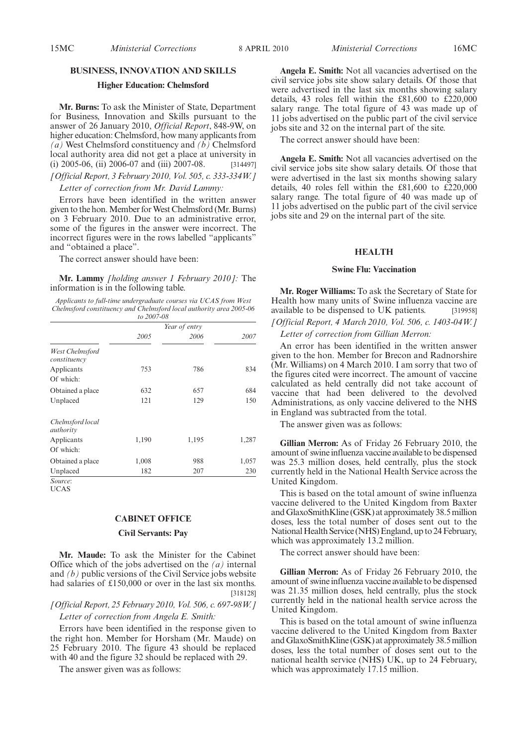#### **BUSINESS, INNOVATION AND SKILLS**

#### **Higher Education: Chelmsford**

**Mr. Burns:** To ask the Minister of State, Department for Business, Innovation and Skills pursuant to the answer of 26 January 2010, *Official Report*, 848-9W, on higher education: Chelmsford, how many applicants from *(a)* West Chelmsford constituency and *(b)* Chelmsford local authority area did not get a place at university in (i) 2005-06, (ii) 2006-07 and (iii) 2007-08. [314497]

### *[Official Report, 3 February 2010, Vol. 505, c. 333-334W.]*

#### *Letter of correction from Mr. David Lammy:*

Errors have been identified in the written answer given to the hon. Member for West Chelmsford (Mr. Burns) on 3 February 2010. Due to an administrative error, some of the figures in the answer were incorrect. The incorrect figures were in the rows labelled "applicants" and "obtained a place".

The correct answer should have been:

**Mr. Lammy** *[holding answer 1 February 2010]:* The information is in the following table.

*Applicants to full-time undergraduate courses via UCAS from West Chelmsford constituency and Chelmsford local authority area 2005-06 to 2007-08*

|                                 |       | Year of entry |       |
|---------------------------------|-------|---------------|-------|
|                                 | 2005  | 2006          | 2007  |
| West Chelmsford<br>constituency |       |               |       |
| Applicants<br>Of which:         | 753   | 786           | 834   |
| Obtained a place                | 632   | 657           | 684   |
| Unplaced                        | 121   | 129           | 150   |
| Chelmsford local<br>authority   |       |               |       |
| Applicants                      | 1,190 | 1,195         | 1,287 |
| Of which:                       |       |               |       |
| Obtained a place                | 1,008 | 988           | 1,057 |
| Unplaced                        | 182   | 207           | 230   |

UCAS

#### **CABINET OFFICE**

#### **Civil Servants: Pay**

**Mr. Maude:** To ask the Minister for the Cabinet Office which of the jobs advertised on the *(a)* internal and *(b)* public versions of the Civil Service jobs website had salaries of £150,000 or over in the last six months. [318128]

*[Official Report, 25 February 2010, Vol. 506, c. 697-98W.] Letter of correction from Angela E. Smith:*

Errors have been identified in the response given to the right hon. Member for Horsham (Mr. Maude) on 25 February 2010. The figure 43 should be replaced with 40 and the figure 32 should be replaced with 29.

The answer given was as follows:

**Angela E. Smith:** Not all vacancies advertised on the civil service jobs site show salary details. Of those that were advertised in the last six months showing salary details, 43 roles fell within the £81,600 to £220,000 salary range. The total figure of 43 was made up of 11 jobs advertised on the public part of the civil service jobs site and 32 on the internal part of the site.

The correct answer should have been:

**Angela E. Smith:** Not all vacancies advertised on the civil service jobs site show salary details. Of those that were advertised in the last six months showing salary details, 40 roles fell within the £81,600 to £220,000 salary range. The total figure of 40 was made up of 11 jobs advertised on the public part of the civil service jobs site and 29 on the internal part of the site.

#### **HEALTH**

#### **Swine Flu: Vaccination**

**Mr. Roger Williams:** To ask the Secretary of State for Health how many units of Swine influenza vaccine are available to be dispensed to UK patients. [319958]

*[Official Report, 4 March 2010, Vol. 506, c. 1403-04W.] Letter of correction from Gillian Merron:*

An error has been identified in the written answer given to the hon. Member for Brecon and Radnorshire (Mr. Williams) on 4 March 2010. I am sorry that two of the figures cited were incorrect. The amount of vaccine calculated as held centrally did not take account of vaccine that had been delivered to the devolved Administrations, as only vaccine delivered to the NHS in England was subtracted from the total.

The answer given was as follows:

**Gillian Merron:** As of Friday 26 February 2010, the amount of swine influenza vaccine available to be dispensed was 25.3 million doses, held centrally, plus the stock currently held in the National Health Service across the United Kingdom.

This is based on the total amount of swine influenza vaccine delivered to the United Kingdom from Baxter and GlaxoSmithKline (GSK) at approximately 38.5 million doses, less the total number of doses sent out to the National Health Service (NHS) England, up to 24 February, which was approximately 13.2 million.

The correct answer should have been:

**Gillian Merron:** As of Friday 26 February 2010, the amount of swine influenza vaccine available to be dispensed was 21.35 million doses, held centrally, plus the stock currently held in the national health service across the United Kingdom.

This is based on the total amount of swine influenza vaccine delivered to the United Kingdom from Baxter and GlaxoSmithKline (GSK) at approximately 38.5 million doses, less the total number of doses sent out to the national health service (NHS) UK, up to 24 February, which was approximately 17.15 million.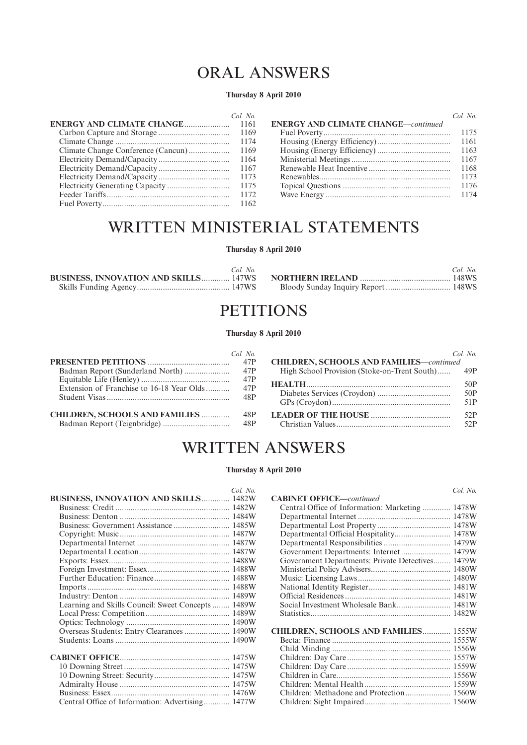# ORAL ANSWERS

#### **Thursday 8 April 2010**

| Col. No. |                                            | Col. No. |
|----------|--------------------------------------------|----------|
|          | <b>ENERGY AND CLIMATE CHANGE—continued</b> |          |
|          |                                            |          |
|          |                                            | 1161     |
| 1169     |                                            | 1163     |
|          |                                            | 1167     |
|          |                                            | 1168     |
|          |                                            | 1173     |
|          |                                            | 1176     |
|          |                                            |          |
|          |                                            |          |

# WRITTEN MINISTERIAL STATEMENTS

#### **Thursday 8 April 2010**

| Col. No. | Col. No. |
|----------|----------|
|          |          |
|          |          |

## **PETITIONS**

#### **Thursday 8 April 2010**

|                                           | $Col$ No          |                                                  | Col No            |
|-------------------------------------------|-------------------|--------------------------------------------------|-------------------|
|                                           | 47P               | <b>CHILDREN, SCHOOLS AND FAMILIES-continued</b>  |                   |
|                                           | 47P               | High School Provision (Stoke-on-Trent South) 49P |                   |
| Extension of Franchise to 16-18 Year Olds | 47P<br>47P<br>48P |                                                  | 50P<br>50P<br>51P |
| <b>CHILDREN, SCHOOLS AND FAMILIES </b>    | 48P               |                                                  | 52P<br>52P        |

# WRITTEN ANSWERS

#### **Thursday 8 April 2010**

|                                              | Col. No. |
|----------------------------------------------|----------|
| <b>BUSINESS, INNOVATION AND SKILLS 1482W</b> |          |
|                                              |          |
|                                              |          |
|                                              | 1485W    |
|                                              |          |
|                                              | 1487W    |
|                                              | 1487W    |
|                                              | 1488W    |
|                                              | 1488W    |
|                                              | 1488W    |
|                                              | 1488W    |
|                                              | 1489W    |
| Learning and Skills Council: Sweet Concepts  | 1489W    |
|                                              | 1489W    |
|                                              |          |
| Overseas Students: Entry Clearances  1490W   |          |
|                                              |          |
|                                              |          |
|                                              | 1475W    |
|                                              | 1475W    |
|                                              |          |
|                                              | 1475W    |
|                                              |          |
| Central Office of Information: Advertising   | 1477W    |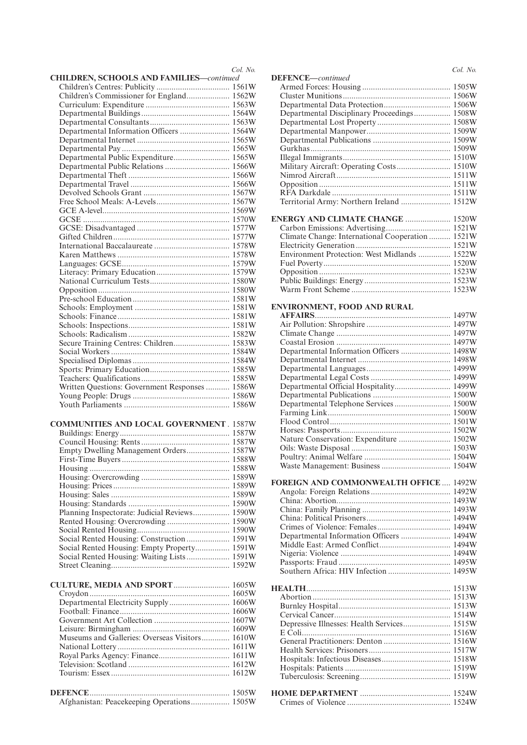|                                                 | Col. No. |
|-------------------------------------------------|----------|
| <b>CHILDREN, SCHOOLS AND FAMILIES-continued</b> |          |
| Children's Commissioner for England 1562W       |          |
|                                                 |          |
|                                                 |          |
|                                                 |          |
| Departmental Information Officers  1564W        |          |
|                                                 |          |
|                                                 |          |
| Departmental Public Expenditure 1565W           |          |
|                                                 |          |
|                                                 |          |
|                                                 |          |
|                                                 |          |
|                                                 |          |
|                                                 |          |
|                                                 |          |
|                                                 |          |
|                                                 |          |
|                                                 |          |
|                                                 |          |
|                                                 |          |
|                                                 |          |
|                                                 |          |
|                                                 |          |
|                                                 |          |
|                                                 |          |
|                                                 |          |
|                                                 |          |
|                                                 |          |
|                                                 |          |
|                                                 |          |
| Written Questions: Government Responses  1586W  |          |
|                                                 |          |
|                                                 |          |
| <b>COMMUNITIES AND LOCAL GOVERNMENT . 1587W</b> |          |
|                                                 |          |
|                                                 |          |
| Empty Dwelling Management Orders 1587W          |          |
|                                                 |          |
|                                                 |          |
|                                                 |          |
|                                                 |          |
|                                                 |          |
| Planning Inspectorate: Judicial Reviews 1590W   |          |
| Rented Housing: Overcrowding 1590W              |          |
|                                                 |          |
| Social Rented Housing: Construction  1591W      |          |
| Social Rented Housing: Empty Property 1591W     |          |
| Social Rented Housing: Waiting Lists 1591W      |          |
|                                                 |          |
| CULTURE, MEDIA AND SPORT 1605W                  |          |
|                                                 |          |
| Departmental Electricity Supply 1606W           |          |
|                                                 |          |
|                                                 |          |
|                                                 |          |
| Museums and Galleries: Overseas Visitors 1610W  |          |
|                                                 |          |
|                                                 |          |
|                                                 |          |
|                                                 |          |
|                                                 |          |
| Afghanistan: Peacekeeping Operations 1505W      |          |

|                                                  | Col. No. |
|--------------------------------------------------|----------|
| DEFENCE-continued                                |          |
|                                                  |          |
|                                                  |          |
| Departmental Disciplinary Proceedings 1508W      |          |
|                                                  |          |
|                                                  |          |
|                                                  |          |
|                                                  |          |
|                                                  |          |
| Military Aircraft: Operating Costs 1510W         |          |
|                                                  |          |
|                                                  |          |
|                                                  |          |
| Territorial Army: Northern Ireland  1512W        |          |
| ENERGY AND CLIMATE CHANGE  1520W                 |          |
|                                                  |          |
| Climate Change: International Cooperation  1521W |          |
|                                                  |          |
| Environment Protection: West Midlands  1522W     |          |
|                                                  |          |
|                                                  |          |
|                                                  |          |
|                                                  |          |
| ENVIRONMENT, FOOD AND RURAL                      |          |
|                                                  |          |
|                                                  |          |
|                                                  |          |
|                                                  |          |
| Departmental Information Officers  1498W         |          |
|                                                  |          |
|                                                  |          |
|                                                  |          |
| Departmental Official Hospitality 1499W          |          |
|                                                  |          |
| Departmental Telephone Services  1500W           |          |
|                                                  |          |
|                                                  |          |
| Nature Conservation: Expenditure  1502W          |          |
|                                                  |          |
|                                                  |          |
|                                                  |          |
|                                                  |          |
| <b>FOREIGN AND COMMONWEALTH OFFICE  1492W</b>    |          |
|                                                  |          |
|                                                  |          |
|                                                  |          |
|                                                  |          |
| Departmental Information Officers  1494W         |          |
|                                                  |          |
|                                                  |          |
|                                                  |          |
|                                                  |          |
|                                                  |          |
|                                                  |          |
|                                                  |          |
|                                                  |          |
|                                                  |          |
| Depressive Illnesses: Health Services 1515W      |          |
|                                                  |          |
|                                                  |          |
|                                                  |          |
|                                                  |          |
|                                                  |          |
|                                                  |          |
|                                                  |          |
|                                                  |          |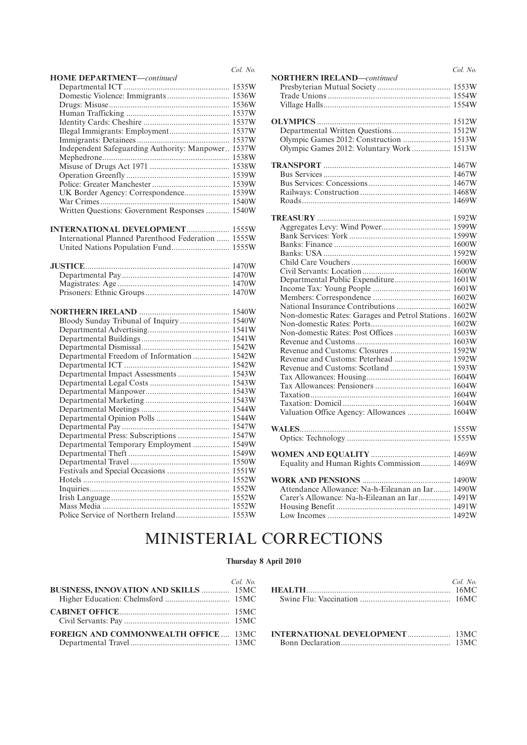|                                                    | Col. No. |
|----------------------------------------------------|----------|
| <b>HOME DEPARTMENT</b> -continued                  |          |
|                                                    |          |
| Domestic Violence: Immigrants 1536W                |          |
|                                                    |          |
|                                                    |          |
|                                                    |          |
| Illegal Immigrants: Employment 1537W               |          |
|                                                    |          |
| Independent Safeguarding Authority: Manpower 1537W |          |
|                                                    |          |
|                                                    |          |
|                                                    |          |
|                                                    |          |
| UK Border Agency: Correspondence 1539W             |          |
|                                                    |          |
| Written Questions: Government Responses  1540W     |          |
|                                                    |          |
| <b>INTERNATIONAL DEVELOPMENT 1555W</b>             |          |
| International Planned Parenthood Federation  1555W |          |
| United Nations Population Fund 1555W               |          |
|                                                    |          |
|                                                    |          |
|                                                    |          |
|                                                    |          |
|                                                    |          |
|                                                    |          |
|                                                    |          |
| Bloody Sunday Tribunal of Inquiry  1540W           |          |
|                                                    |          |
|                                                    |          |
|                                                    |          |
| Departmental Freedom of Information  1542W         |          |
|                                                    |          |
| Departmental Impact Assessments  1543W             |          |
|                                                    |          |
|                                                    |          |
|                                                    |          |
|                                                    |          |
|                                                    |          |
|                                                    |          |
| Departmental Press: Subscriptions  1547W           |          |
| Departmental Temporary Employment  1549W           |          |
|                                                    |          |
|                                                    |          |
| Festivals and Special Occasions  1551W             |          |
|                                                    |          |
|                                                    |          |
|                                                    |          |
|                                                    |          |
| Police Service of Northern Ireland 1553W           |          |
|                                                    |          |

|                                                        | Col. No. |
|--------------------------------------------------------|----------|
| <b>NORTHERN IRELAND-continued</b>                      |          |
|                                                        |          |
|                                                        |          |
|                                                        |          |
|                                                        |          |
|                                                        |          |
|                                                        |          |
| Olympic Games 2012: Construction  1513W                |          |
| Olympic Games 2012: Voluntary Work  1513W              |          |
|                                                        |          |
|                                                        |          |
|                                                        |          |
|                                                        |          |
|                                                        |          |
|                                                        |          |
|                                                        |          |
|                                                        |          |
|                                                        |          |
|                                                        |          |
|                                                        |          |
|                                                        |          |
|                                                        |          |
|                                                        |          |
|                                                        |          |
| Departmental Public Expenditure 1601W                  |          |
|                                                        |          |
|                                                        |          |
| National Insurance Contributions  1602W                |          |
| Non-domestic Rates: Garages and Petrol Stations. 1602W |          |
|                                                        |          |
|                                                        |          |
|                                                        |          |
|                                                        |          |
| Revenue and Customs: Peterhead  1592W                  |          |
| Revenue and Customs: Scotland  1593W                   |          |
|                                                        |          |
|                                                        |          |
|                                                        |          |
|                                                        |          |
|                                                        |          |
| Valuation Office Agency: Allowances  1604W             |          |
|                                                        |          |
|                                                        |          |
|                                                        |          |
|                                                        |          |
| Equality and Human Rights Commission 1469W             |          |
|                                                        |          |
|                                                        |          |
| Attendance Allowance: Na-h-Eileanan an Iar 1490W       |          |
| Carer's Allowance: Na-h-Eileanan an Iar 1491W          |          |
|                                                        |          |
|                                                        |          |
|                                                        |          |

# MINISTERIAL CORRECTIONS

### **Thursday 8 April 2010**

| BUSINESS, INNOVATION AND SKILLS  15MC       | Col. No. |
|---------------------------------------------|----------|
|                                             |          |
| <b>FOREIGN AND COMMONWEALTH OFFICE 13MC</b> |          |

|                                       | $Col$ No |
|---------------------------------------|----------|
| <b>INTERNATIONAL DEVELOPMENT</b> 13MC |          |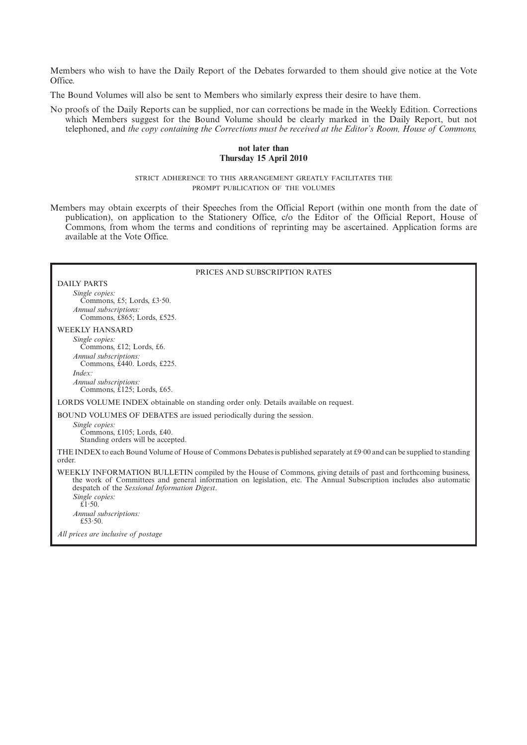Members who wish to have the Daily Report of the Debates forwarded to them should give notice at the Vote Office.

The Bound Volumes will also be sent to Members who similarly express their desire to have them.

No proofs of the Daily Reports can be supplied, nor can corrections be made in the Weekly Edition. Corrections which Members suggest for the Bound Volume should be clearly marked in the Daily Report, but not telephoned, and *the copy containing the Corrections must be received at the Editor's Room, House of Commons,*

#### **not later than Thursday 15 April 2010**

STRICT ADHERENCE TO THIS ARRANGEMENT GREATLY FACILITATES THE PROMPT PUBLICATION OF THE VOLUMES

Members may obtain excerpts of their Speeches from the Official Report (within one month from the date of publication), on application to the Stationery Office, c/o the Editor of the Official Report, House of Commons, from whom the terms and conditions of reprinting may be ascertained. Application forms are available at the Vote Office.

#### PRICES AND SUBSCRIPTION RATES

DAILY PARTS *Single copies:* Commons, £5; Lords, £3·50. *Annual subscriptions:* Commons, £865; Lords, £525.

#### WEEKLY HANSARD

*Single copies:* Commons, £12; Lords, £6. *Annual subscriptions:* Commons, £440. Lords, £225. *Index: Annual subscriptions:* Commons, £125; Lords, £65.

LORDS VOLUME INDEX obtainable on standing order only. Details available on request.

BOUND VOLUMES OF DEBATES are issued periodically during the session.

*Single copies:* Commons, £105; Lords, £40. Standing orders will be accepted.

THE INDEX to each Bound Volume of House of Commons Debates is published separately at  $\text{\pounds}9\cdot 00$  and can be supplied to standing order.

WEEKLY INFORMATION BULLETIN compiled by the House of Commons, giving details of past and forthcoming business, the work of Committees and general information on legislation, etc. The Annual Subscription includes also automatic despatch of the *Sessional Information Digest*.

*Single copies:*  $\mathbf{E}$ 1.50. *Annual subscriptions:* £53·50.

*All prices are inclusive of postage*